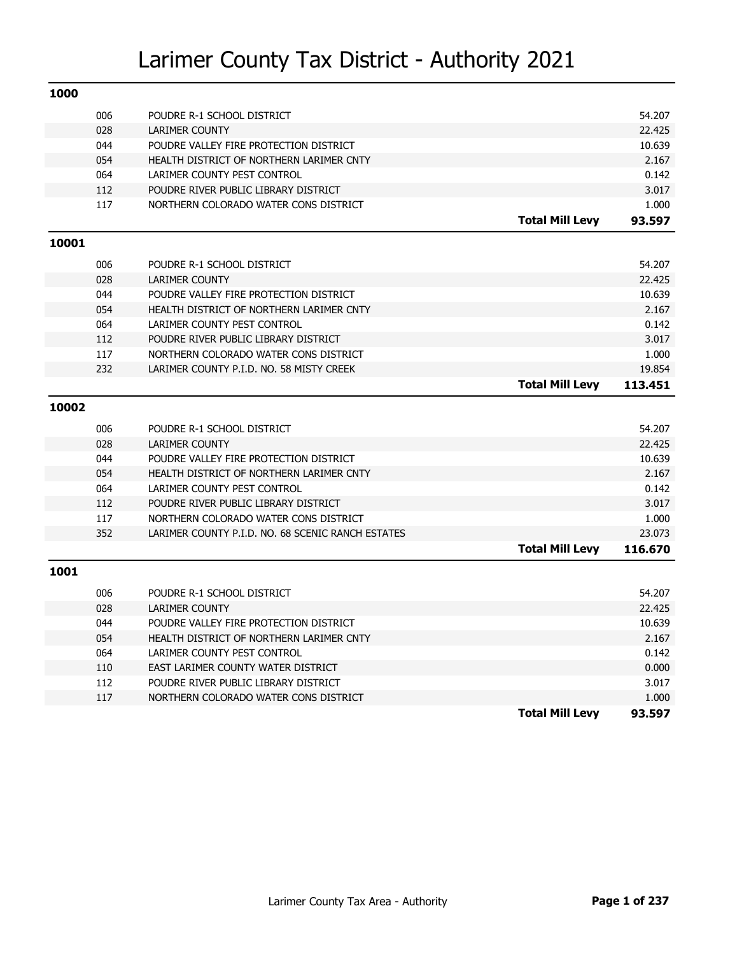| 1000  |     |                                                   |                        |         |
|-------|-----|---------------------------------------------------|------------------------|---------|
|       | 006 | POUDRE R-1 SCHOOL DISTRICT                        |                        | 54.207  |
|       | 028 | <b>LARIMER COUNTY</b>                             |                        | 22.425  |
|       | 044 | POUDRE VALLEY FIRE PROTECTION DISTRICT            |                        | 10.639  |
|       | 054 | HEALTH DISTRICT OF NORTHERN LARIMER CNTY          |                        | 2.167   |
|       | 064 | LARIMER COUNTY PEST CONTROL                       |                        | 0.142   |
|       | 112 | POUDRE RIVER PUBLIC LIBRARY DISTRICT              |                        | 3.017   |
|       | 117 | NORTHERN COLORADO WATER CONS DISTRICT             |                        | 1.000   |
|       |     |                                                   | <b>Total Mill Levy</b> | 93.597  |
| 10001 |     |                                                   |                        |         |
|       | 006 | POUDRE R-1 SCHOOL DISTRICT                        |                        | 54.207  |
|       | 028 | <b>LARIMER COUNTY</b>                             |                        | 22.425  |
|       | 044 | POUDRE VALLEY FIRE PROTECTION DISTRICT            |                        | 10.639  |
|       | 054 | HEALTH DISTRICT OF NORTHERN LARIMER CNTY          |                        | 2.167   |
|       | 064 | LARIMER COUNTY PEST CONTROL                       |                        | 0.142   |
|       | 112 | POUDRE RIVER PUBLIC LIBRARY DISTRICT              |                        | 3.017   |
|       | 117 | NORTHERN COLORADO WATER CONS DISTRICT             |                        | 1.000   |
|       | 232 | LARIMER COUNTY P.I.D. NO. 58 MISTY CREEK          |                        | 19.854  |
|       |     |                                                   | <b>Total Mill Levy</b> | 113.451 |
| 10002 |     |                                                   |                        |         |
|       | 006 | POUDRE R-1 SCHOOL DISTRICT                        |                        | 54.207  |
|       | 028 | <b>LARIMER COUNTY</b>                             |                        | 22.425  |
|       | 044 | POUDRE VALLEY FIRE PROTECTION DISTRICT            |                        | 10.639  |
|       | 054 | HEALTH DISTRICT OF NORTHERN LARIMER CNTY          |                        | 2.167   |
|       | 064 | LARIMER COUNTY PEST CONTROL                       |                        | 0.142   |
|       | 112 | POUDRE RIVER PUBLIC LIBRARY DISTRICT              |                        | 3.017   |
|       | 117 | NORTHERN COLORADO WATER CONS DISTRICT             |                        | 1.000   |
|       | 352 | LARIMER COUNTY P.I.D. NO. 68 SCENIC RANCH ESTATES |                        | 23.073  |
|       |     |                                                   | <b>Total Mill Levy</b> | 116.670 |
| 1001  |     |                                                   |                        |         |
|       | 006 | POUDRE R-1 SCHOOL DISTRICT                        |                        | 54.207  |
|       | 028 | <b>LARIMER COUNTY</b>                             |                        | 22.425  |
|       | 044 | POUDRE VALLEY FIRE PROTECTION DISTRICT            |                        | 10.639  |
|       | 054 | HEALTH DISTRICT OF NORTHERN LARIMER CNTY          |                        | 2.167   |
|       | 064 | LARIMER COUNTY PEST CONTROL                       |                        | 0.142   |
|       | 110 | EAST LARIMER COUNTY WATER DISTRICT                |                        | 0.000   |
|       | 112 | POUDRE RIVER PUBLIC LIBRARY DISTRICT              |                        | 3.017   |
|       | 117 | NORTHERN COLORADO WATER CONS DISTRICT             |                        | 1.000   |
|       |     |                                                   |                        |         |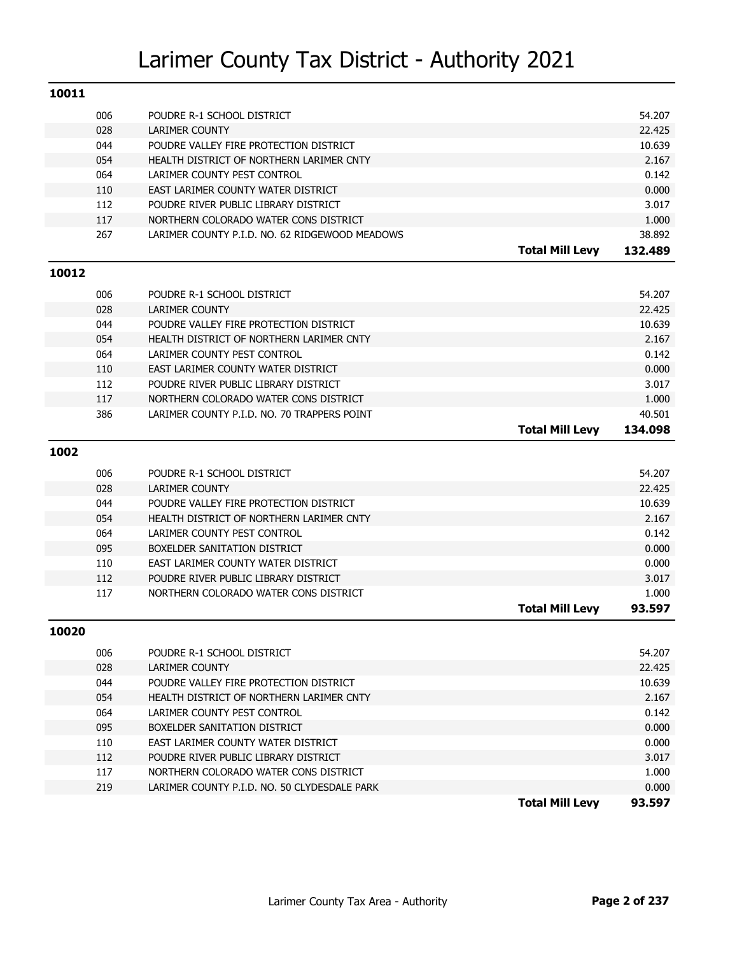| 10011 |            |                                                     |                        |                |
|-------|------------|-----------------------------------------------------|------------------------|----------------|
|       | 006        | POUDRE R-1 SCHOOL DISTRICT                          |                        | 54.207         |
|       | 028        | <b>LARIMER COUNTY</b>                               |                        | 22.425         |
|       | 044        | POUDRE VALLEY FIRE PROTECTION DISTRICT              |                        | 10.639         |
|       | 054        | HEALTH DISTRICT OF NORTHERN LARIMER CNTY            |                        | 2.167          |
|       | 064        | LARIMER COUNTY PEST CONTROL                         |                        | 0.142          |
|       | 110        | EAST LARIMER COUNTY WATER DISTRICT                  |                        | 0.000          |
|       | 112        | POUDRE RIVER PUBLIC LIBRARY DISTRICT                |                        | 3.017          |
|       | 117        | NORTHERN COLORADO WATER CONS DISTRICT               |                        | 1.000          |
|       | 267        | LARIMER COUNTY P.I.D. NO. 62 RIDGEWOOD MEADOWS      |                        | 38.892         |
|       |            |                                                     | <b>Total Mill Levy</b> | 132.489        |
| 10012 |            |                                                     |                        |                |
|       | 006        |                                                     |                        | 54.207         |
|       | 028        | POUDRE R-1 SCHOOL DISTRICT<br><b>LARIMER COUNTY</b> |                        | 22.425         |
|       | 044        | POUDRE VALLEY FIRE PROTECTION DISTRICT              |                        | 10.639         |
|       | 054        | HEALTH DISTRICT OF NORTHERN LARIMER CNTY            |                        | 2.167          |
|       | 064        | LARIMER COUNTY PEST CONTROL                         |                        | 0.142          |
|       | 110        | EAST LARIMER COUNTY WATER DISTRICT                  |                        | 0.000          |
|       | 112        | POUDRE RIVER PUBLIC LIBRARY DISTRICT                |                        | 3.017          |
|       | 117        | NORTHERN COLORADO WATER CONS DISTRICT               |                        | 1.000          |
|       | 386        | LARIMER COUNTY P.I.D. NO. 70 TRAPPERS POINT         |                        | 40.501         |
|       |            |                                                     | <b>Total Mill Levy</b> | 134.098        |
|       |            |                                                     |                        |                |
|       |            |                                                     |                        |                |
| 1002  |            |                                                     |                        |                |
|       | 006        | POUDRE R-1 SCHOOL DISTRICT                          |                        | 54.207         |
|       | 028        | <b>LARIMER COUNTY</b>                               |                        | 22.425         |
|       | 044        | POUDRE VALLEY FIRE PROTECTION DISTRICT              |                        | 10.639         |
|       | 054        | HEALTH DISTRICT OF NORTHERN LARIMER CNTY            |                        | 2.167          |
|       | 064        | LARIMER COUNTY PEST CONTROL                         |                        | 0.142          |
|       | 095        | BOXELDER SANITATION DISTRICT                        |                        | 0.000          |
|       | 110        | EAST LARIMER COUNTY WATER DISTRICT                  |                        | 0.000          |
|       | 112        | POUDRE RIVER PUBLIC LIBRARY DISTRICT                |                        | 3.017          |
|       | 117        | NORTHERN COLORADO WATER CONS DISTRICT               |                        | 1.000          |
|       |            |                                                     | <b>Total Mill Levy</b> | 93.597         |
| 10020 |            |                                                     |                        |                |
|       | 006        | POUDRE R-1 SCHOOL DISTRICT                          |                        | 54.207         |
|       | 028        | LARIMER COUNTY                                      |                        | 22.425         |
|       | 044        | POUDRE VALLEY FIRE PROTECTION DISTRICT              |                        | 10.639         |
|       | 054        | HEALTH DISTRICT OF NORTHERN LARIMER CNTY            |                        | 2.167          |
|       | 064        | LARIMER COUNTY PEST CONTROL                         |                        | 0.142          |
|       | 095        | BOXELDER SANITATION DISTRICT                        |                        | 0.000          |
|       | 110        | EAST LARIMER COUNTY WATER DISTRICT                  |                        | 0.000          |
|       | 112        | POUDRE RIVER PUBLIC LIBRARY DISTRICT                |                        | 3.017          |
|       | 117<br>219 | NORTHERN COLORADO WATER CONS DISTRICT               |                        | 1.000<br>0.000 |

**Total Mill Levy 93.597**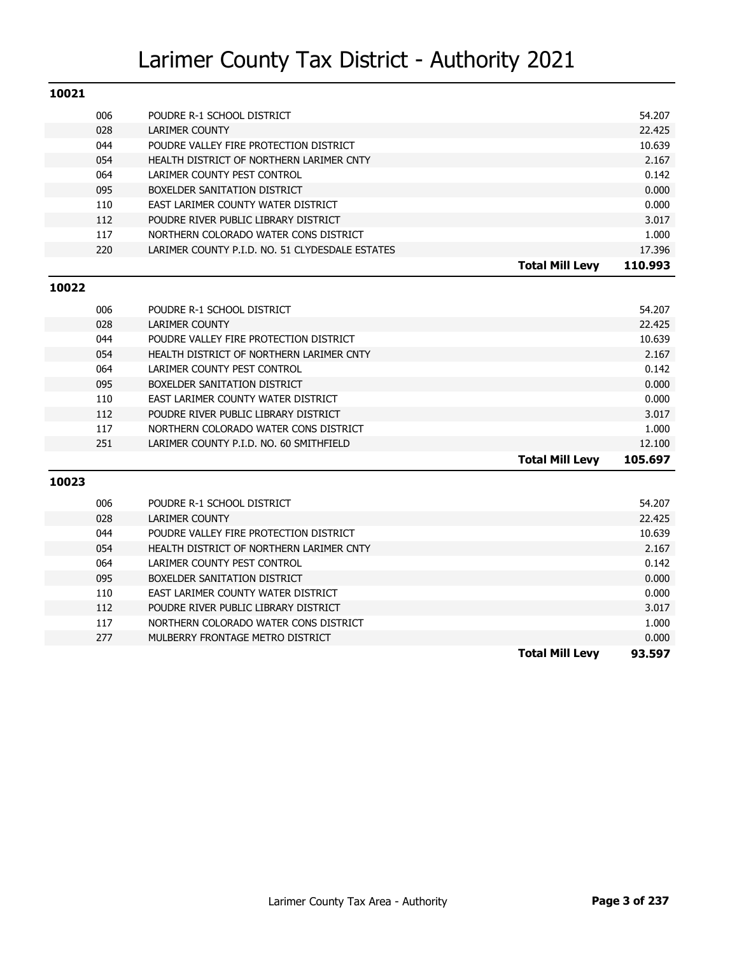| 10021 |     |                                                 |         |
|-------|-----|-------------------------------------------------|---------|
|       | 006 | POUDRE R-1 SCHOOL DISTRICT                      | 54.207  |
|       | 028 | <b>LARIMER COUNTY</b>                           | 22.425  |
|       | 044 | POUDRE VALLEY FIRE PROTECTION DISTRICT          | 10.639  |
|       | 054 | HEALTH DISTRICT OF NORTHERN LARIMER CNTY        | 2.167   |
|       | 064 | LARIMER COUNTY PEST CONTROL                     | 0.142   |
|       | 095 | BOXELDER SANITATION DISTRICT                    | 0.000   |
|       | 110 | EAST LARIMER COUNTY WATER DISTRICT              | 0.000   |
|       | 112 | POUDRE RIVER PUBLIC LIBRARY DISTRICT            | 3.017   |
|       | 117 | NORTHERN COLORADO WATER CONS DISTRICT           | 1.000   |
|       | 220 | LARIMER COUNTY P.I.D. NO. 51 CLYDESDALE ESTATES | 17.396  |
|       |     |                                                 |         |
|       |     | <b>Total Mill Levy</b>                          | 110.993 |
| 10022 |     |                                                 |         |
|       | 006 | POUDRE R-1 SCHOOL DISTRICT                      | 54.207  |
|       | 028 | <b>LARIMER COUNTY</b>                           | 22.425  |
|       | 044 | POUDRE VALLEY FIRE PROTECTION DISTRICT          | 10.639  |
|       | 054 | HEALTH DISTRICT OF NORTHERN LARIMER CNTY        | 2.167   |
|       | 064 | LARIMER COUNTY PEST CONTROL                     | 0.142   |
|       | 095 | BOXELDER SANITATION DISTRICT                    | 0.000   |
|       | 110 | EAST LARIMER COUNTY WATER DISTRICT              | 0.000   |
|       | 112 | POUDRE RIVER PUBLIC LIBRARY DISTRICT            | 3.017   |

#### **10023**

| 0.000<br>0.000<br>3.017<br>1.000<br>0.000 |
|-------------------------------------------|
|                                           |
|                                           |
|                                           |
|                                           |
|                                           |
| 0.142                                     |
| 2.167                                     |
| 10.639                                    |
| 22.425                                    |
| 54.207                                    |
|                                           |

251 LARIMER COUNTY P.I.D. NO. 60 SMITHFIELD 12.100

**Total Mill Levy 105.697**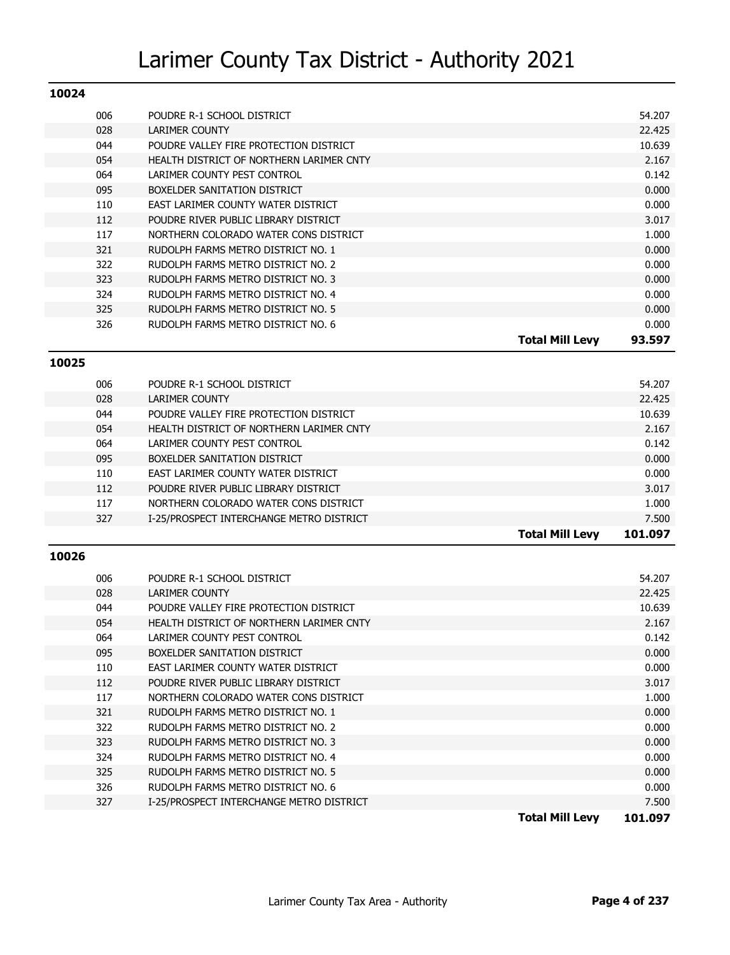| 10024 |                                          |                                  |
|-------|------------------------------------------|----------------------------------|
| 006   | POUDRE R-1 SCHOOL DISTRICT               | 54.207                           |
| 028   | LARIMER COUNTY                           | 22.425                           |
| 044   | POUDRE VALLEY FIRE PROTECTION DISTRICT   | 10.639                           |
| 054   | HEALTH DISTRICT OF NORTHERN LARIMER CNTY | 2.167                            |
| 064   | LARIMER COUNTY PEST CONTROL              | 0.142                            |
| 095   | BOXELDER SANITATION DISTRICT             | 0.000                            |
| 110   | EAST LARIMER COUNTY WATER DISTRICT       | 0.000                            |
| 112   | POUDRE RIVER PUBLIC LIBRARY DISTRICT     | 3.017                            |
| 117   | NORTHERN COLORADO WATER CONS DISTRICT    | 1.000                            |
| 321   | RUDOLPH FARMS METRO DISTRICT NO. 1       | 0.000                            |
| 322   | RUDOLPH FARMS METRO DISTRICT NO. 2       | 0.000                            |
| 323   | RUDOLPH FARMS METRO DISTRICT NO. 3       | 0.000                            |
| 324   | RUDOLPH FARMS METRO DISTRICT NO. 4       | 0.000                            |
| 325   | RUDOLPH FARMS METRO DISTRICT NO. 5       | 0.000                            |
| 326   | RUDOLPH FARMS METRO DISTRICT NO. 6       | 0.000                            |
|       |                                          | <b>Total Mill Levy</b><br>93.597 |

#### **10025**

|     |                                          | <b>Total Mill Levy</b> | 101.097 |
|-----|------------------------------------------|------------------------|---------|
| 327 | I-25/PROSPECT INTERCHANGE METRO DISTRICT |                        | 7.500   |
| 117 | NORTHERN COLORADO WATER CONS DISTRICT    |                        | 1.000   |
| 112 | POUDRE RIVER PUBLIC LIBRARY DISTRICT     |                        | 3.017   |
| 110 | EAST LARIMER COUNTY WATER DISTRICT       |                        | 0.000   |
| 095 | BOXELDER SANITATION DISTRICT             |                        | 0.000   |
| 064 | LARIMER COUNTY PEST CONTROL              |                        | 0.142   |
| 054 | HEALTH DISTRICT OF NORTHERN LARIMER CNTY |                        | 2.167   |
| 044 | POUDRE VALLEY FIRE PROTECTION DISTRICT   |                        | 10.639  |
| 028 | LARIMER COUNTY                           |                        | 22.425  |
| 006 | POUDRE R-1 SCHOOL DISTRICT               |                        | 54.207  |
|     |                                          |                        |         |

#### **10026**

|     |                                          | <b>Total Mill Levy</b> | 101.097 |
|-----|------------------------------------------|------------------------|---------|
| 327 | I-25/PROSPECT INTERCHANGE METRO DISTRICT |                        | 7.500   |
| 326 | RUDOLPH FARMS METRO DISTRICT NO. 6       |                        | 0.000   |
| 325 | RUDOLPH FARMS METRO DISTRICT NO. 5       |                        | 0.000   |
| 324 | RUDOLPH FARMS METRO DISTRICT NO. 4       |                        | 0.000   |
| 323 | RUDOLPH FARMS METRO DISTRICT NO. 3       |                        | 0.000   |
| 322 | RUDOLPH FARMS METRO DISTRICT NO. 2       |                        | 0.000   |
| 321 | RUDOLPH FARMS METRO DISTRICT NO. 1       |                        | 0.000   |
| 117 | NORTHERN COLORADO WATER CONS DISTRICT    |                        | 1.000   |
| 112 | POUDRE RIVER PUBLIC LIBRARY DISTRICT     |                        | 3.017   |
| 110 | EAST LARIMER COUNTY WATER DISTRICT       |                        | 0.000   |
| 095 | BOXELDER SANITATION DISTRICT             |                        | 0.000   |
| 064 | LARIMER COUNTY PEST CONTROL              |                        | 0.142   |
| 054 | HEALTH DISTRICT OF NORTHERN LARIMER CNTY |                        | 2.167   |
| 044 | POUDRE VALLEY FIRE PROTECTION DISTRICT   |                        | 10.639  |
| 028 | LARIMER COUNTY                           |                        | 22.425  |
| 006 | POUDRE R-1 SCHOOL DISTRICT               |                        | 54.207  |
|     |                                          |                        |         |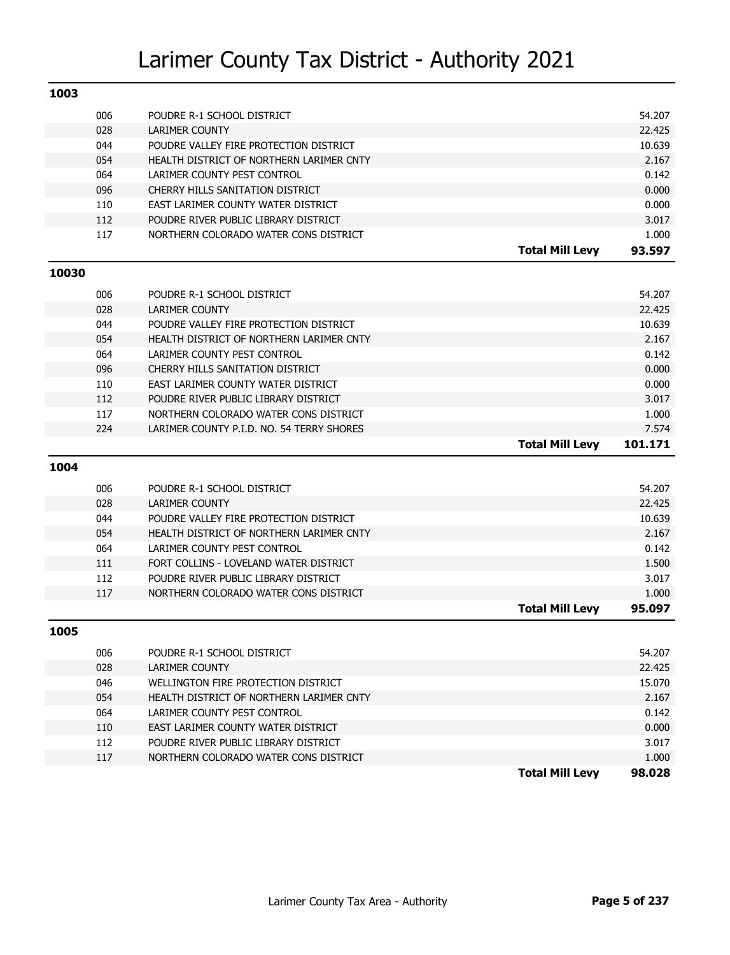| 1003  |            |                                                     |                        |                  |
|-------|------------|-----------------------------------------------------|------------------------|------------------|
|       | 006        | POUDRE R-1 SCHOOL DISTRICT                          |                        | 54.207           |
|       | 028        | <b>LARIMER COUNTY</b>                               |                        | 22.425           |
|       | 044        | POUDRE VALLEY FIRE PROTECTION DISTRICT              |                        | 10.639           |
|       | 054        | HEALTH DISTRICT OF NORTHERN LARIMER CNTY            |                        | 2.167            |
|       | 064        | LARIMER COUNTY PEST CONTROL                         |                        | 0.142            |
|       | 096        | CHERRY HILLS SANITATION DISTRICT                    |                        | 0.000            |
|       | 110        | EAST LARIMER COUNTY WATER DISTRICT                  |                        | 0.000            |
|       | 112        | POUDRE RIVER PUBLIC LIBRARY DISTRICT                |                        | 3.017            |
|       | 117        | NORTHERN COLORADO WATER CONS DISTRICT               |                        | 1.000            |
|       |            |                                                     | <b>Total Mill Levy</b> | 93.597           |
| 10030 |            |                                                     |                        |                  |
|       |            |                                                     |                        |                  |
|       | 006<br>028 | POUDRE R-1 SCHOOL DISTRICT<br><b>LARIMER COUNTY</b> |                        | 54.207<br>22.425 |
|       | 044        | POUDRE VALLEY FIRE PROTECTION DISTRICT              |                        | 10.639           |
|       | 054        | HEALTH DISTRICT OF NORTHERN LARIMER CNTY            |                        | 2.167            |
|       | 064        | LARIMER COUNTY PEST CONTROL                         |                        | 0.142            |
|       | 096        | CHERRY HILLS SANITATION DISTRICT                    |                        | 0.000            |
|       | 110        | EAST LARIMER COUNTY WATER DISTRICT                  |                        | 0.000            |
|       | 112        | POUDRE RIVER PUBLIC LIBRARY DISTRICT                |                        | 3.017            |
|       | 117        | NORTHERN COLORADO WATER CONS DISTRICT               |                        | 1.000            |
|       | 224        | LARIMER COUNTY P.I.D. NO. 54 TERRY SHORES           |                        | 7.574            |
|       |            |                                                     |                        |                  |
|       |            |                                                     | <b>Total Mill Levy</b> | 101.171          |
|       |            |                                                     |                        |                  |
| 1004  |            |                                                     |                        |                  |
|       | 006        | POUDRE R-1 SCHOOL DISTRICT                          |                        | 54.207           |
|       | 028        | <b>LARIMER COUNTY</b>                               |                        | 22.425           |
|       | 044        | POUDRE VALLEY FIRE PROTECTION DISTRICT              |                        | 10.639           |
|       | 054        | HEALTH DISTRICT OF NORTHERN LARIMER CNTY            |                        | 2.167            |
|       | 064        | LARIMER COUNTY PEST CONTROL                         |                        | 0.142            |
|       | 111        | FORT COLLINS - LOVELAND WATER DISTRICT              |                        | 1.500            |
|       | 112        | POUDRE RIVER PUBLIC LIBRARY DISTRICT                |                        | 3.017            |
|       | 117        | NORTHERN COLORADO WATER CONS DISTRICT               |                        | 1.000            |
|       |            |                                                     | <b>Total Mill Levy</b> | 95.097           |
| 1005  |            |                                                     |                        |                  |
|       |            |                                                     |                        |                  |
|       | 006<br>028 | POUDRE R-1 SCHOOL DISTRICT<br>LARIMER COUNTY        |                        | 54.207<br>22.425 |
|       | 046        | WELLINGTON FIRE PROTECTION DISTRICT                 |                        | 15.070           |
|       | 054        | HEALTH DISTRICT OF NORTHERN LARIMER CNTY            |                        | 2.167            |
|       | 064        | LARIMER COUNTY PEST CONTROL                         |                        | 0.142            |
|       | 110        | EAST LARIMER COUNTY WATER DISTRICT                  |                        | 0.000            |
|       | 112        | POUDRE RIVER PUBLIC LIBRARY DISTRICT                |                        | 3.017            |
|       | 117        | NORTHERN COLORADO WATER CONS DISTRICT               |                        | 1.000            |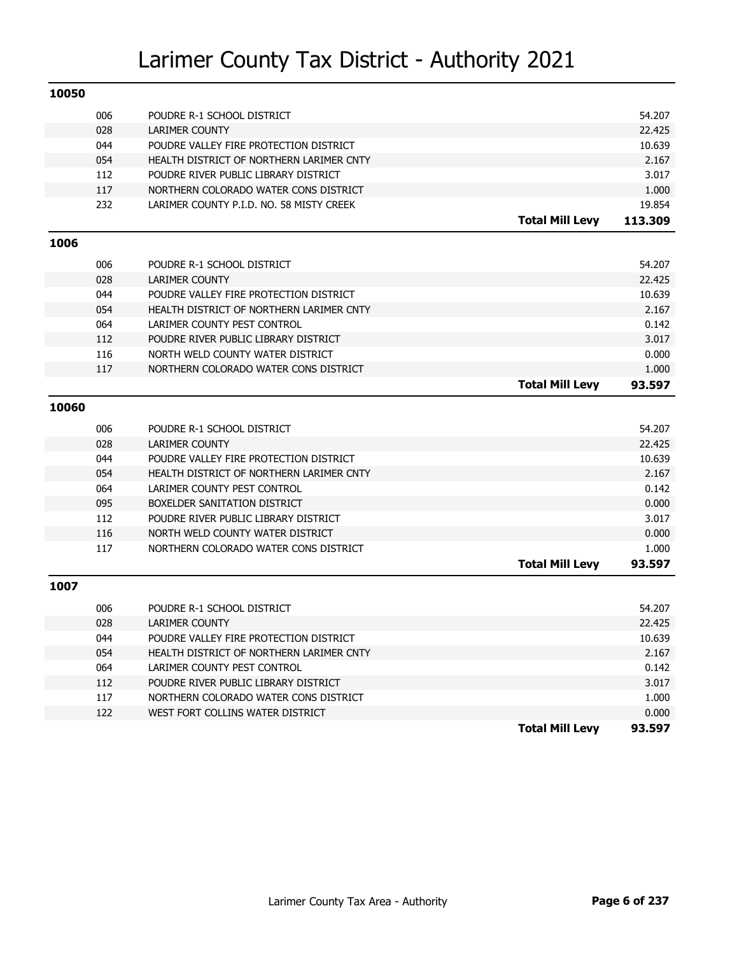| 10050 |     |                                          |                        |         |
|-------|-----|------------------------------------------|------------------------|---------|
|       | 006 | POUDRE R-1 SCHOOL DISTRICT               |                        | 54.207  |
|       | 028 | <b>LARIMER COUNTY</b>                    |                        | 22.425  |
|       | 044 | POUDRE VALLEY FIRE PROTECTION DISTRICT   |                        | 10.639  |
|       | 054 | HEALTH DISTRICT OF NORTHERN LARIMER CNTY |                        | 2.167   |
|       | 112 | POUDRE RIVER PUBLIC LIBRARY DISTRICT     |                        | 3.017   |
|       | 117 | NORTHERN COLORADO WATER CONS DISTRICT    |                        | 1.000   |
|       | 232 | LARIMER COUNTY P.I.D. NO. 58 MISTY CREEK |                        | 19.854  |
|       |     |                                          | <b>Total Mill Levy</b> | 113.309 |
| 1006  |     |                                          |                        |         |
|       | 006 | POUDRE R-1 SCHOOL DISTRICT               |                        | 54.207  |
|       | 028 | <b>LARIMER COUNTY</b>                    |                        | 22.425  |
|       | 044 | POUDRE VALLEY FIRE PROTECTION DISTRICT   |                        | 10.639  |
|       | 054 | HEALTH DISTRICT OF NORTHERN LARIMER CNTY |                        | 2.167   |
|       | 064 | LARIMER COUNTY PEST CONTROL              |                        | 0.142   |
|       | 112 | POUDRE RIVER PUBLIC LIBRARY DISTRICT     |                        | 3.017   |
|       | 116 | NORTH WELD COUNTY WATER DISTRICT         |                        | 0.000   |
|       | 117 | NORTHERN COLORADO WATER CONS DISTRICT    |                        | 1.000   |
|       |     |                                          | <b>Total Mill Levy</b> | 93.597  |
| 10060 |     |                                          |                        |         |
|       | 006 | POUDRE R-1 SCHOOL DISTRICT               |                        | 54.207  |
|       | 028 | <b>LARIMER COUNTY</b>                    |                        | 22.425  |
|       | 044 | POUDRE VALLEY FIRE PROTECTION DISTRICT   |                        | 10.639  |
|       | 054 | HEALTH DISTRICT OF NORTHERN LARIMER CNTY |                        | 2.167   |
|       | 064 | LARIMER COUNTY PEST CONTROL              |                        | 0.142   |
|       | 095 | BOXELDER SANITATION DISTRICT             |                        | 0.000   |
|       | 112 | POUDRE RIVER PUBLIC LIBRARY DISTRICT     |                        | 3.017   |
|       | 116 | NORTH WELD COUNTY WATER DISTRICT         |                        | 0.000   |
|       | 117 | NORTHERN COLORADO WATER CONS DISTRICT    |                        | 1.000   |
|       |     |                                          | <b>Total Mill Levy</b> | 93.597  |
| 1007  |     |                                          |                        |         |
|       |     |                                          |                        |         |
|       | 006 | POUDRE R-1 SCHOOL DISTRICT               |                        | 54.207  |
|       | 028 | <b>LARIMER COUNTY</b>                    |                        | 22.425  |
|       | 044 | POUDRE VALLEY FIRE PROTECTION DISTRICT   |                        | 10.639  |
|       | 054 | HEALTH DISTRICT OF NORTHERN LARIMER CNTY |                        | 2.167   |
|       | 064 | LARIMER COUNTY PEST CONTROL              |                        | 0.142   |
|       | 112 | POUDRE RIVER PUBLIC LIBRARY DISTRICT     |                        | 3.017   |
|       | 117 | NORTHERN COLORADO WATER CONS DISTRICT    |                        | 1.000   |
|       | 122 | WEST FORT COLLINS WATER DISTRICT         |                        | 0.000   |
|       |     |                                          | <b>Total Mill Levy</b> | 93.597  |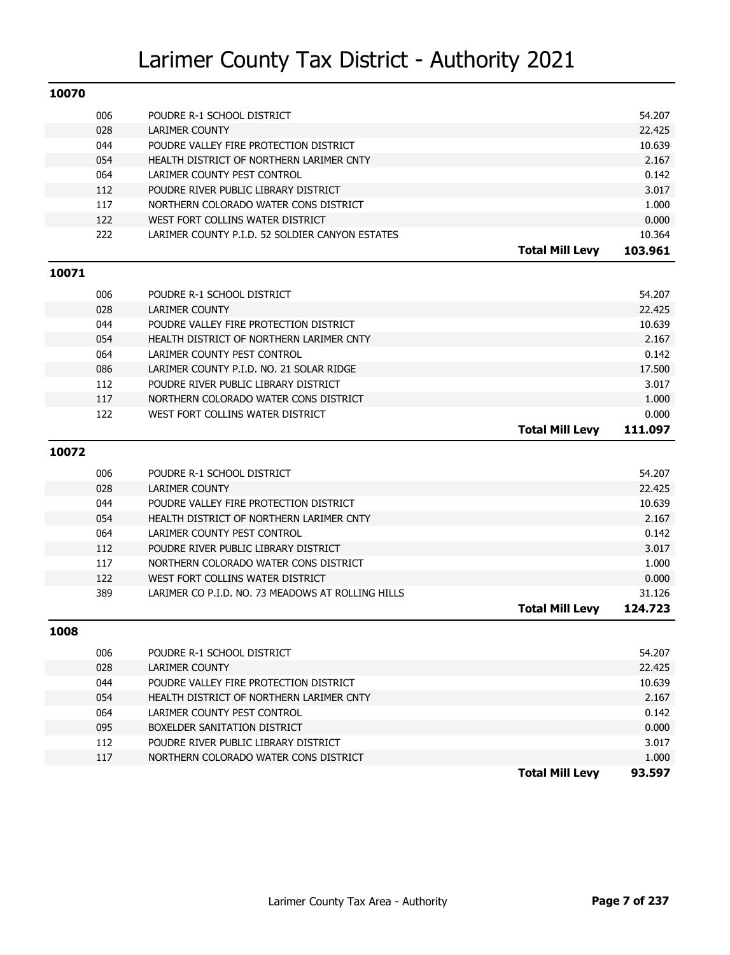| 10070 |     |                                                   |                        |         |
|-------|-----|---------------------------------------------------|------------------------|---------|
|       | 006 | POUDRE R-1 SCHOOL DISTRICT                        |                        | 54.207  |
|       | 028 | <b>LARIMER COUNTY</b>                             |                        | 22.425  |
|       | 044 | POUDRE VALLEY FIRE PROTECTION DISTRICT            |                        | 10.639  |
|       | 054 | HEALTH DISTRICT OF NORTHERN LARIMER CNTY          |                        | 2.167   |
|       | 064 | LARIMER COUNTY PEST CONTROL                       |                        | 0.142   |
|       | 112 | POUDRE RIVER PUBLIC LIBRARY DISTRICT              |                        | 3.017   |
|       | 117 | NORTHERN COLORADO WATER CONS DISTRICT             |                        | 1.000   |
|       | 122 | WEST FORT COLLINS WATER DISTRICT                  |                        | 0.000   |
|       | 222 | LARIMER COUNTY P.I.D. 52 SOLDIER CANYON ESTATES   |                        | 10.364  |
|       |     |                                                   | <b>Total Mill Levy</b> | 103.961 |
| 10071 |     |                                                   |                        |         |
|       | 006 | POUDRE R-1 SCHOOL DISTRICT                        |                        | 54.207  |
|       | 028 | <b>LARIMER COUNTY</b>                             |                        | 22.425  |
|       | 044 | POUDRE VALLEY FIRE PROTECTION DISTRICT            |                        | 10.639  |
|       | 054 | HEALTH DISTRICT OF NORTHERN LARIMER CNTY          |                        | 2.167   |
|       | 064 | LARIMER COUNTY PEST CONTROL                       |                        | 0.142   |
|       | 086 | LARIMER COUNTY P.I.D. NO. 21 SOLAR RIDGE          |                        | 17.500  |
|       | 112 | POUDRE RIVER PUBLIC LIBRARY DISTRICT              |                        | 3.017   |
|       | 117 | NORTHERN COLORADO WATER CONS DISTRICT             |                        | 1.000   |
|       | 122 | WEST FORT COLLINS WATER DISTRICT                  |                        | 0.000   |
|       |     |                                                   | <b>Total Mill Levy</b> | 111.097 |
| 10072 |     |                                                   |                        |         |
|       | 006 | POUDRE R-1 SCHOOL DISTRICT                        |                        | 54.207  |
|       | 028 | <b>LARIMER COUNTY</b>                             |                        | 22.425  |
|       | 044 | POUDRE VALLEY FIRE PROTECTION DISTRICT            |                        | 10.639  |
|       | 054 | HEALTH DISTRICT OF NORTHERN LARIMER CNTY          |                        | 2.167   |
|       | 064 | LARIMER COUNTY PEST CONTROL                       |                        | 0.142   |
|       | 112 | POUDRE RIVER PUBLIC LIBRARY DISTRICT              |                        | 3.017   |
|       | 117 | NORTHERN COLORADO WATER CONS DISTRICT             |                        | 1.000   |
|       | 122 | WEST FORT COLLINS WATER DISTRICT                  |                        | 0.000   |
|       | 389 | LARIMER CO P.I.D. NO. 73 MEADOWS AT ROLLING HILLS |                        | 31.126  |
|       |     |                                                   | <b>Total Mill Levy</b> | 124.723 |
| 1008  |     |                                                   |                        |         |
|       | 006 | POUDRE R-1 SCHOOL DISTRICT                        |                        | 54.207  |
|       | 028 | LARIMER COUNTY                                    |                        | 22.425  |
|       | 044 | POUDRE VALLEY FIRE PROTECTION DISTRICT            |                        | 10.639  |
|       | 054 | HEALTH DISTRICT OF NORTHERN LARIMER CNTY          |                        | 2.167   |
|       | 064 | LARIMER COUNTY PEST CONTROL                       |                        | 0.142   |
|       | 095 | BOXELDER SANITATION DISTRICT                      |                        | 0.000   |
|       | 112 | POUDRE RIVER PUBLIC LIBRARY DISTRICT              |                        | 3.017   |
|       | 117 | NORTHERN COLORADO WATER CONS DISTRICT             |                        | 1.000   |
|       |     |                                                   | <b>Total Mill Levy</b> | 93.597  |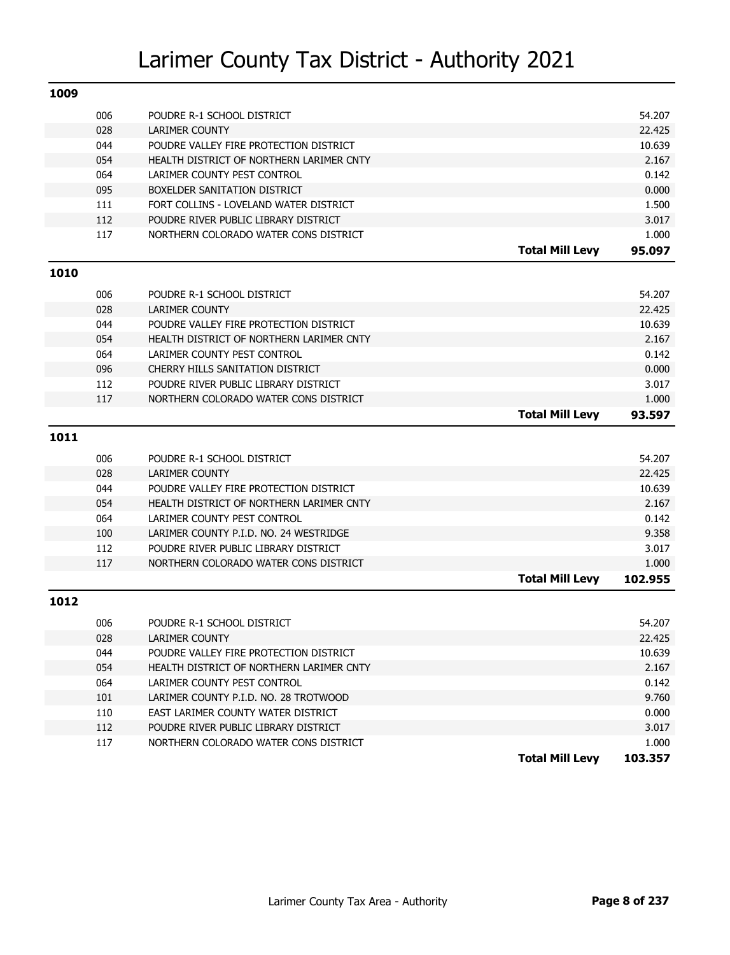| 1009 |     |                                          |                        |         |
|------|-----|------------------------------------------|------------------------|---------|
|      | 006 | POUDRE R-1 SCHOOL DISTRICT               |                        | 54.207  |
|      | 028 | <b>LARIMER COUNTY</b>                    |                        | 22.425  |
|      | 044 | POUDRE VALLEY FIRE PROTECTION DISTRICT   |                        | 10.639  |
|      | 054 | HEALTH DISTRICT OF NORTHERN LARIMER CNTY |                        | 2.167   |
|      | 064 | LARIMER COUNTY PEST CONTROL              |                        | 0.142   |
|      | 095 | BOXELDER SANITATION DISTRICT             |                        | 0.000   |
|      | 111 | FORT COLLINS - LOVELAND WATER DISTRICT   |                        | 1.500   |
|      | 112 | POUDRE RIVER PUBLIC LIBRARY DISTRICT     |                        | 3.017   |
|      | 117 | NORTHERN COLORADO WATER CONS DISTRICT    |                        | 1.000   |
|      |     |                                          | <b>Total Mill Levy</b> | 95.097  |
| 1010 |     |                                          |                        |         |
|      | 006 | POUDRE R-1 SCHOOL DISTRICT               |                        | 54.207  |
|      | 028 | <b>LARIMER COUNTY</b>                    |                        | 22.425  |
|      | 044 | POUDRE VALLEY FIRE PROTECTION DISTRICT   |                        | 10.639  |
|      | 054 | HEALTH DISTRICT OF NORTHERN LARIMER CNTY |                        | 2.167   |
|      | 064 | LARIMER COUNTY PEST CONTROL              |                        | 0.142   |
|      | 096 | CHERRY HILLS SANITATION DISTRICT         |                        | 0.000   |
|      | 112 | POUDRE RIVER PUBLIC LIBRARY DISTRICT     |                        | 3.017   |
|      | 117 | NORTHERN COLORADO WATER CONS DISTRICT    |                        | 1.000   |
|      |     |                                          | <b>Total Mill Levy</b> | 93.597  |
| 1011 |     |                                          |                        |         |
|      |     |                                          |                        |         |
|      | 006 | POUDRE R-1 SCHOOL DISTRICT               |                        | 54.207  |
|      | 028 | <b>LARIMER COUNTY</b>                    |                        | 22.425  |
|      | 044 | POUDRE VALLEY FIRE PROTECTION DISTRICT   |                        | 10.639  |
|      | 054 | HEALTH DISTRICT OF NORTHERN LARIMER CNTY |                        | 2.167   |
|      | 064 | LARIMER COUNTY PEST CONTROL              |                        | 0.142   |
|      | 100 | LARIMER COUNTY P.I.D. NO. 24 WESTRIDGE   |                        | 9.358   |
|      | 112 | POUDRE RIVER PUBLIC LIBRARY DISTRICT     |                        | 3.017   |
|      | 117 | NORTHERN COLORADO WATER CONS DISTRICT    |                        | 1.000   |
|      |     |                                          | <b>Total Mill Levy</b> | 102.955 |
| 1012 |     |                                          |                        |         |
|      | 006 | POUDRE R-1 SCHOOL DISTRICT               |                        | 54.207  |
|      | 028 | LARIMER COUNTY                           |                        | 22.425  |
|      | 044 | POUDRE VALLEY FIRE PROTECTION DISTRICT   |                        | 10.639  |
|      | 054 | HEALTH DISTRICT OF NORTHERN LARIMER CNTY |                        | 2.167   |
|      | 064 | LARIMER COUNTY PEST CONTROL              |                        | 0.142   |
|      | 101 | LARIMER COUNTY P.I.D. NO. 28 TROTWOOD    |                        | 9.760   |
|      | 110 | EAST LARIMER COUNTY WATER DISTRICT       |                        | 0.000   |
|      | 112 | POUDRE RIVER PUBLIC LIBRARY DISTRICT     |                        | 3.017   |
|      |     |                                          |                        |         |
|      | 117 | NORTHERN COLORADO WATER CONS DISTRICT    |                        | 1.000   |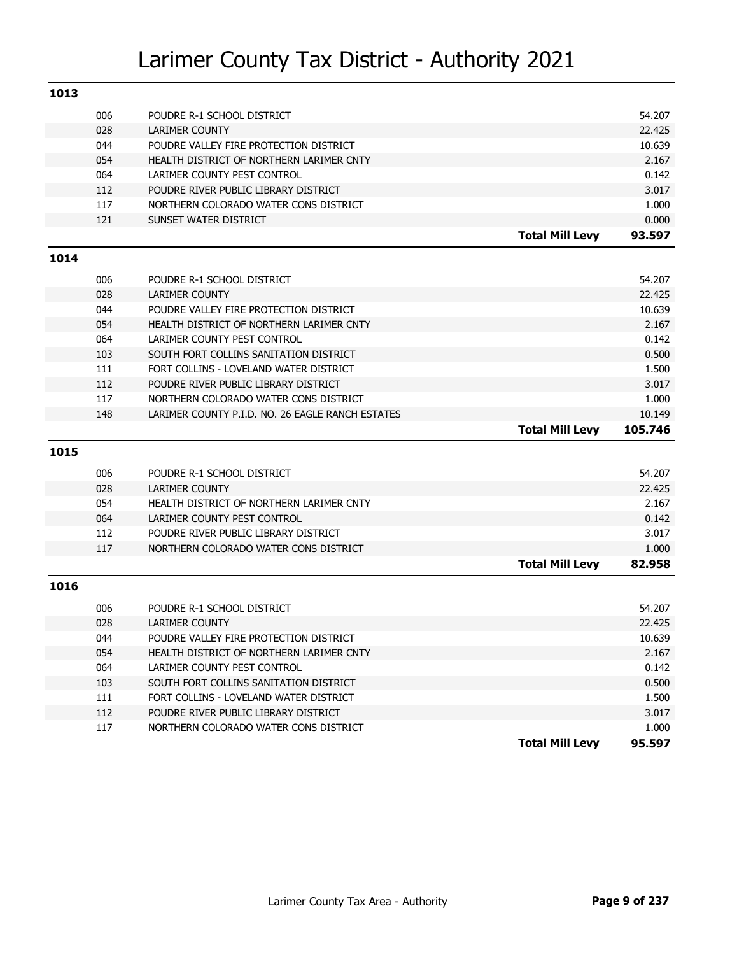| 1013 |     |                                                  |         |
|------|-----|--------------------------------------------------|---------|
|      | 006 | POUDRE R-1 SCHOOL DISTRICT                       | 54.207  |
|      | 028 | <b>LARIMER COUNTY</b>                            | 22.425  |
|      | 044 | POUDRE VALLEY FIRE PROTECTION DISTRICT           | 10.639  |
|      | 054 | HEALTH DISTRICT OF NORTHERN LARIMER CNTY         | 2.167   |
|      | 064 | LARIMER COUNTY PEST CONTROL                      | 0.142   |
|      | 112 | POUDRE RIVER PUBLIC LIBRARY DISTRICT             | 3.017   |
|      | 117 | NORTHERN COLORADO WATER CONS DISTRICT            | 1.000   |
|      | 121 | SUNSET WATER DISTRICT                            | 0.000   |
|      |     | <b>Total Mill Levy</b>                           | 93.597  |
| 1014 |     |                                                  |         |
|      | 006 | POUDRE R-1 SCHOOL DISTRICT                       | 54.207  |
|      | 028 | <b>LARIMER COUNTY</b>                            | 22.425  |
|      | 044 | POUDRE VALLEY FIRE PROTECTION DISTRICT           | 10.639  |
|      | 054 | HEALTH DISTRICT OF NORTHERN LARIMER CNTY         | 2.167   |
|      | 064 | LARIMER COUNTY PEST CONTROL                      | 0.142   |
|      | 103 | SOUTH FORT COLLINS SANITATION DISTRICT           | 0.500   |
|      | 111 | FORT COLLINS - LOVELAND WATER DISTRICT           | 1.500   |
|      | 112 | POUDRE RIVER PUBLIC LIBRARY DISTRICT             | 3.017   |
|      | 117 | NORTHERN COLORADO WATER CONS DISTRICT            | 1.000   |
|      | 148 | LARIMER COUNTY P.I.D. NO. 26 EAGLE RANCH ESTATES | 10.149  |
|      |     |                                                  |         |
|      |     | <b>Total Mill Levy</b>                           | 105.746 |
|      |     |                                                  |         |
| 1015 |     |                                                  |         |
|      | 006 | POUDRE R-1 SCHOOL DISTRICT                       | 54.207  |
|      | 028 | <b>LARIMER COUNTY</b>                            | 22.425  |
|      | 054 | HEALTH DISTRICT OF NORTHERN LARIMER CNTY         | 2.167   |
|      | 064 | LARIMER COUNTY PEST CONTROL                      | 0.142   |
|      | 112 | POUDRE RIVER PUBLIC LIBRARY DISTRICT             | 3.017   |
|      | 117 | NORTHERN COLORADO WATER CONS DISTRICT            | 1.000   |
|      |     | <b>Total Mill Levy</b>                           | 82.958  |
| 1016 |     |                                                  |         |
|      | 006 | POUDRE R-1 SCHOOL DISTRICT                       | 54.207  |
|      | 028 | <b>LARIMER COUNTY</b>                            | 22.425  |
|      | 044 | POUDRE VALLEY FIRE PROTECTION DISTRICT           | 10.639  |
|      | 054 | HEALTH DISTRICT OF NORTHERN LARIMER CNTY         | 2.167   |
|      | 064 | LARIMER COUNTY PEST CONTROL                      | 0.142   |
|      | 103 | SOUTH FORT COLLINS SANITATION DISTRICT           | 0.500   |
|      | 111 | FORT COLLINS - LOVELAND WATER DISTRICT           | 1.500   |
|      | 112 | POUDRE RIVER PUBLIC LIBRARY DISTRICT             | 3.017   |
|      | 117 | NORTHERN COLORADO WATER CONS DISTRICT            | 1.000   |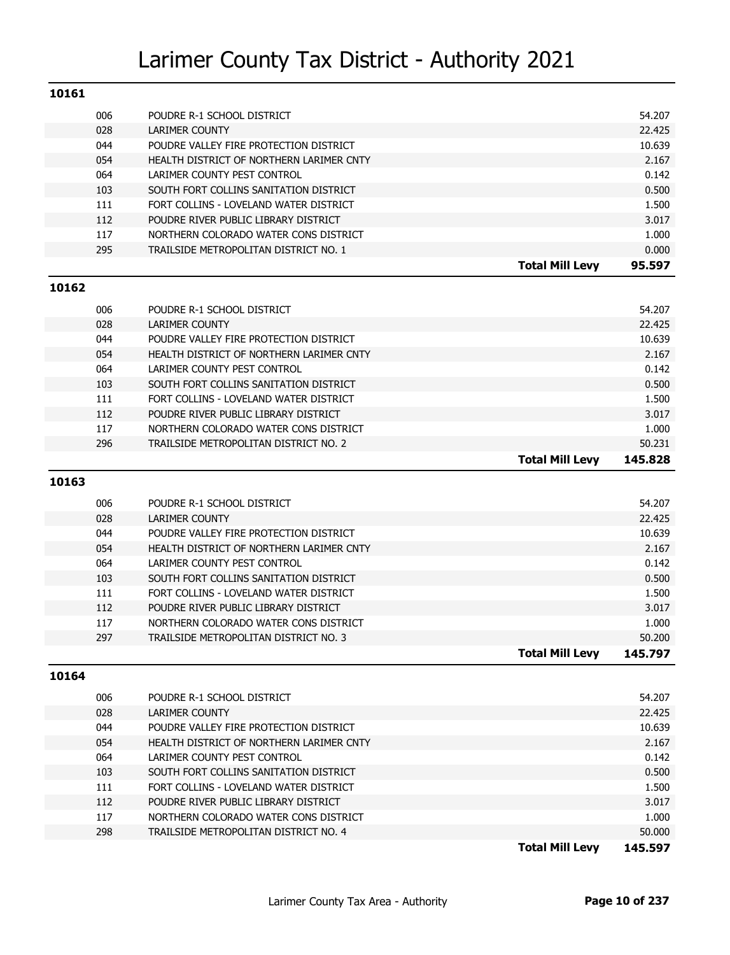| 10161 |     |                                          |        |
|-------|-----|------------------------------------------|--------|
|       | 006 | POUDRE R-1 SCHOOL DISTRICT               | 54.207 |
|       | 028 | <b>LARIMER COUNTY</b>                    | 22.425 |
|       | 044 | POUDRE VALLEY FIRE PROTECTION DISTRICT   | 10.639 |
|       | 054 | HEALTH DISTRICT OF NORTHERN LARIMER CNTY | 2.167  |
|       | 064 | LARIMER COUNTY PEST CONTROL              | 0.142  |
|       | 103 | SOUTH FORT COLLINS SANITATION DISTRICT   | 0.500  |
|       | 111 | FORT COLLINS - LOVELAND WATER DISTRICT   | 1.500  |
|       | 112 | POUDRE RIVER PUBLIC LIBRARY DISTRICT     | 3.017  |
|       | 117 | NORTHERN COLORADO WATER CONS DISTRICT    | 1.000  |
|       | 295 | TRAILSIDE METROPOLITAN DISTRICT NO. 1    | 0.000  |
|       |     | <b>Total Mill Levy</b>                   | 95.597 |
| 10162 |     |                                          |        |
|       | በበፍ | POLIDRE R-1 SCHOOL DISTRICT              | 54 207 |

|     |                                          | <b>Total Mill Levv</b> | 145.828 |
|-----|------------------------------------------|------------------------|---------|
| 296 | TRAILSIDE METROPOLITAN DISTRICT NO. 2    |                        | 50.231  |
| 117 | NORTHERN COLORADO WATER CONS DISTRICT    |                        | 1.000   |
| 112 | POUDRE RIVER PUBLIC LIBRARY DISTRICT     |                        | 3.017   |
| 111 | FORT COLLINS - LOVELAND WATER DISTRICT   |                        | 1.500   |
| 103 | SOUTH FORT COLLINS SANITATION DISTRICT   |                        | 0.500   |
| 064 | LARIMER COUNTY PEST CONTROL              |                        | 0.142   |
| 054 | HEALTH DISTRICT OF NORTHERN LARIMER CNTY |                        | 2.167   |
| 044 | POUDRE VALLEY FIRE PROTECTION DISTRICT   |                        | 10.639  |
| 028 | LARIMER COUNTY                           |                        | 22.425  |
| 006 | POUDRE R-1 SCHOOL DISTRICT               |                        | 54.207  |

#### **10163**

| 006 | POUDRE R-1 SCHOOL DISTRICT               |                        | 54.207  |
|-----|------------------------------------------|------------------------|---------|
| 028 | LARIMER COUNTY                           |                        | 22.425  |
| 044 | POUDRE VALLEY FIRE PROTECTION DISTRICT   |                        | 10.639  |
| 054 | HEALTH DISTRICT OF NORTHERN LARIMER CNTY |                        | 2.167   |
| 064 | LARIMER COUNTY PEST CONTROL              |                        | 0.142   |
| 103 | SOUTH FORT COLLINS SANITATION DISTRICT   |                        | 0.500   |
| 111 | FORT COLLINS - LOVELAND WATER DISTRICT   |                        | 1.500   |
| 112 | POUDRE RIVER PUBLIC LIBRARY DISTRICT     |                        | 3.017   |
| 117 | NORTHERN COLORADO WATER CONS DISTRICT    |                        | 1.000   |
| 297 | TRAILSIDE METROPOLITAN DISTRICT NO. 3    |                        | 50.200  |
|     |                                          | <b>Total Mill Levy</b> | 145.797 |

#### **10164**

|     |                                          | <b>Total Mill Levv</b> | 145.597 |
|-----|------------------------------------------|------------------------|---------|
| 298 | TRAILSIDE METROPOLITAN DISTRICT NO. 4    |                        | 50.000  |
| 117 | NORTHERN COLORADO WATER CONS DISTRICT    |                        | 1.000   |
| 112 | POUDRE RIVER PUBLIC LIBRARY DISTRICT     |                        | 3.017   |
| 111 | FORT COLLINS - LOVELAND WATER DISTRICT   |                        | 1.500   |
| 103 | SOUTH FORT COLLINS SANITATION DISTRICT   |                        | 0.500   |
| 064 | LARIMER COUNTY PEST CONTROL              |                        | 0.142   |
| 054 | HEALTH DISTRICT OF NORTHERN LARIMER CNTY |                        | 2.167   |
| 044 | POUDRE VALLEY FIRE PROTECTION DISTRICT   |                        | 10.639  |
| 028 | LARIMER COUNTY                           |                        | 22.425  |
| 006 | POUDRE R-1 SCHOOL DISTRICT               |                        | 54.207  |
|     |                                          |                        |         |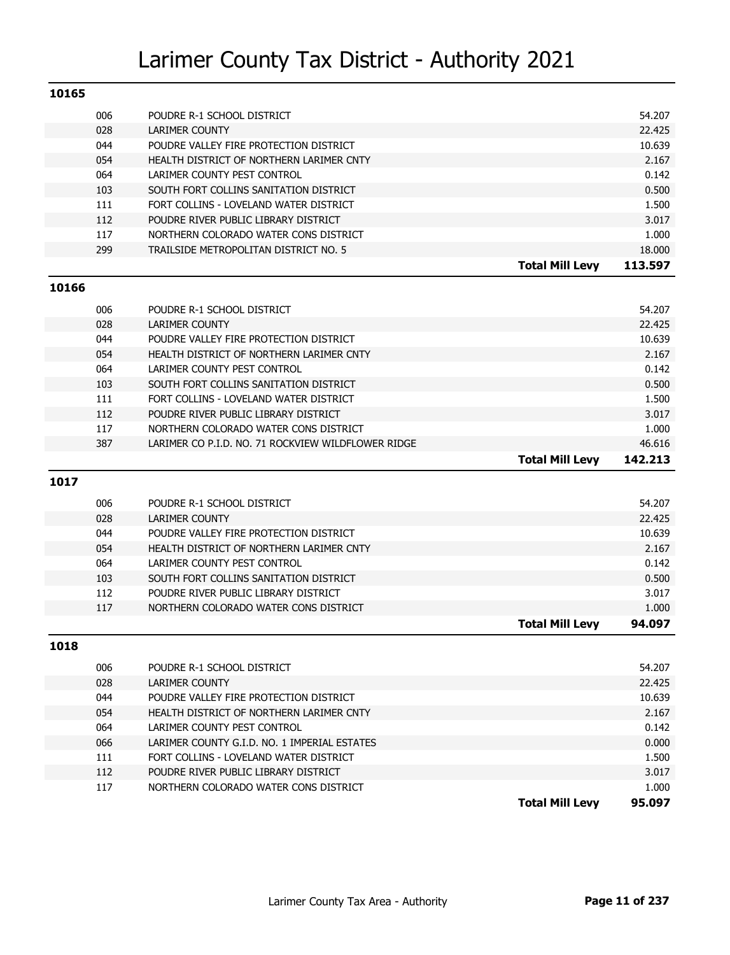| 10165 |            |                                                                               |                 |
|-------|------------|-------------------------------------------------------------------------------|-----------------|
|       | 006        | POUDRE R-1 SCHOOL DISTRICT                                                    | 54.207          |
|       | 028        | <b>LARIMER COUNTY</b>                                                         | 22.425          |
|       | 044        | POUDRE VALLEY FIRE PROTECTION DISTRICT                                        | 10.639          |
|       | 054        | HEALTH DISTRICT OF NORTHERN LARIMER CNTY                                      | 2.167           |
|       | 064        | LARIMER COUNTY PEST CONTROL                                                   | 0.142           |
|       | 103        | SOUTH FORT COLLINS SANITATION DISTRICT                                        | 0.500           |
|       | 111        | FORT COLLINS - LOVELAND WATER DISTRICT                                        | 1.500           |
|       | 112        | POUDRE RIVER PUBLIC LIBRARY DISTRICT                                          | 3.017           |
|       | 117        | NORTHERN COLORADO WATER CONS DISTRICT                                         | 1.000           |
|       | 299        | TRAILSIDE METROPOLITAN DISTRICT NO. 5                                         | 18.000          |
|       |            | <b>Total Mill Levy</b>                                                        | 113.597         |
| 10166 |            |                                                                               |                 |
|       |            |                                                                               |                 |
|       | 006        | POUDRE R-1 SCHOOL DISTRICT                                                    | 54.207          |
|       | 028<br>044 | LARIMER COUNTY                                                                | 22.425          |
|       | 054        | POUDRE VALLEY FIRE PROTECTION DISTRICT                                        | 10.639<br>2.167 |
|       | 064        | HEALTH DISTRICT OF NORTHERN LARIMER CNTY<br>LARIMER COUNTY PEST CONTROL       | 0.142           |
|       | 103        | SOUTH FORT COLLINS SANITATION DISTRICT                                        | 0.500           |
|       | 111        | FORT COLLINS - LOVELAND WATER DISTRICT                                        | 1.500           |
|       | 112        | POUDRE RIVER PUBLIC LIBRARY DISTRICT                                          | 3.017           |
|       | 117        | NORTHERN COLORADO WATER CONS DISTRICT                                         | 1.000           |
|       | 387        | LARIMER CO P.I.D. NO. 71 ROCKVIEW WILDFLOWER RIDGE                            | 46.616          |
|       |            |                                                                               |                 |
|       |            |                                                                               |                 |
|       |            | <b>Total Mill Levy</b>                                                        | 142.213         |
| 1017  |            |                                                                               |                 |
|       | 006        | POUDRE R-1 SCHOOL DISTRICT                                                    | 54.207          |
|       | 028        | LARIMER COUNTY                                                                | 22.425          |
|       | 044        | POUDRE VALLEY FIRE PROTECTION DISTRICT                                        | 10.639          |
|       | 054        | HEALTH DISTRICT OF NORTHERN LARIMER CNTY                                      | 2.167           |
|       | 064        | LARIMER COUNTY PEST CONTROL                                                   | 0.142           |
|       | 103        | SOUTH FORT COLLINS SANITATION DISTRICT                                        | 0.500           |
|       | 112        | POUDRE RIVER PUBLIC LIBRARY DISTRICT                                          | 3.017           |
|       | 117        | NORTHERN COLORADO WATER CONS DISTRICT                                         | 1.000           |
|       |            | <b>Total Mill Levy</b>                                                        | 94.097          |
| 1018  |            |                                                                               |                 |
|       |            |                                                                               |                 |
|       | 006        | POUDRE R-1 SCHOOL DISTRICT                                                    | 54.207          |
|       | 028        | LARIMER COUNTY                                                                | 22.425          |
|       | 044        | POUDRE VALLEY FIRE PROTECTION DISTRICT                                        | 10.639          |
|       | 054        | HEALTH DISTRICT OF NORTHERN LARIMER CNTY                                      | 2.167           |
|       | 064        | LARIMER COUNTY PEST CONTROL                                                   | 0.142           |
|       | 066        | LARIMER COUNTY G.I.D. NO. 1 IMPERIAL ESTATES                                  | 0.000           |
|       | 111        | FORT COLLINS - LOVELAND WATER DISTRICT                                        | 1.500           |
|       | 112<br>117 | POUDRE RIVER PUBLIC LIBRARY DISTRICT<br>NORTHERN COLORADO WATER CONS DISTRICT | 3.017<br>1.000  |

**Total Mill Levy 95.097**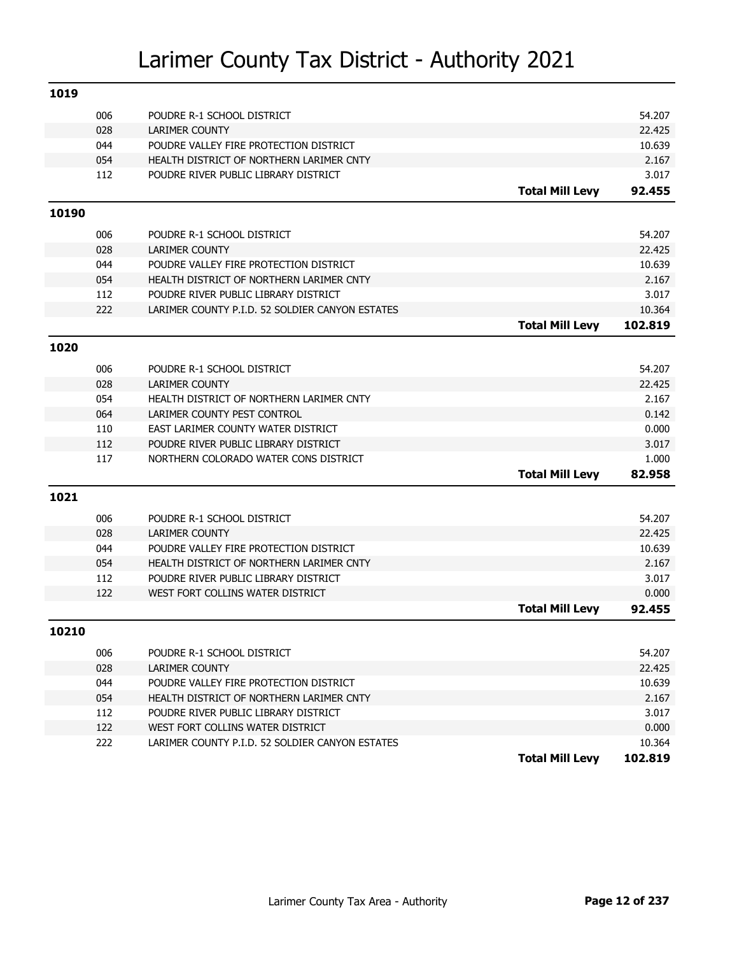| 1019  |     |                                                 |                        |         |
|-------|-----|-------------------------------------------------|------------------------|---------|
|       | 006 | POUDRE R-1 SCHOOL DISTRICT                      |                        | 54.207  |
|       | 028 | <b>LARIMER COUNTY</b>                           |                        | 22.425  |
|       | 044 | POUDRE VALLEY FIRE PROTECTION DISTRICT          |                        | 10.639  |
|       | 054 | HEALTH DISTRICT OF NORTHERN LARIMER CNTY        |                        | 2.167   |
|       | 112 | POUDRE RIVER PUBLIC LIBRARY DISTRICT            |                        | 3.017   |
|       |     |                                                 | <b>Total Mill Levy</b> | 92.455  |
| 10190 |     |                                                 |                        |         |
|       | 006 | POUDRE R-1 SCHOOL DISTRICT                      |                        | 54.207  |
|       | 028 | <b>LARIMER COUNTY</b>                           |                        | 22.425  |
|       | 044 | POUDRE VALLEY FIRE PROTECTION DISTRICT          |                        | 10.639  |
|       | 054 | HEALTH DISTRICT OF NORTHERN LARIMER CNTY        |                        | 2.167   |
|       | 112 | POUDRE RIVER PUBLIC LIBRARY DISTRICT            |                        | 3.017   |
|       | 222 | LARIMER COUNTY P.I.D. 52 SOLDIER CANYON ESTATES |                        | 10.364  |
|       |     |                                                 | <b>Total Mill Levy</b> | 102.819 |
| 1020  |     |                                                 |                        |         |
|       | 006 | POUDRE R-1 SCHOOL DISTRICT                      |                        | 54.207  |
|       | 028 | <b>LARIMER COUNTY</b>                           |                        | 22.425  |
|       | 054 | HEALTH DISTRICT OF NORTHERN LARIMER CNTY        |                        | 2.167   |
|       | 064 | LARIMER COUNTY PEST CONTROL                     |                        | 0.142   |
|       | 110 | EAST LARIMER COUNTY WATER DISTRICT              |                        | 0.000   |
|       | 112 | POUDRE RIVER PUBLIC LIBRARY DISTRICT            |                        | 3.017   |
|       | 117 | NORTHERN COLORADO WATER CONS DISTRICT           |                        | 1.000   |
|       |     |                                                 | <b>Total Mill Levy</b> | 82.958  |
| 1021  |     |                                                 |                        |         |
|       | 006 | POUDRE R-1 SCHOOL DISTRICT                      |                        | 54.207  |
|       | 028 | <b>LARIMER COUNTY</b>                           |                        | 22.425  |
|       | 044 | POUDRE VALLEY FIRE PROTECTION DISTRICT          |                        | 10.639  |
|       | 054 | HEALTH DISTRICT OF NORTHERN LARIMER CNTY        |                        | 2.167   |
|       | 112 | POUDRE RIVER PUBLIC LIBRARY DISTRICT            |                        | 3.017   |
|       | 122 | WEST FORT COLLINS WATER DISTRICT                |                        | 0.000   |
|       |     |                                                 | <b>Total Mill Levy</b> | 92.455  |
| 10210 |     |                                                 |                        |         |
|       | 006 | POUDRE R-1 SCHOOL DISTRICT                      |                        | 54.207  |
|       | 028 | LARIMER COUNTY                                  |                        | 22.425  |
|       | 044 | POUDRE VALLEY FIRE PROTECTION DISTRICT          |                        | 10.639  |
|       | 054 | HEALTH DISTRICT OF NORTHERN LARIMER CNTY        |                        | 2.167   |
|       | 112 | POUDRE RIVER PUBLIC LIBRARY DISTRICT            |                        | 3.017   |
|       | 122 | WEST FORT COLLINS WATER DISTRICT                |                        | 0.000   |
|       | 222 | LARIMER COUNTY P.I.D. 52 SOLDIER CANYON ESTATES |                        | 10.364  |
|       |     |                                                 | <b>Total Mill Levy</b> | 102.819 |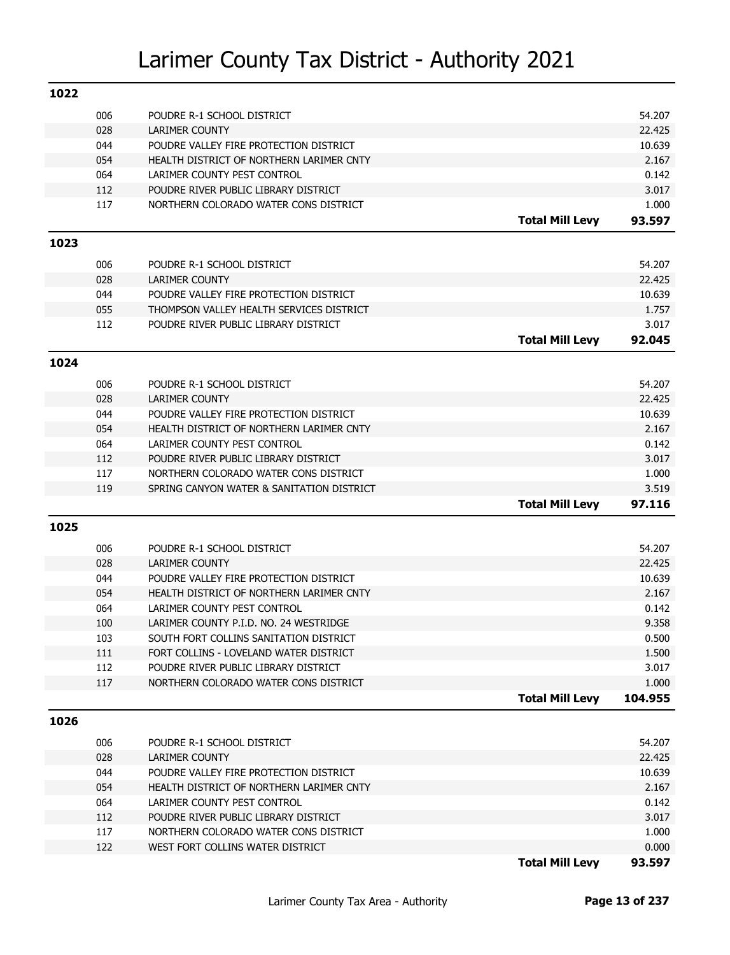| 1022 |            |                                                                       |                        |                  |
|------|------------|-----------------------------------------------------------------------|------------------------|------------------|
|      | 006        | POUDRE R-1 SCHOOL DISTRICT                                            |                        | 54.207           |
|      | 028        | <b>LARIMER COUNTY</b>                                                 |                        | 22.425           |
|      | 044        | POUDRE VALLEY FIRE PROTECTION DISTRICT                                |                        | 10.639           |
|      | 054        | HEALTH DISTRICT OF NORTHERN LARIMER CNTY                              |                        | 2.167            |
|      | 064        | LARIMER COUNTY PEST CONTROL                                           |                        | 0.142            |
|      | 112        | POUDRE RIVER PUBLIC LIBRARY DISTRICT                                  |                        | 3.017            |
|      | 117        | NORTHERN COLORADO WATER CONS DISTRICT                                 |                        | 1.000            |
|      |            |                                                                       | <b>Total Mill Levy</b> | 93.597           |
| 1023 |            |                                                                       |                        |                  |
|      | 006        | POUDRE R-1 SCHOOL DISTRICT                                            |                        | 54.207           |
|      | 028        | <b>LARIMER COUNTY</b>                                                 |                        | 22.425           |
|      | 044        | POUDRE VALLEY FIRE PROTECTION DISTRICT                                |                        | 10.639           |
|      | 055        | THOMPSON VALLEY HEALTH SERVICES DISTRICT                              |                        | 1.757            |
|      | 112        | POUDRE RIVER PUBLIC LIBRARY DISTRICT                                  |                        | 3.017            |
|      |            |                                                                       | <b>Total Mill Levy</b> | 92.045           |
| 1024 |            |                                                                       |                        |                  |
|      |            |                                                                       |                        |                  |
|      | 006<br>028 | POUDRE R-1 SCHOOL DISTRICT                                            |                        | 54.207<br>22.425 |
|      | 044        | <b>LARIMER COUNTY</b><br>POUDRE VALLEY FIRE PROTECTION DISTRICT       |                        | 10.639           |
|      | 054        | HEALTH DISTRICT OF NORTHERN LARIMER CNTY                              |                        | 2.167            |
|      | 064        | LARIMER COUNTY PEST CONTROL                                           |                        | 0.142            |
|      | 112        | POUDRE RIVER PUBLIC LIBRARY DISTRICT                                  |                        | 3.017            |
|      | 117        | NORTHERN COLORADO WATER CONS DISTRICT                                 |                        | 1.000            |
|      | 119        | SPRING CANYON WATER & SANITATION DISTRICT                             |                        | 3.519            |
|      |            |                                                                       | <b>Total Mill Levy</b> | 97.116           |
| 1025 |            |                                                                       |                        |                  |
|      |            |                                                                       |                        |                  |
|      | 006        | POUDRE R-1 SCHOOL DISTRICT                                            |                        | 54.207           |
|      | 028        | <b>LARIMER COUNTY</b>                                                 |                        | 22.425           |
|      | 044        | POUDRE VALLEY FIRE PROTECTION DISTRICT                                |                        | 10.639           |
|      | 054        | HEALTH DISTRICT OF NORTHERN LARIMER CNTY                              |                        | 2.167            |
|      | 064<br>100 | LARIMER COUNTY PEST CONTROL<br>LARIMER COUNTY P.I.D. NO. 24 WESTRIDGE |                        | 0.142<br>9.358   |
|      | 103        | SOUTH FORT COLLINS SANITATION DISTRICT                                |                        | 0.500            |
|      | 111        | FORT COLLINS - LOVELAND WATER DISTRICT                                |                        | 1.500            |
|      | 112        | POUDRE RIVER PUBLIC LIBRARY DISTRICT                                  |                        | 3.017            |
|      | 117        | NORTHERN COLORADO WATER CONS DISTRICT                                 |                        | 1.000            |
|      |            |                                                                       | <b>Total Mill Levy</b> | 104.955          |
| 1026 |            |                                                                       |                        |                  |
|      |            |                                                                       |                        |                  |
|      | 006        | POUDRE R-1 SCHOOL DISTRICT                                            |                        | 54.207           |
|      | 028        | <b>LARIMER COUNTY</b><br>POUDRE VALLEY FIRE PROTECTION DISTRICT       |                        | 22.425           |
|      |            |                                                                       |                        |                  |
|      | 044        |                                                                       |                        | 10.639           |
|      | 054        | HEALTH DISTRICT OF NORTHERN LARIMER CNTY                              |                        | 2.167            |
|      | 064        | LARIMER COUNTY PEST CONTROL                                           |                        | 0.142            |
|      | 112        | POUDRE RIVER PUBLIC LIBRARY DISTRICT                                  |                        | 3.017            |
|      | 117        | NORTHERN COLORADO WATER CONS DISTRICT                                 |                        | 1.000            |
|      | 122        | WEST FORT COLLINS WATER DISTRICT                                      | <b>Total Mill Levy</b> | 0.000<br>93.597  |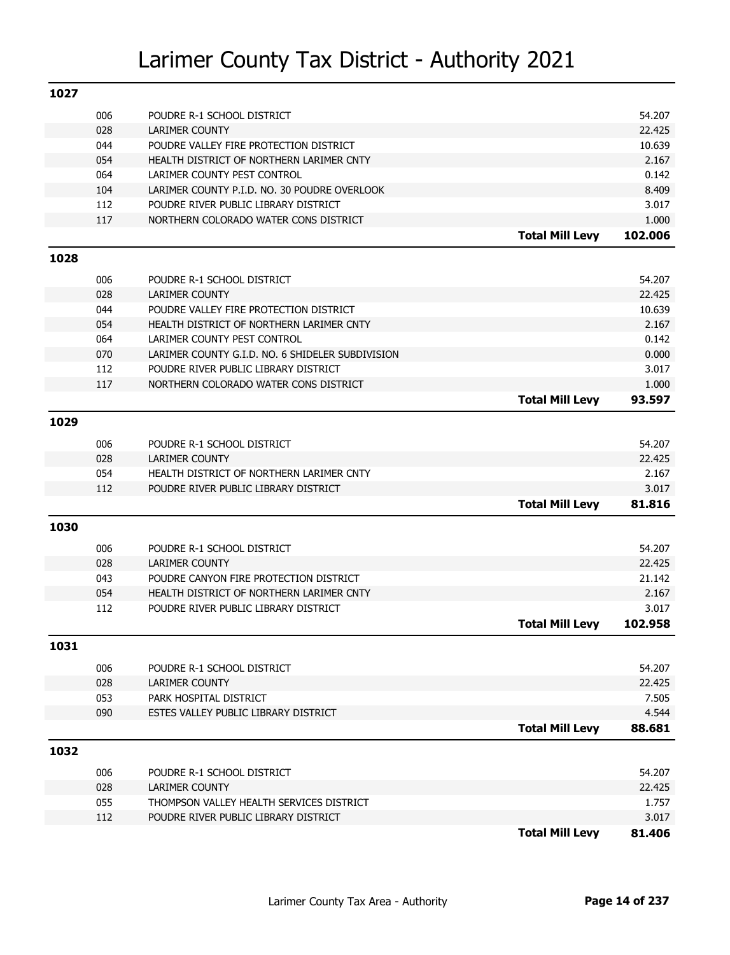| 1027 |            |                                                                   |                        |                 |
|------|------------|-------------------------------------------------------------------|------------------------|-----------------|
|      | 006        | POUDRE R-1 SCHOOL DISTRICT                                        |                        | 54.207          |
|      | 028        | <b>LARIMER COUNTY</b>                                             |                        | 22.425          |
|      | 044        | POUDRE VALLEY FIRE PROTECTION DISTRICT                            |                        | 10.639          |
|      | 054        | HEALTH DISTRICT OF NORTHERN LARIMER CNTY                          |                        | 2.167           |
|      | 064        | LARIMER COUNTY PEST CONTROL                                       |                        | 0.142           |
|      | 104        | LARIMER COUNTY P.I.D. NO. 30 POUDRE OVERLOOK                      |                        | 8.409           |
|      | 112        | POUDRE RIVER PUBLIC LIBRARY DISTRICT                              |                        | 3.017           |
|      | 117        | NORTHERN COLORADO WATER CONS DISTRICT                             |                        | 1.000           |
|      |            |                                                                   | <b>Total Mill Levy</b> | 102.006         |
| 1028 |            |                                                                   |                        |                 |
|      | 006        | POUDRE R-1 SCHOOL DISTRICT                                        |                        | 54.207          |
|      | 028        | <b>LARIMER COUNTY</b>                                             |                        | 22.425          |
|      | 044        | POUDRE VALLEY FIRE PROTECTION DISTRICT                            |                        | 10.639          |
|      | 054        | HEALTH DISTRICT OF NORTHERN LARIMER CNTY                          |                        | 2.167           |
|      | 064        | LARIMER COUNTY PEST CONTROL                                       |                        | 0.142           |
|      | 070        | LARIMER COUNTY G.I.D. NO. 6 SHIDELER SUBDIVISION                  |                        | 0.000           |
|      | 112        | POUDRE RIVER PUBLIC LIBRARY DISTRICT                              |                        | 3.017           |
|      | 117        | NORTHERN COLORADO WATER CONS DISTRICT                             |                        | 1.000           |
|      |            |                                                                   | <b>Total Mill Levy</b> | 93.597          |
| 1029 |            |                                                                   |                        |                 |
|      |            |                                                                   |                        |                 |
|      | 006        | POUDRE R-1 SCHOOL DISTRICT                                        |                        | 54.207          |
|      | 028<br>054 | <b>LARIMER COUNTY</b><br>HEALTH DISTRICT OF NORTHERN LARIMER CNTY |                        | 22.425<br>2.167 |
|      | 112        | POUDRE RIVER PUBLIC LIBRARY DISTRICT                              |                        | 3.017           |
|      |            |                                                                   | <b>Total Mill Levy</b> | 81.816          |
|      |            |                                                                   |                        |                 |
| 1030 |            |                                                                   |                        |                 |
|      | 006        | POUDRE R-1 SCHOOL DISTRICT                                        |                        | 54.207          |
|      | 028        | <b>LARIMER COUNTY</b>                                             |                        | 22.425          |
|      | 043        | POUDRE CANYON FIRE PROTECTION DISTRICT                            |                        | 21.142          |
|      | 054        | HEALTH DISTRICT OF NORTHERN LARIMER CNTY                          |                        | 2.167           |
|      | 112        | POUDRE RIVER PUBLIC LIBRARY DISTRICT                              |                        | 3.017           |
|      |            |                                                                   | <b>Total Mill Levy</b> | 102.958         |
| 1031 |            |                                                                   |                        |                 |
|      | 006        | POUDRE R-1 SCHOOL DISTRICT                                        |                        | 54.207          |
|      | 028        | <b>LARIMER COUNTY</b>                                             |                        | 22.425          |
|      | 053        | PARK HOSPITAL DISTRICT                                            |                        | 7.505           |
|      | 090        | ESTES VALLEY PUBLIC LIBRARY DISTRICT                              |                        | 4.544           |
|      |            |                                                                   | <b>Total Mill Levy</b> | 88.681          |
| 1032 |            |                                                                   |                        |                 |
|      | 006        |                                                                   |                        | 54.207          |
|      | 028        | POUDRE R-1 SCHOOL DISTRICT<br>LARIMER COUNTY                      |                        | 22.425          |
|      | 055        | THOMPSON VALLEY HEALTH SERVICES DISTRICT                          |                        | 1.757           |
|      | 112        | POUDRE RIVER PUBLIC LIBRARY DISTRICT                              |                        | 3.017           |
|      |            |                                                                   | <b>Total Mill Levy</b> | 81.406          |
|      |            |                                                                   |                        |                 |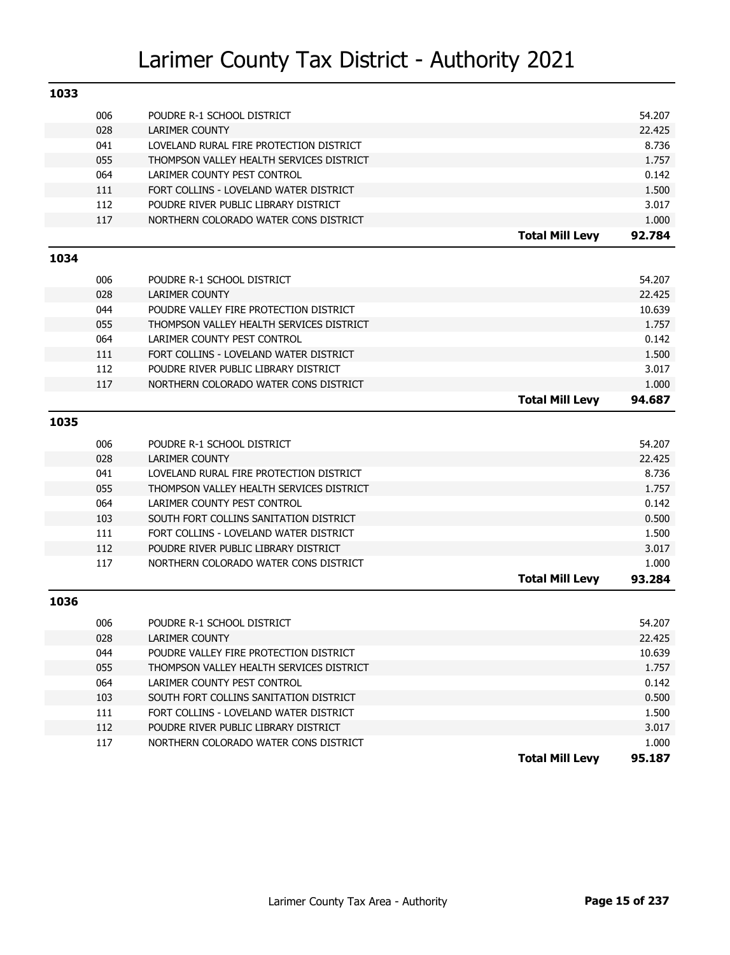| 1033 |            |                                                                                    |                        |                 |
|------|------------|------------------------------------------------------------------------------------|------------------------|-----------------|
|      | 006        | POUDRE R-1 SCHOOL DISTRICT                                                         |                        | 54.207          |
|      | 028        | <b>LARIMER COUNTY</b>                                                              |                        | 22.425          |
|      | 041        | LOVELAND RURAL FIRE PROTECTION DISTRICT                                            |                        | 8.736           |
|      | 055        | THOMPSON VALLEY HEALTH SERVICES DISTRICT                                           |                        | 1.757           |
|      | 064        | LARIMER COUNTY PEST CONTROL                                                        |                        | 0.142           |
|      | 111        | FORT COLLINS - LOVELAND WATER DISTRICT                                             |                        | 1.500           |
|      | 112        | POUDRE RIVER PUBLIC LIBRARY DISTRICT                                               |                        | 3.017           |
|      | 117        | NORTHERN COLORADO WATER CONS DISTRICT                                              |                        | 1.000           |
|      |            |                                                                                    | <b>Total Mill Levy</b> | 92.784          |
| 1034 |            |                                                                                    |                        |                 |
|      |            |                                                                                    |                        |                 |
|      | 006        | POUDRE R-1 SCHOOL DISTRICT                                                         |                        | 54.207          |
|      | 028        | <b>LARIMER COUNTY</b>                                                              |                        | 22.425          |
|      | 044<br>055 | POUDRE VALLEY FIRE PROTECTION DISTRICT<br>THOMPSON VALLEY HEALTH SERVICES DISTRICT |                        | 10.639<br>1.757 |
|      | 064        | LARIMER COUNTY PEST CONTROL                                                        |                        | 0.142           |
|      | 111        | FORT COLLINS - LOVELAND WATER DISTRICT                                             |                        | 1.500           |
|      | 112        | POUDRE RIVER PUBLIC LIBRARY DISTRICT                                               |                        | 3.017           |
|      | 117        | NORTHERN COLORADO WATER CONS DISTRICT                                              |                        | 1.000           |
|      |            |                                                                                    | <b>Total Mill Levy</b> | 94.687          |
|      |            |                                                                                    |                        |                 |
| 1035 |            |                                                                                    |                        |                 |
|      | 006        | POUDRE R-1 SCHOOL DISTRICT                                                         |                        | 54.207          |
|      | 028        | <b>LARIMER COUNTY</b>                                                              |                        | 22.425          |
|      | 041        | LOVELAND RURAL FIRE PROTECTION DISTRICT                                            |                        | 8.736           |
|      | 055        | THOMPSON VALLEY HEALTH SERVICES DISTRICT                                           |                        | 1.757           |
|      | 064        | LARIMER COUNTY PEST CONTROL                                                        |                        | 0.142           |
|      | 103        | SOUTH FORT COLLINS SANITATION DISTRICT                                             |                        | 0.500           |
|      | 111        | FORT COLLINS - LOVELAND WATER DISTRICT                                             |                        | 1.500           |
|      | 112        | POUDRE RIVER PUBLIC LIBRARY DISTRICT                                               |                        | 3.017           |
|      | 117        | NORTHERN COLORADO WATER CONS DISTRICT                                              |                        | 1.000           |
|      |            |                                                                                    | <b>Total Mill Levy</b> | 93.284          |
| 1036 |            |                                                                                    |                        |                 |
|      | 006        | POUDRE R-1 SCHOOL DISTRICT                                                         |                        | 54.207          |
|      | 028        | LARIMER COUNTY                                                                     |                        | 22.425          |
|      | 044        | POUDRE VALLEY FIRE PROTECTION DISTRICT                                             |                        | 10.639          |
|      | 055        | THOMPSON VALLEY HEALTH SERVICES DISTRICT                                           |                        | 1.757           |
|      | 064        | LARIMER COUNTY PEST CONTROL                                                        |                        | 0.142           |
|      | 103        | SOUTH FORT COLLINS SANITATION DISTRICT                                             |                        | 0.500           |
|      | 111        | FORT COLLINS - LOVELAND WATER DISTRICT                                             |                        | 1.500           |
|      | 112        | POUDRE RIVER PUBLIC LIBRARY DISTRICT                                               |                        | 3.017           |
|      | 117        | NORTHERN COLORADO WATER CONS DISTRICT                                              |                        | 1.000           |
|      |            |                                                                                    | <b>Total Mill Levy</b> | 95.187          |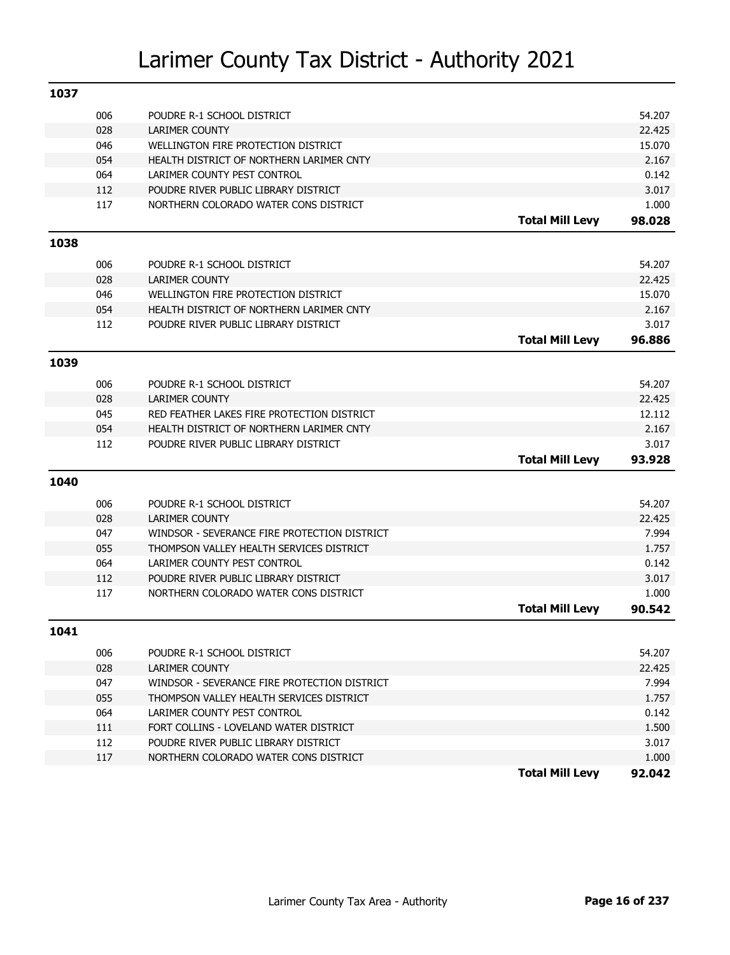| 1037 |     |                                              |                        |        |
|------|-----|----------------------------------------------|------------------------|--------|
|      | 006 | POUDRE R-1 SCHOOL DISTRICT                   |                        | 54.207 |
|      | 028 | <b>LARIMER COUNTY</b>                        |                        | 22.425 |
|      | 046 | WELLINGTON FIRE PROTECTION DISTRICT          |                        | 15.070 |
|      | 054 | HEALTH DISTRICT OF NORTHERN LARIMER CNTY     |                        | 2.167  |
|      | 064 | LARIMER COUNTY PEST CONTROL                  |                        | 0.142  |
|      | 112 | POUDRE RIVER PUBLIC LIBRARY DISTRICT         |                        | 3.017  |
|      | 117 | NORTHERN COLORADO WATER CONS DISTRICT        |                        | 1.000  |
|      |     |                                              | <b>Total Mill Levy</b> | 98.028 |
| 1038 |     |                                              |                        |        |
|      | 006 | POUDRE R-1 SCHOOL DISTRICT                   |                        | 54.207 |
|      | 028 | <b>LARIMER COUNTY</b>                        |                        | 22.425 |
|      | 046 | WELLINGTON FIRE PROTECTION DISTRICT          |                        | 15.070 |
|      | 054 | HEALTH DISTRICT OF NORTHERN LARIMER CNTY     |                        | 2.167  |
|      | 112 | POUDRE RIVER PUBLIC LIBRARY DISTRICT         |                        | 3.017  |
|      |     |                                              | <b>Total Mill Levy</b> | 96.886 |
| 1039 |     |                                              |                        |        |
|      | 006 | POUDRE R-1 SCHOOL DISTRICT                   |                        | 54.207 |
|      | 028 | <b>LARIMER COUNTY</b>                        |                        | 22.425 |
|      | 045 | RED FEATHER LAKES FIRE PROTECTION DISTRICT   |                        | 12.112 |
|      | 054 | HEALTH DISTRICT OF NORTHERN LARIMER CNTY     |                        | 2.167  |
|      | 112 | POUDRE RIVER PUBLIC LIBRARY DISTRICT         |                        | 3.017  |
|      |     |                                              | <b>Total Mill Levy</b> | 93.928 |
| 1040 |     |                                              |                        |        |
|      | 006 | POUDRE R-1 SCHOOL DISTRICT                   |                        | 54.207 |
|      | 028 | <b>LARIMER COUNTY</b>                        |                        | 22.425 |
|      | 047 | WINDSOR - SEVERANCE FIRE PROTECTION DISTRICT |                        | 7.994  |
|      | 055 | THOMPSON VALLEY HEALTH SERVICES DISTRICT     |                        | 1.757  |
|      | 064 | LARIMER COUNTY PEST CONTROL                  |                        | 0.142  |
|      | 112 | POUDRE RIVER PUBLIC LIBRARY DISTRICT         |                        | 3.017  |
|      | 117 | NORTHERN COLORADO WATER CONS DISTRICT        |                        | 1.000  |
|      |     |                                              | <b>Total Mill Levy</b> | 90.542 |
| 1041 |     |                                              |                        |        |
|      | 006 | POUDRE R-1 SCHOOL DISTRICT                   |                        | 54.207 |
|      | 028 | LARIMER COUNTY                               |                        | 22.425 |
|      | 047 | WINDSOR - SEVERANCE FIRE PROTECTION DISTRICT |                        | 7.994  |
|      | 055 | THOMPSON VALLEY HEALTH SERVICES DISTRICT     |                        | 1.757  |
|      | 064 | LARIMER COUNTY PEST CONTROL                  |                        | 0.142  |
|      | 111 | FORT COLLINS - LOVELAND WATER DISTRICT       |                        | 1.500  |
|      | 112 | POUDRE RIVER PUBLIC LIBRARY DISTRICT         |                        | 3.017  |
|      | 117 | NORTHERN COLORADO WATER CONS DISTRICT        |                        | 1.000  |
|      |     |                                              | <b>Total Mill Levy</b> | 92.042 |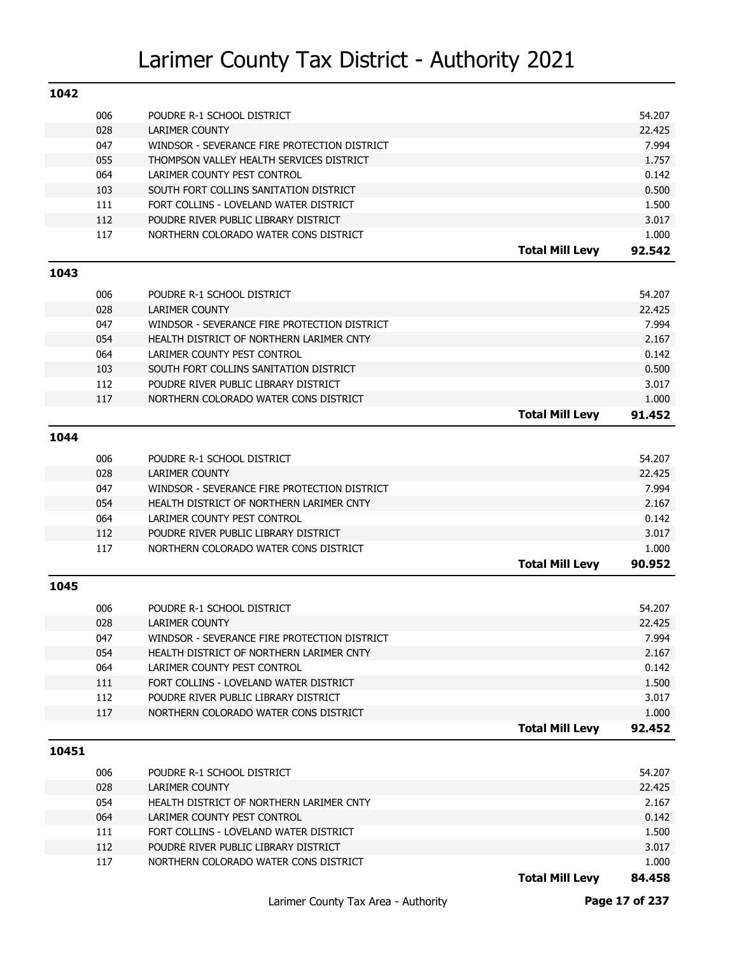| 1042  |     |                                              |                        |                 |
|-------|-----|----------------------------------------------|------------------------|-----------------|
|       | 006 | POUDRE R-1 SCHOOL DISTRICT                   |                        | 54.207          |
|       | 028 | <b>LARIMER COUNTY</b>                        |                        | 22.425          |
|       | 047 | WINDSOR - SEVERANCE FIRE PROTECTION DISTRICT |                        | 7.994           |
|       | 055 | THOMPSON VALLEY HEALTH SERVICES DISTRICT     |                        | 1.757           |
|       | 064 | LARIMER COUNTY PEST CONTROL                  |                        | 0.142           |
|       | 103 | SOUTH FORT COLLINS SANITATION DISTRICT       |                        | 0.500           |
|       | 111 | FORT COLLINS - LOVELAND WATER DISTRICT       |                        | 1.500           |
|       | 112 | POUDRE RIVER PUBLIC LIBRARY DISTRICT         |                        | 3.017           |
|       | 117 | NORTHERN COLORADO WATER CONS DISTRICT        |                        | 1.000           |
|       |     |                                              | <b>Total Mill Levy</b> | 92.542          |
| 1043  |     |                                              |                        |                 |
|       | 006 | POUDRE R-1 SCHOOL DISTRICT                   |                        | 54.207          |
|       | 028 | <b>LARIMER COUNTY</b>                        |                        | 22.425          |
|       | 047 | WINDSOR - SEVERANCE FIRE PROTECTION DISTRICT |                        | 7.994           |
|       | 054 | HEALTH DISTRICT OF NORTHERN LARIMER CNTY     |                        | 2.167           |
|       | 064 | LARIMER COUNTY PEST CONTROL                  |                        | 0.142           |
|       | 103 | SOUTH FORT COLLINS SANITATION DISTRICT       |                        | 0.500           |
|       | 112 | POUDRE RIVER PUBLIC LIBRARY DISTRICT         |                        | 3.017           |
|       | 117 | NORTHERN COLORADO WATER CONS DISTRICT        |                        | 1.000           |
|       |     |                                              | <b>Total Mill Levy</b> | 91.452          |
| 1044  |     |                                              |                        |                 |
|       |     |                                              |                        |                 |
|       | 006 | POUDRE R-1 SCHOOL DISTRICT                   |                        | 54.207          |
|       | 028 | <b>LARIMER COUNTY</b>                        |                        | 22.425          |
|       | 047 | WINDSOR - SEVERANCE FIRE PROTECTION DISTRICT |                        | 7.994           |
|       | 054 | HEALTH DISTRICT OF NORTHERN LARIMER CNTY     |                        | 2.167           |
|       | 064 | LARIMER COUNTY PEST CONTROL                  |                        | 0.142           |
|       | 112 | POUDRE RIVER PUBLIC LIBRARY DISTRICT         |                        | 3.017           |
|       | 117 | NORTHERN COLORADO WATER CONS DISTRICT        | <b>Total Mill Levy</b> | 1.000<br>90.952 |
|       |     |                                              |                        |                 |
| 1045  |     |                                              |                        |                 |
|       | 006 | POUDRE R-1 SCHOOL DISTRICT                   |                        | 54.207          |
|       | 028 | <b>LARIMER COUNTY</b>                        |                        | 22.425          |
|       | 047 | WINDSOR - SEVERANCE FIRE PROTECTION DISTRICT |                        | 7.994           |
|       | 054 | HEALTH DISTRICT OF NORTHERN LARIMER CNTY     |                        | 2.167           |
|       | 064 | LARIMER COUNTY PEST CONTROL                  |                        | 0.142           |
|       | 111 | FORT COLLINS - LOVELAND WATER DISTRICT       |                        | 1.500           |
|       | 112 | POUDRE RIVER PUBLIC LIBRARY DISTRICT         |                        | 3.017           |
|       | 117 | NORTHERN COLORADO WATER CONS DISTRICT        |                        | 1.000           |
|       |     |                                              | <b>Total Mill Levy</b> | 92.452          |
| 10451 |     |                                              |                        |                 |
|       | 006 | POUDRE R-1 SCHOOL DISTRICT                   |                        | 54.207          |
|       | 028 | <b>LARIMER COUNTY</b>                        |                        | 22.425          |
|       | 054 | HEALTH DISTRICT OF NORTHERN LARIMER CNTY     |                        | 2.167           |
|       | 064 | LARIMER COUNTY PEST CONTROL                  |                        | 0.142           |
|       | 111 | FORT COLLINS - LOVELAND WATER DISTRICT       |                        | 1.500           |
|       | 112 | POUDRE RIVER PUBLIC LIBRARY DISTRICT         |                        | 3.017           |
|       |     |                                              |                        |                 |
|       | 117 | NORTHERN COLORADO WATER CONS DISTRICT        |                        | 1.000           |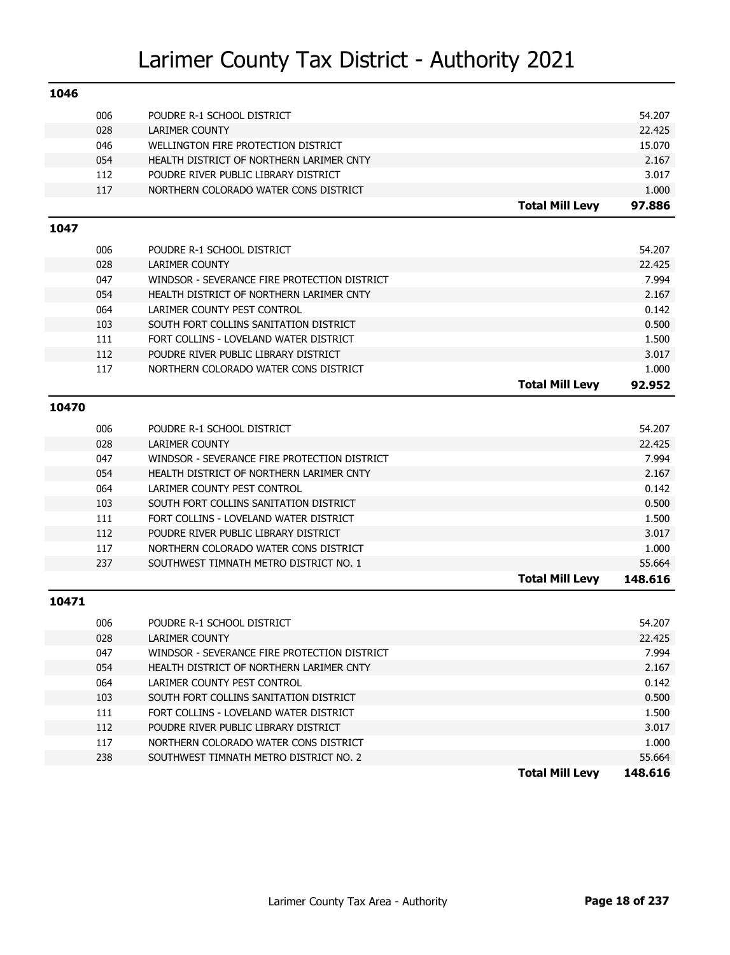| 1046  |     |                                              |                        |         |
|-------|-----|----------------------------------------------|------------------------|---------|
|       | 006 | POUDRE R-1 SCHOOL DISTRICT                   |                        | 54.207  |
|       | 028 | <b>LARIMER COUNTY</b>                        |                        | 22.425  |
|       | 046 | WELLINGTON FIRE PROTECTION DISTRICT          |                        | 15.070  |
|       | 054 | HEALTH DISTRICT OF NORTHERN LARIMER CNTY     |                        | 2.167   |
|       | 112 | POUDRE RIVER PUBLIC LIBRARY DISTRICT         |                        | 3.017   |
|       | 117 | NORTHERN COLORADO WATER CONS DISTRICT        |                        | 1.000   |
|       |     |                                              | <b>Total Mill Levy</b> | 97.886  |
| 1047  |     |                                              |                        |         |
|       | 006 | POUDRE R-1 SCHOOL DISTRICT                   |                        | 54.207  |
|       | 028 | <b>LARIMER COUNTY</b>                        |                        | 22.425  |
|       | 047 | WINDSOR - SEVERANCE FIRE PROTECTION DISTRICT |                        | 7.994   |
|       | 054 | HEALTH DISTRICT OF NORTHERN LARIMER CNTY     |                        | 2.167   |
|       | 064 | LARIMER COUNTY PEST CONTROL                  |                        | 0.142   |
|       | 103 | SOUTH FORT COLLINS SANITATION DISTRICT       |                        | 0.500   |
|       | 111 | FORT COLLINS - LOVELAND WATER DISTRICT       |                        | 1.500   |
|       | 112 | POUDRE RIVER PUBLIC LIBRARY DISTRICT         |                        | 3.017   |
|       | 117 | NORTHERN COLORADO WATER CONS DISTRICT        |                        | 1.000   |
|       |     |                                              | <b>Total Mill Levy</b> | 92.952  |
| 10470 |     |                                              |                        |         |
|       |     |                                              |                        |         |
|       | 006 | POUDRE R-1 SCHOOL DISTRICT                   |                        | 54.207  |
|       | 028 | <b>LARIMER COUNTY</b>                        |                        | 22.425  |
|       | 047 | WINDSOR - SEVERANCE FIRE PROTECTION DISTRICT |                        | 7.994   |
|       | 054 | HEALTH DISTRICT OF NORTHERN LARIMER CNTY     |                        | 2.167   |
|       | 064 | LARIMER COUNTY PEST CONTROL                  |                        | 0.142   |
|       | 103 | SOUTH FORT COLLINS SANITATION DISTRICT       |                        | 0.500   |
|       | 111 | FORT COLLINS - LOVELAND WATER DISTRICT       |                        | 1.500   |
|       | 112 | POUDRE RIVER PUBLIC LIBRARY DISTRICT         |                        | 3.017   |
|       | 117 | NORTHERN COLORADO WATER CONS DISTRICT        |                        | 1.000   |
|       | 237 | SOUTHWEST TIMNATH METRO DISTRICT NO. 1       |                        | 55.664  |
|       |     |                                              | <b>Total Mill Levy</b> | 148.616 |
| 10471 |     |                                              |                        |         |
|       | 006 | POUDRE R-1 SCHOOL DISTRICT                   |                        | 54.207  |
|       | 028 | LARIMER COUNTY                               |                        | 22.425  |
|       | 047 | WINDSOR - SEVERANCE FIRE PROTECTION DISTRICT |                        | 7.994   |
|       | 054 | HEALTH DISTRICT OF NORTHERN LARIMER CNTY     |                        | 2.167   |
|       | 064 | LARIMER COUNTY PEST CONTROL                  |                        | 0.142   |
|       | 103 | SOUTH FORT COLLINS SANITATION DISTRICT       |                        | 0.500   |
|       | 111 | FORT COLLINS - LOVELAND WATER DISTRICT       |                        | 1.500   |
|       | 112 | POUDRE RIVER PUBLIC LIBRARY DISTRICT         |                        | 3.017   |
|       | 117 | NORTHERN COLORADO WATER CONS DISTRICT        |                        | 1.000   |
|       | 238 | SOUTHWEST TIMNATH METRO DISTRICT NO. 2       |                        | 55.664  |
|       |     |                                              | <b>Total Mill Levy</b> | 148.616 |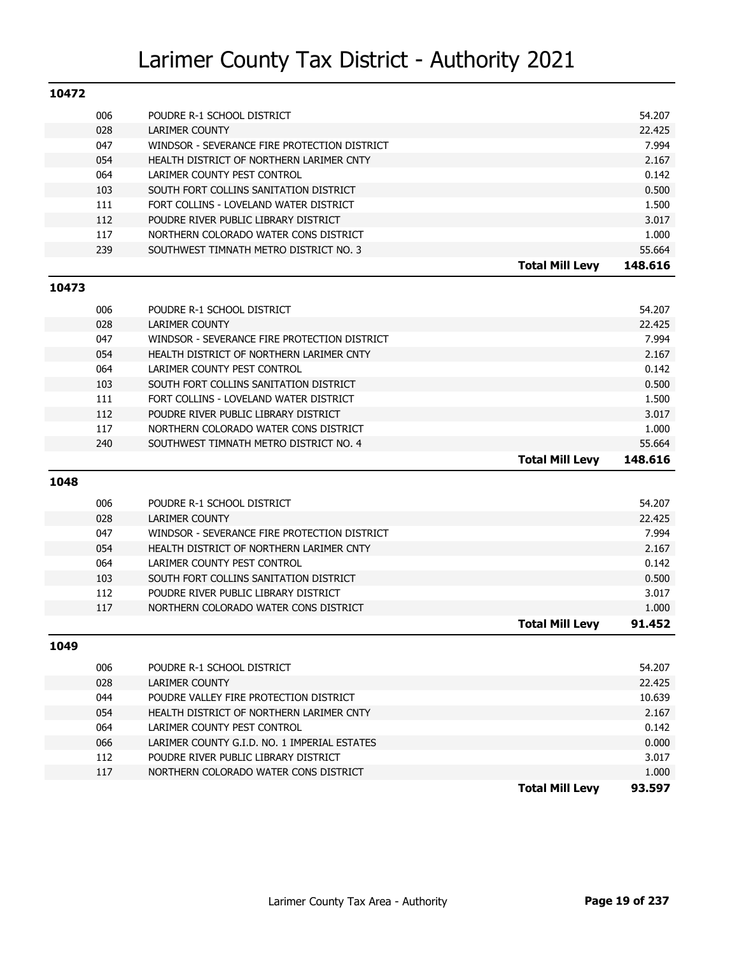| 10472 |     |                                              |                        |         |
|-------|-----|----------------------------------------------|------------------------|---------|
|       | 006 | POUDRE R-1 SCHOOL DISTRICT                   |                        | 54.207  |
|       | 028 | <b>LARIMER COUNTY</b>                        |                        | 22.425  |
|       | 047 | WINDSOR - SEVERANCE FIRE PROTECTION DISTRICT |                        | 7.994   |
|       | 054 | HEALTH DISTRICT OF NORTHERN LARIMER CNTY     |                        | 2.167   |
|       | 064 | LARIMER COUNTY PEST CONTROL                  |                        | 0.142   |
|       | 103 | SOUTH FORT COLLINS SANITATION DISTRICT       |                        | 0.500   |
|       | 111 | FORT COLLINS - LOVELAND WATER DISTRICT       |                        | 1.500   |
|       | 112 | POUDRE RIVER PUBLIC LIBRARY DISTRICT         |                        | 3.017   |
|       | 117 | NORTHERN COLORADO WATER CONS DISTRICT        |                        | 1.000   |
|       | 239 | SOUTHWEST TIMNATH METRO DISTRICT NO. 3       |                        | 55.664  |
|       |     |                                              | <b>Total Mill Levy</b> | 148.616 |
| 10473 |     |                                              |                        |         |
|       | 006 | POUDRE R-1 SCHOOL DISTRICT                   |                        | 54.207  |
|       | 028 | <b>LARIMER COUNTY</b>                        |                        | 22.425  |
|       | 047 | WINDSOR - SEVERANCE FIRE PROTECTION DISTRICT |                        | 7.994   |
|       | 054 | HEALTH DISTRICT OF NORTHERN LARIMER CNTY     |                        | 2.167   |
|       | 064 | LARIMER COUNTY PEST CONTROL                  |                        | 0.142   |
|       | 103 | SOUTH FORT COLLINS SANITATION DISTRICT       |                        | 0.500   |
|       | 111 | FORT COLLINS - LOVELAND WATER DISTRICT       |                        | 1.500   |
|       | 112 | POUDRE RIVER PUBLIC LIBRARY DISTRICT         |                        | 3.017   |
|       | 117 | NORTHERN COLORADO WATER CONS DISTRICT        |                        | 1.000   |
|       | 240 | SOUTHWEST TIMNATH METRO DISTRICT NO. 4       |                        | 55.664  |
|       |     |                                              | <b>Total Mill Levy</b> | 148.616 |
| 1048  |     |                                              |                        |         |
|       | 006 | POUDRE R-1 SCHOOL DISTRICT                   |                        | 54.207  |
|       | 028 | <b>LARIMER COUNTY</b>                        |                        | 22.425  |
|       | 047 | WINDSOR - SEVERANCE FIRE PROTECTION DISTRICT |                        | 7.994   |
|       | 054 | HEALTH DISTRICT OF NORTHERN LARIMER CNTY     |                        | 2.167   |
|       | 064 | LARIMER COUNTY PEST CONTROL                  |                        | 0.142   |
|       | 103 | SOUTH FORT COLLINS SANITATION DISTRICT       |                        | 0.500   |
|       | 112 | POUDRE RIVER PUBLIC LIBRARY DISTRICT         |                        | 3.017   |
|       | 117 | NORTHERN COLORADO WATER CONS DISTRICT        |                        | 1.000   |
|       |     |                                              | <b>Total Mill Levy</b> | 91.452  |
| 1049  |     |                                              |                        |         |
|       | 006 | POUDRE R-1 SCHOOL DISTRICT                   |                        | 54.207  |
|       | 028 | <b>LARIMER COUNTY</b>                        |                        | 22.425  |
|       | 044 | POUDRE VALLEY FIRE PROTECTION DISTRICT       |                        | 10.639  |
|       | 054 | HEALTH DISTRICT OF NORTHERN LARIMER CNTY     |                        | 2.167   |

| 066 | LARIMER COUNTY G.I.D. NO. 1 IMPERIAL ESTATES | 0.000 |
|-----|----------------------------------------------|-------|
|     | POUDRE RIVER PUBLIC LIBRARY DISTRICT         | 3.017 |
|     | NORTHERN COLORADO WATER CONS DISTRICT        | .000  |

064 LARIMER COUNTY PEST CONTROL **DEVELOPED ASSAULTS** 0.142

**Total Mill Levy 93.597**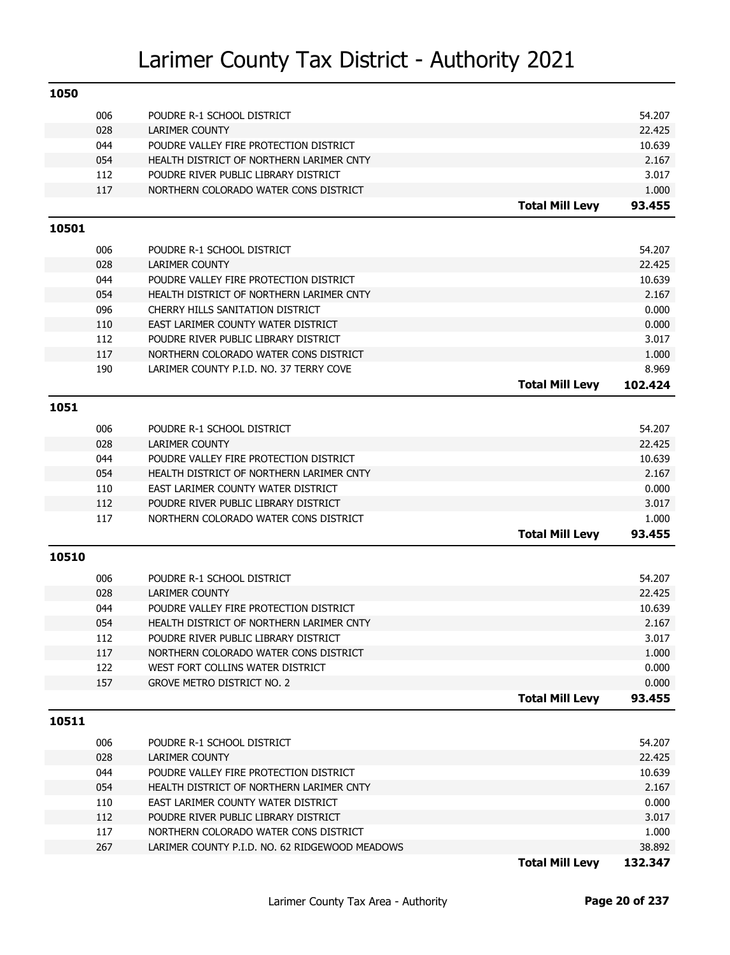| 1050  |            |                                                                            |                        |                |
|-------|------------|----------------------------------------------------------------------------|------------------------|----------------|
|       | 006        | POUDRE R-1 SCHOOL DISTRICT                                                 |                        | 54.207         |
|       | 028        | <b>LARIMER COUNTY</b>                                                      |                        | 22.425         |
|       | 044        | POUDRE VALLEY FIRE PROTECTION DISTRICT                                     |                        | 10.639         |
|       | 054        | HEALTH DISTRICT OF NORTHERN LARIMER CNTY                                   |                        | 2.167          |
|       | 112        | POUDRE RIVER PUBLIC LIBRARY DISTRICT                                       |                        | 3.017          |
|       | 117        | NORTHERN COLORADO WATER CONS DISTRICT                                      |                        | 1.000          |
|       |            |                                                                            | <b>Total Mill Levy</b> | 93.455         |
| 10501 |            |                                                                            |                        |                |
|       | 006        | POUDRE R-1 SCHOOL DISTRICT                                                 |                        | 54.207         |
|       | 028        | <b>LARIMER COUNTY</b>                                                      |                        | 22.425         |
|       | 044        | POUDRE VALLEY FIRE PROTECTION DISTRICT                                     |                        | 10.639         |
|       | 054        | HEALTH DISTRICT OF NORTHERN LARIMER CNTY                                   |                        | 2.167          |
|       | 096        | CHERRY HILLS SANITATION DISTRICT                                           |                        | 0.000          |
|       | 110        | EAST LARIMER COUNTY WATER DISTRICT                                         |                        | 0.000          |
|       | 112        | POUDRE RIVER PUBLIC LIBRARY DISTRICT                                       |                        | 3.017          |
|       | 117        | NORTHERN COLORADO WATER CONS DISTRICT                                      |                        | 1.000          |
|       | 190        | LARIMER COUNTY P.I.D. NO. 37 TERRY COVE                                    |                        | 8.969          |
|       |            |                                                                            | <b>Total Mill Levy</b> | 102.424        |
| 1051  |            |                                                                            |                        |                |
|       |            |                                                                            |                        |                |
|       | 006        | POUDRE R-1 SCHOOL DISTRICT                                                 |                        | 54.207         |
|       | 028        | <b>LARIMER COUNTY</b>                                                      |                        | 22.425         |
|       | 044        | POUDRE VALLEY FIRE PROTECTION DISTRICT                                     |                        | 10.639         |
|       | 054        | HEALTH DISTRICT OF NORTHERN LARIMER CNTY                                   |                        | 2.167          |
|       | 110<br>112 | EAST LARIMER COUNTY WATER DISTRICT<br>POUDRE RIVER PUBLIC LIBRARY DISTRICT |                        | 0.000<br>3.017 |
|       | 117        | NORTHERN COLORADO WATER CONS DISTRICT                                      |                        | 1.000          |
|       |            |                                                                            | <b>Total Mill Levy</b> | 93.455         |
|       |            |                                                                            |                        |                |
| 10510 |            |                                                                            |                        |                |
|       | 006        | POUDRE R-1 SCHOOL DISTRICT                                                 |                        | 54.207         |
|       | 028        | <b>LARIMER COUNTY</b>                                                      |                        | 22.425         |
|       | 044        | POUDRE VALLEY FIRE PROTECTION DISTRICT                                     |                        | 10.639         |
|       | 054        | HEALTH DISTRICT OF NORTHERN LARIMER CNTY                                   |                        | 2.167          |
|       | 112        | POUDRE RIVER PUBLIC LIBRARY DISTRICT                                       |                        | 3.017          |
|       | 117        | NORTHERN COLORADO WATER CONS DISTRICT                                      |                        | 1.000          |
|       | 122        | WEST FORT COLLINS WATER DISTRICT                                           |                        | 0.000          |
|       | 157        | <b>GROVE METRO DISTRICT NO. 2</b>                                          |                        | 0.000          |
|       |            |                                                                            | <b>Total Mill Levy</b> | 93.455         |
| 10511 |            |                                                                            |                        |                |
|       | 006        | POUDRE R-1 SCHOOL DISTRICT                                                 |                        | 54.207         |
|       | 028        | <b>LARIMER COUNTY</b>                                                      |                        | 22.425         |
|       | 044        | POUDRE VALLEY FIRE PROTECTION DISTRICT                                     |                        | 10.639         |
|       | 054        | HEALTH DISTRICT OF NORTHERN LARIMER CNTY                                   |                        | 2.167          |
|       | 110        | EAST LARIMER COUNTY WATER DISTRICT                                         |                        | 0.000          |
|       | 112        | POUDRE RIVER PUBLIC LIBRARY DISTRICT                                       |                        | 3.017          |
|       | 117        | NORTHERN COLORADO WATER CONS DISTRICT                                      |                        | 1.000          |
|       | 267        | LARIMER COUNTY P.I.D. NO. 62 RIDGEWOOD MEADOWS                             |                        | 38.892         |
|       |            |                                                                            | <b>Total Mill Levy</b> | 132.347        |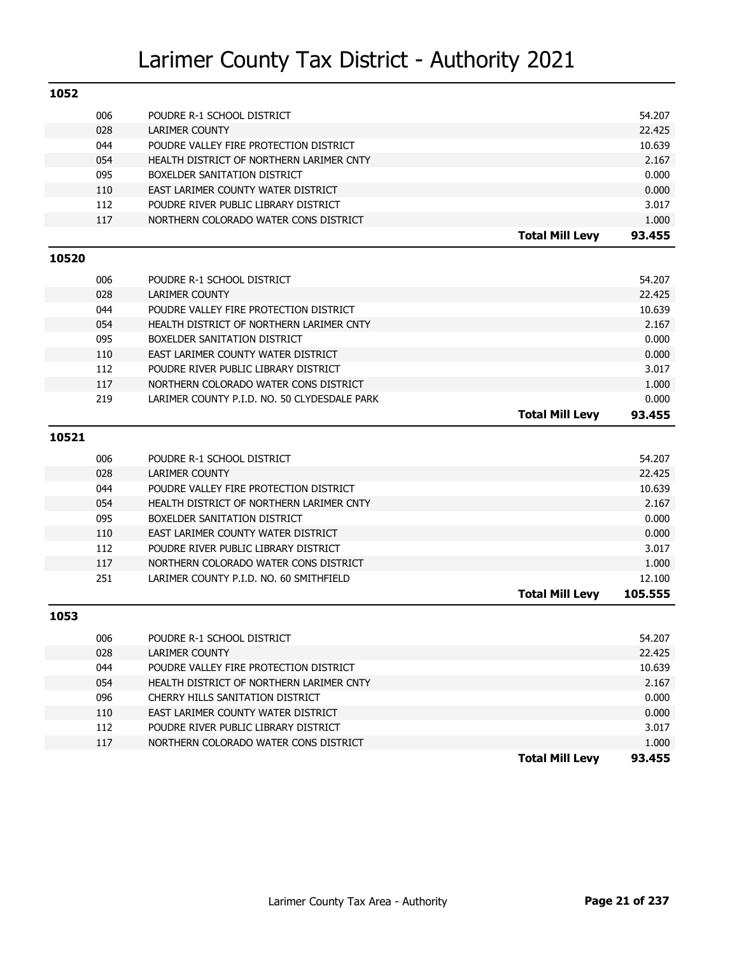| 1052  |     |                                              |                        |         |
|-------|-----|----------------------------------------------|------------------------|---------|
|       | 006 | POUDRE R-1 SCHOOL DISTRICT                   |                        | 54.207  |
|       | 028 | <b>LARIMER COUNTY</b>                        |                        | 22.425  |
|       | 044 | POUDRE VALLEY FIRE PROTECTION DISTRICT       |                        | 10.639  |
|       | 054 | HEALTH DISTRICT OF NORTHERN LARIMER CNTY     |                        | 2.167   |
|       | 095 | BOXELDER SANITATION DISTRICT                 |                        | 0.000   |
|       | 110 | EAST LARIMER COUNTY WATER DISTRICT           |                        | 0.000   |
|       | 112 | POUDRE RIVER PUBLIC LIBRARY DISTRICT         |                        | 3.017   |
|       | 117 | NORTHERN COLORADO WATER CONS DISTRICT        |                        | 1.000   |
|       |     |                                              | <b>Total Mill Levy</b> | 93.455  |
| 10520 |     |                                              |                        |         |
|       | 006 | POUDRE R-1 SCHOOL DISTRICT                   |                        | 54.207  |
|       | 028 | <b>LARIMER COUNTY</b>                        |                        | 22.425  |
|       | 044 | POUDRE VALLEY FIRE PROTECTION DISTRICT       |                        | 10.639  |
|       | 054 | HEALTH DISTRICT OF NORTHERN LARIMER CNTY     |                        | 2.167   |
|       | 095 | BOXELDER SANITATION DISTRICT                 |                        | 0.000   |
|       | 110 | EAST LARIMER COUNTY WATER DISTRICT           |                        | 0.000   |
|       | 112 | POUDRE RIVER PUBLIC LIBRARY DISTRICT         |                        | 3.017   |
|       | 117 | NORTHERN COLORADO WATER CONS DISTRICT        |                        | 1.000   |
|       | 219 | LARIMER COUNTY P.I.D. NO. 50 CLYDESDALE PARK |                        | 0.000   |
|       |     |                                              | <b>Total Mill Levy</b> | 93.455  |
|       |     |                                              |                        |         |
| 10521 |     |                                              |                        |         |
|       | 006 | POUDRE R-1 SCHOOL DISTRICT                   |                        | 54.207  |
|       | 028 | <b>LARIMER COUNTY</b>                        |                        | 22.425  |
|       | 044 | POUDRE VALLEY FIRE PROTECTION DISTRICT       |                        | 10.639  |
|       | 054 | HEALTH DISTRICT OF NORTHERN LARIMER CNTY     |                        | 2.167   |
|       | 095 | BOXELDER SANITATION DISTRICT                 |                        | 0.000   |
|       | 110 | EAST LARIMER COUNTY WATER DISTRICT           |                        | 0.000   |
|       | 112 | POUDRE RIVER PUBLIC LIBRARY DISTRICT         |                        | 3.017   |
|       | 117 | NORTHERN COLORADO WATER CONS DISTRICT        |                        | 1.000   |
|       | 251 | LARIMER COUNTY P.I.D. NO. 60 SMITHFIELD      |                        | 12.100  |
|       |     |                                              | <b>Total Mill Levy</b> | 105.555 |
| 1053  |     |                                              |                        |         |
|       | 006 | POUDRE R-1 SCHOOL DISTRICT                   |                        | 54.207  |
|       | 028 | <b>LARIMER COUNTY</b>                        |                        | 22.425  |
|       | 044 | POUDRE VALLEY FIRE PROTECTION DISTRICT       |                        | 10.639  |
|       | 054 | HEALTH DISTRICT OF NORTHERN LARIMER CNTY     |                        | 2.167   |
|       | 096 | CHERRY HILLS SANITATION DISTRICT             |                        | 0.000   |
|       | 110 | EAST LARIMER COUNTY WATER DISTRICT           |                        | 0.000   |
|       | 112 | POUDRE RIVER PUBLIC LIBRARY DISTRICT         |                        | 3.017   |
|       | 117 | NORTHERN COLORADO WATER CONS DISTRICT        |                        | 1.000   |
|       |     |                                              |                        |         |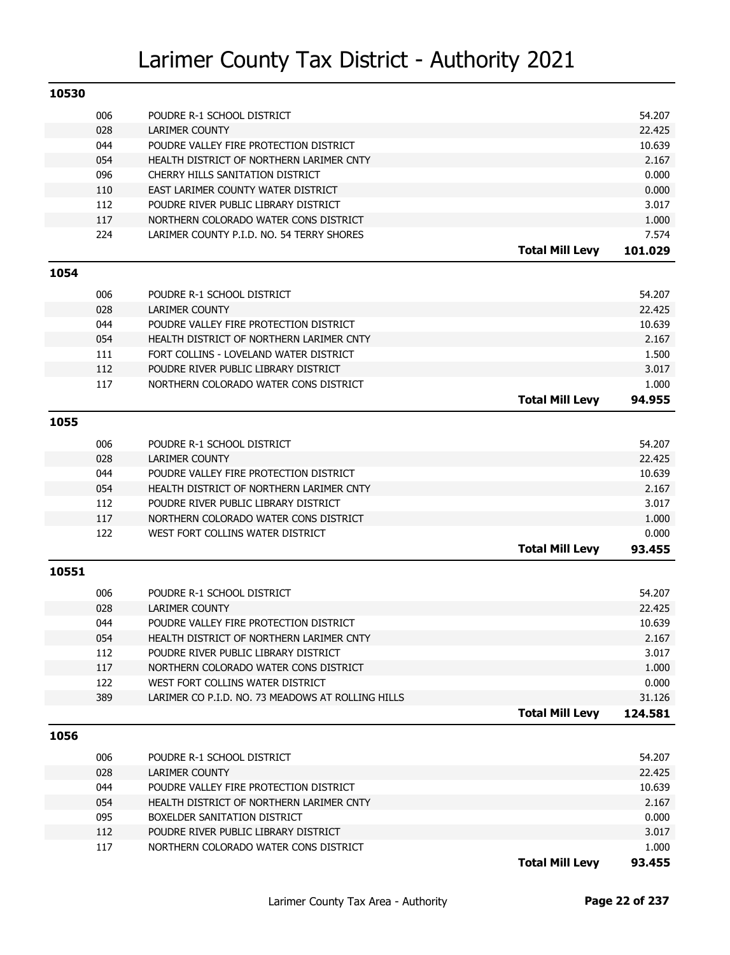| 10530 |     |                                                   |                        |                |
|-------|-----|---------------------------------------------------|------------------------|----------------|
|       | 006 | POUDRE R-1 SCHOOL DISTRICT                        |                        | 54.207         |
|       | 028 | <b>LARIMER COUNTY</b>                             |                        | 22.425         |
|       | 044 | POUDRE VALLEY FIRE PROTECTION DISTRICT            |                        | 10.639         |
|       | 054 | HEALTH DISTRICT OF NORTHERN LARIMER CNTY          |                        | 2.167          |
|       | 096 | CHERRY HILLS SANITATION DISTRICT                  |                        | 0.000          |
|       | 110 | EAST LARIMER COUNTY WATER DISTRICT                |                        | 0.000          |
|       | 112 | POUDRE RIVER PUBLIC LIBRARY DISTRICT              |                        | 3.017          |
|       | 117 | NORTHERN COLORADO WATER CONS DISTRICT             |                        | 1.000          |
|       | 224 | LARIMER COUNTY P.I.D. NO. 54 TERRY SHORES         |                        | 7.574          |
|       |     |                                                   | <b>Total Mill Levy</b> | 101.029        |
| 1054  |     |                                                   |                        |                |
|       |     |                                                   |                        |                |
|       | 006 | POUDRE R-1 SCHOOL DISTRICT                        |                        | 54.207         |
|       | 028 | <b>LARIMER COUNTY</b>                             |                        | 22.425         |
|       | 044 | POUDRE VALLEY FIRE PROTECTION DISTRICT            |                        | 10.639         |
|       | 054 | HEALTH DISTRICT OF NORTHERN LARIMER CNTY          |                        | 2.167          |
|       | 111 | FORT COLLINS - LOVELAND WATER DISTRICT            |                        | 1.500          |
|       | 112 | POUDRE RIVER PUBLIC LIBRARY DISTRICT              |                        | 3.017          |
|       | 117 | NORTHERN COLORADO WATER CONS DISTRICT             |                        | 1.000          |
|       |     |                                                   | <b>Total Mill Levy</b> | 94.955         |
| 1055  |     |                                                   |                        |                |
|       | 006 | POUDRE R-1 SCHOOL DISTRICT                        |                        | 54.207         |
|       | 028 | <b>LARIMER COUNTY</b>                             |                        | 22.425         |
|       | 044 | POUDRE VALLEY FIRE PROTECTION DISTRICT            |                        | 10.639         |
|       | 054 | HEALTH DISTRICT OF NORTHERN LARIMER CNTY          |                        | 2.167          |
|       | 112 | POUDRE RIVER PUBLIC LIBRARY DISTRICT              |                        | 3.017          |
|       | 117 | NORTHERN COLORADO WATER CONS DISTRICT             |                        | 1.000          |
|       | 122 | WEST FORT COLLINS WATER DISTRICT                  |                        | 0.000          |
|       |     |                                                   | <b>Total Mill Levy</b> | 93.455         |
| 10551 |     |                                                   |                        |                |
|       |     |                                                   |                        |                |
|       | 006 | POUDRE R-1 SCHOOL DISTRICT                        |                        | 54.207         |
|       | 028 | <b>LARIMER COUNTY</b>                             |                        | 22.425         |
|       | 044 | POUDRE VALLEY FIRE PROTECTION DISTRICT            |                        | 10.639         |
|       | 054 | HEALTH DISTRICT OF NORTHERN LARIMER CNTY          |                        | 2.167<br>3.017 |
|       | 112 | POUDRE RIVER PUBLIC LIBRARY DISTRICT              |                        |                |
|       | 117 | NORTHERN COLORADO WATER CONS DISTRICT             |                        | 1.000          |
|       | 122 | WEST FORT COLLINS WATER DISTRICT                  |                        | 0.000          |
|       | 389 | LARIMER CO P.I.D. NO. 73 MEADOWS AT ROLLING HILLS |                        | 31.126         |
|       |     |                                                   | <b>Total Mill Levy</b> | 124.581        |
| 1056  |     |                                                   |                        |                |
|       | 006 | POUDRE R-1 SCHOOL DISTRICT                        |                        | 54.207         |
|       | 028 | <b>LARIMER COUNTY</b>                             |                        | 22.425         |
|       |     | POUDRE VALLEY FIRE PROTECTION DISTRICT            |                        | 10.639         |
|       | 044 |                                                   |                        |                |
|       | 054 | HEALTH DISTRICT OF NORTHERN LARIMER CNTY          |                        | 2.167          |
|       | 095 | BOXELDER SANITATION DISTRICT                      |                        | 0.000          |
|       | 112 | POUDRE RIVER PUBLIC LIBRARY DISTRICT              |                        | 3.017          |

**Total Mill Levy 93.455**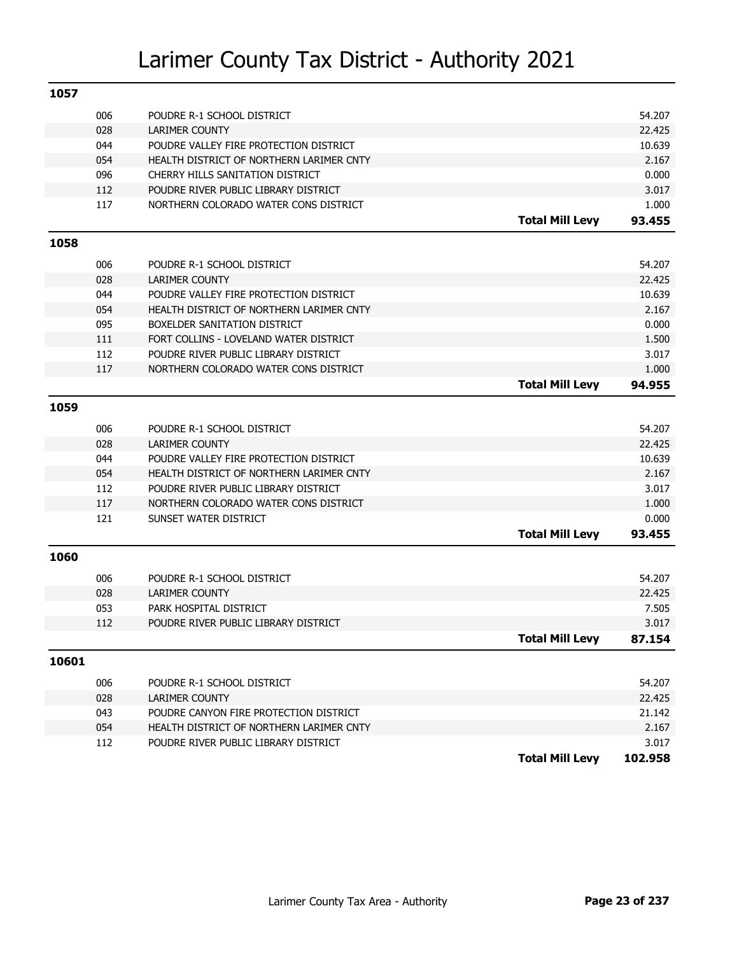| 1057  |     |                                                                |                        |         |
|-------|-----|----------------------------------------------------------------|------------------------|---------|
|       | 006 | POUDRE R-1 SCHOOL DISTRICT                                     |                        | 54.207  |
|       | 028 | <b>LARIMER COUNTY</b>                                          |                        | 22.425  |
|       | 044 | POUDRE VALLEY FIRE PROTECTION DISTRICT                         |                        | 10.639  |
|       | 054 | HEALTH DISTRICT OF NORTHERN LARIMER CNTY                       |                        | 2.167   |
|       | 096 | CHERRY HILLS SANITATION DISTRICT                               |                        | 0.000   |
|       | 112 | POUDRE RIVER PUBLIC LIBRARY DISTRICT                           |                        | 3.017   |
|       | 117 | NORTHERN COLORADO WATER CONS DISTRICT                          |                        | 1.000   |
|       |     |                                                                | <b>Total Mill Levy</b> | 93.455  |
| 1058  |     |                                                                |                        |         |
|       | 006 | POUDRE R-1 SCHOOL DISTRICT                                     |                        | 54.207  |
|       | 028 | <b>LARIMER COUNTY</b>                                          |                        | 22.425  |
|       | 044 | POUDRE VALLEY FIRE PROTECTION DISTRICT                         |                        | 10.639  |
|       | 054 | HEALTH DISTRICT OF NORTHERN LARIMER CNTY                       |                        | 2.167   |
|       | 095 | BOXELDER SANITATION DISTRICT                                   |                        | 0.000   |
|       | 111 | FORT COLLINS - LOVELAND WATER DISTRICT                         |                        | 1.500   |
|       | 112 | POUDRE RIVER PUBLIC LIBRARY DISTRICT                           |                        | 3.017   |
|       | 117 | NORTHERN COLORADO WATER CONS DISTRICT                          |                        | 1.000   |
|       |     |                                                                | <b>Total Mill Levy</b> | 94.955  |
| 1059  |     |                                                                |                        |         |
|       | 006 | POUDRE R-1 SCHOOL DISTRICT                                     |                        | 54.207  |
|       | 028 | <b>LARIMER COUNTY</b>                                          |                        | 22.425  |
|       | 044 | POUDRE VALLEY FIRE PROTECTION DISTRICT                         |                        | 10.639  |
|       | 054 | HEALTH DISTRICT OF NORTHERN LARIMER CNTY                       |                        | 2.167   |
|       | 112 | POUDRE RIVER PUBLIC LIBRARY DISTRICT                           |                        | 3.017   |
|       | 117 |                                                                |                        | 1.000   |
|       | 121 | NORTHERN COLORADO WATER CONS DISTRICT<br>SUNSET WATER DISTRICT |                        | 0.000   |
|       |     |                                                                |                        |         |
|       |     |                                                                | <b>Total Mill Levy</b> | 93.455  |
| 1060  |     |                                                                |                        |         |
|       | 006 | POUDRE R-1 SCHOOL DISTRICT                                     |                        | 54.207  |
|       | 028 | <b>LARIMER COUNTY</b>                                          |                        | 22.425  |
|       | 053 | PARK HOSPITAL DISTRICT                                         |                        | 7.505   |
|       | 112 | POUDRE RIVER PUBLIC LIBRARY DISTRICT                           |                        | 3.017   |
|       |     |                                                                | <b>Total Mill Levv</b> | 87.154  |
| 10601 |     |                                                                |                        |         |
|       | 006 | POUDRE R-1 SCHOOL DISTRICT                                     |                        | 54.207  |
|       | 028 | <b>LARIMER COUNTY</b>                                          |                        | 22.425  |
|       | 043 | POUDRE CANYON FIRE PROTECTION DISTRICT                         |                        | 21.142  |
|       | 054 | HEALTH DISTRICT OF NORTHERN LARIMER CNTY                       |                        | 2.167   |
|       | 112 | POUDRE RIVER PUBLIC LIBRARY DISTRICT                           |                        | 3.017   |
|       |     |                                                                | <b>Total Mill Levy</b> | 102.958 |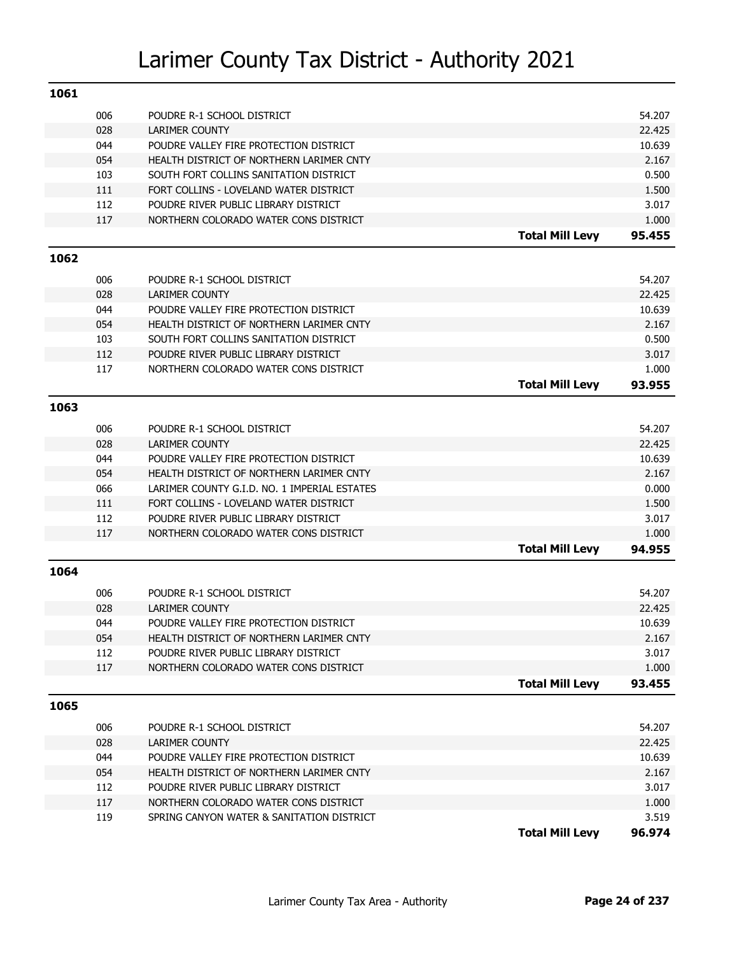| 1061 |            |                                                                                |                        |                |
|------|------------|--------------------------------------------------------------------------------|------------------------|----------------|
|      | 006        | POUDRE R-1 SCHOOL DISTRICT                                                     |                        | 54.207         |
|      | 028        | LARIMER COUNTY                                                                 |                        | 22.425         |
|      | 044        | POUDRE VALLEY FIRE PROTECTION DISTRICT                                         |                        | 10.639         |
|      | 054        | HEALTH DISTRICT OF NORTHERN LARIMER CNTY                                       |                        | 2.167          |
|      | 103        | SOUTH FORT COLLINS SANITATION DISTRICT                                         |                        | 0.500          |
|      | 111        | FORT COLLINS - LOVELAND WATER DISTRICT                                         |                        | 1.500          |
|      | 112        | POUDRE RIVER PUBLIC LIBRARY DISTRICT                                           |                        | 3.017          |
|      | 117        | NORTHERN COLORADO WATER CONS DISTRICT                                          |                        | 1.000          |
|      |            |                                                                                | <b>Total Mill Levy</b> | 95.455         |
| 1062 |            |                                                                                |                        |                |
|      | 006        | POUDRE R-1 SCHOOL DISTRICT                                                     |                        | 54.207         |
|      | 028        | <b>LARIMER COUNTY</b>                                                          |                        | 22.425         |
|      | 044        | POUDRE VALLEY FIRE PROTECTION DISTRICT                                         |                        | 10.639         |
|      | 054        | HEALTH DISTRICT OF NORTHERN LARIMER CNTY                                       |                        | 2.167          |
|      | 103        | SOUTH FORT COLLINS SANITATION DISTRICT                                         |                        | 0.500          |
|      | 112        | POUDRE RIVER PUBLIC LIBRARY DISTRICT                                           |                        | 3.017          |
|      | 117        | NORTHERN COLORADO WATER CONS DISTRICT                                          |                        | 1.000          |
|      |            |                                                                                | <b>Total Mill Levy</b> | 93.955         |
| 1063 |            |                                                                                |                        |                |
|      |            |                                                                                |                        |                |
|      | 006        | POUDRE R-1 SCHOOL DISTRICT                                                     |                        | 54.207         |
|      | 028        | <b>LARIMER COUNTY</b>                                                          |                        | 22.425         |
|      | 044        | POUDRE VALLEY FIRE PROTECTION DISTRICT                                         |                        | 10.639         |
|      | 054        | HEALTH DISTRICT OF NORTHERN LARIMER CNTY                                       |                        | 2.167          |
|      | 066        | LARIMER COUNTY G.I.D. NO. 1 IMPERIAL ESTATES                                   |                        | 0.000          |
|      | 111<br>112 | FORT COLLINS - LOVELAND WATER DISTRICT<br>POUDRE RIVER PUBLIC LIBRARY DISTRICT |                        | 1.500<br>3.017 |
|      | 117        | NORTHERN COLORADO WATER CONS DISTRICT                                          |                        | 1.000          |
|      |            |                                                                                | <b>Total Mill Levy</b> | 94.955         |
|      |            |                                                                                |                        |                |
| 1064 |            |                                                                                |                        |                |
|      | 006        | POUDRE R-1 SCHOOL DISTRICT                                                     |                        | 54.207         |
|      | 028        | <b>LARIMER COUNTY</b>                                                          |                        | 22.425         |
|      | 044        | POUDRE VALLEY FIRE PROTECTION DISTRICT                                         |                        | 10.639         |
|      | 054        | HEALTH DISTRICT OF NORTHERN LARIMER CNTY                                       |                        | 2.167          |
|      | 112        | POUDRE RIVER PUBLIC LIBRARY DISTRICT                                           |                        | 3.017          |
|      | 117        | NORTHERN COLORADO WATER CONS DISTRICT                                          |                        | 1.000          |
|      |            |                                                                                | <b>Total Mill Levy</b> | 93.455         |
| 1065 |            |                                                                                |                        |                |
|      | 006        | POUDRE R-1 SCHOOL DISTRICT                                                     |                        | 54.207         |
|      | 028        | LARIMER COUNTY                                                                 |                        | 22.425         |
|      | 044        | POUDRE VALLEY FIRE PROTECTION DISTRICT                                         |                        | 10.639         |
|      | 054        | HEALTH DISTRICT OF NORTHERN LARIMER CNTY                                       |                        | 2.167          |
|      | 112        | POUDRE RIVER PUBLIC LIBRARY DISTRICT                                           |                        | 3.017          |
|      | 117        | NORTHERN COLORADO WATER CONS DISTRICT                                          |                        | 1.000          |
|      | 119        | SPRING CANYON WATER & SANITATION DISTRICT                                      |                        | 3.519          |
|      |            |                                                                                | <b>Total Mill Levy</b> | 96.974         |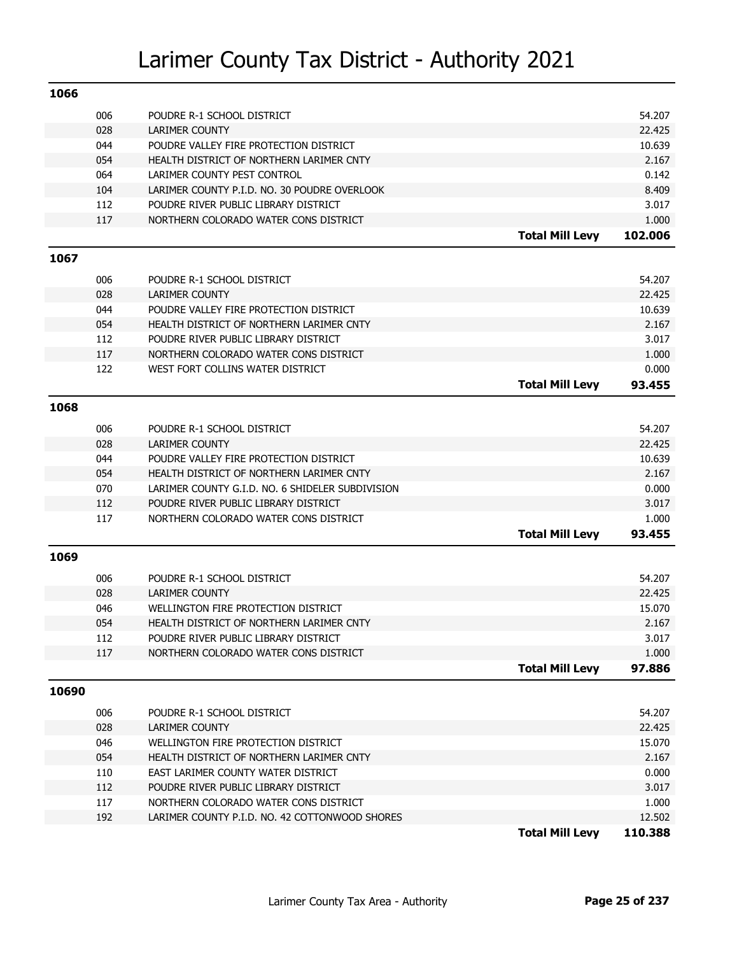| 1066  |     |                                                  |                        |         |
|-------|-----|--------------------------------------------------|------------------------|---------|
|       | 006 | POUDRE R-1 SCHOOL DISTRICT                       |                        | 54.207  |
|       | 028 | LARIMER COUNTY                                   |                        | 22.425  |
|       | 044 | POUDRE VALLEY FIRE PROTECTION DISTRICT           |                        | 10.639  |
|       | 054 | HEALTH DISTRICT OF NORTHERN LARIMER CNTY         |                        | 2.167   |
|       | 064 | LARIMER COUNTY PEST CONTROL                      |                        | 0.142   |
|       | 104 | LARIMER COUNTY P.I.D. NO. 30 POUDRE OVERLOOK     |                        | 8.409   |
|       | 112 | POUDRE RIVER PUBLIC LIBRARY DISTRICT             |                        | 3.017   |
|       | 117 | NORTHERN COLORADO WATER CONS DISTRICT            |                        | 1.000   |
|       |     |                                                  | <b>Total Mill Levy</b> | 102.006 |
| 1067  |     |                                                  |                        |         |
|       | 006 | POUDRE R-1 SCHOOL DISTRICT                       |                        | 54.207  |
|       | 028 | <b>LARIMER COUNTY</b>                            |                        | 22.425  |
|       | 044 | POUDRE VALLEY FIRE PROTECTION DISTRICT           |                        | 10.639  |
|       | 054 | HEALTH DISTRICT OF NORTHERN LARIMER CNTY         |                        | 2.167   |
|       | 112 | POUDRE RIVER PUBLIC LIBRARY DISTRICT             |                        | 3.017   |
|       | 117 | NORTHERN COLORADO WATER CONS DISTRICT            |                        | 1.000   |
|       | 122 | WEST FORT COLLINS WATER DISTRICT                 |                        | 0.000   |
|       |     |                                                  | <b>Total Mill Levy</b> | 93.455  |
| 1068  |     |                                                  |                        |         |
|       | 006 | POUDRE R-1 SCHOOL DISTRICT                       |                        | 54.207  |
|       | 028 | <b>LARIMER COUNTY</b>                            |                        | 22.425  |
|       | 044 | POUDRE VALLEY FIRE PROTECTION DISTRICT           |                        | 10.639  |
|       | 054 | HEALTH DISTRICT OF NORTHERN LARIMER CNTY         |                        | 2.167   |
|       | 070 | LARIMER COUNTY G.I.D. NO. 6 SHIDELER SUBDIVISION |                        | 0.000   |
|       | 112 | POUDRE RIVER PUBLIC LIBRARY DISTRICT             |                        | 3.017   |
|       | 117 | NORTHERN COLORADO WATER CONS DISTRICT            |                        | 1.000   |
|       |     |                                                  | <b>Total Mill Levy</b> | 93.455  |
| 1069  |     |                                                  |                        |         |
|       | 006 | POUDRE R-1 SCHOOL DISTRICT                       |                        | 54.207  |
|       | 028 | <b>LARIMER COUNTY</b>                            |                        | 22.425  |
|       | 046 | WELLINGTON FIRE PROTECTION DISTRICT              |                        | 15.070  |
|       | 054 | HEALTH DISTRICT OF NORTHERN LARIMER CNTY         |                        | 2.167   |
|       | 112 | POUDRE RIVER PUBLIC LIBRARY DISTRICT             |                        | 3.017   |
|       | 117 | NORTHERN COLORADO WATER CONS DISTRICT            |                        | 1.000   |
|       |     |                                                  | <b>Total Mill Levy</b> | 97.886  |
| 10690 |     |                                                  |                        |         |
|       | 006 | POUDRE R-1 SCHOOL DISTRICT                       |                        | 54.207  |
|       | 028 | LARIMER COUNTY                                   |                        | 22.425  |
|       | 046 | WELLINGTON FIRE PROTECTION DISTRICT              |                        | 15.070  |
|       | 054 | HEALTH DISTRICT OF NORTHERN LARIMER CNTY         |                        | 2.167   |
|       | 110 | EAST LARIMER COUNTY WATER DISTRICT               |                        | 0.000   |
|       | 112 | POUDRE RIVER PUBLIC LIBRARY DISTRICT             |                        | 3.017   |
|       | 117 | NORTHERN COLORADO WATER CONS DISTRICT            |                        | 1.000   |
|       | 192 | LARIMER COUNTY P.I.D. NO. 42 COTTONWOOD SHORES   |                        | 12.502  |
|       |     |                                                  | <b>Total Mill Levy</b> | 110.388 |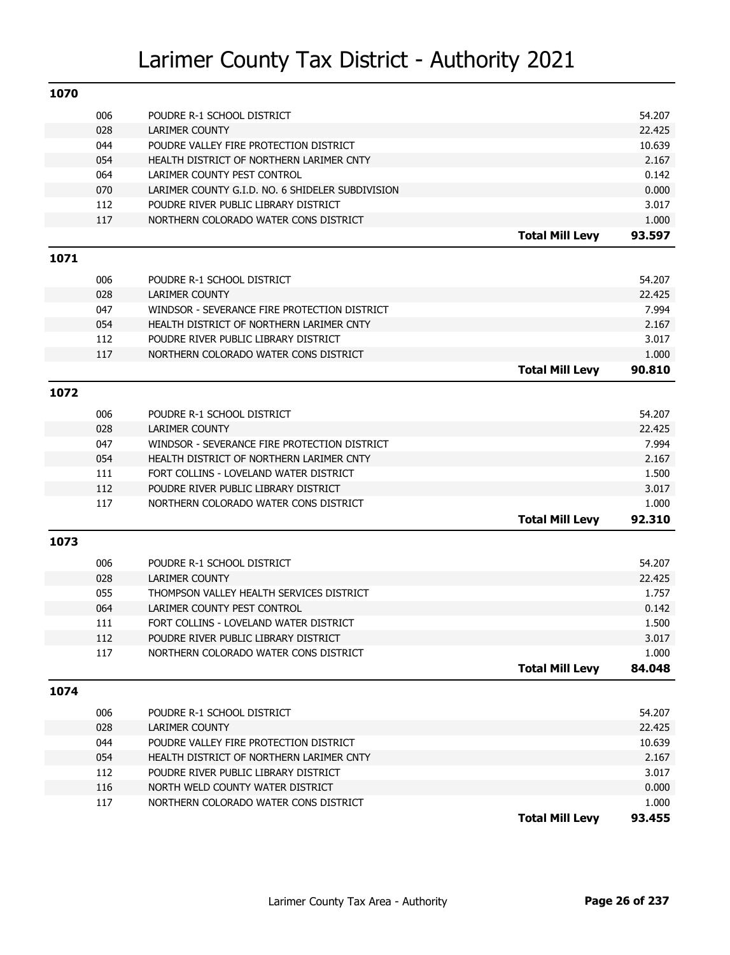| 1070 |     |                                                  |                        |                 |
|------|-----|--------------------------------------------------|------------------------|-----------------|
|      | 006 | POUDRE R-1 SCHOOL DISTRICT                       |                        | 54.207          |
|      | 028 | <b>LARIMER COUNTY</b>                            |                        | 22.425          |
|      | 044 | POUDRE VALLEY FIRE PROTECTION DISTRICT           |                        | 10.639          |
|      | 054 | HEALTH DISTRICT OF NORTHERN LARIMER CNTY         |                        | 2.167           |
|      | 064 | LARIMER COUNTY PEST CONTROL                      |                        | 0.142           |
|      | 070 | LARIMER COUNTY G.I.D. NO. 6 SHIDELER SUBDIVISION |                        | 0.000           |
|      | 112 | POUDRE RIVER PUBLIC LIBRARY DISTRICT             |                        | 3.017           |
|      | 117 | NORTHERN COLORADO WATER CONS DISTRICT            |                        | 1.000           |
|      |     |                                                  | <b>Total Mill Levy</b> | 93.597          |
| 1071 |     |                                                  |                        |                 |
|      | 006 | POUDRE R-1 SCHOOL DISTRICT                       |                        | 54.207          |
|      | 028 | <b>LARIMER COUNTY</b>                            |                        | 22.425          |
|      | 047 | WINDSOR - SEVERANCE FIRE PROTECTION DISTRICT     |                        | 7.994           |
|      | 054 | HEALTH DISTRICT OF NORTHERN LARIMER CNTY         |                        | 2.167           |
|      | 112 | POUDRE RIVER PUBLIC LIBRARY DISTRICT             |                        | 3.017           |
|      | 117 | NORTHERN COLORADO WATER CONS DISTRICT            |                        | 1.000           |
|      |     |                                                  | <b>Total Mill Levy</b> | 90.810          |
| 1072 |     |                                                  |                        |                 |
|      |     |                                                  |                        |                 |
|      | 006 | POUDRE R-1 SCHOOL DISTRICT                       |                        | 54.207          |
|      | 028 | <b>LARIMER COUNTY</b>                            |                        | 22.425          |
|      | 047 | WINDSOR - SEVERANCE FIRE PROTECTION DISTRICT     |                        | 7.994           |
|      | 054 | HEALTH DISTRICT OF NORTHERN LARIMER CNTY         |                        | 2.167           |
|      | 111 | FORT COLLINS - LOVELAND WATER DISTRICT           |                        | 1.500           |
|      | 112 | POUDRE RIVER PUBLIC LIBRARY DISTRICT             |                        | 3.017           |
|      | 117 | NORTHERN COLORADO WATER CONS DISTRICT            | <b>Total Mill Levy</b> | 1.000<br>92.310 |
|      |     |                                                  |                        |                 |
| 1073 |     |                                                  |                        |                 |
|      | 006 | POUDRE R-1 SCHOOL DISTRICT                       |                        | 54.207          |
|      | 028 | <b>LARIMER COUNTY</b>                            |                        | 22.425          |
|      | 055 | THOMPSON VALLEY HEALTH SERVICES DISTRICT         |                        | 1.757           |
|      | 064 | LARIMER COUNTY PEST CONTROL                      |                        | 0.142           |
|      | 111 | FORT COLLINS - LOVELAND WATER DISTRICT           |                        | 1.500           |
|      | 112 | POUDRE RIVER PUBLIC LIBRARY DISTRICT             |                        | 3.017           |
|      | 117 | NORTHERN COLORADO WATER CONS DISTRICT            |                        | 1.000           |
|      |     |                                                  | <b>Total Mill Levy</b> | 84.048          |
| 1074 |     |                                                  |                        |                 |
|      | 006 | POUDRE R-1 SCHOOL DISTRICT                       |                        | 54.207          |
|      | 028 | <b>LARIMER COUNTY</b>                            |                        | 22.425          |
|      | 044 | POUDRE VALLEY FIRE PROTECTION DISTRICT           |                        | 10.639          |
|      | 054 | HEALTH DISTRICT OF NORTHERN LARIMER CNTY         |                        | 2.167           |
|      | 112 | POUDRE RIVER PUBLIC LIBRARY DISTRICT             |                        | 3.017           |
|      | 116 | NORTH WELD COUNTY WATER DISTRICT                 |                        | 0.000           |
|      | 117 | NORTHERN COLORADO WATER CONS DISTRICT            |                        | 1.000           |
|      |     |                                                  | <b>Total Mill Levy</b> | 93.455          |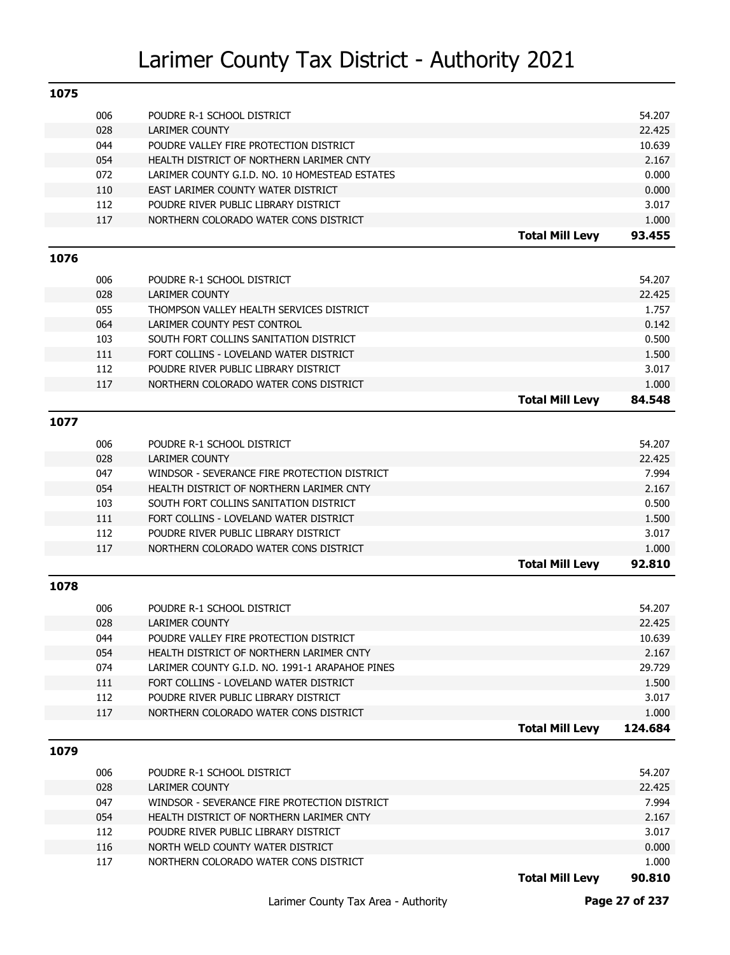| 1075 |     |                                                 |                        |                 |
|------|-----|-------------------------------------------------|------------------------|-----------------|
|      | 006 | POUDRE R-1 SCHOOL DISTRICT                      |                        | 54.207          |
|      | 028 | LARIMER COUNTY                                  |                        | 22.425          |
|      | 044 | POUDRE VALLEY FIRE PROTECTION DISTRICT          |                        | 10.639          |
|      | 054 | HEALTH DISTRICT OF NORTHERN LARIMER CNTY        |                        | 2.167           |
|      | 072 | LARIMER COUNTY G.I.D. NO. 10 HOMESTEAD ESTATES  |                        | 0.000           |
|      | 110 | EAST LARIMER COUNTY WATER DISTRICT              |                        | 0.000           |
|      | 112 | POUDRE RIVER PUBLIC LIBRARY DISTRICT            |                        | 3.017           |
|      | 117 | NORTHERN COLORADO WATER CONS DISTRICT           |                        | 1.000           |
|      |     |                                                 | <b>Total Mill Levy</b> | 93.455          |
| 1076 |     |                                                 |                        |                 |
|      | 006 | POUDRE R-1 SCHOOL DISTRICT                      |                        | 54.207          |
|      | 028 | <b>LARIMER COUNTY</b>                           |                        | 22.425          |
|      | 055 | THOMPSON VALLEY HEALTH SERVICES DISTRICT        |                        | 1.757           |
|      | 064 | LARIMER COUNTY PEST CONTROL                     |                        | 0.142           |
|      | 103 | SOUTH FORT COLLINS SANITATION DISTRICT          |                        | 0.500           |
|      | 111 | FORT COLLINS - LOVELAND WATER DISTRICT          |                        | 1.500           |
|      | 112 | POUDRE RIVER PUBLIC LIBRARY DISTRICT            |                        | 3.017           |
|      | 117 | NORTHERN COLORADO WATER CONS DISTRICT           |                        | 1.000           |
|      |     |                                                 | <b>Total Mill Levy</b> | 84.548          |
| 1077 |     |                                                 |                        |                 |
|      |     |                                                 |                        |                 |
|      | 006 | POUDRE R-1 SCHOOL DISTRICT                      |                        | 54.207          |
|      | 028 | <b>LARIMER COUNTY</b>                           |                        | 22.425          |
|      | 047 | WINDSOR - SEVERANCE FIRE PROTECTION DISTRICT    |                        | 7.994           |
|      | 054 | HEALTH DISTRICT OF NORTHERN LARIMER CNTY        |                        | 2.167           |
|      | 103 | SOUTH FORT COLLINS SANITATION DISTRICT          |                        | 0.500           |
|      | 111 | FORT COLLINS - LOVELAND WATER DISTRICT          |                        | 1.500           |
|      | 112 | POUDRE RIVER PUBLIC LIBRARY DISTRICT            |                        | 3.017           |
|      | 117 | NORTHERN COLORADO WATER CONS DISTRICT           | <b>Total Mill Levy</b> | 1.000<br>92.810 |
|      |     |                                                 |                        |                 |
| 1078 |     |                                                 |                        |                 |
|      | 006 | POUDRE R-1 SCHOOL DISTRICT                      |                        | 54.207          |
|      | 028 | <b>LARIMER COUNTY</b>                           |                        | 22.425          |
|      | 044 | POUDRE VALLEY FIRE PROTECTION DISTRICT          |                        | 10.639          |
|      | 054 | HEALTH DISTRICT OF NORTHERN LARIMER CNTY        |                        | 2.167           |
|      | 074 | LARIMER COUNTY G.I.D. NO. 1991-1 ARAPAHOE PINES |                        | 29.729          |
|      | 111 | FORT COLLINS - LOVELAND WATER DISTRICT          |                        | 1.500           |
|      | 112 | POUDRE RIVER PUBLIC LIBRARY DISTRICT            |                        | 3.017           |
|      | 117 | NORTHERN COLORADO WATER CONS DISTRICT           |                        | 1.000           |
|      |     |                                                 | <b>Total Mill Levy</b> | 124.684         |
| 1079 |     |                                                 |                        |                 |
|      | 006 | POUDRE R-1 SCHOOL DISTRICT                      |                        | 54.207          |
|      | 028 | LARIMER COUNTY                                  |                        | 22.425          |
|      | 047 | WINDSOR - SEVERANCE FIRE PROTECTION DISTRICT    |                        | 7.994           |
|      | 054 | HEALTH DISTRICT OF NORTHERN LARIMER CNTY        |                        | 2.167           |
|      | 112 | POUDRE RIVER PUBLIC LIBRARY DISTRICT            |                        | 3.017           |
|      | 116 | NORTH WELD COUNTY WATER DISTRICT                |                        | 0.000           |
|      | 117 | NORTHERN COLORADO WATER CONS DISTRICT           |                        | 1.000           |
|      |     |                                                 | <b>Total Mill Levy</b> | 90.810          |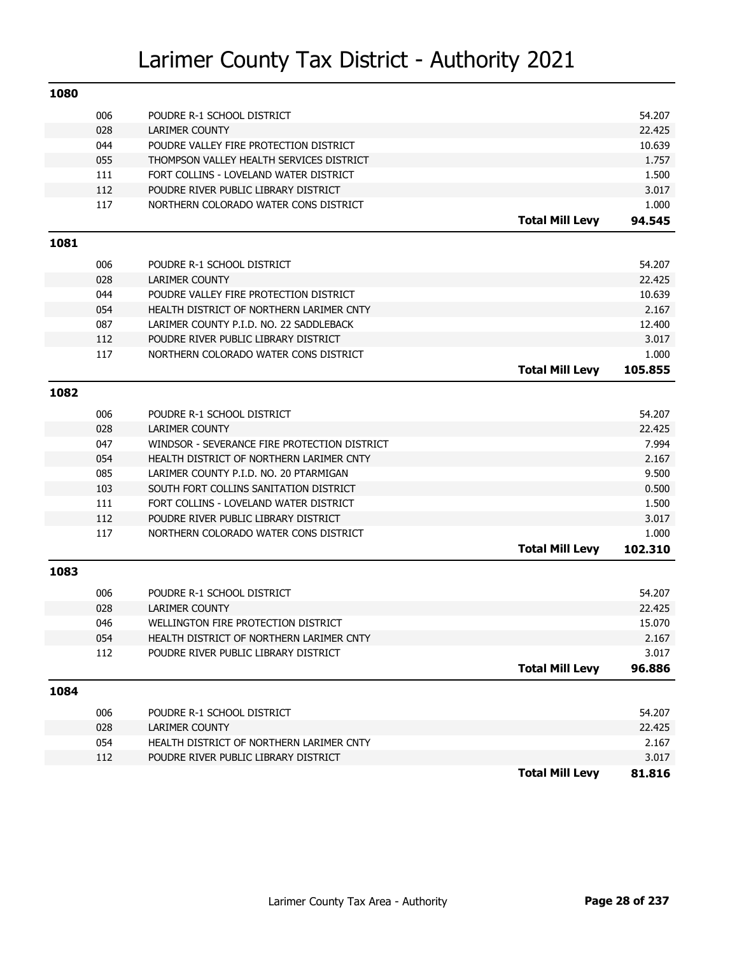| 1080 |     |                                              |                        |         |
|------|-----|----------------------------------------------|------------------------|---------|
|      | 006 | POUDRE R-1 SCHOOL DISTRICT                   |                        | 54.207  |
|      | 028 | <b>LARIMER COUNTY</b>                        |                        | 22.425  |
|      | 044 | POUDRE VALLEY FIRE PROTECTION DISTRICT       |                        | 10.639  |
|      | 055 | THOMPSON VALLEY HEALTH SERVICES DISTRICT     |                        | 1.757   |
|      | 111 | FORT COLLINS - LOVELAND WATER DISTRICT       |                        | 1.500   |
|      | 112 | POUDRE RIVER PUBLIC LIBRARY DISTRICT         |                        | 3.017   |
|      | 117 | NORTHERN COLORADO WATER CONS DISTRICT        |                        | 1.000   |
|      |     |                                              | <b>Total Mill Levy</b> | 94.545  |
| 1081 |     |                                              |                        |         |
|      | 006 | POUDRE R-1 SCHOOL DISTRICT                   |                        | 54.207  |
|      | 028 | <b>LARIMER COUNTY</b>                        |                        | 22.425  |
|      | 044 | POUDRE VALLEY FIRE PROTECTION DISTRICT       |                        | 10.639  |
|      | 054 | HEALTH DISTRICT OF NORTHERN LARIMER CNTY     |                        | 2.167   |
|      | 087 | LARIMER COUNTY P.I.D. NO. 22 SADDLEBACK      |                        | 12.400  |
|      | 112 | POUDRE RIVER PUBLIC LIBRARY DISTRICT         |                        | 3.017   |
|      | 117 | NORTHERN COLORADO WATER CONS DISTRICT        |                        | 1.000   |
|      |     |                                              | <b>Total Mill Levy</b> | 105.855 |
| 1082 |     |                                              |                        |         |
|      | 006 | POUDRE R-1 SCHOOL DISTRICT                   |                        | 54.207  |
|      | 028 | <b>LARIMER COUNTY</b>                        |                        | 22.425  |
|      | 047 | WINDSOR - SEVERANCE FIRE PROTECTION DISTRICT |                        | 7.994   |
|      | 054 | HEALTH DISTRICT OF NORTHERN LARIMER CNTY     |                        | 2.167   |
|      | 085 | LARIMER COUNTY P.I.D. NO. 20 PTARMIGAN       |                        | 9.500   |
|      | 103 | SOUTH FORT COLLINS SANITATION DISTRICT       |                        | 0.500   |
|      | 111 | FORT COLLINS - LOVELAND WATER DISTRICT       |                        | 1.500   |
|      | 112 | POUDRE RIVER PUBLIC LIBRARY DISTRICT         |                        | 3.017   |
|      | 117 | NORTHERN COLORADO WATER CONS DISTRICT        |                        | 1.000   |
|      |     |                                              | <b>Total Mill Levy</b> | 102.310 |
| 1083 |     |                                              |                        |         |
|      | 006 | POUDRE R-1 SCHOOL DISTRICT                   |                        | 54.207  |
|      | 028 | <b>LARIMER COUNTY</b>                        |                        | 22.425  |
|      | 046 | WELLINGTON FIRE PROTECTION DISTRICT          |                        | 15.070  |
|      | 054 | HEALTH DISTRICT OF NORTHERN LARIMER CNTY     |                        | 2.167   |
|      | 112 | POUDRE RIVER PUBLIC LIBRARY DISTRICT         |                        | 3.017   |
|      |     |                                              | <b>Total Mill Levy</b> | 96.886  |
| 1084 |     |                                              |                        |         |
|      | 006 | POUDRE R-1 SCHOOL DISTRICT                   |                        | 54.207  |
|      | 028 | <b>LARIMER COUNTY</b>                        |                        | 22.425  |
|      | 054 | HEALTH DISTRICT OF NORTHERN LARIMER CNTY     |                        | 2.167   |
|      | 112 | POUDRE RIVER PUBLIC LIBRARY DISTRICT         |                        | 3.017   |
|      |     |                                              | <b>Total Mill Levy</b> | 81.816  |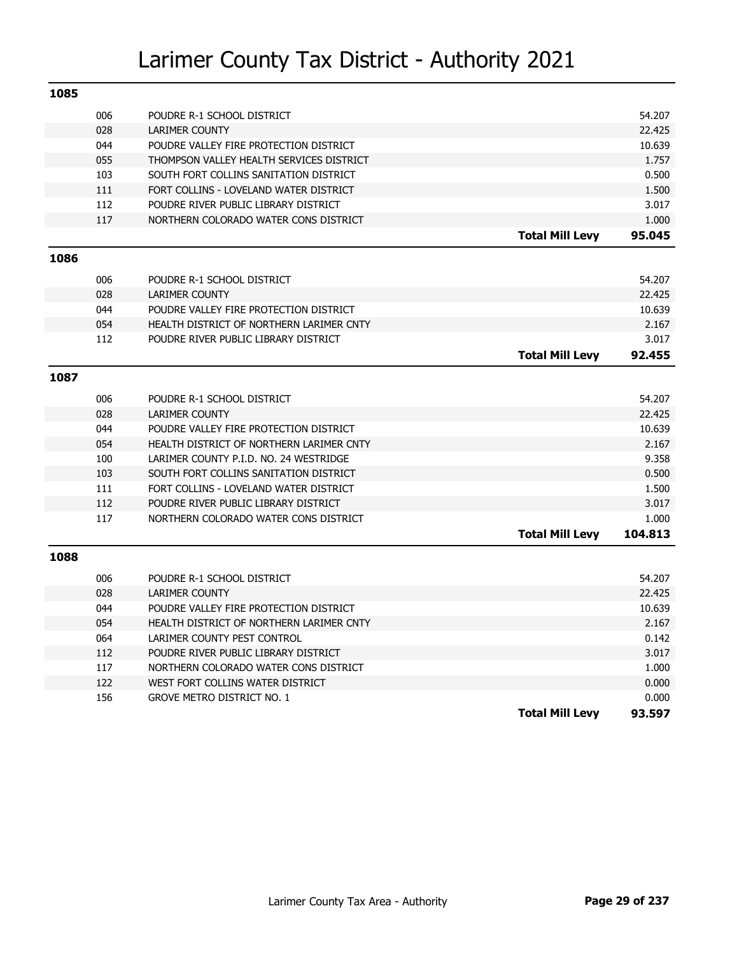| 1085 |     |                                          |                        |         |
|------|-----|------------------------------------------|------------------------|---------|
|      | 006 | POUDRE R-1 SCHOOL DISTRICT               |                        | 54.207  |
|      | 028 | <b>LARIMER COUNTY</b>                    |                        | 22.425  |
|      | 044 | POUDRE VALLEY FIRE PROTECTION DISTRICT   |                        | 10.639  |
|      | 055 | THOMPSON VALLEY HEALTH SERVICES DISTRICT |                        | 1.757   |
|      | 103 | SOUTH FORT COLLINS SANITATION DISTRICT   |                        | 0.500   |
|      | 111 | FORT COLLINS - LOVELAND WATER DISTRICT   |                        | 1.500   |
|      | 112 | POUDRE RIVER PUBLIC LIBRARY DISTRICT     |                        | 3.017   |
|      | 117 | NORTHERN COLORADO WATER CONS DISTRICT    |                        | 1.000   |
|      |     |                                          | <b>Total Mill Levy</b> | 95.045  |
| 1086 |     |                                          |                        |         |
|      | 006 | POUDRE R-1 SCHOOL DISTRICT               |                        | 54.207  |
|      | 028 | <b>LARIMER COUNTY</b>                    |                        | 22.425  |
|      | 044 | POUDRE VALLEY FIRE PROTECTION DISTRICT   |                        | 10.639  |
|      | 054 | HEALTH DISTRICT OF NORTHERN LARIMER CNTY |                        | 2.167   |
|      | 112 | POUDRE RIVER PUBLIC LIBRARY DISTRICT     |                        | 3.017   |
|      |     |                                          | <b>Total Mill Levy</b> | 92.455  |
| 1087 |     |                                          |                        |         |
|      | 006 | POUDRE R-1 SCHOOL DISTRICT               |                        | 54.207  |
|      | 028 | <b>LARIMER COUNTY</b>                    |                        | 22.425  |
|      | 044 | POUDRE VALLEY FIRE PROTECTION DISTRICT   |                        | 10.639  |
|      | 054 | HEALTH DISTRICT OF NORTHERN LARIMER CNTY |                        | 2.167   |
|      | 100 | LARIMER COUNTY P.I.D. NO. 24 WESTRIDGE   |                        | 9.358   |
|      | 103 | SOUTH FORT COLLINS SANITATION DISTRICT   |                        | 0.500   |
|      | 111 | FORT COLLINS - LOVELAND WATER DISTRICT   |                        | 1.500   |
|      | 112 | POUDRE RIVER PUBLIC LIBRARY DISTRICT     |                        | 3.017   |
|      | 117 | NORTHERN COLORADO WATER CONS DISTRICT    |                        | 1.000   |
|      |     |                                          | <b>Total Mill Levy</b> | 104.813 |
| 1088 |     |                                          |                        |         |
|      | 006 | POUDRE R-1 SCHOOL DISTRICT               |                        | 54.207  |
|      | 028 | <b>LARIMER COUNTY</b>                    |                        | 22.425  |
|      | 044 | POUDRE VALLEY FIRE PROTECTION DISTRICT   |                        | 10.639  |
|      | 054 | HEALTH DISTRICT OF NORTHERN LARIMER CNTY |                        | 2.167   |
|      | 064 | LARIMER COUNTY PEST CONTROL              |                        | 0.142   |
|      | 112 | POUDRE RIVER PUBLIC LIBRARY DISTRICT     |                        | 3.017   |
|      | 117 | NORTHERN COLORADO WATER CONS DISTRICT    |                        | 1.000   |
|      | 122 | WEST FORT COLLINS WATER DISTRICT         |                        | 0.000   |
|      | 156 | <b>GROVE METRO DISTRICT NO. 1</b>        |                        | 0.000   |
|      |     |                                          | <b>Total Mill Levy</b> | 93.597  |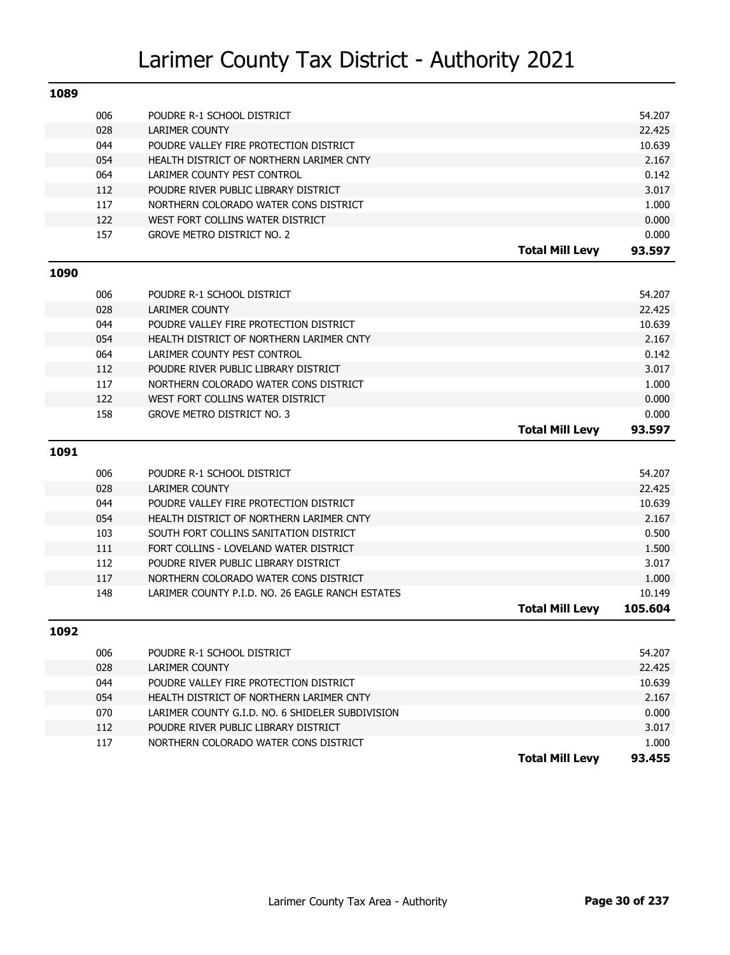| 1089 |     |                                                  |                        |         |
|------|-----|--------------------------------------------------|------------------------|---------|
|      | 006 | POUDRE R-1 SCHOOL DISTRICT                       |                        | 54.207  |
|      | 028 | <b>LARIMER COUNTY</b>                            |                        | 22.425  |
|      | 044 | POUDRE VALLEY FIRE PROTECTION DISTRICT           |                        | 10.639  |
|      | 054 | HEALTH DISTRICT OF NORTHERN LARIMER CNTY         |                        | 2.167   |
|      | 064 | LARIMER COUNTY PEST CONTROL                      |                        | 0.142   |
|      | 112 | POUDRE RIVER PUBLIC LIBRARY DISTRICT             |                        | 3.017   |
|      | 117 | NORTHERN COLORADO WATER CONS DISTRICT            |                        | 1.000   |
|      | 122 | WEST FORT COLLINS WATER DISTRICT                 |                        | 0.000   |
|      | 157 | <b>GROVE METRO DISTRICT NO. 2</b>                |                        | 0.000   |
|      |     |                                                  | <b>Total Mill Levy</b> | 93.597  |
| 1090 |     |                                                  |                        |         |
|      | 006 | POUDRE R-1 SCHOOL DISTRICT                       |                        | 54.207  |
|      | 028 | <b>LARIMER COUNTY</b>                            |                        | 22.425  |
|      | 044 | POUDRE VALLEY FIRE PROTECTION DISTRICT           |                        | 10.639  |
|      | 054 | HEALTH DISTRICT OF NORTHERN LARIMER CNTY         |                        | 2.167   |
|      | 064 | LARIMER COUNTY PEST CONTROL                      |                        | 0.142   |
|      | 112 | POUDRE RIVER PUBLIC LIBRARY DISTRICT             |                        | 3.017   |
|      | 117 | NORTHERN COLORADO WATER CONS DISTRICT            |                        | 1.000   |
|      | 122 | WEST FORT COLLINS WATER DISTRICT                 |                        | 0.000   |
|      | 158 | <b>GROVE METRO DISTRICT NO. 3</b>                |                        | 0.000   |
|      |     |                                                  |                        |         |
|      |     |                                                  | <b>Total Mill Levy</b> | 93.597  |
| 1091 |     |                                                  |                        |         |
|      | 006 | POUDRE R-1 SCHOOL DISTRICT                       |                        | 54.207  |
|      | 028 | <b>LARIMER COUNTY</b>                            |                        | 22.425  |
|      | 044 | POUDRE VALLEY FIRE PROTECTION DISTRICT           |                        | 10.639  |
|      | 054 | HEALTH DISTRICT OF NORTHERN LARIMER CNTY         |                        | 2.167   |
|      | 103 | SOUTH FORT COLLINS SANITATION DISTRICT           |                        | 0.500   |
|      | 111 | FORT COLLINS - LOVELAND WATER DISTRICT           |                        | 1.500   |
|      | 112 | POUDRE RIVER PUBLIC LIBRARY DISTRICT             |                        | 3.017   |
|      | 117 | NORTHERN COLORADO WATER CONS DISTRICT            |                        | 1.000   |
|      | 148 | LARIMER COUNTY P.I.D. NO. 26 EAGLE RANCH ESTATES |                        | 10.149  |
|      |     |                                                  | <b>Total Mill Levy</b> | 105.604 |
| 1092 |     |                                                  |                        |         |
|      | 006 | POUDRE R-1 SCHOOL DISTRICT                       |                        | 54.207  |
|      | 028 | <b>LARIMER COUNTY</b>                            |                        | 22.425  |
|      | 044 | POUDRE VALLEY FIRE PROTECTION DISTRICT           |                        | 10.639  |
|      | 054 | HEALTH DISTRICT OF NORTHERN LARIMER CNTY         |                        | 2.167   |
|      | 070 | LARIMER COUNTY G.I.D. NO. 6 SHIDELER SUBDIVISION |                        | 0.000   |
|      | 112 | POUDRE RIVER PUBLIC LIBRARY DISTRICT             |                        | 3.017   |
|      | 117 | NORTHERN COLORADO WATER CONS DISTRICT            |                        | 1.000   |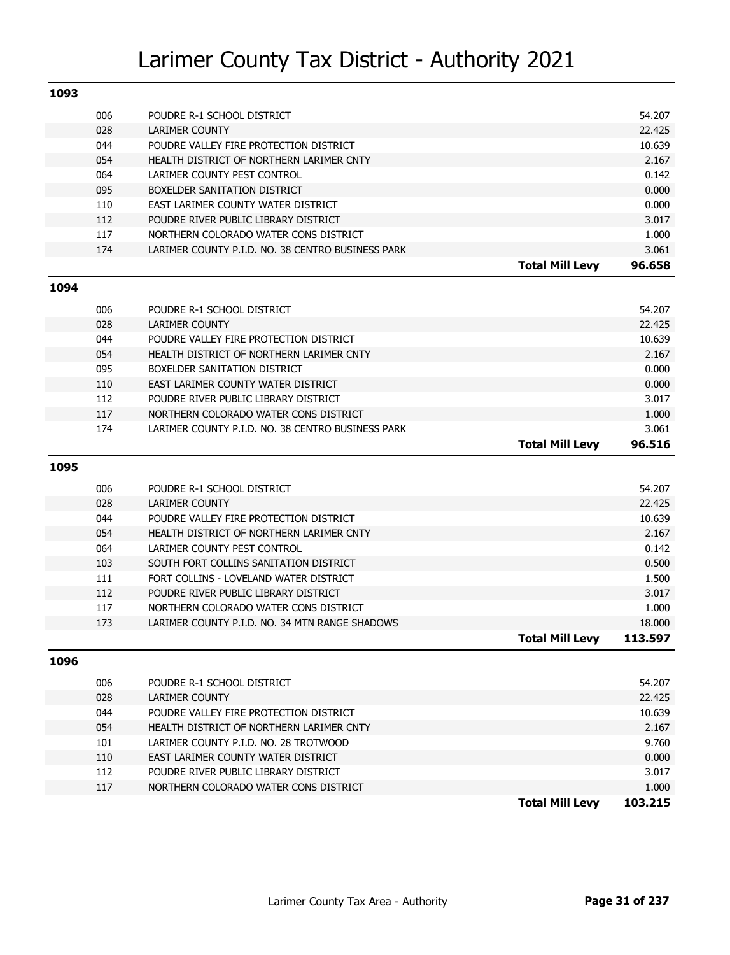| 1093 |     |                                                   |                        |                   |
|------|-----|---------------------------------------------------|------------------------|-------------------|
|      | 006 | POUDRE R-1 SCHOOL DISTRICT                        |                        | 54.207            |
|      | 028 | <b>LARIMER COUNTY</b>                             |                        | 22.425            |
|      | 044 | POUDRE VALLEY FIRE PROTECTION DISTRICT            |                        | 10.639            |
|      | 054 | HEALTH DISTRICT OF NORTHERN LARIMER CNTY          |                        | 2.167             |
|      | 064 | LARIMER COUNTY PEST CONTROL                       |                        | 0.142             |
|      | 095 | BOXELDER SANITATION DISTRICT                      |                        | 0.000             |
|      | 110 | EAST LARIMER COUNTY WATER DISTRICT                |                        | 0.000             |
|      | 112 | POUDRE RIVER PUBLIC LIBRARY DISTRICT              |                        | 3.017             |
|      | 117 | NORTHERN COLORADO WATER CONS DISTRICT             |                        | 1.000             |
|      | 174 | LARIMER COUNTY P.I.D. NO. 38 CENTRO BUSINESS PARK |                        | 3.061             |
|      |     |                                                   | <b>Total Mill Levy</b> | 96.658            |
| 1094 |     |                                                   |                        |                   |
|      | 006 | POUDRE R-1 SCHOOL DISTRICT                        |                        | 54.207            |
|      | 028 | <b>LARIMER COUNTY</b>                             |                        | 22.425            |
|      | 044 | POUDRE VALLEY FIRE PROTECTION DISTRICT            |                        | 10.639            |
|      | 054 | HEALTH DISTRICT OF NORTHERN LARIMER CNTY          |                        | 2.167             |
|      | 095 | BOXELDER SANITATION DISTRICT                      |                        | 0.000             |
|      | 110 | EAST LARIMER COUNTY WATER DISTRICT                |                        | 0.000             |
|      | 112 | POUDRE RIVER PUBLIC LIBRARY DISTRICT              |                        | 3.017             |
|      | 117 | NORTHERN COLORADO WATER CONS DISTRICT             |                        | 1.000             |
|      | 174 | LARIMER COUNTY P.I.D. NO. 38 CENTRO BUSINESS PARK |                        | 3.061             |
|      |     |                                                   | <b>Total Mill Levy</b> | 96.516            |
| 1095 |     |                                                   |                        |                   |
|      |     |                                                   |                        |                   |
|      | 006 | POUDRE R-1 SCHOOL DISTRICT                        |                        | 54.207            |
|      | 028 | <b>LARIMER COUNTY</b>                             |                        | 22.425            |
|      | 044 | POUDRE VALLEY FIRE PROTECTION DISTRICT            |                        | 10.639            |
|      | 054 | HEALTH DISTRICT OF NORTHERN LARIMER CNTY          |                        | 2.167             |
|      | 064 | LARIMER COUNTY PEST CONTROL                       |                        | 0.142             |
|      | 103 | SOUTH FORT COLLINS SANITATION DISTRICT            |                        | 0.500             |
|      | 111 | FORT COLLINS - LOVELAND WATER DISTRICT            |                        | 1.500             |
|      | 112 | POUDRE RIVER PUBLIC LIBRARY DISTRICT              |                        | 3.017             |
|      | 117 | NORTHERN COLORADO WATER CONS DISTRICT             |                        | 1.000             |
|      | 173 | LARIMER COUNTY P.I.D. NO. 34 MTN RANGE SHADOWS    | <b>Total Mill Levy</b> | 18.000<br>113.597 |
|      |     |                                                   |                        |                   |
| 1096 |     |                                                   |                        |                   |
|      | 006 | POUDRE R-1 SCHOOL DISTRICT                        |                        | 54.207            |
|      | 028 | <b>LARIMER COUNTY</b>                             |                        | 22.425            |
|      | 044 | POUDRE VALLEY FIRE PROTECTION DISTRICT            |                        | 10.639            |
|      | 054 | HEALTH DISTRICT OF NORTHERN LARIMER CNTY          |                        | 2.167             |
|      | 101 | LARIMER COUNTY P.I.D. NO. 28 TROTWOOD             |                        | 9.760             |
|      | 110 | EAST LARIMER COUNTY WATER DISTRICT                |                        | 0.000             |
|      | 112 | POUDRE RIVER PUBLIC LIBRARY DISTRICT              |                        | 3.017             |
|      | 117 | NORTHERN COLORADO WATER CONS DISTRICT             |                        | 1.000             |
|      |     |                                                   | <b>Total Mill Levy</b> | 103.215           |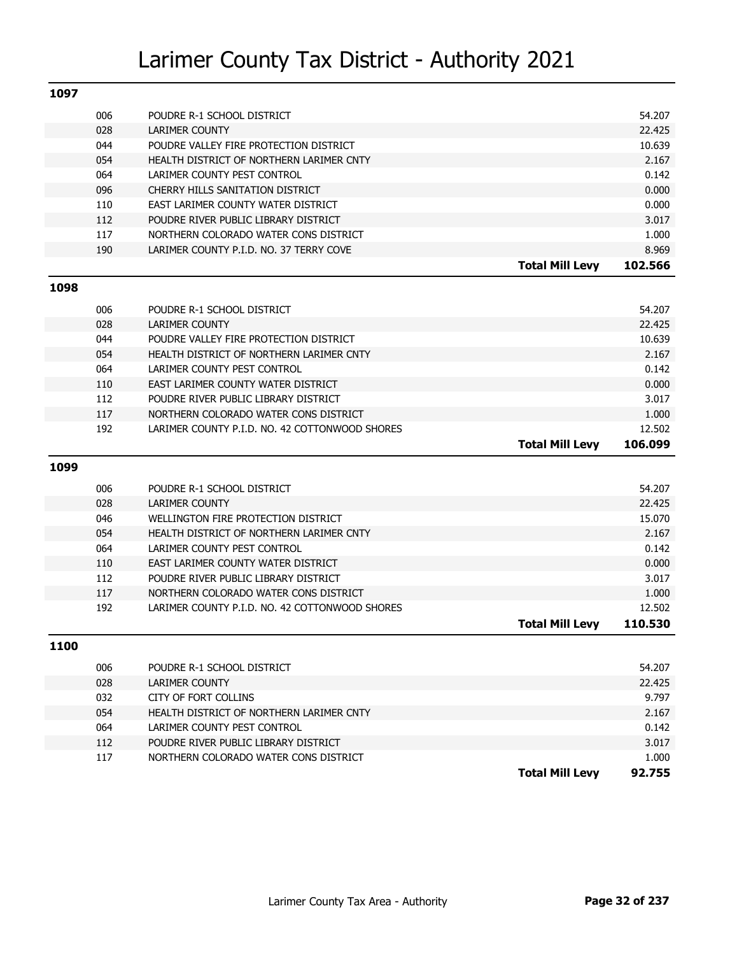| 1097 |            |                                                                               |                        |                 |
|------|------------|-------------------------------------------------------------------------------|------------------------|-----------------|
|      | 006        | POUDRE R-1 SCHOOL DISTRICT                                                    |                        | 54.207          |
|      | 028        | <b>LARIMER COUNTY</b>                                                         |                        | 22.425          |
|      | 044        | POUDRE VALLEY FIRE PROTECTION DISTRICT                                        |                        | 10.639          |
|      | 054        | HEALTH DISTRICT OF NORTHERN LARIMER CNTY                                      |                        | 2.167           |
|      | 064        | LARIMER COUNTY PEST CONTROL                                                   |                        | 0.142           |
|      | 096        | CHERRY HILLS SANITATION DISTRICT                                              |                        | 0.000           |
|      | 110        | EAST LARIMER COUNTY WATER DISTRICT                                            |                        | 0.000           |
|      | 112        | POUDRE RIVER PUBLIC LIBRARY DISTRICT                                          |                        | 3.017           |
|      | 117        | NORTHERN COLORADO WATER CONS DISTRICT                                         |                        | 1.000           |
|      | 190        | LARIMER COUNTY P.I.D. NO. 37 TERRY COVE                                       |                        | 8.969           |
|      |            |                                                                               | <b>Total Mill Levy</b> | 102.566         |
| 1098 |            |                                                                               |                        |                 |
|      |            |                                                                               |                        |                 |
|      | 006        | POUDRE R-1 SCHOOL DISTRICT                                                    |                        | 54.207          |
|      | 028        | <b>LARIMER COUNTY</b><br>POUDRE VALLEY FIRE PROTECTION DISTRICT               |                        | 22.425          |
|      | 044        |                                                                               |                        | 10.639          |
|      | 054        | HEALTH DISTRICT OF NORTHERN LARIMER CNTY                                      |                        | 2.167           |
|      | 064        | LARIMER COUNTY PEST CONTROL                                                   |                        | 0.142<br>0.000  |
|      | 110        | EAST LARIMER COUNTY WATER DISTRICT                                            |                        | 3.017           |
|      | 112<br>117 | POUDRE RIVER PUBLIC LIBRARY DISTRICT<br>NORTHERN COLORADO WATER CONS DISTRICT |                        | 1.000           |
|      | 192        | LARIMER COUNTY P.I.D. NO. 42 COTTONWOOD SHORES                                |                        | 12.502          |
|      |            |                                                                               |                        |                 |
|      |            |                                                                               |                        |                 |
|      |            |                                                                               | <b>Total Mill Levy</b> | 106.099         |
| 1099 |            |                                                                               |                        |                 |
|      | 006        | POUDRE R-1 SCHOOL DISTRICT                                                    |                        | 54.207          |
|      | 028        | <b>LARIMER COUNTY</b>                                                         |                        | 22.425          |
|      | 046        | WELLINGTON FIRE PROTECTION DISTRICT                                           |                        | 15.070          |
|      | 054        | HEALTH DISTRICT OF NORTHERN LARIMER CNTY                                      |                        | 2.167           |
|      | 064        | LARIMER COUNTY PEST CONTROL                                                   |                        | 0.142           |
|      | 110        | EAST LARIMER COUNTY WATER DISTRICT                                            |                        | 0.000           |
|      | 112        | POUDRE RIVER PUBLIC LIBRARY DISTRICT                                          |                        | 3.017           |
|      | 117        | NORTHERN COLORADO WATER CONS DISTRICT                                         |                        | 1.000           |
|      | 192        | LARIMER COUNTY P.I.D. NO. 42 COTTONWOOD SHORES                                |                        | 12.502          |
|      |            |                                                                               | <b>Total Mill Levy</b> | 110.530         |
|      |            |                                                                               |                        |                 |
| 1100 |            |                                                                               |                        |                 |
|      | 006        | POUDRE R-1 SCHOOL DISTRICT                                                    |                        | 54.207          |
|      | 028        | <b>LARIMER COUNTY</b>                                                         |                        | 22.425          |
|      | 032        | CITY OF FORT COLLINS                                                          |                        | 9.797           |
|      | 054        | HEALTH DISTRICT OF NORTHERN LARIMER CNTY                                      |                        | 2.167           |
|      | 064        | LARIMER COUNTY PEST CONTROL                                                   |                        | 0.142           |
|      | 112        | POUDRE RIVER PUBLIC LIBRARY DISTRICT                                          |                        | 3.017           |
|      | 117        | NORTHERN COLORADO WATER CONS DISTRICT                                         | <b>Total Mill Levy</b> | 1.000<br>92.755 |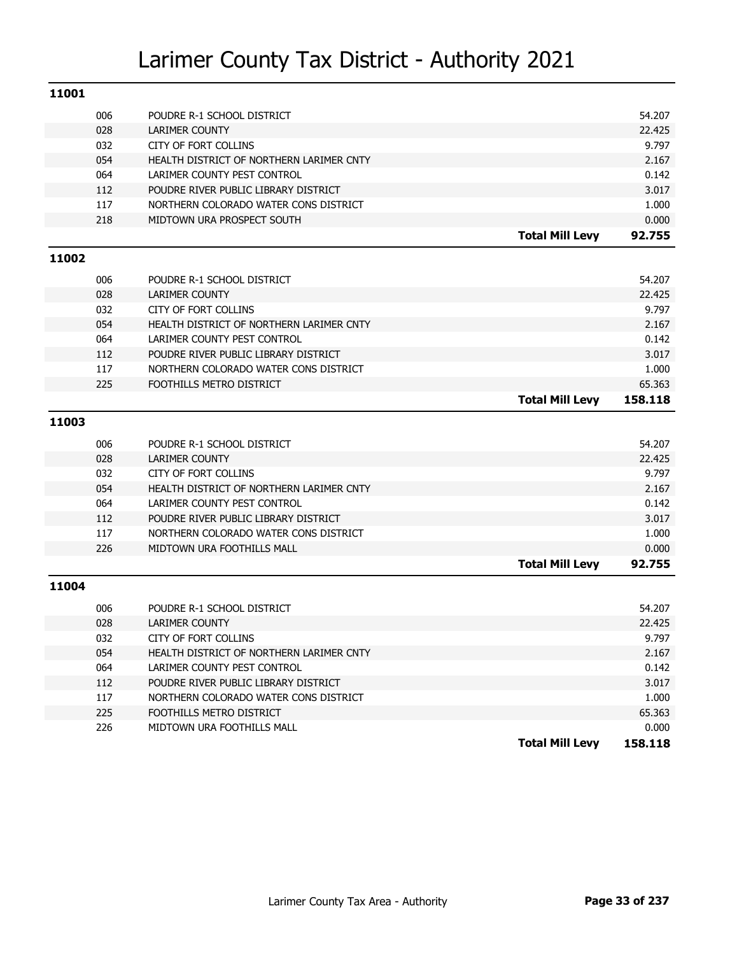| 11001 |     |                                          |                        |         |
|-------|-----|------------------------------------------|------------------------|---------|
|       | 006 | POUDRE R-1 SCHOOL DISTRICT               |                        | 54.207  |
|       | 028 | <b>LARIMER COUNTY</b>                    |                        | 22.425  |
|       | 032 | <b>CITY OF FORT COLLINS</b>              |                        | 9.797   |
|       | 054 | HEALTH DISTRICT OF NORTHERN LARIMER CNTY |                        | 2.167   |
|       | 064 | LARIMER COUNTY PEST CONTROL              |                        | 0.142   |
|       | 112 | POUDRE RIVER PUBLIC LIBRARY DISTRICT     |                        | 3.017   |
|       | 117 | NORTHERN COLORADO WATER CONS DISTRICT    |                        | 1.000   |
|       | 218 | MIDTOWN URA PROSPECT SOUTH               |                        | 0.000   |
|       |     |                                          | <b>Total Mill Levy</b> | 92.755  |
| 11002 |     |                                          |                        |         |
|       | 006 | POUDRE R-1 SCHOOL DISTRICT               |                        | 54.207  |
|       | 028 | <b>LARIMER COUNTY</b>                    |                        | 22.425  |
|       | 032 | <b>CITY OF FORT COLLINS</b>              |                        | 9.797   |
|       | 054 | HEALTH DISTRICT OF NORTHERN LARIMER CNTY |                        | 2.167   |
|       | 064 | LARIMER COUNTY PEST CONTROL              |                        | 0.142   |
|       | 112 | POUDRE RIVER PUBLIC LIBRARY DISTRICT     |                        | 3.017   |
|       | 117 | NORTHERN COLORADO WATER CONS DISTRICT    |                        | 1.000   |
|       | 225 | FOOTHILLS METRO DISTRICT                 |                        | 65.363  |
|       |     |                                          | <b>Total Mill Levy</b> | 158.118 |
| 11003 |     |                                          |                        |         |
|       | 006 | POUDRE R-1 SCHOOL DISTRICT               |                        | 54.207  |
|       | 028 | <b>LARIMER COUNTY</b>                    |                        | 22.425  |
|       | 032 | <b>CITY OF FORT COLLINS</b>              |                        | 9.797   |
|       | 054 | HEALTH DISTRICT OF NORTHERN LARIMER CNTY |                        | 2.167   |
|       | 064 | LARIMER COUNTY PEST CONTROL              |                        | 0.142   |
|       | 112 | POUDRE RIVER PUBLIC LIBRARY DISTRICT     |                        | 3.017   |
|       | 117 | NORTHERN COLORADO WATER CONS DISTRICT    |                        | 1.000   |
|       | 226 | MIDTOWN URA FOOTHILLS MALL               |                        | 0.000   |
|       |     |                                          | <b>Total Mill Levy</b> | 92.755  |
| 11004 |     |                                          |                        |         |
|       | 006 | POUDRE R-1 SCHOOL DISTRICT               |                        | 54.207  |
|       | 028 | <b>LARIMER COUNTY</b>                    |                        | 22.425  |
|       | 032 | CITY OF FORT COLLINS                     |                        | 9.797   |
|       | 054 | HEALTH DISTRICT OF NORTHERN LARIMER CNTY |                        | 2.167   |
|       | 064 | LARIMER COUNTY PEST CONTROL              |                        | 0.142   |
|       | 112 | POUDRE RIVER PUBLIC LIBRARY DISTRICT     |                        | 3.017   |
|       | 117 | NORTHERN COLORADO WATER CONS DISTRICT    |                        | 1.000   |
|       | 225 | FOOTHILLS METRO DISTRICT                 |                        | 65.363  |
|       |     |                                          |                        |         |
|       | 226 | MIDTOWN URA FOOTHILLS MALL               |                        | 0.000   |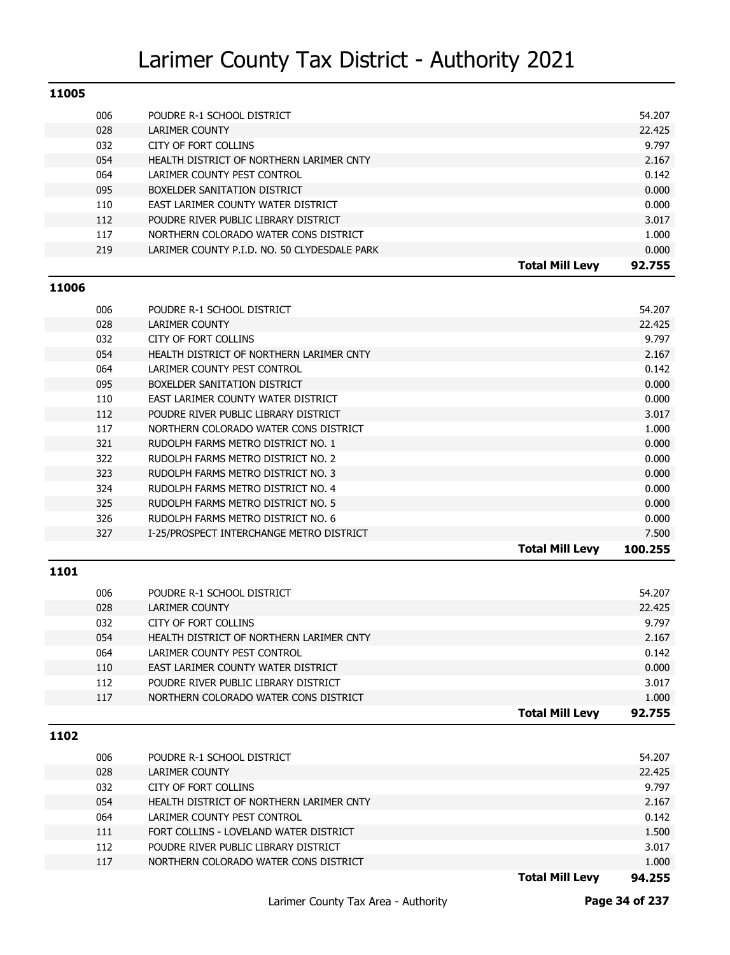| 11005 |     |                                              |        |
|-------|-----|----------------------------------------------|--------|
|       | 006 | POUDRE R-1 SCHOOL DISTRICT                   | 54.207 |
|       | 028 | LARIMER COUNTY                               | 22.425 |
|       | 032 | CITY OF FORT COLLINS                         | 9.797  |
|       | 054 | HEALTH DISTRICT OF NORTHERN LARIMER CNTY     | 2.167  |
|       | 064 | LARIMER COUNTY PEST CONTROL                  | 0.142  |
|       | 095 | BOXELDER SANITATION DISTRICT                 | 0.000  |
|       | 110 | EAST LARIMER COUNTY WATER DISTRICT           | 0.000  |
|       | 112 | POUDRE RIVER PUBLIC LIBRARY DISTRICT         | 3.017  |
|       | 117 | NORTHERN COLORADO WATER CONS DISTRICT        | 1.000  |
|       | 219 | LARIMER COUNTY P.I.D. NO. 50 CLYDESDALE PARK | 0.000  |
|       |     | <b>Total Mill Levy</b>                       | 92.755 |
| 11006 |     |                                              |        |

| 006 | POUDRE R-1 SCHOOL DISTRICT               |                        | 54.207  |
|-----|------------------------------------------|------------------------|---------|
| 028 | LARIMER COUNTY                           |                        | 22.425  |
| 032 | CITY OF FORT COLLINS                     |                        | 9.797   |
| 054 | HEALTH DISTRICT OF NORTHERN LARIMER CNTY |                        | 2.167   |
| 064 | LARIMER COUNTY PEST CONTROL              |                        | 0.142   |
| 095 | BOXELDER SANITATION DISTRICT             |                        | 0.000   |
| 110 | EAST LARIMER COUNTY WATER DISTRICT       |                        | 0.000   |
| 112 | POUDRE RIVER PUBLIC LIBRARY DISTRICT     |                        | 3.017   |
| 117 | NORTHERN COLORADO WATER CONS DISTRICT    |                        | 1.000   |
| 321 | RUDOLPH FARMS METRO DISTRICT NO. 1       |                        | 0.000   |
| 322 | RUDOLPH FARMS METRO DISTRICT NO. 2       |                        | 0.000   |
| 323 | RUDOLPH FARMS METRO DISTRICT NO. 3       |                        | 0.000   |
| 324 | RUDOLPH FARMS METRO DISTRICT NO. 4       |                        | 0.000   |
| 325 | RUDOLPH FARMS METRO DISTRICT NO. 5       |                        | 0.000   |
| 326 | RUDOLPH FARMS METRO DISTRICT NO. 6       |                        | 0.000   |
| 327 | I-25/PROSPECT INTERCHANGE METRO DISTRICT |                        | 7.500   |
|     |                                          | <b>Total Mill Levy</b> | 100.255 |

#### **1101**

| 006 | POUDRE R-1 SCHOOL DISTRICT               |                        | 54.207 |
|-----|------------------------------------------|------------------------|--------|
| 028 | LARIMER COUNTY                           |                        | 22.425 |
| 032 | CITY OF FORT COLLINS                     |                        | 9.797  |
| 054 | HEALTH DISTRICT OF NORTHERN LARIMER CNTY |                        | 2.167  |
| 064 | LARIMER COUNTY PEST CONTROL              |                        | 0.142  |
| 110 | EAST LARIMER COUNTY WATER DISTRICT       |                        | 0.000  |
| 112 | POUDRE RIVER PUBLIC LIBRARY DISTRICT     |                        | 3.017  |
| 117 | NORTHERN COLORADO WATER CONS DISTRICT    |                        | 1.000  |
|     |                                          | <b>Total Mill Levy</b> | 92.755 |

#### **1102**

|     |                                          | <b>Total Mill Levv</b> | 94.255 |
|-----|------------------------------------------|------------------------|--------|
| 117 | NORTHERN COLORADO WATER CONS DISTRICT    |                        | 1.000  |
| 112 | POUDRE RIVER PUBLIC LIBRARY DISTRICT     |                        | 3.017  |
| 111 | FORT COLLINS - LOVELAND WATER DISTRICT   |                        | 1.500  |
| 064 | LARIMER COUNTY PEST CONTROL              |                        | 0.142  |
| 054 | HEALTH DISTRICT OF NORTHERN LARIMER CNTY |                        | 2.167  |
| 032 | CITY OF FORT COLLINS                     |                        | 9.797  |
| 028 | LARIMER COUNTY                           |                        | 22.425 |
| 006 | POUDRE R-1 SCHOOL DISTRICT               |                        | 54.207 |
|     |                                          |                        |        |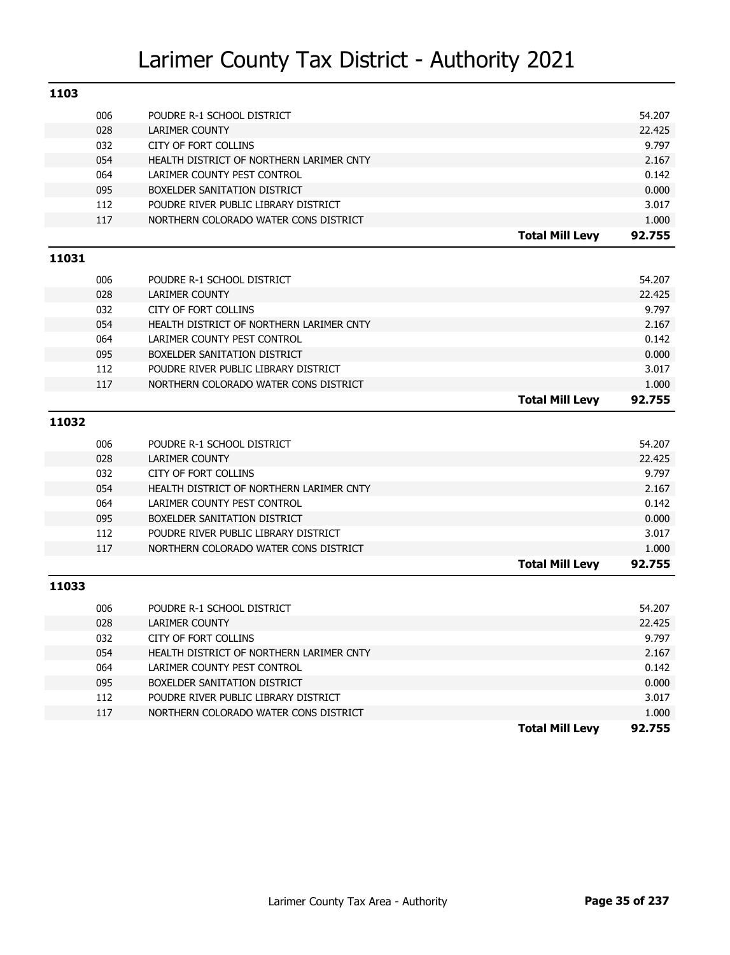| 1103  |     |                                          |                        |        |
|-------|-----|------------------------------------------|------------------------|--------|
|       | 006 | POUDRE R-1 SCHOOL DISTRICT               |                        | 54.207 |
|       | 028 | <b>LARIMER COUNTY</b>                    |                        | 22.425 |
|       | 032 | <b>CITY OF FORT COLLINS</b>              |                        | 9.797  |
|       | 054 | HEALTH DISTRICT OF NORTHERN LARIMER CNTY |                        | 2.167  |
|       | 064 | LARIMER COUNTY PEST CONTROL              |                        | 0.142  |
|       | 095 | BOXELDER SANITATION DISTRICT             |                        | 0.000  |
|       | 112 | POUDRE RIVER PUBLIC LIBRARY DISTRICT     |                        | 3.017  |
|       | 117 | NORTHERN COLORADO WATER CONS DISTRICT    |                        | 1.000  |
|       |     |                                          | <b>Total Mill Levy</b> | 92.755 |
| 11031 |     |                                          |                        |        |
|       | 006 | POUDRE R-1 SCHOOL DISTRICT               |                        | 54.207 |
|       | 028 | <b>LARIMER COUNTY</b>                    |                        | 22.425 |
|       | 032 | <b>CITY OF FORT COLLINS</b>              |                        | 9.797  |
|       | 054 | HEALTH DISTRICT OF NORTHERN LARIMER CNTY |                        | 2.167  |
|       | 064 | LARIMER COUNTY PEST CONTROL              |                        | 0.142  |
|       | 095 | BOXELDER SANITATION DISTRICT             |                        | 0.000  |
|       | 112 | POUDRE RIVER PUBLIC LIBRARY DISTRICT     |                        | 3.017  |
|       | 117 | NORTHERN COLORADO WATER CONS DISTRICT    |                        | 1.000  |
|       |     |                                          | <b>Total Mill Levy</b> | 92.755 |
| 11032 |     |                                          |                        |        |
|       |     |                                          |                        |        |
|       | 006 | POUDRE R-1 SCHOOL DISTRICT               |                        | 54.207 |
|       | 028 | <b>LARIMER COUNTY</b>                    |                        | 22.425 |
|       | 032 | <b>CITY OF FORT COLLINS</b>              |                        | 9.797  |
|       | 054 | HEALTH DISTRICT OF NORTHERN LARIMER CNTY |                        | 2.167  |
|       | 064 | LARIMER COUNTY PEST CONTROL              |                        | 0.142  |
|       | 095 | BOXELDER SANITATION DISTRICT             |                        | 0.000  |
|       | 112 | POUDRE RIVER PUBLIC LIBRARY DISTRICT     |                        | 3.017  |
|       | 117 | NORTHERN COLORADO WATER CONS DISTRICT    |                        | 1.000  |
|       |     |                                          | <b>Total Mill Levy</b> | 92.755 |
| 11033 |     |                                          |                        |        |
|       | 006 | POUDRE R-1 SCHOOL DISTRICT               |                        | 54.207 |
|       | 028 | <b>LARIMER COUNTY</b>                    |                        | 22.425 |
|       | 032 | CITY OF FORT COLLINS                     |                        | 9.797  |
|       | 054 | HEALTH DISTRICT OF NORTHERN LARIMER CNTY |                        | 2.167  |
|       | 064 | LARIMER COUNTY PEST CONTROL              |                        | 0.142  |
|       | 095 | BOXELDER SANITATION DISTRICT             |                        | 0.000  |
|       | 112 | POUDRE RIVER PUBLIC LIBRARY DISTRICT     |                        | 3.017  |
|       | 117 | NORTHERN COLORADO WATER CONS DISTRICT    |                        | 1.000  |
|       |     |                                          |                        |        |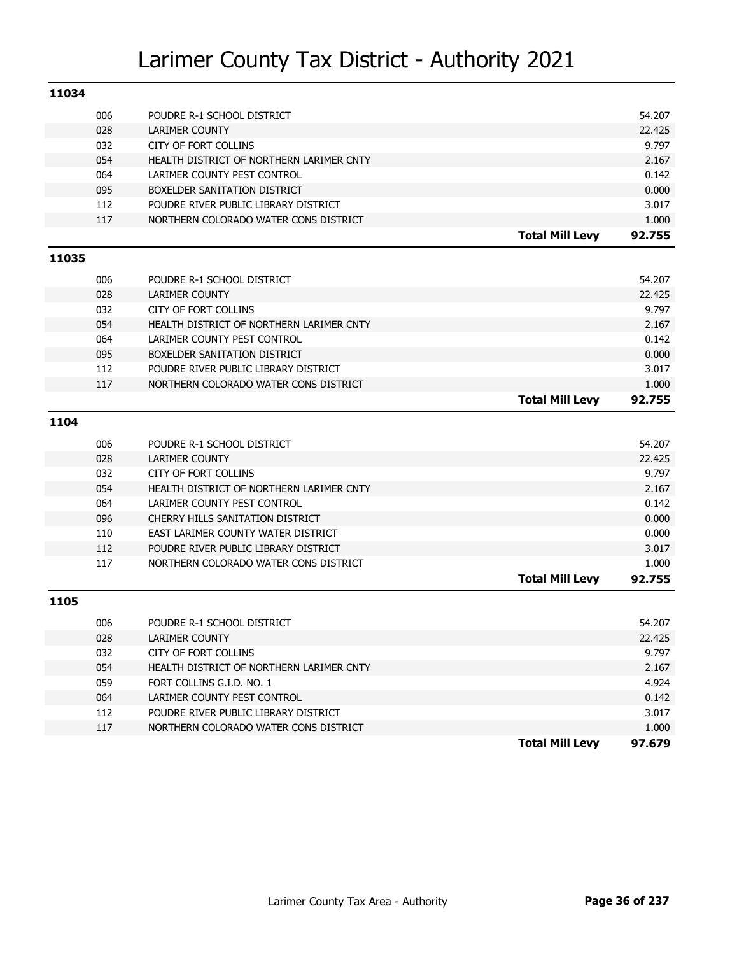| 11034 |     |                                          |                        |        |
|-------|-----|------------------------------------------|------------------------|--------|
|       | 006 | POUDRE R-1 SCHOOL DISTRICT               |                        | 54.207 |
|       | 028 | <b>LARIMER COUNTY</b>                    |                        | 22.425 |
|       | 032 | <b>CITY OF FORT COLLINS</b>              |                        | 9.797  |
|       | 054 | HEALTH DISTRICT OF NORTHERN LARIMER CNTY |                        | 2.167  |
|       | 064 | LARIMER COUNTY PEST CONTROL              |                        | 0.142  |
|       | 095 | BOXELDER SANITATION DISTRICT             |                        | 0.000  |
|       | 112 | POUDRE RIVER PUBLIC LIBRARY DISTRICT     |                        | 3.017  |
|       | 117 | NORTHERN COLORADO WATER CONS DISTRICT    |                        | 1.000  |
|       |     |                                          | <b>Total Mill Levy</b> | 92.755 |
| 11035 |     |                                          |                        |        |
|       | 006 | POUDRE R-1 SCHOOL DISTRICT               |                        | 54.207 |
|       | 028 | LARIMER COUNTY                           |                        | 22.425 |
|       | 032 | <b>CITY OF FORT COLLINS</b>              |                        | 9.797  |
|       | 054 | HEALTH DISTRICT OF NORTHERN LARIMER CNTY |                        | 2.167  |
|       | 064 | LARIMER COUNTY PEST CONTROL              |                        | 0.142  |
|       | 095 | BOXELDER SANITATION DISTRICT             |                        | 0.000  |
|       | 112 | POUDRE RIVER PUBLIC LIBRARY DISTRICT     |                        | 3.017  |
|       | 117 | NORTHERN COLORADO WATER CONS DISTRICT    |                        | 1.000  |
|       |     |                                          | <b>Total Mill Levy</b> | 92.755 |
| 1104  |     |                                          |                        |        |
|       | 006 | POUDRE R-1 SCHOOL DISTRICT               |                        | 54.207 |
|       | 028 | LARIMER COUNTY                           |                        | 22.425 |
|       | 032 | CITY OF FORT COLLINS                     |                        | 9.797  |
|       | 054 | HEALTH DISTRICT OF NORTHERN LARIMER CNTY |                        | 2.167  |
|       | 064 | LARIMER COUNTY PEST CONTROL              |                        | 0.142  |
|       | 096 | CHERRY HILLS SANITATION DISTRICT         |                        | 0.000  |
|       | 110 | EAST LARIMER COUNTY WATER DISTRICT       |                        | 0.000  |
|       | 112 | POUDRE RIVER PUBLIC LIBRARY DISTRICT     |                        | 3.017  |
|       | 117 | NORTHERN COLORADO WATER CONS DISTRICT    |                        | 1.000  |
|       |     |                                          | <b>Total Mill Levy</b> | 92.755 |
| 1105  |     |                                          |                        |        |
|       | 006 | POUDRE R-1 SCHOOL DISTRICT               |                        | 54.207 |
|       | 028 | <b>LARIMER COUNTY</b>                    |                        | 22.425 |
|       | 032 | CITY OF FORT COLLINS                     |                        | 9.797  |
|       | 054 | HEALTH DISTRICT OF NORTHERN LARIMER CNTY |                        | 2.167  |
|       | 059 | FORT COLLINS G.I.D. NO. 1                |                        | 4.924  |
|       | 064 | LARIMER COUNTY PEST CONTROL              |                        | 0.142  |
|       | 112 | POUDRE RIVER PUBLIC LIBRARY DISTRICT     |                        | 3.017  |
|       | 117 | NORTHERN COLORADO WATER CONS DISTRICT    |                        | 1.000  |
|       |     |                                          | <b>Total Mill Levy</b> | 97.679 |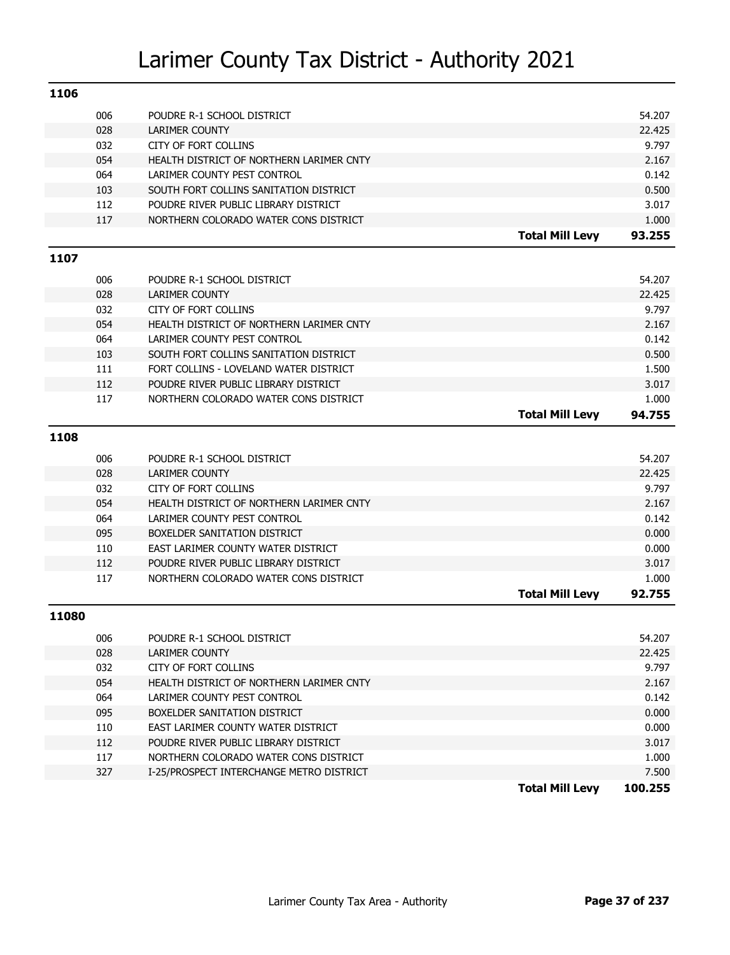| 1106  |            |                                                                         |                        |                  |
|-------|------------|-------------------------------------------------------------------------|------------------------|------------------|
|       | 006        | POUDRE R-1 SCHOOL DISTRICT                                              |                        | 54.207           |
|       | 028        | <b>LARIMER COUNTY</b>                                                   |                        | 22.425           |
|       | 032        | <b>CITY OF FORT COLLINS</b>                                             |                        | 9.797            |
|       | 054        | HEALTH DISTRICT OF NORTHERN LARIMER CNTY                                |                        | 2.167            |
|       | 064        | LARIMER COUNTY PEST CONTROL                                             |                        | 0.142            |
|       | 103        | SOUTH FORT COLLINS SANITATION DISTRICT                                  |                        | 0.500            |
|       | 112        | POUDRE RIVER PUBLIC LIBRARY DISTRICT                                    |                        | 3.017            |
|       | 117        | NORTHERN COLORADO WATER CONS DISTRICT                                   |                        | 1.000            |
|       |            |                                                                         | <b>Total Mill Levy</b> | 93.255           |
| 1107  |            |                                                                         |                        |                  |
|       |            |                                                                         |                        |                  |
|       | 006<br>028 | POUDRE R-1 SCHOOL DISTRICT<br><b>LARIMER COUNTY</b>                     |                        | 54.207<br>22.425 |
|       | 032        | CITY OF FORT COLLINS                                                    |                        | 9.797            |
|       | 054        | HEALTH DISTRICT OF NORTHERN LARIMER CNTY                                |                        | 2.167            |
|       | 064        | LARIMER COUNTY PEST CONTROL                                             |                        | 0.142            |
|       | 103        | SOUTH FORT COLLINS SANITATION DISTRICT                                  |                        | 0.500            |
|       | 111        | FORT COLLINS - LOVELAND WATER DISTRICT                                  |                        | 1.500            |
|       | 112        | POUDRE RIVER PUBLIC LIBRARY DISTRICT                                    |                        | 3.017            |
|       | 117        | NORTHERN COLORADO WATER CONS DISTRICT                                   |                        | 1.000            |
|       |            |                                                                         | <b>Total Mill Levy</b> | 94.755           |
| 1108  |            |                                                                         |                        |                  |
|       |            |                                                                         |                        |                  |
|       | 006        | POUDRE R-1 SCHOOL DISTRICT                                              |                        | 54.207           |
|       | 028        | <b>LARIMER COUNTY</b>                                                   |                        | 22.425           |
|       | 032        | CITY OF FORT COLLINS                                                    |                        | 9.797            |
|       | 054<br>064 | HEALTH DISTRICT OF NORTHERN LARIMER CNTY<br>LARIMER COUNTY PEST CONTROL |                        | 2.167<br>0.142   |
|       | 095        | BOXELDER SANITATION DISTRICT                                            |                        | 0.000            |
|       | 110        | EAST LARIMER COUNTY WATER DISTRICT                                      |                        | 0.000            |
|       | 112        | POUDRE RIVER PUBLIC LIBRARY DISTRICT                                    |                        | 3.017            |
|       | 117        | NORTHERN COLORADO WATER CONS DISTRICT                                   |                        | 1.000            |
|       |            |                                                                         | <b>Total Mill Levy</b> | 92.755           |
|       |            |                                                                         |                        |                  |
| 11080 |            |                                                                         |                        |                  |
|       | 006        | POUDRE R-1 SCHOOL DISTRICT                                              |                        | 54.207           |
|       | 028        | <b>LARIMER COUNTY</b>                                                   |                        | 22.425           |
|       | 032        | CITY OF FORT COLLINS                                                    |                        | 9.797            |
|       | 054        | HEALTH DISTRICT OF NORTHERN LARIMER CNTY                                |                        | 2.167            |
|       | 064        | LARIMER COUNTY PEST CONTROL                                             |                        | 0.142            |
|       | 095        | BOXELDER SANITATION DISTRICT                                            |                        | 0.000            |
|       | 110        | EAST LARIMER COUNTY WATER DISTRICT                                      |                        | 0.000            |
|       | 112        | POUDRE RIVER PUBLIC LIBRARY DISTRICT                                    |                        | 3.017            |
|       | 117        | NORTHERN COLORADO WATER CONS DISTRICT                                   |                        | 1.000            |
|       | 327        | I-25/PROSPECT INTERCHANGE METRO DISTRICT                                |                        | 7.500            |
|       |            |                                                                         | <b>Total Mill Levy</b> | 100.255          |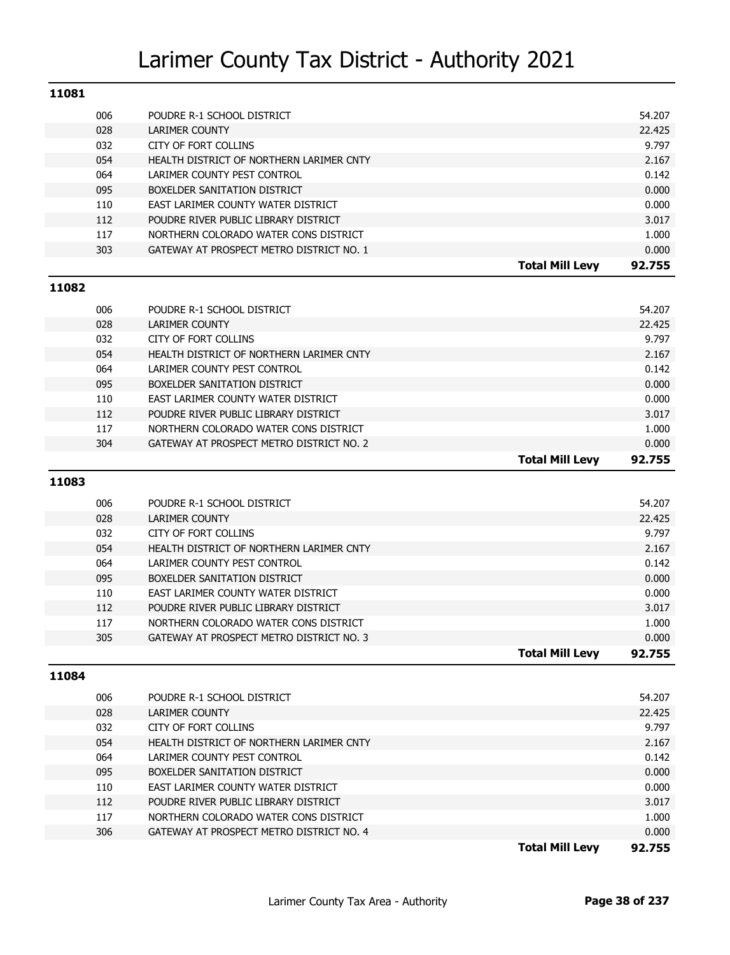| 11081 |            |                                                                                   |                        |                |
|-------|------------|-----------------------------------------------------------------------------------|------------------------|----------------|
|       | 006        | POUDRE R-1 SCHOOL DISTRICT                                                        |                        | 54.207         |
|       | 028        | <b>LARIMER COUNTY</b>                                                             |                        | 22.425         |
|       | 032        | CITY OF FORT COLLINS                                                              |                        | 9.797          |
|       | 054        | HEALTH DISTRICT OF NORTHERN LARIMER CNTY                                          |                        | 2.167          |
|       | 064        | LARIMER COUNTY PEST CONTROL                                                       |                        | 0.142          |
|       | 095        | BOXELDER SANITATION DISTRICT                                                      |                        | 0.000          |
|       | 110        | EAST LARIMER COUNTY WATER DISTRICT                                                |                        | 0.000          |
|       | 112        | POUDRE RIVER PUBLIC LIBRARY DISTRICT                                              |                        | 3.017          |
|       | 117        | NORTHERN COLORADO WATER CONS DISTRICT                                             |                        | 1.000          |
|       | 303        | GATEWAY AT PROSPECT METRO DISTRICT NO. 1                                          |                        | 0.000          |
|       |            |                                                                                   | <b>Total Mill Levy</b> | 92.755         |
| 11082 |            |                                                                                   |                        |                |
|       | 006        | POUDRE R-1 SCHOOL DISTRICT                                                        |                        | 54.207         |
|       | 028        | LARIMER COUNTY                                                                    |                        | 22.425         |
|       | 032        | CITY OF FORT COLLINS                                                              |                        | 9.797          |
|       | 054        | HEALTH DISTRICT OF NORTHERN LARIMER CNTY                                          |                        | 2.167          |
|       | 064        | LARIMER COUNTY PEST CONTROL                                                       |                        | 0.142          |
|       | 095        | BOXELDER SANITATION DISTRICT                                                      |                        | 0.000          |
|       | 110        | EAST LARIMER COUNTY WATER DISTRICT                                                |                        | 0.000          |
|       | 112        | POUDRE RIVER PUBLIC LIBRARY DISTRICT                                              |                        | 3.017          |
|       | 117        | NORTHERN COLORADO WATER CONS DISTRICT                                             |                        | 1.000          |
|       | 304        | GATEWAY AT PROSPECT METRO DISTRICT NO. 2                                          |                        | 0.000          |
|       |            |                                                                                   | <b>Total Mill Levy</b> | 92.755         |
| 11083 |            |                                                                                   |                        |                |
|       |            |                                                                                   |                        |                |
|       | 006        | POUDRE R-1 SCHOOL DISTRICT                                                        |                        | 54.207         |
|       | 028        | <b>LARIMER COUNTY</b>                                                             |                        | 22.425         |
|       | 032        | CITY OF FORT COLLINS                                                              |                        | 9.797          |
|       | 054        | HEALTH DISTRICT OF NORTHERN LARIMER CNTY                                          |                        | 2.167          |
|       | 064        | LARIMER COUNTY PEST CONTROL                                                       |                        | 0.142          |
|       | 095        | BOXELDER SANITATION DISTRICT                                                      |                        | 0.000          |
|       | 110        | EAST LARIMER COUNTY WATER DISTRICT                                                |                        | 0.000          |
|       | 112        | POUDRE RIVER PUBLIC LIBRARY DISTRICT                                              |                        | 3.017          |
|       | 117        | NORTHERN COLORADO WATER CONS DISTRICT                                             |                        | 1.000          |
|       | 305        | GATEWAY AT PROSPECT METRO DISTRICT NO. 3                                          | <b>Total Mill Levy</b> | 0.000          |
|       |            |                                                                                   |                        | 92.755         |
| 11084 |            |                                                                                   |                        |                |
|       | 006        | POUDRE R-1 SCHOOL DISTRICT                                                        |                        | 54.207         |
|       | 028        | LARIMER COUNTY                                                                    |                        | 22.425         |
|       | 032        | CITY OF FORT COLLINS                                                              |                        | 9.797          |
|       | 054        | HEALTH DISTRICT OF NORTHERN LARIMER CNTY                                          |                        | 2.167          |
|       | 064        | LARIMER COUNTY PEST CONTROL                                                       |                        | 0.142          |
|       | 095        | BOXELDER SANITATION DISTRICT                                                      |                        | 0.000          |
|       |            |                                                                                   |                        |                |
|       | 110        | EAST LARIMER COUNTY WATER DISTRICT                                                |                        | 0.000          |
|       | 112        | POUDRE RIVER PUBLIC LIBRARY DISTRICT                                              |                        | 3.017          |
|       | 117<br>306 | NORTHERN COLORADO WATER CONS DISTRICT<br>GATEWAY AT PROSPECT METRO DISTRICT NO. 4 |                        | 1.000<br>0.000 |

**Total Mill Levy 92.755**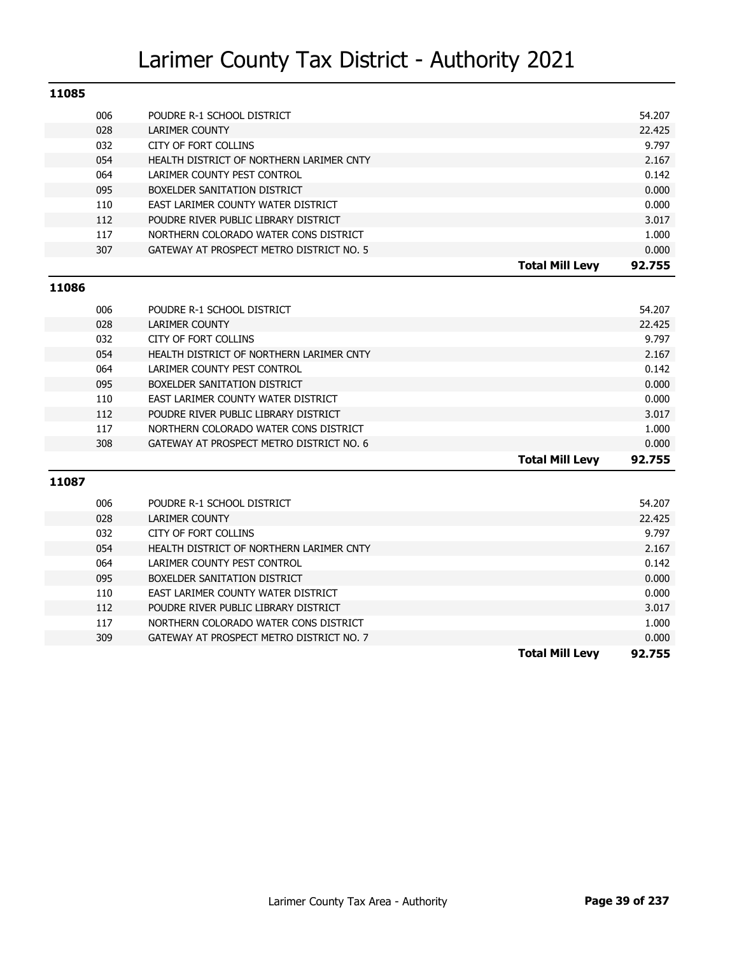| 11085 |     |                                          |        |
|-------|-----|------------------------------------------|--------|
|       | 006 | POUDRE R-1 SCHOOL DISTRICT               | 54.207 |
|       | 028 | LARIMER COUNTY                           | 22.425 |
|       | 032 | CITY OF FORT COLLINS                     | 9.797  |
|       | 054 | HEALTH DISTRICT OF NORTHERN LARIMER CNTY | 2.167  |
|       | 064 | LARIMER COUNTY PEST CONTROL              | 0.142  |
|       | 095 | BOXELDER SANITATION DISTRICT             | 0.000  |
|       | 110 | EAST LARIMER COUNTY WATER DISTRICT       | 0.000  |
|       | 112 | POUDRE RIVER PUBLIC LIBRARY DISTRICT     | 3.017  |
|       | 117 | NORTHERN COLORADO WATER CONS DISTRICT    | 1.000  |
|       | 307 | GATEWAY AT PROSPECT METRO DISTRICT NO. 5 | 0.000  |
|       |     | <b>Total Mill Levy</b>                   | 92.755 |
| 11086 |     |                                          |        |
|       | 006 | POUDRE R-1 SCHOOL DISTRICT               | 54.207 |

|     |                                          | <b>Total Mill Levy</b> | 92.755 |
|-----|------------------------------------------|------------------------|--------|
| 308 | GATEWAY AT PROSPECT METRO DISTRICT NO. 6 |                        | 0.000  |
| 117 | NORTHERN COLORADO WATER CONS DISTRICT    |                        | 1.000  |
| 112 | POUDRE RIVER PUBLIC LIBRARY DISTRICT     |                        | 3.017  |
| 110 | EAST LARIMER COUNTY WATER DISTRICT       |                        | 0.000  |
| 095 | BOXELDER SANITATION DISTRICT             |                        | 0.000  |
| 064 | LARIMER COUNTY PEST CONTROL              |                        | 0.142  |
| 054 | HEALTH DISTRICT OF NORTHERN LARIMER CNTY |                        | 2.167  |
| 032 | CITY OF FORT COLLINS                     |                        | 9.797  |
| 028 | LARIMER COUNTY                           |                        | 22.425 |
| uuo | PUUDKE K-I SUNUUL DISTRIUT               |                        | 54.ZU/ |

| 11087 |     |                                          |                        |        |
|-------|-----|------------------------------------------|------------------------|--------|
|       | 006 | POUDRE R-1 SCHOOL DISTRICT               |                        | 54.207 |
|       | 028 | LARIMER COUNTY                           |                        | 22.425 |
|       | 032 | CITY OF FORT COLLINS                     |                        | 9.797  |
|       | 054 | HEALTH DISTRICT OF NORTHERN LARIMER CNTY |                        | 2.167  |
|       | 064 | LARIMER COUNTY PEST CONTROL              |                        | 0.142  |
|       | 095 | BOXELDER SANITATION DISTRICT             |                        | 0.000  |
|       | 110 | EAST LARIMER COUNTY WATER DISTRICT       |                        | 0.000  |
|       | 112 | POUDRE RIVER PUBLIC LIBRARY DISTRICT     |                        | 3.017  |
|       | 117 | NORTHERN COLORADO WATER CONS DISTRICT    |                        | 1.000  |
|       | 309 | GATEWAY AT PROSPECT METRO DISTRICT NO. 7 |                        | 0.000  |
|       |     |                                          | <b>Total Mill Levy</b> | 92.755 |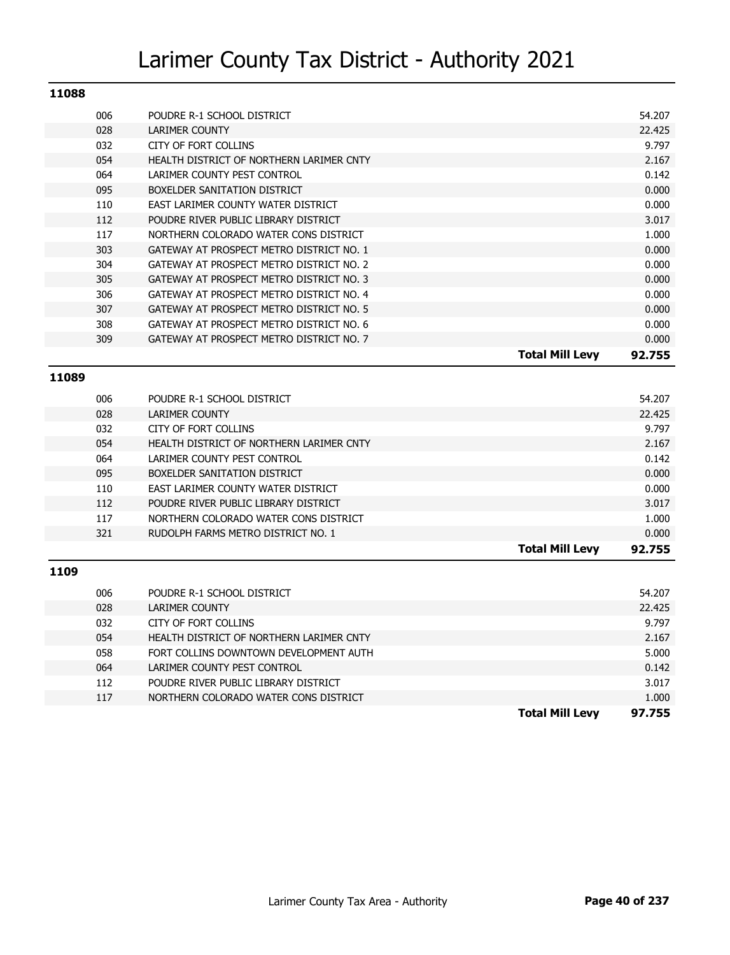| 11088 |     |                                          |                        |        |
|-------|-----|------------------------------------------|------------------------|--------|
|       | 006 | POUDRE R-1 SCHOOL DISTRICT               |                        | 54.207 |
|       | 028 | <b>LARIMER COUNTY</b>                    |                        | 22.425 |
|       | 032 | CITY OF FORT COLLINS                     |                        | 9.797  |
|       | 054 | HEALTH DISTRICT OF NORTHERN LARIMER CNTY |                        | 2.167  |
|       | 064 | LARIMER COUNTY PEST CONTROL              |                        | 0.142  |
|       | 095 | BOXELDER SANITATION DISTRICT             |                        | 0.000  |
|       | 110 | EAST LARIMER COUNTY WATER DISTRICT       |                        | 0.000  |
|       | 112 | POUDRE RIVER PUBLIC LIBRARY DISTRICT     |                        | 3.017  |
|       | 117 | NORTHERN COLORADO WATER CONS DISTRICT    |                        | 1.000  |
|       | 303 | GATEWAY AT PROSPECT METRO DISTRICT NO. 1 |                        | 0.000  |
|       | 304 | GATEWAY AT PROSPECT METRO DISTRICT NO. 2 |                        | 0.000  |
|       | 305 | GATEWAY AT PROSPECT METRO DISTRICT NO. 3 |                        | 0.000  |
|       | 306 | GATEWAY AT PROSPECT METRO DISTRICT NO. 4 |                        | 0.000  |
|       | 307 | GATEWAY AT PROSPECT METRO DISTRICT NO. 5 |                        | 0.000  |
|       | 308 | GATEWAY AT PROSPECT METRO DISTRICT NO. 6 |                        | 0.000  |
|       | 309 | GATEWAY AT PROSPECT METRO DISTRICT NO. 7 |                        | 0.000  |
|       |     |                                          | <b>Total Mill Levy</b> | 92.755 |

#### **11089**

|     |                                          | <b>Total Mill Levy</b> | 92.755 |
|-----|------------------------------------------|------------------------|--------|
| 321 | RUDOLPH FARMS METRO DISTRICT NO. 1       |                        | 0.000  |
| 117 | NORTHERN COLORADO WATER CONS DISTRICT    |                        | 1.000  |
| 112 | POUDRE RIVER PUBLIC LIBRARY DISTRICT     |                        | 3.017  |
| 110 | EAST LARIMER COUNTY WATER DISTRICT       |                        | 0.000  |
| 095 | BOXELDER SANITATION DISTRICT             |                        | 0.000  |
| 064 | LARIMER COUNTY PEST CONTROL              |                        | 0.142  |
| 054 | HEALTH DISTRICT OF NORTHERN LARIMER CNTY |                        | 2.167  |
| 032 | CITY OF FORT COLLINS                     |                        | 9.797  |
| 028 | LARIMER COUNTY                           |                        | 22.425 |
| 006 | POUDRE R-1 SCHOOL DISTRICT               |                        | 54.207 |
|     |                                          |                        |        |

|     |                                          | <b>Total Mill Levy</b> | 97.755 |
|-----|------------------------------------------|------------------------|--------|
| 117 | NORTHERN COLORADO WATER CONS DISTRICT    |                        | 1.000  |
| 112 | POUDRE RIVER PUBLIC LIBRARY DISTRICT     |                        | 3.017  |
| 064 | LARIMER COUNTY PEST CONTROL              |                        | 0.142  |
| 058 | FORT COLLINS DOWNTOWN DEVELOPMENT AUTH   |                        | 5.000  |
| 054 | HEALTH DISTRICT OF NORTHERN LARIMER CNTY |                        | 2.167  |
| 032 | CITY OF FORT COLLINS                     |                        | 9.797  |
| 028 | <b>LARIMER COUNTY</b>                    |                        | 22.425 |
| 006 | POUDRE R-1 SCHOOL DISTRICT               |                        | 54.207 |
|     |                                          |                        |        |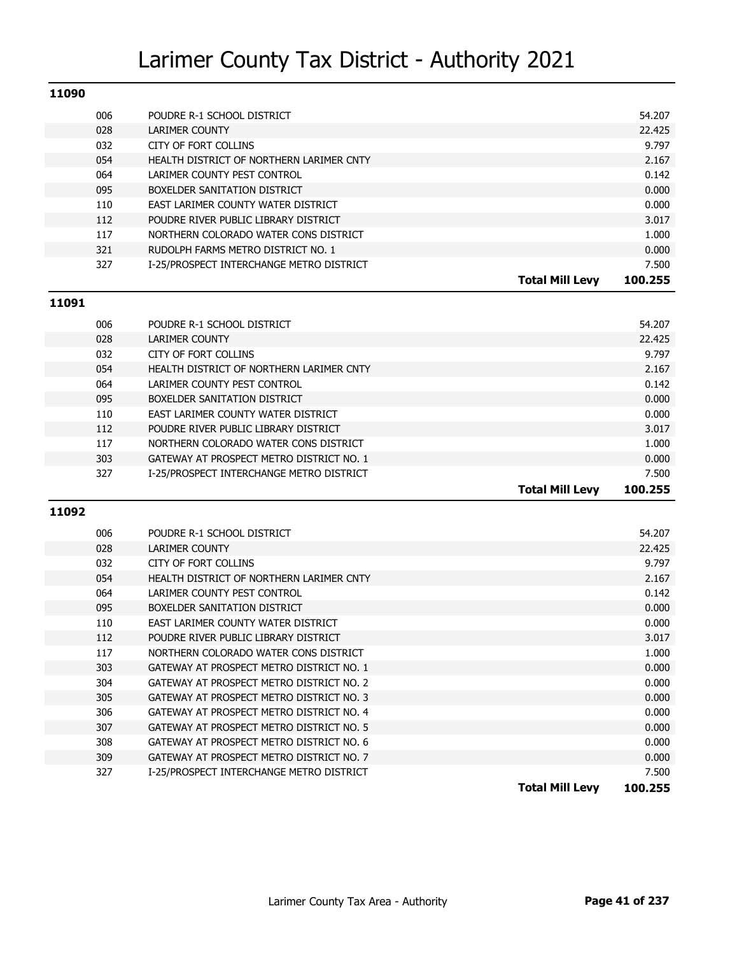| 11090 |     |                                          |                        |         |
|-------|-----|------------------------------------------|------------------------|---------|
|       | 006 | POUDRE R-1 SCHOOL DISTRICT               |                        | 54.207  |
|       | 028 | LARIMER COUNTY                           |                        | 22.425  |
|       | 032 | CITY OF FORT COLLINS                     |                        | 9.797   |
|       | 054 | HEALTH DISTRICT OF NORTHERN LARIMER CNTY |                        | 2.167   |
|       | 064 | LARIMER COUNTY PEST CONTROL              |                        | 0.142   |
|       | 095 | BOXELDER SANITATION DISTRICT             |                        | 0.000   |
|       | 110 | EAST LARIMER COUNTY WATER DISTRICT       |                        | 0.000   |
|       | 112 | POUDRE RIVER PUBLIC LIBRARY DISTRICT     |                        | 3.017   |
|       | 117 | NORTHERN COLORADO WATER CONS DISTRICT    |                        | 1.000   |
|       | 321 | RUDOLPH FARMS METRO DISTRICT NO. 1       |                        | 0.000   |
|       | 327 | I-25/PROSPECT INTERCHANGE METRO DISTRICT |                        | 7.500   |
|       |     |                                          | <b>Total Mill Levy</b> | 100.255 |

### **11091**

|     |                                          | <b>Total Mill Levy</b> | 100.255 |
|-----|------------------------------------------|------------------------|---------|
| 327 | I-25/PROSPECT INTERCHANGE METRO DISTRICT |                        | 7.500   |
| 303 | GATEWAY AT PROSPECT METRO DISTRICT NO. 1 |                        | 0.000   |
| 117 | NORTHERN COLORADO WATER CONS DISTRICT    |                        | 1.000   |
| 112 | POUDRE RIVER PUBLIC LIBRARY DISTRICT     |                        | 3.017   |
| 110 | EAST LARIMER COUNTY WATER DISTRICT       |                        | 0.000   |
| 095 | BOXELDER SANITATION DISTRICT             |                        | 0.000   |
| 064 | LARIMER COUNTY PEST CONTROL              |                        | 0.142   |
| 054 | HEALTH DISTRICT OF NORTHERN LARIMER CNTY |                        | 2.167   |
| 032 | CITY OF FORT COLLINS                     |                        | 9.797   |
| 028 | LARIMER COUNTY                           |                        | 22.425  |
| 006 | POUDRE R-1 SCHOOL DISTRICT               |                        | 54.207  |
|     |                                          |                        |         |

| 006 | POUDRE R-1 SCHOOL DISTRICT               | 54.207                            |
|-----|------------------------------------------|-----------------------------------|
| 028 | LARIMER COUNTY                           | 22.425                            |
| 032 | CITY OF FORT COLLINS                     | 9.797                             |
| 054 | HEALTH DISTRICT OF NORTHERN LARIMER CNTY | 2.167                             |
| 064 | LARIMER COUNTY PEST CONTROL              | 0.142                             |
| 095 | BOXELDER SANITATION DISTRICT             | 0.000                             |
| 110 | EAST LARIMER COUNTY WATER DISTRICT       | 0.000                             |
| 112 | POUDRE RIVER PUBLIC LIBRARY DISTRICT     | 3.017                             |
| 117 | NORTHERN COLORADO WATER CONS DISTRICT    | 1.000                             |
| 303 | GATEWAY AT PROSPECT METRO DISTRICT NO. 1 | 0.000                             |
| 304 | GATEWAY AT PROSPECT METRO DISTRICT NO. 2 | 0.000                             |
| 305 | GATEWAY AT PROSPECT METRO DISTRICT NO. 3 | 0.000                             |
| 306 | GATEWAY AT PROSPECT METRO DISTRICT NO. 4 | 0.000                             |
| 307 | GATEWAY AT PROSPECT METRO DISTRICT NO. 5 | 0.000                             |
| 308 | GATEWAY AT PROSPECT METRO DISTRICT NO. 6 | 0.000                             |
| 309 | GATEWAY AT PROSPECT METRO DISTRICT NO. 7 | 0.000                             |
| 327 | I-25/PROSPECT INTERCHANGE METRO DISTRICT | 7.500                             |
|     |                                          | <b>Total Mill Levy</b><br>100.255 |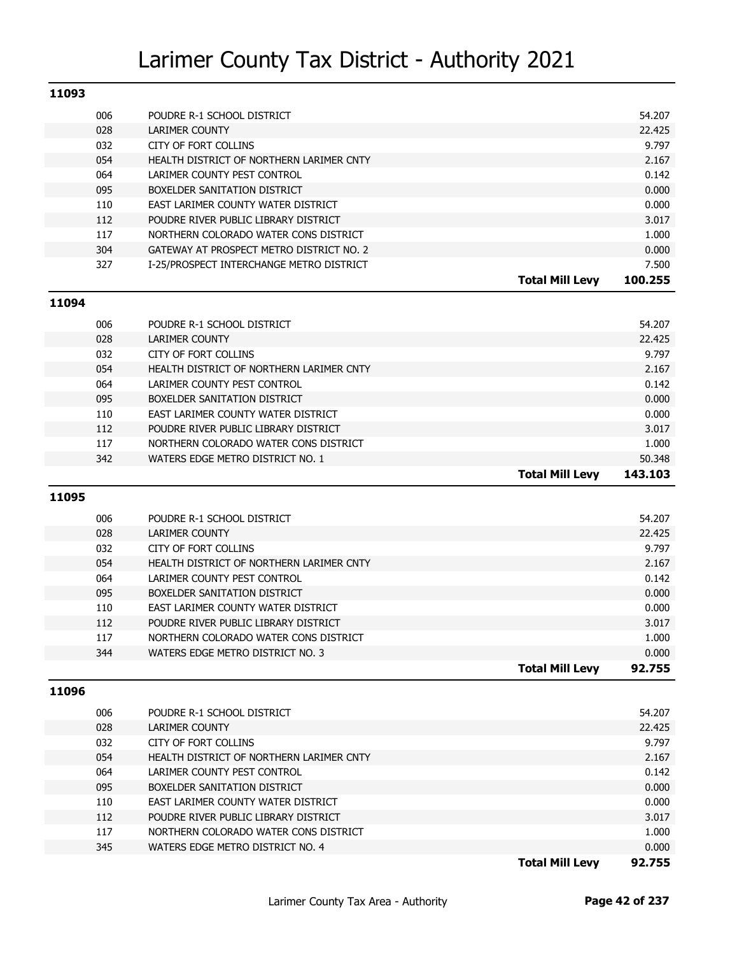| 11093 |     |                                          |         |
|-------|-----|------------------------------------------|---------|
|       | 006 | POUDRE R-1 SCHOOL DISTRICT               | 54.207  |
|       | 028 | <b>LARIMER COUNTY</b>                    | 22.425  |
|       | 032 | <b>CITY OF FORT COLLINS</b>              | 9.797   |
|       | 054 | HEALTH DISTRICT OF NORTHERN LARIMER CNTY | 2.167   |
|       | 064 | LARIMER COUNTY PEST CONTROL              | 0.142   |
|       | 095 | BOXELDER SANITATION DISTRICT             | 0.000   |
|       | 110 | EAST LARIMER COUNTY WATER DISTRICT       | 0.000   |
|       | 112 | POUDRE RIVER PUBLIC LIBRARY DISTRICT     | 3.017   |
|       | 117 | NORTHERN COLORADO WATER CONS DISTRICT    | 1.000   |
|       | 304 | GATEWAY AT PROSPECT METRO DISTRICT NO. 2 | 0.000   |
|       | 327 | I-25/PROSPECT INTERCHANGE METRO DISTRICT | 7.500   |
|       |     | <b>Total Mill Levy</b>                   | 100.255 |
| 11094 |     |                                          |         |
|       | 006 | POUDRE R-1 SCHOOL DISTRICT               | 54.207  |
|       | 028 | <b>LARIMER COUNTY</b>                    | 22.425  |
|       | 032 | <b>CITY OF FORT COLLINS</b>              | 9.797   |
|       | 054 | HEALTH DISTRICT OF NORTHERN LARIMER CNTY | 2.167   |
|       | 064 | LARIMER COUNTY PEST CONTROL              | 0.142   |
|       | 095 | BOXELDER SANITATION DISTRICT             | 0.000   |
|       | 110 | EAST LARIMER COUNTY WATER DISTRICT       | 0.000   |
|       | 112 | POUDRE RIVER PUBLIC LIBRARY DISTRICT     | 3.017   |
|       | 117 | NORTHERN COLORADO WATER CONS DISTRICT    | 1.000   |
|       |     |                                          |         |
|       | 342 | WATERS EDGE METRO DISTRICT NO. 1         | 50.348  |
|       |     | <b>Total Mill Levy</b>                   | 143.103 |
| 11095 |     |                                          |         |
|       | 006 | POUDRE R-1 SCHOOL DISTRICT               | 54.207  |

|     |                                          | <b>Total Mill Levy</b> | 92.755 |
|-----|------------------------------------------|------------------------|--------|
| 344 | WATERS EDGE METRO DISTRICT NO. 3         |                        | 0.000  |
| 117 | NORTHERN COLORADO WATER CONS DISTRICT    |                        | 1.000  |
| 112 | POUDRE RIVER PUBLIC LIBRARY DISTRICT     |                        | 3.017  |
| 110 | EAST LARIMER COUNTY WATER DISTRICT       |                        | 0.000  |
| 095 | BOXELDER SANITATION DISTRICT             |                        | 0.000  |
| 064 | LARIMER COUNTY PEST CONTROL              |                        | 0.142  |
| 054 | HEALTH DISTRICT OF NORTHERN LARIMER CNTY |                        | 2.167  |
| 032 | CITY OF FORT COLLINS                     |                        | 9.797  |
| 028 | LARIMER COUNTY                           |                        | 22.425 |

|     | <b>Total Mill Levy</b>                   | 92.755 |
|-----|------------------------------------------|--------|
| 345 | WATERS EDGE METRO DISTRICT NO. 4         | 0.000  |
| 117 | NORTHERN COLORADO WATER CONS DISTRICT    | 1.000  |
| 112 | POUDRE RIVER PUBLIC LIBRARY DISTRICT     | 3.017  |
| 110 | EAST LARIMER COUNTY WATER DISTRICT       | 0.000  |
| 095 | BOXELDER SANITATION DISTRICT             | 0.000  |
| 064 | LARIMER COUNTY PEST CONTROL              | 0.142  |
| 054 | HEALTH DISTRICT OF NORTHERN LARIMER CNTY | 2.167  |
| 032 | CITY OF FORT COLLINS                     | 9.797  |
| 028 | LARIMER COUNTY                           | 22.425 |
| 006 | POUDRE R-1 SCHOOL DISTRICT               | 54.207 |
|     |                                          |        |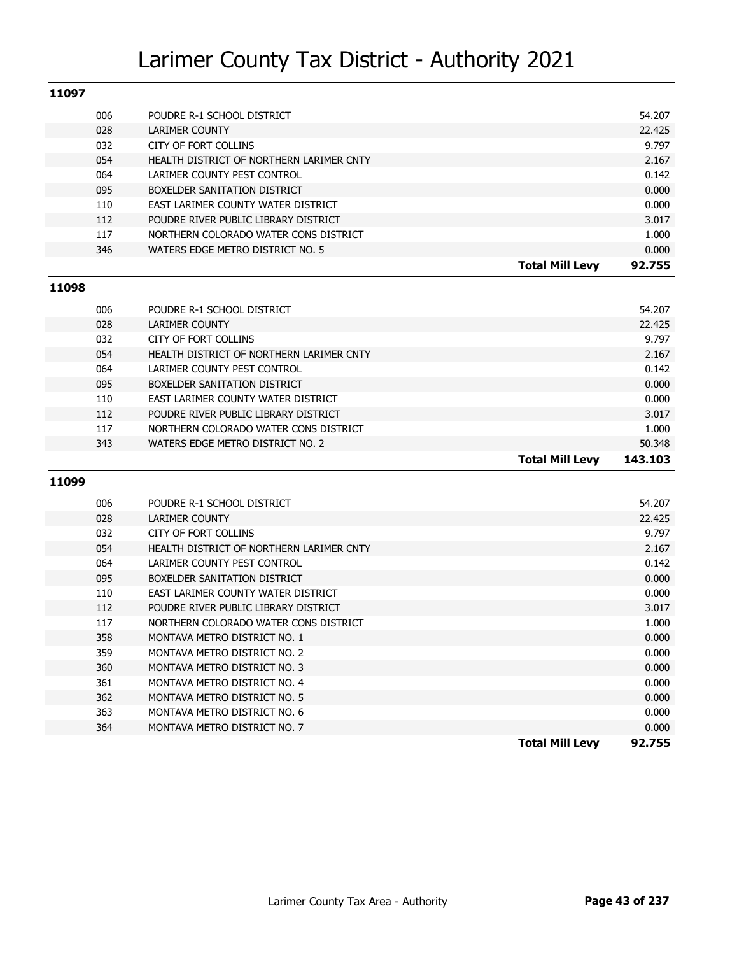| 11097 |                                          |                        |        |
|-------|------------------------------------------|------------------------|--------|
| 006   | POUDRE R-1 SCHOOL DISTRICT               |                        | 54.207 |
| 028   | LARIMER COUNTY                           |                        | 22.425 |
| 032   | CITY OF FORT COLLINS                     |                        | 9.797  |
| 054   | HEALTH DISTRICT OF NORTHERN LARIMER CNTY |                        | 2.167  |
| 064   | LARIMER COUNTY PEST CONTROL              |                        | 0.142  |
| 095   | BOXELDER SANITATION DISTRICT             |                        | 0.000  |
| 110   | EAST LARIMER COUNTY WATER DISTRICT       |                        | 0.000  |
| 112   | POUDRE RIVER PUBLIC LIBRARY DISTRICT     |                        | 3.017  |
| 117   | NORTHERN COLORADO WATER CONS DISTRICT    |                        | 1.000  |
| 346   | WATERS EDGE METRO DISTRICT NO. 5         |                        | 0.000  |
|       |                                          | <b>Total Mill Levy</b> | 92.755 |

#### **11098**

|     |                                          | <b>Total Mill Levv</b> | 143.103 |
|-----|------------------------------------------|------------------------|---------|
| 343 | WATERS EDGE METRO DISTRICT NO. 2         |                        | 50.348  |
| 117 | NORTHERN COLORADO WATER CONS DISTRICT    |                        | 1.000   |
| 112 | POUDRE RIVER PUBLIC LIBRARY DISTRICT     |                        | 3.017   |
| 110 | EAST LARIMER COUNTY WATER DISTRICT       |                        | 0.000   |
| 095 | BOXELDER SANITATION DISTRICT             |                        | 0.000   |
| 064 | LARIMER COUNTY PEST CONTROL              |                        | 0.142   |
| 054 | HEALTH DISTRICT OF NORTHERN LARIMER CNTY |                        | 2.167   |
| 032 | CITY OF FORT COLLINS                     |                        | 9.797   |
| 028 | LARIMER COUNTY                           |                        | 22.425  |
| 006 | POUDRE R-1 SCHOOL DISTRICT               |                        | 54.207  |
|     |                                          |                        |         |

|     |                                          | <b>Total Mill Levy</b><br>92.755 |
|-----|------------------------------------------|----------------------------------|
| 364 | MONTAVA METRO DISTRICT NO. 7             | 0.000                            |
| 363 | MONTAVA METRO DISTRICT NO. 6             | 0.000                            |
| 362 | MONTAVA METRO DISTRICT NO. 5             | 0.000                            |
| 361 | MONTAVA METRO DISTRICT NO. 4             | 0.000                            |
| 360 | MONTAVA METRO DISTRICT NO. 3             | 0.000                            |
| 359 | MONTAVA METRO DISTRICT NO. 2             | 0.000                            |
| 358 | MONTAVA METRO DISTRICT NO. 1             | 0.000                            |
| 117 | NORTHERN COLORADO WATER CONS DISTRICT    | 1.000                            |
| 112 | POUDRE RIVER PUBLIC LIBRARY DISTRICT     | 3.017                            |
| 110 | EAST LARIMER COUNTY WATER DISTRICT       | 0.000                            |
| 095 | BOXELDER SANITATION DISTRICT             | 0.000                            |
| 064 | LARIMER COUNTY PEST CONTROL              | 0.142                            |
| 054 | HEALTH DISTRICT OF NORTHERN LARIMER CNTY | 2.167                            |
| 032 | CITY OF FORT COLLINS                     | 9.797                            |
| 028 | LARIMER COUNTY                           | 22.425                           |
| 006 | POUDRE R-1 SCHOOL DISTRICT               | 54.207                           |
|     |                                          |                                  |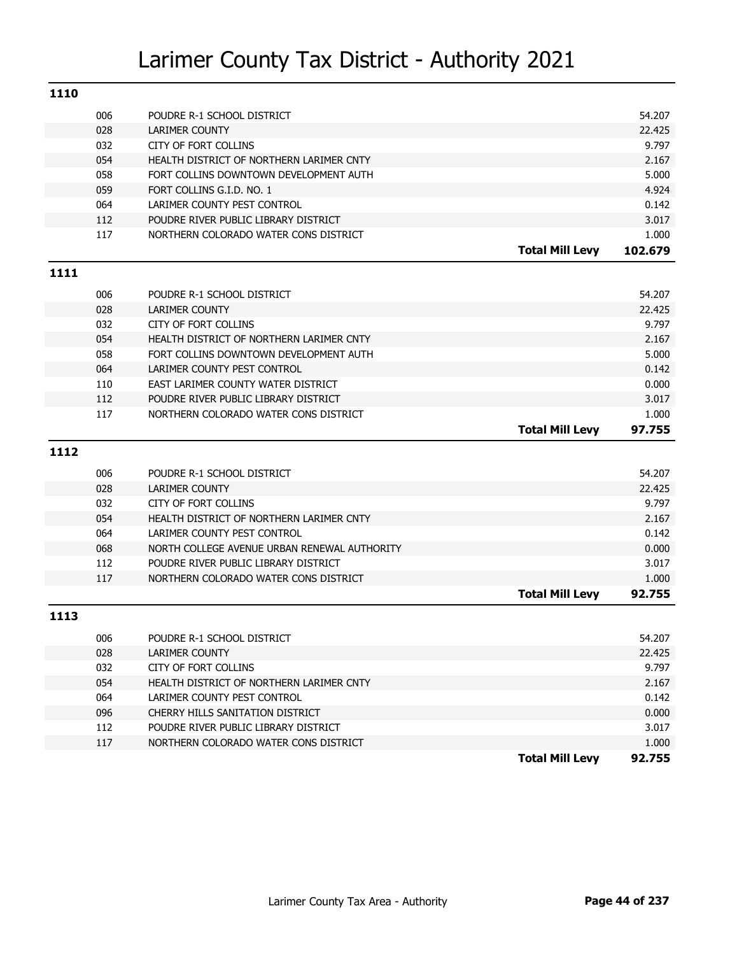| 1110 |            |                                                                          |                        |                |
|------|------------|--------------------------------------------------------------------------|------------------------|----------------|
|      | 006        | POUDRE R-1 SCHOOL DISTRICT                                               |                        | 54.207         |
|      | 028        | <b>LARIMER COUNTY</b>                                                    |                        | 22.425         |
|      | 032        | <b>CITY OF FORT COLLINS</b>                                              |                        | 9.797          |
|      | 054        | HEALTH DISTRICT OF NORTHERN LARIMER CNTY                                 |                        | 2.167          |
|      | 058        | FORT COLLINS DOWNTOWN DEVELOPMENT AUTH                                   |                        | 5.000          |
|      | 059        | FORT COLLINS G.I.D. NO. 1                                                |                        | 4.924          |
|      | 064        | LARIMER COUNTY PEST CONTROL                                              |                        | 0.142          |
|      | 112        | POUDRE RIVER PUBLIC LIBRARY DISTRICT                                     |                        | 3.017          |
|      | 117        | NORTHERN COLORADO WATER CONS DISTRICT                                    |                        | 1.000          |
|      |            |                                                                          | <b>Total Mill Levy</b> | 102.679        |
| 1111 |            |                                                                          |                        |                |
|      |            |                                                                          |                        |                |
|      | 006        | POUDRE R-1 SCHOOL DISTRICT                                               |                        | 54.207         |
|      | 028        | <b>LARIMER COUNTY</b>                                                    |                        | 22.425         |
|      | 032        | <b>CITY OF FORT COLLINS</b>                                              |                        | 9.797          |
|      | 054        | HEALTH DISTRICT OF NORTHERN LARIMER CNTY                                 |                        | 2.167          |
|      | 058        | FORT COLLINS DOWNTOWN DEVELOPMENT AUTH                                   |                        | 5.000          |
|      | 064        | LARIMER COUNTY PEST CONTROL                                              |                        | 0.142          |
|      | 110        | EAST LARIMER COUNTY WATER DISTRICT                                       |                        | 0.000          |
|      | 112        | POUDRE RIVER PUBLIC LIBRARY DISTRICT                                     |                        | 3.017          |
|      | 117        | NORTHERN COLORADO WATER CONS DISTRICT                                    |                        | 1.000          |
|      |            |                                                                          |                        |                |
|      |            |                                                                          | <b>Total Mill Levy</b> | 97.755         |
| 1112 |            |                                                                          |                        |                |
|      | 006        | POUDRE R-1 SCHOOL DISTRICT                                               |                        | 54.207         |
|      | 028        | <b>LARIMER COUNTY</b>                                                    |                        | 22.425         |
|      | 032        | CITY OF FORT COLLINS                                                     |                        | 9.797          |
|      | 054        | HEALTH DISTRICT OF NORTHERN LARIMER CNTY                                 |                        | 2.167          |
|      | 064        | LARIMER COUNTY PEST CONTROL                                              |                        | 0.142          |
|      | 068        | NORTH COLLEGE AVENUE URBAN RENEWAL AUTHORITY                             |                        | 0.000          |
|      | 112        | POUDRE RIVER PUBLIC LIBRARY DISTRICT                                     |                        | 3.017          |
|      | 117        | NORTHERN COLORADO WATER CONS DISTRICT                                    |                        | 1.000          |
|      |            |                                                                          | <b>Total Mill Levy</b> | 92.755         |
| 1113 |            |                                                                          |                        |                |
|      |            |                                                                          |                        |                |
|      | 006        | POUDRE R-1 SCHOOL DISTRICT                                               |                        | 54.207         |
|      | 028        | <b>LARIMER COUNTY</b>                                                    |                        | 22.425         |
|      | 032        | CITY OF FORT COLLINS                                                     |                        | 9.797          |
|      | 054        | HEALTH DISTRICT OF NORTHERN LARIMER CNTY<br>LARIMER COUNTY PEST CONTROL  |                        | 2.167          |
|      | 064        |                                                                          |                        | 0.142          |
|      | 096        | CHERRY HILLS SANITATION DISTRICT<br>POUDRE RIVER PUBLIC LIBRARY DISTRICT |                        | 0.000          |
|      | 112<br>117 | NORTHERN COLORADO WATER CONS DISTRICT                                    |                        | 3.017<br>1.000 |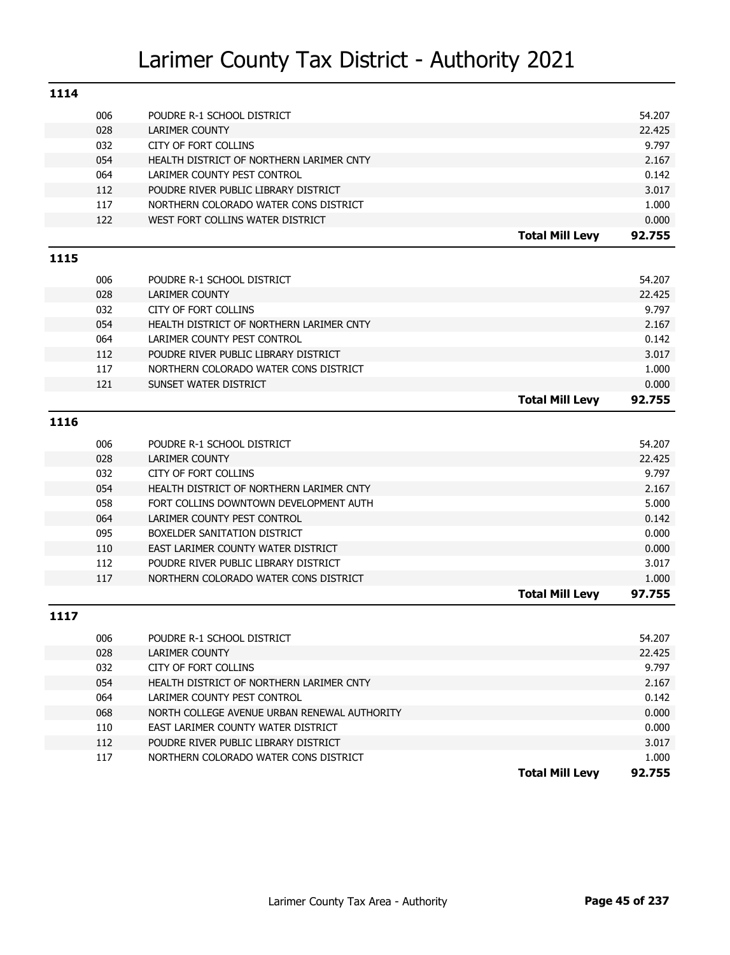| 1114 |     |                                              |                        |        |
|------|-----|----------------------------------------------|------------------------|--------|
|      | 006 | POUDRE R-1 SCHOOL DISTRICT                   |                        | 54.207 |
|      | 028 | LARIMER COUNTY                               |                        | 22.425 |
|      | 032 | <b>CITY OF FORT COLLINS</b>                  |                        | 9.797  |
|      | 054 | HEALTH DISTRICT OF NORTHERN LARIMER CNTY     |                        | 2.167  |
|      | 064 | LARIMER COUNTY PEST CONTROL                  |                        | 0.142  |
|      | 112 | POUDRE RIVER PUBLIC LIBRARY DISTRICT         |                        | 3.017  |
|      | 117 | NORTHERN COLORADO WATER CONS DISTRICT        |                        | 1.000  |
|      | 122 | WEST FORT COLLINS WATER DISTRICT             |                        | 0.000  |
|      |     |                                              | <b>Total Mill Levy</b> | 92.755 |
| 1115 |     |                                              |                        |        |
|      | 006 | POUDRE R-1 SCHOOL DISTRICT                   |                        | 54.207 |
|      | 028 | LARIMER COUNTY                               |                        | 22.425 |
|      | 032 | <b>CITY OF FORT COLLINS</b>                  |                        | 9.797  |
|      | 054 | HEALTH DISTRICT OF NORTHERN LARIMER CNTY     |                        | 2.167  |
|      | 064 | LARIMER COUNTY PEST CONTROL                  |                        | 0.142  |
|      | 112 | POUDRE RIVER PUBLIC LIBRARY DISTRICT         |                        | 3.017  |
|      | 117 | NORTHERN COLORADO WATER CONS DISTRICT        |                        | 1.000  |
|      | 121 | SUNSET WATER DISTRICT                        |                        | 0.000  |
|      |     |                                              | <b>Total Mill Levy</b> | 92.755 |
| 1116 |     |                                              |                        |        |
|      | 006 | POUDRE R-1 SCHOOL DISTRICT                   |                        | 54.207 |
|      | 028 | <b>LARIMER COUNTY</b>                        |                        | 22.425 |
|      | 032 | <b>CITY OF FORT COLLINS</b>                  |                        | 9.797  |
|      | 054 | HEALTH DISTRICT OF NORTHERN LARIMER CNTY     |                        | 2.167  |
|      | 058 | FORT COLLINS DOWNTOWN DEVELOPMENT AUTH       |                        | 5.000  |
|      | 064 | LARIMER COUNTY PEST CONTROL                  |                        | 0.142  |
|      | 095 | BOXELDER SANITATION DISTRICT                 |                        | 0.000  |
|      | 110 | EAST LARIMER COUNTY WATER DISTRICT           |                        | 0.000  |
|      | 112 | POUDRE RIVER PUBLIC LIBRARY DISTRICT         |                        | 3.017  |
|      | 117 | NORTHERN COLORADO WATER CONS DISTRICT        |                        | 1.000  |
|      |     |                                              | <b>Total Mill Levy</b> | 97.755 |
| 1117 |     |                                              |                        |        |
|      | 006 | POUDRE R-1 SCHOOL DISTRICT                   |                        | 54.207 |
|      | 028 | LARIMER COUNTY                               |                        | 22.425 |
|      | 032 | CITY OF FORT COLLINS                         |                        | 9.797  |
|      | 054 | HEALTH DISTRICT OF NORTHERN LARIMER CNTY     |                        | 2.167  |
|      | 064 | LARIMER COUNTY PEST CONTROL                  |                        | 0.142  |
|      | 068 | NORTH COLLEGE AVENUE URBAN RENEWAL AUTHORITY |                        | 0.000  |
|      | 110 | EAST LARIMER COUNTY WATER DISTRICT           |                        | 0.000  |
|      | 112 | POUDRE RIVER PUBLIC LIBRARY DISTRICT         |                        | 3.017  |
|      | 117 | NORTHERN COLORADO WATER CONS DISTRICT        |                        | 1.000  |
|      |     |                                              | <b>Total Mill Levy</b> | 92.755 |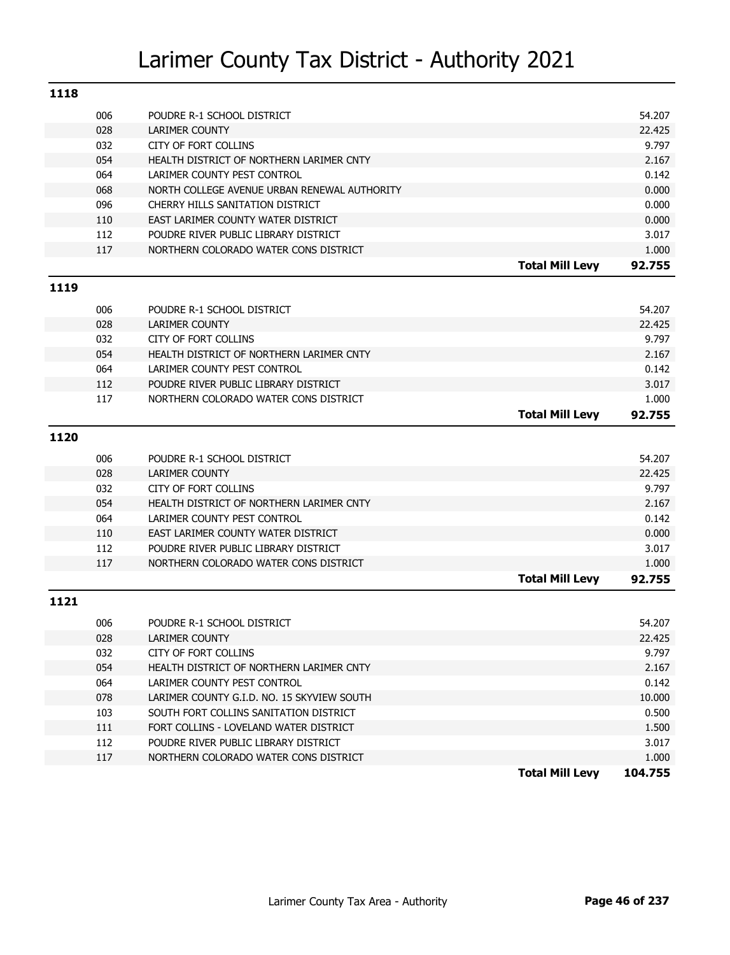| 1118 |     |                                              |                        |         |
|------|-----|----------------------------------------------|------------------------|---------|
|      | 006 | POUDRE R-1 SCHOOL DISTRICT                   |                        | 54.207  |
|      | 028 | <b>LARIMER COUNTY</b>                        |                        | 22.425  |
|      | 032 | <b>CITY OF FORT COLLINS</b>                  |                        | 9.797   |
|      | 054 | HEALTH DISTRICT OF NORTHERN LARIMER CNTY     |                        | 2.167   |
|      | 064 | LARIMER COUNTY PEST CONTROL                  |                        | 0.142   |
|      | 068 | NORTH COLLEGE AVENUE URBAN RENEWAL AUTHORITY |                        | 0.000   |
|      | 096 | CHERRY HILLS SANITATION DISTRICT             |                        | 0.000   |
|      | 110 | EAST LARIMER COUNTY WATER DISTRICT           |                        | 0.000   |
|      | 112 | POUDRE RIVER PUBLIC LIBRARY DISTRICT         |                        | 3.017   |
|      | 117 | NORTHERN COLORADO WATER CONS DISTRICT        |                        | 1.000   |
|      |     |                                              | <b>Total Mill Levy</b> | 92.755  |
| 1119 |     |                                              |                        |         |
|      | 006 | POUDRE R-1 SCHOOL DISTRICT                   |                        | 54.207  |
|      | 028 | <b>LARIMER COUNTY</b>                        |                        | 22.425  |
|      | 032 | <b>CITY OF FORT COLLINS</b>                  |                        | 9.797   |
|      | 054 | HEALTH DISTRICT OF NORTHERN LARIMER CNTY     |                        | 2.167   |
|      | 064 | LARIMER COUNTY PEST CONTROL                  |                        | 0.142   |
|      | 112 | POUDRE RIVER PUBLIC LIBRARY DISTRICT         |                        | 3.017   |
|      | 117 | NORTHERN COLORADO WATER CONS DISTRICT        |                        | 1.000   |
|      |     |                                              | <b>Total Mill Levy</b> | 92.755  |
| 1120 |     |                                              |                        |         |
|      | 006 | POUDRE R-1 SCHOOL DISTRICT                   |                        | 54.207  |
|      | 028 | <b>LARIMER COUNTY</b>                        |                        | 22.425  |
|      | 032 | <b>CITY OF FORT COLLINS</b>                  |                        | 9.797   |
|      | 054 | HEALTH DISTRICT OF NORTHERN LARIMER CNTY     |                        | 2.167   |
|      | 064 | LARIMER COUNTY PEST CONTROL                  |                        | 0.142   |
|      | 110 | EAST LARIMER COUNTY WATER DISTRICT           |                        | 0.000   |
|      | 112 | POUDRE RIVER PUBLIC LIBRARY DISTRICT         |                        | 3.017   |
|      | 117 | NORTHERN COLORADO WATER CONS DISTRICT        |                        | 1.000   |
|      |     |                                              | <b>Total Mill Levy</b> | 92.755  |
| 1121 |     |                                              |                        |         |
|      | 006 | POUDRE R-1 SCHOOL DISTRICT                   |                        | 54.207  |
|      | 028 | <b>LARIMER COUNTY</b>                        |                        | 22.425  |
|      | 032 | CITY OF FORT COLLINS                         |                        | 9.797   |
|      | 054 | HEALTH DISTRICT OF NORTHERN LARIMER CNTY     |                        | 2.167   |
|      | 064 | LARIMER COUNTY PEST CONTROL                  |                        | 0.142   |
|      | 078 | LARIMER COUNTY G.I.D. NO. 15 SKYVIEW SOUTH   |                        | 10.000  |
|      | 103 | SOUTH FORT COLLINS SANITATION DISTRICT       |                        | 0.500   |
|      | 111 | FORT COLLINS - LOVELAND WATER DISTRICT       |                        | 1.500   |
|      | 112 | POUDRE RIVER PUBLIC LIBRARY DISTRICT         |                        | 3.017   |
|      | 117 | NORTHERN COLORADO WATER CONS DISTRICT        |                        | 1.000   |
|      |     |                                              | <b>Total Mill Levy</b> | 104.755 |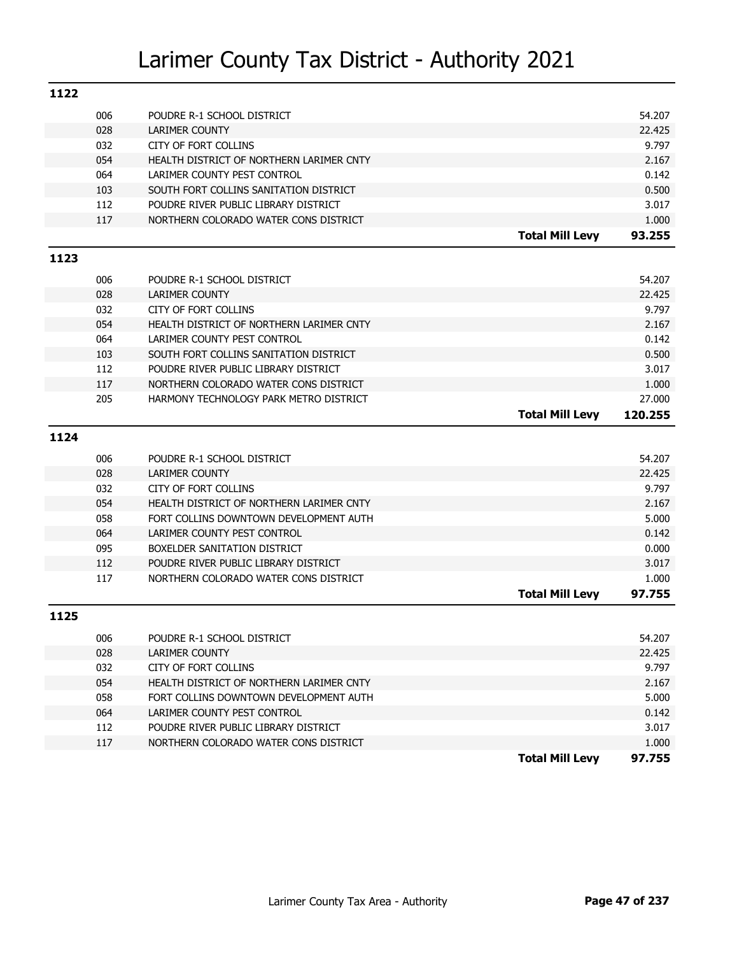| 1122 |     |                                          |                        |         |
|------|-----|------------------------------------------|------------------------|---------|
|      | 006 | POUDRE R-1 SCHOOL DISTRICT               |                        | 54.207  |
|      | 028 | <b>LARIMER COUNTY</b>                    |                        | 22.425  |
|      | 032 | <b>CITY OF FORT COLLINS</b>              |                        | 9.797   |
|      | 054 | HEALTH DISTRICT OF NORTHERN LARIMER CNTY |                        | 2.167   |
|      | 064 | LARIMER COUNTY PEST CONTROL              |                        | 0.142   |
|      | 103 | SOUTH FORT COLLINS SANITATION DISTRICT   |                        | 0.500   |
|      | 112 | POUDRE RIVER PUBLIC LIBRARY DISTRICT     |                        | 3.017   |
|      | 117 | NORTHERN COLORADO WATER CONS DISTRICT    |                        | 1.000   |
|      |     |                                          | <b>Total Mill Levy</b> | 93.255  |
| 1123 |     |                                          |                        |         |
|      | 006 | POUDRE R-1 SCHOOL DISTRICT               |                        | 54.207  |
|      | 028 | <b>LARIMER COUNTY</b>                    |                        | 22.425  |
|      | 032 | <b>CITY OF FORT COLLINS</b>              |                        | 9.797   |
|      | 054 | HEALTH DISTRICT OF NORTHERN LARIMER CNTY |                        | 2.167   |
|      | 064 | LARIMER COUNTY PEST CONTROL              |                        | 0.142   |
|      | 103 | SOUTH FORT COLLINS SANITATION DISTRICT   |                        | 0.500   |
|      | 112 | POUDRE RIVER PUBLIC LIBRARY DISTRICT     |                        | 3.017   |
|      | 117 | NORTHERN COLORADO WATER CONS DISTRICT    |                        | 1.000   |
|      | 205 | HARMONY TECHNOLOGY PARK METRO DISTRICT   |                        | 27.000  |
|      |     |                                          | <b>Total Mill Levy</b> | 120.255 |
|      |     |                                          |                        |         |
| 1124 |     |                                          |                        |         |
|      | 006 | POUDRE R-1 SCHOOL DISTRICT               |                        | 54.207  |
|      | 028 | <b>LARIMER COUNTY</b>                    |                        | 22.425  |
|      | 032 | <b>CITY OF FORT COLLINS</b>              |                        | 9.797   |
|      | 054 | HEALTH DISTRICT OF NORTHERN LARIMER CNTY |                        | 2.167   |
|      | 058 | FORT COLLINS DOWNTOWN DEVELOPMENT AUTH   |                        | 5.000   |
|      | 064 | LARIMER COUNTY PEST CONTROL              |                        | 0.142   |
|      | 095 | BOXELDER SANITATION DISTRICT             |                        | 0.000   |
|      | 112 | POUDRE RIVER PUBLIC LIBRARY DISTRICT     |                        | 3.017   |
|      | 117 | NORTHERN COLORADO WATER CONS DISTRICT    |                        | 1.000   |
|      |     |                                          | <b>Total Mill Levy</b> | 97.755  |
| 1125 |     |                                          |                        |         |
|      | 006 | POUDRE R-1 SCHOOL DISTRICT               |                        | 54.207  |
|      | 028 | LARIMER COUNTY                           |                        | 22.425  |
|      | 032 | CITY OF FORT COLLINS                     |                        | 9.797   |
|      | 054 | HEALTH DISTRICT OF NORTHERN LARIMER CNTY |                        | 2.167   |
|      | 058 | FORT COLLINS DOWNTOWN DEVELOPMENT AUTH   |                        | 5.000   |
|      | 064 | LARIMER COUNTY PEST CONTROL              |                        | 0.142   |
|      | 112 | POUDRE RIVER PUBLIC LIBRARY DISTRICT     |                        | 3.017   |
|      |     |                                          |                        |         |
|      | 117 | NORTHERN COLORADO WATER CONS DISTRICT    |                        | 1.000   |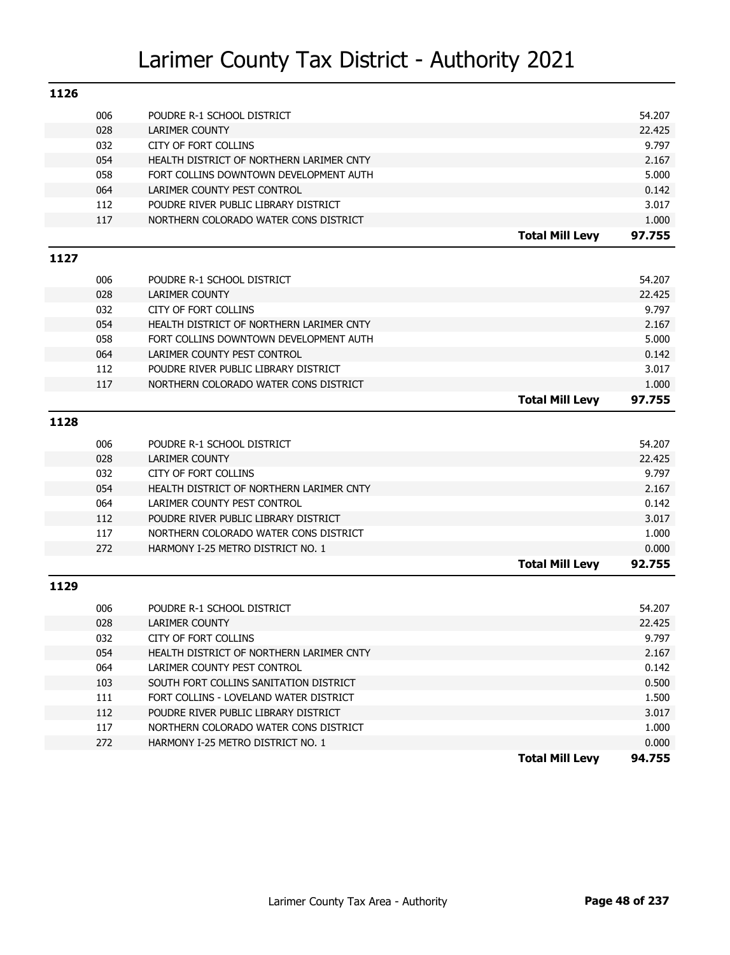| 1126 |     |                                          |                        |        |
|------|-----|------------------------------------------|------------------------|--------|
|      | 006 | POUDRE R-1 SCHOOL DISTRICT               |                        | 54.207 |
|      | 028 | LARIMER COUNTY                           |                        | 22.425 |
|      | 032 | CITY OF FORT COLLINS                     |                        | 9.797  |
|      | 054 | HEALTH DISTRICT OF NORTHERN LARIMER CNTY |                        | 2.167  |
|      | 058 | FORT COLLINS DOWNTOWN DEVELOPMENT AUTH   |                        | 5.000  |
|      | 064 | LARIMER COUNTY PEST CONTROL              |                        | 0.142  |
|      | 112 | POUDRE RIVER PUBLIC LIBRARY DISTRICT     |                        | 3.017  |
|      | 117 | NORTHERN COLORADO WATER CONS DISTRICT    |                        | 1.000  |
|      |     |                                          | <b>Total Mill Levy</b> | 97.755 |
| 1127 |     |                                          |                        |        |
|      | 006 | POUDRE R-1 SCHOOL DISTRICT               |                        | 54.207 |
|      | 028 | LARIMER COUNTY                           |                        | 22.425 |
|      | 032 | CITY OF FORT COLLINS                     |                        | 9.797  |
|      | 054 | HEALTH DISTRICT OF NORTHERN LARIMER CNTY |                        | 2.167  |
|      | 058 | FORT COLLINS DOWNTOWN DEVELOPMENT AUTH   |                        | 5.000  |
|      | 064 | LARIMER COUNTY PEST CONTROL              |                        | 0.142  |
|      | 112 | POUDRE RIVER PUBLIC LIBRARY DISTRICT     |                        | 3.017  |
|      | 117 | NORTHERN COLORADO WATER CONS DISTRICT    |                        | 1.000  |
|      |     |                                          | <b>Total Mill Levy</b> | 97.755 |
| 1128 |     |                                          |                        |        |
|      | 006 | POUDRE R-1 SCHOOL DISTRICT               |                        | 54.207 |
|      | 028 | <b>LARIMER COUNTY</b>                    |                        | 22.425 |
|      | 032 | CITY OF FORT COLLINS                     |                        | 9.797  |
|      | 054 | HEALTH DISTRICT OF NORTHERN LARIMER CNTY |                        | 2.167  |
|      | 064 | LARIMER COUNTY PEST CONTROL              |                        | 0.142  |
|      | 112 | POUDRE RIVER PUBLIC LIBRARY DISTRICT     |                        | 3.017  |
|      | 117 | NORTHERN COLORADO WATER CONS DISTRICT    |                        | 1.000  |
|      | 272 | HARMONY I-25 METRO DISTRICT NO. 1        |                        | 0.000  |
|      |     |                                          | <b>Total Mill Levy</b> | 92.755 |
| 1129 |     |                                          |                        |        |
|      | 006 | POUDRE R-1 SCHOOL DISTRICT               |                        | 54.207 |
|      | 028 | <b>LARIMER COUNTY</b>                    |                        | 22.425 |
|      | 032 | CITY OF FORT COLLINS                     |                        | 9.797  |
|      | 054 | HEALTH DISTRICT OF NORTHERN LARIMER CNTY |                        | 2.167  |
|      | 064 | LARIMER COUNTY PEST CONTROL              |                        | 0.142  |
|      | 103 | SOUTH FORT COLLINS SANITATION DISTRICT   |                        | 0.500  |
|      | 111 | FORT COLLINS - LOVELAND WATER DISTRICT   |                        | 1.500  |
|      | 112 | POUDRE RIVER PUBLIC LIBRARY DISTRICT     |                        | 3.017  |
|      | 117 | NORTHERN COLORADO WATER CONS DISTRICT    |                        | 1.000  |
|      | 272 | HARMONY I-25 METRO DISTRICT NO. 1        |                        | 0.000  |
|      |     |                                          | <b>Total Mill Levy</b> | 94.755 |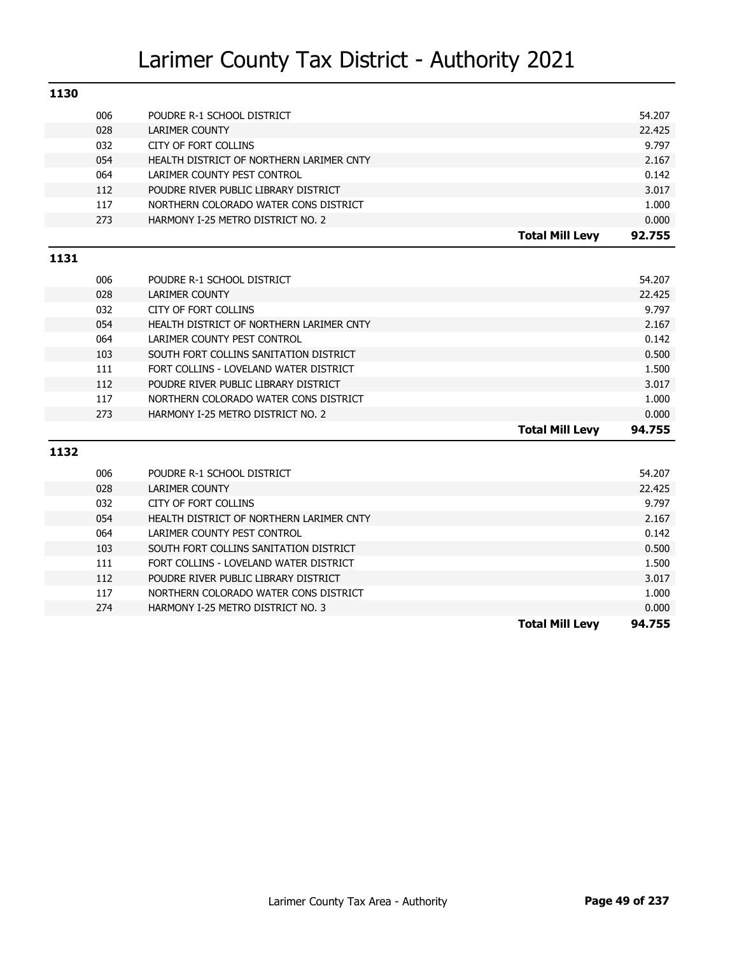| 1130 |     |                                          |                        |        |
|------|-----|------------------------------------------|------------------------|--------|
|      | 006 | POUDRE R-1 SCHOOL DISTRICT               |                        | 54.207 |
|      | 028 | <b>LARIMER COUNTY</b>                    |                        | 22.425 |
|      | 032 | <b>CITY OF FORT COLLINS</b>              |                        | 9.797  |
|      | 054 | HEALTH DISTRICT OF NORTHERN LARIMER CNTY |                        | 2.167  |
|      | 064 | LARIMER COUNTY PEST CONTROL              |                        | 0.142  |
|      | 112 | POUDRE RIVER PUBLIC LIBRARY DISTRICT     |                        | 3.017  |
|      | 117 | NORTHERN COLORADO WATER CONS DISTRICT    |                        | 1.000  |
|      | 273 | HARMONY I-25 METRO DISTRICT NO. 2        |                        | 0.000  |
|      |     |                                          | <b>Total Mill Levy</b> | 92.755 |
| 1131 |     |                                          |                        |        |
|      | 006 | POUDRE R-1 SCHOOL DISTRICT               |                        | 54.207 |
|      | 028 | <b>LARIMER COUNTY</b>                    |                        | 22.425 |
|      | 032 | <b>CITY OF FORT COLLINS</b>              |                        | 9.797  |
|      | 054 | HEALTH DISTRICT OF NORTHERN LARIMER CNTY |                        | 2.167  |
|      | 064 | LARIMER COUNTY PEST CONTROL              |                        | 0.142  |
|      | 103 | SOUTH FORT COLLINS SANITATION DISTRICT   |                        | 0.500  |
|      | 111 | FORT COLLINS - LOVELAND WATER DISTRICT   |                        | 1.500  |
|      | 112 | POUDRE RIVER PUBLIC LIBRARY DISTRICT     |                        | 3.017  |
|      | 117 | NORTHERN COLORADO WATER CONS DISTRICT    |                        | 1.000  |
|      | 273 | HARMONY I-25 METRO DISTRICT NO. 2        |                        | 0.000  |
|      |     |                                          | <b>Total Mill Levy</b> | 94.755 |
| 1132 |     |                                          |                        |        |
|      | 006 | POUDRE R-1 SCHOOL DISTRICT               |                        | 54.207 |
|      | 028 | <b>LARIMER COUNTY</b>                    |                        | 22.425 |
|      |     |                                          |                        |        |

|     |                                          | <b>Total Mill Levy</b> | 94.755 |
|-----|------------------------------------------|------------------------|--------|
| 274 | HARMONY I-25 METRO DISTRICT NO. 3        |                        | 0.000  |
| 117 | NORTHERN COLORADO WATER CONS DISTRICT    |                        | 1.000  |
| 112 | POUDRE RIVER PUBLIC LIBRARY DISTRICT     |                        | 3.017  |
| 111 | FORT COLLINS - LOVELAND WATER DISTRICT   |                        | 1.500  |
| 103 | SOUTH FORT COLLINS SANITATION DISTRICT   |                        | 0.500  |
| 064 | LARIMER COUNTY PEST CONTROL              |                        | 0.142  |
| 054 | HEALTH DISTRICT OF NORTHERN LARIMER CNTY |                        | 2.167  |
| 032 | CITY OF FORT COLLINS                     |                        | 9.797  |
|     |                                          |                        |        |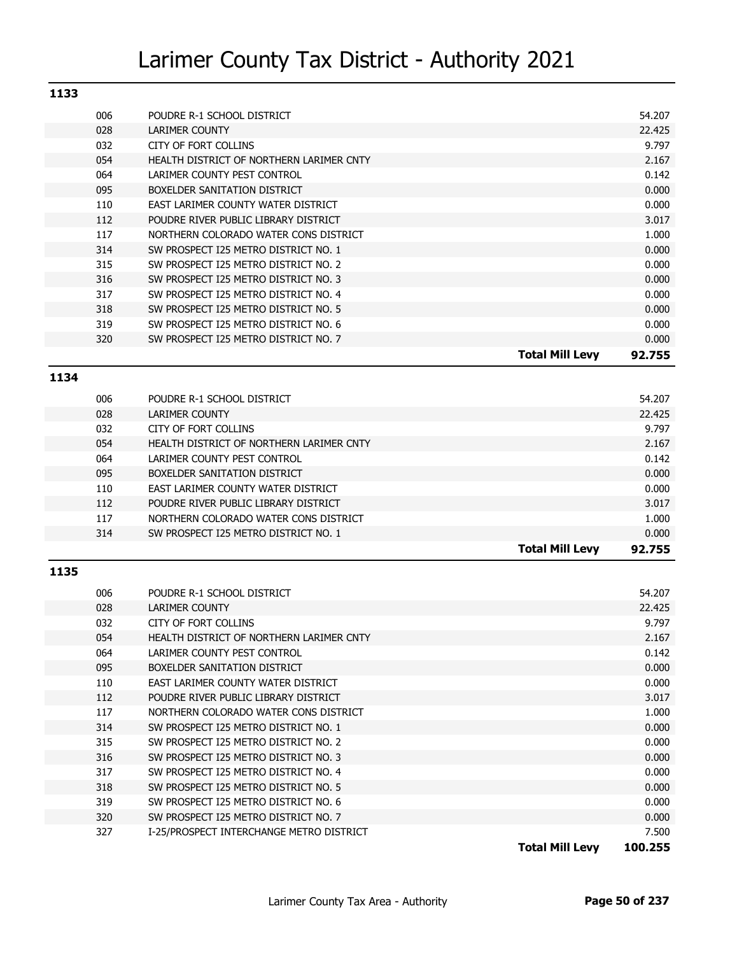| 1133 |     |                                          |                        |        |
|------|-----|------------------------------------------|------------------------|--------|
|      | 006 | POUDRE R-1 SCHOOL DISTRICT               |                        | 54.207 |
|      | 028 | <b>LARIMER COUNTY</b>                    |                        | 22.425 |
|      | 032 | CITY OF FORT COLLINS                     |                        | 9.797  |
|      | 054 | HEALTH DISTRICT OF NORTHERN LARIMER CNTY |                        | 2.167  |
|      | 064 | LARIMER COUNTY PEST CONTROL              |                        | 0.142  |
|      | 095 | BOXELDER SANITATION DISTRICT             |                        | 0.000  |
|      | 110 | EAST LARIMER COUNTY WATER DISTRICT       |                        | 0.000  |
|      | 112 | POUDRE RIVER PUBLIC LIBRARY DISTRICT     |                        | 3.017  |
|      | 117 | NORTHERN COLORADO WATER CONS DISTRICT    |                        | 1.000  |
|      | 314 | SW PROSPECT I25 METRO DISTRICT NO. 1     |                        | 0.000  |
|      | 315 | SW PROSPECT I25 METRO DISTRICT NO. 2     |                        | 0.000  |
|      | 316 | SW PROSPECT I25 METRO DISTRICT NO. 3     |                        | 0.000  |
|      | 317 | SW PROSPECT I25 METRO DISTRICT NO. 4     |                        | 0.000  |
|      | 318 | SW PROSPECT I25 METRO DISTRICT NO. 5     |                        | 0.000  |
|      | 319 | SW PROSPECT I25 METRO DISTRICT NO. 6     |                        | 0.000  |
|      | 320 | SW PROSPECT I25 METRO DISTRICT NO. 7     |                        | 0.000  |
|      |     |                                          | <b>Total Mill Levy</b> | 92.755 |

#### **1134**

| 028 | LARIMER COUNTY                           |                        | 22.425 |
|-----|------------------------------------------|------------------------|--------|
|     |                                          |                        |        |
| 032 | CITY OF FORT COLLINS                     |                        | 9.797  |
| 054 | HEALTH DISTRICT OF NORTHERN LARIMER CNTY |                        | 2.167  |
| 064 | LARIMER COUNTY PEST CONTROL              |                        | 0.142  |
| 095 | BOXELDER SANITATION DISTRICT             |                        | 0.000  |
| 110 | EAST LARIMER COUNTY WATER DISTRICT       |                        | 0.000  |
| 112 | POUDRE RIVER PUBLIC LIBRARY DISTRICT     |                        | 3.017  |
| 117 | NORTHERN COLORADO WATER CONS DISTRICT    |                        | 1.000  |
| 314 | SW PROSPECT I25 METRO DISTRICT NO. 1     |                        | 0.000  |
|     |                                          | <b>Total Mill Levy</b> | 92.755 |

| 006 | POUDRE R-1 SCHOOL DISTRICT               | 54.207                            |
|-----|------------------------------------------|-----------------------------------|
| 028 | LARIMER COUNTY                           | 22.425                            |
| 032 | CITY OF FORT COLLINS                     | 9.797                             |
| 054 | HEALTH DISTRICT OF NORTHERN LARIMER CNTY | 2.167                             |
| 064 | LARIMER COUNTY PEST CONTROL              | 0.142                             |
| 095 | BOXELDER SANITATION DISTRICT             | 0.000                             |
| 110 | EAST LARIMER COUNTY WATER DISTRICT       | 0.000                             |
| 112 | POUDRE RIVER PUBLIC LIBRARY DISTRICT     | 3.017                             |
| 117 | NORTHERN COLORADO WATER CONS DISTRICT    | 1.000                             |
| 314 | SW PROSPECT I25 METRO DISTRICT NO. 1     | 0.000                             |
| 315 | SW PROSPECT I25 METRO DISTRICT NO. 2     | 0.000                             |
| 316 | SW PROSPECT I25 METRO DISTRICT NO. 3     | 0.000                             |
| 317 | SW PROSPECT I25 METRO DISTRICT NO. 4     | 0.000                             |
| 318 | SW PROSPECT I25 METRO DISTRICT NO. 5     | 0.000                             |
| 319 | SW PROSPECT I25 METRO DISTRICT NO. 6     | 0.000                             |
| 320 | SW PROSPECT I25 METRO DISTRICT NO. 7     | 0.000                             |
| 327 | I-25/PROSPECT INTERCHANGE METRO DISTRICT | 7.500                             |
|     |                                          | <b>Total Mill Levy</b><br>100.255 |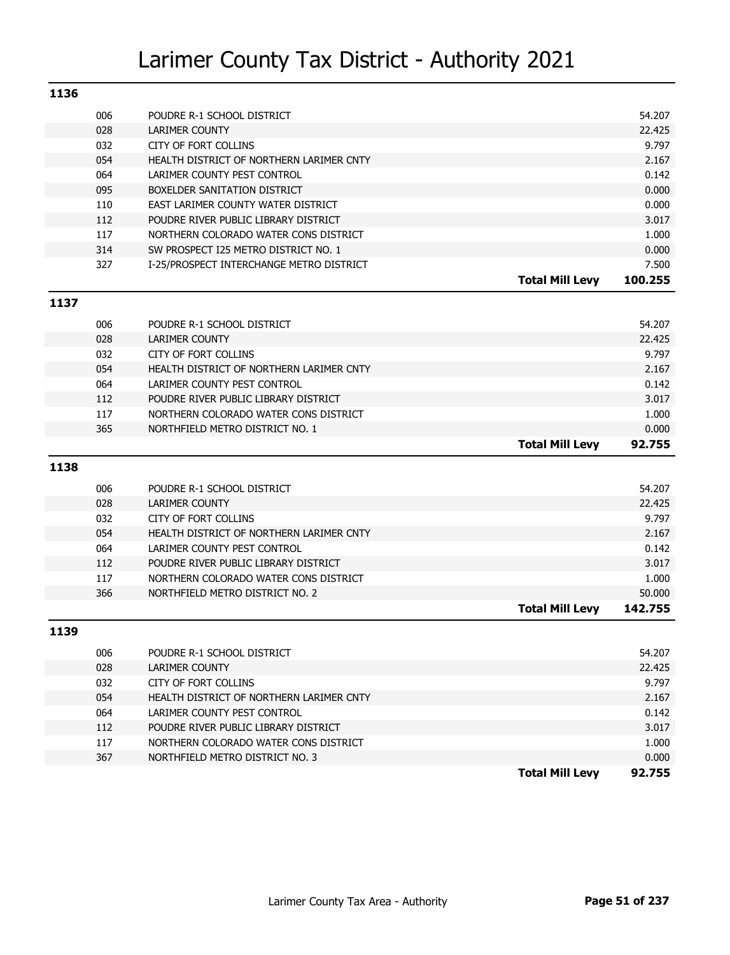| 1136 |     |                                          |                        |                 |
|------|-----|------------------------------------------|------------------------|-----------------|
|      | 006 | POUDRE R-1 SCHOOL DISTRICT               |                        | 54.207          |
|      | 028 | <b>LARIMER COUNTY</b>                    |                        | 22.425          |
|      | 032 | CITY OF FORT COLLINS                     |                        | 9.797           |
|      | 054 | HEALTH DISTRICT OF NORTHERN LARIMER CNTY |                        | 2.167           |
|      | 064 | LARIMER COUNTY PEST CONTROL              |                        | 0.142           |
|      | 095 | BOXELDER SANITATION DISTRICT             |                        | 0.000           |
|      | 110 | EAST LARIMER COUNTY WATER DISTRICT       |                        | 0.000           |
|      | 112 | POUDRE RIVER PUBLIC LIBRARY DISTRICT     |                        | 3.017           |
|      | 117 | NORTHERN COLORADO WATER CONS DISTRICT    |                        | 1.000           |
|      | 314 | SW PROSPECT I25 METRO DISTRICT NO. 1     |                        | 0.000           |
|      | 327 | I-25/PROSPECT INTERCHANGE METRO DISTRICT |                        | 7.500           |
|      |     |                                          | <b>Total Mill Levy</b> | 100.255         |
| 1137 |     |                                          |                        |                 |
|      | 006 | POUDRE R-1 SCHOOL DISTRICT               |                        | 54.207          |
|      | 028 | <b>LARIMER COUNTY</b>                    |                        | 22.425          |
|      | 032 | CITY OF FORT COLLINS                     |                        | 9.797           |
|      | 054 | HEALTH DISTRICT OF NORTHERN LARIMER CNTY |                        | 2.167           |
|      | 064 | LARIMER COUNTY PEST CONTROL              |                        | 0.142           |
|      | 112 | POUDRE RIVER PUBLIC LIBRARY DISTRICT     |                        | 3.017           |
|      | 117 | NORTHERN COLORADO WATER CONS DISTRICT    |                        | 1.000           |
|      | 365 | NORTHFIELD METRO DISTRICT NO. 1          |                        | 0.000           |
|      |     |                                          |                        |                 |
|      |     |                                          | <b>Total Mill Levy</b> | 92.755          |
|      |     |                                          |                        |                 |
| 1138 |     |                                          |                        |                 |
|      | 006 | POUDRE R-1 SCHOOL DISTRICT               |                        | 54.207          |
|      | 028 | <b>LARIMER COUNTY</b>                    |                        | 22.425          |
|      | 032 | CITY OF FORT COLLINS                     |                        | 9.797           |
|      | 054 | HEALTH DISTRICT OF NORTHERN LARIMER CNTY |                        | 2.167           |
|      | 064 | LARIMER COUNTY PEST CONTROL              |                        | 0.142           |
|      | 112 | POUDRE RIVER PUBLIC LIBRARY DISTRICT     |                        | 3.017           |
|      | 117 | NORTHERN COLORADO WATER CONS DISTRICT    |                        | 1.000           |
|      | 366 | NORTHFIELD METRO DISTRICT NO. 2          |                        | 50.000          |
|      |     |                                          | <b>Total Mill Levy</b> | 142.755         |
| 1139 |     |                                          |                        |                 |
|      | 006 | POUDRE R-1 SCHOOL DISTRICT               |                        | 54.207          |
|      | 028 | LARIMER COUNTY                           |                        | 22.425          |
|      | 032 | CITY OF FORT COLLINS                     |                        | 9.797           |
|      | 054 | HEALTH DISTRICT OF NORTHERN LARIMER CNTY |                        | 2.167           |
|      | 064 | LARIMER COUNTY PEST CONTROL              |                        | 0.142           |
|      | 112 | POUDRE RIVER PUBLIC LIBRARY DISTRICT     |                        | 3.017           |
|      | 117 | NORTHERN COLORADO WATER CONS DISTRICT    |                        | 1.000           |
|      | 367 | NORTHFIELD METRO DISTRICT NO. 3          | <b>Total Mill Levy</b> | 0.000<br>92.755 |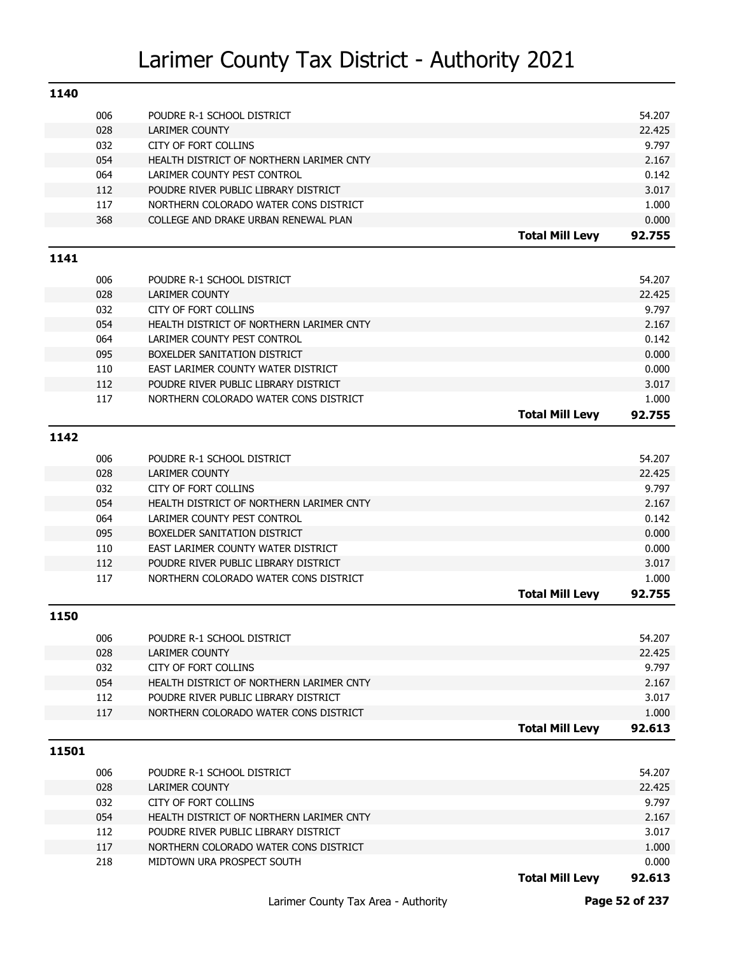| 1140  |            |                                                      |                        |                |
|-------|------------|------------------------------------------------------|------------------------|----------------|
|       | 006        | POUDRE R-1 SCHOOL DISTRICT                           |                        | 54.207         |
|       | 028        | <b>LARIMER COUNTY</b>                                |                        | 22.425         |
|       | 032        | <b>CITY OF FORT COLLINS</b>                          |                        | 9.797          |
|       | 054        | HEALTH DISTRICT OF NORTHERN LARIMER CNTY             |                        | 2.167          |
|       | 064        | LARIMER COUNTY PEST CONTROL                          |                        | 0.142          |
|       | 112        | POUDRE RIVER PUBLIC LIBRARY DISTRICT                 |                        | 3.017          |
|       | 117        | NORTHERN COLORADO WATER CONS DISTRICT                |                        | 1.000          |
|       | 368        | COLLEGE AND DRAKE URBAN RENEWAL PLAN                 |                        | 0.000          |
|       |            |                                                      | <b>Total Mill Levy</b> | 92.755         |
| 1141  |            |                                                      |                        |                |
|       | 006        | POUDRE R-1 SCHOOL DISTRICT                           |                        | 54.207         |
|       | 028        | <b>LARIMER COUNTY</b>                                |                        | 22.425         |
|       | 032        | <b>CITY OF FORT COLLINS</b>                          |                        | 9.797          |
|       | 054        | HEALTH DISTRICT OF NORTHERN LARIMER CNTY             |                        | 2.167          |
|       | 064        | LARIMER COUNTY PEST CONTROL                          |                        | 0.142          |
|       | 095        | BOXELDER SANITATION DISTRICT                         |                        | 0.000          |
|       | 110        | EAST LARIMER COUNTY WATER DISTRICT                   |                        | 0.000          |
|       | 112        | POUDRE RIVER PUBLIC LIBRARY DISTRICT                 |                        | 3.017          |
|       | 117        | NORTHERN COLORADO WATER CONS DISTRICT                |                        | 1.000          |
|       |            |                                                      | <b>Total Mill Levy</b> | 92.755         |
| 1142  |            |                                                      |                        |                |
|       | 006        | POUDRE R-1 SCHOOL DISTRICT                           |                        | 54.207         |
|       | 028        | <b>LARIMER COUNTY</b>                                |                        | 22.425         |
|       | 032        | <b>CITY OF FORT COLLINS</b>                          |                        | 9.797          |
|       | 054        | HEALTH DISTRICT OF NORTHERN LARIMER CNTY             |                        | 2.167          |
|       | 064        | LARIMER COUNTY PEST CONTROL                          |                        | 0.142          |
|       | 095        | BOXELDER SANITATION DISTRICT                         |                        | 0.000          |
|       | 110        | EAST LARIMER COUNTY WATER DISTRICT                   |                        | 0.000          |
|       | 112        | POUDRE RIVER PUBLIC LIBRARY DISTRICT                 |                        | 3.017          |
|       | 117        | NORTHERN COLORADO WATER CONS DISTRICT                |                        | 1.000          |
|       |            |                                                      | <b>Total Mill Levy</b> | 92.755         |
| 1150  |            |                                                      |                        |                |
|       |            |                                                      |                        |                |
|       | 006        | POUDRE R-1 SCHOOL DISTRICT                           |                        | 54.207         |
|       | 028        | <b>LARIMER COUNTY</b><br><b>CITY OF FORT COLLINS</b> |                        | 22.425         |
|       | 032<br>054 | HEALTH DISTRICT OF NORTHERN LARIMER CNTY             |                        | 9.797<br>2.167 |
|       | 112        | POUDRE RIVER PUBLIC LIBRARY DISTRICT                 |                        | 3.017          |
|       | 117        | NORTHERN COLORADO WATER CONS DISTRICT                |                        | 1.000          |
|       |            |                                                      | <b>Total Mill Levy</b> | 92.613         |
|       |            |                                                      |                        |                |
| 11501 |            |                                                      |                        |                |
|       | 006        | POUDRE R-1 SCHOOL DISTRICT                           |                        | 54.207         |
|       | 028        | <b>LARIMER COUNTY</b>                                |                        | 22.425         |
|       | 032        | CITY OF FORT COLLINS                                 |                        | 9.797          |
|       | 054        | HEALTH DISTRICT OF NORTHERN LARIMER CNTY             |                        | 2.167          |
|       | 112        | POUDRE RIVER PUBLIC LIBRARY DISTRICT                 |                        | 3.017          |
|       | 117        | NORTHERN COLORADO WATER CONS DISTRICT                |                        | 1.000          |
|       | 218        | MIDTOWN URA PROSPECT SOUTH                           |                        | 0.000          |
|       |            |                                                      | <b>Total Mill Levy</b> | 92.613         |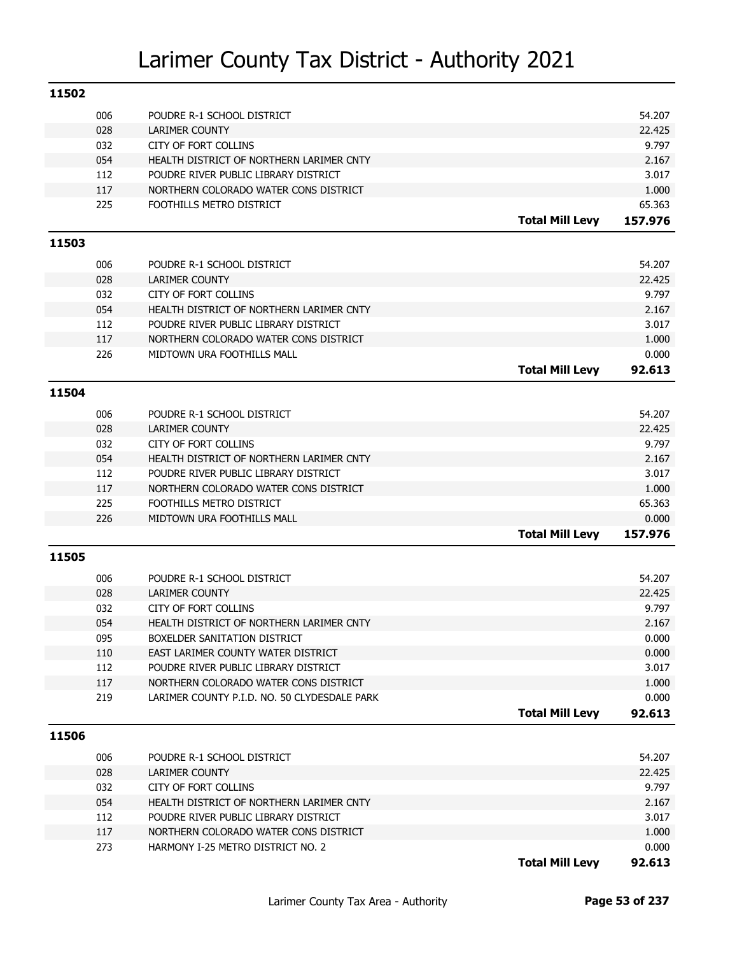| 11502 |     |                                              |                        |         |
|-------|-----|----------------------------------------------|------------------------|---------|
|       | 006 | POUDRE R-1 SCHOOL DISTRICT                   |                        | 54.207  |
|       | 028 | LARIMER COUNTY                               |                        | 22.425  |
|       | 032 | CITY OF FORT COLLINS                         |                        | 9.797   |
|       | 054 | HEALTH DISTRICT OF NORTHERN LARIMER CNTY     |                        | 2.167   |
|       | 112 | POUDRE RIVER PUBLIC LIBRARY DISTRICT         |                        | 3.017   |
|       | 117 | NORTHERN COLORADO WATER CONS DISTRICT        |                        | 1.000   |
|       | 225 | FOOTHILLS METRO DISTRICT                     |                        | 65.363  |
|       |     |                                              | <b>Total Mill Levy</b> | 157.976 |
| 11503 |     |                                              |                        |         |
|       | 006 | POUDRE R-1 SCHOOL DISTRICT                   |                        | 54.207  |
|       | 028 | <b>LARIMER COUNTY</b>                        |                        | 22.425  |
|       | 032 | CITY OF FORT COLLINS                         |                        | 9.797   |
|       | 054 | HEALTH DISTRICT OF NORTHERN LARIMER CNTY     |                        | 2.167   |
|       | 112 | POUDRE RIVER PUBLIC LIBRARY DISTRICT         |                        | 3.017   |
|       | 117 | NORTHERN COLORADO WATER CONS DISTRICT        |                        | 1.000   |
|       | 226 | MIDTOWN URA FOOTHILLS MALL                   |                        | 0.000   |
|       |     |                                              | <b>Total Mill Levy</b> | 92.613  |
| 11504 |     |                                              |                        |         |
|       | 006 | POUDRE R-1 SCHOOL DISTRICT                   |                        | 54.207  |
|       | 028 | <b>LARIMER COUNTY</b>                        |                        | 22.425  |
|       | 032 | CITY OF FORT COLLINS                         |                        | 9.797   |
|       | 054 | HEALTH DISTRICT OF NORTHERN LARIMER CNTY     |                        | 2.167   |
|       | 112 | POUDRE RIVER PUBLIC LIBRARY DISTRICT         |                        | 3.017   |
|       | 117 | NORTHERN COLORADO WATER CONS DISTRICT        |                        | 1.000   |
|       | 225 | FOOTHILLS METRO DISTRICT                     |                        | 65.363  |
|       | 226 | MIDTOWN URA FOOTHILLS MALL                   |                        | 0.000   |
|       |     |                                              | <b>Total Mill Levy</b> | 157.976 |
| 11505 |     |                                              |                        |         |
|       |     |                                              |                        |         |
|       | 006 | POUDRE R-1 SCHOOL DISTRICT                   |                        | 54.207  |
|       | 028 | <b>LARIMER COUNTY</b>                        |                        | 22.425  |
|       | 032 | CITY OF FORT COLLINS                         |                        | 9.797   |
|       | 054 | HEALTH DISTRICT OF NORTHERN LARIMER CNTY     |                        | 2.167   |
|       | 095 | BOXELDER SANITATION DISTRICT                 |                        | 0.000   |
|       | 110 | EAST LARIMER COUNTY WATER DISTRICT           |                        | 0.000   |
|       | 112 | POUDRE RIVER PUBLIC LIBRARY DISTRICT         |                        | 3.017   |
|       | 117 | NORTHERN COLORADO WATER CONS DISTRICT        |                        | 1.000   |
|       | 219 | LARIMER COUNTY P.I.D. NO. 50 CLYDESDALE PARK |                        | 0.000   |
|       |     |                                              | <b>Total Mill Levy</b> | 92.613  |
| 11506 |     |                                              |                        |         |
|       | 006 | POUDRE R-1 SCHOOL DISTRICT                   |                        | 54.207  |
|       | 028 | LARIMER COUNTY                               |                        | 22.425  |
|       | 032 | CITY OF FORT COLLINS                         |                        | 9.797   |
|       | 054 | HEALTH DISTRICT OF NORTHERN LARIMER CNTY     |                        | 2.167   |
|       | 112 | POUDRE RIVER PUBLIC LIBRARY DISTRICT         |                        | 3.017   |
|       | 117 | NORTHERN COLORADO WATER CONS DISTRICT        |                        | 1.000   |
|       | 273 | HARMONY I-25 METRO DISTRICT NO. 2            |                        | 0.000   |

**Total Mill Levy 92.613**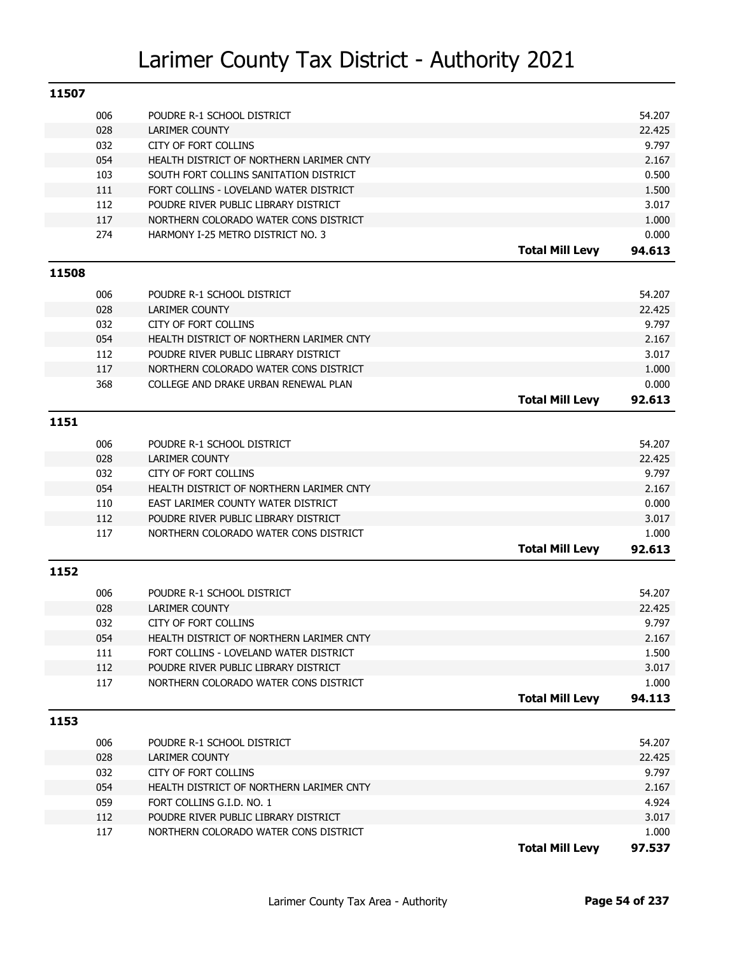| 11507 |     |                                          |                        |                 |
|-------|-----|------------------------------------------|------------------------|-----------------|
|       | 006 | POUDRE R-1 SCHOOL DISTRICT               |                        | 54.207          |
|       | 028 | <b>LARIMER COUNTY</b>                    |                        | 22.425          |
|       | 032 | CITY OF FORT COLLINS                     |                        | 9.797           |
|       | 054 | HEALTH DISTRICT OF NORTHERN LARIMER CNTY |                        | 2.167           |
|       | 103 | SOUTH FORT COLLINS SANITATION DISTRICT   |                        | 0.500           |
|       | 111 | FORT COLLINS - LOVELAND WATER DISTRICT   |                        | 1.500           |
|       | 112 | POUDRE RIVER PUBLIC LIBRARY DISTRICT     |                        | 3.017           |
|       | 117 | NORTHERN COLORADO WATER CONS DISTRICT    |                        | 1.000           |
|       | 274 | HARMONY I-25 METRO DISTRICT NO. 3        |                        | 0.000           |
|       |     |                                          | <b>Total Mill Levy</b> | 94.613          |
| 11508 |     |                                          |                        |                 |
|       |     |                                          |                        |                 |
|       | 006 | POUDRE R-1 SCHOOL DISTRICT               |                        | 54.207          |
|       | 028 | LARIMER COUNTY                           |                        | 22.425          |
|       | 032 | CITY OF FORT COLLINS                     |                        | 9.797           |
|       | 054 | HEALTH DISTRICT OF NORTHERN LARIMER CNTY |                        | 2.167           |
|       | 112 | POUDRE RIVER PUBLIC LIBRARY DISTRICT     |                        | 3.017           |
|       | 117 | NORTHERN COLORADO WATER CONS DISTRICT    |                        | 1.000           |
|       | 368 | COLLEGE AND DRAKE URBAN RENEWAL PLAN     |                        | 0.000           |
|       |     |                                          | <b>Total Mill Levy</b> | 92.613          |
| 1151  |     |                                          |                        |                 |
|       | 006 | POUDRE R-1 SCHOOL DISTRICT               |                        | 54.207          |
|       | 028 | LARIMER COUNTY                           |                        | 22.425          |
|       | 032 | CITY OF FORT COLLINS                     |                        | 9.797           |
|       | 054 | HEALTH DISTRICT OF NORTHERN LARIMER CNTY |                        | 2.167           |
|       | 110 | EAST LARIMER COUNTY WATER DISTRICT       |                        | 0.000           |
|       | 112 | POUDRE RIVER PUBLIC LIBRARY DISTRICT     |                        | 3.017           |
|       | 117 | NORTHERN COLORADO WATER CONS DISTRICT    |                        | 1.000           |
|       |     |                                          | <b>Total Mill Levy</b> | 92.613          |
| 1152  |     |                                          |                        |                 |
|       |     |                                          |                        |                 |
|       | 006 | POUDRE R-1 SCHOOL DISTRICT               |                        | 54.207          |
|       | 028 | LARIMER COUNTY                           |                        | 22.425          |
|       | 032 | CITY OF FORT COLLINS                     |                        | 9.797           |
|       | 054 | HEALTH DISTRICT OF NORTHERN LARIMER CNTY |                        | 2.167           |
|       | 111 | FORT COLLINS - LOVELAND WATER DISTRICT   |                        | 1.500           |
|       | 112 | POUDRE RIVER PUBLIC LIBRARY DISTRICT     |                        | 3.017           |
|       | 117 | NORTHERN COLORADO WATER CONS DISTRICT    | <b>Total Mill Levy</b> | 1.000<br>94.113 |
|       |     |                                          |                        |                 |
| 1153  |     |                                          |                        |                 |
|       | 006 | POUDRE R-1 SCHOOL DISTRICT               |                        | 54.207          |
|       | 028 | <b>LARIMER COUNTY</b>                    |                        | 22.425          |
|       | 032 | <b>CITY OF FORT COLLINS</b>              |                        | 9.797           |
|       | 054 | HEALTH DISTRICT OF NORTHERN LARIMER CNTY |                        | 2.167           |
|       | 059 | FORT COLLINS G.I.D. NO. 1                |                        | 4.924           |
|       | 112 | POUDRE RIVER PUBLIC LIBRARY DISTRICT     |                        | 3.017           |
|       | 117 | NORTHERN COLORADO WATER CONS DISTRICT    |                        | 1.000           |
|       |     |                                          | <b>Total Mill Levy</b> | 97.537          |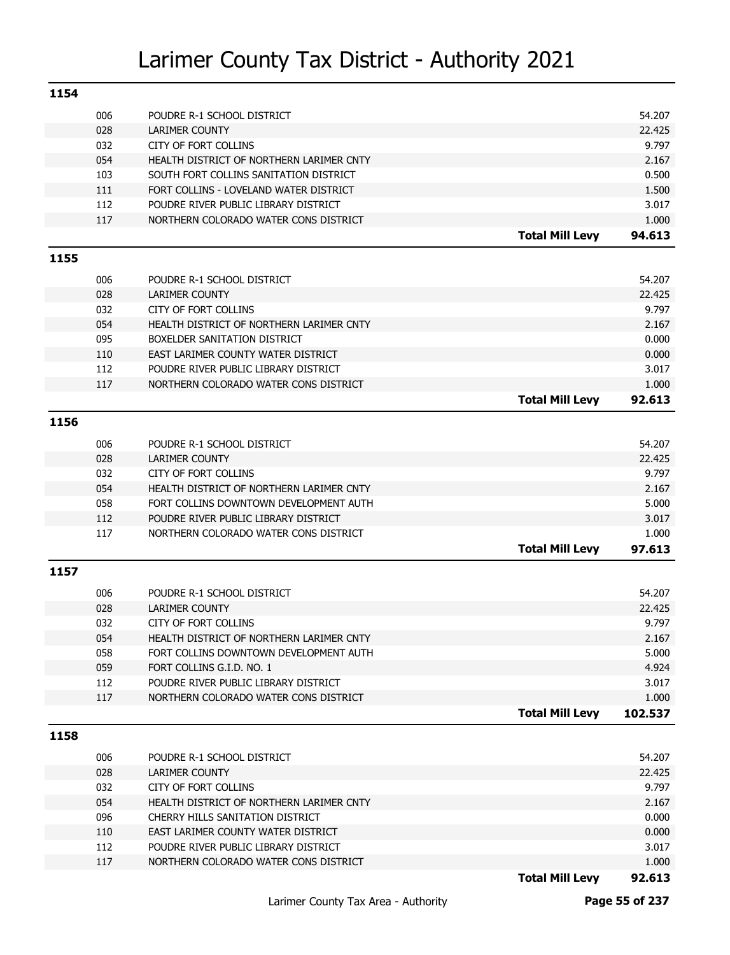| 1154 |     |                                          |                        |         |
|------|-----|------------------------------------------|------------------------|---------|
|      | 006 | POUDRE R-1 SCHOOL DISTRICT               |                        | 54.207  |
|      | 028 | LARIMER COUNTY                           |                        | 22.425  |
|      | 032 | <b>CITY OF FORT COLLINS</b>              |                        | 9.797   |
|      | 054 | HEALTH DISTRICT OF NORTHERN LARIMER CNTY |                        | 2.167   |
|      | 103 | SOUTH FORT COLLINS SANITATION DISTRICT   |                        | 0.500   |
|      | 111 | FORT COLLINS - LOVELAND WATER DISTRICT   |                        | 1.500   |
|      | 112 | POUDRE RIVER PUBLIC LIBRARY DISTRICT     |                        | 3.017   |
|      | 117 | NORTHERN COLORADO WATER CONS DISTRICT    |                        | 1.000   |
|      |     |                                          | <b>Total Mill Levy</b> | 94.613  |
|      |     |                                          |                        |         |
| 1155 |     |                                          |                        |         |
|      | 006 | POUDRE R-1 SCHOOL DISTRICT               |                        | 54.207  |
|      | 028 | <b>LARIMER COUNTY</b>                    |                        | 22.425  |
|      | 032 | <b>CITY OF FORT COLLINS</b>              |                        | 9.797   |
|      | 054 | HEALTH DISTRICT OF NORTHERN LARIMER CNTY |                        | 2.167   |
|      | 095 | BOXELDER SANITATION DISTRICT             |                        | 0.000   |
|      | 110 | EAST LARIMER COUNTY WATER DISTRICT       |                        | 0.000   |
|      | 112 | POUDRE RIVER PUBLIC LIBRARY DISTRICT     |                        | 3.017   |
|      | 117 | NORTHERN COLORADO WATER CONS DISTRICT    |                        | 1.000   |
|      |     |                                          | <b>Total Mill Levy</b> | 92.613  |
| 1156 |     |                                          |                        |         |
|      |     |                                          |                        |         |
|      | 006 | POUDRE R-1 SCHOOL DISTRICT               |                        | 54.207  |
|      | 028 | <b>LARIMER COUNTY</b>                    |                        | 22.425  |
|      | 032 | <b>CITY OF FORT COLLINS</b>              |                        | 9.797   |
|      | 054 | HEALTH DISTRICT OF NORTHERN LARIMER CNTY |                        | 2.167   |
|      | 058 | FORT COLLINS DOWNTOWN DEVELOPMENT AUTH   |                        | 5.000   |
|      | 112 | POUDRE RIVER PUBLIC LIBRARY DISTRICT     |                        | 3.017   |
|      | 117 | NORTHERN COLORADO WATER CONS DISTRICT    |                        | 1.000   |
|      |     |                                          | <b>Total Mill Levy</b> | 97.613  |
| 1157 |     |                                          |                        |         |
|      | 006 | POUDRE R-1 SCHOOL DISTRICT               |                        | 54.207  |
|      | 028 | <b>LARIMER COUNTY</b>                    |                        | 22.425  |
|      | 032 | <b>CITY OF FORT COLLINS</b>              |                        | 9.797   |
|      | 054 | HEALTH DISTRICT OF NORTHERN LARIMER CNTY |                        | 2.167   |
|      | 058 | FORT COLLINS DOWNTOWN DEVELOPMENT AUTH   |                        | 5.000   |
|      | 059 | FORT COLLINS G.I.D. NO. 1                |                        | 4.924   |
|      | 112 | POUDRE RIVER PUBLIC LIBRARY DISTRICT     |                        | 3.017   |
|      | 117 | NORTHERN COLORADO WATER CONS DISTRICT    |                        | 1.000   |
|      |     |                                          | <b>Total Mill Levy</b> | 102.537 |
|      |     |                                          |                        |         |
| 1158 |     |                                          |                        |         |
|      | 006 | POUDRE R-1 SCHOOL DISTRICT               |                        | 54.207  |
|      | 028 | <b>LARIMER COUNTY</b>                    |                        | 22.425  |
|      | 032 | CITY OF FORT COLLINS                     |                        | 9.797   |
|      | 054 | HEALTH DISTRICT OF NORTHERN LARIMER CNTY |                        | 2.167   |
|      | 096 | CHERRY HILLS SANITATION DISTRICT         |                        | 0.000   |
|      | 110 | EAST LARIMER COUNTY WATER DISTRICT       |                        | 0.000   |
|      | 112 | POUDRE RIVER PUBLIC LIBRARY DISTRICT     |                        | 3.017   |
|      | 117 | NORTHERN COLORADO WATER CONS DISTRICT    |                        | 1.000   |
|      |     |                                          | <b>Total Mill Levy</b> | 92.613  |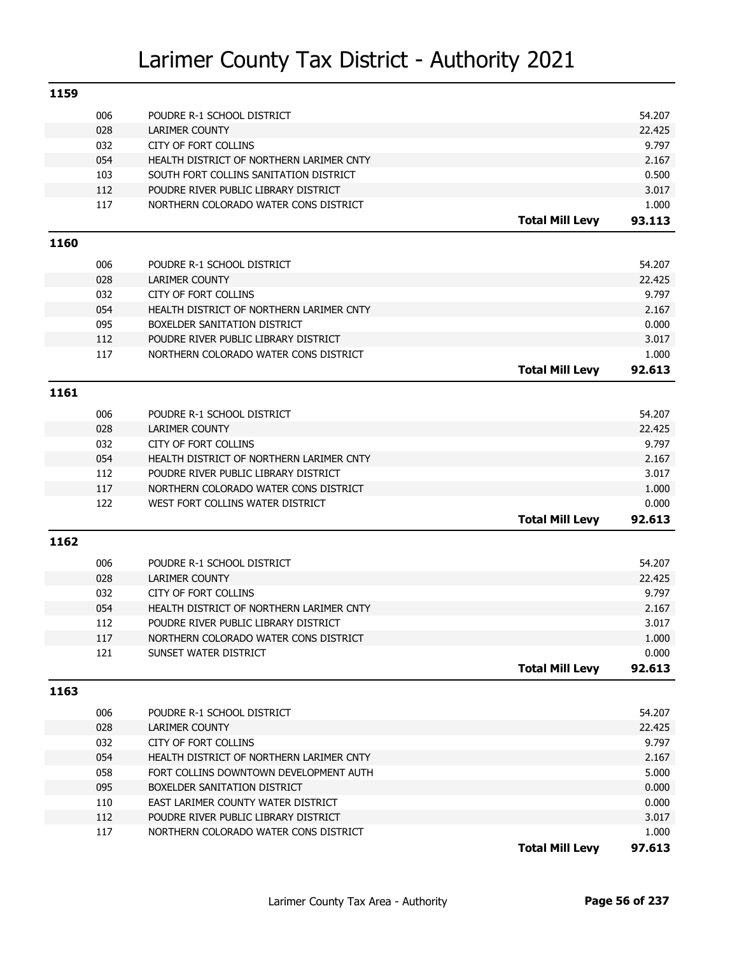| 1159 |            |                                                                               |                        |        |
|------|------------|-------------------------------------------------------------------------------|------------------------|--------|
|      | 006        | POUDRE R-1 SCHOOL DISTRICT                                                    |                        | 54.207 |
|      | 028        | LARIMER COUNTY                                                                |                        | 22.425 |
|      | 032        | CITY OF FORT COLLINS                                                          |                        | 9.797  |
|      | 054        | HEALTH DISTRICT OF NORTHERN LARIMER CNTY                                      |                        | 2.167  |
|      | 103        | SOUTH FORT COLLINS SANITATION DISTRICT                                        |                        | 0.500  |
|      | 112        | POUDRE RIVER PUBLIC LIBRARY DISTRICT                                          |                        | 3.017  |
|      | 117        | NORTHERN COLORADO WATER CONS DISTRICT                                         |                        | 1.000  |
|      |            |                                                                               | <b>Total Mill Levy</b> | 93.113 |
| 1160 |            |                                                                               |                        |        |
|      | 006        | POUDRE R-1 SCHOOL DISTRICT                                                    |                        | 54.207 |
|      | 028        | <b>LARIMER COUNTY</b>                                                         |                        | 22.425 |
|      | 032        | CITY OF FORT COLLINS                                                          |                        | 9.797  |
|      | 054        | HEALTH DISTRICT OF NORTHERN LARIMER CNTY                                      |                        | 2.167  |
|      | 095        | BOXELDER SANITATION DISTRICT                                                  |                        | 0.000  |
|      | 112        | POUDRE RIVER PUBLIC LIBRARY DISTRICT                                          |                        | 3.017  |
|      | 117        | NORTHERN COLORADO WATER CONS DISTRICT                                         |                        | 1.000  |
|      |            |                                                                               | <b>Total Mill Levy</b> | 92.613 |
|      |            |                                                                               |                        |        |
| 1161 |            |                                                                               |                        |        |
|      | 006        | POUDRE R-1 SCHOOL DISTRICT                                                    |                        | 54.207 |
|      | 028        | <b>LARIMER COUNTY</b>                                                         |                        | 22.425 |
|      | 032        | CITY OF FORT COLLINS                                                          |                        | 9.797  |
|      | 054        | HEALTH DISTRICT OF NORTHERN LARIMER CNTY                                      |                        | 2.167  |
|      | 112        | POUDRE RIVER PUBLIC LIBRARY DISTRICT                                          |                        | 3.017  |
|      | 117        | NORTHERN COLORADO WATER CONS DISTRICT                                         |                        | 1.000  |
|      | 122        | WEST FORT COLLINS WATER DISTRICT                                              |                        | 0.000  |
|      |            |                                                                               | <b>Total Mill Levy</b> | 92.613 |
| 1162 |            |                                                                               |                        |        |
|      | 006        | POUDRE R-1 SCHOOL DISTRICT                                                    |                        | 54.207 |
|      | 028        | <b>LARIMER COUNTY</b>                                                         |                        | 22.425 |
|      | 032        | CITY OF FORT COLLINS                                                          |                        | 9.797  |
|      | 054        | HEALTH DISTRICT OF NORTHERN LARIMER CNTY                                      |                        | 2.167  |
|      | 112        | POUDRE RIVER PUBLIC LIBRARY DISTRICT                                          |                        | 3.017  |
|      | 117        | NORTHERN COLORADO WATER CONS DISTRICT                                         |                        | 1.000  |
|      | 121        | SUNSET WATER DISTRICT                                                         |                        | 0.000  |
|      |            |                                                                               | <b>Total Mill Levy</b> | 92.613 |
| 1163 |            |                                                                               |                        |        |
|      |            |                                                                               |                        |        |
|      | 006        | POUDRE R-1 SCHOOL DISTRICT                                                    |                        | 54.207 |
|      | 028        | <b>LARIMER COUNTY</b>                                                         |                        | 22.425 |
|      | 032        | CITY OF FORT COLLINS                                                          |                        | 9.797  |
|      | 054        | HEALTH DISTRICT OF NORTHERN LARIMER CNTY                                      |                        | 2.167  |
|      | 058        | FORT COLLINS DOWNTOWN DEVELOPMENT AUTH                                        |                        | 5.000  |
|      | 095        | BOXELDER SANITATION DISTRICT                                                  |                        | 0.000  |
|      | 110        | EAST LARIMER COUNTY WATER DISTRICT                                            |                        | 0.000  |
|      | 112<br>117 | POUDRE RIVER PUBLIC LIBRARY DISTRICT<br>NORTHERN COLORADO WATER CONS DISTRICT |                        | 3.017  |
|      |            |                                                                               |                        | 1.000  |
|      |            |                                                                               | <b>Total Mill Levy</b> | 97.613 |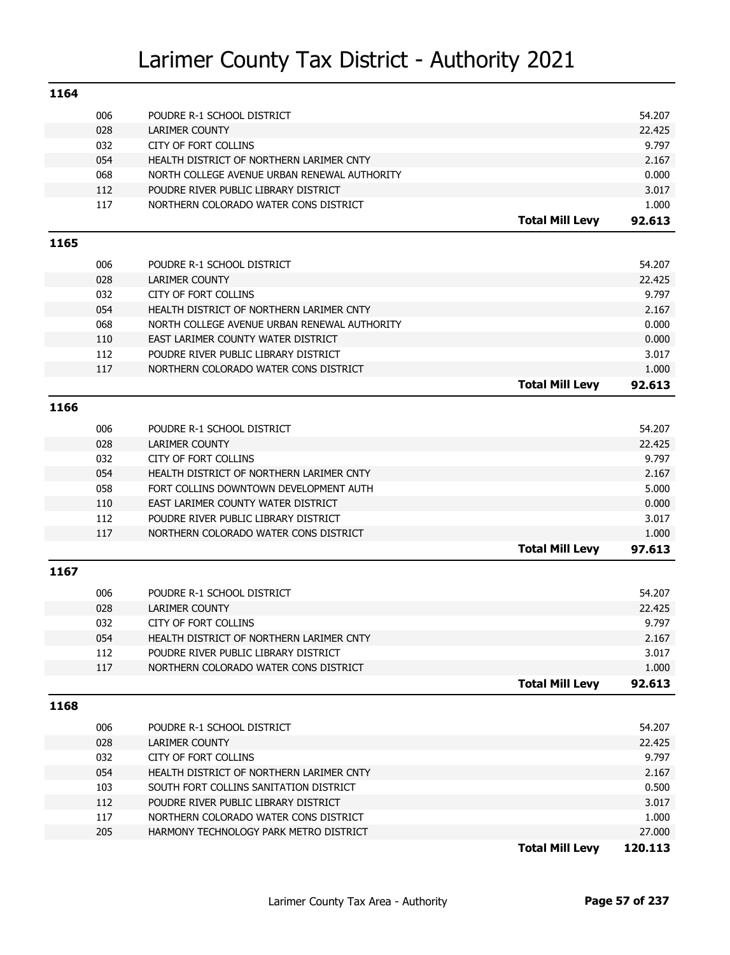| 1164 |            |                                                      |                        |                |
|------|------------|------------------------------------------------------|------------------------|----------------|
|      | 006        | POUDRE R-1 SCHOOL DISTRICT                           |                        | 54.207         |
|      | 028        | <b>LARIMER COUNTY</b>                                |                        | 22.425         |
|      | 032        | CITY OF FORT COLLINS                                 |                        | 9.797          |
|      | 054        | HEALTH DISTRICT OF NORTHERN LARIMER CNTY             |                        | 2.167          |
|      | 068        | NORTH COLLEGE AVENUE URBAN RENEWAL AUTHORITY         |                        | 0.000          |
|      | 112        | POUDRE RIVER PUBLIC LIBRARY DISTRICT                 |                        | 3.017          |
|      | 117        | NORTHERN COLORADO WATER CONS DISTRICT                |                        | 1.000          |
|      |            |                                                      | <b>Total Mill Levy</b> | 92.613         |
| 1165 |            |                                                      |                        |                |
|      | 006        | POUDRE R-1 SCHOOL DISTRICT                           |                        | 54.207         |
|      | 028        | <b>LARIMER COUNTY</b>                                |                        | 22.425         |
|      | 032        | CITY OF FORT COLLINS                                 |                        | 9.797          |
|      | 054        | HEALTH DISTRICT OF NORTHERN LARIMER CNTY             |                        | 2.167          |
|      | 068        | NORTH COLLEGE AVENUE URBAN RENEWAL AUTHORITY         |                        | 0.000          |
|      | 110        | EAST LARIMER COUNTY WATER DISTRICT                   |                        | 0.000          |
|      | 112        | POUDRE RIVER PUBLIC LIBRARY DISTRICT                 |                        | 3.017          |
|      | 117        | NORTHERN COLORADO WATER CONS DISTRICT                |                        | 1.000          |
|      |            |                                                      | <b>Total Mill Levy</b> | 92.613         |
|      |            |                                                      |                        |                |
| 1166 |            |                                                      |                        |                |
|      | 006        | POUDRE R-1 SCHOOL DISTRICT                           |                        | 54.207         |
|      | 028        | <b>LARIMER COUNTY</b>                                |                        | 22.425         |
|      | 032        | <b>CITY OF FORT COLLINS</b>                          |                        | 9.797          |
|      | 054        | HEALTH DISTRICT OF NORTHERN LARIMER CNTY             |                        | 2.167          |
|      | 058        | FORT COLLINS DOWNTOWN DEVELOPMENT AUTH               |                        | 5.000          |
|      | 110        | EAST LARIMER COUNTY WATER DISTRICT                   |                        | 0.000          |
|      | 112        | POUDRE RIVER PUBLIC LIBRARY DISTRICT                 |                        | 3.017          |
|      | 117        | NORTHERN COLORADO WATER CONS DISTRICT                |                        | 1.000          |
|      |            |                                                      | <b>Total Mill Levy</b> | 97.613         |
| 1167 |            |                                                      |                        |                |
|      |            |                                                      |                        |                |
|      | 006        | POUDRE R-1 SCHOOL DISTRICT                           |                        | 54.207         |
|      | 028        | <b>LARIMER COUNTY</b><br><b>CITY OF FORT COLLINS</b> |                        | 22.425         |
|      | 032<br>054 | HEALTH DISTRICT OF NORTHERN LARIMER CNTY             |                        | 9.797<br>2.167 |
|      | 112        | POUDRE RIVER PUBLIC LIBRARY DISTRICT                 |                        | 3.017          |
|      | 117        | NORTHERN COLORADO WATER CONS DISTRICT                |                        | 1.000          |
|      |            |                                                      | <b>Total Mill Levy</b> | 92.613         |
|      |            |                                                      |                        |                |
| 1168 |            |                                                      |                        |                |
|      | 006        | POUDRE R-1 SCHOOL DISTRICT                           |                        | 54.207         |
|      | 028        | LARIMER COUNTY                                       |                        | 22.425         |
|      | 032        | CITY OF FORT COLLINS                                 |                        | 9.797          |
|      | 054        | HEALTH DISTRICT OF NORTHERN LARIMER CNTY             |                        | 2.167          |
|      | 103        | SOUTH FORT COLLINS SANITATION DISTRICT               |                        | 0.500          |
|      | 112        | POUDRE RIVER PUBLIC LIBRARY DISTRICT                 |                        | 3.017          |
|      | 117        | NORTHERN COLORADO WATER CONS DISTRICT                |                        | 1.000          |
|      | 205        | HARMONY TECHNOLOGY PARK METRO DISTRICT               |                        | 27.000         |
|      |            |                                                      | <b>Total Mill Levy</b> | 120.113        |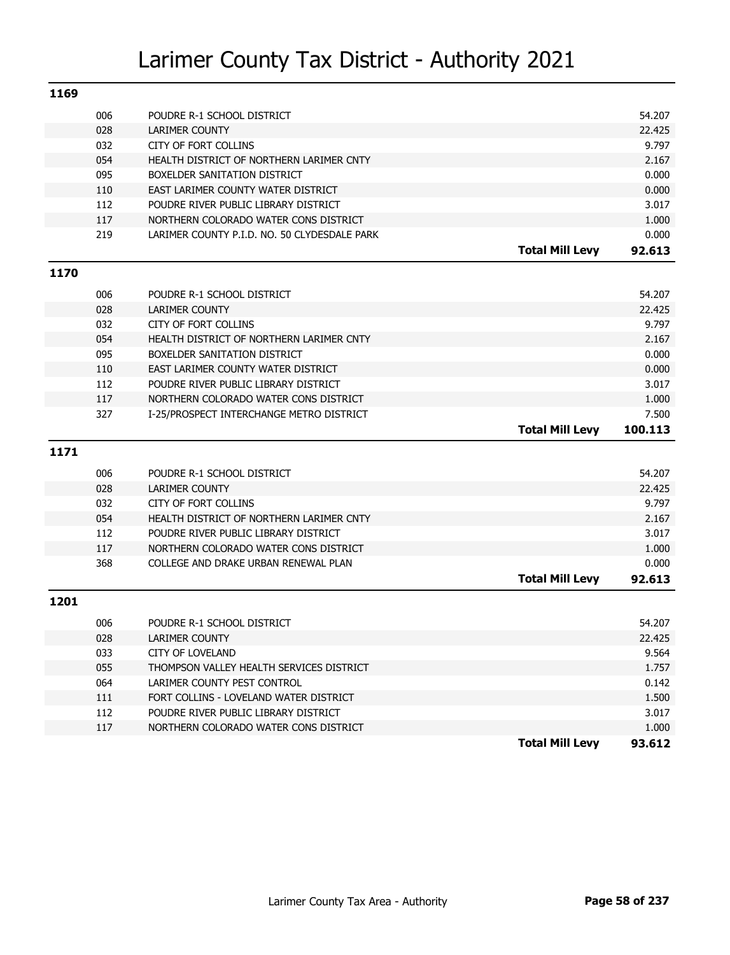| 1169 |     |                                                                 |                 |
|------|-----|-----------------------------------------------------------------|-----------------|
|      | 006 | POUDRE R-1 SCHOOL DISTRICT                                      | 54.207          |
|      | 028 | <b>LARIMER COUNTY</b>                                           | 22.425          |
|      | 032 | <b>CITY OF FORT COLLINS</b>                                     | 9.797           |
|      | 054 | HEALTH DISTRICT OF NORTHERN LARIMER CNTY                        | 2.167           |
|      | 095 | BOXELDER SANITATION DISTRICT                                    | 0.000           |
|      | 110 | EAST LARIMER COUNTY WATER DISTRICT                              | 0.000           |
|      | 112 | POUDRE RIVER PUBLIC LIBRARY DISTRICT                            | 3.017           |
|      | 117 | NORTHERN COLORADO WATER CONS DISTRICT                           | 1.000           |
|      | 219 | LARIMER COUNTY P.I.D. NO. 50 CLYDESDALE PARK                    | 0.000           |
|      |     | <b>Total Mill Levy</b>                                          | 92.613          |
| 1170 |     |                                                                 |                 |
|      | 006 | POUDRE R-1 SCHOOL DISTRICT                                      | 54.207          |
|      | 028 | <b>LARIMER COUNTY</b>                                           | 22.425          |
|      | 032 | <b>CITY OF FORT COLLINS</b>                                     | 9.797           |
|      | 054 | HEALTH DISTRICT OF NORTHERN LARIMER CNTY                        | 2.167           |
|      | 095 | BOXELDER SANITATION DISTRICT                                    | 0.000           |
|      | 110 | EAST LARIMER COUNTY WATER DISTRICT                              | 0.000           |
|      | 112 | POUDRE RIVER PUBLIC LIBRARY DISTRICT                            | 3.017           |
|      | 117 | NORTHERN COLORADO WATER CONS DISTRICT                           | 1.000           |
|      | 327 | I-25/PROSPECT INTERCHANGE METRO DISTRICT                        | 7.500           |
|      |     |                                                                 |                 |
|      |     | <b>Total Mill Levy</b>                                          | 100.113         |
|      |     |                                                                 |                 |
| 1171 |     |                                                                 |                 |
|      | 006 | POUDRE R-1 SCHOOL DISTRICT                                      | 54.207          |
|      | 028 | <b>LARIMER COUNTY</b>                                           | 22.425          |
|      | 032 | <b>CITY OF FORT COLLINS</b>                                     | 9.797           |
|      | 054 | HEALTH DISTRICT OF NORTHERN LARIMER CNTY                        | 2.167           |
|      | 112 | POUDRE RIVER PUBLIC LIBRARY DISTRICT                            | 3.017           |
|      | 117 | NORTHERN COLORADO WATER CONS DISTRICT                           | 1.000           |
|      | 368 | COLLEGE AND DRAKE URBAN RENEWAL PLAN                            | 0.000           |
|      |     | <b>Total Mill Levy</b>                                          | 92.613          |
| 1201 |     |                                                                 |                 |
|      | 006 | POUDRE R-1 SCHOOL DISTRICT                                      | 54.207          |
|      | 028 | LARIMER COUNTY                                                  | 22.425          |
|      | 033 | <b>CITY OF LOVELAND</b>                                         | 9.564           |
|      | 055 | THOMPSON VALLEY HEALTH SERVICES DISTRICT                        | 1.757           |
|      | 064 | LARIMER COUNTY PEST CONTROL                                     | 0.142           |
|      | 111 | FORT COLLINS - LOVELAND WATER DISTRICT                          | 1.500           |
|      | 112 | POUDRE RIVER PUBLIC LIBRARY DISTRICT                            | 3.017           |
|      | 117 | NORTHERN COLORADO WATER CONS DISTRICT<br><b>Total Mill Levy</b> | 1.000<br>93.612 |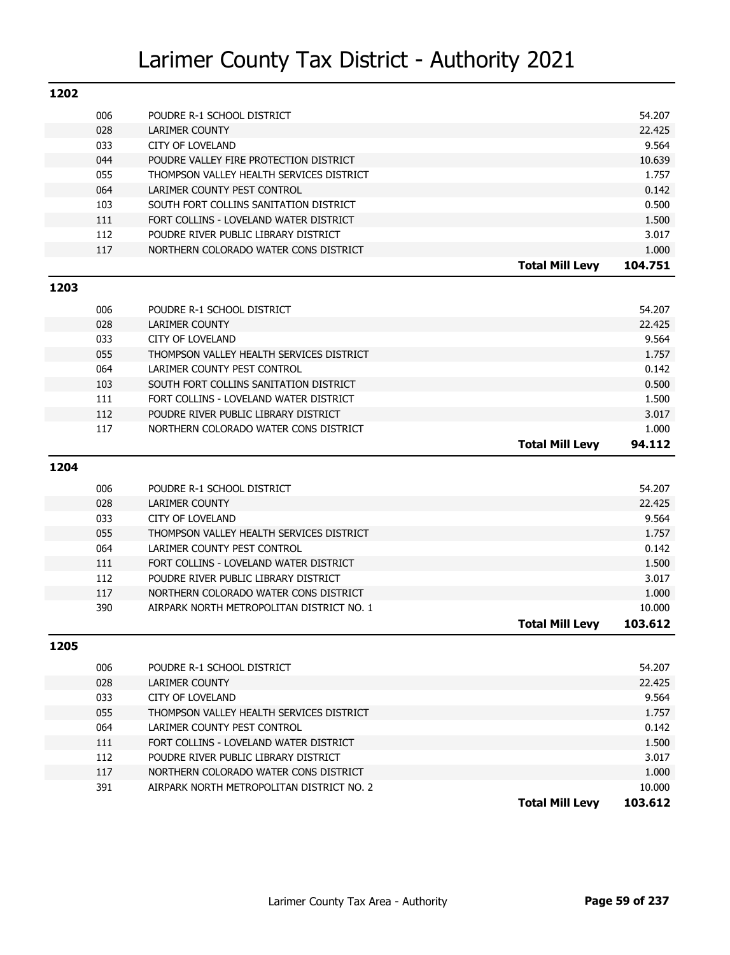| 1202 |            |                                                                                |                        |                |
|------|------------|--------------------------------------------------------------------------------|------------------------|----------------|
|      | 006        | POUDRE R-1 SCHOOL DISTRICT                                                     |                        | 54.207         |
|      | 028        | <b>LARIMER COUNTY</b>                                                          |                        | 22.425         |
|      | 033        | <b>CITY OF LOVELAND</b>                                                        |                        | 9.564          |
|      | 044        | POUDRE VALLEY FIRE PROTECTION DISTRICT                                         |                        | 10.639         |
|      | 055        | THOMPSON VALLEY HEALTH SERVICES DISTRICT                                       |                        | 1.757          |
|      | 064        | LARIMER COUNTY PEST CONTROL                                                    |                        | 0.142          |
|      | 103        | SOUTH FORT COLLINS SANITATION DISTRICT                                         |                        | 0.500          |
|      | 111        | FORT COLLINS - LOVELAND WATER DISTRICT                                         |                        | 1.500          |
|      | 112        | POUDRE RIVER PUBLIC LIBRARY DISTRICT                                           |                        | 3.017          |
|      | 117        | NORTHERN COLORADO WATER CONS DISTRICT                                          |                        | 1.000          |
|      |            |                                                                                | <b>Total Mill Levy</b> | 104.751        |
| 1203 |            |                                                                                |                        |                |
|      |            |                                                                                |                        |                |
|      | 006        | POUDRE R-1 SCHOOL DISTRICT                                                     |                        | 54.207         |
|      | 028        | <b>LARIMER COUNTY</b>                                                          |                        | 22.425         |
|      | 033        | <b>CITY OF LOVELAND</b>                                                        |                        | 9.564          |
|      | 055        | THOMPSON VALLEY HEALTH SERVICES DISTRICT                                       |                        | 1.757          |
|      | 064        | LARIMER COUNTY PEST CONTROL                                                    |                        | 0.142          |
|      | 103        | SOUTH FORT COLLINS SANITATION DISTRICT                                         |                        | 0.500          |
|      | 111<br>112 | FORT COLLINS - LOVELAND WATER DISTRICT<br>POUDRE RIVER PUBLIC LIBRARY DISTRICT |                        | 1.500<br>3.017 |
|      | 117        | NORTHERN COLORADO WATER CONS DISTRICT                                          |                        | 1.000          |
|      |            |                                                                                | <b>Total Mill Levy</b> | 94.112         |
|      |            |                                                                                |                        |                |
| 1204 |            |                                                                                |                        |                |
|      | 006        | POUDRE R-1 SCHOOL DISTRICT                                                     |                        | 54.207         |
|      | 028        | <b>LARIMER COUNTY</b>                                                          |                        | 22.425         |
|      | 033        | <b>CITY OF LOVELAND</b>                                                        |                        | 9.564          |
|      | 055        | THOMPSON VALLEY HEALTH SERVICES DISTRICT                                       |                        | 1.757          |
|      | 064        | LARIMER COUNTY PEST CONTROL                                                    |                        | 0.142          |
|      | 111        | FORT COLLINS - LOVELAND WATER DISTRICT                                         |                        | 1.500          |
|      | 112        | POUDRE RIVER PUBLIC LIBRARY DISTRICT                                           |                        | 3.017          |
|      | 117        | NORTHERN COLORADO WATER CONS DISTRICT                                          |                        | 1.000          |
|      | 390        | AIRPARK NORTH METROPOLITAN DISTRICT NO. 1                                      |                        | 10.000         |
|      |            |                                                                                | <b>Total Mill Levy</b> | 103.612        |
| 1205 |            |                                                                                |                        |                |
|      |            |                                                                                |                        |                |
|      | 006        | POUDRE R-1 SCHOOL DISTRICT                                                     |                        | 54.207         |
|      | 028        | LARIMER COUNTY                                                                 |                        | 22.425         |
|      | 033        | CITY OF LOVELAND                                                               |                        | 9.564          |
|      | 055        | THOMPSON VALLEY HEALTH SERVICES DISTRICT                                       |                        | 1.757          |
|      | 064        | LARIMER COUNTY PEST CONTROL                                                    |                        | 0.142          |
|      | 111        | FORT COLLINS - LOVELAND WATER DISTRICT                                         |                        | 1.500          |
|      | 112        | POUDRE RIVER PUBLIC LIBRARY DISTRICT                                           |                        | 3.017          |
|      | 117        | NORTHERN COLORADO WATER CONS DISTRICT                                          |                        | 1.000          |
|      | 391        | AIRPARK NORTH METROPOLITAN DISTRICT NO. 2                                      |                        | 10.000         |

**Total Mill Levy 103.612**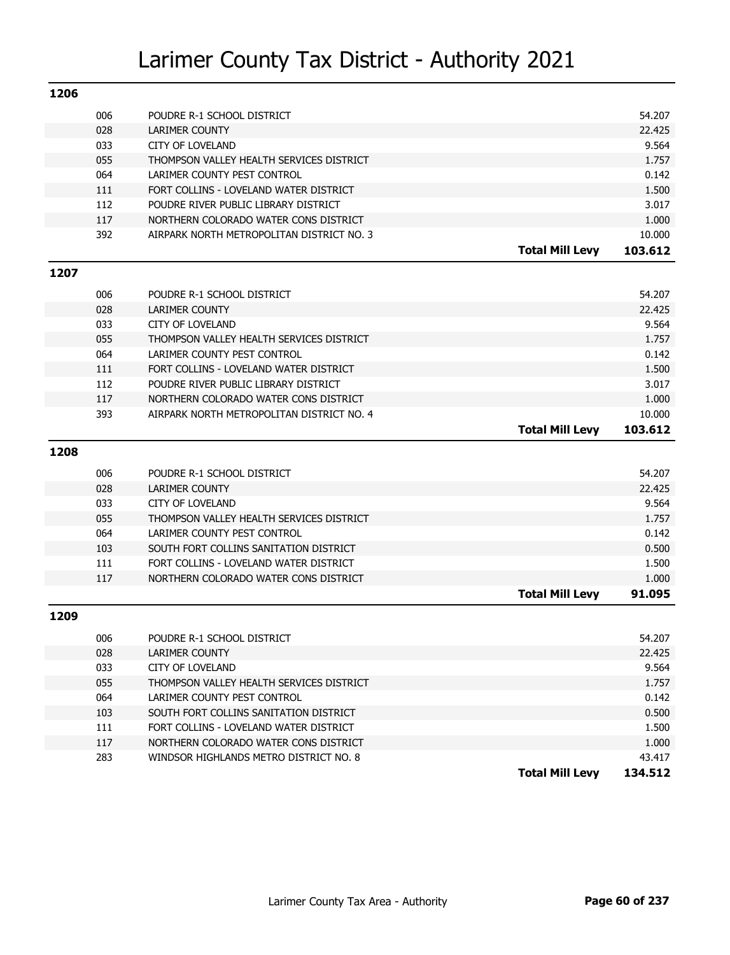| 1206 |     |                                           |                        |         |
|------|-----|-------------------------------------------|------------------------|---------|
|      | 006 | POUDRE R-1 SCHOOL DISTRICT                |                        | 54.207  |
|      | 028 | <b>LARIMER COUNTY</b>                     |                        | 22.425  |
|      | 033 | <b>CITY OF LOVELAND</b>                   |                        | 9.564   |
|      | 055 | THOMPSON VALLEY HEALTH SERVICES DISTRICT  |                        | 1.757   |
|      | 064 | LARIMER COUNTY PEST CONTROL               |                        | 0.142   |
|      | 111 | FORT COLLINS - LOVELAND WATER DISTRICT    |                        | 1.500   |
|      | 112 | POUDRE RIVER PUBLIC LIBRARY DISTRICT      |                        | 3.017   |
|      | 117 | NORTHERN COLORADO WATER CONS DISTRICT     |                        | 1.000   |
|      | 392 | AIRPARK NORTH METROPOLITAN DISTRICT NO. 3 |                        | 10.000  |
|      |     |                                           | <b>Total Mill Levy</b> | 103.612 |
| 1207 |     |                                           |                        |         |
|      | 006 | POUDRE R-1 SCHOOL DISTRICT                |                        | 54.207  |
|      | 028 | <b>LARIMER COUNTY</b>                     |                        | 22.425  |
|      | 033 | <b>CITY OF LOVELAND</b>                   |                        | 9.564   |
|      | 055 | THOMPSON VALLEY HEALTH SERVICES DISTRICT  |                        | 1.757   |
|      | 064 | LARIMER COUNTY PEST CONTROL               |                        | 0.142   |
|      | 111 | FORT COLLINS - LOVELAND WATER DISTRICT    |                        | 1.500   |
|      | 112 | POUDRE RIVER PUBLIC LIBRARY DISTRICT      |                        | 3.017   |
|      | 117 | NORTHERN COLORADO WATER CONS DISTRICT     |                        | 1.000   |
|      | 393 | AIRPARK NORTH METROPOLITAN DISTRICT NO. 4 |                        | 10.000  |
|      |     |                                           | <b>Total Mill Levy</b> | 103.612 |
| 1208 |     |                                           |                        |         |
|      | 006 | POUDRE R-1 SCHOOL DISTRICT                |                        | 54.207  |
|      | 028 | <b>LARIMER COUNTY</b>                     |                        | 22.425  |
|      | 033 | <b>CITY OF LOVELAND</b>                   |                        | 9.564   |
|      | 055 | THOMPSON VALLEY HEALTH SERVICES DISTRICT  |                        | 1.757   |
|      | 064 | LARIMER COUNTY PEST CONTROL               |                        | 0.142   |
|      | 103 | SOUTH FORT COLLINS SANITATION DISTRICT    |                        | 0.500   |
|      | 111 | FORT COLLINS - LOVELAND WATER DISTRICT    |                        | 1.500   |
|      | 117 | NORTHERN COLORADO WATER CONS DISTRICT     |                        | 1.000   |
|      |     |                                           | <b>Total Mill Levy</b> | 91.095  |
| 1209 |     |                                           |                        |         |
|      | 006 | POUDRE R-1 SCHOOL DISTRICT                |                        | 54.207  |
|      | 028 | LARIMER COUNTY                            |                        | 22.425  |
|      | 033 | <b>CITY OF LOVELAND</b>                   |                        | 9.564   |
|      | 055 | THOMPSON VALLEY HEALTH SERVICES DISTRICT  |                        | 1.757   |
|      | 064 | LARIMER COUNTY PEST CONTROL               |                        | 0.142   |
|      | 103 | SOUTH FORT COLLINS SANITATION DISTRICT    |                        | 0.500   |
|      | 111 | FORT COLLINS - LOVELAND WATER DISTRICT    |                        | 1.500   |
|      | 117 | NORTHERN COLORADO WATER CONS DISTRICT     |                        | 1.000   |
|      | 283 | WINDSOR HIGHLANDS METRO DISTRICT NO. 8    |                        | 43.417  |
|      |     |                                           | <b>Total Mill Levy</b> | 134.512 |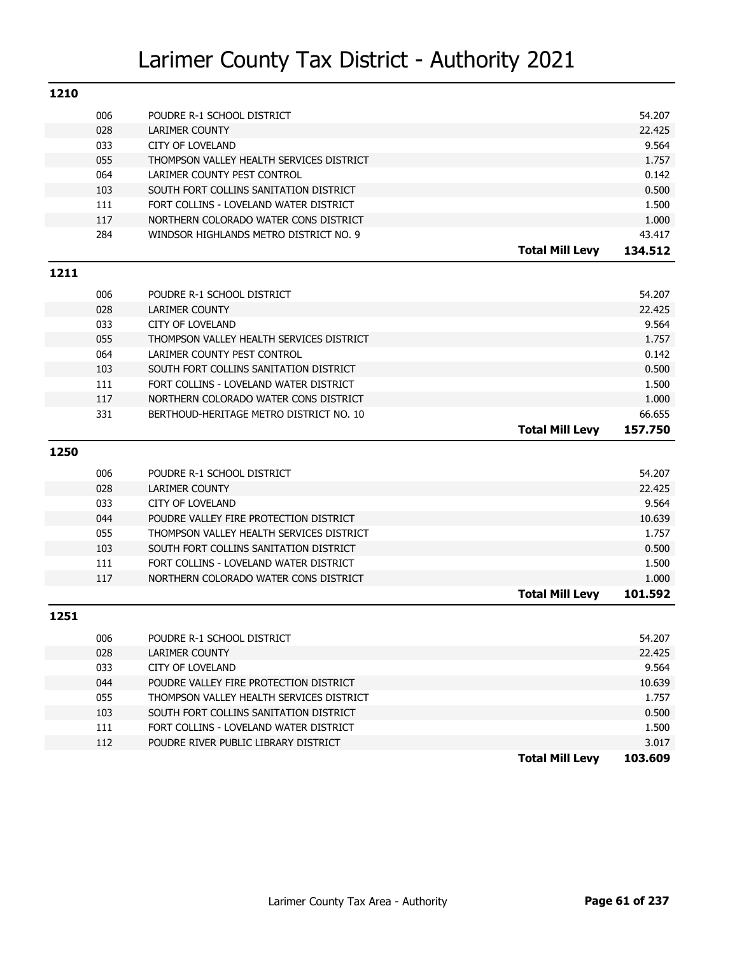| 1210 |     |                                          |                        |                 |
|------|-----|------------------------------------------|------------------------|-----------------|
|      | 006 | POUDRE R-1 SCHOOL DISTRICT               |                        | 54.207          |
|      | 028 | <b>LARIMER COUNTY</b>                    |                        | 22.425          |
|      | 033 | <b>CITY OF LOVELAND</b>                  |                        | 9.564           |
|      | 055 | THOMPSON VALLEY HEALTH SERVICES DISTRICT |                        | 1.757           |
|      | 064 | LARIMER COUNTY PEST CONTROL              |                        | 0.142           |
|      | 103 | SOUTH FORT COLLINS SANITATION DISTRICT   |                        | 0.500           |
|      | 111 | FORT COLLINS - LOVELAND WATER DISTRICT   |                        | 1.500           |
|      | 117 | NORTHERN COLORADO WATER CONS DISTRICT    |                        | 1.000           |
|      | 284 | WINDSOR HIGHLANDS METRO DISTRICT NO. 9   |                        | 43.417          |
|      |     |                                          | <b>Total Mill Levy</b> | 134.512         |
| 1211 |     |                                          |                        |                 |
|      | 006 | POUDRE R-1 SCHOOL DISTRICT               |                        | 54.207          |
|      | 028 | <b>LARIMER COUNTY</b>                    |                        | 22.425          |
|      | 033 | <b>CITY OF LOVELAND</b>                  |                        | 9.564           |
|      | 055 | THOMPSON VALLEY HEALTH SERVICES DISTRICT |                        | 1.757           |
|      | 064 | LARIMER COUNTY PEST CONTROL              |                        | 0.142           |
|      | 103 | SOUTH FORT COLLINS SANITATION DISTRICT   |                        | 0.500           |
|      | 111 | FORT COLLINS - LOVELAND WATER DISTRICT   |                        | 1.500           |
|      | 117 | NORTHERN COLORADO WATER CONS DISTRICT    |                        | 1.000           |
|      | 331 | BERTHOUD-HERITAGE METRO DISTRICT NO. 10  |                        | 66.655          |
|      |     |                                          |                        |                 |
|      |     |                                          | <b>Total Mill Levy</b> | 157.750         |
| 1250 |     |                                          |                        |                 |
|      | 006 | POUDRE R-1 SCHOOL DISTRICT               |                        | 54.207          |
|      | 028 | <b>LARIMER COUNTY</b>                    |                        | 22.425          |
|      | 033 | <b>CITY OF LOVELAND</b>                  |                        |                 |
|      | 044 | POUDRE VALLEY FIRE PROTECTION DISTRICT   |                        | 9.564<br>10.639 |
|      | 055 | THOMPSON VALLEY HEALTH SERVICES DISTRICT |                        | 1.757           |
|      | 103 | SOUTH FORT COLLINS SANITATION DISTRICT   |                        | 0.500           |
|      | 111 | FORT COLLINS - LOVELAND WATER DISTRICT   |                        | 1.500           |
|      | 117 | NORTHERN COLORADO WATER CONS DISTRICT    |                        | 1.000           |
|      |     |                                          | <b>Total Mill Levy</b> | 101.592         |
| 1251 |     |                                          |                        |                 |
|      | 006 | POUDRE R-1 SCHOOL DISTRICT               |                        | 54.207          |
|      | 028 | LARIMER COUNTY                           |                        | 22.425          |
|      | 033 | CITY OF LOVELAND                         |                        | 9.564           |
|      | 044 | POUDRE VALLEY FIRE PROTECTION DISTRICT   |                        | 10.639          |
|      | 055 | THOMPSON VALLEY HEALTH SERVICES DISTRICT |                        | 1.757           |
|      | 103 | SOUTH FORT COLLINS SANITATION DISTRICT   |                        | 0.500           |
|      | 111 | FORT COLLINS - LOVELAND WATER DISTRICT   |                        | 1.500           |
|      | 112 | POUDRE RIVER PUBLIC LIBRARY DISTRICT     |                        | 3.017           |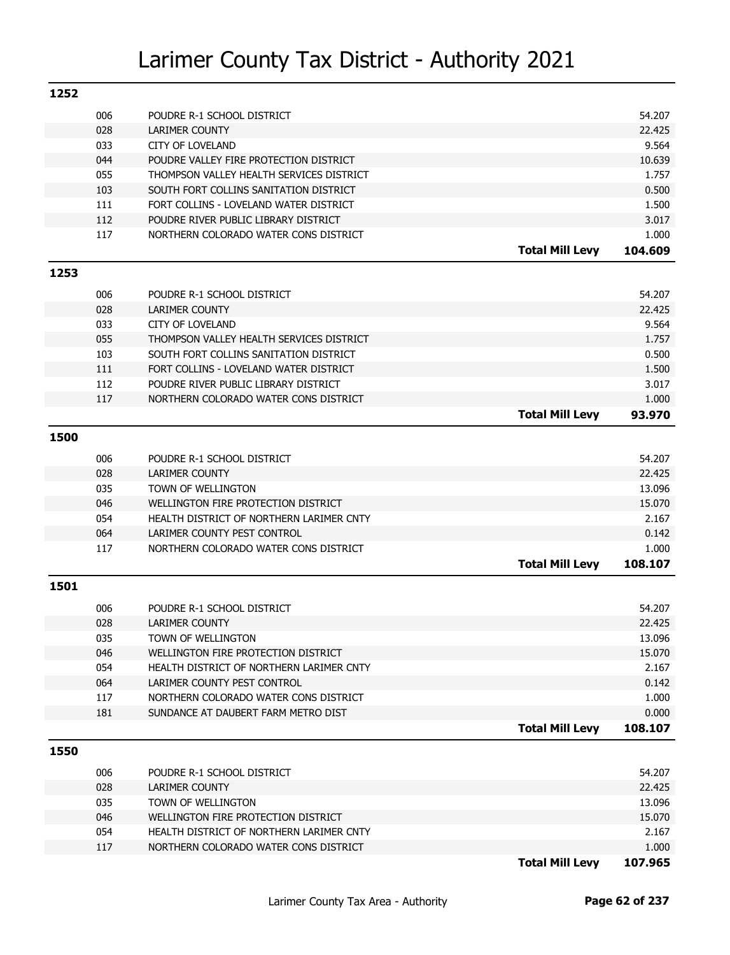| 1252 |            |                                                     |                        |                  |
|------|------------|-----------------------------------------------------|------------------------|------------------|
|      | 006        | POUDRE R-1 SCHOOL DISTRICT                          |                        | 54.207           |
|      | 028        | LARIMER COUNTY                                      |                        | 22.425           |
|      | 033        | <b>CITY OF LOVELAND</b>                             |                        | 9.564            |
|      | 044        | POUDRE VALLEY FIRE PROTECTION DISTRICT              |                        | 10.639           |
|      | 055        | THOMPSON VALLEY HEALTH SERVICES DISTRICT            |                        | 1.757            |
|      | 103        | SOUTH FORT COLLINS SANITATION DISTRICT              |                        | 0.500            |
|      | 111        | FORT COLLINS - LOVELAND WATER DISTRICT              |                        | 1.500            |
|      | 112        | POUDRE RIVER PUBLIC LIBRARY DISTRICT                |                        | 3.017            |
|      | 117        | NORTHERN COLORADO WATER CONS DISTRICT               |                        | 1.000            |
|      |            |                                                     | <b>Total Mill Levy</b> | 104.609          |
| 1253 |            |                                                     |                        |                  |
|      | 006        | POUDRE R-1 SCHOOL DISTRICT                          |                        | 54.207           |
|      | 028        | <b>LARIMER COUNTY</b>                               |                        | 22.425           |
|      | 033        | <b>CITY OF LOVELAND</b>                             |                        | 9.564            |
|      | 055        | THOMPSON VALLEY HEALTH SERVICES DISTRICT            |                        | 1.757            |
|      | 103        | SOUTH FORT COLLINS SANITATION DISTRICT              |                        | 0.500            |
|      | 111        | FORT COLLINS - LOVELAND WATER DISTRICT              |                        | 1.500            |
|      | 112        | POUDRE RIVER PUBLIC LIBRARY DISTRICT                |                        | 3.017            |
|      | 117        | NORTHERN COLORADO WATER CONS DISTRICT               |                        | 1.000            |
|      |            |                                                     | <b>Total Mill Levy</b> | 93.970           |
| 1500 |            |                                                     |                        |                  |
|      |            |                                                     |                        |                  |
|      | 006<br>028 | POUDRE R-1 SCHOOL DISTRICT<br><b>LARIMER COUNTY</b> |                        | 54.207<br>22.425 |
|      | 035        | TOWN OF WELLINGTON                                  |                        | 13.096           |
|      | 046        | WELLINGTON FIRE PROTECTION DISTRICT                 |                        | 15.070           |
|      | 054        | HEALTH DISTRICT OF NORTHERN LARIMER CNTY            |                        | 2.167            |
|      | 064        | LARIMER COUNTY PEST CONTROL                         |                        | 0.142            |
|      | 117        | NORTHERN COLORADO WATER CONS DISTRICT               |                        | 1.000            |
|      |            |                                                     | <b>Total Mill Levy</b> | 108.107          |
| 1501 |            |                                                     |                        |                  |
|      |            |                                                     |                        |                  |
|      | 006<br>028 | POUDRE R-1 SCHOOL DISTRICT<br><b>LARIMER COUNTY</b> |                        | 54.207<br>22.425 |
|      | 035        | TOWN OF WELLINGTON                                  |                        | 13.096           |
|      | 046        | WELLINGTON FIRE PROTECTION DISTRICT                 |                        | 15.070           |
|      | 054        | HEALTH DISTRICT OF NORTHERN LARIMER CNTY            |                        | 2.167            |
|      | 064        | LARIMER COUNTY PEST CONTROL                         |                        | 0.142            |
|      | 117        | NORTHERN COLORADO WATER CONS DISTRICT               |                        | 1.000            |
|      | 181        | SUNDANCE AT DAUBERT FARM METRO DIST                 |                        | 0.000            |
|      |            |                                                     | <b>Total Mill Levy</b> | 108.107          |
| 1550 |            |                                                     |                        |                  |
|      |            |                                                     |                        |                  |
|      | 006<br>028 | POUDRE R-1 SCHOOL DISTRICT                          |                        | 54.207<br>22.425 |
|      |            | LARIMER COUNTY<br><b>TOWN OF WELLINGTON</b>         |                        | 13.096           |
|      | 035<br>046 | WELLINGTON FIRE PROTECTION DISTRICT                 |                        | 15.070           |
|      | 054        | HEALTH DISTRICT OF NORTHERN LARIMER CNTY            |                        | 2.167            |
|      | 117        | NORTHERN COLORADO WATER CONS DISTRICT               |                        | 1.000            |
|      |            |                                                     | <b>Total Mill Levy</b> | 107.965          |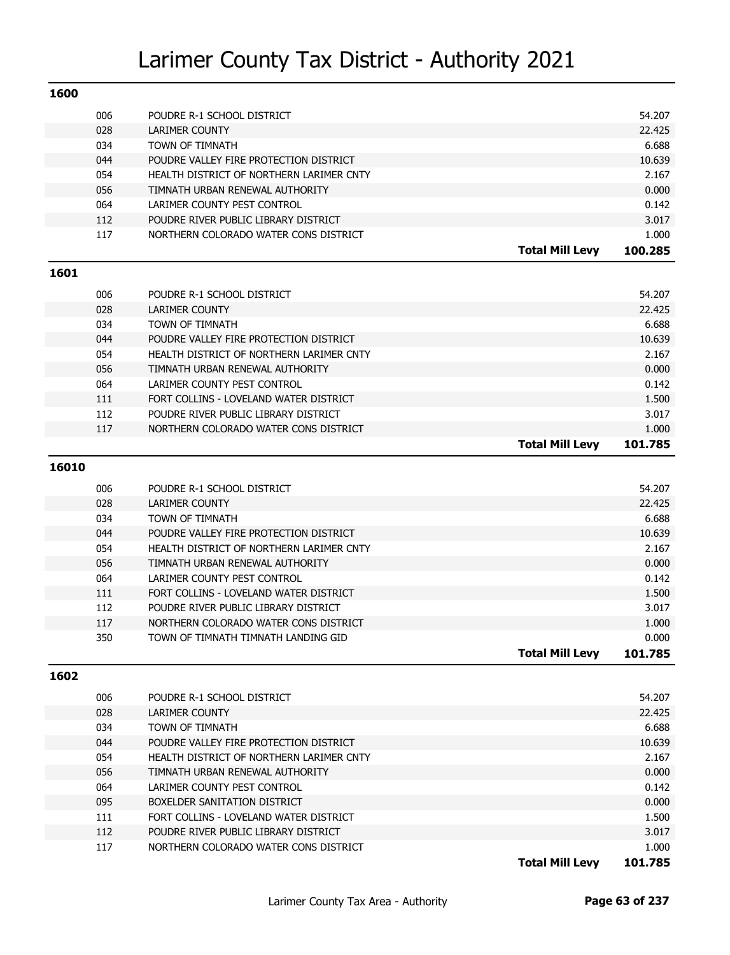| 1600  |     |                                          |                        |         |
|-------|-----|------------------------------------------|------------------------|---------|
|       | 006 | POUDRE R-1 SCHOOL DISTRICT               |                        | 54.207  |
|       | 028 | LARIMER COUNTY                           |                        | 22.425  |
|       | 034 | TOWN OF TIMNATH                          |                        | 6.688   |
|       | 044 | POUDRE VALLEY FIRE PROTECTION DISTRICT   |                        | 10.639  |
|       | 054 | HEALTH DISTRICT OF NORTHERN LARIMER CNTY |                        | 2.167   |
|       | 056 | TIMNATH URBAN RENEWAL AUTHORITY          |                        | 0.000   |
|       | 064 | LARIMER COUNTY PEST CONTROL              |                        | 0.142   |
|       | 112 | POUDRE RIVER PUBLIC LIBRARY DISTRICT     |                        | 3.017   |
|       | 117 | NORTHERN COLORADO WATER CONS DISTRICT    |                        | 1.000   |
|       |     |                                          | <b>Total Mill Levy</b> | 100.285 |
| 1601  |     |                                          |                        |         |
|       | 006 | POUDRE R-1 SCHOOL DISTRICT               |                        | 54.207  |
|       | 028 | LARIMER COUNTY                           |                        | 22.425  |
|       | 034 | TOWN OF TIMNATH                          |                        | 6.688   |
|       | 044 | POUDRE VALLEY FIRE PROTECTION DISTRICT   |                        | 10.639  |
|       | 054 | HEALTH DISTRICT OF NORTHERN LARIMER CNTY |                        | 2.167   |
|       | 056 | TIMNATH URBAN RENEWAL AUTHORITY          |                        | 0.000   |
|       | 064 | LARIMER COUNTY PEST CONTROL              |                        | 0.142   |
|       | 111 | FORT COLLINS - LOVELAND WATER DISTRICT   |                        | 1.500   |
|       | 112 | POUDRE RIVER PUBLIC LIBRARY DISTRICT     |                        | 3.017   |
|       | 117 | NORTHERN COLORADO WATER CONS DISTRICT    |                        | 1.000   |
|       |     |                                          | <b>Total Mill Levy</b> | 101.785 |
|       |     |                                          |                        |         |
| 16010 |     |                                          |                        |         |
|       | 006 | POUDRE R-1 SCHOOL DISTRICT               |                        | 54.207  |
|       | 028 | LARIMER COUNTY                           |                        | 22.425  |
|       | 034 | TOWN OF TIMNATH                          |                        | 6.688   |
|       | 044 | POUDRE VALLEY FIRE PROTECTION DISTRICT   |                        | 10.639  |
|       | 054 | HEALTH DISTRICT OF NORTHERN LARIMER CNTY |                        | 2.167   |
|       | 056 | TIMNATH URBAN RENEWAL AUTHORITY          |                        | 0.000   |
|       | 064 | LARIMER COUNTY PEST CONTROL              |                        | 0.142   |
|       | 111 | FORT COLLINS - LOVELAND WATER DISTRICT   |                        | 1.500   |
|       | 112 | POUDRE RIVER PUBLIC LIBRARY DISTRICT     |                        | 3.017   |
|       | 117 | NORTHERN COLORADO WATER CONS DISTRICT    |                        | 1.000   |
|       | 350 | TOWN OF TIMNATH TIMNATH LANDING GID      |                        | 0.000   |
|       |     |                                          | <b>Total Mill Levy</b> | 101.785 |
| 1602  |     |                                          |                        |         |
|       | 006 | POUDRE R-1 SCHOOL DISTRICT               |                        | 54.207  |
|       | 028 | LARIMER COUNTY                           |                        | 22.425  |
|       | 034 | TOWN OF TIMNATH                          |                        | 6.688   |
|       | 044 | POUDRE VALLEY FIRE PROTECTION DISTRICT   |                        | 10.639  |
|       | 054 | HEALTH DISTRICT OF NORTHERN LARIMER CNTY |                        | 2.167   |
|       | 056 | TIMNATH URBAN RENEWAL AUTHORITY          |                        | 0.000   |
|       | 064 | LARIMER COUNTY PEST CONTROL              |                        | 0.142   |
|       | 095 | BOXELDER SANITATION DISTRICT             |                        | 0.000   |
|       | 111 | FORT COLLINS - LOVELAND WATER DISTRICT   |                        | 1.500   |
|       | 112 | POUDRE RIVER PUBLIC LIBRARY DISTRICT     |                        | 3.017   |
|       | 117 | NORTHERN COLORADO WATER CONS DISTRICT    |                        | 1.000   |
|       |     |                                          | <b>Total Mill Levy</b> | 101.785 |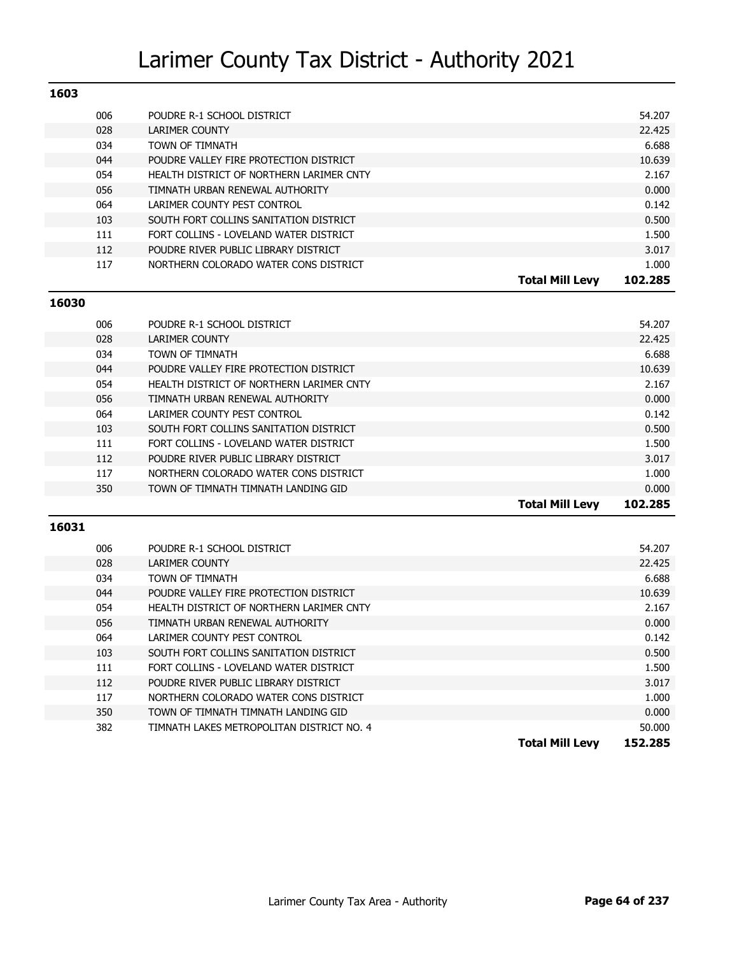| 1603 |                                          |                                   |
|------|------------------------------------------|-----------------------------------|
| 006  | POUDRE R-1 SCHOOL DISTRICT               | 54.207                            |
| 028  | LARIMER COUNTY                           | 22.425                            |
| 034  | TOWN OF TIMNATH                          | 6.688                             |
| 044  | POUDRE VALLEY FIRE PROTECTION DISTRICT   | 10.639                            |
| 054  | HEALTH DISTRICT OF NORTHERN LARIMER CNTY | 2.167                             |
| 056  | TIMNATH URBAN RENEWAL AUTHORITY          | 0.000                             |
| 064  | LARIMER COUNTY PEST CONTROL              | 0.142                             |
| 103  | SOUTH FORT COLLINS SANITATION DISTRICT   | 0.500                             |
| 111  | FORT COLLINS - LOVELAND WATER DISTRICT   | 1.500                             |
| 112  | POUDRE RIVER PUBLIC LIBRARY DISTRICT     | 3.017                             |
| 117  | NORTHERN COLORADO WATER CONS DISTRICT    | 1.000                             |
|      |                                          | 102.285<br><b>Total Mill Levv</b> |

#### **16030**

| 350 | TOWN OF TIMNATH TIMNATH LANDING GID   |                                                                                                                                                                                                                                                                                                                                                            | 1.000<br>0.000 |
|-----|---------------------------------------|------------------------------------------------------------------------------------------------------------------------------------------------------------------------------------------------------------------------------------------------------------------------------------------------------------------------------------------------------------|----------------|
|     |                                       |                                                                                                                                                                                                                                                                                                                                                            |                |
| 117 | NORTHERN COLORADO WATER CONS DISTRICT |                                                                                                                                                                                                                                                                                                                                                            |                |
| 112 |                                       |                                                                                                                                                                                                                                                                                                                                                            | 3.017          |
| 111 |                                       |                                                                                                                                                                                                                                                                                                                                                            | 1.500          |
| 103 |                                       |                                                                                                                                                                                                                                                                                                                                                            | 0.500          |
| 064 |                                       |                                                                                                                                                                                                                                                                                                                                                            | 0.142          |
| 056 |                                       |                                                                                                                                                                                                                                                                                                                                                            | 0.000          |
| 054 |                                       |                                                                                                                                                                                                                                                                                                                                                            | 2.167          |
| 044 |                                       |                                                                                                                                                                                                                                                                                                                                                            | 10.639         |
| 034 |                                       |                                                                                                                                                                                                                                                                                                                                                            | 6.688          |
| 028 |                                       |                                                                                                                                                                                                                                                                                                                                                            | 22.425         |
| 006 |                                       |                                                                                                                                                                                                                                                                                                                                                            | 54.207         |
|     |                                       | POUDRE R-1 SCHOOL DISTRICT<br><b>LARIMER COUNTY</b><br>TOWN OF TIMNATH<br>POUDRE VALLEY FIRE PROTECTION DISTRICT<br>HEALTH DISTRICT OF NORTHERN LARIMER CNTY<br>TIMNATH URBAN RENEWAL AUTHORITY<br>LARIMER COUNTY PEST CONTROL<br>SOUTH FORT COLLINS SANITATION DISTRICT<br>FORT COLLINS - LOVELAND WATER DISTRICT<br>POUDRE RIVER PUBLIC LIBRARY DISTRICT |                |

| 006 | POUDRE R-1 SCHOOL DISTRICT                |                        | 54.207  |
|-----|-------------------------------------------|------------------------|---------|
| 028 | LARIMER COUNTY                            |                        | 22.425  |
| 034 | TOWN OF TIMNATH                           |                        | 6.688   |
| 044 | POUDRE VALLEY FIRE PROTECTION DISTRICT    |                        | 10.639  |
| 054 | HEALTH DISTRICT OF NORTHERN LARIMER CNTY  |                        | 2.167   |
| 056 | TIMNATH URBAN RENEWAL AUTHORITY           |                        | 0.000   |
| 064 | LARIMER COUNTY PEST CONTROL               |                        | 0.142   |
| 103 | SOUTH FORT COLLINS SANITATION DISTRICT    |                        | 0.500   |
| 111 | FORT COLLINS - LOVELAND WATER DISTRICT    |                        | 1.500   |
| 112 | POUDRE RIVER PUBLIC LIBRARY DISTRICT      |                        | 3.017   |
| 117 | NORTHERN COLORADO WATER CONS DISTRICT     |                        | 1.000   |
| 350 | TOWN OF TIMNATH TIMNATH LANDING GID       |                        | 0.000   |
| 382 | TIMNATH LAKES METROPOLITAN DISTRICT NO. 4 |                        | 50,000  |
|     |                                           | <b>Total Mill Levy</b> | 152.285 |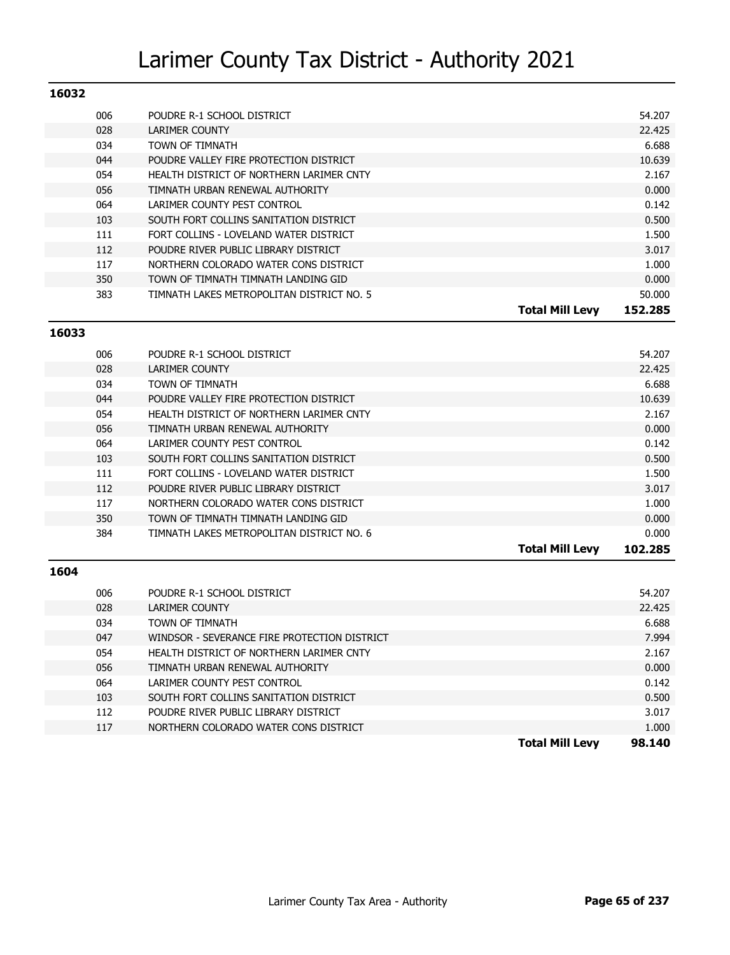| 16032 |                                           |                                   |
|-------|-------------------------------------------|-----------------------------------|
| 006   | POUDRE R-1 SCHOOL DISTRICT                | 54.207                            |
| 028   | LARIMER COUNTY                            | 22.425                            |
| 034   | TOWN OF TIMNATH                           | 6.688                             |
| 044   | POUDRE VALLEY FIRE PROTECTION DISTRICT    | 10.639                            |
| 054   | HEALTH DISTRICT OF NORTHERN LARIMER CNTY  | 2.167                             |
| 056   | TIMNATH URBAN RENEWAL AUTHORITY           | 0.000                             |
| 064   | LARIMER COUNTY PEST CONTROL               | 0.142                             |
| 103   | SOUTH FORT COLLINS SANITATION DISTRICT    | 0.500                             |
| 111   | FORT COLLINS - LOVELAND WATER DISTRICT    | 1.500                             |
| 112   | POUDRE RIVER PUBLIC LIBRARY DISTRICT      | 3.017                             |
| 117   | NORTHERN COLORADO WATER CONS DISTRICT     | 1.000                             |
| 350   | TOWN OF TIMNATH TIMNATH LANDING GID       | 0.000                             |
| 383   | TIMNATH LAKES METROPOLITAN DISTRICT NO. 5 | 50.000                            |
|       |                                           | 152.285<br><b>Total Mill Levy</b> |

#### **16033**

| 006 | POUDRE R-1 SCHOOL DISTRICT                |                        | 54.207  |
|-----|-------------------------------------------|------------------------|---------|
| 028 | <b>LARIMER COUNTY</b>                     |                        | 22.425  |
| 034 | TOWN OF TIMNATH                           |                        | 6.688   |
| 044 | POUDRE VALLEY FIRE PROTECTION DISTRICT    |                        | 10.639  |
| 054 | HEALTH DISTRICT OF NORTHERN LARIMER CNTY  |                        | 2.167   |
| 056 | TIMNATH URBAN RENEWAL AUTHORITY           |                        | 0.000   |
| 064 | LARIMER COUNTY PEST CONTROL               |                        | 0.142   |
| 103 | SOUTH FORT COLLINS SANITATION DISTRICT    |                        | 0.500   |
| 111 | FORT COLLINS - LOVELAND WATER DISTRICT    |                        | 1.500   |
| 112 | POUDRE RIVER PUBLIC LIBRARY DISTRICT      |                        | 3.017   |
| 117 | NORTHERN COLORADO WATER CONS DISTRICT     |                        | 1.000   |
| 350 | TOWN OF TIMNATH TIMNATH LANDING GID       |                        | 0.000   |
| 384 | TIMNATH LAKES METROPOLITAN DISTRICT NO. 6 |                        | 0.000   |
|     |                                           | <b>Total Mill Levy</b> | 102.285 |
|     |                                           |                        |         |

|     |                                              | <b>Total Mill Levv</b> | 98.140 |
|-----|----------------------------------------------|------------------------|--------|
| 117 | NORTHERN COLORADO WATER CONS DISTRICT        |                        | 1.000  |
| 112 | POUDRE RIVER PUBLIC LIBRARY DISTRICT         |                        | 3.017  |
| 103 | SOUTH FORT COLLINS SANITATION DISTRICT       |                        | 0.500  |
| 064 | LARIMER COUNTY PEST CONTROL                  |                        | 0.142  |
| 056 | TIMNATH URBAN RENEWAL AUTHORITY              |                        | 0.000  |
| 054 | HEALTH DISTRICT OF NORTHERN LARIMER CNTY     |                        | 2.167  |
| 047 | WINDSOR - SEVERANCE FIRE PROTECTION DISTRICT |                        | 7.994  |
| 034 | <b>TOWN OF TIMNATH</b>                       |                        | 6.688  |
| 028 | LARIMER COUNTY                               |                        | 22.425 |
| 006 | POUDRE R-1 SCHOOL DISTRICT                   |                        | 54.207 |
|     |                                              |                        |        |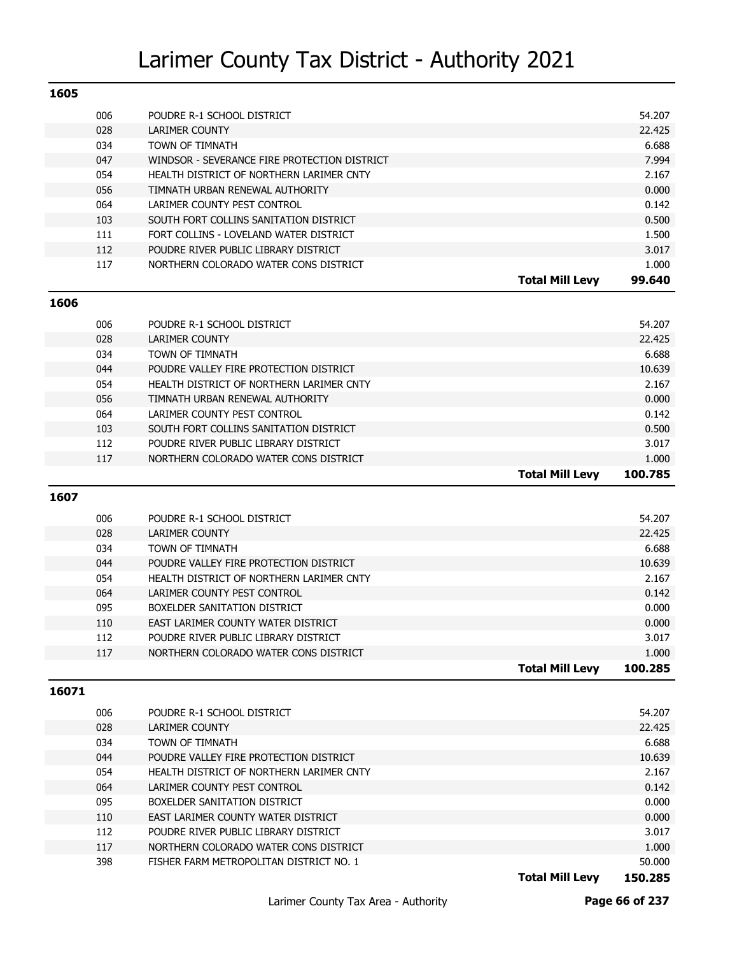| 1605 |     |                                              |                        |        |
|------|-----|----------------------------------------------|------------------------|--------|
|      | 006 | POUDRE R-1 SCHOOL DISTRICT                   |                        | 54.207 |
|      | 028 | LARIMER COUNTY                               |                        | 22.425 |
|      | 034 | TOWN OF TIMNATH                              |                        | 6.688  |
|      | 047 | WINDSOR - SEVERANCE FIRE PROTECTION DISTRICT |                        | 7.994  |
|      | 054 | HEALTH DISTRICT OF NORTHERN LARIMER CNTY     |                        | 2.167  |
|      | 056 | TIMNATH URBAN RENEWAL AUTHORITY              |                        | 0.000  |
|      | 064 | LARIMER COUNTY PEST CONTROL                  |                        | 0.142  |
|      | 103 | SOUTH FORT COLLINS SANITATION DISTRICT       |                        | 0.500  |
|      | 111 | FORT COLLINS - LOVELAND WATER DISTRICT       |                        | 1.500  |
|      | 112 | POUDRE RIVER PUBLIC LIBRARY DISTRICT         |                        | 3.017  |
|      | 117 | NORTHERN COLORADO WATER CONS DISTRICT        |                        | 1.000  |
|      |     |                                              | <b>Total Mill Levy</b> | 99.640 |

#### **1606**

| 006 | POUDRE R-1 SCHOOL DISTRICT               |                 | 54.207  |
|-----|------------------------------------------|-----------------|---------|
| 028 | LARIMER COUNTY                           |                 | 22.425  |
| 034 | TOWN OF TIMNATH                          |                 | 6.688   |
| 044 | POUDRE VALLEY FIRE PROTECTION DISTRICT   |                 | 10.639  |
| 054 | HEALTH DISTRICT OF NORTHERN LARIMER CNTY |                 | 2.167   |
| 056 | TIMNATH URBAN RENEWAL AUTHORITY          |                 | 0.000   |
| 064 | LARIMER COUNTY PEST CONTROL              |                 | 0.142   |
| 103 | SOUTH FORT COLLINS SANITATION DISTRICT   |                 | 0.500   |
| 112 | POUDRE RIVER PUBLIC LIBRARY DISTRICT     |                 | 3.017   |
| 117 | NORTHERN COLORADO WATER CONS DISTRICT    |                 | 1.000   |
|     |                                          | Total Mill Levv | 100.785 |

### **1607**

|     |                                          | Total Mill Levv | 100.285 |
|-----|------------------------------------------|-----------------|---------|
| 117 | NORTHERN COLORADO WATER CONS DISTRICT    |                 | 1.000   |
| 112 | POUDRE RIVER PUBLIC LIBRARY DISTRICT     |                 | 3.017   |
| 110 | EAST LARIMER COUNTY WATER DISTRICT       |                 | 0.000   |
| 095 | BOXELDER SANITATION DISTRICT             |                 | 0.000   |
| 064 | LARIMER COUNTY PEST CONTROL              |                 | 0.142   |
| 054 | HEALTH DISTRICT OF NORTHERN LARIMER CNTY |                 | 2.167   |
| 044 | POUDRE VALLEY FIRE PROTECTION DISTRICT   |                 | 10.639  |
| 034 | <b>TOWN OF TIMNATH</b>                   |                 | 6.688   |
| 028 | LARIMER COUNTY                           |                 | 22.425  |
| 006 | POUDRE R-1 SCHOOL DISTRICT               |                 | 54.207  |
|     |                                          |                 |         |

| 006 | POUDRE R-1 SCHOOL DISTRICT               | 54.207     |
|-----|------------------------------------------|------------|
| 028 | <b>LARIMER COUNTY</b>                    | 22.425     |
| 034 | TOWN OF TIMNATH                          | 6.688      |
| 044 | POUDRE VALLEY FIRE PROTECTION DISTRICT   | 10.639     |
| 054 | HEALTH DISTRICT OF NORTHERN LARIMER CNTY | 2.167      |
| 064 | LARIMER COUNTY PEST CONTROL              | 0.142      |
| 095 | BOXELDER SANITATION DISTRICT             | 0.000      |
| 110 | EAST LARIMER COUNTY WATER DISTRICT       | 0.000      |
| 112 | POUDRE RIVER PUBLIC LIBRARY DISTRICT     | 3.017      |
| 117 | NORTHERN COLORADO WATER CONS DISTRICT    | 1.000      |
| 398 | FISHER FARM METROPOLITAN DISTRICT NO. 1  | 50.000     |
|     |                                          | . <b>.</b> |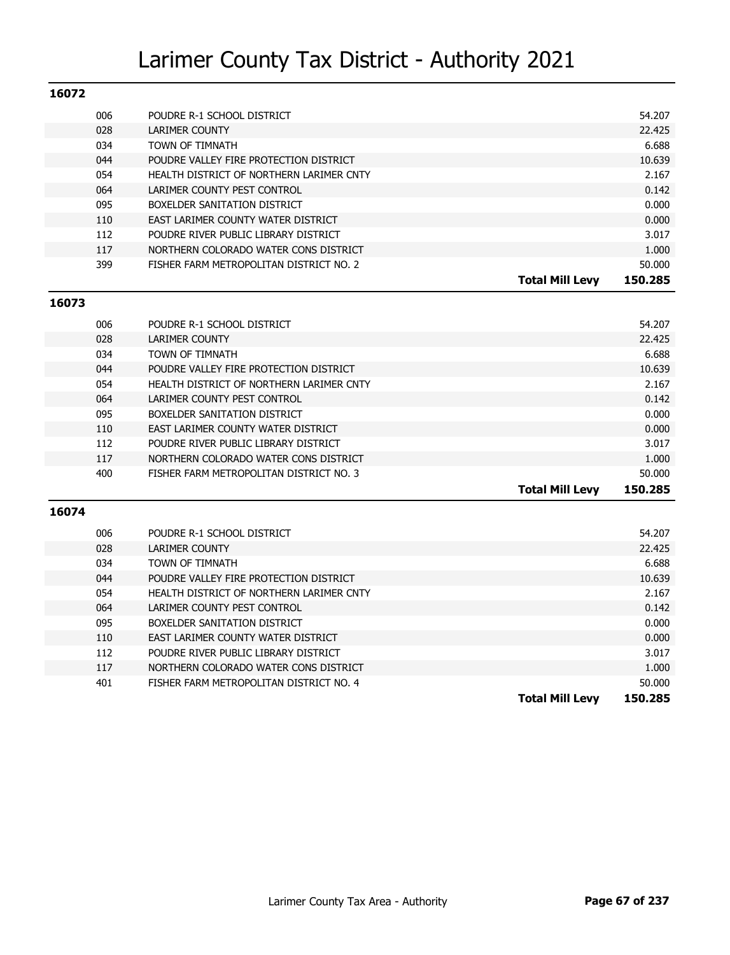| POUDRE R-1 SCHOOL DISTRICT               | 54.207                                                                    |
|------------------------------------------|---------------------------------------------------------------------------|
| LARIMER COUNTY                           | 22.425                                                                    |
| TOWN OF TIMNATH                          | 6.688                                                                     |
| POUDRE VALLEY FIRE PROTECTION DISTRICT   | 10.639                                                                    |
| HEALTH DISTRICT OF NORTHERN LARIMER CNTY | 2.167                                                                     |
| LARIMER COUNTY PEST CONTROL              | 0.142                                                                     |
| BOXELDER SANITATION DISTRICT             | 0.000                                                                     |
| EAST LARIMER COUNTY WATER DISTRICT       | 0.000                                                                     |
| POUDRE RIVER PUBLIC LIBRARY DISTRICT     | 3.017                                                                     |
| NORTHERN COLORADO WATER CONS DISTRICT    | 1.000                                                                     |
| FISHER FARM METROPOLITAN DISTRICT NO. 2  | 50.000                                                                    |
|                                          | 150.285<br><b>Total Mill Levv</b>                                         |
|                                          | 006<br>028<br>034<br>044<br>054<br>064<br>095<br>110<br>112<br>117<br>399 |

#### **16073**

|     |                                          | <b>Total Mill Levy</b> | 150.285 |
|-----|------------------------------------------|------------------------|---------|
| 400 | FISHER FARM METROPOLITAN DISTRICT NO. 3  |                        | 50.000  |
| 117 | NORTHERN COLORADO WATER CONS DISTRICT    |                        | 1.000   |
| 112 | POUDRE RIVER PUBLIC LIBRARY DISTRICT     |                        | 3.017   |
| 110 | EAST LARIMER COUNTY WATER DISTRICT       |                        | 0.000   |
| 095 | BOXELDER SANITATION DISTRICT             |                        | 0.000   |
| 064 | LARIMER COUNTY PEST CONTROL              |                        | 0.142   |
| 054 | HEALTH DISTRICT OF NORTHERN LARIMER CNTY |                        | 2.167   |
| 044 | POUDRE VALLEY FIRE PROTECTION DISTRICT   |                        | 10.639  |
| 034 | <b>TOWN OF TIMNATH</b>                   |                        | 6.688   |
| 028 | LARIMER COUNTY                           |                        | 22.425  |
| 006 | POUDRE R-1 SCHOOL DISTRICT               |                        | 54.207  |
|     |                                          |                        |         |

| 006 | POUDRE R-1 SCHOOL DISTRICT               |                        | 54.207  |
|-----|------------------------------------------|------------------------|---------|
| 028 | LARIMER COUNTY                           |                        | 22.425  |
| 034 | TOWN OF TIMNATH                          |                        | 6.688   |
| 044 | POUDRE VALLEY FIRE PROTECTION DISTRICT   |                        | 10.639  |
| 054 | HEALTH DISTRICT OF NORTHERN LARIMER CNTY |                        | 2.167   |
| 064 | LARIMER COUNTY PEST CONTROL              |                        | 0.142   |
| 095 | BOXELDER SANITATION DISTRICT             |                        | 0.000   |
| 110 | EAST LARIMER COUNTY WATER DISTRICT       |                        | 0.000   |
| 112 | POUDRE RIVER PUBLIC LIBRARY DISTRICT     |                        | 3.017   |
| 117 | NORTHERN COLORADO WATER CONS DISTRICT    |                        | 1.000   |
| 401 | FISHER FARM METROPOLITAN DISTRICT NO. 4  |                        | 50.000  |
|     |                                          | <b>Total Mill Levy</b> | 150.285 |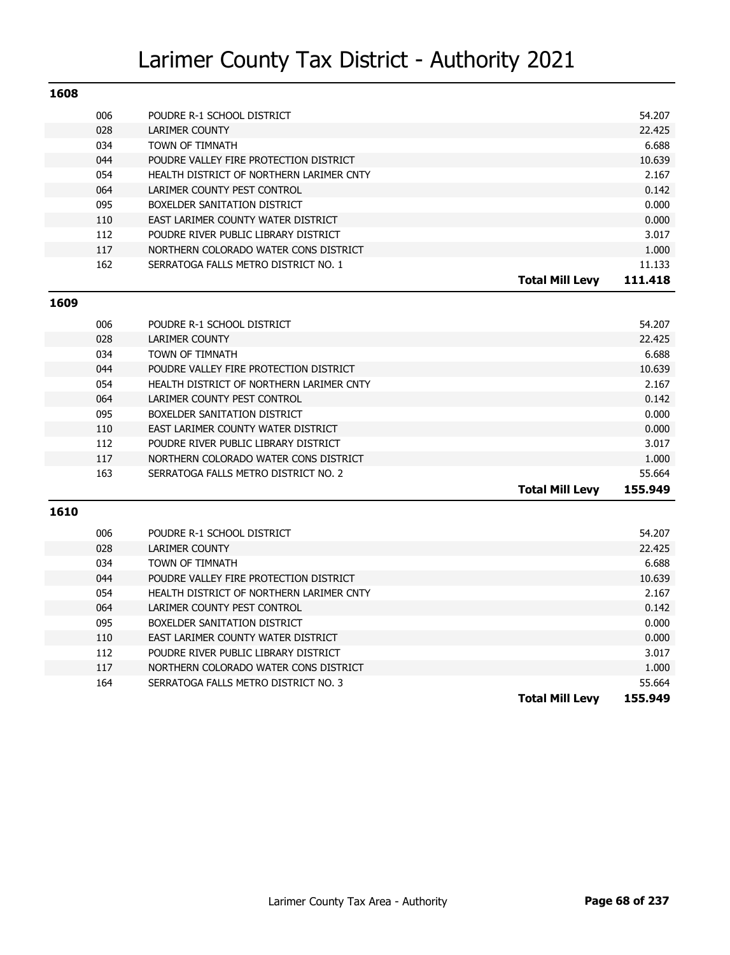| 1608 |                                          |                                   |
|------|------------------------------------------|-----------------------------------|
| 006  | POUDRE R-1 SCHOOL DISTRICT               | 54.207                            |
| 028  | <b>LARIMER COUNTY</b>                    | 22.425                            |
| 034  | TOWN OF TIMNATH                          | 6.688                             |
| 044  | POUDRE VALLEY FIRE PROTECTION DISTRICT   | 10.639                            |
| 054  | HEALTH DISTRICT OF NORTHERN LARIMER CNTY | 2.167                             |
| 064  | LARIMER COUNTY PEST CONTROL              | 0.142                             |
| 095  | BOXELDER SANITATION DISTRICT             | 0.000                             |
| 110  | EAST LARIMER COUNTY WATER DISTRICT       | 0.000                             |
| 112  | POUDRE RIVER PUBLIC LIBRARY DISTRICT     | 3.017                             |
| 117  | NORTHERN COLORADO WATER CONS DISTRICT    | 1.000                             |
| 162  | SERRATOGA FALLS METRO DISTRICT NO. 1     | 11.133                            |
|      |                                          | 111.418<br><b>Total Mill Levy</b> |

#### **1609**

| 006 | POUDRE R-1 SCHOOL DISTRICT               |                        | 54.207  |
|-----|------------------------------------------|------------------------|---------|
| 028 | LARIMER COUNTY                           |                        | 22.425  |
| 034 | <b>TOWN OF TIMNATH</b>                   |                        | 6.688   |
| 044 | POUDRE VALLEY FIRE PROTECTION DISTRICT   |                        | 10.639  |
| 054 | HEALTH DISTRICT OF NORTHERN LARIMER CNTY |                        | 2.167   |
| 064 | LARIMER COUNTY PEST CONTROL              |                        | 0.142   |
| 095 | BOXELDER SANITATION DISTRICT             |                        | 0.000   |
| 110 | EAST LARIMER COUNTY WATER DISTRICT       |                        | 0.000   |
| 112 | POUDRE RIVER PUBLIC LIBRARY DISTRICT     |                        | 3.017   |
| 117 | NORTHERN COLORADO WATER CONS DISTRICT    |                        | 1.000   |
| 163 | SERRATOGA FALLS METRO DISTRICT NO. 2     |                        | 55.664  |
|     |                                          | <b>Total Mill Levv</b> | 155.949 |

| 006 | POUDRE R-1 SCHOOL DISTRICT               |                        | 54.207  |
|-----|------------------------------------------|------------------------|---------|
| 028 | <b>LARIMER COUNTY</b>                    |                        | 22.425  |
| 034 | TOWN OF TIMNATH                          |                        | 6.688   |
| 044 | POUDRE VALLEY FIRE PROTECTION DISTRICT   |                        | 10.639  |
| 054 | HEALTH DISTRICT OF NORTHERN LARIMER CNTY |                        | 2.167   |
| 064 | LARIMER COUNTY PEST CONTROL              |                        | 0.142   |
| 095 | BOXELDER SANITATION DISTRICT             |                        | 0.000   |
| 110 | EAST LARIMER COUNTY WATER DISTRICT       |                        | 0.000   |
| 112 | POUDRE RIVER PUBLIC LIBRARY DISTRICT     |                        | 3.017   |
| 117 | NORTHERN COLORADO WATER CONS DISTRICT    |                        | 1.000   |
| 164 | SERRATOGA FALLS METRO DISTRICT NO. 3     |                        | 55.664  |
|     |                                          | <b>Total Mill Levy</b> | 155.949 |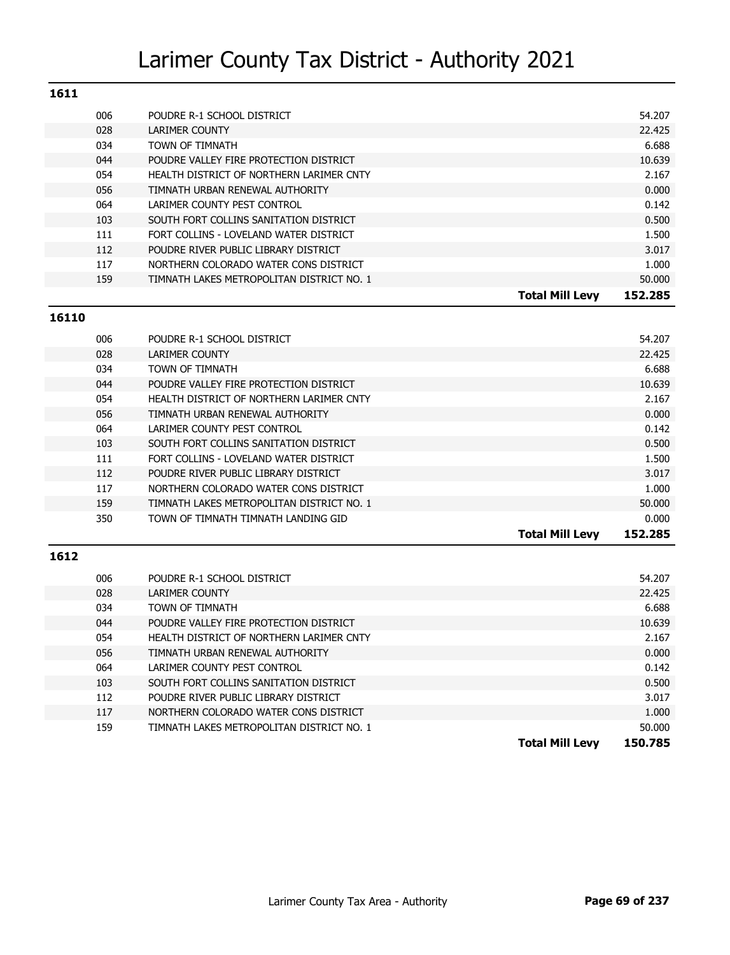| 1611 |     |                                           |                        |         |
|------|-----|-------------------------------------------|------------------------|---------|
|      | 006 | POUDRE R-1 SCHOOL DISTRICT                |                        | 54.207  |
|      | 028 | LARIMER COUNTY                            |                        | 22.425  |
|      | 034 | TOWN OF TIMNATH                           |                        | 6.688   |
|      | 044 | POUDRE VALLEY FIRE PROTECTION DISTRICT    |                        | 10.639  |
|      | 054 | HEALTH DISTRICT OF NORTHERN LARIMER CNTY  |                        | 2.167   |
|      | 056 | TIMNATH URBAN RENEWAL AUTHORITY           |                        | 0.000   |
|      | 064 | LARIMER COUNTY PEST CONTROL               |                        | 0.142   |
|      | 103 | SOUTH FORT COLLINS SANITATION DISTRICT    |                        | 0.500   |
|      | 111 | FORT COLLINS - LOVELAND WATER DISTRICT    |                        | 1.500   |
|      | 112 | POUDRE RIVER PUBLIC LIBRARY DISTRICT      |                        | 3.017   |
|      | 117 | NORTHERN COLORADO WATER CONS DISTRICT     |                        | 1.000   |
|      | 159 | TIMNATH LAKES METROPOLITAN DISTRICT NO. 1 |                        | 50,000  |
|      |     |                                           | <b>Total Mill Levv</b> | 152.285 |

#### **16110**

| 006 | POUDRE R-1 SCHOOL DISTRICT                |                        | 54.207  |
|-----|-------------------------------------------|------------------------|---------|
| 028 | LARIMER COUNTY                            |                        | 22.425  |
| 034 | TOWN OF TIMNATH                           |                        | 6.688   |
| 044 | POUDRE VALLEY FIRE PROTECTION DISTRICT    |                        | 10.639  |
| 054 | HEALTH DISTRICT OF NORTHERN LARIMER CNTY  |                        | 2.167   |
| 056 | TIMNATH URBAN RENEWAL AUTHORITY           |                        | 0.000   |
| 064 | LARIMER COUNTY PEST CONTROL               |                        | 0.142   |
| 103 | SOUTH FORT COLLINS SANITATION DISTRICT    |                        | 0.500   |
| 111 | FORT COLLINS - LOVELAND WATER DISTRICT    |                        | 1.500   |
| 112 | POUDRE RIVER PUBLIC LIBRARY DISTRICT      |                        | 3.017   |
| 117 | NORTHERN COLORADO WATER CONS DISTRICT     |                        | 1.000   |
| 159 | TIMNATH LAKES METROPOLITAN DISTRICT NO. 1 |                        | 50.000  |
| 350 | TOWN OF TIMNATH TIMNATH LANDING GID       |                        | 0.000   |
|     |                                           | <b>Total Mill Levy</b> | 152.285 |
|     |                                           |                        |         |

| 006 | POUDRE R-1 SCHOOL DISTRICT                |                        | 54.207  |
|-----|-------------------------------------------|------------------------|---------|
| 028 | LARIMER COUNTY                            |                        | 22.425  |
| 034 | TOWN OF TIMNATH                           |                        | 6.688   |
| 044 | POUDRE VALLEY FIRE PROTECTION DISTRICT    |                        | 10.639  |
| 054 | HEALTH DISTRICT OF NORTHERN LARIMER CNTY  |                        | 2.167   |
| 056 | TIMNATH URBAN RENEWAL AUTHORITY           |                        | 0.000   |
| 064 | LARIMER COUNTY PEST CONTROL               |                        | 0.142   |
| 103 | SOUTH FORT COLLINS SANITATION DISTRICT    |                        | 0.500   |
| 112 | POUDRE RIVER PUBLIC LIBRARY DISTRICT      |                        | 3.017   |
| 117 | NORTHERN COLORADO WATER CONS DISTRICT     |                        | 1.000   |
| 159 | TIMNATH LAKES METROPOLITAN DISTRICT NO. 1 |                        | 50.000  |
|     |                                           | <b>Total Mill Levy</b> | 150.785 |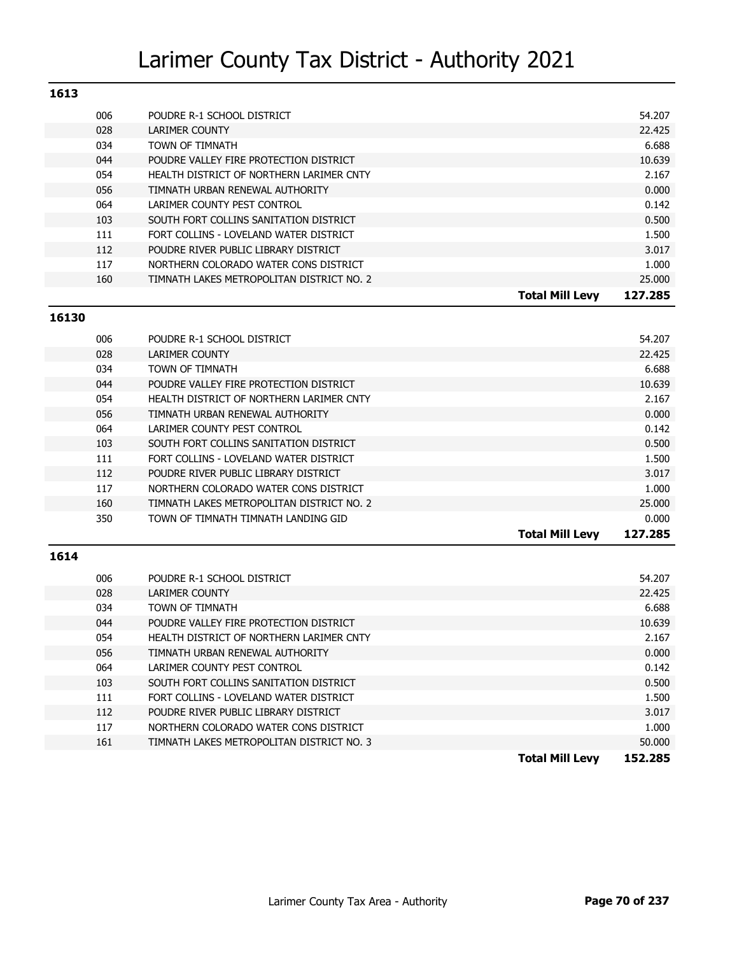| 1613 |                                           |                                   |
|------|-------------------------------------------|-----------------------------------|
| 006  | POUDRE R-1 SCHOOL DISTRICT                | 54.207                            |
| 028  | LARIMER COUNTY                            | 22.425                            |
| 034  | TOWN OF TIMNATH                           | 6.688                             |
| 044  | POUDRE VALLEY FIRE PROTECTION DISTRICT    | 10.639                            |
| 054  | HEALTH DISTRICT OF NORTHERN LARIMER CNTY  | 2.167                             |
| 056  | TIMNATH URBAN RENEWAL AUTHORITY           | 0.000                             |
| 064  | LARIMER COUNTY PEST CONTROL               | 0.142                             |
| 103  | SOUTH FORT COLLINS SANITATION DISTRICT    | 0.500                             |
| 111  | FORT COLLINS - LOVELAND WATER DISTRICT    | 1.500                             |
| 112  | POUDRE RIVER PUBLIC LIBRARY DISTRICT      | 3.017                             |
| 117  | NORTHERN COLORADO WATER CONS DISTRICT     | 1.000                             |
| 160  | TIMNATH LAKES METROPOLITAN DISTRICT NO. 2 | 25,000                            |
|      |                                           | 127.285<br><b>Total Mill Levv</b> |

#### **16130**

| 006 | POUDRE R-1 SCHOOL DISTRICT                |                        | 54.207  |
|-----|-------------------------------------------|------------------------|---------|
| 028 | LARIMER COUNTY                            |                        | 22.425  |
| 034 | TOWN OF TIMNATH                           |                        | 6.688   |
| 044 | POUDRE VALLEY FIRE PROTECTION DISTRICT    |                        | 10.639  |
| 054 | HEALTH DISTRICT OF NORTHERN LARIMER CNTY  |                        | 2.167   |
| 056 | TIMNATH URBAN RENEWAL AUTHORITY           |                        | 0.000   |
| 064 | LARIMER COUNTY PEST CONTROL               |                        | 0.142   |
| 103 | SOUTH FORT COLLINS SANITATION DISTRICT    |                        | 0.500   |
| 111 | FORT COLLINS - LOVELAND WATER DISTRICT    |                        | 1.500   |
| 112 | POUDRE RIVER PUBLIC LIBRARY DISTRICT      |                        | 3.017   |
| 117 | NORTHERN COLORADO WATER CONS DISTRICT     |                        | 1.000   |
| 160 | TIMNATH LAKES METROPOLITAN DISTRICT NO. 2 |                        | 25.000  |
| 350 | TOWN OF TIMNATH TIMNATH LANDING GID       |                        | 0.000   |
|     |                                           | <b>Total Mill Levy</b> | 127.285 |
|     |                                           |                        |         |

|     |                                           | <b>Total Mill Levy</b> | 152.285 |
|-----|-------------------------------------------|------------------------|---------|
| 161 | TIMNATH LAKES METROPOLITAN DISTRICT NO. 3 |                        | 50.000  |
| 117 | NORTHERN COLORADO WATER CONS DISTRICT     |                        | 1.000   |
| 112 | POUDRE RIVER PUBLIC LIBRARY DISTRICT      |                        | 3.017   |
| 111 | FORT COLLINS - LOVELAND WATER DISTRICT    |                        | 1.500   |
| 103 | SOUTH FORT COLLINS SANITATION DISTRICT    |                        | 0.500   |
| 064 | LARIMER COUNTY PEST CONTROL               |                        | 0.142   |
| 056 | TIMNATH URBAN RENEWAL AUTHORITY           |                        | 0.000   |
| 054 | HEALTH DISTRICT OF NORTHERN LARIMER CNTY  |                        | 2.167   |
| 044 | POUDRE VALLEY FIRE PROTECTION DISTRICT    |                        | 10.639  |
| 034 | TOWN OF TIMNATH                           |                        | 6.688   |
| 028 | LARIMER COUNTY                            |                        | 22.425  |
| 006 | POUDRE R-1 SCHOOL DISTRICT                |                        | 54.207  |
|     |                                           |                        |         |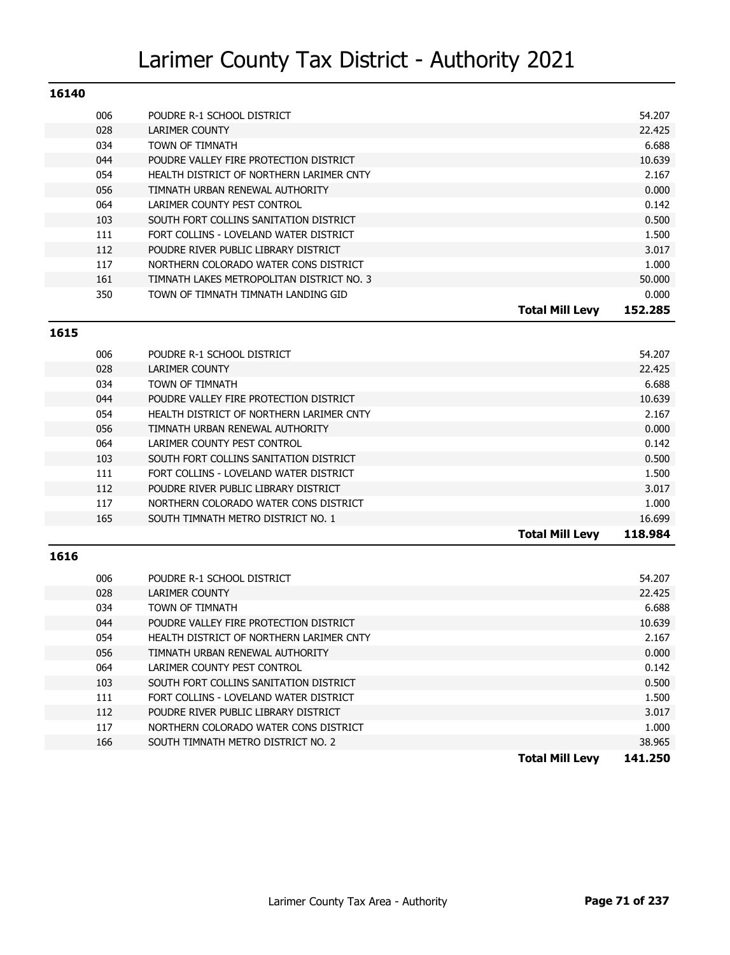| 16140 |                                           |                                   |
|-------|-------------------------------------------|-----------------------------------|
| 006   | POUDRE R-1 SCHOOL DISTRICT                | 54.207                            |
| 028   | LARIMER COUNTY                            | 22.425                            |
| 034   | TOWN OF TIMNATH                           | 6.688                             |
| 044   | POUDRE VALLEY FIRE PROTECTION DISTRICT    | 10.639                            |
| 054   | HEALTH DISTRICT OF NORTHERN LARIMER CNTY  | 2.167                             |
| 056   | TIMNATH URBAN RENEWAL AUTHORITY           | 0.000                             |
| 064   | LARIMER COUNTY PEST CONTROL               | 0.142                             |
| 103   | SOUTH FORT COLLINS SANITATION DISTRICT    | 0.500                             |
| 111   | FORT COLLINS - LOVELAND WATER DISTRICT    | 1.500                             |
| 112   | POUDRE RIVER PUBLIC LIBRARY DISTRICT      | 3.017                             |
| 117   | NORTHERN COLORADO WATER CONS DISTRICT     | 1.000                             |
| 161   | TIMNATH LAKES METROPOLITAN DISTRICT NO. 3 | 50.000                            |
| 350   | TOWN OF TIMNATH TIMNATH LANDING GID       | 0.000                             |
|       |                                           | 152.285<br><b>Total Mill Levy</b> |

| 006 | POUDRE R-1 SCHOOL DISTRICT               |                        | 54.207  |
|-----|------------------------------------------|------------------------|---------|
| 028 | LARIMER COUNTY                           |                        | 22.425  |
| 034 | TOWN OF TIMNATH                          |                        | 6.688   |
| 044 | POUDRE VALLEY FIRE PROTECTION DISTRICT   |                        | 10.639  |
| 054 | HEALTH DISTRICT OF NORTHERN LARIMER CNTY |                        | 2.167   |
| 056 | TIMNATH URBAN RENEWAL AUTHORITY          |                        | 0.000   |
| 064 | LARIMER COUNTY PEST CONTROL              |                        | 0.142   |
| 103 | SOUTH FORT COLLINS SANITATION DISTRICT   |                        | 0.500   |
| 111 | FORT COLLINS - LOVELAND WATER DISTRICT   |                        | 1.500   |
| 112 | POUDRE RIVER PUBLIC LIBRARY DISTRICT     |                        | 3.017   |
| 117 | NORTHERN COLORADO WATER CONS DISTRICT    |                        | 1.000   |
| 165 | SOUTH TIMNATH METRO DISTRICT NO. 1       |                        | 16.699  |
|     |                                          | <b>Total Mill Levy</b> | 118.984 |

### **1616**

|     |                                          | <b>Total Mill Levy</b> | 141.250 |
|-----|------------------------------------------|------------------------|---------|
| 166 | SOUTH TIMNATH METRO DISTRICT NO. 2       |                        | 38.965  |
| 117 | NORTHERN COLORADO WATER CONS DISTRICT    |                        | 1.000   |
| 112 | POUDRE RIVER PUBLIC LIBRARY DISTRICT     |                        | 3.017   |
| 111 | FORT COLLINS - LOVELAND WATER DISTRICT   |                        | 1.500   |
| 103 | SOUTH FORT COLLINS SANITATION DISTRICT   |                        | 0.500   |
| 064 | LARIMER COUNTY PEST CONTROL              |                        | 0.142   |
| 056 | TIMNATH URBAN RENEWAL AUTHORITY          |                        | 0.000   |
| 054 | HEALTH DISTRICT OF NORTHERN LARIMER CNTY |                        | 2.167   |
| 044 | POUDRE VALLEY FIRE PROTECTION DISTRICT   |                        | 10.639  |
| 034 | TOWN OF TIMNATH                          |                        | 6.688   |
| 028 | LARIMER COUNTY                           |                        | 22.425  |
| 006 | POUDRE R-1 SCHOOL DISTRICT               |                        | 54.207  |
|     |                                          |                        |         |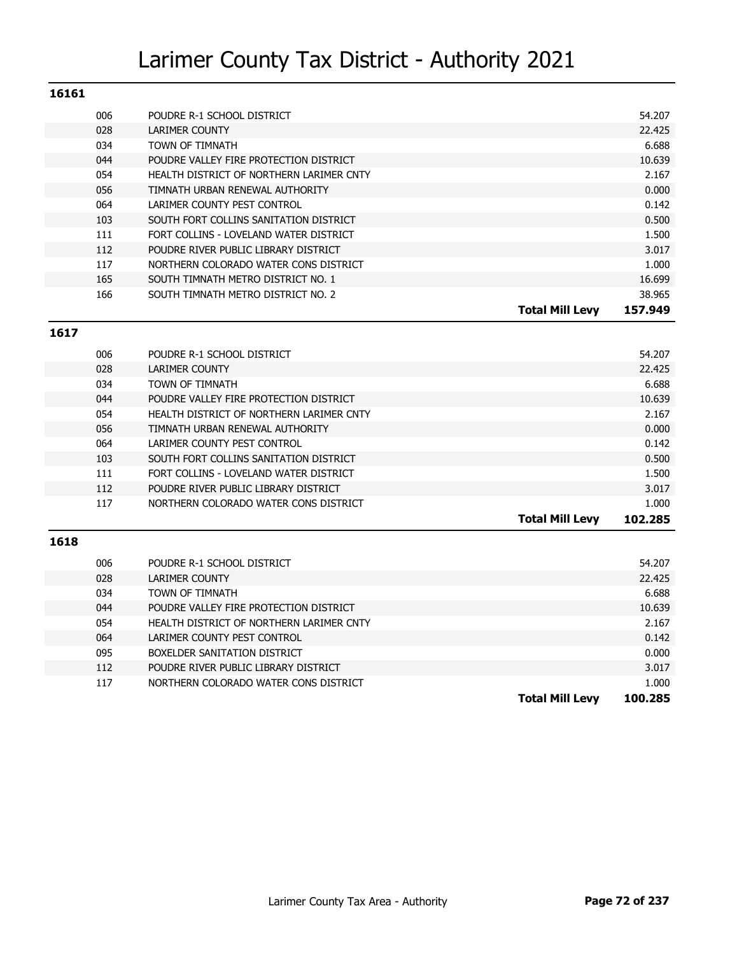| 16161 |     |                                          |                        |         |
|-------|-----|------------------------------------------|------------------------|---------|
|       | 006 | POUDRE R-1 SCHOOL DISTRICT               |                        | 54.207  |
|       | 028 | LARIMER COUNTY                           |                        | 22.425  |
|       | 034 | TOWN OF TIMNATH                          |                        | 6.688   |
|       | 044 | POUDRE VALLEY FIRE PROTECTION DISTRICT   |                        | 10.639  |
|       | 054 | HEALTH DISTRICT OF NORTHERN LARIMER CNTY |                        | 2.167   |
|       | 056 | TIMNATH URBAN RENEWAL AUTHORITY          |                        | 0.000   |
|       | 064 | LARIMER COUNTY PEST CONTROL              |                        | 0.142   |
|       | 103 | SOUTH FORT COLLINS SANITATION DISTRICT   |                        | 0.500   |
|       | 111 | FORT COLLINS - LOVELAND WATER DISTRICT   |                        | 1.500   |
|       | 112 | POUDRE RIVER PUBLIC LIBRARY DISTRICT     |                        | 3.017   |
|       | 117 | NORTHERN COLORADO WATER CONS DISTRICT    |                        | 1.000   |
|       | 165 | SOUTH TIMNATH METRO DISTRICT NO. 1       |                        | 16.699  |
|       | 166 | SOUTH TIMNATH METRO DISTRICT NO. 2       |                        | 38.965  |
|       |     |                                          | <b>Total Mill Levy</b> | 157.949 |

| POUDRE R-1 SCHOOL DISTRICT               |                        | 54.207  |
|------------------------------------------|------------------------|---------|
| LARIMER COUNTY                           |                        | 22.425  |
| <b>TOWN OF TIMNATH</b>                   |                        | 6.688   |
| POUDRE VALLEY FIRE PROTECTION DISTRICT   |                        | 10.639  |
| HEALTH DISTRICT OF NORTHERN LARIMER CNTY |                        | 2.167   |
| TIMNATH URBAN RENEWAL AUTHORITY          |                        | 0.000   |
| LARIMER COUNTY PEST CONTROL              |                        | 0.142   |
| SOUTH FORT COLLINS SANITATION DISTRICT   |                        | 0.500   |
| FORT COLLINS - LOVELAND WATER DISTRICT   |                        | 1.500   |
| POUDRE RIVER PUBLIC LIBRARY DISTRICT     |                        | 3.017   |
| NORTHERN COLORADO WATER CONS DISTRICT    |                        | 1.000   |
|                                          | <b>Total Mill Levy</b> | 102.285 |
|                                          |                        |         |

### **1618**

| 006 | POUDRE R-1 SCHOOL DISTRICT               |                        | 54.207  |
|-----|------------------------------------------|------------------------|---------|
| 028 | LARIMER COUNTY                           |                        | 22.425  |
| 034 | TOWN OF TIMNATH                          |                        | 6.688   |
| 044 | POUDRE VALLEY FIRE PROTECTION DISTRICT   |                        | 10.639  |
| 054 | HEALTH DISTRICT OF NORTHERN LARIMER CNTY |                        | 2.167   |
| 064 | LARIMER COUNTY PEST CONTROL              |                        | 0.142   |
| 095 | BOXELDER SANITATION DISTRICT             |                        | 0.000   |
| 112 | POUDRE RIVER PUBLIC LIBRARY DISTRICT     |                        | 3.017   |
| 117 | NORTHERN COLORADO WATER CONS DISTRICT    |                        | 1.000   |
|     |                                          | <b>Total Mill Levv</b> | 100.285 |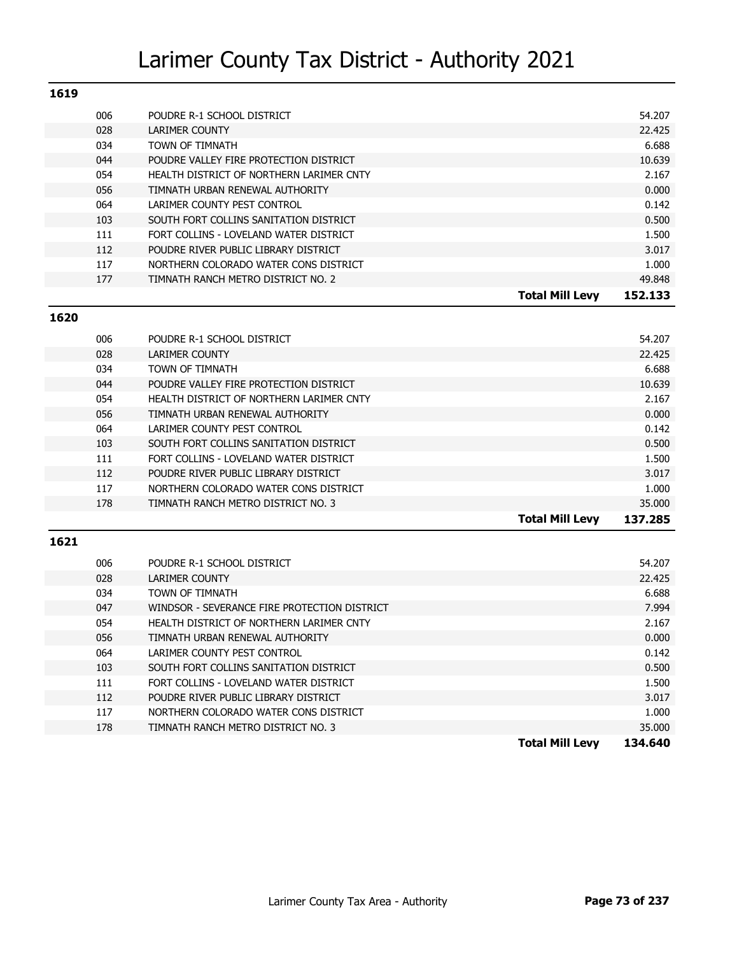| 1619 |     |                                          |                        |         |
|------|-----|------------------------------------------|------------------------|---------|
|      | 006 | POUDRE R-1 SCHOOL DISTRICT               |                        | 54.207  |
|      | 028 | <b>LARIMER COUNTY</b>                    |                        | 22.425  |
|      | 034 | TOWN OF TIMNATH                          |                        | 6.688   |
|      | 044 | POUDRE VALLEY FIRE PROTECTION DISTRICT   |                        | 10.639  |
|      | 054 | HEALTH DISTRICT OF NORTHERN LARIMER CNTY |                        | 2.167   |
|      | 056 | TIMNATH URBAN RENEWAL AUTHORITY          |                        | 0.000   |
|      | 064 | LARIMER COUNTY PEST CONTROL              |                        | 0.142   |
|      | 103 | SOUTH FORT COLLINS SANITATION DISTRICT   |                        | 0.500   |
|      | 111 | FORT COLLINS - LOVELAND WATER DISTRICT   |                        | 1.500   |
|      | 112 | POUDRE RIVER PUBLIC LIBRARY DISTRICT     |                        | 3.017   |
|      | 117 | NORTHERN COLORADO WATER CONS DISTRICT    |                        | 1.000   |
|      | 177 | TIMNATH RANCH METRO DISTRICT NO. 2       |                        | 49.848  |
|      |     |                                          | <b>Total Mill Levv</b> | 152.133 |

#### **1620**

|     |                                          | <b>Total Mill Levy</b> | 137.285 |
|-----|------------------------------------------|------------------------|---------|
| 178 | TIMNATH RANCH METRO DISTRICT NO. 3       |                        | 35.000  |
| 117 | NORTHERN COLORADO WATER CONS DISTRICT    |                        | 1.000   |
| 112 | POUDRE RIVER PUBLIC LIBRARY DISTRICT     |                        | 3.017   |
| 111 | FORT COLLINS - LOVELAND WATER DISTRICT   |                        | 1.500   |
| 103 | SOUTH FORT COLLINS SANITATION DISTRICT   |                        | 0.500   |
| 064 | LARIMER COUNTY PEST CONTROL              |                        | 0.142   |
| 056 | TIMNATH URBAN RENEWAL AUTHORITY          |                        | 0.000   |
| 054 | HEALTH DISTRICT OF NORTHERN LARIMER CNTY |                        | 2.167   |
| 044 | POUDRE VALLEY FIRE PROTECTION DISTRICT   |                        | 10.639  |
| 034 | TOWN OF TIMNATH                          |                        | 6.688   |
| 028 | LARIMER COUNTY                           |                        | 22.425  |
| 006 | POUDRE R-1 SCHOOL DISTRICT               |                        | 54.207  |
|     |                                          |                        |         |

| 006 | POUDRE R-1 SCHOOL DISTRICT                   | 54.207                            |
|-----|----------------------------------------------|-----------------------------------|
| 028 | LARIMER COUNTY                               | 22.425                            |
| 034 | <b>TOWN OF TIMNATH</b>                       | 6.688                             |
| 047 | WINDSOR - SEVERANCE FIRE PROTECTION DISTRICT | 7.994                             |
| 054 | HEALTH DISTRICT OF NORTHERN LARIMER CNTY     | 2.167                             |
| 056 | TIMNATH URBAN RENEWAL AUTHORITY              | 0.000                             |
| 064 | LARIMER COUNTY PEST CONTROL                  | 0.142                             |
| 103 | SOUTH FORT COLLINS SANITATION DISTRICT       | 0.500                             |
| 111 | FORT COLLINS - LOVELAND WATER DISTRICT       | 1.500                             |
| 112 | POUDRE RIVER PUBLIC LIBRARY DISTRICT         | 3.017                             |
| 117 | NORTHERN COLORADO WATER CONS DISTRICT        | 1.000                             |
| 178 | TIMNATH RANCH METRO DISTRICT NO. 3           | 35.000                            |
|     |                                              | <b>Total Mill Levy</b><br>134.640 |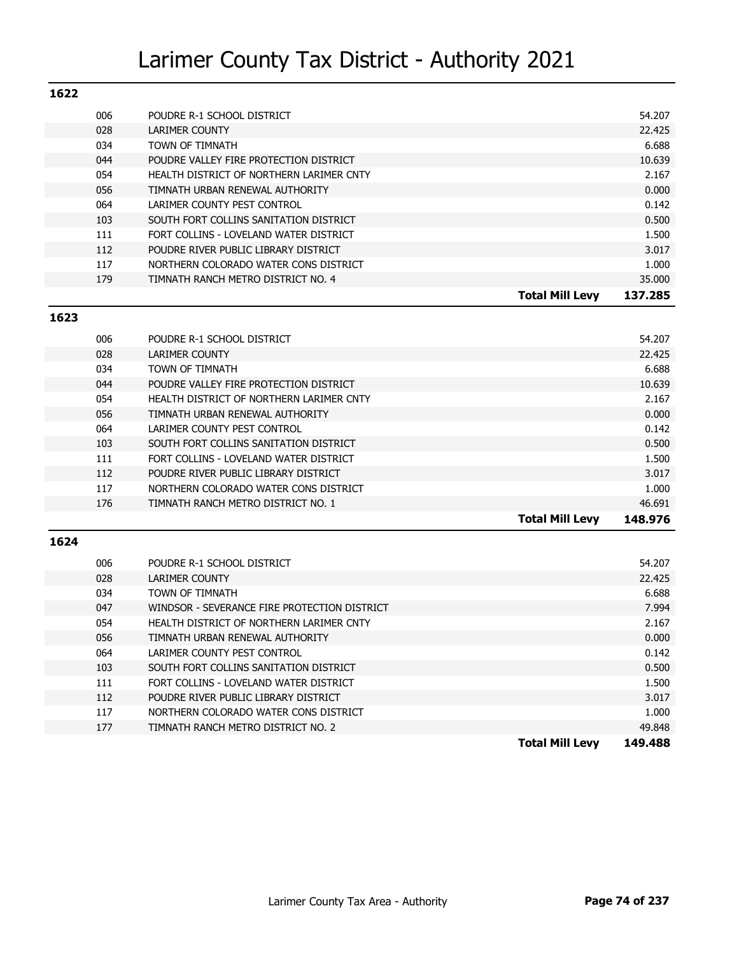| 1622 |     |                                          |                        |         |
|------|-----|------------------------------------------|------------------------|---------|
|      | 006 | POUDRE R-1 SCHOOL DISTRICT               |                        | 54.207  |
|      | 028 | <b>LARIMER COUNTY</b>                    |                        | 22.425  |
|      | 034 | TOWN OF TIMNATH                          |                        | 6.688   |
|      | 044 | POUDRE VALLEY FIRE PROTECTION DISTRICT   |                        | 10.639  |
|      | 054 | HEALTH DISTRICT OF NORTHERN LARIMER CNTY |                        | 2.167   |
|      | 056 | TIMNATH URBAN RENEWAL AUTHORITY          |                        | 0.000   |
|      | 064 | LARIMER COUNTY PEST CONTROL              |                        | 0.142   |
|      | 103 | SOUTH FORT COLLINS SANITATION DISTRICT   |                        | 0.500   |
|      | 111 | FORT COLLINS - LOVELAND WATER DISTRICT   |                        | 1.500   |
|      | 112 | POUDRE RIVER PUBLIC LIBRARY DISTRICT     |                        | 3.017   |
|      | 117 | NORTHERN COLORADO WATER CONS DISTRICT    |                        | 1.000   |
|      | 179 | TIMNATH RANCH METRO DISTRICT NO. 4       |                        | 35,000  |
|      |     |                                          | <b>Total Mill Levv</b> | 137.285 |

#### **1623**

|     |                                          | <b>Total Mill Levy</b> | 148.976 |
|-----|------------------------------------------|------------------------|---------|
| 176 | TIMNATH RANCH METRO DISTRICT NO. 1       |                        | 46.691  |
| 117 | NORTHERN COLORADO WATER CONS DISTRICT    |                        | 1.000   |
| 112 | POUDRE RIVER PUBLIC LIBRARY DISTRICT     |                        | 3.017   |
| 111 | FORT COLLINS - LOVELAND WATER DISTRICT   |                        | 1.500   |
| 103 | SOUTH FORT COLLINS SANITATION DISTRICT   |                        | 0.500   |
| 064 | LARIMER COUNTY PEST CONTROL              |                        | 0.142   |
| 056 | TIMNATH URBAN RENEWAL AUTHORITY          |                        | 0.000   |
| 054 | HEALTH DISTRICT OF NORTHERN LARIMER CNTY |                        | 2.167   |
| 044 | POUDRE VALLEY FIRE PROTECTION DISTRICT   |                        | 10.639  |
| 034 | TOWN OF TIMNATH                          |                        | 6.688   |
| 028 | LARIMER COUNTY                           |                        | 22.425  |
| 006 | POUDRE R-1 SCHOOL DISTRICT               |                        | 54.207  |
|     |                                          |                        |         |

| 006 | POUDRE R-1 SCHOOL DISTRICT                   | 54.207                            |
|-----|----------------------------------------------|-----------------------------------|
| 028 | LARIMER COUNTY                               | 22.425                            |
| 034 | TOWN OF TIMNATH                              | 6.688                             |
| 047 | WINDSOR - SEVERANCE FIRE PROTECTION DISTRICT | 7.994                             |
| 054 | HEALTH DISTRICT OF NORTHERN LARIMER CNTY     | 2.167                             |
| 056 | TIMNATH URBAN RENEWAL AUTHORITY              | 0.000                             |
| 064 | LARIMER COUNTY PEST CONTROL                  | 0.142                             |
| 103 | SOUTH FORT COLLINS SANITATION DISTRICT       | 0.500                             |
| 111 | FORT COLLINS - LOVELAND WATER DISTRICT       | 1.500                             |
| 112 | POUDRE RIVER PUBLIC LIBRARY DISTRICT         | 3.017                             |
| 117 | NORTHERN COLORADO WATER CONS DISTRICT        | 1.000                             |
| 177 | TIMNATH RANCH METRO DISTRICT NO. 2           | 49.848                            |
|     |                                              | <b>Total Mill Levy</b><br>149.488 |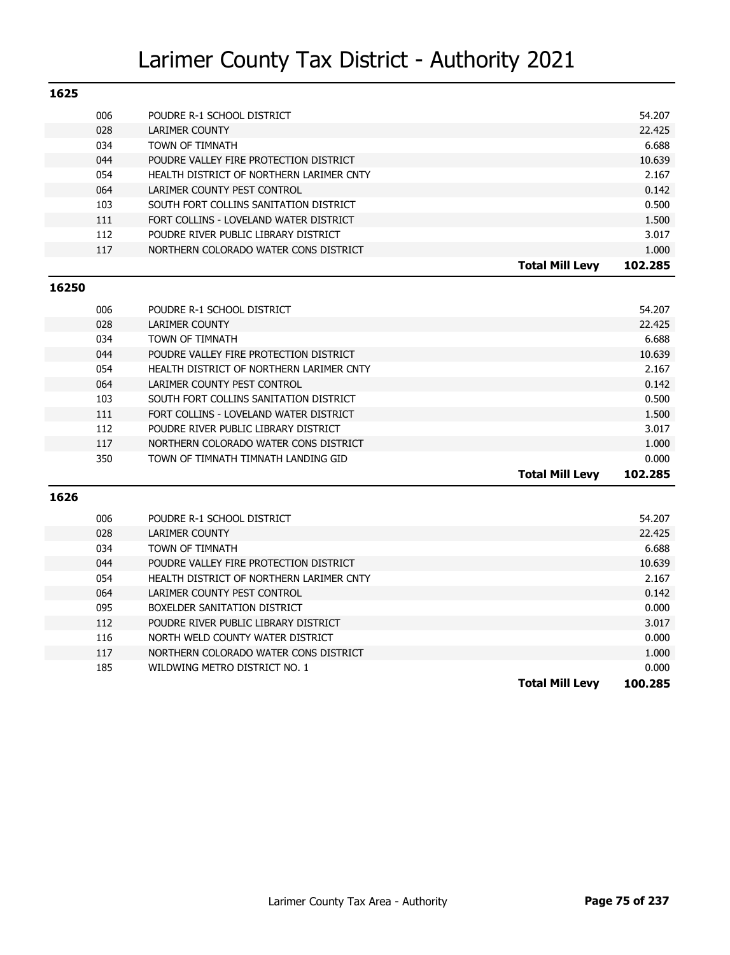| 1625 |     |                                          |                        |         |
|------|-----|------------------------------------------|------------------------|---------|
|      | 006 | POUDRE R-1 SCHOOL DISTRICT               |                        | 54.207  |
|      | 028 | <b>LARIMER COUNTY</b>                    |                        | 22.425  |
|      | 034 | TOWN OF TIMNATH                          |                        | 6.688   |
|      | 044 | POUDRE VALLEY FIRE PROTECTION DISTRICT   |                        | 10.639  |
|      | 054 | HEALTH DISTRICT OF NORTHERN LARIMER CNTY |                        | 2.167   |
|      | 064 | LARIMER COUNTY PEST CONTROL              |                        | 0.142   |
|      | 103 | SOUTH FORT COLLINS SANITATION DISTRICT   |                        | 0.500   |
|      | 111 | FORT COLLINS - LOVELAND WATER DISTRICT   |                        | 1.500   |
|      | 112 | POUDRE RIVER PUBLIC LIBRARY DISTRICT     |                        | 3.017   |
|      | 117 | NORTHERN COLORADO WATER CONS DISTRICT    |                        | 1.000   |
|      |     |                                          | <b>Total Mill Levy</b> | 102.285 |

#### **16250**

|     |                                          | <b>Total Mill Levy</b> | 102.285 |
|-----|------------------------------------------|------------------------|---------|
| 350 | TOWN OF TIMNATH TIMNATH LANDING GID      |                        | 0.000   |
| 117 | NORTHERN COLORADO WATER CONS DISTRICT    |                        | 1.000   |
| 112 | POUDRE RIVER PUBLIC LIBRARY DISTRICT     |                        | 3.017   |
| 111 | FORT COLLINS - LOVELAND WATER DISTRICT   |                        | 1.500   |
| 103 | SOUTH FORT COLLINS SANITATION DISTRICT   |                        | 0.500   |
| 064 | LARIMER COUNTY PEST CONTROL              |                        | 0.142   |
| 054 | HEALTH DISTRICT OF NORTHERN LARIMER CNTY |                        | 2.167   |
| 044 | POUDRE VALLEY FIRE PROTECTION DISTRICT   |                        | 10.639  |
| 034 | <b>TOWN OF TIMNATH</b>                   |                        | 6.688   |
| 028 | LARIMER COUNTY                           |                        | 22.425  |
| 006 | POUDRE R-1 SCHOOL DISTRICT               |                        | 54.207  |
|     |                                          |                        |         |

|     |                                          | <b>Total Mill Levy</b> | 100.285 |
|-----|------------------------------------------|------------------------|---------|
| 185 | WILDWING METRO DISTRICT NO. 1            |                        | 0.000   |
| 117 | NORTHERN COLORADO WATER CONS DISTRICT    |                        | 1.000   |
| 116 | NORTH WELD COUNTY WATER DISTRICT         |                        | 0.000   |
| 112 | POUDRE RIVER PUBLIC LIBRARY DISTRICT     |                        | 3.017   |
| 095 | BOXELDER SANITATION DISTRICT             |                        | 0.000   |
| 064 | LARIMER COUNTY PEST CONTROL              |                        | 0.142   |
| 054 | HEALTH DISTRICT OF NORTHERN LARIMER CNTY |                        | 2.167   |
| 044 | POUDRE VALLEY FIRE PROTECTION DISTRICT   |                        | 10.639  |
| 034 | TOWN OF TIMNATH                          |                        | 6.688   |
| 028 | LARIMER COUNTY                           |                        | 22.425  |
| 006 | POUDRE R-1 SCHOOL DISTRICT               |                        | 54.207  |
|     |                                          |                        |         |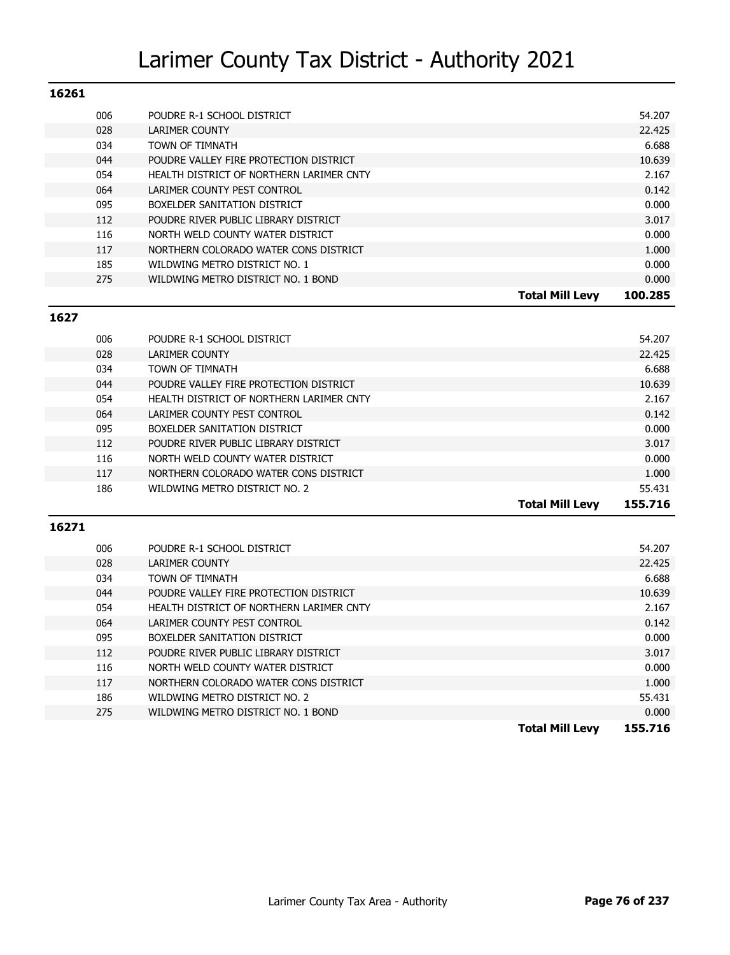| 16261 |     |                                          |                        |         |
|-------|-----|------------------------------------------|------------------------|---------|
|       | 006 | POUDRE R-1 SCHOOL DISTRICT               |                        | 54.207  |
|       | 028 | LARIMER COUNTY                           |                        | 22.425  |
|       | 034 | <b>TOWN OF TIMNATH</b>                   |                        | 6.688   |
|       | 044 | POUDRE VALLEY FIRE PROTECTION DISTRICT   |                        | 10.639  |
|       | 054 | HEALTH DISTRICT OF NORTHERN LARIMER CNTY |                        | 2.167   |
|       | 064 | LARIMER COUNTY PEST CONTROL              |                        | 0.142   |
|       | 095 | BOXELDER SANITATION DISTRICT             |                        | 0.000   |
|       | 112 | POUDRE RIVER PUBLIC LIBRARY DISTRICT     |                        | 3.017   |
|       | 116 | NORTH WELD COUNTY WATER DISTRICT         |                        | 0.000   |
|       | 117 | NORTHERN COLORADO WATER CONS DISTRICT    |                        | 1.000   |
|       | 185 | WILDWING METRO DISTRICT NO. 1            |                        | 0.000   |
|       | 275 | WILDWING METRO DISTRICT NO. 1 BOND       |                        | 0.000   |
|       |     |                                          | <b>Total Mill Levy</b> | 100.285 |

#### **1627**

| 006 | POUDRE R-1 SCHOOL DISTRICT               |                        | 54.207  |
|-----|------------------------------------------|------------------------|---------|
| 028 | LARIMER COUNTY                           |                        | 22.425  |
| 034 | TOWN OF TIMNATH                          |                        | 6.688   |
| 044 | POUDRE VALLEY FIRE PROTECTION DISTRICT   |                        | 10.639  |
| 054 | HEALTH DISTRICT OF NORTHERN LARIMER CNTY |                        | 2.167   |
| 064 | LARIMER COUNTY PEST CONTROL              |                        | 0.142   |
| 095 | BOXELDER SANITATION DISTRICT             |                        | 0.000   |
| 112 | POUDRE RIVER PUBLIC LIBRARY DISTRICT     |                        | 3.017   |
| 116 | NORTH WELD COUNTY WATER DISTRICT         |                        | 0.000   |
| 117 | NORTHERN COLORADO WATER CONS DISTRICT    |                        | 1.000   |
| 186 | WILDWING METRO DISTRICT NO. 2            |                        | 55.431  |
|     |                                          | <b>Total Mill Levv</b> | 155.716 |

| 186<br>275 | WILDWING METRO DISTRICT NO. 2<br>WILDWING METRO DISTRICT NO. 1 BOND | 55.431<br>0.000 |
|------------|---------------------------------------------------------------------|-----------------|
| 117        | NORTHERN COLORADO WATER CONS DISTRICT                               | 1.000           |
| 116        | NORTH WELD COUNTY WATER DISTRICT                                    | 0.000           |
| 112        | POUDRE RIVER PUBLIC LIBRARY DISTRICT                                | 3.017           |
| 095        | BOXELDER SANITATION DISTRICT                                        | 0.000           |
| 064        | LARIMER COUNTY PEST CONTROL                                         | 0.142           |
| 054        | HEALTH DISTRICT OF NORTHERN LARIMER CNTY                            | 2.167           |
| 044        | POUDRE VALLEY FIRE PROTECTION DISTRICT                              | 10.639          |
| 034        | TOWN OF TIMNATH                                                     | 6.688           |
| 028        | LARIMER COUNTY                                                      | 22.425          |
| 006        | POUDRE R-1 SCHOOL DISTRICT                                          | 54.207          |
|            |                                                                     |                 |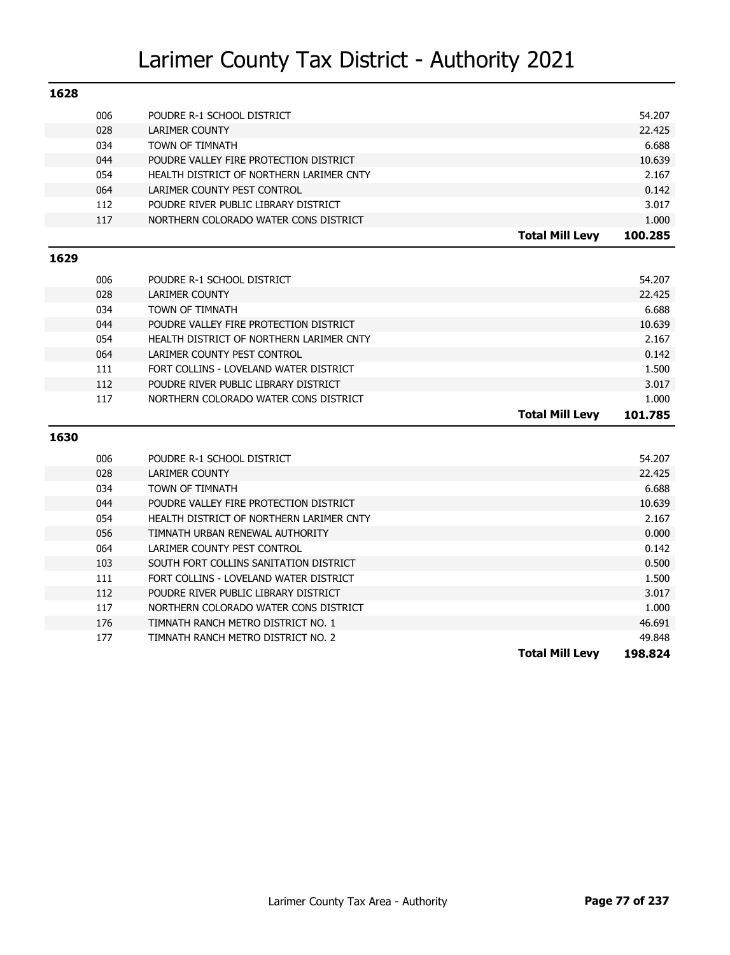| 1628 |     |                                          |                        |         |
|------|-----|------------------------------------------|------------------------|---------|
|      | 006 | POUDRE R-1 SCHOOL DISTRICT               |                        | 54.207  |
|      | 028 | <b>LARIMER COUNTY</b>                    |                        | 22.425  |
|      | 034 | TOWN OF TIMNATH                          |                        | 6.688   |
|      | 044 | POUDRE VALLEY FIRE PROTECTION DISTRICT   |                        | 10.639  |
|      | 054 | HEALTH DISTRICT OF NORTHERN LARIMER CNTY |                        | 2.167   |
|      | 064 | LARIMER COUNTY PEST CONTROL              |                        | 0.142   |
|      | 112 | POUDRE RIVER PUBLIC LIBRARY DISTRICT     |                        | 3.017   |
|      | 117 | NORTHERN COLORADO WATER CONS DISTRICT    |                        | 1.000   |
|      |     |                                          | <b>Total Mill Levy</b> | 100.285 |
| 1629 |     |                                          |                        |         |
|      | 006 | POUDRE R-1 SCHOOL DISTRICT               |                        | 54.207  |
|      | 028 | <b>LARIMER COUNTY</b>                    |                        | 22.425  |
|      | 034 | TOWN OF TIMNATH                          |                        | 6.688   |
|      | 044 | POUDRE VALLEY FIRE PROTECTION DISTRICT   |                        | 10.639  |
|      | 054 | HEALTH DISTRICT OF NORTHERN LARIMER CNTY |                        | 2.167   |
|      | 064 | LARIMER COUNTY PEST CONTROL              |                        | 0.142   |
|      | 111 | FORT COLLINS - LOVELAND WATER DISTRICT   |                        | 1.500   |
|      | 112 | POUDRE RIVER PUBLIC LIBRARY DISTRICT     |                        | 3.017   |
|      | 117 | NORTHERN COLORADO WATER CONS DISTRICT    |                        | 1.000   |
|      |     |                                          | <b>Total Mill Levy</b> | 101.785 |
| 1630 |     |                                          |                        |         |
|      | 006 | POUDRE R-1 SCHOOL DISTRICT               |                        | 54.207  |
|      | 028 | <b>LARIMER COUNTY</b>                    |                        | 22.425  |
|      | 034 | TOWN OF TIMNATH                          |                        | 6.688   |
|      | 044 | POUDRE VALLEY FIRE PROTECTION DISTRICT   |                        | 10.639  |
|      | 054 | HEALTH DISTRICT OF NORTHERN LARIMER CNTY |                        | 2.167   |
|      | 056 | TIMNATH URBAN RENEWAL AUTHORITY          |                        | 0.000   |
|      | 064 | LARIMER COUNTY PEST CONTROL              |                        | 0.142   |
|      | 103 | SOUTH FORT COLLINS SANITATION DISTRICT   |                        | 0.500   |
|      | 111 | FORT COLLINS - LOVELAND WATER DISTRICT   |                        | 1.500   |
|      | 112 | POUDRE RIVER PUBLIC LIBRARY DISTRICT     |                        | 3.017   |
|      | 117 | NORTHERN COLORADO WATER CONS DISTRICT    |                        | 1.000   |
|      | 176 | TIMNATH RANCH METRO DISTRICT NO. 1       |                        | 46.691  |
|      | 177 | TIMNATH RANCH METRO DISTRICT NO. 2       |                        | 49.848  |
|      |     |                                          | <b>Total Mill Levy</b> | 198.824 |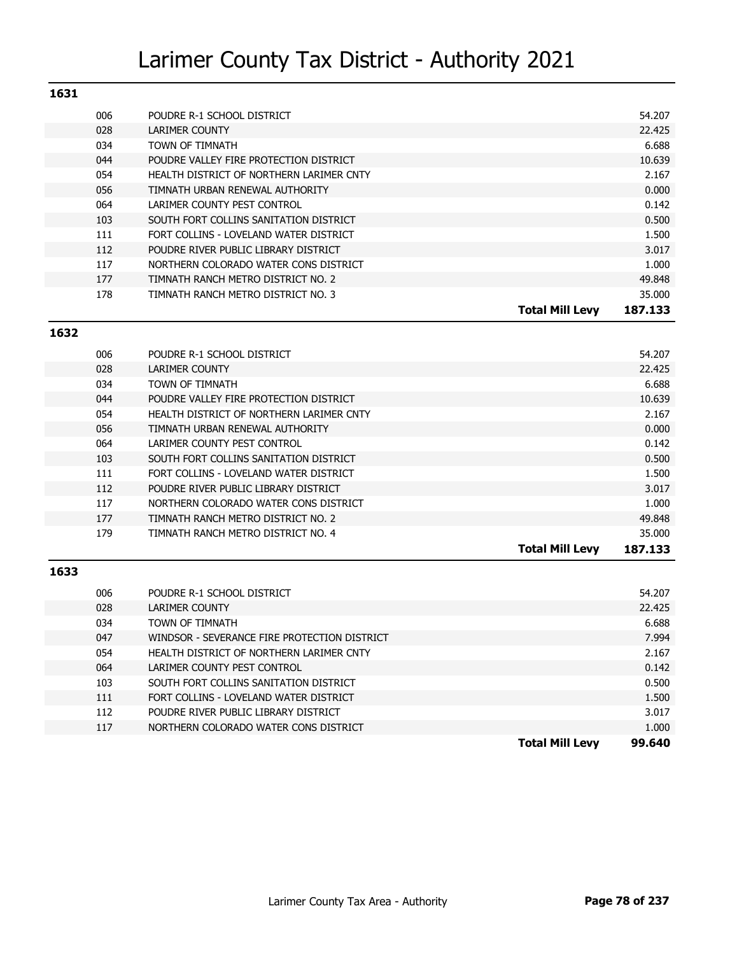| TOJT |     |                                          |                        |         |
|------|-----|------------------------------------------|------------------------|---------|
|      | 006 | POUDRE R-1 SCHOOL DISTRICT               |                        | 54.207  |
|      | 028 | LARIMER COUNTY                           |                        | 22.425  |
|      | 034 | TOWN OF TIMNATH                          |                        | 6.688   |
|      | 044 | POUDRE VALLEY FIRE PROTECTION DISTRICT   |                        | 10.639  |
|      | 054 | HEALTH DISTRICT OF NORTHERN LARIMER CNTY |                        | 2.167   |
|      | 056 | TIMNATH URBAN RENEWAL AUTHORITY          |                        | 0.000   |
|      | 064 | LARIMER COUNTY PEST CONTROL              |                        | 0.142   |
|      | 103 | SOUTH FORT COLLINS SANITATION DISTRICT   |                        | 0.500   |
|      | 111 | FORT COLLINS - LOVELAND WATER DISTRICT   |                        | 1.500   |
|      | 112 | POUDRE RIVER PUBLIC LIBRARY DISTRICT     |                        | 3.017   |
|      | 117 | NORTHERN COLORADO WATER CONS DISTRICT    |                        | 1.000   |
|      | 177 | TIMNATH RANCH METRO DISTRICT NO. 2       |                        | 49.848  |
|      | 178 | TIMNATH RANCH METRO DISTRICT NO. 3       |                        | 35.000  |
|      |     |                                          | <b>Total Mill Levv</b> | 187.133 |

### 006 POUDRE R-1 SCHOOL DISTRICT **12000** CONSUMING THE SECTION OF SALES AND RESEARCH THE STATISTIC STATISTIC STATISTIC 028 LARIMER COUNTY 22.425 034 TOWN OF TIMNATH 6.688 044 POUDRE VALLEY FIRE PROTECTION DISTRICT **10.639** 10.639 054 HEALTH DISTRICT OF NORTHERN LARIMER CNTY **1996 CONTROLLER IN THE SET AND REALTH DISTRICT** OF NORTHERN LARIMER CNTY 056 TIMNATH URBAN RENEWAL AUTHORITY **CHANNES ARE ALSO ASSESSED AT A CONSTRUCTION** ON DOOD 064 LARIMER COUNTY PEST CONTROL **DEVICES AND A CONTROL CONTROL 0.142** 103 SOUTH FORT COLLINS SANITATION DISTRICT **1000 CONTACT 1000 CONTACT 1000 CONTACT 1000** 111 FORT COLLINS - LOVELAND WATER DISTRICT **1.500** 1.500 112 POUDRE RIVER PUBLIC LIBRARY DISTRICT **112** POUDRE RIVER PUBLIC LIBRARY DISTRICT 117 NORTHERN COLORADO WATER CONS DISTRICT **1.000** NORTHERN COLORADO WATER CONSIDERITY 177 TIMNATH RANCH METRO DISTRICT NO. 2 49.848 179 TIMNATH RANCH METRO DISTRICT NO. 4 35.000 **Total Mill Levy 187.133**

#### **1633**

**1632**

|     |                                              | Total Mill Levv | 99.640 |
|-----|----------------------------------------------|-----------------|--------|
| 117 | NORTHERN COLORADO WATER CONS DISTRICT        |                 | 1.000  |
| 112 | POUDRE RIVER PUBLIC LIBRARY DISTRICT         |                 | 3.017  |
| 111 | FORT COLLINS - LOVELAND WATER DISTRICT       |                 | 1.500  |
| 103 | SOUTH FORT COLLINS SANITATION DISTRICT       |                 | 0.500  |
| 064 | LARIMER COUNTY PEST CONTROL                  |                 | 0.142  |
| 054 | HEALTH DISTRICT OF NORTHERN LARIMER CNTY     |                 | 2.167  |
| 047 | WINDSOR - SEVERANCE FIRE PROTECTION DISTRICT |                 | 7.994  |
| 034 | <b>TOWN OF TIMNATH</b>                       |                 | 6.688  |
| 028 | LARIMER COUNTY                               |                 | 22.425 |
| 006 | POUDRE R-1 SCHOOL DISTRICT                   |                 | 54.207 |
|     |                                              |                 |        |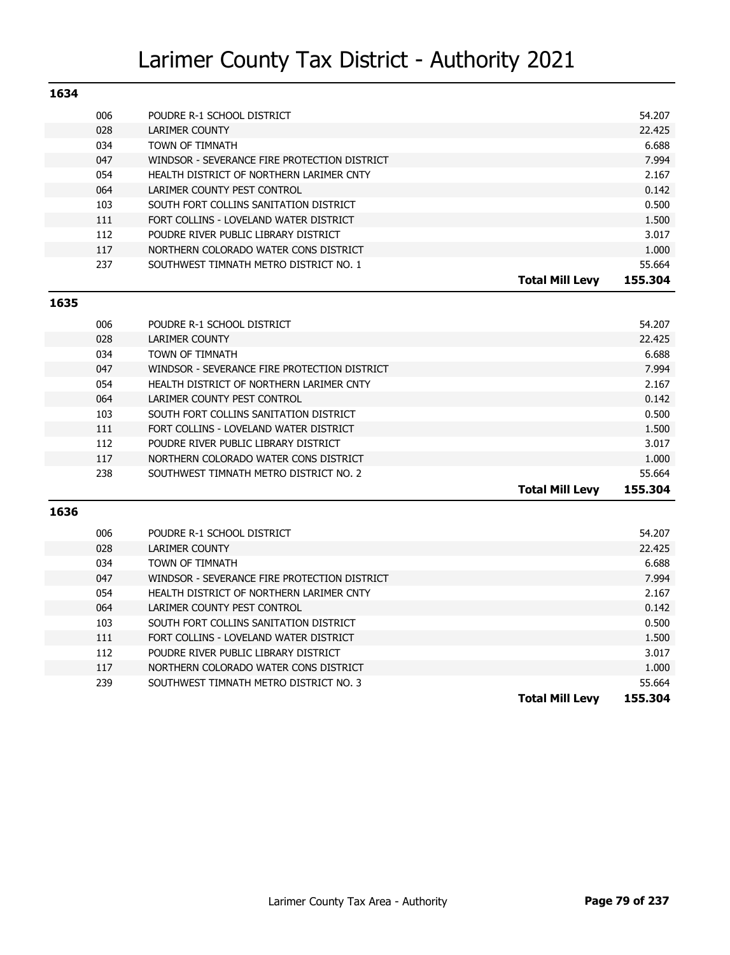| 1634 |                                              |                                   |
|------|----------------------------------------------|-----------------------------------|
| 006  | POUDRE R-1 SCHOOL DISTRICT                   | 54.207                            |
| 028  | LARIMER COUNTY                               | 22.425                            |
| 034  | TOWN OF TIMNATH                              | 6.688                             |
| 047  | WINDSOR - SEVERANCE FIRE PROTECTION DISTRICT | 7.994                             |
| 054  | HEALTH DISTRICT OF NORTHERN LARIMER CNTY     | 2.167                             |
| 064  | LARIMER COUNTY PEST CONTROL                  | 0.142                             |
| 103  | SOUTH FORT COLLINS SANITATION DISTRICT       | 0.500                             |
| 111  | FORT COLLINS - LOVELAND WATER DISTRICT       | 1.500                             |
| 112  | POUDRE RIVER PUBLIC LIBRARY DISTRICT         | 3.017                             |
| 117  | NORTHERN COLORADO WATER CONS DISTRICT        | 1.000                             |
| 237  | SOUTHWEST TIMNATH METRO DISTRICT NO. 1       | 55.664                            |
|      |                                              | 155.304<br><b>Total Mill Levv</b> |

#### **1635**

| 006 | POUDRE R-1 SCHOOL DISTRICT                   |                        | 54.207  |
|-----|----------------------------------------------|------------------------|---------|
| 028 | LARIMER COUNTY                               |                        | 22.425  |
| 034 | <b>TOWN OF TIMNATH</b>                       |                        | 6.688   |
| 047 | WINDSOR - SEVERANCE FIRE PROTECTION DISTRICT |                        | 7.994   |
| 054 | HEALTH DISTRICT OF NORTHERN LARIMER CNTY     |                        | 2.167   |
| 064 | LARIMER COUNTY PEST CONTROL                  |                        | 0.142   |
| 103 | SOUTH FORT COLLINS SANITATION DISTRICT       |                        | 0.500   |
| 111 | FORT COLLINS - LOVELAND WATER DISTRICT       |                        | 1.500   |
| 112 | POUDRE RIVER PUBLIC LIBRARY DISTRICT         |                        | 3.017   |
| 117 | NORTHERN COLORADO WATER CONS DISTRICT        |                        | 1.000   |
| 238 | SOUTHWEST TIMNATH METRO DISTRICT NO. 2       |                        | 55.664  |
|     |                                              | <b>Total Mill Levv</b> | 155.304 |

| 006 | POUDRE R-1 SCHOOL DISTRICT                   |                        | 54.207  |
|-----|----------------------------------------------|------------------------|---------|
| 028 | LARIMER COUNTY                               |                        | 22.425  |
| 034 | TOWN OF TIMNATH                              |                        | 6.688   |
| 047 | WINDSOR - SEVERANCE FIRE PROTECTION DISTRICT |                        | 7.994   |
| 054 | HEALTH DISTRICT OF NORTHERN LARIMER CNTY     |                        | 2.167   |
| 064 | LARIMER COUNTY PEST CONTROL                  |                        | 0.142   |
| 103 | SOUTH FORT COLLINS SANITATION DISTRICT       |                        | 0.500   |
| 111 | FORT COLLINS - LOVELAND WATER DISTRICT       |                        | 1.500   |
| 112 | POUDRE RIVER PUBLIC LIBRARY DISTRICT         |                        | 3.017   |
| 117 | NORTHERN COLORADO WATER CONS DISTRICT        |                        | 1.000   |
| 239 | SOUTHWEST TIMNATH METRO DISTRICT NO. 3       |                        | 55.664  |
|     |                                              | <b>Total Mill Levy</b> | 155.304 |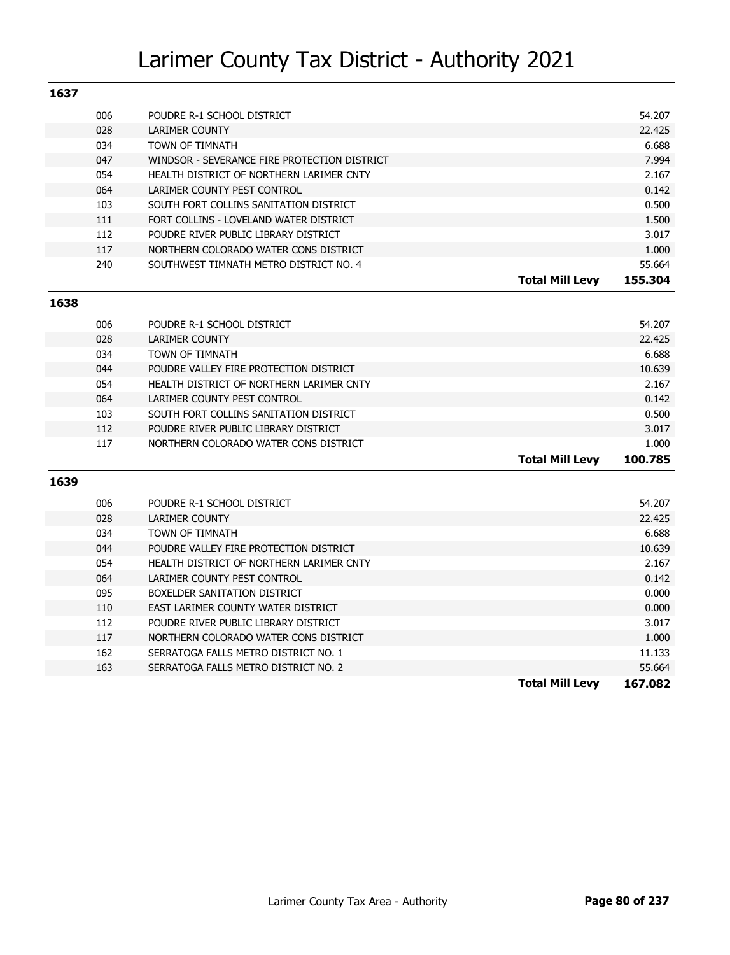| 1637 |     |                                              |                        |         |
|------|-----|----------------------------------------------|------------------------|---------|
|      | 006 | POUDRE R-1 SCHOOL DISTRICT                   |                        | 54.207  |
|      | 028 | <b>LARIMER COUNTY</b>                        |                        | 22.425  |
|      | 034 | TOWN OF TIMNATH                              |                        | 6.688   |
|      | 047 | WINDSOR - SEVERANCE FIRE PROTECTION DISTRICT |                        | 7.994   |
|      | 054 | HEALTH DISTRICT OF NORTHERN LARIMER CNTY     |                        | 2.167   |
|      | 064 | LARIMER COUNTY PEST CONTROL                  |                        | 0.142   |
|      | 103 | SOUTH FORT COLLINS SANITATION DISTRICT       |                        | 0.500   |
|      | 111 | FORT COLLINS - LOVELAND WATER DISTRICT       |                        | 1.500   |
|      | 112 | POUDRE RIVER PUBLIC LIBRARY DISTRICT         |                        | 3.017   |
|      | 117 | NORTHERN COLORADO WATER CONS DISTRICT        |                        | 1.000   |
|      | 240 | SOUTHWEST TIMNATH METRO DISTRICT NO. 4       |                        | 55.664  |
|      |     |                                              | <b>Total Mill Levy</b> | 155.304 |

### **1638**

| 006 | POUDRE R-1 SCHOOL DISTRICT               |                        | 54.207  |
|-----|------------------------------------------|------------------------|---------|
|     |                                          |                        |         |
| 028 | LARIMER COUNTY                           |                        | 22.425  |
| 034 | TOWN OF TIMNATH                          |                        | 6.688   |
| 044 | POUDRE VALLEY FIRE PROTECTION DISTRICT   |                        | 10.639  |
| 054 | HEALTH DISTRICT OF NORTHERN LARIMER CNTY |                        | 2.167   |
| 064 | LARIMER COUNTY PEST CONTROL              |                        | 0.142   |
| 103 | SOUTH FORT COLLINS SANITATION DISTRICT   |                        | 0.500   |
| 112 | POUDRE RIVER PUBLIC LIBRARY DISTRICT     |                        | 3.017   |
| 117 | NORTHERN COLORADO WATER CONS DISTRICT    |                        | 1.000   |
|     |                                          | <b>Total Mill Levy</b> | 100.785 |

|     |                                          | <b>Total Mill Levy</b> | 167.082 |
|-----|------------------------------------------|------------------------|---------|
| 163 | SERRATOGA FALLS METRO DISTRICT NO. 2     |                        | 55.664  |
| 162 | SERRATOGA FALLS METRO DISTRICT NO. 1     |                        | 11.133  |
| 117 | NORTHERN COLORADO WATER CONS DISTRICT    |                        | 1.000   |
| 112 | POUDRE RIVER PUBLIC LIBRARY DISTRICT     |                        | 3.017   |
| 110 | EAST LARIMER COUNTY WATER DISTRICT       |                        | 0.000   |
| 095 | BOXELDER SANITATION DISTRICT             |                        | 0.000   |
| 064 | LARIMER COUNTY PEST CONTROL              |                        | 0.142   |
| 054 | HEALTH DISTRICT OF NORTHERN LARIMER CNTY |                        | 2.167   |
| 044 | POUDRE VALLEY FIRE PROTECTION DISTRICT   |                        | 10.639  |
| 034 | TOWN OF TIMNATH                          |                        | 6.688   |
| 028 | LARIMER COUNTY                           |                        | 22.425  |
| 006 | POUDRE R-1 SCHOOL DISTRICT               |                        | 54.207  |
|     |                                          |                        |         |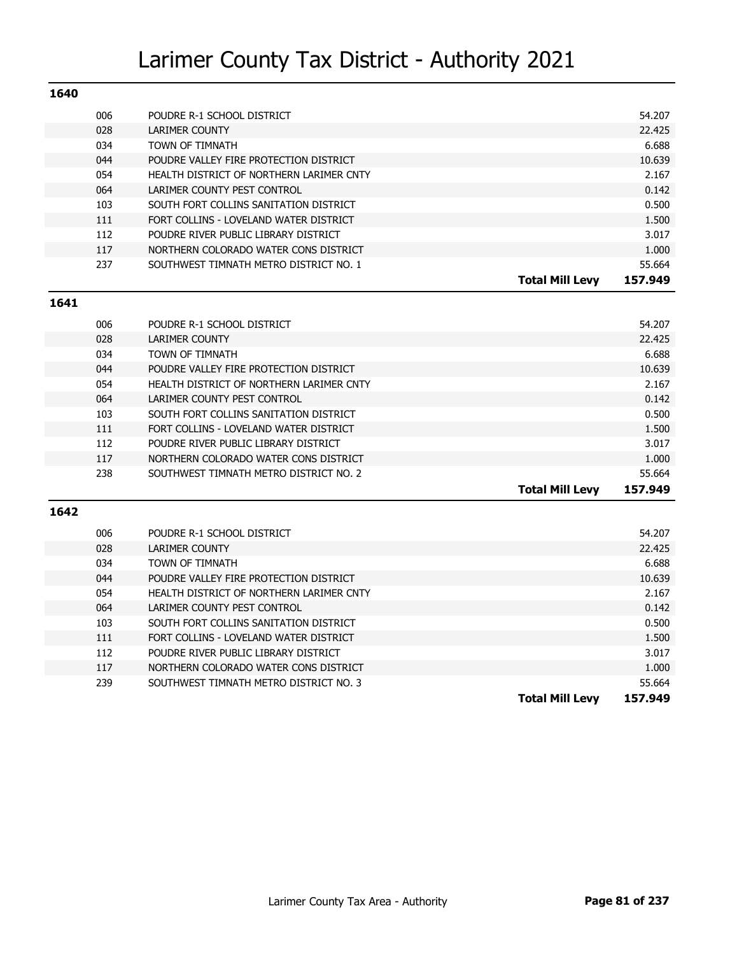| 1640 |                                          |                                   |
|------|------------------------------------------|-----------------------------------|
| 006  | POUDRE R-1 SCHOOL DISTRICT               | 54.207                            |
| 028  | LARIMER COUNTY                           | 22.425                            |
| 034  | TOWN OF TIMNATH                          | 6.688                             |
| 044  | POUDRE VALLEY FIRE PROTECTION DISTRICT   | 10.639                            |
| 054  | HEALTH DISTRICT OF NORTHERN LARIMER CNTY | 2.167                             |
| 064  | LARIMER COUNTY PEST CONTROL              | 0.142                             |
| 103  | SOUTH FORT COLLINS SANITATION DISTRICT   | 0.500                             |
| 111  | FORT COLLINS - LOVELAND WATER DISTRICT   | 1.500                             |
| 112  | POUDRE RIVER PUBLIC LIBRARY DISTRICT     | 3.017                             |
| 117  | NORTHERN COLORADO WATER CONS DISTRICT    | 1.000                             |
| 237  | SOUTHWEST TIMNATH METRO DISTRICT NO. 1   | 55.664                            |
|      |                                          | 157.949<br><b>Total Mill Levv</b> |

#### **1641**

|     |                                          | 157.949<br><b>Total Mill Levv</b> |
|-----|------------------------------------------|-----------------------------------|
| 238 | SOUTHWEST TIMNATH METRO DISTRICT NO. 2   | 55.664                            |
| 117 | NORTHERN COLORADO WATER CONS DISTRICT    | 1.000                             |
| 112 | POUDRE RIVER PUBLIC LIBRARY DISTRICT     | 3.017                             |
| 111 | FORT COLLINS - LOVELAND WATER DISTRICT   | 1.500                             |
| 103 | SOUTH FORT COLLINS SANITATION DISTRICT   | 0.500                             |
| 064 | LARIMER COUNTY PEST CONTROL              | 0.142                             |
| 054 | HEALTH DISTRICT OF NORTHERN LARIMER CNTY | 2.167                             |
| 044 | POUDRE VALLEY FIRE PROTECTION DISTRICT   | 10.639                            |
| 034 | <b>TOWN OF TIMNATH</b>                   | 6.688                             |
| 028 | <b>LARIMER COUNTY</b>                    | 22.425                            |
| 006 | POUDRE R-1 SCHOOL DISTRICT               | 54.207                            |
|     |                                          |                                   |

| 006 | POUDRE R-1 SCHOOL DISTRICT               |                        | 54.207  |
|-----|------------------------------------------|------------------------|---------|
| 028 | LARIMER COUNTY                           |                        | 22.425  |
| 034 | TOWN OF TIMNATH                          |                        | 6.688   |
| 044 | POUDRE VALLEY FIRE PROTECTION DISTRICT   |                        | 10.639  |
| 054 | HEALTH DISTRICT OF NORTHERN LARIMER CNTY |                        | 2.167   |
| 064 | LARIMER COUNTY PEST CONTROL              |                        | 0.142   |
| 103 | SOUTH FORT COLLINS SANITATION DISTRICT   |                        | 0.500   |
| 111 | FORT COLLINS - LOVELAND WATER DISTRICT   |                        | 1.500   |
| 112 | POUDRE RIVER PUBLIC LIBRARY DISTRICT     |                        | 3.017   |
| 117 | NORTHERN COLORADO WATER CONS DISTRICT    |                        | 1,000   |
| 239 | SOUTHWEST TIMNATH METRO DISTRICT NO. 3   |                        | 55.664  |
|     |                                          | <b>Total Mill Levy</b> | 157.949 |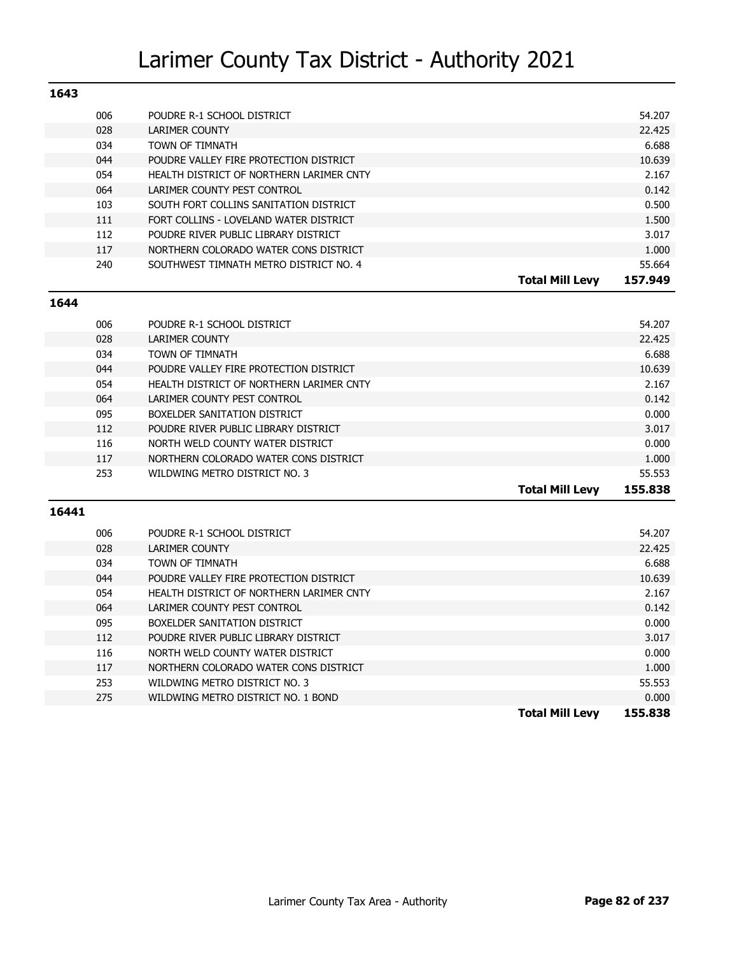| 1643 |                                          |                        |         |
|------|------------------------------------------|------------------------|---------|
| 006  | POUDRE R-1 SCHOOL DISTRICT               |                        | 54.207  |
| 028  | LARIMER COUNTY                           |                        | 22.425  |
| 034  | TOWN OF TIMNATH                          |                        | 6.688   |
| 044  | POUDRE VALLEY FIRE PROTECTION DISTRICT   |                        | 10.639  |
| 054  | HEALTH DISTRICT OF NORTHERN LARIMER CNTY |                        | 2.167   |
| 064  | LARIMER COUNTY PEST CONTROL              |                        | 0.142   |
| 103  | SOUTH FORT COLLINS SANITATION DISTRICT   |                        | 0.500   |
| 111  | FORT COLLINS - LOVELAND WATER DISTRICT   |                        | 1.500   |
| 112  | POUDRE RIVER PUBLIC LIBRARY DISTRICT     |                        | 3.017   |
| 117  | NORTHERN COLORADO WATER CONS DISTRICT    |                        | 1.000   |
| 240  | SOUTHWEST TIMNATH METRO DISTRICT NO. 4   |                        | 55.664  |
|      |                                          | <b>Total Mill Levv</b> | 157.949 |

#### **1644**

| 006 | POUDRE R-1 SCHOOL DISTRICT               |                        | 54.207  |
|-----|------------------------------------------|------------------------|---------|
| 028 | <b>LARIMER COUNTY</b>                    |                        | 22.425  |
| 034 | <b>TOWN OF TIMNATH</b>                   |                        | 6.688   |
| 044 | POUDRE VALLEY FIRE PROTECTION DISTRICT   |                        | 10.639  |
| 054 | HEALTH DISTRICT OF NORTHERN LARIMER CNTY |                        | 2.167   |
| 064 | LARIMER COUNTY PEST CONTROL              |                        | 0.142   |
| 095 | BOXELDER SANITATION DISTRICT             |                        | 0.000   |
| 112 | POUDRE RIVER PUBLIC LIBRARY DISTRICT     |                        | 3.017   |
| 116 | NORTH WELD COUNTY WATER DISTRICT         |                        | 0.000   |
| 117 | NORTHERN COLORADO WATER CONS DISTRICT    |                        | 1.000   |
| 253 | WILDWING METRO DISTRICT NO. 3            |                        | 55.553  |
|     |                                          | <b>Total Mill Levy</b> | 155.838 |

|     |                                          | <b>Total Mill Levv</b> | 155.838 |
|-----|------------------------------------------|------------------------|---------|
| 275 | WILDWING METRO DISTRICT NO. 1 BOND       |                        | 0.000   |
| 253 | WILDWING METRO DISTRICT NO. 3            |                        | 55.553  |
| 117 | NORTHERN COLORADO WATER CONS DISTRICT    |                        | 1.000   |
| 116 | NORTH WELD COUNTY WATER DISTRICT         |                        | 0.000   |
| 112 | POUDRE RIVER PUBLIC LIBRARY DISTRICT     |                        | 3.017   |
| 095 | BOXELDER SANITATION DISTRICT             |                        | 0.000   |
| 064 | LARIMER COUNTY PEST CONTROL              |                        | 0.142   |
| 054 | HEALTH DISTRICT OF NORTHERN LARIMER CNTY |                        | 2.167   |
| 044 | POUDRE VALLEY FIRE PROTECTION DISTRICT   |                        | 10.639  |
| 034 | TOWN OF TIMNATH                          |                        | 6.688   |
| 028 | LARIMER COUNTY                           |                        | 22.425  |
| 006 | POUDRE R-1 SCHOOL DISTRICT               |                        | 54.207  |
|     |                                          |                        |         |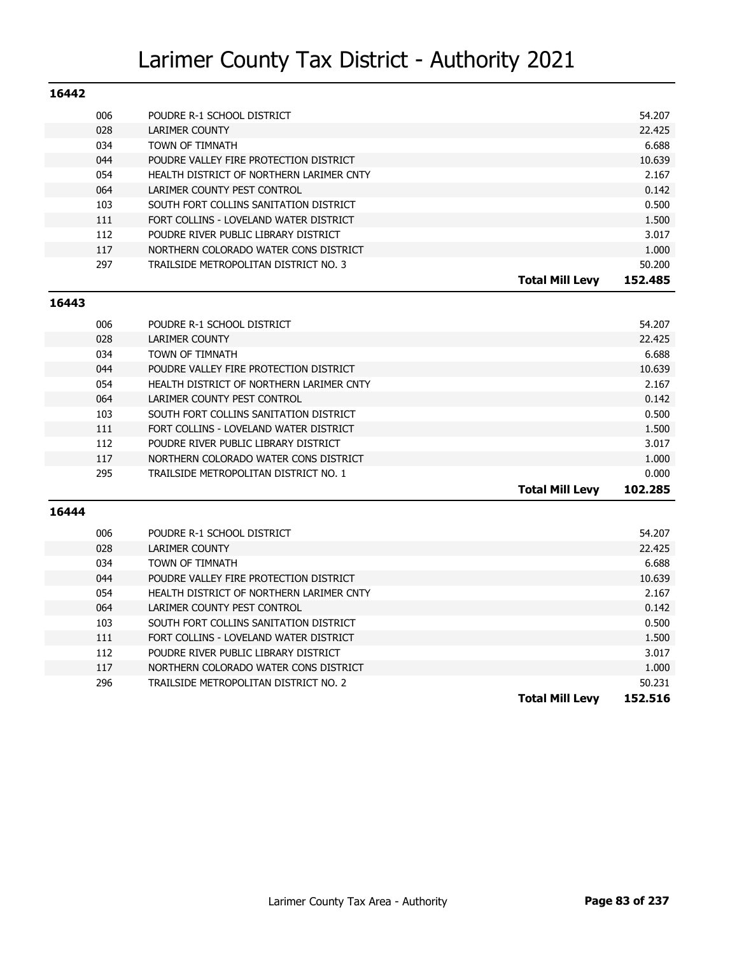| 16442 |                                          |                        |         |
|-------|------------------------------------------|------------------------|---------|
| 006   | POUDRE R-1 SCHOOL DISTRICT               |                        | 54.207  |
| 028   | LARIMER COUNTY                           |                        | 22.425  |
| 034   | TOWN OF TIMNATH                          |                        | 6.688   |
| 044   | POUDRE VALLEY FIRE PROTECTION DISTRICT   |                        | 10.639  |
| 054   | HEALTH DISTRICT OF NORTHERN LARIMER CNTY |                        | 2.167   |
| 064   | LARIMER COUNTY PEST CONTROL              |                        | 0.142   |
| 103   | SOUTH FORT COLLINS SANITATION DISTRICT   |                        | 0.500   |
| 111   | FORT COLLINS - LOVELAND WATER DISTRICT   |                        | 1.500   |
| 112   | POUDRE RIVER PUBLIC LIBRARY DISTRICT     |                        | 3.017   |
| 117   | NORTHERN COLORADO WATER CONS DISTRICT    |                        | 1.000   |
| 297   | TRAILSIDE METROPOLITAN DISTRICT NO. 3    |                        | 50.200  |
|       |                                          | <b>Total Mill Levv</b> | 152.485 |

#### **16443**

| 006 | POUDRE R-1 SCHOOL DISTRICT               |                 | 54.207  |
|-----|------------------------------------------|-----------------|---------|
| 028 | LARIMER COUNTY                           |                 | 22.425  |
| 034 | TOWN OF TIMNATH                          |                 | 6.688   |
| 044 | POUDRE VALLEY FIRE PROTECTION DISTRICT   |                 | 10.639  |
| 054 | HEALTH DISTRICT OF NORTHERN LARIMER CNTY |                 | 2.167   |
| 064 | LARIMER COUNTY PEST CONTROL              |                 | 0.142   |
| 103 | SOUTH FORT COLLINS SANITATION DISTRICT   |                 | 0.500   |
| 111 | FORT COLLINS - LOVELAND WATER DISTRICT   |                 | 1.500   |
| 112 | POUDRE RIVER PUBLIC LIBRARY DISTRICT     |                 | 3.017   |
| 117 | NORTHERN COLORADO WATER CONS DISTRICT    |                 | 1.000   |
| 295 | TRAILSIDE METROPOLITAN DISTRICT NO. 1    |                 | 0.000   |
|     |                                          | Total Mill Levv | 102.285 |

| 006 | POUDRE R-1 SCHOOL DISTRICT               |                        | 54.207  |
|-----|------------------------------------------|------------------------|---------|
| 028 | LARIMER COUNTY                           |                        | 22.425  |
| 034 | TOWN OF TIMNATH                          |                        | 6.688   |
| 044 | POUDRE VALLEY FIRE PROTECTION DISTRICT   |                        | 10.639  |
| 054 | HEALTH DISTRICT OF NORTHERN LARIMER CNTY |                        | 2.167   |
| 064 | LARIMER COUNTY PEST CONTROL              |                        | 0.142   |
| 103 | SOUTH FORT COLLINS SANITATION DISTRICT   |                        | 0.500   |
| 111 | FORT COLLINS - LOVELAND WATER DISTRICT   |                        | 1.500   |
| 112 | POUDRE RIVER PUBLIC LIBRARY DISTRICT     |                        | 3.017   |
| 117 | NORTHERN COLORADO WATER CONS DISTRICT    |                        | 1.000   |
| 296 | TRAILSIDE METROPOLITAN DISTRICT NO. 2    |                        | 50.231  |
|     |                                          | <b>Total Mill Levv</b> | 152.516 |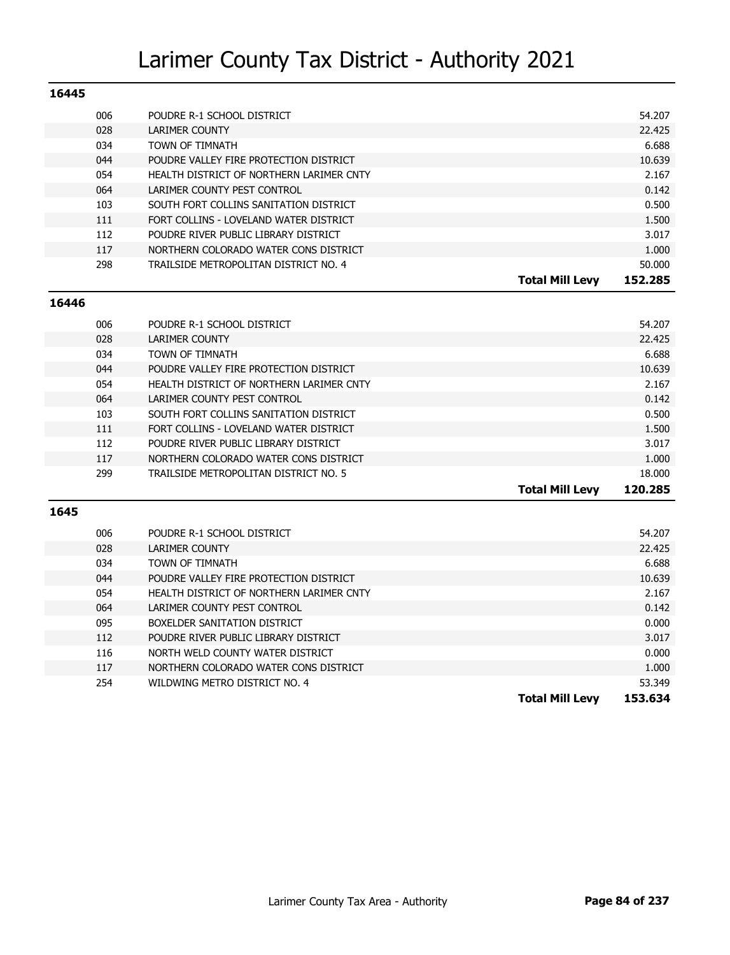| 16445 |     |                                          |                        |         |
|-------|-----|------------------------------------------|------------------------|---------|
| 006   |     | POUDRE R-1 SCHOOL DISTRICT               |                        | 54.207  |
| 028   |     | LARIMER COUNTY                           |                        | 22.425  |
| 034   |     | TOWN OF TIMNATH                          |                        | 6.688   |
| 044   |     | POUDRE VALLEY FIRE PROTECTION DISTRICT   |                        | 10.639  |
| 054   |     | HEALTH DISTRICT OF NORTHERN LARIMER CNTY |                        | 2.167   |
| 064   |     | LARIMER COUNTY PEST CONTROL              |                        | 0.142   |
| 103   |     | SOUTH FORT COLLINS SANITATION DISTRICT   |                        | 0.500   |
| 111   |     | FORT COLLINS - LOVELAND WATER DISTRICT   |                        | 1.500   |
|       | 112 | POUDRE RIVER PUBLIC LIBRARY DISTRICT     |                        | 3.017   |
| 117   |     | NORTHERN COLORADO WATER CONS DISTRICT    |                        | 1.000   |
|       | 298 | TRAILSIDE METROPOLITAN DISTRICT NO. 4    |                        | 50.000  |
|       |     |                                          | <b>Total Mill Levv</b> | 152.285 |

#### **16446**

| 006 | POUDRE R-1 SCHOOL DISTRICT               |                 | 54.207  |
|-----|------------------------------------------|-----------------|---------|
| 028 | LARIMER COUNTY                           |                 | 22.425  |
| 034 | TOWN OF TIMNATH                          |                 | 6.688   |
| 044 | POUDRE VALLEY FIRE PROTECTION DISTRICT   |                 | 10.639  |
| 054 | HEALTH DISTRICT OF NORTHERN LARIMER CNTY |                 | 2.167   |
| 064 | LARIMER COUNTY PEST CONTROL              |                 | 0.142   |
| 103 | SOUTH FORT COLLINS SANITATION DISTRICT   |                 | 0.500   |
| 111 | FORT COLLINS - LOVELAND WATER DISTRICT   |                 | 1.500   |
| 112 | POUDRE RIVER PUBLIC LIBRARY DISTRICT     |                 | 3.017   |
| 117 | NORTHERN COLORADO WATER CONS DISTRICT    |                 | 1.000   |
| 299 | TRAILSIDE METROPOLITAN DISTRICT NO. 5    |                 | 18.000  |
|     |                                          | Total Mill Levv | 120.285 |

| 006 | POUDRE R-1 SCHOOL DISTRICT               |                        | 54.207  |
|-----|------------------------------------------|------------------------|---------|
| 028 | LARIMER COUNTY                           |                        | 22.425  |
| 034 | TOWN OF TIMNATH                          |                        | 6.688   |
| 044 | POUDRE VALLEY FIRE PROTECTION DISTRICT   |                        | 10.639  |
| 054 | HEALTH DISTRICT OF NORTHERN LARIMER CNTY |                        | 2.167   |
| 064 | LARIMER COUNTY PEST CONTROL              |                        | 0.142   |
| 095 | BOXELDER SANITATION DISTRICT             |                        | 0.000   |
| 112 | POUDRE RIVER PUBLIC LIBRARY DISTRICT     |                        | 3.017   |
| 116 | NORTH WELD COUNTY WATER DISTRICT         |                        | 0.000   |
| 117 | NORTHERN COLORADO WATER CONS DISTRICT    |                        | 1.000   |
| 254 | WILDWING METRO DISTRICT NO. 4            |                        | 53.349  |
|     |                                          | <b>Total Mill Levy</b> | 153.634 |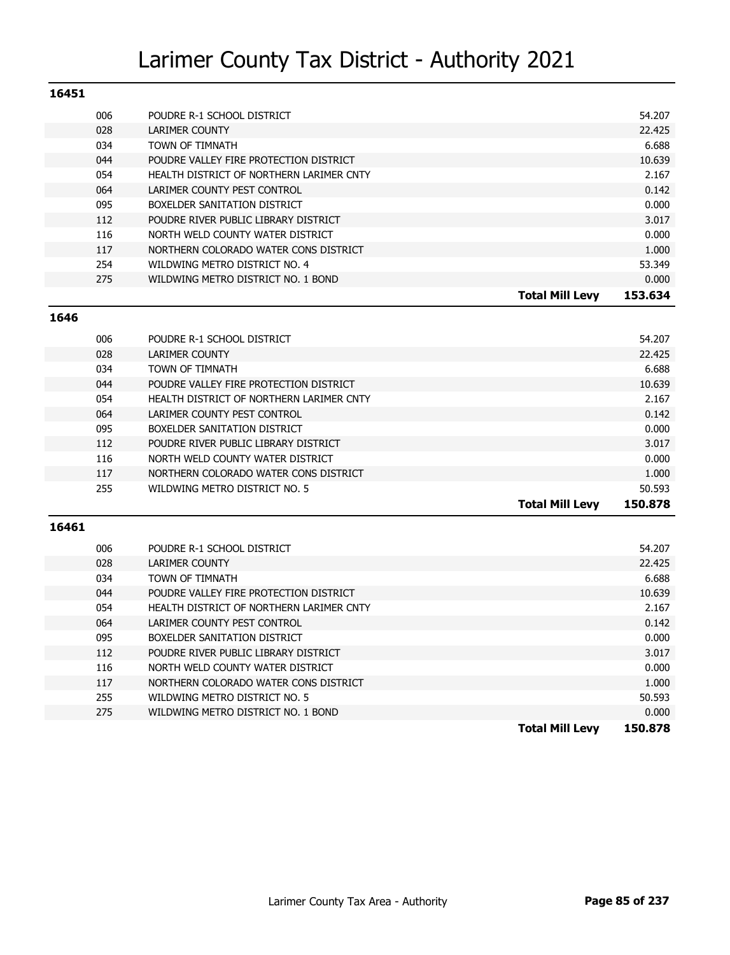| 16451 |     |                                          |                        |         |
|-------|-----|------------------------------------------|------------------------|---------|
|       | 006 | POUDRE R-1 SCHOOL DISTRICT               |                        | 54.207  |
|       | 028 | LARIMER COUNTY                           |                        | 22.425  |
|       | 034 | TOWN OF TIMNATH                          |                        | 6.688   |
|       | 044 | POUDRE VALLEY FIRE PROTECTION DISTRICT   |                        | 10.639  |
|       | 054 | HEALTH DISTRICT OF NORTHERN LARIMER CNTY |                        | 2.167   |
|       | 064 | LARIMER COUNTY PEST CONTROL              |                        | 0.142   |
|       | 095 | BOXELDER SANITATION DISTRICT             |                        | 0.000   |
|       | 112 | POUDRE RIVER PUBLIC LIBRARY DISTRICT     |                        | 3.017   |
|       | 116 | NORTH WELD COUNTY WATER DISTRICT         |                        | 0.000   |
|       | 117 | NORTHERN COLORADO WATER CONS DISTRICT    |                        | 1.000   |
|       | 254 | WILDWING METRO DISTRICT NO. 4            |                        | 53.349  |
|       | 275 | WILDWING METRO DISTRICT NO. 1 BOND       |                        | 0.000   |
|       |     |                                          | <b>Total Mill Levy</b> | 153.634 |

#### **1646**

| 006 | POUDRE R-1 SCHOOL DISTRICT               |                        | 54.207  |
|-----|------------------------------------------|------------------------|---------|
| 028 | LARIMER COUNTY                           |                        | 22.425  |
| 034 | TOWN OF TIMNATH                          |                        | 6.688   |
| 044 | POUDRE VALLEY FIRE PROTECTION DISTRICT   |                        | 10.639  |
| 054 | HEALTH DISTRICT OF NORTHERN LARIMER CNTY |                        | 2.167   |
| 064 | LARIMER COUNTY PEST CONTROL              |                        | 0.142   |
| 095 | BOXELDER SANITATION DISTRICT             |                        | 0.000   |
| 112 | POUDRE RIVER PUBLIC LIBRARY DISTRICT     |                        | 3.017   |
| 116 | NORTH WELD COUNTY WATER DISTRICT         |                        | 0.000   |
| 117 | NORTHERN COLORADO WATER CONS DISTRICT    |                        | 1.000   |
| 255 | WILDWING METRO DISTRICT NO. 5            |                        | 50.593  |
|     |                                          | <b>Total Mill Levy</b> | 150.878 |

|     |                                          | <b>Total Mill Levy</b> | 150.878 |
|-----|------------------------------------------|------------------------|---------|
| 275 | WILDWING METRO DISTRICT NO. 1 BOND       |                        | 0.000   |
| 255 | WILDWING METRO DISTRICT NO. 5            |                        | 50.593  |
| 117 | NORTHERN COLORADO WATER CONS DISTRICT    |                        | 1.000   |
| 116 | NORTH WELD COUNTY WATER DISTRICT         |                        | 0.000   |
| 112 | POUDRE RIVER PUBLIC LIBRARY DISTRICT     |                        | 3.017   |
| 095 | BOXELDER SANITATION DISTRICT             |                        | 0.000   |
| 064 | LARIMER COUNTY PEST CONTROL              |                        | 0.142   |
| 054 | HEALTH DISTRICT OF NORTHERN LARIMER CNTY |                        | 2.167   |
| 044 | POUDRE VALLEY FIRE PROTECTION DISTRICT   |                        | 10.639  |
| 034 | TOWN OF TIMNATH                          |                        | 6.688   |
| 028 | LARIMER COUNTY                           |                        | 22.425  |
| 006 | POUDRE R-1 SCHOOL DISTRICT               |                        | 54.207  |
|     |                                          |                        |         |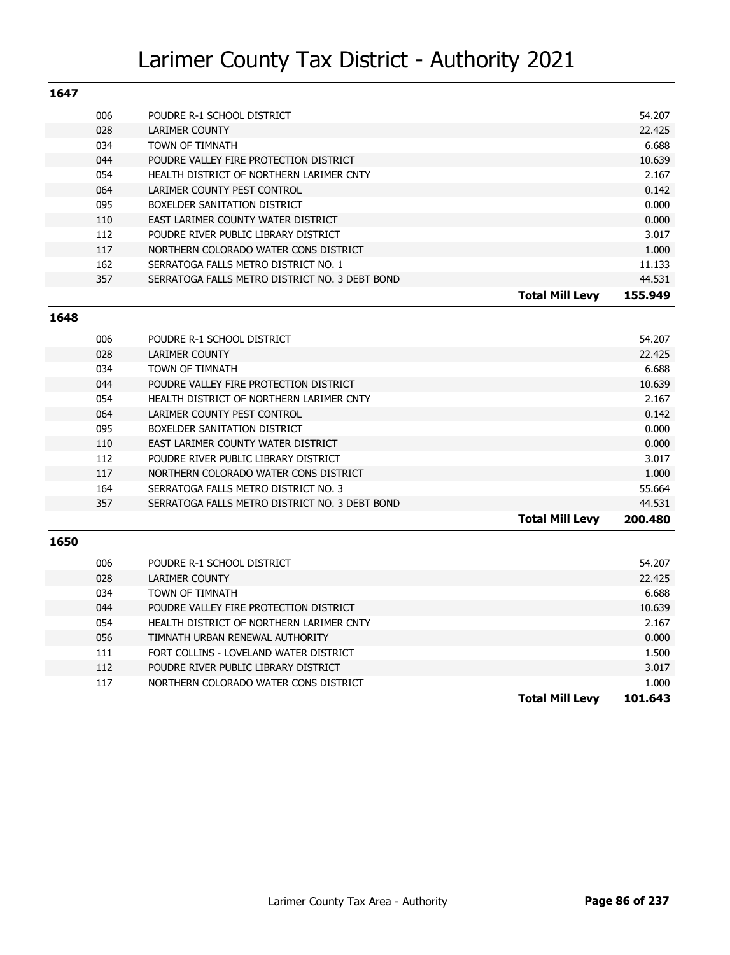| 1647 |     |                                                |                        |         |
|------|-----|------------------------------------------------|------------------------|---------|
|      | 006 | POUDRE R-1 SCHOOL DISTRICT                     |                        | 54.207  |
|      | 028 | LARIMER COUNTY                                 |                        | 22.425  |
|      | 034 | TOWN OF TIMNATH                                |                        | 6.688   |
|      | 044 | POUDRE VALLEY FIRE PROTECTION DISTRICT         |                        | 10.639  |
|      | 054 | HEALTH DISTRICT OF NORTHERN LARIMER CNTY       |                        | 2.167   |
|      | 064 | LARIMER COUNTY PEST CONTROL                    |                        | 0.142   |
|      | 095 | BOXELDER SANITATION DISTRICT                   |                        | 0.000   |
|      | 110 | EAST LARIMER COUNTY WATER DISTRICT             |                        | 0.000   |
|      | 112 | POUDRE RIVER PUBLIC LIBRARY DISTRICT           |                        | 3.017   |
|      | 117 | NORTHERN COLORADO WATER CONS DISTRICT          |                        | 1.000   |
|      | 162 | SERRATOGA FALLS METRO DISTRICT NO. 1           |                        | 11.133  |
|      | 357 | SERRATOGA FALLS METRO DISTRICT NO. 3 DEBT BOND |                        | 44.531  |
|      |     |                                                | <b>Total Mill Levv</b> | 155.949 |

#### **1648**

|     |                                                | <b>Total Mill Levy</b> | 200.480 |
|-----|------------------------------------------------|------------------------|---------|
| 357 | SERRATOGA FALLS METRO DISTRICT NO. 3 DEBT BOND |                        | 44.531  |
| 164 | SERRATOGA FALLS METRO DISTRICT NO. 3           |                        | 55.664  |
| 117 | NORTHERN COLORADO WATER CONS DISTRICT          |                        | 1.000   |
| 112 | POUDRE RIVER PUBLIC LIBRARY DISTRICT           |                        | 3.017   |
| 110 | EAST LARIMER COUNTY WATER DISTRICT             |                        | 0.000   |
| 095 | BOXELDER SANITATION DISTRICT                   |                        | 0.000   |
| 064 | LARIMER COUNTY PEST CONTROL                    |                        | 0.142   |
| 054 | HEALTH DISTRICT OF NORTHERN LARIMER CNTY       |                        | 2.167   |
| 044 | POUDRE VALLEY FIRE PROTECTION DISTRICT         |                        | 10.639  |
| 034 | TOWN OF TIMNATH                                |                        | 6.688   |
| 028 | LARIMER COUNTY                                 |                        | 22.425  |
| 006 | POUDRE R-1 SCHOOL DISTRICT                     |                        | 54.207  |
|     |                                                |                        |         |

| 006 | POUDRE R-1 SCHOOL DISTRICT               |                        | 54.207  |
|-----|------------------------------------------|------------------------|---------|
| 028 | LARIMER COUNTY                           |                        | 22.425  |
| 034 | TOWN OF TIMNATH                          |                        | 6.688   |
| 044 | POUDRE VALLEY FIRE PROTECTION DISTRICT   |                        | 10.639  |
| 054 | HEALTH DISTRICT OF NORTHERN LARIMER CNTY |                        | 2.167   |
| 056 | TIMNATH URBAN RENEWAL AUTHORITY          |                        | 0.000   |
| 111 | FORT COLLINS - LOVELAND WATER DISTRICT   |                        | 1.500   |
| 112 | POUDRE RIVER PUBLIC LIBRARY DISTRICT     |                        | 3.017   |
| 117 | NORTHERN COLORADO WATER CONS DISTRICT    |                        | 1.000   |
|     |                                          | <b>Total Mill Levv</b> | 101.643 |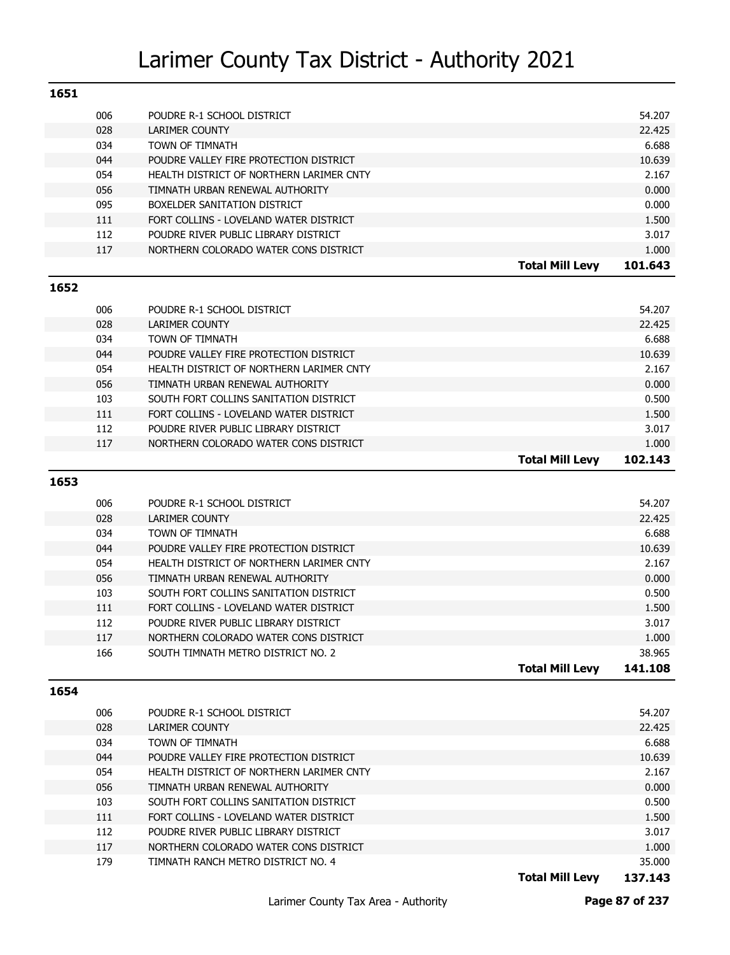| 1651 |     |                                          |                        |         |
|------|-----|------------------------------------------|------------------------|---------|
|      | 006 | POUDRE R-1 SCHOOL DISTRICT               |                        | 54.207  |
|      | 028 | <b>LARIMER COUNTY</b>                    |                        | 22.425  |
|      | 034 | TOWN OF TIMNATH                          |                        | 6.688   |
|      | 044 | POUDRE VALLEY FIRE PROTECTION DISTRICT   |                        | 10.639  |
|      | 054 | HEALTH DISTRICT OF NORTHERN LARIMER CNTY |                        | 2.167   |
|      | 056 | TIMNATH URBAN RENEWAL AUTHORITY          |                        | 0.000   |
|      | 095 | BOXELDER SANITATION DISTRICT             |                        | 0.000   |
|      | 111 | FORT COLLINS - LOVELAND WATER DISTRICT   |                        | 1.500   |
|      | 112 | POUDRE RIVER PUBLIC LIBRARY DISTRICT     |                        | 3.017   |
|      | 117 | NORTHERN COLORADO WATER CONS DISTRICT    |                        | 1.000   |
|      |     |                                          | <b>Total Mill Levy</b> | 101.643 |
| 1652 |     |                                          |                        |         |

|     |                                          | <b>Total Mill Levv</b> | 102.143 |
|-----|------------------------------------------|------------------------|---------|
| 117 | NORTHERN COLORADO WATER CONS DISTRICT    |                        | 1.000   |
| 112 | POUDRE RIVER PUBLIC LIBRARY DISTRICT     |                        | 3.017   |
| 111 | FORT COLLINS - LOVELAND WATER DISTRICT   |                        | 1.500   |
| 103 | SOUTH FORT COLLINS SANITATION DISTRICT   |                        | 0.500   |
| 056 | TIMNATH URBAN RENEWAL AUTHORITY          |                        | 0.000   |
| 054 | HEALTH DISTRICT OF NORTHERN LARIMER CNTY |                        | 2.167   |
| 044 | POUDRE VALLEY FIRE PROTECTION DISTRICT   |                        | 10.639  |
| 034 | TOWN OF TIMNATH                          |                        | 6.688   |
| 028 | LARIMER COUNTY                           |                        | 22.425  |
| 006 | POUDRE R-1 SCHOOL DISTRICT               |                        | 54.207  |

#### **1653**

|     |                                          | 141.108<br>Total Mill Levv |
|-----|------------------------------------------|----------------------------|
| 166 | SOUTH TIMNATH METRO DISTRICT NO. 2       | 38.965                     |
| 117 | NORTHERN COLORADO WATER CONS DISTRICT    | 1.000                      |
| 112 | POUDRE RIVER PUBLIC LIBRARY DISTRICT     | 3.017                      |
| 111 | FORT COLLINS - LOVELAND WATER DISTRICT   | 1.500                      |
| 103 | SOUTH FORT COLLINS SANITATION DISTRICT   | 0.500                      |
| 056 | TIMNATH URBAN RENEWAL AUTHORITY          | 0.000                      |
| 054 | HEALTH DISTRICT OF NORTHERN LARIMER CNTY | 2.167                      |
| 044 | POUDRE VALLEY FIRE PROTECTION DISTRICT   | 10.639                     |
| 034 | <b>TOWN OF TIMNATH</b>                   | 6.688                      |
| 028 | <b>LARIMER COUNTY</b>                    | 22.425                     |
| 006 | POUDRE R-1 SCHOOL DISTRICT               | 54.207                     |
|     |                                          |                            |

#### **1654**

| 006 | POUDRE R-1 SCHOOL DISTRICT               | 54.207 |
|-----|------------------------------------------|--------|
| 028 | LARIMER COUNTY                           | 22.425 |
| 034 | <b>TOWN OF TIMNATH</b>                   | 6.688  |
| 044 | POUDRE VALLEY FIRE PROTECTION DISTRICT   | 10.639 |
| 054 | HEALTH DISTRICT OF NORTHERN LARIMER CNTY | 2.167  |
| 056 | TIMNATH URBAN RENEWAL AUTHORITY          | 0.000  |
| 103 | SOUTH FORT COLLINS SANITATION DISTRICT   | 0.500  |
| 111 | FORT COLLINS - LOVELAND WATER DISTRICT   | 1.500  |
| 112 | POUDRE RIVER PUBLIC LIBRARY DISTRICT     | 3.017  |
| 117 | NORTHERN COLORADO WATER CONS DISTRICT    | 1.000  |
| 179 | TIMNATH RANCH METRO DISTRICT NO. 4       | 35.000 |
|     |                                          |        |

**Total Mill Levy 137.143**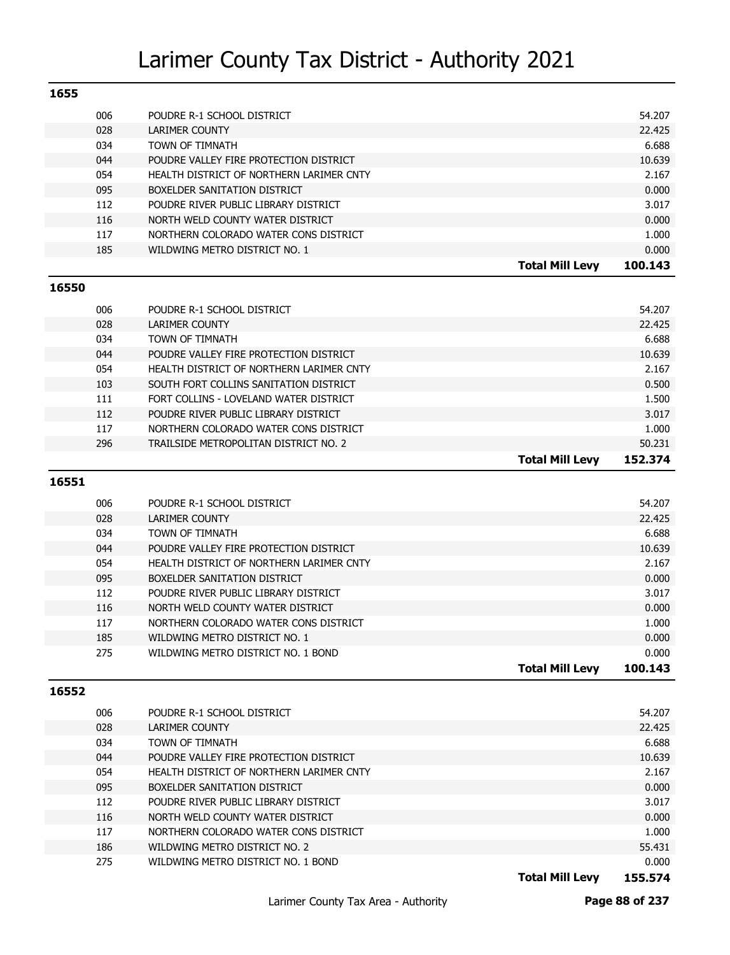| 1655  |     |                                          |                        |         |
|-------|-----|------------------------------------------|------------------------|---------|
|       | 006 | POUDRE R-1 SCHOOL DISTRICT               |                        | 54.207  |
|       | 028 | <b>LARIMER COUNTY</b>                    |                        | 22.425  |
|       | 034 | TOWN OF TIMNATH                          |                        | 6.688   |
|       | 044 | POUDRE VALLEY FIRE PROTECTION DISTRICT   |                        | 10.639  |
|       | 054 | HEALTH DISTRICT OF NORTHERN LARIMER CNTY |                        | 2.167   |
|       | 095 | BOXELDER SANITATION DISTRICT             |                        | 0.000   |
|       | 112 | POUDRE RIVER PUBLIC LIBRARY DISTRICT     |                        | 3.017   |
|       | 116 | NORTH WELD COUNTY WATER DISTRICT         |                        | 0.000   |
|       | 117 | NORTHERN COLORADO WATER CONS DISTRICT    |                        | 1.000   |
|       | 185 | WILDWING METRO DISTRICT NO. 1            |                        | 0.000   |
|       |     |                                          | <b>Total Mill Levy</b> | 100.143 |
| 16550 |     |                                          |                        |         |
|       | 006 | POUDRE R-1 SCHOOL DISTRICT               |                        | 54.207  |
|       | 028 | <b>LARIMER COUNTY</b>                    |                        | 22.425  |
|       | 034 | TOWN OF TIMNATH                          |                        | 6.688   |
|       | 044 | POUDRE VALLEY FIRE PROTECTION DISTRICT   |                        | 10.639  |

|     |                                          | <b>Total Mill Levy</b> | 152.374 |
|-----|------------------------------------------|------------------------|---------|
| 296 | TRAILSIDE METROPOLITAN DISTRICT NO. 2    |                        | 50.231  |
| 117 | NORTHERN COLORADO WATER CONS DISTRICT    |                        | 1.000   |
| 112 | POUDRE RIVER PUBLIC LIBRARY DISTRICT     |                        | 3.017   |
| 111 | FORT COLLINS - LOVELAND WATER DISTRICT   |                        | 1.500   |
| 103 | SOUTH FORT COLLINS SANITATION DISTRICT   |                        | 0.500   |
| 054 | HEALTH DISTRICT OF NORTHERN LARIMER CNTY |                        | 2.167   |
| 044 | POUDRE VALLEY FIRE PROTECTION DISTRICT   |                        | 10.639  |

#### **16551**

|     |                                          | <b>Total Mill Levy</b> | 100.143 |
|-----|------------------------------------------|------------------------|---------|
| 275 | WILDWING METRO DISTRICT NO. 1 BOND       |                        | 0.000   |
| 185 | WILDWING METRO DISTRICT NO. 1            |                        | 0.000   |
| 117 | NORTHERN COLORADO WATER CONS DISTRICT    |                        | 1.000   |
| 116 | NORTH WELD COUNTY WATER DISTRICT         |                        | 0.000   |
| 112 | POUDRE RIVER PUBLIC LIBRARY DISTRICT     |                        | 3.017   |
| 095 | BOXELDER SANITATION DISTRICT             |                        | 0.000   |
| 054 | HEALTH DISTRICT OF NORTHERN LARIMER CNTY |                        | 2.167   |
| 044 | POUDRE VALLEY FIRE PROTECTION DISTRICT   |                        | 10.639  |
| 034 | <b>TOWN OF TIMNATH</b>                   |                        | 6.688   |
| 028 | LARIMER COUNTY                           |                        | 22.425  |
| 006 | POUDRE R-1 SCHOOL DISTRICT               |                        | 54.207  |
|     |                                          |                        |         |

#### **16552**

| 006 | POUDRE R-1 SCHOOL DISTRICT               | 54.207 |
|-----|------------------------------------------|--------|
| 028 | LARIMER COUNTY                           | 22.425 |
| 034 | <b>TOWN OF TIMNATH</b>                   | 6.688  |
| 044 | POUDRE VALLEY FIRE PROTECTION DISTRICT   | 10.639 |
| 054 | HEALTH DISTRICT OF NORTHERN LARIMER CNTY | 2.167  |
| 095 | BOXELDER SANITATION DISTRICT             | 0.000  |
| 112 | POUDRE RIVER PUBLIC LIBRARY DISTRICT     | 3.017  |
| 116 | NORTH WELD COUNTY WATER DISTRICT         | 0.000  |
| 117 | NORTHERN COLORADO WATER CONS DISTRICT    | 1.000  |
| 186 | WILDWING METRO DISTRICT NO. 2            | 55.431 |
| 275 | WILDWING METRO DISTRICT NO. 1 BOND       | 0.000  |

**Total Mill Levy 155.574**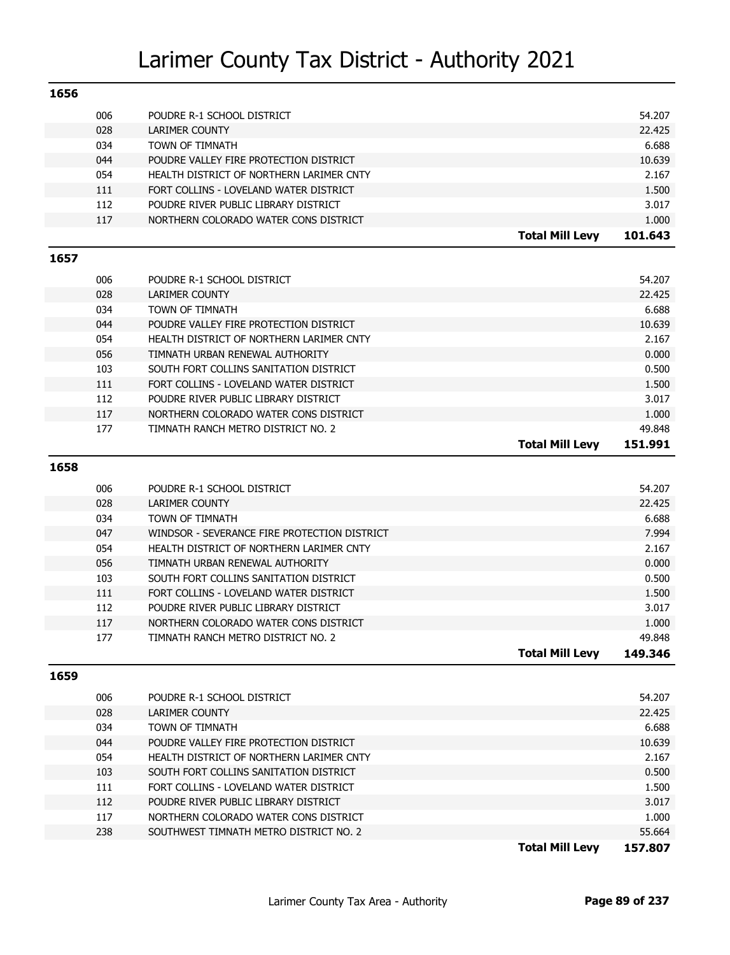| 1656 |            |                                              |                        |                   |
|------|------------|----------------------------------------------|------------------------|-------------------|
|      | 006        | POUDRE R-1 SCHOOL DISTRICT                   |                        | 54.207            |
|      | 028        | LARIMER COUNTY                               |                        | 22.425            |
|      | 034        | TOWN OF TIMNATH                              |                        | 6.688             |
|      | 044        | POUDRE VALLEY FIRE PROTECTION DISTRICT       |                        | 10.639            |
|      | 054        | HEALTH DISTRICT OF NORTHERN LARIMER CNTY     |                        | 2.167             |
|      | 111        | FORT COLLINS - LOVELAND WATER DISTRICT       |                        | 1.500             |
|      | 112        | POUDRE RIVER PUBLIC LIBRARY DISTRICT         |                        | 3.017             |
|      | 117        | NORTHERN COLORADO WATER CONS DISTRICT        |                        | 1.000             |
|      |            |                                              | <b>Total Mill Levy</b> | 101.643           |
| 1657 |            |                                              |                        |                   |
|      | 006        |                                              |                        | 54.207            |
|      | 028        | POUDRE R-1 SCHOOL DISTRICT<br>LARIMER COUNTY |                        | 22.425            |
|      | 034        | TOWN OF TIMNATH                              |                        | 6.688             |
|      | 044        | POUDRE VALLEY FIRE PROTECTION DISTRICT       |                        | 10.639            |
|      | 054        | HEALTH DISTRICT OF NORTHERN LARIMER CNTY     |                        | 2.167             |
|      | 056        | TIMNATH URBAN RENEWAL AUTHORITY              |                        | 0.000             |
|      | 103        | SOUTH FORT COLLINS SANITATION DISTRICT       |                        | 0.500             |
|      | 111        | FORT COLLINS - LOVELAND WATER DISTRICT       |                        | 1.500             |
|      | 112        | POUDRE RIVER PUBLIC LIBRARY DISTRICT         |                        | 3.017             |
|      | 117        | NORTHERN COLORADO WATER CONS DISTRICT        |                        | 1.000             |
|      | 177        | TIMNATH RANCH METRO DISTRICT NO. 2           |                        | 49.848            |
|      |            |                                              | <b>Total Mill Levy</b> | 151.991           |
| 1658 |            |                                              |                        |                   |
|      |            |                                              |                        |                   |
|      | 006        | POUDRE R-1 SCHOOL DISTRICT                   |                        | 54.207            |
|      | 028        | <b>LARIMER COUNTY</b>                        |                        | 22.425            |
|      | 034        | TOWN OF TIMNATH                              |                        | 6.688             |
|      | 047        | WINDSOR - SEVERANCE FIRE PROTECTION DISTRICT |                        | 7.994             |
|      | 054        | HEALTH DISTRICT OF NORTHERN LARIMER CNTY     |                        | 2.167             |
|      | 056        | TIMNATH URBAN RENEWAL AUTHORITY              |                        | 0.000             |
|      | 103        | SOUTH FORT COLLINS SANITATION DISTRICT       |                        | 0.500             |
|      | 111        | FORT COLLINS - LOVELAND WATER DISTRICT       |                        | 1.500             |
|      | 112        | POUDRE RIVER PUBLIC LIBRARY DISTRICT         |                        | 3.017             |
|      | 117<br>177 | NORTHERN COLORADO WATER CONS DISTRICT        |                        | 1.000             |
|      |            | TIMNATH RANCH METRO DISTRICT NO. 2           | <b>Total Mill Levy</b> | 49.848<br>149.346 |
|      |            |                                              |                        |                   |
| 1659 |            |                                              |                        |                   |
|      | 006        | POUDRE R-1 SCHOOL DISTRICT                   |                        | 54.207            |
|      | 028        | LARIMER COUNTY                               |                        | 22.425            |
|      | 034        | TOWN OF TIMNATH                              |                        | 6.688             |
|      | 044        | POUDRE VALLEY FIRE PROTECTION DISTRICT       |                        | 10.639            |
|      | 054        | HEALTH DISTRICT OF NORTHERN LARIMER CNTY     |                        | 2.167             |
|      | 103        | SOUTH FORT COLLINS SANITATION DISTRICT       |                        | 0.500             |
|      | 111        | FORT COLLINS - LOVELAND WATER DISTRICT       |                        | 1.500             |
|      | 112        | POUDRE RIVER PUBLIC LIBRARY DISTRICT         |                        | 3.017             |
|      | 117        | NORTHERN COLORADO WATER CONS DISTRICT        |                        | 1.000             |
|      | 238        | SOUTHWEST TIMNATH METRO DISTRICT NO. 2       |                        | 55.664            |
|      |            |                                              | <b>Total Mill Levy</b> | 157.807           |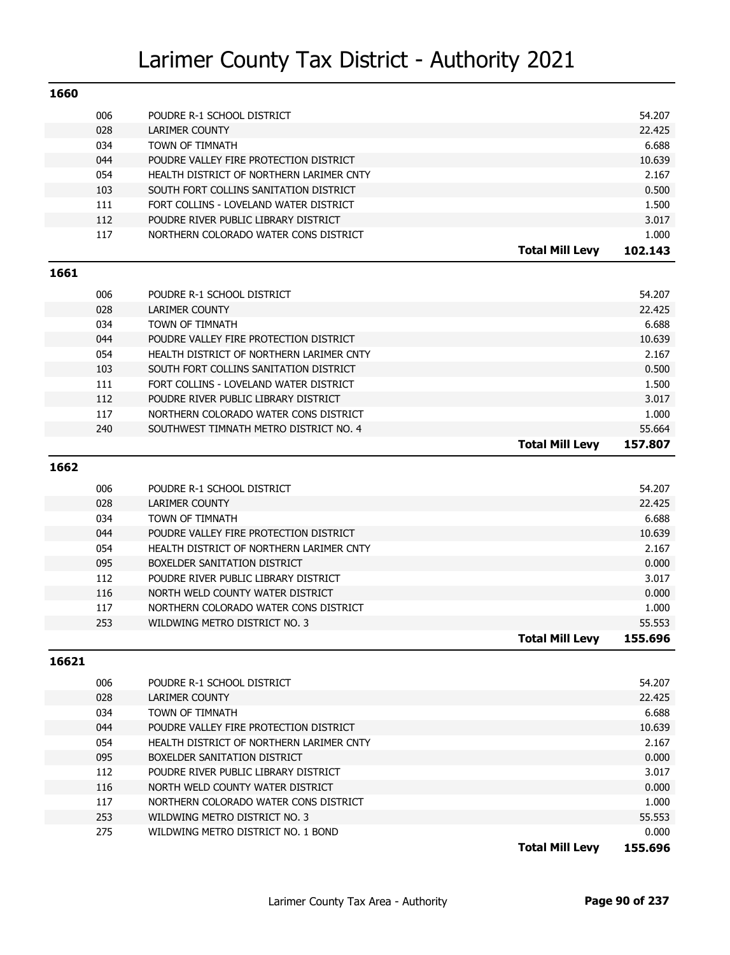| 1660  |            |                                          |                        |                 |
|-------|------------|------------------------------------------|------------------------|-----------------|
|       | 006        | POUDRE R-1 SCHOOL DISTRICT               |                        | 54.207          |
|       | 028        | <b>LARIMER COUNTY</b>                    |                        | 22.425          |
|       | 034        | TOWN OF TIMNATH                          |                        | 6.688           |
|       | 044        | POUDRE VALLEY FIRE PROTECTION DISTRICT   |                        | 10.639          |
|       | 054        | HEALTH DISTRICT OF NORTHERN LARIMER CNTY |                        | 2.167           |
|       | 103        | SOUTH FORT COLLINS SANITATION DISTRICT   |                        | 0.500           |
|       | 111        | FORT COLLINS - LOVELAND WATER DISTRICT   |                        | 1.500           |
|       | 112        | POUDRE RIVER PUBLIC LIBRARY DISTRICT     |                        | 3.017           |
|       | 117        | NORTHERN COLORADO WATER CONS DISTRICT    |                        | 1.000           |
|       |            |                                          | <b>Total Mill Levy</b> | 102.143         |
| 1661  |            |                                          |                        |                 |
|       | 006        | POUDRE R-1 SCHOOL DISTRICT               |                        | 54.207          |
|       | 028        | <b>LARIMER COUNTY</b>                    |                        | 22.425          |
|       | 034        | TOWN OF TIMNATH                          |                        | 6.688           |
|       | 044        | POUDRE VALLEY FIRE PROTECTION DISTRICT   |                        | 10.639          |
|       | 054        | HEALTH DISTRICT OF NORTHERN LARIMER CNTY |                        | 2.167           |
|       | 103        | SOUTH FORT COLLINS SANITATION DISTRICT   |                        | 0.500           |
|       | 111        | FORT COLLINS - LOVELAND WATER DISTRICT   |                        | 1.500           |
|       | 112        | POUDRE RIVER PUBLIC LIBRARY DISTRICT     |                        | 3.017           |
|       | 117        | NORTHERN COLORADO WATER CONS DISTRICT    |                        | 1.000           |
|       | 240        | SOUTHWEST TIMNATH METRO DISTRICT NO. 4   |                        | 55.664          |
|       |            |                                          | <b>Total Mill Levy</b> | 157.807         |
| 1662  |            |                                          |                        |                 |
|       |            |                                          |                        |                 |
|       | 006        | POUDRE R-1 SCHOOL DISTRICT               |                        | 54.207          |
|       | 028<br>034 | <b>LARIMER COUNTY</b><br>TOWN OF TIMNATH |                        | 22.425<br>6.688 |
|       | 044        | POUDRE VALLEY FIRE PROTECTION DISTRICT   |                        | 10.639          |
|       | 054        | HEALTH DISTRICT OF NORTHERN LARIMER CNTY |                        | 2.167           |
|       | 095        | BOXELDER SANITATION DISTRICT             |                        | 0.000           |
|       | 112        | POUDRE RIVER PUBLIC LIBRARY DISTRICT     |                        | 3.017           |
|       | 116        | NORTH WELD COUNTY WATER DISTRICT         |                        | 0.000           |
|       | 117        | NORTHERN COLORADO WATER CONS DISTRICT    |                        | 1.000           |
|       | 253        | WILDWING METRO DISTRICT NO. 3            |                        | 55.553          |
|       |            |                                          | Total Mill Levy        | 155.696         |
|       |            |                                          |                        |                 |
| 16621 |            |                                          |                        |                 |
|       | 006        | POUDRE R-1 SCHOOL DISTRICT               |                        | 54.207          |
|       | 028        | LARIMER COUNTY                           |                        | 22.425          |
|       | 034        | TOWN OF TIMNATH                          |                        | 6.688           |
|       | 044        | POUDRE VALLEY FIRE PROTECTION DISTRICT   |                        | 10.639          |
|       | 054        | HEALTH DISTRICT OF NORTHERN LARIMER CNTY |                        | 2.167           |
|       | 095        | BOXELDER SANITATION DISTRICT             |                        | 0.000           |
|       | 112        | POUDRE RIVER PUBLIC LIBRARY DISTRICT     |                        | 3.017           |
|       | 116        | NORTH WELD COUNTY WATER DISTRICT         |                        | 0.000           |
|       | 117        | NORTHERN COLORADO WATER CONS DISTRICT    |                        | 1.000           |
|       | 253        | WILDWING METRO DISTRICT NO. 3            |                        | 55.553          |
|       | 275        | WILDWING METRO DISTRICT NO. 1 BOND       |                        | 0.000           |
|       |            |                                          | <b>Total Mill Levy</b> | 155.696         |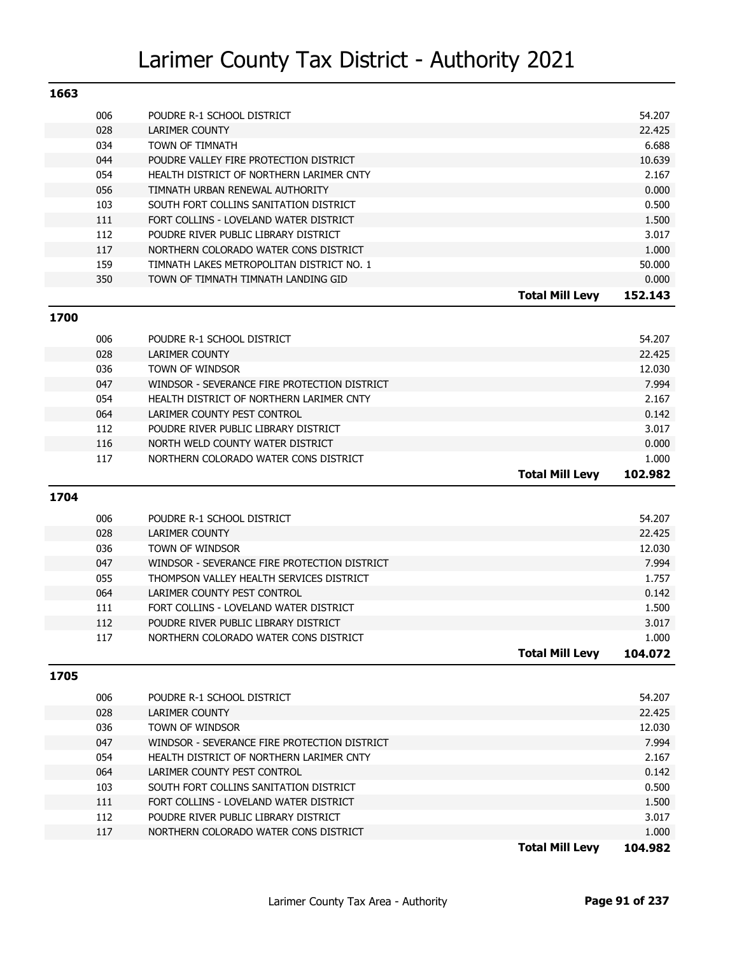| 1663 |     |                                           |                        |         |
|------|-----|-------------------------------------------|------------------------|---------|
|      | 006 | POUDRE R-1 SCHOOL DISTRICT                |                        | 54.207  |
|      | 028 | <b>LARIMER COUNTY</b>                     |                        | 22.425  |
|      | 034 | TOWN OF TIMNATH                           |                        | 6.688   |
|      | 044 | POUDRE VALLEY FIRE PROTECTION DISTRICT    |                        | 10.639  |
|      | 054 | HEALTH DISTRICT OF NORTHERN LARIMER CNTY  |                        | 2.167   |
|      | 056 | TIMNATH URBAN RENEWAL AUTHORITY           |                        | 0.000   |
|      | 103 | SOUTH FORT COLLINS SANITATION DISTRICT    |                        | 0.500   |
|      | 111 | FORT COLLINS - LOVELAND WATER DISTRICT    |                        | 1.500   |
|      | 112 | POUDRE RIVER PUBLIC LIBRARY DISTRICT      |                        | 3.017   |
|      | 117 | NORTHERN COLORADO WATER CONS DISTRICT     |                        | 1.000   |
|      | 159 | TIMNATH LAKES METROPOLITAN DISTRICT NO. 1 |                        | 50,000  |
|      | 350 | TOWN OF TIMNATH TIMNATH LANDING GID       |                        | 0.000   |
|      |     |                                           | <b>Total Mill Levv</b> | 152.143 |

**1700**

| 006 | POUDRE R-1 SCHOOL DISTRICT                   |                        | 54.207  |
|-----|----------------------------------------------|------------------------|---------|
| 028 | LARIMER COUNTY                               |                        | 22.425  |
| 036 | TOWN OF WINDSOR                              |                        | 12.030  |
| 047 | WINDSOR - SEVERANCE FIRE PROTECTION DISTRICT |                        | 7.994   |
| 054 | HEALTH DISTRICT OF NORTHERN LARIMER CNTY     |                        | 2.167   |
| 064 | LARIMER COUNTY PEST CONTROL                  |                        | 0.142   |
| 112 | POUDRE RIVER PUBLIC LIBRARY DISTRICT         |                        | 3.017   |
| 116 | NORTH WELD COUNTY WATER DISTRICT             |                        | 0.000   |
| 117 | NORTHERN COLORADO WATER CONS DISTRICT        |                        | 1.000   |
|     |                                              | <b>Total Mill Levv</b> | 102.982 |

**1704**

| 006 | POUDRE R-1 SCHOOL DISTRICT                   |                        | 54.207  |
|-----|----------------------------------------------|------------------------|---------|
| 028 | LARIMER COUNTY                               |                        | 22.425  |
| 036 | TOWN OF WINDSOR                              |                        | 12.030  |
| 047 | WINDSOR - SEVERANCE FIRE PROTECTION DISTRICT |                        | 7.994   |
| 055 | THOMPSON VALLEY HEALTH SERVICES DISTRICT     |                        | 1.757   |
| 064 | LARIMER COUNTY PEST CONTROL                  |                        | 0.142   |
| 111 | FORT COLLINS - LOVELAND WATER DISTRICT       |                        | 1.500   |
| 112 | POUDRE RIVER PUBLIC LIBRARY DISTRICT         |                        | 3.017   |
| 117 | NORTHERN COLORADO WATER CONS DISTRICT        |                        | 1.000   |
|     |                                              | <b>Total Mill Levy</b> | 104.072 |

| 006 | POUDRE R-1 SCHOOL DISTRICT                   |                        | 54.207  |
|-----|----------------------------------------------|------------------------|---------|
| 028 | LARIMER COUNTY                               |                        | 22.425  |
| 036 | <b>TOWN OF WINDSOR</b>                       |                        | 12.030  |
| 047 | WINDSOR - SEVERANCE FIRE PROTECTION DISTRICT |                        | 7.994   |
| 054 | HEALTH DISTRICT OF NORTHERN LARIMER CNTY     |                        | 2.167   |
| 064 | LARIMER COUNTY PEST CONTROL                  |                        | 0.142   |
| 103 | SOUTH FORT COLLINS SANITATION DISTRICT       |                        | 0.500   |
| 111 | FORT COLLINS - LOVELAND WATER DISTRICT       |                        | 1.500   |
| 112 | POUDRE RIVER PUBLIC LIBRARY DISTRICT         |                        | 3.017   |
| 117 | NORTHERN COLORADO WATER CONS DISTRICT        |                        | 1.000   |
|     |                                              | <b>Total Mill Levv</b> | 104.982 |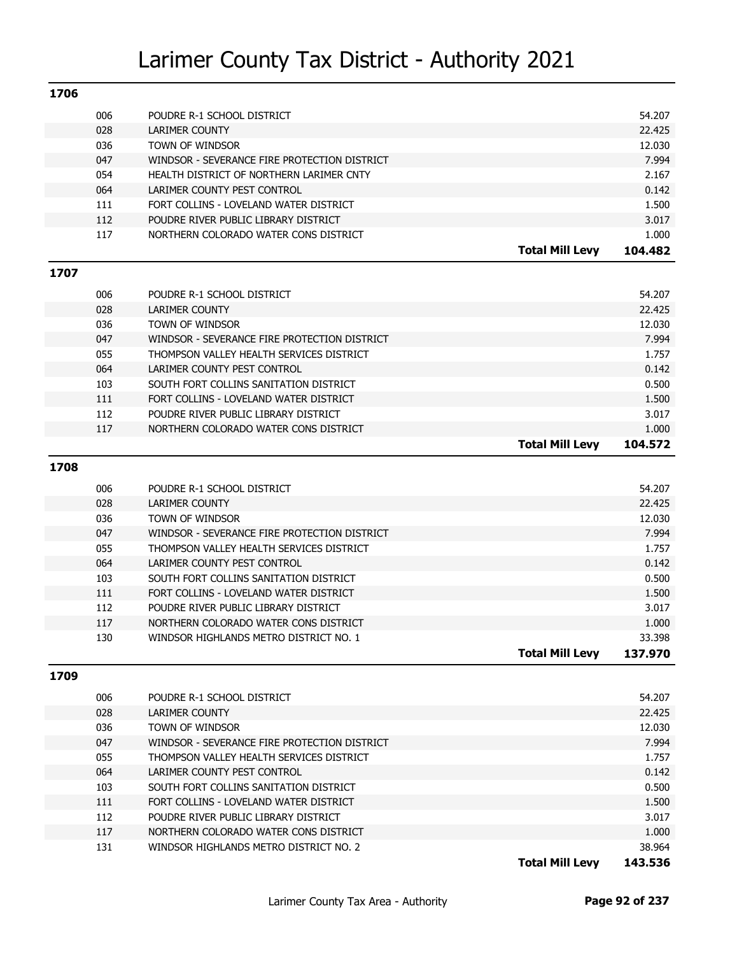| 1706 |            |                                                                                 |                        |                 |
|------|------------|---------------------------------------------------------------------------------|------------------------|-----------------|
|      | 006        | POUDRE R-1 SCHOOL DISTRICT                                                      |                        | 54.207          |
|      | 028        | <b>LARIMER COUNTY</b>                                                           |                        | 22.425          |
|      | 036        | TOWN OF WINDSOR                                                                 |                        | 12.030          |
|      | 047        | WINDSOR - SEVERANCE FIRE PROTECTION DISTRICT                                    |                        | 7.994           |
|      | 054        | HEALTH DISTRICT OF NORTHERN LARIMER CNTY                                        |                        | 2.167           |
|      | 064        | LARIMER COUNTY PEST CONTROL                                                     |                        | 0.142           |
|      | 111        | FORT COLLINS - LOVELAND WATER DISTRICT                                          |                        | 1.500           |
|      | 112        | POUDRE RIVER PUBLIC LIBRARY DISTRICT                                            |                        | 3.017           |
|      | 117        | NORTHERN COLORADO WATER CONS DISTRICT                                           |                        | 1.000           |
|      |            |                                                                                 | <b>Total Mill Levy</b> | 104.482         |
|      |            |                                                                                 |                        |                 |
| 1707 |            |                                                                                 |                        |                 |
|      | 006        | POUDRE R-1 SCHOOL DISTRICT                                                      |                        | 54.207          |
|      | 028        | <b>LARIMER COUNTY</b>                                                           |                        | 22.425          |
|      | 036        | TOWN OF WINDSOR                                                                 |                        | 12.030          |
|      | 047        | WINDSOR - SEVERANCE FIRE PROTECTION DISTRICT                                    |                        | 7.994           |
|      | 055        | THOMPSON VALLEY HEALTH SERVICES DISTRICT                                        |                        | 1.757           |
|      | 064        | LARIMER COUNTY PEST CONTROL                                                     |                        | 0.142           |
|      | 103        | SOUTH FORT COLLINS SANITATION DISTRICT                                          |                        | 0.500           |
|      | 111        | FORT COLLINS - LOVELAND WATER DISTRICT                                          |                        | 1.500           |
|      | 112        | POUDRE RIVER PUBLIC LIBRARY DISTRICT                                            |                        | 3.017           |
|      | 117        | NORTHERN COLORADO WATER CONS DISTRICT                                           |                        | 1.000           |
|      |            |                                                                                 | <b>Total Mill Levy</b> | 104.572         |
| 1708 |            |                                                                                 |                        |                 |
|      |            |                                                                                 |                        |                 |
|      | 006        | POUDRE R-1 SCHOOL DISTRICT                                                      |                        | 54.207          |
|      | 028        | <b>LARIMER COUNTY</b>                                                           |                        | 22.425          |
|      | 036        | TOWN OF WINDSOR                                                                 |                        | 12.030          |
|      | 047        | WINDSOR - SEVERANCE FIRE PROTECTION DISTRICT                                    |                        | 7.994           |
|      | 055        | THOMPSON VALLEY HEALTH SERVICES DISTRICT                                        |                        | 1.757           |
|      | 064        | LARIMER COUNTY PEST CONTROL                                                     |                        | 0.142           |
|      | 103        | SOUTH FORT COLLINS SANITATION DISTRICT                                          |                        | 0.500           |
|      | 111        | FORT COLLINS - LOVELAND WATER DISTRICT                                          |                        | 1.500           |
|      | 112        | POUDRE RIVER PUBLIC LIBRARY DISTRICT                                            |                        | 3.017           |
|      | 117        | NORTHERN COLORADO WATER CONS DISTRICT                                           |                        | 1.000           |
|      | 130        | WINDSOR HIGHLANDS METRO DISTRICT NO. 1                                          |                        | 33.398          |
|      |            |                                                                                 | <b>Total Mill Levy</b> | 137.970         |
| 1709 |            |                                                                                 |                        |                 |
|      |            |                                                                                 |                        |                 |
|      | 006        | POUDRE R-1 SCHOOL DISTRICT                                                      |                        | 54.207          |
|      | 028        | LARIMER COUNTY                                                                  |                        | 22.425          |
|      | 036        | TOWN OF WINDSOR                                                                 |                        | 12.030          |
|      | 047        | WINDSOR - SEVERANCE FIRE PROTECTION DISTRICT                                    |                        | 7.994           |
|      | 055        | THOMPSON VALLEY HEALTH SERVICES DISTRICT                                        |                        | 1.757           |
|      | 064        | LARIMER COUNTY PEST CONTROL                                                     |                        | 0.142           |
|      |            | SOUTH FORT COLLINS SANITATION DISTRICT                                          |                        | 0.500           |
|      | 103        |                                                                                 |                        |                 |
|      | 111        | FORT COLLINS - LOVELAND WATER DISTRICT                                          |                        | 1.500           |
|      | 112        | POUDRE RIVER PUBLIC LIBRARY DISTRICT                                            |                        | 3.017           |
|      | 117<br>131 | NORTHERN COLORADO WATER CONS DISTRICT<br>WINDSOR HIGHLANDS METRO DISTRICT NO. 2 |                        | 1.000<br>38.964 |

**Total Mill Levy 143.536**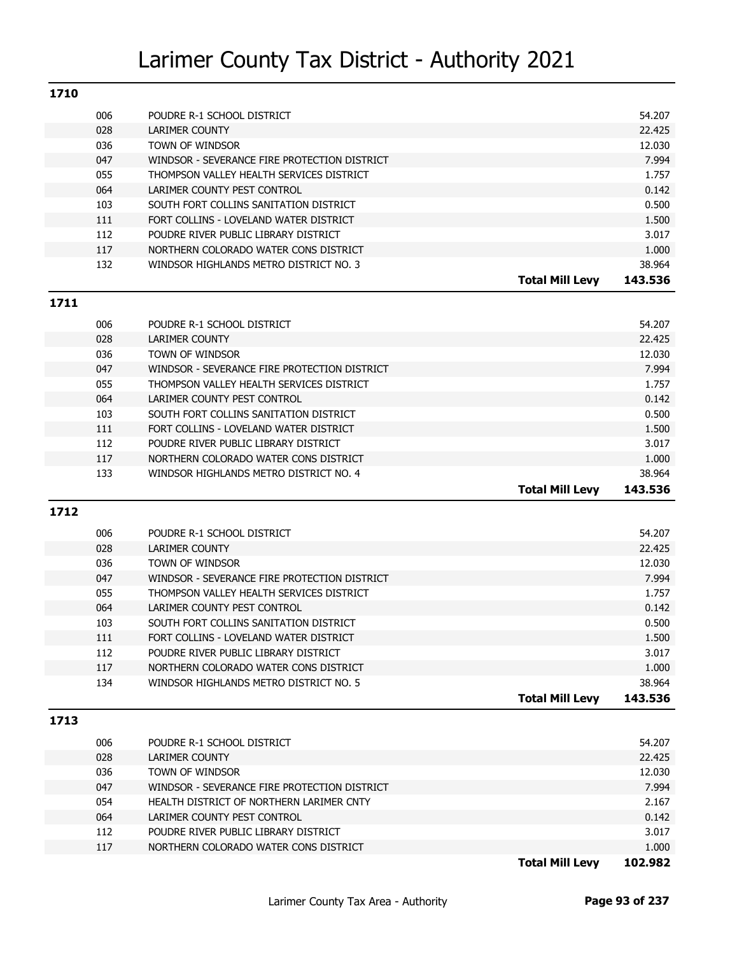| 1710 |     |                                              |                        |         |
|------|-----|----------------------------------------------|------------------------|---------|
| 006  |     | POUDRE R-1 SCHOOL DISTRICT                   |                        | 54.207  |
| 028  |     | LARIMER COUNTY                               |                        | 22.425  |
| 036  |     | TOWN OF WINDSOR                              |                        | 12.030  |
| 047  |     | WINDSOR - SEVERANCE FIRE PROTECTION DISTRICT |                        | 7.994   |
| 055  |     | THOMPSON VALLEY HEALTH SERVICES DISTRICT     |                        | 1.757   |
| 064  |     | LARIMER COUNTY PEST CONTROL                  |                        | 0.142   |
| 103  |     | SOUTH FORT COLLINS SANITATION DISTRICT       |                        | 0.500   |
| 111  |     | FORT COLLINS - LOVELAND WATER DISTRICT       |                        | 1.500   |
| 112  |     | POUDRE RIVER PUBLIC LIBRARY DISTRICT         |                        | 3.017   |
| 117  |     | NORTHERN COLORADO WATER CONS DISTRICT        |                        | 1.000   |
|      | 132 | WINDSOR HIGHLANDS METRO DISTRICT NO. 3       |                        | 38.964  |
|      |     |                                              | <b>Total Mill Levv</b> | 143.536 |

### **1711**

| 006 | POUDRE R-1 SCHOOL DISTRICT                   |                        | 54.207  |
|-----|----------------------------------------------|------------------------|---------|
| 028 | LARIMER COUNTY                               |                        | 22.425  |
| 036 | TOWN OF WINDSOR                              |                        | 12.030  |
| 047 | WINDSOR - SEVERANCE FIRE PROTECTION DISTRICT |                        | 7.994   |
| 055 | THOMPSON VALLEY HEALTH SERVICES DISTRICT     |                        | 1.757   |
| 064 | LARIMER COUNTY PEST CONTROL                  |                        | 0.142   |
| 103 | SOUTH FORT COLLINS SANITATION DISTRICT       |                        | 0.500   |
| 111 | FORT COLLINS - LOVELAND WATER DISTRICT       |                        | 1.500   |
| 112 | POUDRE RIVER PUBLIC LIBRARY DISTRICT         |                        | 3.017   |
| 117 | NORTHERN COLORADO WATER CONS DISTRICT        |                        | 1.000   |
| 133 | WINDSOR HIGHLANDS METRO DISTRICT NO. 4       |                        | 38.964  |
|     |                                              | <b>Total Mill Levy</b> | 143.536 |

### **1712**

| 006 | POUDRE R-1 SCHOOL DISTRICT                   |                        | 54.207  |
|-----|----------------------------------------------|------------------------|---------|
| 028 | LARIMER COUNTY                               |                        | 22.425  |
| 036 | TOWN OF WINDSOR                              |                        | 12.030  |
| 047 | WINDSOR - SEVERANCE FIRE PROTECTION DISTRICT |                        | 7.994   |
| 055 | THOMPSON VALLEY HEALTH SERVICES DISTRICT     |                        | 1.757   |
| 064 | LARIMER COUNTY PEST CONTROL                  |                        | 0.142   |
| 103 | SOUTH FORT COLLINS SANITATION DISTRICT       |                        | 0.500   |
| 111 | FORT COLLINS - LOVELAND WATER DISTRICT       |                        | 1.500   |
| 112 | POUDRE RIVER PUBLIC LIBRARY DISTRICT         |                        | 3.017   |
| 117 | NORTHERN COLORADO WATER CONS DISTRICT        |                        | 1.000   |
| 134 | WINDSOR HIGHLANDS METRO DISTRICT NO. 5       |                        | 38.964  |
|     |                                              | <b>Total Mill Levv</b> | 143.536 |

|     |                                              | <b>Total Mill Levv</b> | 102.982 |
|-----|----------------------------------------------|------------------------|---------|
| 117 | NORTHERN COLORADO WATER CONS DISTRICT        |                        | 1.000   |
| 112 | POUDRE RIVER PUBLIC LIBRARY DISTRICT         |                        | 3.017   |
| 064 | LARIMER COUNTY PEST CONTROL                  |                        | 0.142   |
| 054 | HEALTH DISTRICT OF NORTHERN LARIMER CNTY     |                        | 2.167   |
| 047 | WINDSOR - SEVERANCE FIRE PROTECTION DISTRICT |                        | 7.994   |
| 036 | TOWN OF WINDSOR                              |                        | 12.030  |
| 028 | LARIMER COUNTY                               |                        | 22.425  |
| 006 | POUDRE R-1 SCHOOL DISTRICT                   |                        | 54.207  |
|     |                                              |                        |         |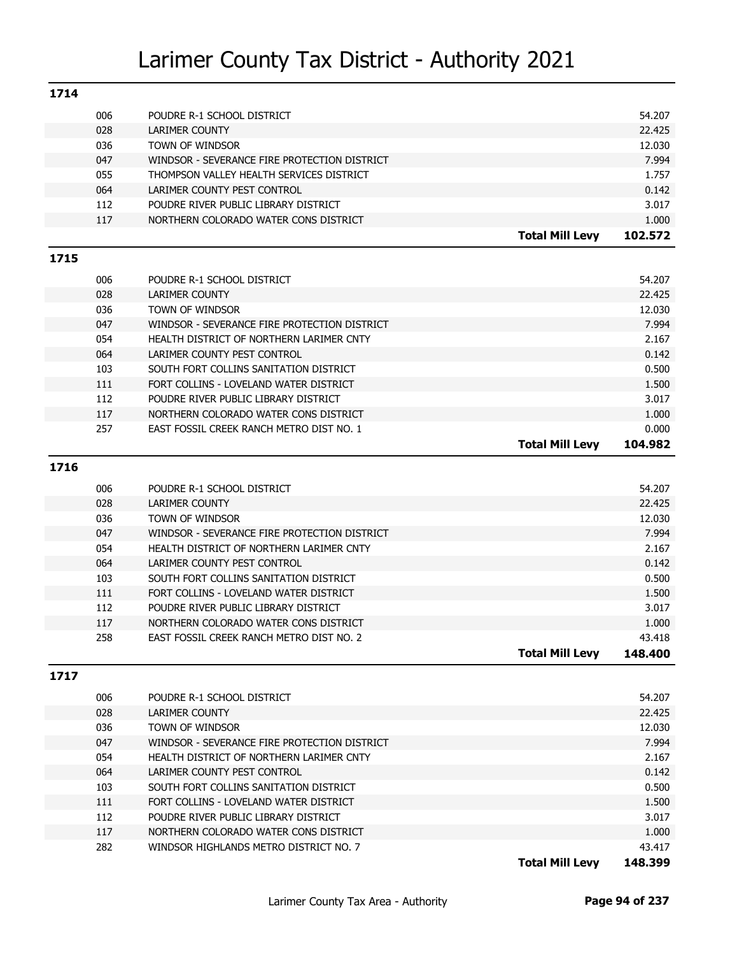| 1714 |            |                                              |                        |         |
|------|------------|----------------------------------------------|------------------------|---------|
|      | 006        | POUDRE R-1 SCHOOL DISTRICT                   |                        | 54.207  |
|      | 028        | <b>LARIMER COUNTY</b>                        |                        | 22.425  |
|      | 036        | TOWN OF WINDSOR                              |                        | 12.030  |
|      | 047        | WINDSOR - SEVERANCE FIRE PROTECTION DISTRICT |                        | 7.994   |
|      | 055        | THOMPSON VALLEY HEALTH SERVICES DISTRICT     |                        | 1.757   |
|      | 064        | LARIMER COUNTY PEST CONTROL                  |                        | 0.142   |
|      | 112        | POUDRE RIVER PUBLIC LIBRARY DISTRICT         |                        | 3.017   |
|      | 117        | NORTHERN COLORADO WATER CONS DISTRICT        |                        | 1.000   |
|      |            |                                              | <b>Total Mill Levy</b> | 102.572 |
| 1715 |            |                                              |                        |         |
|      | 006        | POUDRE R-1 SCHOOL DISTRICT                   |                        | 54.207  |
|      | 028        | LARIMER COUNTY                               |                        | 22.425  |
|      | 036        | TOWN OF WINDSOR                              |                        | 12.030  |
|      | 047        | WINDSOR - SEVERANCE FIRE PROTECTION DISTRICT |                        | 7.994   |
|      | 054        | HEALTH DISTRICT OF NORTHERN LARIMER CNTY     |                        | 2.167   |
|      | 064        | LARIMER COUNTY PEST CONTROL                  |                        | 0.142   |
|      | 103        | SOUTH FORT COLLINS SANITATION DISTRICT       |                        | 0.500   |
|      | 111        | FORT COLLINS - LOVELAND WATER DISTRICT       |                        | 1.500   |
|      | 112        | POUDRE RIVER PUBLIC LIBRARY DISTRICT         |                        | 3.017   |
|      | 117        | NORTHERN COLORADO WATER CONS DISTRICT        |                        | 1.000   |
|      | 257        | EAST FOSSIL CREEK RANCH METRO DIST NO. 1     |                        | 0.000   |
|      |            |                                              | <b>Total Mill Levy</b> | 104.982 |
|      |            |                                              |                        |         |
| 1716 |            |                                              |                        |         |
|      | 006        | POUDRE R-1 SCHOOL DISTRICT                   |                        | 54.207  |
|      | 028        | <b>LARIMER COUNTY</b>                        |                        | 22.425  |
|      | 036        | TOWN OF WINDSOR                              |                        | 12.030  |
|      | 047        | WINDSOR - SEVERANCE FIRE PROTECTION DISTRICT |                        | 7.994   |
|      | 054        |                                              |                        |         |
|      |            | HEALTH DISTRICT OF NORTHERN LARIMER CNTY     |                        | 2.167   |
|      | 064        | LARIMER COUNTY PEST CONTROL                  |                        | 0.142   |
|      | 103        | SOUTH FORT COLLINS SANITATION DISTRICT       |                        | 0.500   |
|      | 111        | FORT COLLINS - LOVELAND WATER DISTRICT       |                        | 1.500   |
|      | 112        | POUDRE RIVER PUBLIC LIBRARY DISTRICT         |                        | 3.017   |
|      | 117        | NORTHERN COLORADO WATER CONS DISTRICT        |                        | 1.000   |
|      | 258        | EAST FOSSIL CREEK RANCH METRO DIST NO. 2     |                        | 43.418  |
|      |            |                                              | <b>Total Mill Levy</b> | 148.400 |
| 1717 |            |                                              |                        |         |
|      | 006        | POUDRE R-1 SCHOOL DISTRICT                   |                        | 54.207  |
|      | 028        | <b>LARIMER COUNTY</b>                        |                        | 22.425  |
|      | 036        | TOWN OF WINDSOR                              |                        | 12.030  |
|      |            | WINDSOR - SEVERANCE FIRE PROTECTION DISTRICT |                        | 7.994   |
|      | 047<br>054 | HEALTH DISTRICT OF NORTHERN LARIMER CNTY     |                        | 2.167   |
|      | 064        | LARIMER COUNTY PEST CONTROL                  |                        | 0.142   |
|      | 103        | SOUTH FORT COLLINS SANITATION DISTRICT       |                        | 0.500   |
|      | 111        | FORT COLLINS - LOVELAND WATER DISTRICT       |                        | 1.500   |
|      | 112        | POUDRE RIVER PUBLIC LIBRARY DISTRICT         |                        | 3.017   |
|      | 117        | NORTHERN COLORADO WATER CONS DISTRICT        |                        | 1.000   |

**Total Mill Levy 148.399**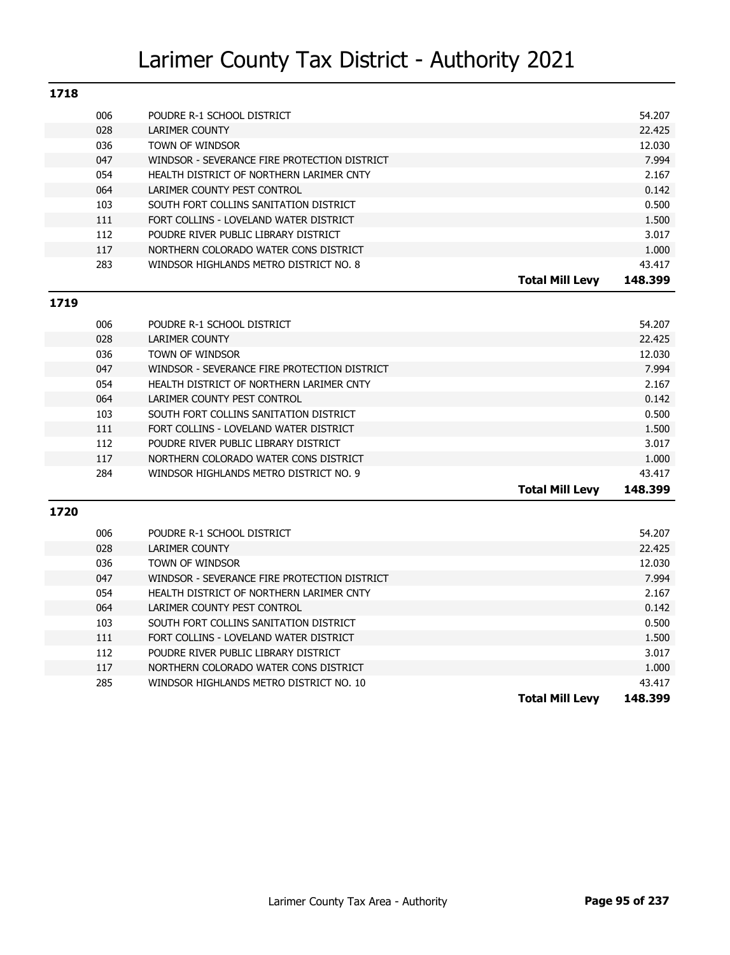| 1718 |                                              |                                   |
|------|----------------------------------------------|-----------------------------------|
| 006  | POUDRE R-1 SCHOOL DISTRICT                   | 54.207                            |
| 028  | LARIMER COUNTY                               | 22.425                            |
| 036  | TOWN OF WINDSOR                              | 12.030                            |
| 047  | WINDSOR - SEVERANCE FIRE PROTECTION DISTRICT | 7.994                             |
| 054  | HEALTH DISTRICT OF NORTHERN LARIMER CNTY     | 2.167                             |
| 064  | LARIMER COUNTY PEST CONTROL                  | 0.142                             |
| 103  | SOUTH FORT COLLINS SANITATION DISTRICT       | 0.500                             |
| 111  | FORT COLLINS - LOVELAND WATER DISTRICT       | 1.500                             |
| 112  | POUDRE RIVER PUBLIC LIBRARY DISTRICT         | 3.017                             |
| 117  | NORTHERN COLORADO WATER CONS DISTRICT        | 1.000                             |
| 283  | WINDSOR HIGHLANDS METRO DISTRICT NO. 8       | 43.417                            |
|      |                                              | 148.399<br><b>Total Mill Levv</b> |

### **1719**

| 006 | POUDRE R-1 SCHOOL DISTRICT                   |                        | 54.207  |
|-----|----------------------------------------------|------------------------|---------|
| 028 | <b>LARIMER COUNTY</b>                        |                        | 22.425  |
| 036 | TOWN OF WINDSOR                              |                        | 12.030  |
| 047 | WINDSOR - SEVERANCE FIRE PROTECTION DISTRICT |                        | 7.994   |
| 054 | HEALTH DISTRICT OF NORTHERN LARIMER CNTY     |                        | 2.167   |
| 064 | LARIMER COUNTY PEST CONTROL                  |                        | 0.142   |
| 103 | SOUTH FORT COLLINS SANITATION DISTRICT       |                        | 0.500   |
| 111 | FORT COLLINS - LOVELAND WATER DISTRICT       |                        | 1.500   |
| 112 | POUDRE RIVER PUBLIC LIBRARY DISTRICT         |                        | 3.017   |
| 117 | NORTHERN COLORADO WATER CONS DISTRICT        |                        | 1.000   |
| 284 | WINDSOR HIGHLANDS METRO DISTRICT NO. 9       |                        | 43.417  |
|     |                                              | <b>Total Mill Levv</b> | 148.399 |

| 006 | POUDRE R-1 SCHOOL DISTRICT                   |                        | 54.207  |
|-----|----------------------------------------------|------------------------|---------|
| 028 | LARIMER COUNTY                               |                        | 22.425  |
| 036 | TOWN OF WINDSOR                              |                        | 12.030  |
| 047 | WINDSOR - SEVERANCE FIRE PROTECTION DISTRICT |                        | 7.994   |
| 054 | HEALTH DISTRICT OF NORTHERN LARIMER CNTY     |                        | 2.167   |
| 064 | LARIMER COUNTY PEST CONTROL                  |                        | 0.142   |
| 103 | SOUTH FORT COLLINS SANITATION DISTRICT       |                        | 0.500   |
| 111 | FORT COLLINS - LOVELAND WATER DISTRICT       |                        | 1.500   |
| 112 | POUDRE RIVER PUBLIC LIBRARY DISTRICT         |                        | 3.017   |
| 117 | NORTHERN COLORADO WATER CONS DISTRICT        |                        | 1.000   |
| 285 | WINDSOR HIGHLANDS METRO DISTRICT NO. 10      |                        | 43.417  |
|     |                                              | <b>Total Mill Levy</b> | 148.399 |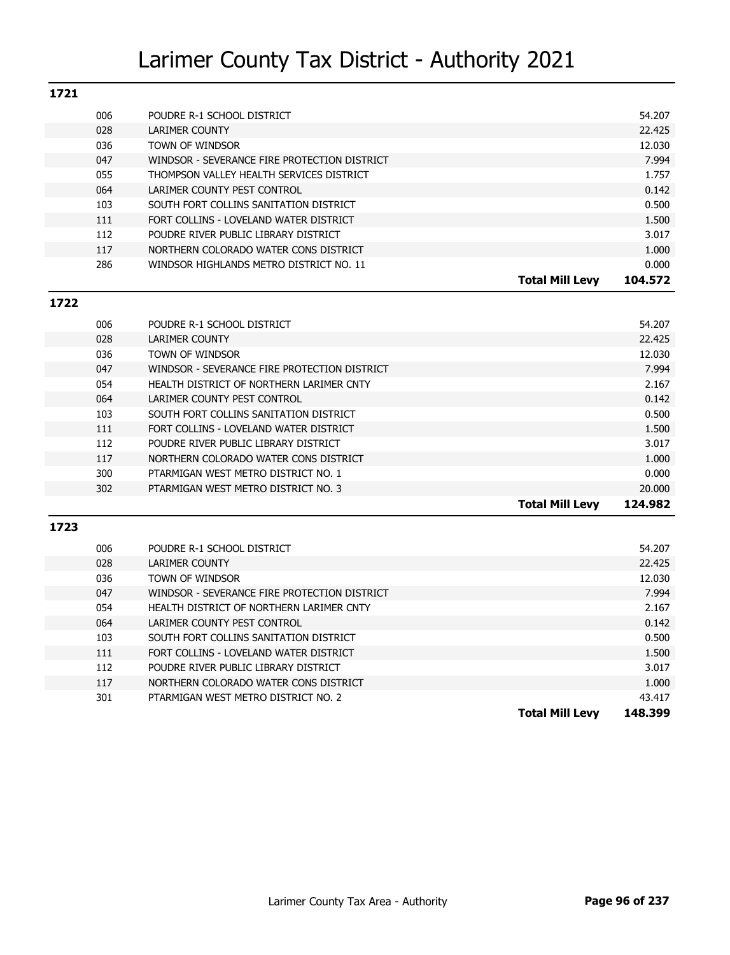| 1721 |                                              |                                   |
|------|----------------------------------------------|-----------------------------------|
| 006  | POUDRE R-1 SCHOOL DISTRICT                   | 54.207                            |
| 028  | LARIMER COUNTY                               | 22.425                            |
| 036  | TOWN OF WINDSOR                              | 12.030                            |
| 047  | WINDSOR - SEVERANCE FIRE PROTECTION DISTRICT | 7.994                             |
| 055  | THOMPSON VALLEY HEALTH SERVICES DISTRICT     | 1.757                             |
| 064  | LARIMER COUNTY PEST CONTROL                  | 0.142                             |
| 103  | SOUTH FORT COLLINS SANITATION DISTRICT       | 0.500                             |
| 111  | FORT COLLINS - LOVELAND WATER DISTRICT       | 1.500                             |
| 112  | POUDRE RIVER PUBLIC LIBRARY DISTRICT         | 3.017                             |
| 117  | NORTHERN COLORADO WATER CONS DISTRICT        | 1.000                             |
| 286  | WINDSOR HIGHLANDS METRO DISTRICT NO. 11      | 0.000                             |
|      |                                              | <b>Total Mill Levv</b><br>104.572 |

### **1722**

| 006 | POUDRE R-1 SCHOOL DISTRICT                   |                        | 54.207  |
|-----|----------------------------------------------|------------------------|---------|
| 028 | LARIMER COUNTY                               |                        | 22.425  |
| 036 | TOWN OF WINDSOR                              |                        | 12.030  |
| 047 | WINDSOR - SEVERANCE FIRE PROTECTION DISTRICT |                        | 7.994   |
| 054 | HEALTH DISTRICT OF NORTHERN LARIMER CNTY     |                        | 2.167   |
| 064 | LARIMER COUNTY PEST CONTROL                  |                        | 0.142   |
| 103 | SOUTH FORT COLLINS SANITATION DISTRICT       |                        | 0.500   |
| 111 | FORT COLLINS - LOVELAND WATER DISTRICT       |                        | 1.500   |
| 112 | POUDRE RIVER PUBLIC LIBRARY DISTRICT         |                        | 3.017   |
| 117 | NORTHERN COLORADO WATER CONS DISTRICT        |                        | 1.000   |
| 300 | PTARMIGAN WEST METRO DISTRICT NO. 1          |                        | 0.000   |
| 302 | PTARMIGAN WEST METRO DISTRICT NO. 3          |                        | 20.000  |
|     |                                              | <b>Total Mill Levy</b> | 124.982 |

| 006 | POUDRE R-1 SCHOOL DISTRICT                   |                        | 54.207  |
|-----|----------------------------------------------|------------------------|---------|
| 028 | <b>LARIMER COUNTY</b>                        |                        | 22.425  |
| 036 | TOWN OF WINDSOR                              |                        | 12.030  |
| 047 | WINDSOR - SEVERANCE FIRE PROTECTION DISTRICT |                        | 7.994   |
| 054 | HEALTH DISTRICT OF NORTHERN LARIMER CNTY     |                        | 2.167   |
| 064 | LARIMER COUNTY PEST CONTROL                  |                        | 0.142   |
| 103 | SOUTH FORT COLLINS SANITATION DISTRICT       |                        | 0.500   |
| 111 | FORT COLLINS - LOVELAND WATER DISTRICT       |                        | 1.500   |
| 112 | POUDRE RIVER PUBLIC LIBRARY DISTRICT         |                        | 3.017   |
| 117 | NORTHERN COLORADO WATER CONS DISTRICT        |                        | 1.000   |
| 301 | PTARMIGAN WEST METRO DISTRICT NO. 2          |                        | 43.417  |
|     |                                              | <b>Total Mill Levy</b> | 148.399 |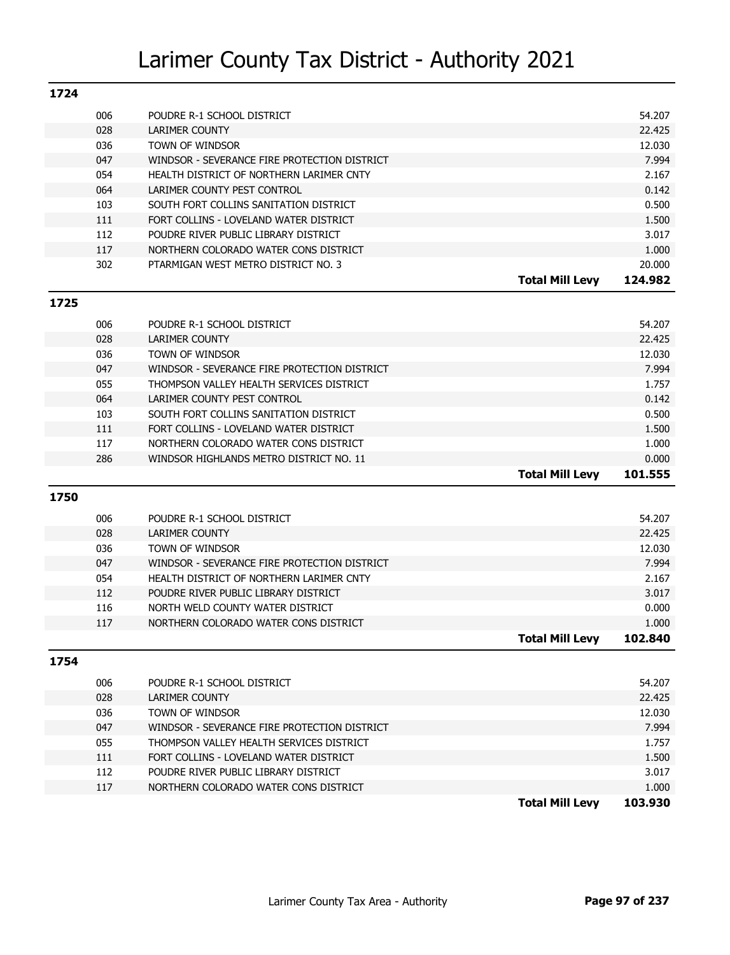| 1724 |     |                                              |                        |         |
|------|-----|----------------------------------------------|------------------------|---------|
|      | 006 | POUDRE R-1 SCHOOL DISTRICT                   |                        | 54.207  |
|      | 028 | LARIMER COUNTY                               |                        | 22.425  |
|      | 036 | TOWN OF WINDSOR                              |                        | 12.030  |
|      | 047 | WINDSOR - SEVERANCE FIRE PROTECTION DISTRICT |                        | 7.994   |
|      | 054 | HEALTH DISTRICT OF NORTHERN LARIMER CNTY     |                        | 2.167   |
|      | 064 | LARIMER COUNTY PEST CONTROL                  |                        | 0.142   |
|      | 103 | SOUTH FORT COLLINS SANITATION DISTRICT       |                        | 0.500   |
|      | 111 | FORT COLLINS - LOVELAND WATER DISTRICT       |                        | 1.500   |
|      | 112 | POUDRE RIVER PUBLIC LIBRARY DISTRICT         |                        | 3.017   |
|      | 117 | NORTHERN COLORADO WATER CONS DISTRICT        |                        | 1.000   |
|      | 302 | PTARMIGAN WEST METRO DISTRICT NO. 3          |                        | 20,000  |
|      |     |                                              | <b>Total Mill Levy</b> | 124.982 |
| 1725 |     |                                              |                        |         |
|      | 006 | POUDRE R-1 SCHOOL DISTRICT                   |                        | 54.207  |

|            |                                              | <b>Total Mill Levy</b> | 101.555 |
|------------|----------------------------------------------|------------------------|---------|
| 286        | WINDSOR HIGHLANDS METRO DISTRICT NO. 11      |                        | 0.000   |
| 117        | NORTHERN COLORADO WATER CONS DISTRICT        |                        | 1.000   |
| 111        | FORT COLLINS - LOVELAND WATER DISTRICT       |                        | 1.500   |
| 103        | SOUTH FORT COLLINS SANITATION DISTRICT       |                        | 0.500   |
| 064        | LARIMER COUNTY PEST CONTROL                  |                        | 0.142   |
| 055        | THOMPSON VALLEY HEALTH SERVICES DISTRICT     |                        | 1.757   |
| 047        | WINDSOR - SEVERANCE FIRE PROTECTION DISTRICT |                        | 7.994   |
| 036        | TOWN OF WINDSOR                              |                        | 12.030  |
| 028        | LARIMER COUNTY                               |                        | 22.425  |
| <b>UUU</b> | PUUDKE K-I SUNUUL DISTRIUT                   |                        | ∕ ש∠.דכ |

|     |                                              | <b>Total Mill Levy</b> | 102.840 |
|-----|----------------------------------------------|------------------------|---------|
| 117 | NORTHERN COLORADO WATER CONS DISTRICT        |                        | 1.000   |
| 116 | NORTH WELD COUNTY WATER DISTRICT             |                        | 0.000   |
| 112 | POUDRE RIVER PUBLIC LIBRARY DISTRICT         |                        | 3.017   |
| 054 | HEALTH DISTRICT OF NORTHERN LARIMER CNTY     |                        | 2.167   |
| 047 | WINDSOR - SEVERANCE FIRE PROTECTION DISTRICT |                        | 7.994   |
| 036 | TOWN OF WINDSOR                              |                        | 12.030  |
| 028 | LARIMER COUNTY                               |                        | 22.425  |
| 006 | POUDRE R-1 SCHOOL DISTRICT                   |                        | 54.207  |
|     |                                              |                        |         |

| 1754 |     |                                              |                        |         |
|------|-----|----------------------------------------------|------------------------|---------|
|      | 006 | POUDRE R-1 SCHOOL DISTRICT                   |                        | 54.207  |
|      | 028 | LARIMER COUNTY                               |                        | 22.425  |
|      | 036 | TOWN OF WINDSOR                              |                        | 12.030  |
|      | 047 | WINDSOR - SEVERANCE FIRE PROTECTION DISTRICT |                        | 7.994   |
|      | 055 | THOMPSON VALLEY HEALTH SERVICES DISTRICT     |                        | 1.757   |
|      | 111 | FORT COLLINS - LOVELAND WATER DISTRICT       |                        | 1.500   |
|      | 112 | POUDRE RIVER PUBLIC LIBRARY DISTRICT         |                        | 3.017   |
|      | 117 | NORTHERN COLORADO WATER CONS DISTRICT        |                        | 1.000   |
|      |     |                                              | <b>Total Mill Levv</b> | 103.930 |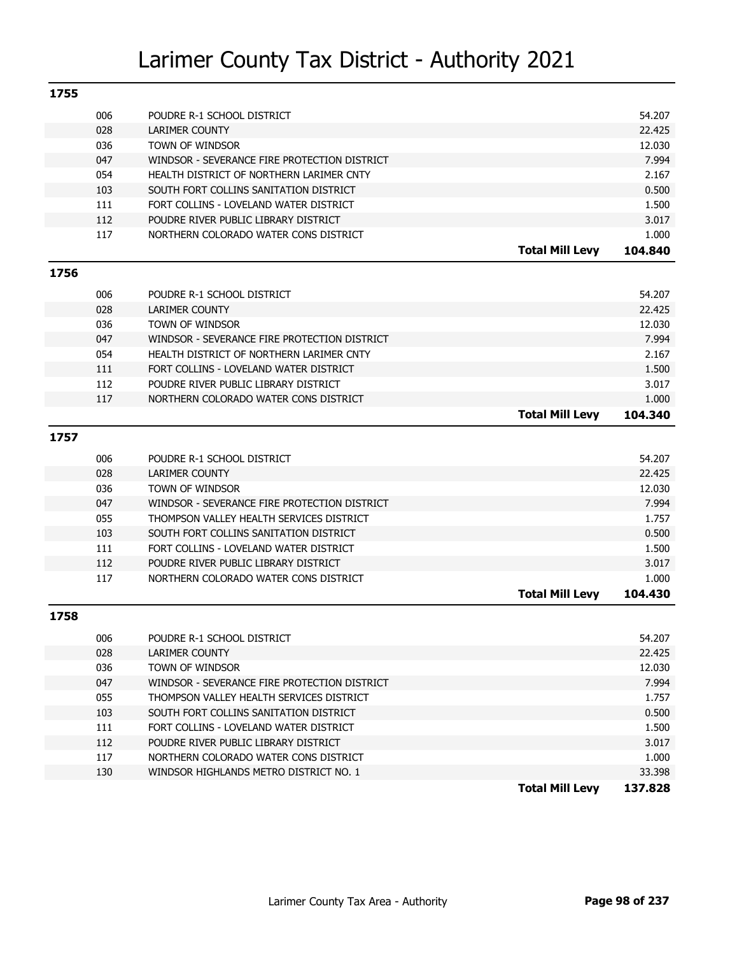| 1755 |     |                                              |                        |         |
|------|-----|----------------------------------------------|------------------------|---------|
|      | 006 | POUDRE R-1 SCHOOL DISTRICT                   |                        | 54.207  |
|      | 028 | <b>LARIMER COUNTY</b>                        |                        | 22.425  |
|      | 036 | TOWN OF WINDSOR                              |                        | 12.030  |
|      | 047 | WINDSOR - SEVERANCE FIRE PROTECTION DISTRICT |                        | 7.994   |
|      | 054 | HEALTH DISTRICT OF NORTHERN LARIMER CNTY     |                        | 2.167   |
|      | 103 | SOUTH FORT COLLINS SANITATION DISTRICT       |                        | 0.500   |
|      | 111 | FORT COLLINS - LOVELAND WATER DISTRICT       |                        | 1.500   |
|      | 112 | POUDRE RIVER PUBLIC LIBRARY DISTRICT         |                        | 3.017   |
|      | 117 | NORTHERN COLORADO WATER CONS DISTRICT        |                        | 1.000   |
|      |     |                                              | <b>Total Mill Levy</b> | 104.840 |
| 1756 |     |                                              |                        |         |
|      | 006 | POUDRE R-1 SCHOOL DISTRICT                   |                        | 54.207  |
|      | 028 | <b>LARIMER COUNTY</b>                        |                        | 22.425  |
|      | 036 | TOWN OF WINDSOR                              |                        | 12.030  |
|      | 047 | WINDSOR - SEVERANCE FIRE PROTECTION DISTRICT |                        | 7.994   |
|      | 054 | HEALTH DISTRICT OF NORTHERN LARIMER CNTY     |                        | 2.167   |
|      | 111 | FORT COLLINS - LOVELAND WATER DISTRICT       |                        | 1.500   |
|      | 112 | POUDRE RIVER PUBLIC LIBRARY DISTRICT         |                        | 3.017   |
|      | 117 | NORTHERN COLORADO WATER CONS DISTRICT        |                        | 1.000   |
|      |     |                                              | <b>Total Mill Levy</b> | 104.340 |
| 1757 |     |                                              |                        |         |
|      | 006 | POUDRE R-1 SCHOOL DISTRICT                   |                        | 54.207  |
|      | 028 | <b>LARIMER COUNTY</b>                        |                        | 22.425  |
|      | 036 | TOWN OF WINDSOR                              |                        | 12.030  |
|      | 047 | WINDSOR - SEVERANCE FIRE PROTECTION DISTRICT |                        | 7.994   |
|      | 055 | THOMPSON VALLEY HEALTH SERVICES DISTRICT     |                        | 1.757   |
|      | 103 | SOUTH FORT COLLINS SANITATION DISTRICT       |                        | 0.500   |
|      | 111 | FORT COLLINS - LOVELAND WATER DISTRICT       |                        | 1.500   |
|      | 112 | POUDRE RIVER PUBLIC LIBRARY DISTRICT         |                        | 3.017   |
|      | 117 | NORTHERN COLORADO WATER CONS DISTRICT        |                        | 1.000   |
|      |     |                                              | <b>Total Mill Levy</b> | 104.430 |
| 1758 |     |                                              |                        |         |
|      | 006 | POUDRE R-1 SCHOOL DISTRICT                   |                        | 54.207  |
|      | 028 | LARIMER COUNTY                               |                        | 22.425  |
|      | 036 | TOWN OF WINDSOR                              |                        | 12.030  |
|      | 047 | WINDSOR - SEVERANCE FIRE PROTECTION DISTRICT |                        | 7.994   |
|      | 055 | THOMPSON VALLEY HEALTH SERVICES DISTRICT     |                        | 1.757   |
|      | 103 | SOUTH FORT COLLINS SANITATION DISTRICT       |                        | 0.500   |
|      | 111 | FORT COLLINS - LOVELAND WATER DISTRICT       |                        | 1.500   |
|      | 112 | POUDRE RIVER PUBLIC LIBRARY DISTRICT         |                        | 3.017   |
|      | 117 | NORTHERN COLORADO WATER CONS DISTRICT        |                        | 1.000   |
|      | 130 | WINDSOR HIGHLANDS METRO DISTRICT NO. 1       |                        | 33.398  |
|      |     |                                              | <b>Total Mill Levy</b> | 137.828 |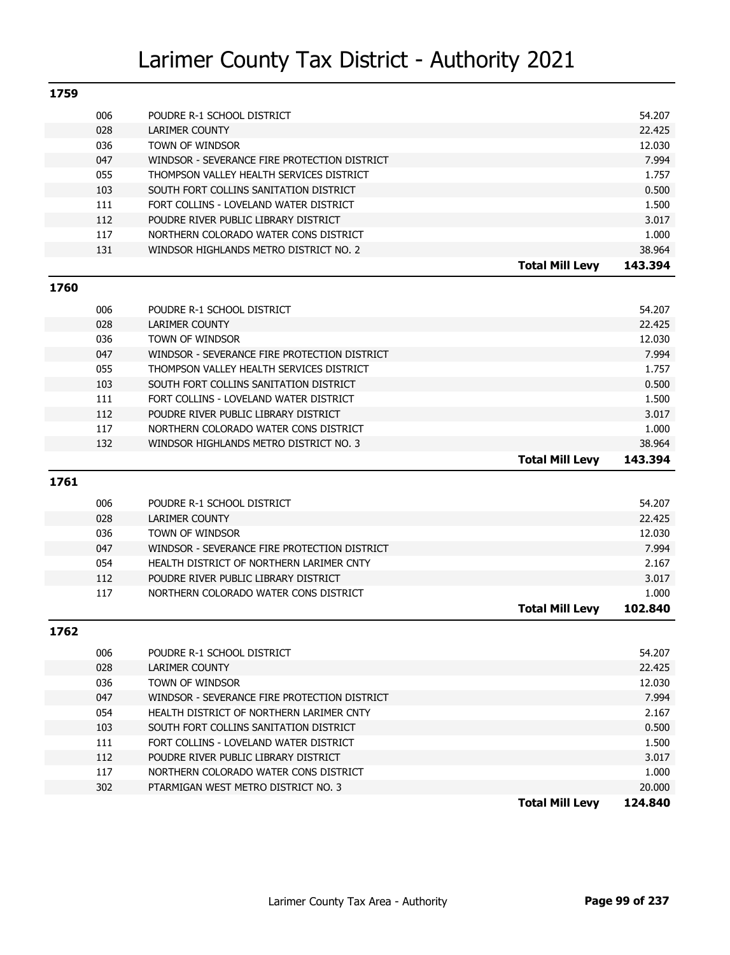| 1759 |     |                                              |                        |         |
|------|-----|----------------------------------------------|------------------------|---------|
|      | 006 | POUDRE R-1 SCHOOL DISTRICT                   |                        | 54.207  |
|      | 028 | <b>LARIMER COUNTY</b>                        |                        | 22.425  |
|      | 036 | TOWN OF WINDSOR                              |                        | 12.030  |
|      | 047 | WINDSOR - SEVERANCE FIRE PROTECTION DISTRICT |                        | 7.994   |
|      | 055 | THOMPSON VALLEY HEALTH SERVICES DISTRICT     |                        | 1.757   |
|      | 103 | SOUTH FORT COLLINS SANITATION DISTRICT       |                        | 0.500   |
|      | 111 | FORT COLLINS - LOVELAND WATER DISTRICT       |                        | 1.500   |
|      | 112 | POUDRE RIVER PUBLIC LIBRARY DISTRICT         |                        | 3.017   |
|      | 117 | NORTHERN COLORADO WATER CONS DISTRICT        |                        | 1.000   |
|      | 131 | WINDSOR HIGHLANDS METRO DISTRICT NO. 2       |                        | 38.964  |
|      |     |                                              | <b>Total Mill Levy</b> | 143.394 |
| 1760 |     |                                              |                        |         |
|      | 006 | POUDRE R-1 SCHOOL DISTRICT                   |                        | 54.207  |
|      | 028 | <b>LARIMER COUNTY</b>                        |                        | 22.425  |
|      | 036 | TOWN OF WINDSOR                              |                        | 12.030  |
|      | 047 | WINDSOR - SEVERANCE FIRE PROTECTION DISTRICT |                        | 7.994   |
|      | 055 | THOMPSON VALLEY HEALTH SERVICES DISTRICT     |                        | 1.757   |
|      | 103 | SOUTH FORT COLLINS SANITATION DISTRICT       |                        | 0.500   |
|      | 111 | FORT COLLINS - LOVELAND WATER DISTRICT       |                        | 1.500   |
|      | 112 | POUDRE RIVER PUBLIC LIBRARY DISTRICT         |                        | 3.017   |
|      | 117 | NORTHERN COLORADO WATER CONS DISTRICT        |                        | 1.000   |
|      | 132 | WINDSOR HIGHLANDS METRO DISTRICT NO. 3       |                        | 38.964  |
|      |     |                                              | <b>Total Mill Levy</b> | 143.394 |
| 1761 |     |                                              |                        |         |
|      | 006 | POUDRE R-1 SCHOOL DISTRICT                   |                        | 54.207  |
|      | 028 | <b>LARIMER COUNTY</b>                        |                        | 22.425  |
|      | 036 | TOWN OF WINDSOR                              |                        | 12.030  |
|      | 047 | WINDSOR - SEVERANCE FIRE PROTECTION DISTRICT |                        | 7.994   |
|      | 054 | HEALTH DISTRICT OF NORTHERN LARIMER CNTY     |                        | 2.167   |
|      | 112 | POUDRE RIVER PUBLIC LIBRARY DISTRICT         |                        | 3.017   |
|      | 117 | NORTHERN COLORADO WATER CONS DISTRICT        |                        | 1.000   |
|      |     |                                              | <b>Total Mill Levy</b> | 102.840 |

|  | ×<br>۰. |  |
|--|---------|--|
|  |         |  |

| 006 | POUDRE R-1 SCHOOL DISTRICT                   |                        | 54.207  |
|-----|----------------------------------------------|------------------------|---------|
| 028 | LARIMER COUNTY                               |                        | 22.425  |
| 036 | TOWN OF WINDSOR                              |                        | 12.030  |
| 047 | WINDSOR - SEVERANCE FIRE PROTECTION DISTRICT |                        | 7.994   |
| 054 | HEALTH DISTRICT OF NORTHERN LARIMER CNTY     |                        | 2.167   |
| 103 | SOUTH FORT COLLINS SANITATION DISTRICT       |                        | 0.500   |
| 111 | FORT COLLINS - LOVELAND WATER DISTRICT       |                        | 1.500   |
| 112 | POUDRE RIVER PUBLIC LIBRARY DISTRICT         |                        | 3.017   |
| 117 | NORTHERN COLORADO WATER CONS DISTRICT        |                        | 1.000   |
| 302 | PTARMIGAN WEST METRO DISTRICT NO. 3          |                        | 20.000  |
|     |                                              | <b>Total Mill Levy</b> | 124.840 |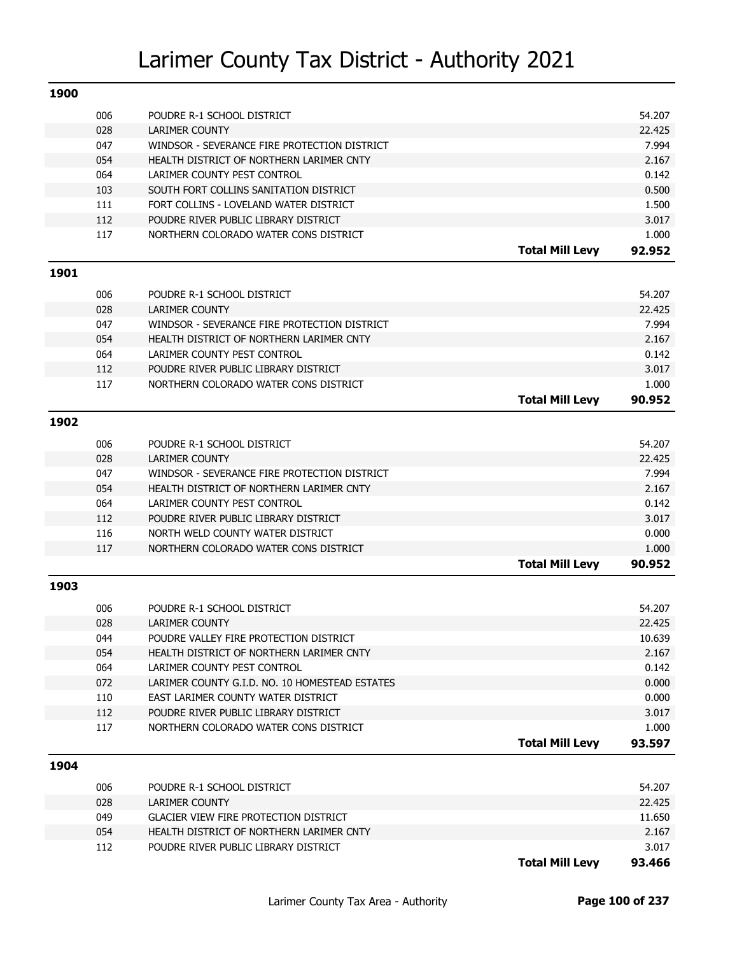| 1900 |     |                                                |                        |        |
|------|-----|------------------------------------------------|------------------------|--------|
|      | 006 | POUDRE R-1 SCHOOL DISTRICT                     |                        | 54.207 |
|      | 028 | <b>LARIMER COUNTY</b>                          |                        | 22.425 |
|      | 047 | WINDSOR - SEVERANCE FIRE PROTECTION DISTRICT   |                        | 7.994  |
|      | 054 | HEALTH DISTRICT OF NORTHERN LARIMER CNTY       |                        | 2.167  |
|      | 064 | LARIMER COUNTY PEST CONTROL                    |                        | 0.142  |
|      | 103 | SOUTH FORT COLLINS SANITATION DISTRICT         |                        | 0.500  |
|      | 111 | FORT COLLINS - LOVELAND WATER DISTRICT         |                        | 1.500  |
|      | 112 | POUDRE RIVER PUBLIC LIBRARY DISTRICT           |                        | 3.017  |
|      | 117 | NORTHERN COLORADO WATER CONS DISTRICT          |                        | 1.000  |
|      |     |                                                | <b>Total Mill Levy</b> | 92.952 |
| 1901 |     |                                                |                        |        |
|      | 006 | POUDRE R-1 SCHOOL DISTRICT                     |                        | 54.207 |
|      | 028 | <b>LARIMER COUNTY</b>                          |                        | 22.425 |
|      | 047 | WINDSOR - SEVERANCE FIRE PROTECTION DISTRICT   |                        | 7.994  |
|      | 054 | HEALTH DISTRICT OF NORTHERN LARIMER CNTY       |                        | 2.167  |
|      | 064 | LARIMER COUNTY PEST CONTROL                    |                        | 0.142  |
|      | 112 | POUDRE RIVER PUBLIC LIBRARY DISTRICT           |                        | 3.017  |
|      | 117 | NORTHERN COLORADO WATER CONS DISTRICT          |                        | 1.000  |
|      |     |                                                | <b>Total Mill Levy</b> | 90.952 |
| 1902 |     |                                                |                        |        |
|      | 006 | POUDRE R-1 SCHOOL DISTRICT                     |                        | 54.207 |
|      | 028 | <b>LARIMER COUNTY</b>                          |                        | 22.425 |
|      | 047 | WINDSOR - SEVERANCE FIRE PROTECTION DISTRICT   |                        | 7.994  |
|      | 054 | HEALTH DISTRICT OF NORTHERN LARIMER CNTY       |                        | 2.167  |
|      | 064 | LARIMER COUNTY PEST CONTROL                    |                        | 0.142  |
|      | 112 | POUDRE RIVER PUBLIC LIBRARY DISTRICT           |                        | 3.017  |
|      | 116 | NORTH WELD COUNTY WATER DISTRICT               |                        | 0.000  |
|      | 117 | NORTHERN COLORADO WATER CONS DISTRICT          |                        | 1.000  |
|      |     |                                                | <b>Total Mill Levy</b> | 90.952 |
| 1903 |     |                                                |                        |        |
|      | 006 | POUDRE R-1 SCHOOL DISTRICT                     |                        | 54.207 |
|      | 028 | <b>LARIMER COUNTY</b>                          |                        | 22.425 |
|      | 044 | POUDRE VALLEY FIRE PROTECTION DISTRICT         |                        | 10.639 |
|      | 054 | HEALTH DISTRICT OF NORTHERN LARIMER CNTY       |                        | 2.167  |
|      | 064 | LARIMER COUNTY PEST CONTROL                    |                        | 0.142  |
|      | 072 | LARIMER COUNTY G.I.D. NO. 10 HOMESTEAD ESTATES |                        | 0.000  |
|      | 110 | EAST LARIMER COUNTY WATER DISTRICT             |                        | 0.000  |
|      | 112 | POUDRE RIVER PUBLIC LIBRARY DISTRICT           |                        | 3.017  |
|      | 117 | NORTHERN COLORADO WATER CONS DISTRICT          |                        | 1.000  |
|      |     |                                                | <b>Total Mill Levy</b> | 93.597 |
| 1904 |     |                                                |                        |        |
|      | 006 | POUDRE R-1 SCHOOL DISTRICT                     |                        | 54.207 |
|      | 028 | LARIMER COUNTY                                 |                        | 22.425 |
|      | 049 | <b>GLACIER VIEW FIRE PROTECTION DISTRICT</b>   |                        | 11.650 |
|      | 054 | HEALTH DISTRICT OF NORTHERN LARIMER CNTY       |                        | 2.167  |
|      | 112 | POUDRE RIVER PUBLIC LIBRARY DISTRICT           |                        | 3.017  |
|      |     |                                                | <b>Total Mill Levy</b> | 93.466 |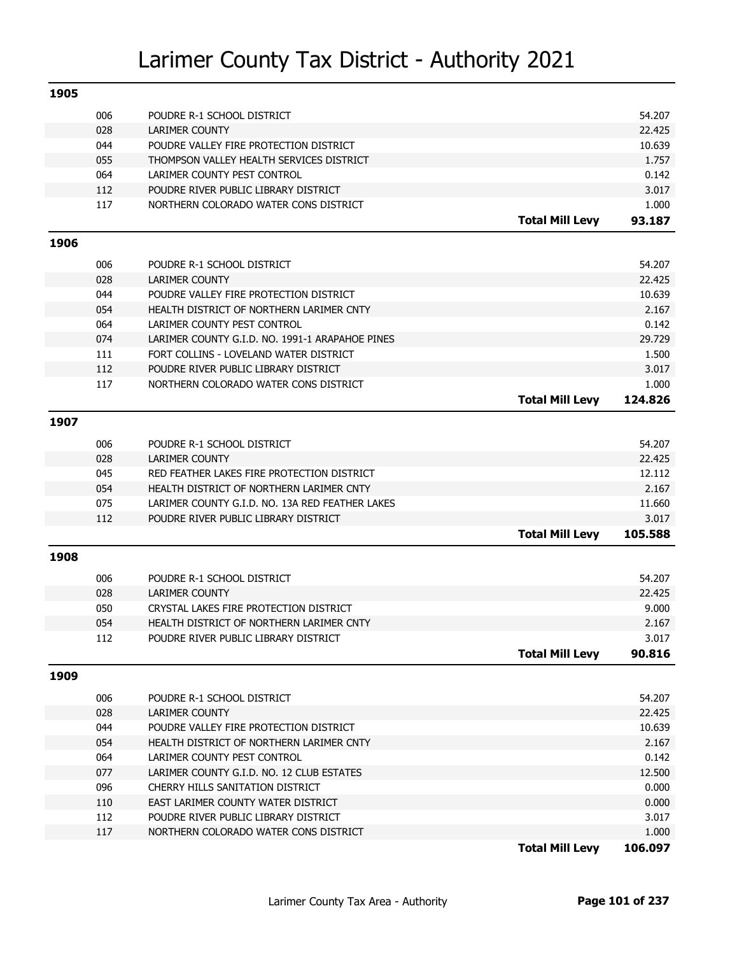| 1905 |            |                                                                                    |                        |                 |
|------|------------|------------------------------------------------------------------------------------|------------------------|-----------------|
|      | 006        | POUDRE R-1 SCHOOL DISTRICT                                                         |                        | 54.207          |
|      | 028        | <b>LARIMER COUNTY</b>                                                              |                        | 22.425          |
|      | 044        | POUDRE VALLEY FIRE PROTECTION DISTRICT                                             |                        | 10.639          |
|      | 055        | THOMPSON VALLEY HEALTH SERVICES DISTRICT                                           |                        | 1.757           |
|      | 064        | LARIMER COUNTY PEST CONTROL                                                        |                        | 0.142           |
|      | 112        | POUDRE RIVER PUBLIC LIBRARY DISTRICT                                               |                        | 3.017           |
|      | 117        | NORTHERN COLORADO WATER CONS DISTRICT                                              |                        | 1.000           |
|      |            |                                                                                    | <b>Total Mill Levy</b> | 93.187          |
| 1906 |            |                                                                                    |                        |                 |
|      |            |                                                                                    |                        |                 |
|      | 006        | POUDRE R-1 SCHOOL DISTRICT                                                         |                        | 54.207          |
|      | 028        | <b>LARIMER COUNTY</b>                                                              |                        | 22.425          |
|      | 044        | POUDRE VALLEY FIRE PROTECTION DISTRICT                                             |                        | 10.639          |
|      | 054        | HEALTH DISTRICT OF NORTHERN LARIMER CNTY                                           |                        | 2.167<br>0.142  |
|      | 064<br>074 | LARIMER COUNTY PEST CONTROL<br>LARIMER COUNTY G.I.D. NO. 1991-1 ARAPAHOE PINES     |                        | 29.729          |
|      | 111        | FORT COLLINS - LOVELAND WATER DISTRICT                                             |                        | 1.500           |
|      | 112        | POUDRE RIVER PUBLIC LIBRARY DISTRICT                                               |                        | 3.017           |
|      | 117        | NORTHERN COLORADO WATER CONS DISTRICT                                              |                        | 1.000           |
|      |            |                                                                                    | <b>Total Mill Levy</b> | 124.826         |
|      |            |                                                                                    |                        |                 |
| 1907 |            |                                                                                    |                        |                 |
|      | 006        | POUDRE R-1 SCHOOL DISTRICT                                                         |                        | 54.207          |
|      | 028        | <b>LARIMER COUNTY</b>                                                              |                        | 22.425          |
|      | 045        | RED FEATHER LAKES FIRE PROTECTION DISTRICT                                         |                        | 12.112          |
|      | 054        | HEALTH DISTRICT OF NORTHERN LARIMER CNTY                                           |                        | 2.167           |
|      | 075        | LARIMER COUNTY G.I.D. NO. 13A RED FEATHER LAKES                                    |                        | 11.660          |
|      | 112        | POUDRE RIVER PUBLIC LIBRARY DISTRICT                                               |                        | 3.017           |
|      |            |                                                                                    | <b>Total Mill Levy</b> | 105.588         |
| 1908 |            |                                                                                    |                        |                 |
|      |            |                                                                                    |                        |                 |
|      | 006        | POUDRE R-1 SCHOOL DISTRICT                                                         |                        | 54.207          |
|      | 028        | <b>LARIMER COUNTY</b>                                                              |                        | 22.425          |
|      | 050<br>054 | CRYSTAL LAKES FIRE PROTECTION DISTRICT<br>HEALTH DISTRICT OF NORTHERN LARIMER CNTY |                        | 9.000<br>2.167  |
|      | 112        |                                                                                    |                        |                 |
|      |            | POUDRE RIVER PUBLIC LIBRARY DISTRICT                                               | <b>Total Mill Levy</b> | 3.017<br>90.816 |
|      |            |                                                                                    |                        |                 |
| 1909 |            |                                                                                    |                        |                 |
|      | 006        | POUDRE R-1 SCHOOL DISTRICT                                                         |                        | 54.207          |
|      | 028        | <b>LARIMER COUNTY</b>                                                              |                        | 22.425          |
|      | 044        | POUDRE VALLEY FIRE PROTECTION DISTRICT                                             |                        | 10.639          |
|      | 054        | HEALTH DISTRICT OF NORTHERN LARIMER CNTY                                           |                        | 2.167           |
|      | 064        | LARIMER COUNTY PEST CONTROL                                                        |                        | 0.142           |
|      | 077        | LARIMER COUNTY G.I.D. NO. 12 CLUB ESTATES                                          |                        | 12.500          |
|      | 096        | CHERRY HILLS SANITATION DISTRICT                                                   |                        | 0.000           |
|      | 110        | EAST LARIMER COUNTY WATER DISTRICT                                                 |                        | 0.000           |
|      | 112        | POUDRE RIVER PUBLIC LIBRARY DISTRICT                                               |                        | 3.017           |
|      | 117        | NORTHERN COLORADO WATER CONS DISTRICT                                              |                        | 1.000           |
|      |            |                                                                                    | Tatal Mill Laver       | 106.007.        |

**Total Mill Levy 106.097**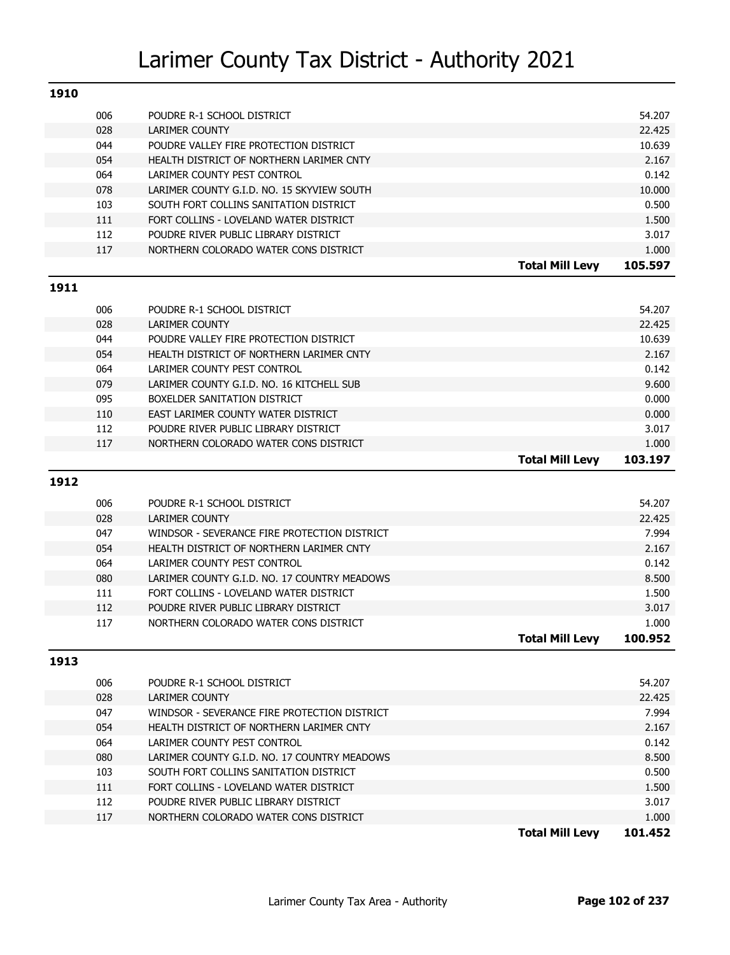| 1910 |            |                                              |                        |                  |
|------|------------|----------------------------------------------|------------------------|------------------|
|      | 006        | POUDRE R-1 SCHOOL DISTRICT                   |                        | 54.207           |
|      | 028        | <b>LARIMER COUNTY</b>                        |                        | 22.425           |
|      | 044        | POUDRE VALLEY FIRE PROTECTION DISTRICT       |                        | 10.639           |
|      | 054        | HEALTH DISTRICT OF NORTHERN LARIMER CNTY     |                        | 2.167            |
|      | 064        | LARIMER COUNTY PEST CONTROL                  |                        | 0.142            |
|      | 078        | LARIMER COUNTY G.I.D. NO. 15 SKYVIEW SOUTH   |                        | 10.000           |
|      | 103        | SOUTH FORT COLLINS SANITATION DISTRICT       |                        | 0.500            |
|      | 111        | FORT COLLINS - LOVELAND WATER DISTRICT       |                        | 1.500            |
|      | 112        | POUDRE RIVER PUBLIC LIBRARY DISTRICT         |                        | 3.017            |
|      | 117        | NORTHERN COLORADO WATER CONS DISTRICT        |                        | 1.000            |
|      |            |                                              | <b>Total Mill Levy</b> | 105.597          |
| 1911 |            |                                              |                        |                  |
|      |            |                                              |                        |                  |
|      | 006        | POUDRE R-1 SCHOOL DISTRICT                   |                        | 54.207           |
|      | 028        | <b>LARIMER COUNTY</b>                        |                        | 22.425           |
|      | 044        | POUDRE VALLEY FIRE PROTECTION DISTRICT       |                        | 10.639           |
|      | 054        | HEALTH DISTRICT OF NORTHERN LARIMER CNTY     |                        | 2.167            |
|      | 064        | LARIMER COUNTY PEST CONTROL                  |                        | 0.142            |
|      | 079        | LARIMER COUNTY G.I.D. NO. 16 KITCHELL SUB    |                        | 9.600            |
|      | 095        | BOXELDER SANITATION DISTRICT                 |                        | 0.000            |
|      | 110        | EAST LARIMER COUNTY WATER DISTRICT           |                        | 0.000            |
|      | 112        | POUDRE RIVER PUBLIC LIBRARY DISTRICT         |                        | 3.017            |
|      | 117        | NORTHERN COLORADO WATER CONS DISTRICT        | <b>Total Mill Levy</b> | 1.000<br>103.197 |
|      |            |                                              |                        |                  |
| 1912 |            |                                              |                        |                  |
|      | 006        | POUDRE R-1 SCHOOL DISTRICT                   |                        | 54.207           |
|      | 028        | <b>LARIMER COUNTY</b>                        |                        | 22.425           |
|      | 047        | WINDSOR - SEVERANCE FIRE PROTECTION DISTRICT |                        | 7.994            |
|      | 054        | HEALTH DISTRICT OF NORTHERN LARIMER CNTY     |                        | 2.167            |
|      | 064        | LARIMER COUNTY PEST CONTROL                  |                        | 0.142            |
|      | 080        | LARIMER COUNTY G.I.D. NO. 17 COUNTRY MEADOWS |                        | 8.500            |
|      | 111        | FORT COLLINS - LOVELAND WATER DISTRICT       |                        | 1.500            |
|      | 112        | POUDRE RIVER PUBLIC LIBRARY DISTRICT         |                        | 3.017            |
|      | 117        | NORTHERN COLORADO WATER CONS DISTRICT        |                        | 1.000            |
|      |            |                                              | <b>Total Mill Levy</b> | 100.952          |
| 1913 |            |                                              |                        |                  |
|      | 006        | POUDRE R-1 SCHOOL DISTRICT                   |                        | 54.207           |
|      | 028        | <b>LARIMER COUNTY</b>                        |                        | 22.425           |
|      | 047        | WINDSOR - SEVERANCE FIRE PROTECTION DISTRICT |                        | 7.994            |
|      | 054        | HEALTH DISTRICT OF NORTHERN LARIMER CNTY     |                        | 2.167            |
|      | 064        | LARIMER COUNTY PEST CONTROL                  |                        | 0.142            |
|      | 080        | LARIMER COUNTY G.I.D. NO. 17 COUNTRY MEADOWS |                        | 8.500            |
|      | 103        | SOUTH FORT COLLINS SANITATION DISTRICT       |                        | 0.500            |
|      | 111        | FORT COLLINS - LOVELAND WATER DISTRICT       |                        | 1.500            |
|      |            |                                              |                        |                  |
|      |            | POUDRE RIVER PUBLIC LIBRARY DISTRICT         |                        |                  |
|      | 112<br>117 | NORTHERN COLORADO WATER CONS DISTRICT        |                        | 3.017<br>1.000   |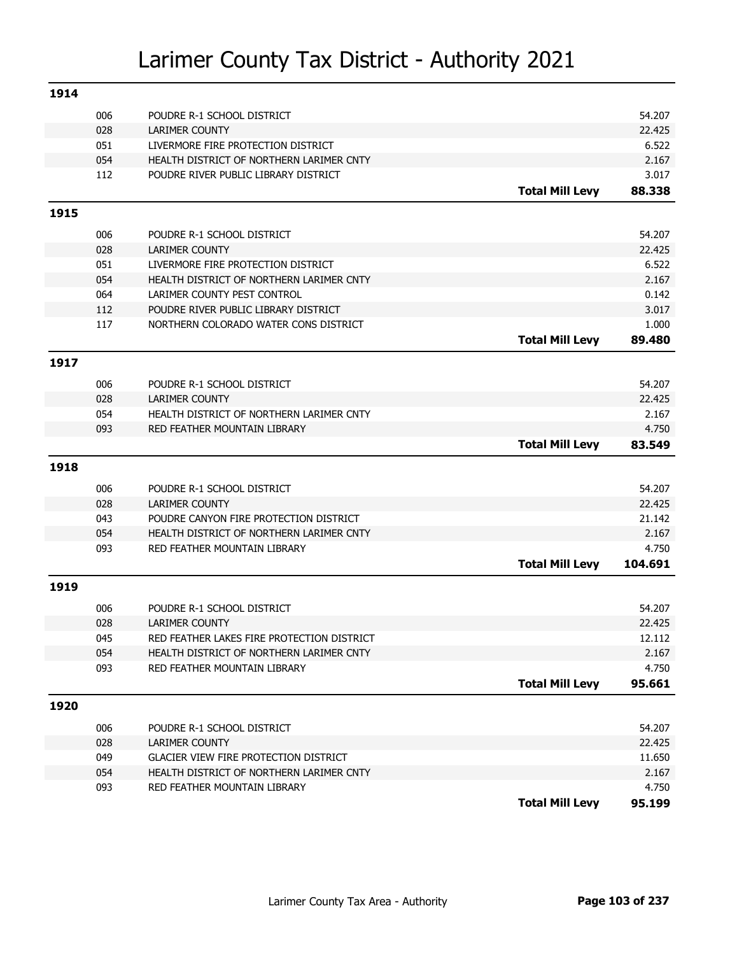| 1914 |     |                                              |                        |         |
|------|-----|----------------------------------------------|------------------------|---------|
|      | 006 | POUDRE R-1 SCHOOL DISTRICT                   |                        | 54.207  |
|      | 028 | <b>LARIMER COUNTY</b>                        |                        | 22.425  |
|      | 051 | LIVERMORE FIRE PROTECTION DISTRICT           |                        | 6.522   |
|      | 054 | HEALTH DISTRICT OF NORTHERN LARIMER CNTY     |                        | 2.167   |
|      | 112 | POUDRE RIVER PUBLIC LIBRARY DISTRICT         |                        | 3.017   |
|      |     |                                              | <b>Total Mill Levy</b> | 88.338  |
| 1915 |     |                                              |                        |         |
|      | 006 | POUDRE R-1 SCHOOL DISTRICT                   |                        | 54.207  |
|      | 028 | <b>LARIMER COUNTY</b>                        |                        | 22.425  |
|      | 051 | LIVERMORE FIRE PROTECTION DISTRICT           |                        | 6.522   |
|      | 054 | HEALTH DISTRICT OF NORTHERN LARIMER CNTY     |                        | 2.167   |
|      | 064 | LARIMER COUNTY PEST CONTROL                  |                        | 0.142   |
|      | 112 | POUDRE RIVER PUBLIC LIBRARY DISTRICT         |                        | 3.017   |
|      | 117 | NORTHERN COLORADO WATER CONS DISTRICT        |                        | 1.000   |
|      |     |                                              | <b>Total Mill Levy</b> | 89.480  |
| 1917 |     |                                              |                        |         |
|      | 006 | POUDRE R-1 SCHOOL DISTRICT                   |                        | 54.207  |
|      | 028 | <b>LARIMER COUNTY</b>                        |                        | 22.425  |
|      | 054 | HEALTH DISTRICT OF NORTHERN LARIMER CNTY     |                        | 2.167   |
|      | 093 | RED FEATHER MOUNTAIN LIBRARY                 |                        | 4.750   |
|      |     |                                              | <b>Total Mill Levy</b> | 83.549  |
| 1918 |     |                                              |                        |         |
|      | 006 | POUDRE R-1 SCHOOL DISTRICT                   |                        | 54.207  |
|      | 028 | <b>LARIMER COUNTY</b>                        |                        | 22.425  |
|      | 043 | POUDRE CANYON FIRE PROTECTION DISTRICT       |                        | 21.142  |
|      | 054 | HEALTH DISTRICT OF NORTHERN LARIMER CNTY     |                        | 2.167   |
|      | 093 | RED FEATHER MOUNTAIN LIBRARY                 |                        | 4.750   |
|      |     |                                              | <b>Total Mill Levy</b> | 104.691 |
| 1919 |     |                                              |                        |         |
|      | 006 | POUDRE R-1 SCHOOL DISTRICT                   |                        | 54.207  |
|      | 028 | <b>LARIMER COUNTY</b>                        |                        | 22.425  |
|      | 045 | RED FEATHER LAKES FIRE PROTECTION DISTRICT   |                        | 12.112  |
|      | 054 | HEALTH DISTRICT OF NORTHERN LARIMER CNTY     |                        | 2.167   |
|      | 093 | RED FEATHER MOUNTAIN LIBRARY                 |                        | 4.750   |
|      |     |                                              | <b>Total Mill Levy</b> | 95.661  |
| 1920 |     |                                              |                        |         |
|      | 006 | POUDRE R-1 SCHOOL DISTRICT                   |                        | 54.207  |
|      | 028 | <b>LARIMER COUNTY</b>                        |                        | 22.425  |
|      | 049 | <b>GLACIER VIEW FIRE PROTECTION DISTRICT</b> |                        | 11.650  |
|      | 054 | HEALTH DISTRICT OF NORTHERN LARIMER CNTY     |                        | 2.167   |
|      | 093 | RED FEATHER MOUNTAIN LIBRARY                 |                        | 4.750   |
|      |     |                                              | <b>Total Mill Levy</b> | 95.199  |
|      |     |                                              |                        |         |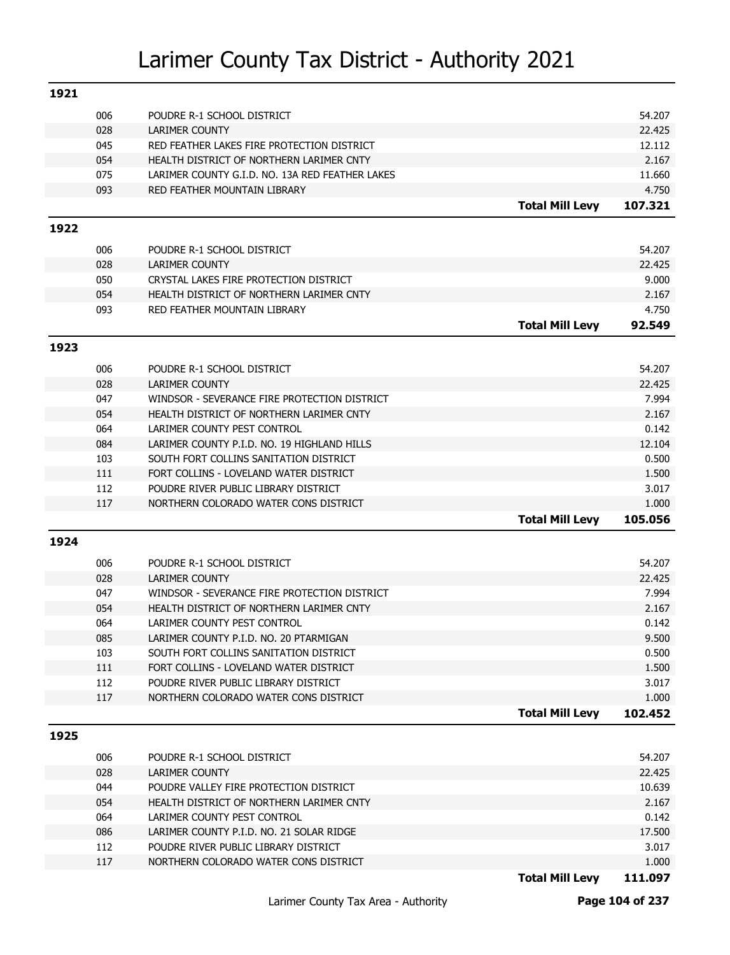| 1921 |            |                                                                                |                        |                |
|------|------------|--------------------------------------------------------------------------------|------------------------|----------------|
|      | 006        | POUDRE R-1 SCHOOL DISTRICT                                                     |                        | 54.207         |
|      | 028        | LARIMER COUNTY                                                                 |                        | 22.425         |
|      | 045        | RED FEATHER LAKES FIRE PROTECTION DISTRICT                                     |                        | 12.112         |
|      | 054        | HEALTH DISTRICT OF NORTHERN LARIMER CNTY                                       |                        | 2.167          |
|      | 075        | LARIMER COUNTY G.I.D. NO. 13A RED FEATHER LAKES                                |                        | 11.660         |
|      | 093        | RED FEATHER MOUNTAIN LIBRARY                                                   |                        | 4.750          |
|      |            |                                                                                | <b>Total Mill Levy</b> | 107.321        |
| 1922 |            |                                                                                |                        |                |
|      | 006        | POUDRE R-1 SCHOOL DISTRICT                                                     |                        | 54.207         |
|      | 028        | <b>LARIMER COUNTY</b>                                                          |                        | 22.425         |
|      | 050        | CRYSTAL LAKES FIRE PROTECTION DISTRICT                                         |                        | 9.000          |
|      | 054        | HEALTH DISTRICT OF NORTHERN LARIMER CNTY                                       |                        | 2.167          |
|      | 093        | RED FEATHER MOUNTAIN LIBRARY                                                   |                        | 4.750          |
|      |            |                                                                                | <b>Total Mill Levy</b> | 92.549         |
| 1923 |            |                                                                                |                        |                |
|      |            |                                                                                |                        |                |
|      | 006        | POUDRE R-1 SCHOOL DISTRICT                                                     |                        | 54.207         |
|      | 028        | <b>LARIMER COUNTY</b>                                                          |                        | 22.425         |
|      | 047        | WINDSOR - SEVERANCE FIRE PROTECTION DISTRICT                                   |                        | 7.994          |
|      | 054        | HEALTH DISTRICT OF NORTHERN LARIMER CNTY                                       |                        | 2.167          |
|      | 064        | LARIMER COUNTY PEST CONTROL                                                    |                        | 0.142          |
|      | 084        | LARIMER COUNTY P.I.D. NO. 19 HIGHLAND HILLS                                    |                        | 12.104         |
|      | 103        | SOUTH FORT COLLINS SANITATION DISTRICT                                         |                        | 0.500          |
|      | 111<br>112 | FORT COLLINS - LOVELAND WATER DISTRICT<br>POUDRE RIVER PUBLIC LIBRARY DISTRICT |                        | 1.500<br>3.017 |
|      | 117        | NORTHERN COLORADO WATER CONS DISTRICT                                          |                        | 1.000          |
|      |            |                                                                                | <b>Total Mill Levy</b> | 105.056        |
|      |            |                                                                                |                        |                |
| 1924 |            |                                                                                |                        |                |
|      | 006        | POUDRE R-1 SCHOOL DISTRICT                                                     |                        | 54.207         |
|      | 028        | <b>LARIMER COUNTY</b>                                                          |                        | 22.425         |
|      | 047        | WINDSOR - SEVERANCE FIRE PROTECTION DISTRICT                                   |                        | 7.994          |
|      | 054        | HEALTH DISTRICT OF NORTHERN LARIMER CNTY                                       |                        | 2.167          |
|      | 064        | LARIMER COUNTY PEST CONTROL                                                    |                        | 0.142          |
|      | 085        | LARIMER COUNTY P.I.D. NO. 20 PTARMIGAN                                         |                        | 9.500          |
|      | 103        | SOUTH FORT COLLINS SANITATION DISTRICT                                         |                        | 0.500          |
|      | 111        | FORT COLLINS - LOVELAND WATER DISTRICT                                         |                        | 1.500          |
|      | 112        | POUDRE RIVER PUBLIC LIBRARY DISTRICT                                           |                        | 3.017          |
|      | 117        | NORTHERN COLORADO WATER CONS DISTRICT                                          |                        | 1.000          |
|      |            |                                                                                | <b>Total Mill Levy</b> | 102.452        |
| 1925 |            |                                                                                |                        |                |
|      | 006        | POUDRE R-1 SCHOOL DISTRICT                                                     |                        | 54.207         |
|      | 028        | LARIMER COUNTY                                                                 |                        | 22.425         |
|      | 044        | POUDRE VALLEY FIRE PROTECTION DISTRICT                                         |                        | 10.639         |
|      | 054        | HEALTH DISTRICT OF NORTHERN LARIMER CNTY                                       |                        | 2.167          |
|      | 064        | LARIMER COUNTY PEST CONTROL                                                    |                        | 0.142          |
|      | 086        | LARIMER COUNTY P.I.D. NO. 21 SOLAR RIDGE                                       |                        | 17.500         |
|      | 112        | POUDRE RIVER PUBLIC LIBRARY DISTRICT                                           |                        | 3.017          |
|      | 117        | NORTHERN COLORADO WATER CONS DISTRICT                                          |                        | 1.000          |
|      |            |                                                                                | <b>Total Mill Levy</b> | 111.097        |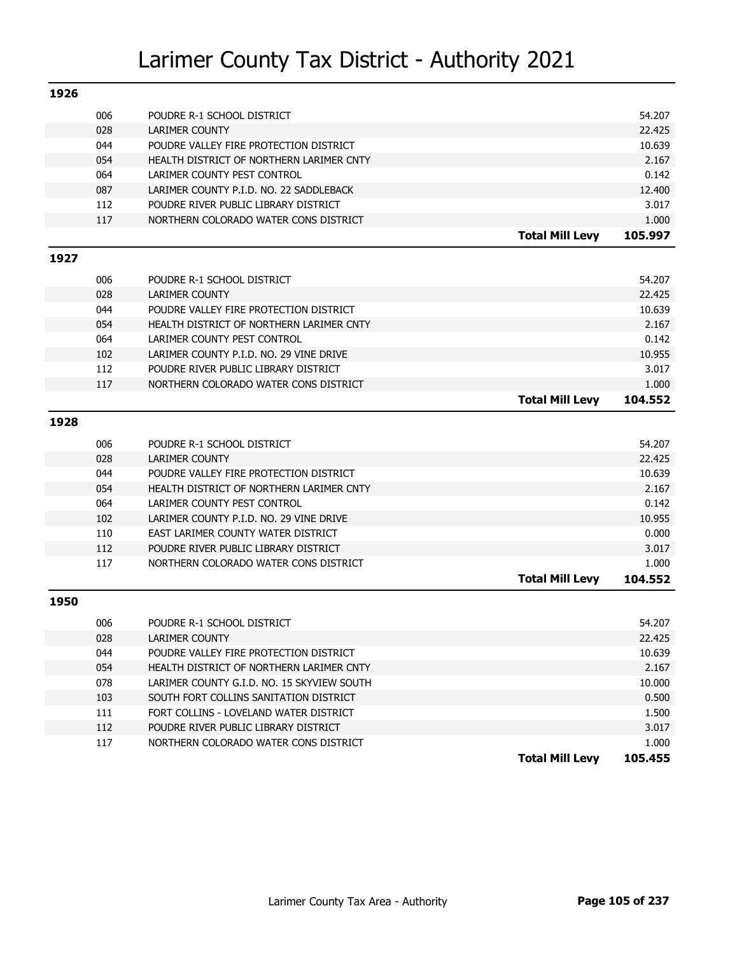| 1926 |            |                                                                 |                        |                  |
|------|------------|-----------------------------------------------------------------|------------------------|------------------|
|      | 006        | POUDRE R-1 SCHOOL DISTRICT                                      |                        | 54.207           |
|      | 028        | <b>LARIMER COUNTY</b>                                           |                        | 22.425           |
|      | 044        | POUDRE VALLEY FIRE PROTECTION DISTRICT                          |                        | 10.639           |
|      | 054        | HEALTH DISTRICT OF NORTHERN LARIMER CNTY                        |                        | 2.167            |
|      | 064        | LARIMER COUNTY PEST CONTROL                                     |                        | 0.142            |
|      | 087        | LARIMER COUNTY P.I.D. NO. 22 SADDLEBACK                         |                        | 12.400           |
|      | 112        | POUDRE RIVER PUBLIC LIBRARY DISTRICT                            |                        | 3.017            |
|      | 117        | NORTHERN COLORADO WATER CONS DISTRICT                           |                        | 1.000            |
|      |            |                                                                 | <b>Total Mill Levy</b> | 105.997          |
| 1927 |            |                                                                 |                        |                  |
|      |            |                                                                 |                        |                  |
|      | 006        | POUDRE R-1 SCHOOL DISTRICT                                      |                        | 54.207           |
|      | 028<br>044 | <b>LARIMER COUNTY</b><br>POUDRE VALLEY FIRE PROTECTION DISTRICT |                        | 22.425<br>10.639 |
|      | 054        | HEALTH DISTRICT OF NORTHERN LARIMER CNTY                        |                        | 2.167            |
|      | 064        | LARIMER COUNTY PEST CONTROL                                     |                        | 0.142            |
|      | 102        | LARIMER COUNTY P.I.D. NO. 29 VINE DRIVE                         |                        | 10.955           |
|      | 112        | POUDRE RIVER PUBLIC LIBRARY DISTRICT                            |                        | 3.017            |
|      | 117        | NORTHERN COLORADO WATER CONS DISTRICT                           |                        | 1.000            |
|      |            |                                                                 | <b>Total Mill Levy</b> | 104.552          |
|      |            |                                                                 |                        |                  |
| 1928 |            |                                                                 |                        |                  |
|      | 006        | POUDRE R-1 SCHOOL DISTRICT                                      |                        | 54.207           |
|      | 028        | <b>LARIMER COUNTY</b>                                           |                        | 22.425           |
|      | 044        | POUDRE VALLEY FIRE PROTECTION DISTRICT                          |                        | 10.639           |
|      | 054        | HEALTH DISTRICT OF NORTHERN LARIMER CNTY                        |                        | 2.167            |
|      | 064        | LARIMER COUNTY PEST CONTROL                                     |                        | 0.142            |
|      | 102        | LARIMER COUNTY P.I.D. NO. 29 VINE DRIVE                         |                        | 10.955           |
|      | 110        | EAST LARIMER COUNTY WATER DISTRICT                              |                        | 0.000            |
|      | 112        | POUDRE RIVER PUBLIC LIBRARY DISTRICT                            |                        | 3.017            |
|      | 117        | NORTHERN COLORADO WATER CONS DISTRICT                           |                        | 1.000            |
|      |            |                                                                 | <b>Total Mill Levy</b> | 104.552          |
| 1950 |            |                                                                 |                        |                  |
|      | 006        | POUDRE R-1 SCHOOL DISTRICT                                      |                        | 54.207           |
|      | 028        | LARIMER COUNTY                                                  |                        | 22.425           |
|      | 044        | POUDRE VALLEY FIRE PROTECTION DISTRICT                          |                        | 10.639           |
|      | 054        | HEALTH DISTRICT OF NORTHERN LARIMER CNTY                        |                        | 2.167            |
|      | 078        | LARIMER COUNTY G.I.D. NO. 15 SKYVIEW SOUTH                      |                        | 10.000           |
|      | 103        | SOUTH FORT COLLINS SANITATION DISTRICT                          |                        | 0.500            |
|      | 111        | FORT COLLINS - LOVELAND WATER DISTRICT                          |                        | 1.500            |
|      | 112        | POUDRE RIVER PUBLIC LIBRARY DISTRICT                            |                        | 3.017            |
|      | 117        | NORTHERN COLORADO WATER CONS DISTRICT                           |                        | 1.000            |
|      |            |                                                                 | <b>Total Mill Levy</b> | 105.455          |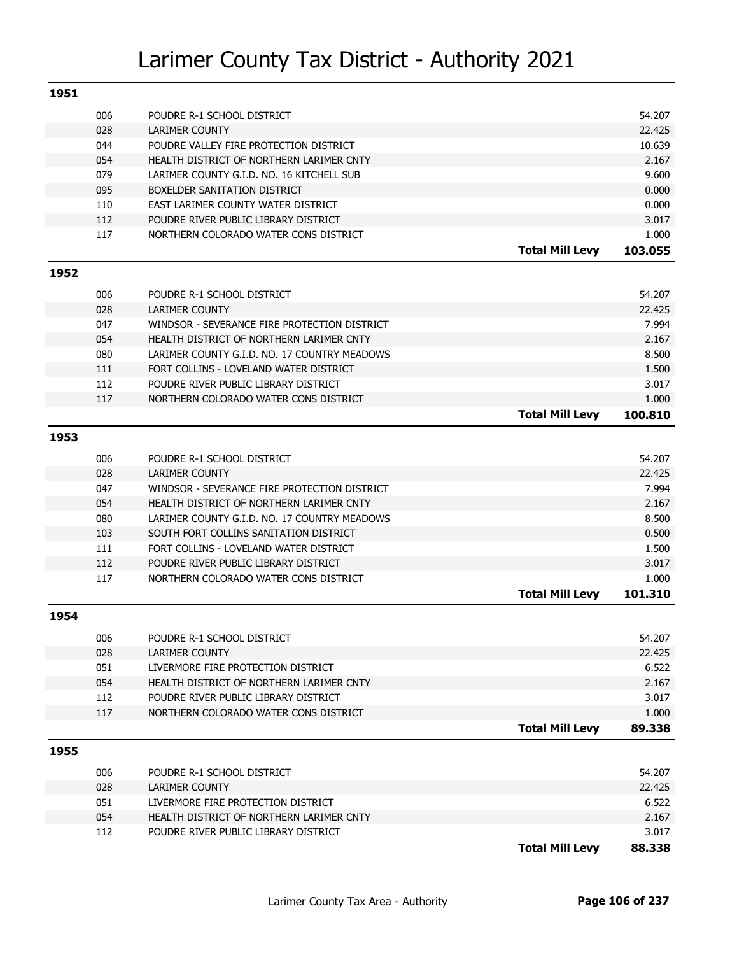| 1951 |     |                                              |                        |         |
|------|-----|----------------------------------------------|------------------------|---------|
|      | 006 | POUDRE R-1 SCHOOL DISTRICT                   |                        | 54.207  |
|      | 028 | <b>LARIMER COUNTY</b>                        |                        | 22.425  |
|      | 044 | POUDRE VALLEY FIRE PROTECTION DISTRICT       |                        | 10.639  |
|      | 054 | HEALTH DISTRICT OF NORTHERN LARIMER CNTY     |                        | 2.167   |
|      | 079 | LARIMER COUNTY G.I.D. NO. 16 KITCHELL SUB    |                        | 9.600   |
|      | 095 | BOXELDER SANITATION DISTRICT                 |                        | 0.000   |
|      | 110 | EAST LARIMER COUNTY WATER DISTRICT           |                        | 0.000   |
|      | 112 | POUDRE RIVER PUBLIC LIBRARY DISTRICT         |                        | 3.017   |
|      | 117 | NORTHERN COLORADO WATER CONS DISTRICT        |                        | 1.000   |
|      |     |                                              | <b>Total Mill Levy</b> | 103.055 |
| 1952 |     |                                              |                        |         |
|      | 006 | POUDRE R-1 SCHOOL DISTRICT                   |                        | 54.207  |
|      | 028 | <b>LARIMER COUNTY</b>                        |                        | 22.425  |
|      | 047 | WINDSOR - SEVERANCE FIRE PROTECTION DISTRICT |                        | 7.994   |
|      | 054 | HEALTH DISTRICT OF NORTHERN LARIMER CNTY     |                        | 2.167   |
|      | 080 | LARIMER COUNTY G.I.D. NO. 17 COUNTRY MEADOWS |                        | 8.500   |
|      | 111 | FORT COLLINS - LOVELAND WATER DISTRICT       |                        | 1.500   |
|      | 112 | POUDRE RIVER PUBLIC LIBRARY DISTRICT         |                        | 3.017   |
|      | 117 | NORTHERN COLORADO WATER CONS DISTRICT        |                        | 1.000   |
|      |     |                                              | <b>Total Mill Levy</b> | 100.810 |
| 1953 |     |                                              |                        |         |
|      | 006 | POUDRE R-1 SCHOOL DISTRICT                   |                        | 54.207  |
|      | 028 | <b>LARIMER COUNTY</b>                        |                        | 22.425  |
|      | 047 | WINDSOR - SEVERANCE FIRE PROTECTION DISTRICT |                        | 7.994   |
|      | 054 | HEALTH DISTRICT OF NORTHERN LARIMER CNTY     |                        | 2.167   |
|      | 080 | LARIMER COUNTY G.I.D. NO. 17 COUNTRY MEADOWS |                        | 8.500   |
|      | 103 | SOUTH FORT COLLINS SANITATION DISTRICT       |                        | 0.500   |
|      | 111 | FORT COLLINS - LOVELAND WATER DISTRICT       |                        | 1.500   |
|      | 112 | POUDRE RIVER PUBLIC LIBRARY DISTRICT         |                        | 3.017   |
|      | 117 | NORTHERN COLORADO WATER CONS DISTRICT        |                        | 1.000   |
|      |     |                                              | <b>Total Mill Levy</b> | 101.310 |
| 1954 |     |                                              |                        |         |
|      | 006 | POUDRE R-1 SCHOOL DISTRICT                   |                        | 54.207  |
|      | 028 | LARIMER COUNTY                               |                        | 22.425  |
|      | 051 | LIVERMORE FIRE PROTECTION DISTRICT           |                        | 6.522   |
|      | 054 | HEALTH DISTRICT OF NORTHERN LARIMER CNTY     |                        | 2.167   |
|      | 112 | POUDRE RIVER PUBLIC LIBRARY DISTRICT         |                        | 3.017   |
|      | 117 | NORTHERN COLORADO WATER CONS DISTRICT        |                        | 1.000   |
|      |     |                                              | <b>Total Mill Levy</b> | 89.338  |
| 1955 |     |                                              |                        |         |
|      | 006 | POUDRE R-1 SCHOOL DISTRICT                   |                        | 54.207  |
|      | 028 | LARIMER COUNTY                               |                        | 22.425  |
|      | 051 | LIVERMORE FIRE PROTECTION DISTRICT           |                        | 6.522   |
|      | 054 | HEALTH DISTRICT OF NORTHERN LARIMER CNTY     |                        | 2.167   |
|      | 112 | POUDRE RIVER PUBLIC LIBRARY DISTRICT         |                        | 3.017   |
|      |     |                                              | <b>Total Mill Levy</b> | 88.338  |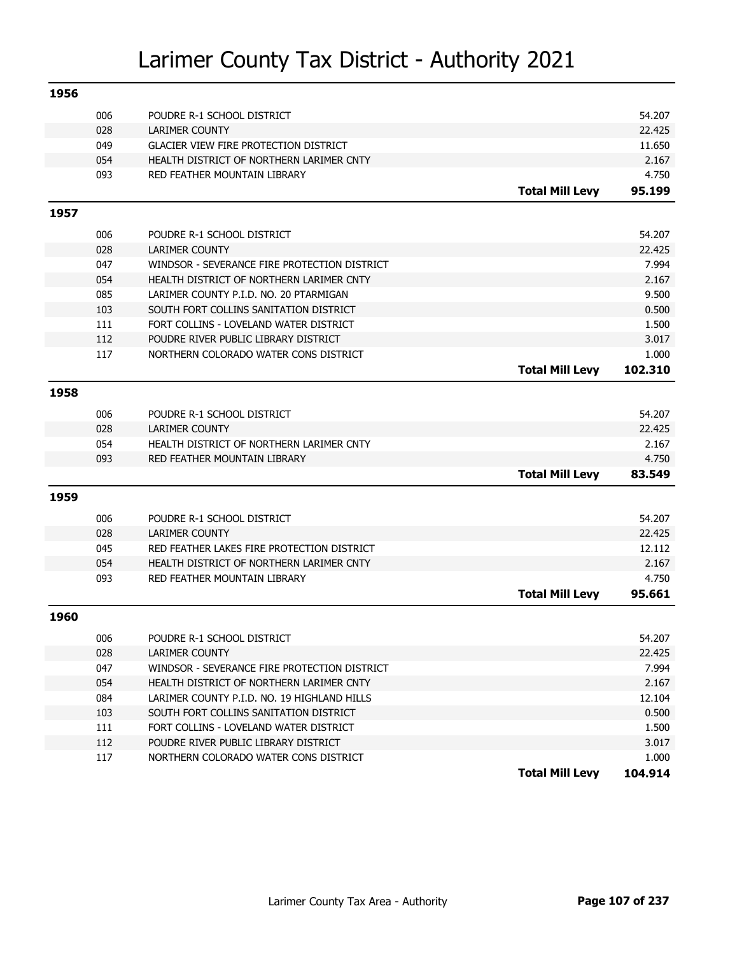| 1956 |     |                                              |                        |         |
|------|-----|----------------------------------------------|------------------------|---------|
|      | 006 | POUDRE R-1 SCHOOL DISTRICT                   |                        | 54.207  |
|      | 028 | <b>LARIMER COUNTY</b>                        |                        | 22.425  |
|      | 049 | <b>GLACIER VIEW FIRE PROTECTION DISTRICT</b> |                        | 11.650  |
|      | 054 | HEALTH DISTRICT OF NORTHERN LARIMER CNTY     |                        | 2.167   |
|      | 093 | RED FEATHER MOUNTAIN LIBRARY                 |                        | 4.750   |
|      |     |                                              | <b>Total Mill Levy</b> | 95.199  |
| 1957 |     |                                              |                        |         |
|      | 006 | POUDRE R-1 SCHOOL DISTRICT                   |                        | 54.207  |
|      | 028 | <b>LARIMER COUNTY</b>                        |                        | 22.425  |
|      | 047 | WINDSOR - SEVERANCE FIRE PROTECTION DISTRICT |                        | 7.994   |
|      | 054 | HEALTH DISTRICT OF NORTHERN LARIMER CNTY     |                        | 2.167   |
|      | 085 | LARIMER COUNTY P.I.D. NO. 20 PTARMIGAN       |                        | 9.500   |
|      | 103 | SOUTH FORT COLLINS SANITATION DISTRICT       |                        | 0.500   |
|      | 111 | FORT COLLINS - LOVELAND WATER DISTRICT       |                        | 1.500   |
|      | 112 | POUDRE RIVER PUBLIC LIBRARY DISTRICT         |                        | 3.017   |
|      | 117 | NORTHERN COLORADO WATER CONS DISTRICT        |                        | 1.000   |
|      |     |                                              | <b>Total Mill Levy</b> | 102.310 |
|      |     |                                              |                        |         |
| 1958 |     |                                              |                        |         |
|      | 006 | POUDRE R-1 SCHOOL DISTRICT                   |                        | 54.207  |
|      | 028 | <b>LARIMER COUNTY</b>                        |                        | 22.425  |
|      | 054 | HEALTH DISTRICT OF NORTHERN LARIMER CNTY     |                        | 2.167   |
|      | 093 | RED FEATHER MOUNTAIN LIBRARY                 |                        | 4.750   |
|      |     |                                              | <b>Total Mill Levy</b> | 83.549  |
| 1959 |     |                                              |                        |         |
|      | 006 | POUDRE R-1 SCHOOL DISTRICT                   |                        | 54.207  |
|      | 028 | <b>LARIMER COUNTY</b>                        |                        | 22,425  |
|      | 045 | RED FEATHER LAKES FIRE PROTECTION DISTRICT   |                        | 12.112  |
|      | 054 | HEALTH DISTRICT OF NORTHERN LARIMER CNTY     |                        | 2.167   |
|      | 093 | RED FEATHER MOUNTAIN LIBRARY                 |                        | 4.750   |
|      |     |                                              | <b>Total Mill Levy</b> | 95.661  |
|      |     |                                              |                        |         |
| 1960 |     |                                              |                        |         |
|      | 006 | POUDRE R-1 SCHOOL DISTRICT                   |                        | 54.207  |
|      | 028 | LARIMER COUNTY                               |                        | 22.425  |
|      | 047 | WINDSOR - SEVERANCE FIRE PROTECTION DISTRICT |                        | 7.994   |
|      | 054 | HEALTH DISTRICT OF NORTHERN LARIMER CNTY     |                        | 2.167   |
|      | 084 | LARIMER COUNTY P.I.D. NO. 19 HIGHLAND HILLS  |                        | 12.104  |
|      | 103 | SOUTH FORT COLLINS SANITATION DISTRICT       |                        | 0.500   |
|      | 111 | FORT COLLINS - LOVELAND WATER DISTRICT       |                        | 1.500   |
|      | 112 | POUDRE RIVER PUBLIC LIBRARY DISTRICT         |                        | 3.017   |
|      | 117 | NORTHERN COLORADO WATER CONS DISTRICT        |                        | 1.000   |
|      |     |                                              | <b>Total Mill Levy</b> | 104.914 |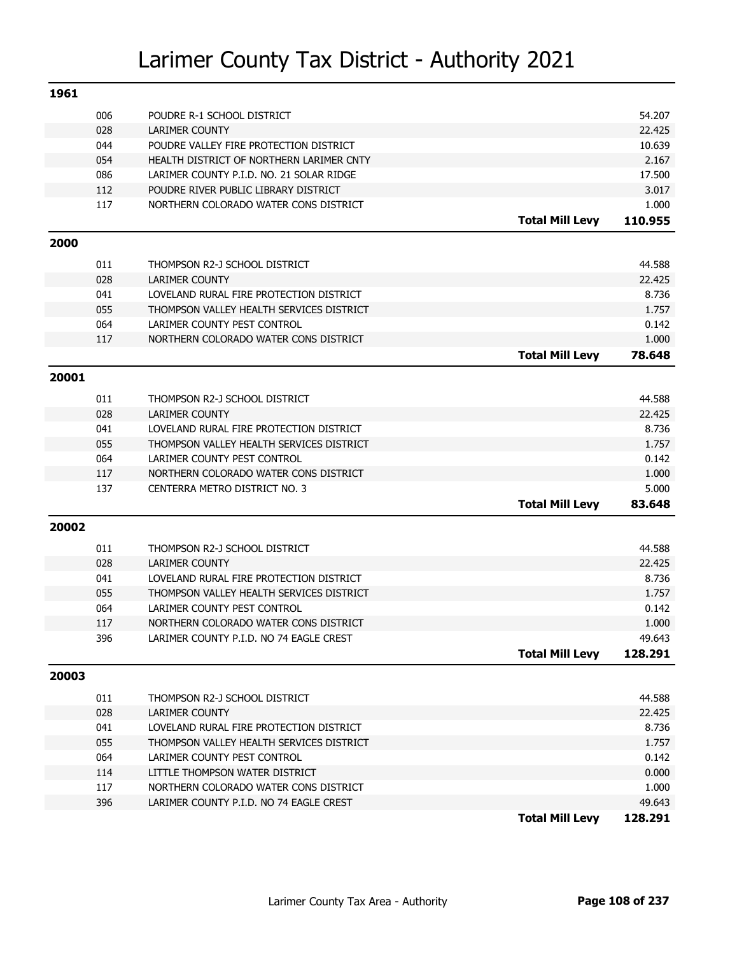| 1961  |     |                                          |                        |                 |
|-------|-----|------------------------------------------|------------------------|-----------------|
|       | 006 | POUDRE R-1 SCHOOL DISTRICT               |                        | 54.207          |
|       | 028 | <b>LARIMER COUNTY</b>                    |                        | 22.425          |
|       | 044 | POUDRE VALLEY FIRE PROTECTION DISTRICT   |                        | 10.639          |
|       | 054 | HEALTH DISTRICT OF NORTHERN LARIMER CNTY |                        | 2.167           |
|       | 086 | LARIMER COUNTY P.I.D. NO. 21 SOLAR RIDGE |                        | 17.500          |
|       | 112 | POUDRE RIVER PUBLIC LIBRARY DISTRICT     |                        | 3.017           |
|       | 117 | NORTHERN COLORADO WATER CONS DISTRICT    |                        | 1.000           |
|       |     |                                          | <b>Total Mill Levy</b> | 110.955         |
| 2000  |     |                                          |                        |                 |
|       | 011 | THOMPSON R2-J SCHOOL DISTRICT            |                        | 44.588          |
|       | 028 | <b>LARIMER COUNTY</b>                    |                        | 22.425          |
|       | 041 | LOVELAND RURAL FIRE PROTECTION DISTRICT  |                        | 8.736           |
|       | 055 | THOMPSON VALLEY HEALTH SERVICES DISTRICT |                        | 1.757           |
|       | 064 | LARIMER COUNTY PEST CONTROL              |                        | 0.142           |
|       | 117 | NORTHERN COLORADO WATER CONS DISTRICT    |                        | 1.000           |
|       |     |                                          | <b>Total Mill Levy</b> | 78.648          |
| 20001 |     |                                          |                        |                 |
|       |     |                                          |                        |                 |
|       | 011 | THOMPSON R2-J SCHOOL DISTRICT            |                        | 44.588          |
|       | 028 | <b>LARIMER COUNTY</b>                    |                        | 22.425          |
|       | 041 | LOVELAND RURAL FIRE PROTECTION DISTRICT  |                        | 8.736           |
|       | 055 | THOMPSON VALLEY HEALTH SERVICES DISTRICT |                        | 1.757           |
|       | 064 | LARIMER COUNTY PEST CONTROL              |                        | 0.142           |
|       | 117 | NORTHERN COLORADO WATER CONS DISTRICT    |                        | 1.000           |
|       | 137 | CENTERRA METRO DISTRICT NO. 3            | <b>Total Mill Levy</b> | 5.000<br>83.648 |
|       |     |                                          |                        |                 |
| 20002 |     |                                          |                        |                 |
|       | 011 | THOMPSON R2-J SCHOOL DISTRICT            |                        | 44.588          |
|       | 028 | <b>LARIMER COUNTY</b>                    |                        | 22.425          |
|       | 041 | LOVELAND RURAL FIRE PROTECTION DISTRICT  |                        | 8.736           |
|       | 055 | THOMPSON VALLEY HEALTH SERVICES DISTRICT |                        | 1.757           |
|       | 064 | LARIMER COUNTY PEST CONTROL              |                        | 0.142           |
|       | 117 | NORTHERN COLORADO WATER CONS DISTRICT    |                        | 1.000           |
|       | 396 | LARIMER COUNTY P.I.D. NO 74 EAGLE CREST  |                        | 49.643          |
|       |     |                                          | <b>Total Mill Levy</b> | 128.291         |
| 20003 |     |                                          |                        |                 |
|       | 011 | THOMPSON R2-J SCHOOL DISTRICT            |                        | 44.588          |
|       | 028 | LARIMER COUNTY                           |                        | 22.425          |
|       | 041 | LOVELAND RURAL FIRE PROTECTION DISTRICT  |                        | 8.736           |
|       | 055 | THOMPSON VALLEY HEALTH SERVICES DISTRICT |                        | 1.757           |
|       | 064 | LARIMER COUNTY PEST CONTROL              |                        | 0.142           |
|       | 114 | LITTLE THOMPSON WATER DISTRICT           |                        | 0.000           |
|       | 117 | NORTHERN COLORADO WATER CONS DISTRICT    |                        | 1.000           |
|       | 396 | LARIMER COUNTY P.I.D. NO 74 EAGLE CREST  |                        | 49.643          |
|       |     |                                          | <b>Total Mill Levy</b> | 128.291         |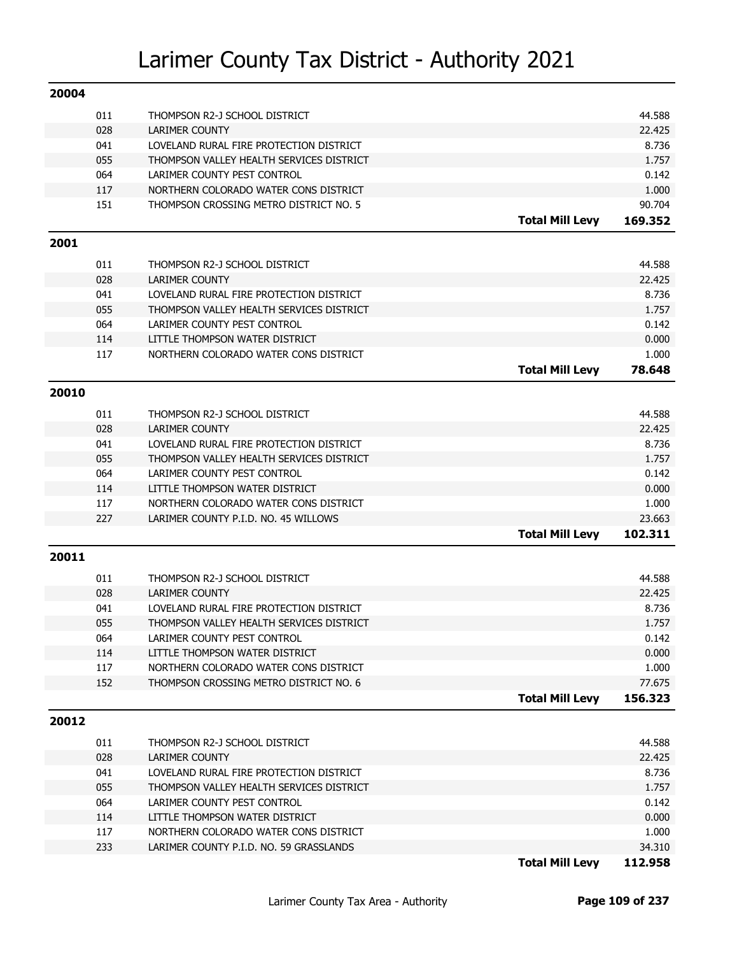| 20004 |            |                                                                                     |                        |                |
|-------|------------|-------------------------------------------------------------------------------------|------------------------|----------------|
|       | 011        | THOMPSON R2-J SCHOOL DISTRICT                                                       |                        | 44.588         |
|       | 028        | <b>LARIMER COUNTY</b>                                                               |                        | 22.425         |
|       | 041        | LOVELAND RURAL FIRE PROTECTION DISTRICT                                             |                        | 8.736          |
|       | 055        | THOMPSON VALLEY HEALTH SERVICES DISTRICT                                            |                        | 1.757          |
|       | 064        | LARIMER COUNTY PEST CONTROL                                                         |                        | 0.142          |
|       | 117        | NORTHERN COLORADO WATER CONS DISTRICT                                               |                        | 1.000          |
|       | 151        | THOMPSON CROSSING METRO DISTRICT NO. 5                                              |                        | 90.704         |
|       |            |                                                                                     | <b>Total Mill Levy</b> | 169.352        |
| 2001  |            |                                                                                     |                        |                |
|       |            |                                                                                     |                        |                |
|       | 011        | THOMPSON R2-J SCHOOL DISTRICT                                                       |                        | 44.588         |
|       | 028        | <b>LARIMER COUNTY</b>                                                               |                        | 22.425         |
|       | 041<br>055 | LOVELAND RURAL FIRE PROTECTION DISTRICT<br>THOMPSON VALLEY HEALTH SERVICES DISTRICT |                        | 8.736<br>1.757 |
|       | 064        | LARIMER COUNTY PEST CONTROL                                                         |                        | 0.142          |
|       | 114        | LITTLE THOMPSON WATER DISTRICT                                                      |                        | 0.000          |
|       | 117        | NORTHERN COLORADO WATER CONS DISTRICT                                               |                        | 1.000          |
|       |            |                                                                                     | <b>Total Mill Levy</b> |                |
|       |            |                                                                                     |                        | 78.648         |
| 20010 |            |                                                                                     |                        |                |
|       | 011        | THOMPSON R2-J SCHOOL DISTRICT                                                       |                        | 44.588         |
|       | 028        | <b>LARIMER COUNTY</b>                                                               |                        | 22.425         |
|       | 041        | LOVELAND RURAL FIRE PROTECTION DISTRICT                                             |                        | 8.736          |
|       | 055        | THOMPSON VALLEY HEALTH SERVICES DISTRICT                                            |                        | 1.757          |
|       | 064        | LARIMER COUNTY PEST CONTROL                                                         |                        | 0.142          |
|       | 114        | LITTLE THOMPSON WATER DISTRICT                                                      |                        | 0.000          |
|       | 117        | NORTHERN COLORADO WATER CONS DISTRICT                                               |                        | 1.000          |
|       | 227        | LARIMER COUNTY P.I.D. NO. 45 WILLOWS                                                |                        | 23.663         |
|       |            |                                                                                     | <b>Total Mill Levy</b> | 102.311        |
| 20011 |            |                                                                                     |                        |                |
|       | 011        | THOMPSON R2-J SCHOOL DISTRICT                                                       |                        | 44.588         |
|       | 028        | <b>LARIMER COUNTY</b>                                                               |                        | 22.425         |
|       | 041        | LOVELAND RURAL FIRE PROTECTION DISTRICT                                             |                        | 8.736          |
|       | 055        | THOMPSON VALLEY HEALTH SERVICES DISTRICT                                            |                        | 1.757          |
|       | 064        | LARIMER COUNTY PEST CONTROL                                                         |                        | 0.142          |
|       | 114        | LITTLE THOMPSON WATER DISTRICT                                                      |                        | 0.000          |
|       | 117        | NORTHERN COLORADO WATER CONS DISTRICT                                               |                        | 1.000          |
|       | 152        | THOMPSON CROSSING METRO DISTRICT NO. 6                                              |                        | 77.675         |
|       |            |                                                                                     | <b>Total Mill Levy</b> | 156.323        |
| 20012 |            |                                                                                     |                        |                |
|       |            |                                                                                     |                        |                |
|       | 011        | THOMPSON R2-J SCHOOL DISTRICT                                                       |                        | 44.588         |
|       | 028        | <b>LARIMER COUNTY</b>                                                               |                        | 22.425         |
|       | 041        | LOVELAND RURAL FIRE PROTECTION DISTRICT                                             |                        | 8.736          |
|       | 055        | THOMPSON VALLEY HEALTH SERVICES DISTRICT                                            |                        | 1.757          |
|       | 064        | LARIMER COUNTY PEST CONTROL                                                         |                        | 0.142          |
|       | 114        | LITTLE THOMPSON WATER DISTRICT                                                      |                        | 0.000          |
|       | 117        | NORTHERN COLORADO WATER CONS DISTRICT                                               |                        | 1.000          |
|       | 233        | LARIMER COUNTY P.I.D. NO. 59 GRASSLANDS                                             |                        | 34.310         |
|       |            |                                                                                     | <b>Total Mill Levy</b> | 112.958        |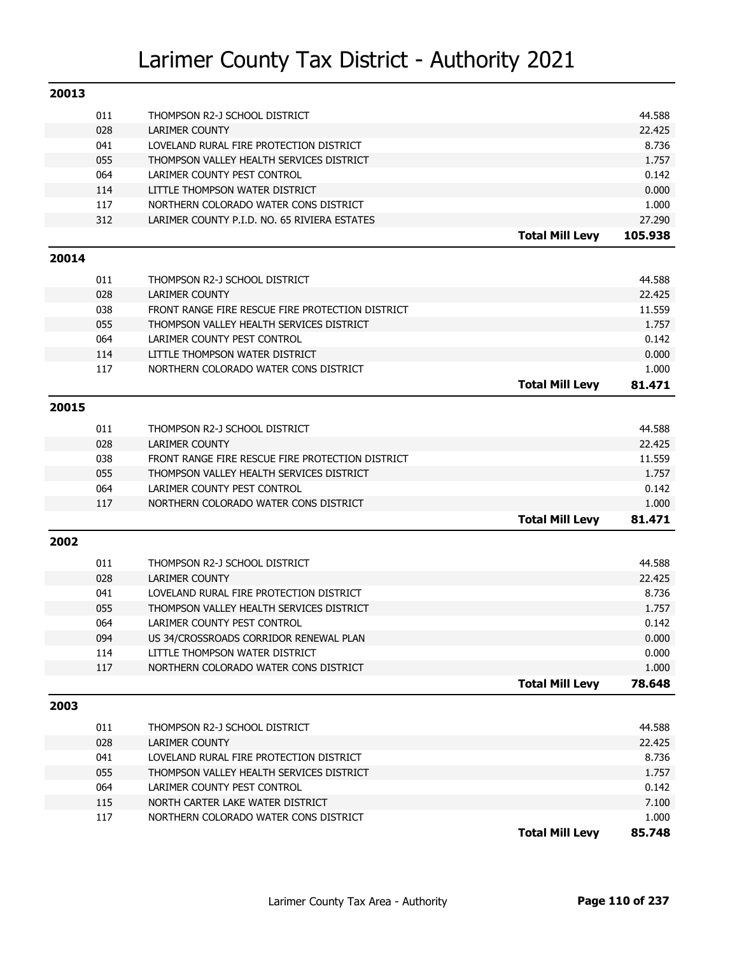| 20013 |     |                                                  |                        |         |
|-------|-----|--------------------------------------------------|------------------------|---------|
|       | 011 | THOMPSON R2-J SCHOOL DISTRICT                    |                        | 44.588  |
|       | 028 | <b>LARIMER COUNTY</b>                            |                        | 22.425  |
|       | 041 | LOVELAND RURAL FIRE PROTECTION DISTRICT          |                        | 8.736   |
|       | 055 | THOMPSON VALLEY HEALTH SERVICES DISTRICT         |                        | 1.757   |
|       | 064 | LARIMER COUNTY PEST CONTROL                      |                        | 0.142   |
|       | 114 | LITTLE THOMPSON WATER DISTRICT                   |                        | 0.000   |
|       | 117 | NORTHERN COLORADO WATER CONS DISTRICT            |                        | 1.000   |
|       | 312 | LARIMER COUNTY P.I.D. NO. 65 RIVIERA ESTATES     |                        | 27.290  |
|       |     |                                                  | <b>Total Mill Levy</b> | 105.938 |
| 20014 |     |                                                  |                        |         |
|       | 011 | THOMPSON R2-J SCHOOL DISTRICT                    |                        | 44.588  |
|       | 028 | <b>LARIMER COUNTY</b>                            |                        | 22.425  |
|       | 038 | FRONT RANGE FIRE RESCUE FIRE PROTECTION DISTRICT |                        | 11.559  |
|       | 055 | THOMPSON VALLEY HEALTH SERVICES DISTRICT         |                        | 1.757   |
|       | 064 | LARIMER COUNTY PEST CONTROL                      |                        | 0.142   |
|       | 114 | LITTLE THOMPSON WATER DISTRICT                   |                        | 0.000   |
|       | 117 | NORTHERN COLORADO WATER CONS DISTRICT            |                        | 1.000   |
|       |     |                                                  | <b>Total Mill Levy</b> | 81.471  |
| 20015 |     |                                                  |                        |         |
|       | 011 | THOMPSON R2-J SCHOOL DISTRICT                    |                        | 44.588  |
|       | 028 | <b>LARIMER COUNTY</b>                            |                        | 22.425  |
|       | 038 | FRONT RANGE FIRE RESCUE FIRE PROTECTION DISTRICT |                        | 11.559  |
|       | 055 | THOMPSON VALLEY HEALTH SERVICES DISTRICT         |                        | 1.757   |
|       | 064 | LARIMER COUNTY PEST CONTROL                      |                        | 0.142   |
|       | 117 | NORTHERN COLORADO WATER CONS DISTRICT            |                        | 1.000   |
|       |     |                                                  | <b>Total Mill Levy</b> | 81.471  |
| 2002  |     |                                                  |                        |         |
|       | 011 | THOMPSON R2-J SCHOOL DISTRICT                    |                        | 44.588  |
|       | 028 | <b>LARIMER COUNTY</b>                            |                        | 22.425  |
|       | 041 | LOVELAND RURAL FIRE PROTECTION DISTRICT          |                        | 8.736   |
|       | 055 | THOMPSON VALLEY HEALTH SERVICES DISTRICT         |                        | 1.757   |
|       | 064 | LARIMER COUNTY PEST CONTROL                      |                        | 0.142   |
|       | 094 | US 34/CROSSROADS CORRIDOR RENEWAL PLAN           |                        | 0.000   |
|       | 114 | LITTLE THOMPSON WATER DISTRICT                   |                        | 0.000   |
|       | 117 | NORTHERN COLORADO WATER CONS DISTRICT            |                        | 1.000   |
|       |     |                                                  | <b>Total Mill Levy</b> | 78.648  |
| 2003  |     |                                                  |                        |         |
|       | 011 | THOMPSON R2-J SCHOOL DISTRICT                    |                        | 44.588  |
|       | 028 | LARIMER COUNTY                                   |                        | 22.425  |
|       | 041 | LOVELAND RURAL FIRE PROTECTION DISTRICT          |                        | 8.736   |
|       | 055 | THOMPSON VALLEY HEALTH SERVICES DISTRICT         |                        | 1.757   |
|       | 064 | LARIMER COUNTY PEST CONTROL                      |                        | 0.142   |
|       | 115 | NORTH CARTER LAKE WATER DISTRICT                 |                        | 7.100   |
|       | 117 | NORTHERN COLORADO WATER CONS DISTRICT            |                        | 1.000   |
|       |     |                                                  | <b>Total Mill Levy</b> | 85.748  |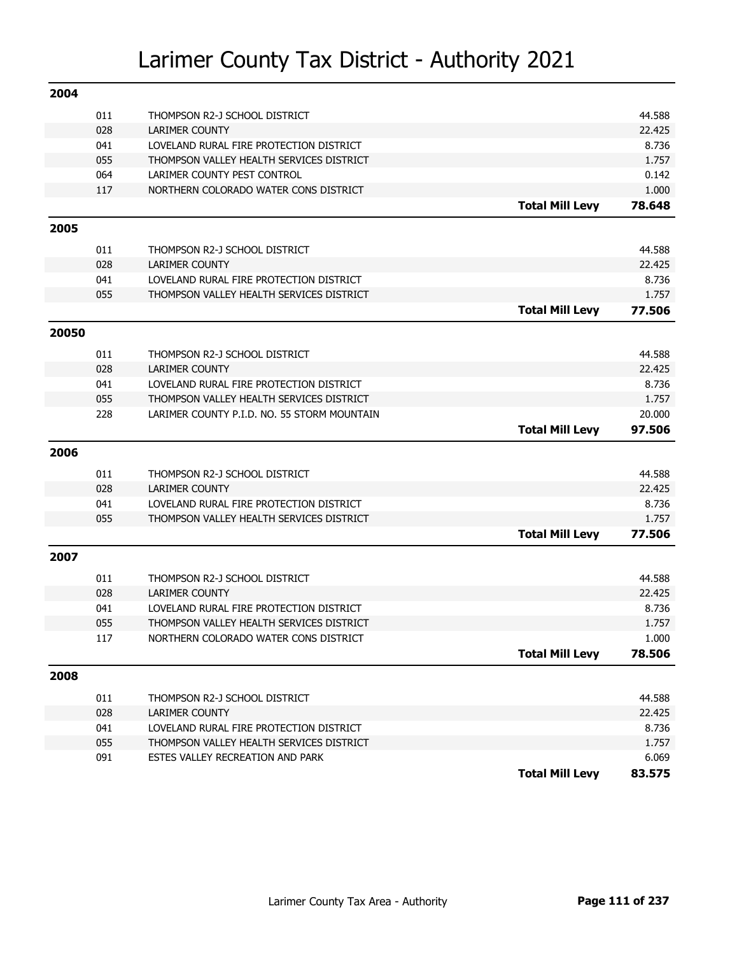| 2004  |     |                                             |                        |        |
|-------|-----|---------------------------------------------|------------------------|--------|
|       | 011 | THOMPSON R2-J SCHOOL DISTRICT               |                        | 44.588 |
|       | 028 | <b>LARIMER COUNTY</b>                       |                        | 22.425 |
|       | 041 | LOVELAND RURAL FIRE PROTECTION DISTRICT     |                        | 8.736  |
|       | 055 | THOMPSON VALLEY HEALTH SERVICES DISTRICT    |                        | 1.757  |
|       | 064 | LARIMER COUNTY PEST CONTROL                 |                        | 0.142  |
|       | 117 | NORTHERN COLORADO WATER CONS DISTRICT       |                        | 1.000  |
|       |     |                                             | <b>Total Mill Levy</b> | 78.648 |
| 2005  |     |                                             |                        |        |
|       | 011 | THOMPSON R2-J SCHOOL DISTRICT               |                        | 44.588 |
|       | 028 | <b>LARIMER COUNTY</b>                       |                        | 22.425 |
|       | 041 | LOVELAND RURAL FIRE PROTECTION DISTRICT     |                        | 8.736  |
|       | 055 | THOMPSON VALLEY HEALTH SERVICES DISTRICT    |                        | 1.757  |
|       |     |                                             | <b>Total Mill Levy</b> | 77.506 |
| 20050 |     |                                             |                        |        |
|       | 011 | THOMPSON R2-J SCHOOL DISTRICT               |                        | 44.588 |
|       | 028 | <b>LARIMER COUNTY</b>                       |                        | 22.425 |
|       | 041 | LOVELAND RURAL FIRE PROTECTION DISTRICT     |                        | 8.736  |
|       | 055 | THOMPSON VALLEY HEALTH SERVICES DISTRICT    |                        | 1.757  |
|       | 228 | LARIMER COUNTY P.I.D. NO. 55 STORM MOUNTAIN |                        | 20.000 |
|       |     |                                             | <b>Total Mill Levy</b> | 97.506 |
| 2006  |     |                                             |                        |        |
|       | 011 | THOMPSON R2-J SCHOOL DISTRICT               |                        | 44.588 |
|       | 028 | <b>LARIMER COUNTY</b>                       |                        | 22.425 |
|       | 041 | LOVELAND RURAL FIRE PROTECTION DISTRICT     |                        | 8.736  |
|       | 055 | THOMPSON VALLEY HEALTH SERVICES DISTRICT    |                        | 1.757  |
|       |     |                                             | <b>Total Mill Levy</b> | 77.506 |
| 2007  |     |                                             |                        |        |
|       | 011 | THOMPSON R2-J SCHOOL DISTRICT               |                        | 44.588 |
|       | 028 | <b>LARIMER COUNTY</b>                       |                        | 22.425 |
|       | 041 | LOVELAND RURAL FIRE PROTECTION DISTRICT     |                        | 8.736  |
|       | 055 | THOMPSON VALLEY HEALTH SERVICES DISTRICT    |                        | 1.757  |
|       | 117 | NORTHERN COLORADO WATER CONS DISTRICT       |                        | 1.000  |
|       |     |                                             | <b>Total Mill Levy</b> | 78.506 |
| 2008  |     |                                             |                        |        |
|       | 011 | THOMPSON R2-J SCHOOL DISTRICT               |                        | 44.588 |
|       | 028 | <b>LARIMER COUNTY</b>                       |                        | 22.425 |
|       | 041 | LOVELAND RURAL FIRE PROTECTION DISTRICT     |                        | 8.736  |
|       | 055 | THOMPSON VALLEY HEALTH SERVICES DISTRICT    |                        | 1.757  |
|       | 091 | ESTES VALLEY RECREATION AND PARK            |                        | 6.069  |
|       |     |                                             | <b>Total Mill Levy</b> | 83.575 |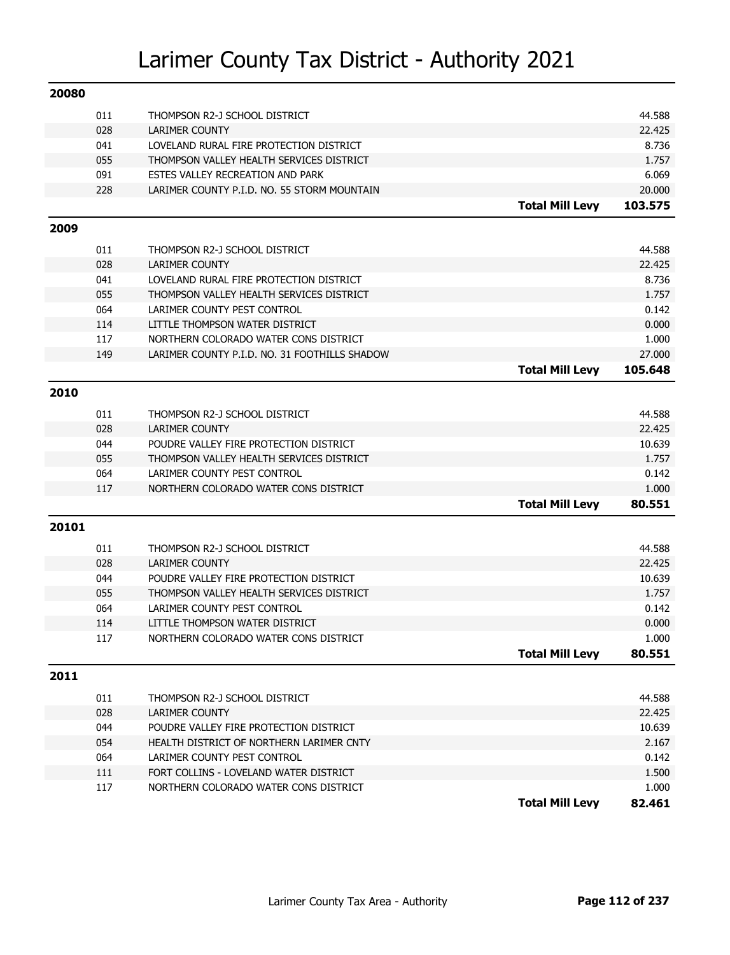| 20080 |            |                                                        |                        |                  |
|-------|------------|--------------------------------------------------------|------------------------|------------------|
|       | 011        | THOMPSON R2-J SCHOOL DISTRICT                          |                        | 44.588           |
|       | 028        | <b>LARIMER COUNTY</b>                                  |                        | 22.425           |
|       | 041        | LOVELAND RURAL FIRE PROTECTION DISTRICT                |                        | 8.736            |
|       | 055        | THOMPSON VALLEY HEALTH SERVICES DISTRICT               |                        | 1.757            |
|       | 091        | ESTES VALLEY RECREATION AND PARK                       |                        | 6.069            |
|       | 228        | LARIMER COUNTY P.I.D. NO. 55 STORM MOUNTAIN            |                        | 20.000           |
|       |            |                                                        | <b>Total Mill Levy</b> | 103.575          |
| 2009  |            |                                                        |                        |                  |
|       | 011        | THOMPSON R2-J SCHOOL DISTRICT                          |                        | 44.588           |
|       | 028        | <b>LARIMER COUNTY</b>                                  |                        | 22.425           |
|       | 041        | LOVELAND RURAL FIRE PROTECTION DISTRICT                |                        | 8.736            |
|       | 055        | THOMPSON VALLEY HEALTH SERVICES DISTRICT               |                        | 1.757            |
|       | 064        | LARIMER COUNTY PEST CONTROL                            |                        | 0.142            |
|       | 114        | LITTLE THOMPSON WATER DISTRICT                         |                        | 0.000            |
|       | 117        | NORTHERN COLORADO WATER CONS DISTRICT                  |                        | 1.000            |
|       | 149        | LARIMER COUNTY P.I.D. NO. 31 FOOTHILLS SHADOW          |                        | 27.000           |
|       |            |                                                        | <b>Total Mill Levy</b> | 105.648          |
| 2010  |            |                                                        |                        |                  |
|       |            |                                                        |                        |                  |
|       | 011        | THOMPSON R2-J SCHOOL DISTRICT<br><b>LARIMER COUNTY</b> |                        | 44.588           |
|       | 028<br>044 | POUDRE VALLEY FIRE PROTECTION DISTRICT                 |                        | 22.425<br>10.639 |
|       | 055        | THOMPSON VALLEY HEALTH SERVICES DISTRICT               |                        | 1.757            |
|       | 064        | LARIMER COUNTY PEST CONTROL                            |                        | 0.142            |
|       | 117        | NORTHERN COLORADO WATER CONS DISTRICT                  |                        | 1.000            |
|       |            |                                                        | <b>Total Mill Levy</b> | 80.551           |
|       |            |                                                        |                        |                  |
| 20101 |            |                                                        |                        |                  |
|       | 011        | THOMPSON R2-J SCHOOL DISTRICT                          |                        | 44.588           |
|       | 028        | <b>LARIMER COUNTY</b>                                  |                        | 22.425           |
|       | 044        | POUDRE VALLEY FIRE PROTECTION DISTRICT                 |                        | 10.639           |
|       | 055        | THOMPSON VALLEY HEALTH SERVICES DISTRICT               |                        | 1.757            |
|       | 064        | LARIMER COUNTY PEST CONTROL                            |                        | 0.142            |
|       | 114        | LITTLE THOMPSON WATER DISTRICT                         |                        | 0.000            |
|       | 117        | NORTHERN COLORADO WATER CONS DISTRICT                  |                        | 1.000            |
|       |            |                                                        | <b>Total Mill Levy</b> | 80.551           |
| 2011  |            |                                                        |                        |                  |
|       | 011        | THOMPSON R2-J SCHOOL DISTRICT                          |                        | 44.588           |
|       | 028        | LARIMER COUNTY                                         |                        | 22.425           |
|       | 044        | POUDRE VALLEY FIRE PROTECTION DISTRICT                 |                        | 10.639           |
|       | 054        | HEALTH DISTRICT OF NORTHERN LARIMER CNTY               |                        | 2.167            |
|       | 064        | LARIMER COUNTY PEST CONTROL                            |                        | 0.142            |
|       | 111        | FORT COLLINS - LOVELAND WATER DISTRICT                 |                        | 1.500            |
|       | 117        | NORTHERN COLORADO WATER CONS DISTRICT                  |                        | 1.000            |
|       |            |                                                        | <b>Total Mill Levy</b> | 82.461           |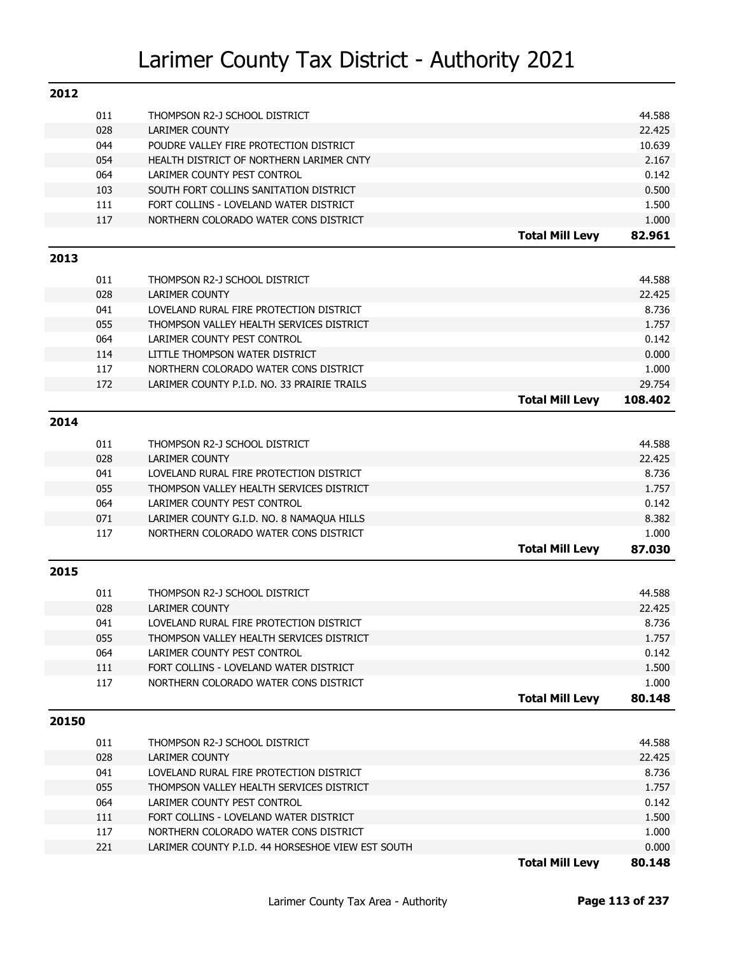| 2012  |            |                                                                         |                        |                |
|-------|------------|-------------------------------------------------------------------------|------------------------|----------------|
|       | 011        | THOMPSON R2-J SCHOOL DISTRICT                                           |                        | 44.588         |
|       | 028        | LARIMER COUNTY                                                          |                        | 22.425         |
|       | 044        | POUDRE VALLEY FIRE PROTECTION DISTRICT                                  |                        | 10.639         |
|       | 054        | HEALTH DISTRICT OF NORTHERN LARIMER CNTY                                |                        | 2.167          |
|       | 064        | LARIMER COUNTY PEST CONTROL                                             |                        | 0.142          |
|       | 103        | SOUTH FORT COLLINS SANITATION DISTRICT                                  |                        | 0.500          |
|       | 111        | FORT COLLINS - LOVELAND WATER DISTRICT                                  |                        | 1.500          |
|       | 117        | NORTHERN COLORADO WATER CONS DISTRICT                                   |                        | 1.000          |
|       |            |                                                                         | <b>Total Mill Levy</b> | 82.961         |
| 2013  |            |                                                                         |                        |                |
|       | 011        | THOMPSON R2-J SCHOOL DISTRICT                                           |                        | 44.588         |
|       | 028        | <b>LARIMER COUNTY</b>                                                   |                        | 22.425         |
|       | 041        | LOVELAND RURAL FIRE PROTECTION DISTRICT                                 |                        | 8.736          |
|       | 055        | THOMPSON VALLEY HEALTH SERVICES DISTRICT                                |                        | 1.757          |
|       | 064        | LARIMER COUNTY PEST CONTROL                                             |                        | 0.142          |
|       | 114        | LITTLE THOMPSON WATER DISTRICT                                          |                        | 0.000          |
|       | 117        | NORTHERN COLORADO WATER CONS DISTRICT                                   |                        | 1.000          |
|       | 172        | LARIMER COUNTY P.I.D. NO. 33 PRAIRIE TRAILS                             |                        | 29.754         |
|       |            |                                                                         | <b>Total Mill Levy</b> | 108.402        |
| 2014  |            |                                                                         |                        |                |
|       | 011        | THOMPSON R2-J SCHOOL DISTRICT                                           |                        | 44.588         |
|       | 028        | <b>LARIMER COUNTY</b>                                                   |                        | 22.425         |
|       | 041        | LOVELAND RURAL FIRE PROTECTION DISTRICT                                 |                        | 8.736          |
|       | 055        | THOMPSON VALLEY HEALTH SERVICES DISTRICT                                |                        | 1.757          |
|       | 064        | LARIMER COUNTY PEST CONTROL                                             |                        | 0.142          |
|       | 071        | LARIMER COUNTY G.I.D. NO. 8 NAMAQUA HILLS                               |                        | 8.382          |
|       | 117        | NORTHERN COLORADO WATER CONS DISTRICT                                   |                        | 1.000          |
|       |            |                                                                         | <b>Total Mill Levy</b> | 87.030         |
| 2015  |            |                                                                         |                        |                |
|       |            |                                                                         |                        | 44.588         |
|       | 011        | THOMPSON R2-J SCHOOL DISTRICT                                           |                        | 22.425         |
|       | 028<br>041 | <b>LARIMER COUNTY</b><br>LOVELAND RURAL FIRE PROTECTION DISTRICT        |                        | 8.736          |
|       |            |                                                                         |                        |                |
|       | 055<br>064 | THOMPSON VALLEY HEALTH SERVICES DISTRICT<br>LARIMER COUNTY PEST CONTROL |                        | 1.757<br>0.142 |
|       | 111        | FORT COLLINS - LOVELAND WATER DISTRICT                                  |                        | 1.500          |
|       | 117        | NORTHERN COLORADO WATER CONS DISTRICT                                   |                        | 1.000          |
|       |            |                                                                         | <b>Total Mill Levy</b> | 80.148         |
| 20150 |            |                                                                         |                        |                |
|       |            |                                                                         |                        |                |
|       | 011        | THOMPSON R2-J SCHOOL DISTRICT                                           |                        | 44.588         |
|       | 028        | <b>LARIMER COUNTY</b>                                                   |                        | 22.425         |
|       | 041        | LOVELAND RURAL FIRE PROTECTION DISTRICT                                 |                        | 8.736          |
|       | 055        | THOMPSON VALLEY HEALTH SERVICES DISTRICT                                |                        | 1.757          |
|       | 064        | LARIMER COUNTY PEST CONTROL                                             |                        | 0.142          |
|       | 111        | FORT COLLINS - LOVELAND WATER DISTRICT                                  |                        | 1.500          |
|       | 117        | NORTHERN COLORADO WATER CONS DISTRICT                                   |                        | 1.000          |
|       | 221        | LARIMER COUNTY P.I.D. 44 HORSESHOE VIEW EST SOUTH                       |                        | 0.000          |
|       |            |                                                                         | <b>Total Mill Levy</b> | 80.148         |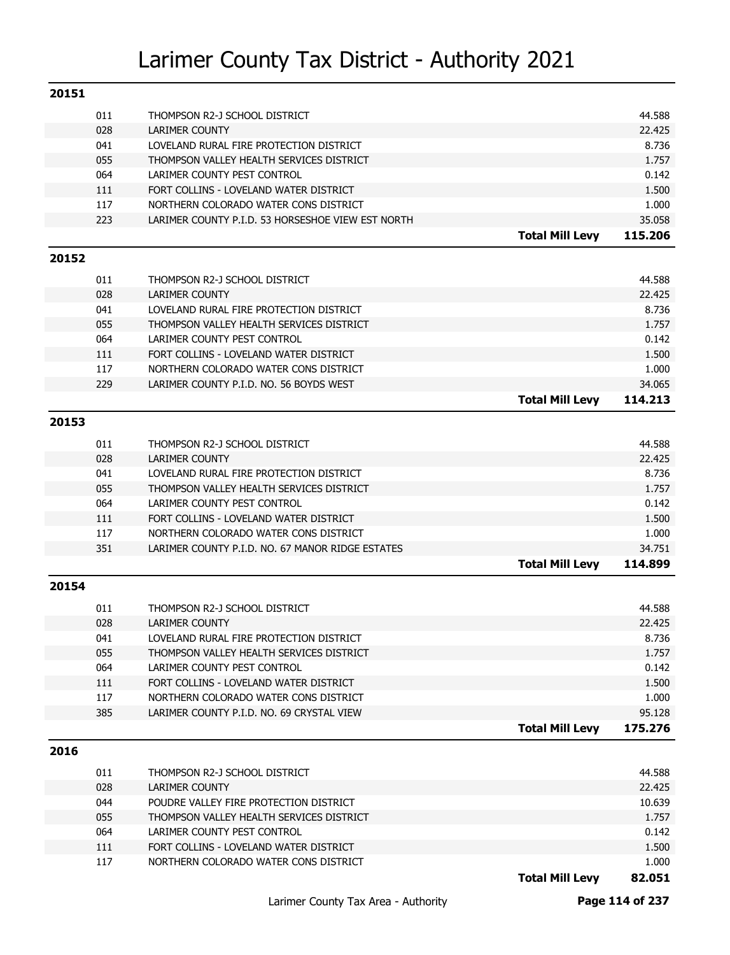| 011<br>44.588<br>THOMPSON R2-J SCHOOL DISTRICT<br>028<br>22.425<br><b>LARIMER COUNTY</b><br>041<br>8.736<br>LOVELAND RURAL FIRE PROTECTION DISTRICT<br>055<br>THOMPSON VALLEY HEALTH SERVICES DISTRICT<br>1.757<br>064<br>LARIMER COUNTY PEST CONTROL<br>0.142<br>111<br>FORT COLLINS - LOVELAND WATER DISTRICT<br>1.500<br>117<br>NORTHERN COLORADO WATER CONS DISTRICT<br>1.000<br>223<br>LARIMER COUNTY P.I.D. 53 HORSESHOE VIEW EST NORTH<br>35.058<br><b>Total Mill Levy</b><br>115,206<br>20152<br>011<br>44.588<br>THOMPSON R2-J SCHOOL DISTRICT<br>028<br>22.425<br><b>LARIMER COUNTY</b><br>041<br>LOVELAND RURAL FIRE PROTECTION DISTRICT<br>8.736<br>055<br>1.757<br>THOMPSON VALLEY HEALTH SERVICES DISTRICT<br>064<br>0.142<br>LARIMER COUNTY PEST CONTROL<br>111<br>FORT COLLINS - LOVELAND WATER DISTRICT<br>1.500<br>117<br>1.000<br>NORTHERN COLORADO WATER CONS DISTRICT<br>229<br>LARIMER COUNTY P.I.D. NO. 56 BOYDS WEST<br>34.065<br><b>Total Mill Levy</b><br>114.213<br>20153<br>011<br>44.588<br>THOMPSON R2-J SCHOOL DISTRICT<br>028<br><b>LARIMER COUNTY</b><br>22.425<br>041<br>LOVELAND RURAL FIRE PROTECTION DISTRICT<br>8.736<br>055<br>1.757<br>THOMPSON VALLEY HEALTH SERVICES DISTRICT<br>064<br>0.142<br>LARIMER COUNTY PEST CONTROL<br>111<br>FORT COLLINS - LOVELAND WATER DISTRICT<br>1.500<br>117<br>1.000<br>NORTHERN COLORADO WATER CONS DISTRICT<br>351<br>34.751<br>LARIMER COUNTY P.I.D. NO. 67 MANOR RIDGE ESTATES<br><b>Total Mill Levy</b><br>114.899<br>20154<br>011<br>44.588<br>THOMPSON R2-J SCHOOL DISTRICT<br>028<br><b>LARIMER COUNTY</b><br>22.425<br>041<br>8.736<br>LOVELAND RURAL FIRE PROTECTION DISTRICT<br>055<br>1.757<br>THOMPSON VALLEY HEALTH SERVICES DISTRICT<br>064<br>0.142<br>LARIMER COUNTY PEST CONTROL<br>111<br>FORT COLLINS - LOVELAND WATER DISTRICT<br>1.500<br>117<br>1.000<br>NORTHERN COLORADO WATER CONS DISTRICT<br>385<br>95.128<br>LARIMER COUNTY P.I.D. NO. 69 CRYSTAL VIEW<br><b>Total Mill Levy</b><br>175.276<br>2016<br>011<br>44.588<br>THOMPSON R2-J SCHOOL DISTRICT<br>028<br>22.425<br>LARIMER COUNTY<br>044<br>POUDRE VALLEY FIRE PROTECTION DISTRICT<br>10.639<br>055<br>1.757<br>THOMPSON VALLEY HEALTH SERVICES DISTRICT<br>064<br>0.142<br>LARIMER COUNTY PEST CONTROL<br>1.500<br>111<br>FORT COLLINS - LOVELAND WATER DISTRICT<br>117<br>1.000<br>NORTHERN COLORADO WATER CONS DISTRICT<br>82.051 | 20151 |  |                        |  |
|------------------------------------------------------------------------------------------------------------------------------------------------------------------------------------------------------------------------------------------------------------------------------------------------------------------------------------------------------------------------------------------------------------------------------------------------------------------------------------------------------------------------------------------------------------------------------------------------------------------------------------------------------------------------------------------------------------------------------------------------------------------------------------------------------------------------------------------------------------------------------------------------------------------------------------------------------------------------------------------------------------------------------------------------------------------------------------------------------------------------------------------------------------------------------------------------------------------------------------------------------------------------------------------------------------------------------------------------------------------------------------------------------------------------------------------------------------------------------------------------------------------------------------------------------------------------------------------------------------------------------------------------------------------------------------------------------------------------------------------------------------------------------------------------------------------------------------------------------------------------------------------------------------------------------------------------------------------------------------------------------------------------------------------------------------------------------------------------------------------------------------------------------------------------------------------------------------------------------------------------------------------------------------------------------------------------------------------------------------------------------------------------------|-------|--|------------------------|--|
|                                                                                                                                                                                                                                                                                                                                                                                                                                                                                                                                                                                                                                                                                                                                                                                                                                                                                                                                                                                                                                                                                                                                                                                                                                                                                                                                                                                                                                                                                                                                                                                                                                                                                                                                                                                                                                                                                                                                                                                                                                                                                                                                                                                                                                                                                                                                                                                                      |       |  |                        |  |
|                                                                                                                                                                                                                                                                                                                                                                                                                                                                                                                                                                                                                                                                                                                                                                                                                                                                                                                                                                                                                                                                                                                                                                                                                                                                                                                                                                                                                                                                                                                                                                                                                                                                                                                                                                                                                                                                                                                                                                                                                                                                                                                                                                                                                                                                                                                                                                                                      |       |  |                        |  |
|                                                                                                                                                                                                                                                                                                                                                                                                                                                                                                                                                                                                                                                                                                                                                                                                                                                                                                                                                                                                                                                                                                                                                                                                                                                                                                                                                                                                                                                                                                                                                                                                                                                                                                                                                                                                                                                                                                                                                                                                                                                                                                                                                                                                                                                                                                                                                                                                      |       |  |                        |  |
|                                                                                                                                                                                                                                                                                                                                                                                                                                                                                                                                                                                                                                                                                                                                                                                                                                                                                                                                                                                                                                                                                                                                                                                                                                                                                                                                                                                                                                                                                                                                                                                                                                                                                                                                                                                                                                                                                                                                                                                                                                                                                                                                                                                                                                                                                                                                                                                                      |       |  |                        |  |
|                                                                                                                                                                                                                                                                                                                                                                                                                                                                                                                                                                                                                                                                                                                                                                                                                                                                                                                                                                                                                                                                                                                                                                                                                                                                                                                                                                                                                                                                                                                                                                                                                                                                                                                                                                                                                                                                                                                                                                                                                                                                                                                                                                                                                                                                                                                                                                                                      |       |  |                        |  |
|                                                                                                                                                                                                                                                                                                                                                                                                                                                                                                                                                                                                                                                                                                                                                                                                                                                                                                                                                                                                                                                                                                                                                                                                                                                                                                                                                                                                                                                                                                                                                                                                                                                                                                                                                                                                                                                                                                                                                                                                                                                                                                                                                                                                                                                                                                                                                                                                      |       |  |                        |  |
|                                                                                                                                                                                                                                                                                                                                                                                                                                                                                                                                                                                                                                                                                                                                                                                                                                                                                                                                                                                                                                                                                                                                                                                                                                                                                                                                                                                                                                                                                                                                                                                                                                                                                                                                                                                                                                                                                                                                                                                                                                                                                                                                                                                                                                                                                                                                                                                                      |       |  |                        |  |
|                                                                                                                                                                                                                                                                                                                                                                                                                                                                                                                                                                                                                                                                                                                                                                                                                                                                                                                                                                                                                                                                                                                                                                                                                                                                                                                                                                                                                                                                                                                                                                                                                                                                                                                                                                                                                                                                                                                                                                                                                                                                                                                                                                                                                                                                                                                                                                                                      |       |  |                        |  |
|                                                                                                                                                                                                                                                                                                                                                                                                                                                                                                                                                                                                                                                                                                                                                                                                                                                                                                                                                                                                                                                                                                                                                                                                                                                                                                                                                                                                                                                                                                                                                                                                                                                                                                                                                                                                                                                                                                                                                                                                                                                                                                                                                                                                                                                                                                                                                                                                      |       |  |                        |  |
|                                                                                                                                                                                                                                                                                                                                                                                                                                                                                                                                                                                                                                                                                                                                                                                                                                                                                                                                                                                                                                                                                                                                                                                                                                                                                                                                                                                                                                                                                                                                                                                                                                                                                                                                                                                                                                                                                                                                                                                                                                                                                                                                                                                                                                                                                                                                                                                                      |       |  |                        |  |
|                                                                                                                                                                                                                                                                                                                                                                                                                                                                                                                                                                                                                                                                                                                                                                                                                                                                                                                                                                                                                                                                                                                                                                                                                                                                                                                                                                                                                                                                                                                                                                                                                                                                                                                                                                                                                                                                                                                                                                                                                                                                                                                                                                                                                                                                                                                                                                                                      |       |  |                        |  |
|                                                                                                                                                                                                                                                                                                                                                                                                                                                                                                                                                                                                                                                                                                                                                                                                                                                                                                                                                                                                                                                                                                                                                                                                                                                                                                                                                                                                                                                                                                                                                                                                                                                                                                                                                                                                                                                                                                                                                                                                                                                                                                                                                                                                                                                                                                                                                                                                      |       |  |                        |  |
|                                                                                                                                                                                                                                                                                                                                                                                                                                                                                                                                                                                                                                                                                                                                                                                                                                                                                                                                                                                                                                                                                                                                                                                                                                                                                                                                                                                                                                                                                                                                                                                                                                                                                                                                                                                                                                                                                                                                                                                                                                                                                                                                                                                                                                                                                                                                                                                                      |       |  |                        |  |
|                                                                                                                                                                                                                                                                                                                                                                                                                                                                                                                                                                                                                                                                                                                                                                                                                                                                                                                                                                                                                                                                                                                                                                                                                                                                                                                                                                                                                                                                                                                                                                                                                                                                                                                                                                                                                                                                                                                                                                                                                                                                                                                                                                                                                                                                                                                                                                                                      |       |  |                        |  |
|                                                                                                                                                                                                                                                                                                                                                                                                                                                                                                                                                                                                                                                                                                                                                                                                                                                                                                                                                                                                                                                                                                                                                                                                                                                                                                                                                                                                                                                                                                                                                                                                                                                                                                                                                                                                                                                                                                                                                                                                                                                                                                                                                                                                                                                                                                                                                                                                      |       |  |                        |  |
|                                                                                                                                                                                                                                                                                                                                                                                                                                                                                                                                                                                                                                                                                                                                                                                                                                                                                                                                                                                                                                                                                                                                                                                                                                                                                                                                                                                                                                                                                                                                                                                                                                                                                                                                                                                                                                                                                                                                                                                                                                                                                                                                                                                                                                                                                                                                                                                                      |       |  |                        |  |
|                                                                                                                                                                                                                                                                                                                                                                                                                                                                                                                                                                                                                                                                                                                                                                                                                                                                                                                                                                                                                                                                                                                                                                                                                                                                                                                                                                                                                                                                                                                                                                                                                                                                                                                                                                                                                                                                                                                                                                                                                                                                                                                                                                                                                                                                                                                                                                                                      |       |  |                        |  |
|                                                                                                                                                                                                                                                                                                                                                                                                                                                                                                                                                                                                                                                                                                                                                                                                                                                                                                                                                                                                                                                                                                                                                                                                                                                                                                                                                                                                                                                                                                                                                                                                                                                                                                                                                                                                                                                                                                                                                                                                                                                                                                                                                                                                                                                                                                                                                                                                      |       |  |                        |  |
|                                                                                                                                                                                                                                                                                                                                                                                                                                                                                                                                                                                                                                                                                                                                                                                                                                                                                                                                                                                                                                                                                                                                                                                                                                                                                                                                                                                                                                                                                                                                                                                                                                                                                                                                                                                                                                                                                                                                                                                                                                                                                                                                                                                                                                                                                                                                                                                                      |       |  |                        |  |
|                                                                                                                                                                                                                                                                                                                                                                                                                                                                                                                                                                                                                                                                                                                                                                                                                                                                                                                                                                                                                                                                                                                                                                                                                                                                                                                                                                                                                                                                                                                                                                                                                                                                                                                                                                                                                                                                                                                                                                                                                                                                                                                                                                                                                                                                                                                                                                                                      |       |  |                        |  |
|                                                                                                                                                                                                                                                                                                                                                                                                                                                                                                                                                                                                                                                                                                                                                                                                                                                                                                                                                                                                                                                                                                                                                                                                                                                                                                                                                                                                                                                                                                                                                                                                                                                                                                                                                                                                                                                                                                                                                                                                                                                                                                                                                                                                                                                                                                                                                                                                      |       |  |                        |  |
|                                                                                                                                                                                                                                                                                                                                                                                                                                                                                                                                                                                                                                                                                                                                                                                                                                                                                                                                                                                                                                                                                                                                                                                                                                                                                                                                                                                                                                                                                                                                                                                                                                                                                                                                                                                                                                                                                                                                                                                                                                                                                                                                                                                                                                                                                                                                                                                                      |       |  |                        |  |
|                                                                                                                                                                                                                                                                                                                                                                                                                                                                                                                                                                                                                                                                                                                                                                                                                                                                                                                                                                                                                                                                                                                                                                                                                                                                                                                                                                                                                                                                                                                                                                                                                                                                                                                                                                                                                                                                                                                                                                                                                                                                                                                                                                                                                                                                                                                                                                                                      |       |  |                        |  |
|                                                                                                                                                                                                                                                                                                                                                                                                                                                                                                                                                                                                                                                                                                                                                                                                                                                                                                                                                                                                                                                                                                                                                                                                                                                                                                                                                                                                                                                                                                                                                                                                                                                                                                                                                                                                                                                                                                                                                                                                                                                                                                                                                                                                                                                                                                                                                                                                      |       |  |                        |  |
|                                                                                                                                                                                                                                                                                                                                                                                                                                                                                                                                                                                                                                                                                                                                                                                                                                                                                                                                                                                                                                                                                                                                                                                                                                                                                                                                                                                                                                                                                                                                                                                                                                                                                                                                                                                                                                                                                                                                                                                                                                                                                                                                                                                                                                                                                                                                                                                                      |       |  |                        |  |
|                                                                                                                                                                                                                                                                                                                                                                                                                                                                                                                                                                                                                                                                                                                                                                                                                                                                                                                                                                                                                                                                                                                                                                                                                                                                                                                                                                                                                                                                                                                                                                                                                                                                                                                                                                                                                                                                                                                                                                                                                                                                                                                                                                                                                                                                                                                                                                                                      |       |  |                        |  |
|                                                                                                                                                                                                                                                                                                                                                                                                                                                                                                                                                                                                                                                                                                                                                                                                                                                                                                                                                                                                                                                                                                                                                                                                                                                                                                                                                                                                                                                                                                                                                                                                                                                                                                                                                                                                                                                                                                                                                                                                                                                                                                                                                                                                                                                                                                                                                                                                      |       |  |                        |  |
|                                                                                                                                                                                                                                                                                                                                                                                                                                                                                                                                                                                                                                                                                                                                                                                                                                                                                                                                                                                                                                                                                                                                                                                                                                                                                                                                                                                                                                                                                                                                                                                                                                                                                                                                                                                                                                                                                                                                                                                                                                                                                                                                                                                                                                                                                                                                                                                                      |       |  |                        |  |
|                                                                                                                                                                                                                                                                                                                                                                                                                                                                                                                                                                                                                                                                                                                                                                                                                                                                                                                                                                                                                                                                                                                                                                                                                                                                                                                                                                                                                                                                                                                                                                                                                                                                                                                                                                                                                                                                                                                                                                                                                                                                                                                                                                                                                                                                                                                                                                                                      |       |  |                        |  |
|                                                                                                                                                                                                                                                                                                                                                                                                                                                                                                                                                                                                                                                                                                                                                                                                                                                                                                                                                                                                                                                                                                                                                                                                                                                                                                                                                                                                                                                                                                                                                                                                                                                                                                                                                                                                                                                                                                                                                                                                                                                                                                                                                                                                                                                                                                                                                                                                      |       |  |                        |  |
|                                                                                                                                                                                                                                                                                                                                                                                                                                                                                                                                                                                                                                                                                                                                                                                                                                                                                                                                                                                                                                                                                                                                                                                                                                                                                                                                                                                                                                                                                                                                                                                                                                                                                                                                                                                                                                                                                                                                                                                                                                                                                                                                                                                                                                                                                                                                                                                                      |       |  |                        |  |
|                                                                                                                                                                                                                                                                                                                                                                                                                                                                                                                                                                                                                                                                                                                                                                                                                                                                                                                                                                                                                                                                                                                                                                                                                                                                                                                                                                                                                                                                                                                                                                                                                                                                                                                                                                                                                                                                                                                                                                                                                                                                                                                                                                                                                                                                                                                                                                                                      |       |  |                        |  |
|                                                                                                                                                                                                                                                                                                                                                                                                                                                                                                                                                                                                                                                                                                                                                                                                                                                                                                                                                                                                                                                                                                                                                                                                                                                                                                                                                                                                                                                                                                                                                                                                                                                                                                                                                                                                                                                                                                                                                                                                                                                                                                                                                                                                                                                                                                                                                                                                      |       |  |                        |  |
|                                                                                                                                                                                                                                                                                                                                                                                                                                                                                                                                                                                                                                                                                                                                                                                                                                                                                                                                                                                                                                                                                                                                                                                                                                                                                                                                                                                                                                                                                                                                                                                                                                                                                                                                                                                                                                                                                                                                                                                                                                                                                                                                                                                                                                                                                                                                                                                                      |       |  |                        |  |
|                                                                                                                                                                                                                                                                                                                                                                                                                                                                                                                                                                                                                                                                                                                                                                                                                                                                                                                                                                                                                                                                                                                                                                                                                                                                                                                                                                                                                                                                                                                                                                                                                                                                                                                                                                                                                                                                                                                                                                                                                                                                                                                                                                                                                                                                                                                                                                                                      |       |  |                        |  |
|                                                                                                                                                                                                                                                                                                                                                                                                                                                                                                                                                                                                                                                                                                                                                                                                                                                                                                                                                                                                                                                                                                                                                                                                                                                                                                                                                                                                                                                                                                                                                                                                                                                                                                                                                                                                                                                                                                                                                                                                                                                                                                                                                                                                                                                                                                                                                                                                      |       |  |                        |  |
|                                                                                                                                                                                                                                                                                                                                                                                                                                                                                                                                                                                                                                                                                                                                                                                                                                                                                                                                                                                                                                                                                                                                                                                                                                                                                                                                                                                                                                                                                                                                                                                                                                                                                                                                                                                                                                                                                                                                                                                                                                                                                                                                                                                                                                                                                                                                                                                                      |       |  |                        |  |
|                                                                                                                                                                                                                                                                                                                                                                                                                                                                                                                                                                                                                                                                                                                                                                                                                                                                                                                                                                                                                                                                                                                                                                                                                                                                                                                                                                                                                                                                                                                                                                                                                                                                                                                                                                                                                                                                                                                                                                                                                                                                                                                                                                                                                                                                                                                                                                                                      |       |  |                        |  |
|                                                                                                                                                                                                                                                                                                                                                                                                                                                                                                                                                                                                                                                                                                                                                                                                                                                                                                                                                                                                                                                                                                                                                                                                                                                                                                                                                                                                                                                                                                                                                                                                                                                                                                                                                                                                                                                                                                                                                                                                                                                                                                                                                                                                                                                                                                                                                                                                      |       |  |                        |  |
|                                                                                                                                                                                                                                                                                                                                                                                                                                                                                                                                                                                                                                                                                                                                                                                                                                                                                                                                                                                                                                                                                                                                                                                                                                                                                                                                                                                                                                                                                                                                                                                                                                                                                                                                                                                                                                                                                                                                                                                                                                                                                                                                                                                                                                                                                                                                                                                                      |       |  |                        |  |
|                                                                                                                                                                                                                                                                                                                                                                                                                                                                                                                                                                                                                                                                                                                                                                                                                                                                                                                                                                                                                                                                                                                                                                                                                                                                                                                                                                                                                                                                                                                                                                                                                                                                                                                                                                                                                                                                                                                                                                                                                                                                                                                                                                                                                                                                                                                                                                                                      |       |  |                        |  |
|                                                                                                                                                                                                                                                                                                                                                                                                                                                                                                                                                                                                                                                                                                                                                                                                                                                                                                                                                                                                                                                                                                                                                                                                                                                                                                                                                                                                                                                                                                                                                                                                                                                                                                                                                                                                                                                                                                                                                                                                                                                                                                                                                                                                                                                                                                                                                                                                      |       |  |                        |  |
|                                                                                                                                                                                                                                                                                                                                                                                                                                                                                                                                                                                                                                                                                                                                                                                                                                                                                                                                                                                                                                                                                                                                                                                                                                                                                                                                                                                                                                                                                                                                                                                                                                                                                                                                                                                                                                                                                                                                                                                                                                                                                                                                                                                                                                                                                                                                                                                                      |       |  |                        |  |
|                                                                                                                                                                                                                                                                                                                                                                                                                                                                                                                                                                                                                                                                                                                                                                                                                                                                                                                                                                                                                                                                                                                                                                                                                                                                                                                                                                                                                                                                                                                                                                                                                                                                                                                                                                                                                                                                                                                                                                                                                                                                                                                                                                                                                                                                                                                                                                                                      |       |  |                        |  |
|                                                                                                                                                                                                                                                                                                                                                                                                                                                                                                                                                                                                                                                                                                                                                                                                                                                                                                                                                                                                                                                                                                                                                                                                                                                                                                                                                                                                                                                                                                                                                                                                                                                                                                                                                                                                                                                                                                                                                                                                                                                                                                                                                                                                                                                                                                                                                                                                      |       |  |                        |  |
|                                                                                                                                                                                                                                                                                                                                                                                                                                                                                                                                                                                                                                                                                                                                                                                                                                                                                                                                                                                                                                                                                                                                                                                                                                                                                                                                                                                                                                                                                                                                                                                                                                                                                                                                                                                                                                                                                                                                                                                                                                                                                                                                                                                                                                                                                                                                                                                                      |       |  |                        |  |
|                                                                                                                                                                                                                                                                                                                                                                                                                                                                                                                                                                                                                                                                                                                                                                                                                                                                                                                                                                                                                                                                                                                                                                                                                                                                                                                                                                                                                                                                                                                                                                                                                                                                                                                                                                                                                                                                                                                                                                                                                                                                                                                                                                                                                                                                                                                                                                                                      |       |  |                        |  |
|                                                                                                                                                                                                                                                                                                                                                                                                                                                                                                                                                                                                                                                                                                                                                                                                                                                                                                                                                                                                                                                                                                                                                                                                                                                                                                                                                                                                                                                                                                                                                                                                                                                                                                                                                                                                                                                                                                                                                                                                                                                                                                                                                                                                                                                                                                                                                                                                      |       |  |                        |  |
|                                                                                                                                                                                                                                                                                                                                                                                                                                                                                                                                                                                                                                                                                                                                                                                                                                                                                                                                                                                                                                                                                                                                                                                                                                                                                                                                                                                                                                                                                                                                                                                                                                                                                                                                                                                                                                                                                                                                                                                                                                                                                                                                                                                                                                                                                                                                                                                                      |       |  | <b>Total Mill Levy</b> |  |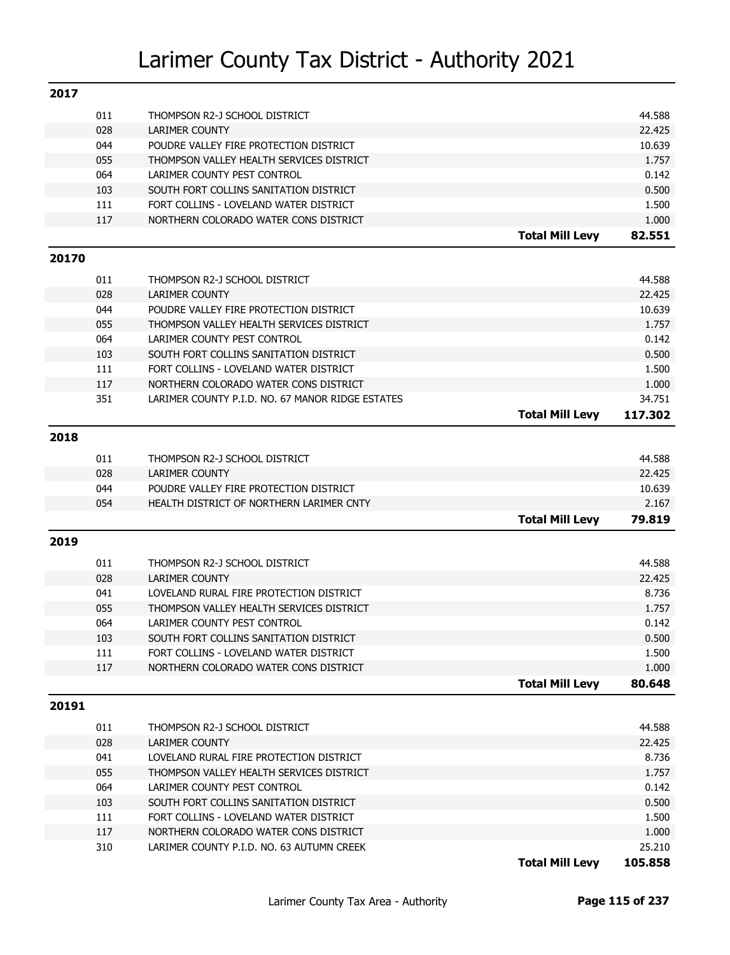| 2017  |     |                                                        |                        |                   |
|-------|-----|--------------------------------------------------------|------------------------|-------------------|
|       | 011 | THOMPSON R2-J SCHOOL DISTRICT                          |                        | 44.588            |
|       | 028 | <b>LARIMER COUNTY</b>                                  |                        | 22.425            |
|       | 044 | POUDRE VALLEY FIRE PROTECTION DISTRICT                 |                        | 10.639            |
|       | 055 | THOMPSON VALLEY HEALTH SERVICES DISTRICT               |                        | 1.757             |
|       | 064 | LARIMER COUNTY PEST CONTROL                            |                        | 0.142             |
|       | 103 | SOUTH FORT COLLINS SANITATION DISTRICT                 |                        | 0.500             |
|       | 111 | FORT COLLINS - LOVELAND WATER DISTRICT                 |                        | 1.500             |
|       | 117 | NORTHERN COLORADO WATER CONS DISTRICT                  |                        | 1.000             |
|       |     |                                                        | <b>Total Mill Levy</b> | 82.551            |
| 20170 |     |                                                        |                        |                   |
|       | 011 | THOMPSON R2-J SCHOOL DISTRICT                          |                        | 44.588            |
|       | 028 | <b>LARIMER COUNTY</b>                                  |                        | 22.425            |
|       | 044 | POUDRE VALLEY FIRE PROTECTION DISTRICT                 |                        | 10.639            |
|       | 055 | THOMPSON VALLEY HEALTH SERVICES DISTRICT               |                        | 1.757             |
|       | 064 | LARIMER COUNTY PEST CONTROL                            |                        | 0.142             |
|       | 103 | SOUTH FORT COLLINS SANITATION DISTRICT                 |                        | 0.500             |
|       | 111 | FORT COLLINS - LOVELAND WATER DISTRICT                 |                        | 1.500             |
|       | 117 | NORTHERN COLORADO WATER CONS DISTRICT                  |                        | 1.000             |
|       | 351 | LARIMER COUNTY P.I.D. NO. 67 MANOR RIDGE ESTATES       |                        | 34.751            |
|       |     |                                                        | <b>Total Mill Levy</b> | 117.302           |
| 2018  |     |                                                        |                        |                   |
|       | 011 |                                                        |                        | 44.588            |
|       | 028 | THOMPSON R2-J SCHOOL DISTRICT<br><b>LARIMER COUNTY</b> |                        | 22.425            |
|       | 044 | POUDRE VALLEY FIRE PROTECTION DISTRICT                 |                        | 10.639            |
|       | 054 | HEALTH DISTRICT OF NORTHERN LARIMER CNTY               |                        | 2.167             |
|       |     |                                                        | <b>Total Mill Levy</b> | 79.819            |
|       |     |                                                        |                        |                   |
| 2019  |     |                                                        |                        |                   |
|       | 011 | THOMPSON R2-J SCHOOL DISTRICT                          |                        | 44.588            |
|       | 028 | <b>LARIMER COUNTY</b>                                  |                        | 22.425            |
|       | 041 | LOVELAND RURAL FIRE PROTECTION DISTRICT                |                        | 8.736             |
|       | 055 | THOMPSON VALLEY HEALTH SERVICES DISTRICT               |                        | 1.757             |
|       | 064 | LARIMER COUNTY PEST CONTROL                            |                        | 0.142             |
|       | 103 | SOUTH FORT COLLINS SANITATION DISTRICT                 |                        | 0.500             |
|       | 111 | FORT COLLINS - LOVELAND WATER DISTRICT                 |                        | 1.500             |
|       | 117 | NORTHERN COLORADO WATER CONS DISTRICT                  |                        | 1.000             |
|       |     |                                                        | <b>Total Mill Levy</b> | 80.648            |
| 20191 |     |                                                        |                        |                   |
|       | 011 | THOMPSON R2-J SCHOOL DISTRICT                          |                        | 44.588            |
|       | 028 | <b>LARIMER COUNTY</b>                                  |                        | 22.425            |
|       | 041 | LOVELAND RURAL FIRE PROTECTION DISTRICT                |                        | 8.736             |
|       | 055 | THOMPSON VALLEY HEALTH SERVICES DISTRICT               |                        | 1.757             |
|       | 064 | LARIMER COUNTY PEST CONTROL                            |                        | 0.142             |
|       | 103 | SOUTH FORT COLLINS SANITATION DISTRICT                 |                        | 0.500             |
|       | 111 | FORT COLLINS - LOVELAND WATER DISTRICT                 |                        | 1.500             |
|       |     |                                                        |                        |                   |
|       | 117 | NORTHERN COLORADO WATER CONS DISTRICT                  |                        | 1.000             |
|       | 310 | LARIMER COUNTY P.I.D. NO. 63 AUTUMN CREEK              | <b>Total Mill Levy</b> | 25.210<br>105.858 |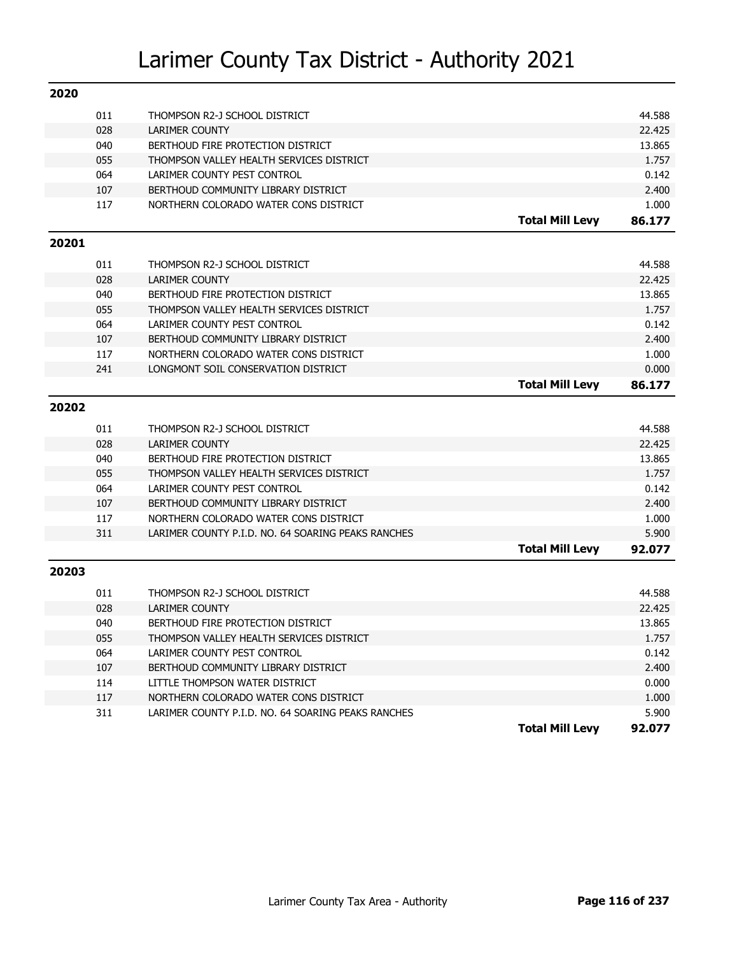| 2020  |     |                                                    |                        |        |
|-------|-----|----------------------------------------------------|------------------------|--------|
|       | 011 | THOMPSON R2-J SCHOOL DISTRICT                      |                        | 44.588 |
|       | 028 | <b>LARIMER COUNTY</b>                              |                        | 22.425 |
|       | 040 | BERTHOUD FIRE PROTECTION DISTRICT                  |                        | 13.865 |
|       | 055 | THOMPSON VALLEY HEALTH SERVICES DISTRICT           |                        | 1.757  |
|       | 064 | LARIMER COUNTY PEST CONTROL                        |                        | 0.142  |
|       | 107 | BERTHOUD COMMUNITY LIBRARY DISTRICT                |                        | 2.400  |
|       | 117 | NORTHERN COLORADO WATER CONS DISTRICT              |                        | 1.000  |
|       |     |                                                    | <b>Total Mill Levy</b> | 86.177 |
| 20201 |     |                                                    |                        |        |
|       | 011 | THOMPSON R2-J SCHOOL DISTRICT                      |                        | 44.588 |
|       | 028 | <b>LARIMER COUNTY</b>                              |                        | 22.425 |
|       | 040 | BERTHOUD FIRE PROTECTION DISTRICT                  |                        | 13.865 |
|       | 055 | THOMPSON VALLEY HEALTH SERVICES DISTRICT           |                        | 1.757  |
|       | 064 | LARIMER COUNTY PEST CONTROL                        |                        | 0.142  |
|       | 107 | BERTHOUD COMMUNITY LIBRARY DISTRICT                |                        | 2.400  |
|       | 117 | NORTHERN COLORADO WATER CONS DISTRICT              |                        | 1.000  |
|       | 241 | LONGMONT SOIL CONSERVATION DISTRICT                |                        | 0.000  |
|       |     |                                                    | <b>Total Mill Levy</b> | 86.177 |
| 20202 |     |                                                    |                        |        |
|       | 011 | THOMPSON R2-J SCHOOL DISTRICT                      |                        | 44.588 |
|       | 028 | <b>LARIMER COUNTY</b>                              |                        | 22.425 |
|       | 040 | BERTHOUD FIRE PROTECTION DISTRICT                  |                        | 13.865 |
|       | 055 | THOMPSON VALLEY HEALTH SERVICES DISTRICT           |                        | 1.757  |
|       | 064 | LARIMER COUNTY PEST CONTROL                        |                        | 0.142  |
|       | 107 | BERTHOUD COMMUNITY LIBRARY DISTRICT                |                        | 2.400  |
|       | 117 | NORTHERN COLORADO WATER CONS DISTRICT              |                        | 1.000  |
|       | 311 | LARIMER COUNTY P.I.D. NO. 64 SOARING PEAKS RANCHES |                        | 5.900  |
|       |     |                                                    | <b>Total Mill Levy</b> | 92.077 |
| 20203 |     |                                                    |                        |        |
|       | 011 | THOMPSON R2-J SCHOOL DISTRICT                      |                        | 44.588 |
|       | 028 | <b>LARIMER COUNTY</b>                              |                        | 22.425 |
|       | 040 | BERTHOUD FIRE PROTECTION DISTRICT                  |                        | 13.865 |
|       | 055 | THOMPSON VALLEY HEALTH SERVICES DISTRICT           |                        | 1.757  |
|       | 064 | LARIMER COUNTY PEST CONTROL                        |                        | 0.142  |
|       | 107 | BERTHOUD COMMUNITY LIBRARY DISTRICT                |                        | 2.400  |
|       | 114 | LITTLE THOMPSON WATER DISTRICT                     |                        | 0.000  |
|       | 117 | NORTHERN COLORADO WATER CONS DISTRICT              |                        | 1.000  |
|       | 311 | LARIMER COUNTY P.I.D. NO. 64 SOARING PEAKS RANCHES |                        | 5.900  |
|       |     |                                                    | <b>Total Mill Levy</b> | 92.077 |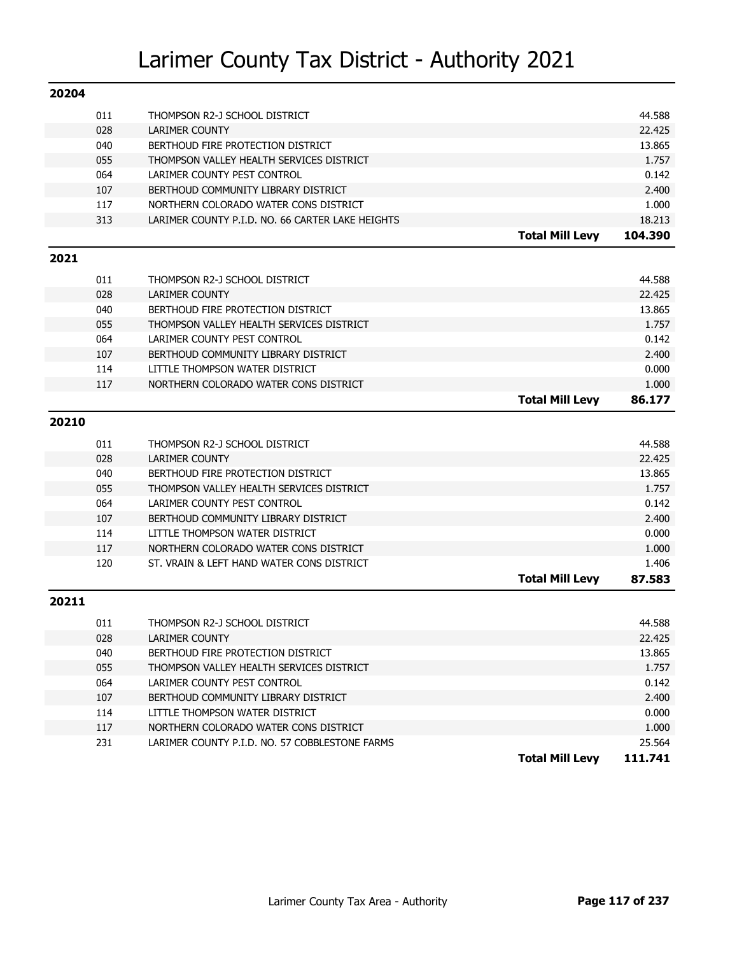| 20204 |     |                                                  |                        |         |
|-------|-----|--------------------------------------------------|------------------------|---------|
|       | 011 | THOMPSON R2-J SCHOOL DISTRICT                    |                        | 44.588  |
|       | 028 | <b>LARIMER COUNTY</b>                            |                        | 22.425  |
|       | 040 | BERTHOUD FIRE PROTECTION DISTRICT                |                        | 13.865  |
|       | 055 | THOMPSON VALLEY HEALTH SERVICES DISTRICT         |                        | 1.757   |
|       | 064 | LARIMER COUNTY PEST CONTROL                      |                        | 0.142   |
|       | 107 | BERTHOUD COMMUNITY LIBRARY DISTRICT              |                        | 2.400   |
|       | 117 | NORTHERN COLORADO WATER CONS DISTRICT            |                        | 1.000   |
|       | 313 | LARIMER COUNTY P.I.D. NO. 66 CARTER LAKE HEIGHTS |                        | 18.213  |
|       |     |                                                  | <b>Total Mill Levy</b> | 104.390 |
| 2021  |     |                                                  |                        |         |
|       | 011 | THOMPSON R2-J SCHOOL DISTRICT                    |                        | 44.588  |
|       | 028 | <b>LARIMER COUNTY</b>                            |                        | 22.425  |
|       | 040 | BERTHOUD FIRE PROTECTION DISTRICT                |                        | 13.865  |
|       | 055 | THOMPSON VALLEY HEALTH SERVICES DISTRICT         |                        | 1.757   |
|       | 064 | LARIMER COUNTY PEST CONTROL                      |                        | 0.142   |
|       | 107 | BERTHOUD COMMUNITY LIBRARY DISTRICT              |                        | 2.400   |
|       | 114 | LITTLE THOMPSON WATER DISTRICT                   |                        | 0.000   |
|       | 117 | NORTHERN COLORADO WATER CONS DISTRICT            |                        | 1.000   |
|       |     |                                                  | <b>Total Mill Levy</b> | 86.177  |
| 20210 |     |                                                  |                        |         |
|       |     |                                                  |                        |         |
|       | 011 | THOMPSON R2-J SCHOOL DISTRICT                    |                        | 44.588  |
|       | 028 | <b>LARIMER COUNTY</b>                            |                        | 22.425  |
|       | 040 | BERTHOUD FIRE PROTECTION DISTRICT                |                        | 13.865  |
|       | 055 | THOMPSON VALLEY HEALTH SERVICES DISTRICT         |                        | 1.757   |
|       | 064 | LARIMER COUNTY PEST CONTROL                      |                        | 0.142   |
|       | 107 | BERTHOUD COMMUNITY LIBRARY DISTRICT              |                        | 2.400   |
|       | 114 | LITTLE THOMPSON WATER DISTRICT                   |                        | 0.000   |
|       | 117 | NORTHERN COLORADO WATER CONS DISTRICT            |                        | 1.000   |
|       | 120 | ST. VRAIN & LEFT HAND WATER CONS DISTRICT        |                        | 1.406   |
|       |     |                                                  | <b>Total Mill Levy</b> | 87.583  |
| 20211 |     |                                                  |                        |         |
|       | 011 | THOMPSON R2-J SCHOOL DISTRICT                    |                        | 44.588  |
|       | 028 | LARIMER COUNTY                                   |                        | 22.425  |
|       | 040 | BERTHOUD FIRE PROTECTION DISTRICT                |                        | 13.865  |
|       | 055 | THOMPSON VALLEY HEALTH SERVICES DISTRICT         |                        | 1.757   |
|       | 064 | LARIMER COUNTY PEST CONTROL                      |                        | 0.142   |
|       | 107 | BERTHOUD COMMUNITY LIBRARY DISTRICT              |                        | 2.400   |
|       | 114 | LITTLE THOMPSON WATER DISTRICT                   |                        | 0.000   |
|       | 117 | NORTHERN COLORADO WATER CONS DISTRICT            |                        | 1.000   |
|       | 231 | LARIMER COUNTY P.I.D. NO. 57 COBBLESTONE FARMS   |                        | 25.564  |
|       |     |                                                  | <b>Total Mill Levy</b> | 111.741 |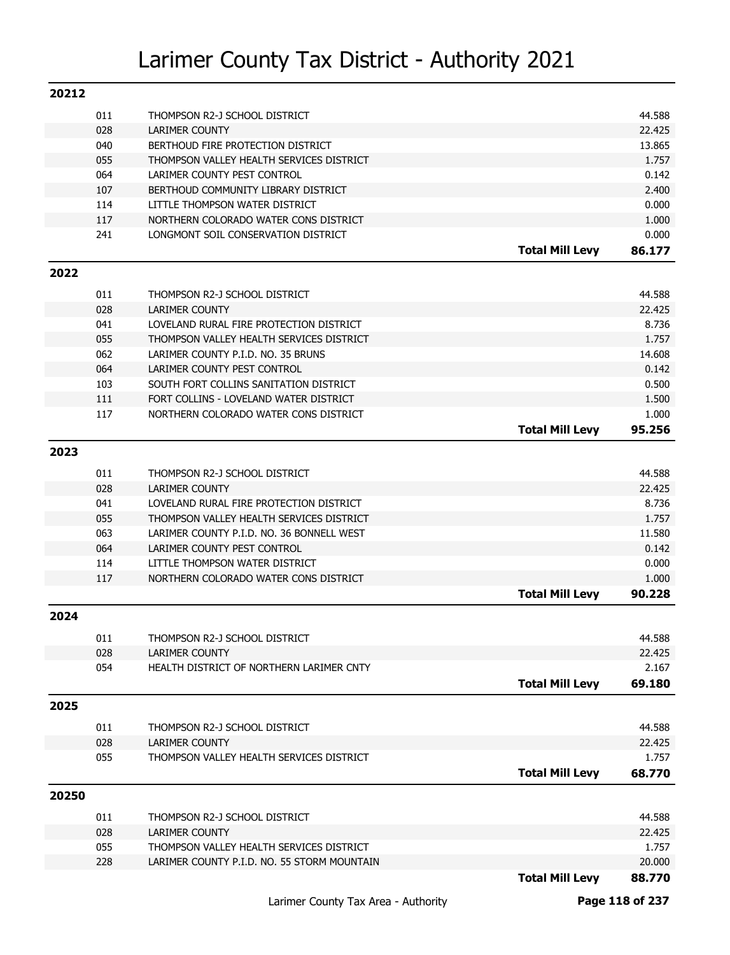| 20212 |            |                                             |                        |        |
|-------|------------|---------------------------------------------|------------------------|--------|
|       | 011        | THOMPSON R2-J SCHOOL DISTRICT               |                        | 44.588 |
|       | 028        | <b>LARIMER COUNTY</b>                       |                        | 22.425 |
|       | 040        | BERTHOUD FIRE PROTECTION DISTRICT           |                        | 13.865 |
|       | 055        | THOMPSON VALLEY HEALTH SERVICES DISTRICT    |                        | 1.757  |
|       | 064        | LARIMER COUNTY PEST CONTROL                 |                        | 0.142  |
|       | 107        | BERTHOUD COMMUNITY LIBRARY DISTRICT         |                        | 2.400  |
|       | 114        | LITTLE THOMPSON WATER DISTRICT              |                        | 0.000  |
|       | 117        | NORTHERN COLORADO WATER CONS DISTRICT       |                        | 1.000  |
|       | 241        | LONGMONT SOIL CONSERVATION DISTRICT         |                        | 0.000  |
|       |            |                                             | <b>Total Mill Levy</b> | 86.177 |
| 2022  |            |                                             |                        |        |
|       | 011        | THOMPSON R2-J SCHOOL DISTRICT               |                        | 44.588 |
|       | 028        | <b>LARIMER COUNTY</b>                       |                        | 22.425 |
|       | 041        | LOVELAND RURAL FIRE PROTECTION DISTRICT     |                        | 8.736  |
|       | 055        | THOMPSON VALLEY HEALTH SERVICES DISTRICT    |                        | 1.757  |
|       | 062        | LARIMER COUNTY P.I.D. NO. 35 BRUNS          |                        | 14.608 |
|       | 064        | LARIMER COUNTY PEST CONTROL                 |                        | 0.142  |
|       | 103        | SOUTH FORT COLLINS SANITATION DISTRICT      |                        | 0.500  |
|       | 111        | FORT COLLINS - LOVELAND WATER DISTRICT      |                        | 1.500  |
|       | 117        | NORTHERN COLORADO WATER CONS DISTRICT       |                        | 1.000  |
|       |            |                                             | <b>Total Mill Levy</b> | 95.256 |
| 2023  |            |                                             |                        |        |
|       |            |                                             |                        |        |
|       | 011        | THOMPSON R2-J SCHOOL DISTRICT               |                        | 44.588 |
|       | 028        | <b>LARIMER COUNTY</b>                       |                        | 22.425 |
|       | 041        | LOVELAND RURAL FIRE PROTECTION DISTRICT     |                        | 8.736  |
|       | 055        | THOMPSON VALLEY HEALTH SERVICES DISTRICT    |                        | 1.757  |
|       | 063        | LARIMER COUNTY P.I.D. NO. 36 BONNELL WEST   |                        | 11.580 |
|       | 064        | LARIMER COUNTY PEST CONTROL                 |                        | 0.142  |
|       | 114<br>117 | LITTLE THOMPSON WATER DISTRICT              |                        | 0.000  |
|       |            | NORTHERN COLORADO WATER CONS DISTRICT       |                        | 1.000  |
|       |            |                                             | <b>Total Mill Levy</b> | 90.228 |
| 2024  |            |                                             |                        |        |
|       | 011        | THOMPSON R2-J SCHOOL DISTRICT               |                        | 44.588 |
|       | 028        | <b>LARIMER COUNTY</b>                       |                        | 22.425 |
|       | 054        | HEALTH DISTRICT OF NORTHERN LARIMER CNTY    |                        | 2.167  |
|       |            |                                             | <b>Total Mill Levy</b> | 69.180 |
| 2025  |            |                                             |                        |        |
|       |            |                                             |                        |        |
|       | 011        | THOMPSON R2-J SCHOOL DISTRICT               |                        | 44.588 |
|       | 028        | <b>LARIMER COUNTY</b>                       |                        | 22.425 |
|       | 055        | THOMPSON VALLEY HEALTH SERVICES DISTRICT    |                        | 1.757  |
|       |            |                                             | <b>Total Mill Levy</b> | 68.770 |
| 20250 |            |                                             |                        |        |
|       | 011        | THOMPSON R2-J SCHOOL DISTRICT               |                        | 44.588 |
|       | 028        | <b>LARIMER COUNTY</b>                       |                        | 22.425 |
|       | 055        | THOMPSON VALLEY HEALTH SERVICES DISTRICT    |                        | 1.757  |
|       | 228        | LARIMER COUNTY P.I.D. NO. 55 STORM MOUNTAIN |                        | 20.000 |
|       |            |                                             | <b>Total Mill Levy</b> | 88.770 |
|       |            |                                             |                        |        |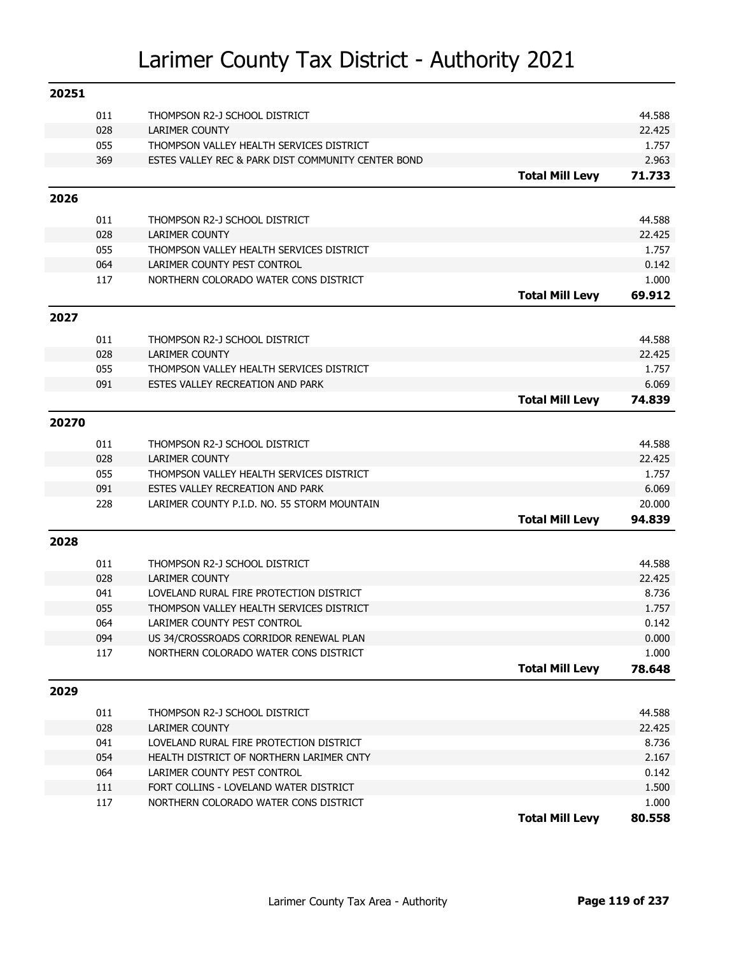| 20251 |     |                                                    |                        |        |
|-------|-----|----------------------------------------------------|------------------------|--------|
|       | 011 | THOMPSON R2-J SCHOOL DISTRICT                      |                        | 44.588 |
|       | 028 | <b>LARIMER COUNTY</b>                              |                        | 22.425 |
|       | 055 | THOMPSON VALLEY HEALTH SERVICES DISTRICT           |                        | 1.757  |
|       | 369 | ESTES VALLEY REC & PARK DIST COMMUNITY CENTER BOND |                        | 2.963  |
|       |     |                                                    | <b>Total Mill Levy</b> | 71.733 |
| 2026  |     |                                                    |                        |        |
|       | 011 | THOMPSON R2-J SCHOOL DISTRICT                      |                        | 44.588 |
|       | 028 | <b>LARIMER COUNTY</b>                              |                        | 22.425 |
|       | 055 | THOMPSON VALLEY HEALTH SERVICES DISTRICT           |                        | 1.757  |
|       | 064 | LARIMER COUNTY PEST CONTROL                        |                        | 0.142  |
|       | 117 | NORTHERN COLORADO WATER CONS DISTRICT              |                        | 1.000  |
|       |     |                                                    | <b>Total Mill Levy</b> | 69.912 |
| 2027  |     |                                                    |                        |        |
|       |     |                                                    |                        |        |
|       | 011 | THOMPSON R2-J SCHOOL DISTRICT                      |                        | 44.588 |
|       | 028 | <b>LARIMER COUNTY</b>                              |                        | 22.425 |
|       | 055 | THOMPSON VALLEY HEALTH SERVICES DISTRICT           |                        | 1.757  |
|       | 091 | ESTES VALLEY RECREATION AND PARK                   |                        | 6.069  |
|       |     |                                                    | <b>Total Mill Levy</b> | 74.839 |
| 20270 |     |                                                    |                        |        |
|       | 011 | THOMPSON R2-J SCHOOL DISTRICT                      |                        | 44.588 |
|       | 028 | <b>LARIMER COUNTY</b>                              |                        | 22.425 |
|       | 055 | THOMPSON VALLEY HEALTH SERVICES DISTRICT           |                        | 1.757  |
|       | 091 | ESTES VALLEY RECREATION AND PARK                   |                        | 6.069  |
|       | 228 | LARIMER COUNTY P.I.D. NO. 55 STORM MOUNTAIN        |                        | 20.000 |
|       |     |                                                    | <b>Total Mill Levy</b> | 94.839 |
| 2028  |     |                                                    |                        |        |
|       | 011 | THOMPSON R2-J SCHOOL DISTRICT                      |                        | 44.588 |
|       | 028 | <b>LARIMER COUNTY</b>                              |                        | 22.425 |
|       | 041 | LOVELAND RURAL FIRE PROTECTION DISTRICT            |                        | 8.736  |
|       | 055 | THOMPSON VALLEY HEALTH SERVICES DISTRICT           |                        | 1.757  |
|       | 064 | LARIMER COUNTY PEST CONTROL                        |                        | 0.142  |
|       | 094 | US 34/CROSSROADS CORRIDOR RENEWAL PLAN             |                        | 0.000  |
|       | 117 | NORTHERN COLORADO WATER CONS DISTRICT              |                        | 1.000  |
|       |     |                                                    | <b>Total Mill Levy</b> | 78.648 |
| 2029  |     |                                                    |                        |        |
|       | 011 | THOMPSON R2-J SCHOOL DISTRICT                      |                        | 44.588 |
|       | 028 | <b>LARIMER COUNTY</b>                              |                        | 22.425 |
|       | 041 | LOVELAND RURAL FIRE PROTECTION DISTRICT            |                        | 8.736  |
|       | 054 | HEALTH DISTRICT OF NORTHERN LARIMER CNTY           |                        | 2.167  |
|       | 064 | LARIMER COUNTY PEST CONTROL                        |                        | 0.142  |
|       | 111 | FORT COLLINS - LOVELAND WATER DISTRICT             |                        | 1.500  |
|       | 117 | NORTHERN COLORADO WATER CONS DISTRICT              |                        | 1.000  |
|       |     |                                                    | <b>Total Mill Levy</b> | 80.558 |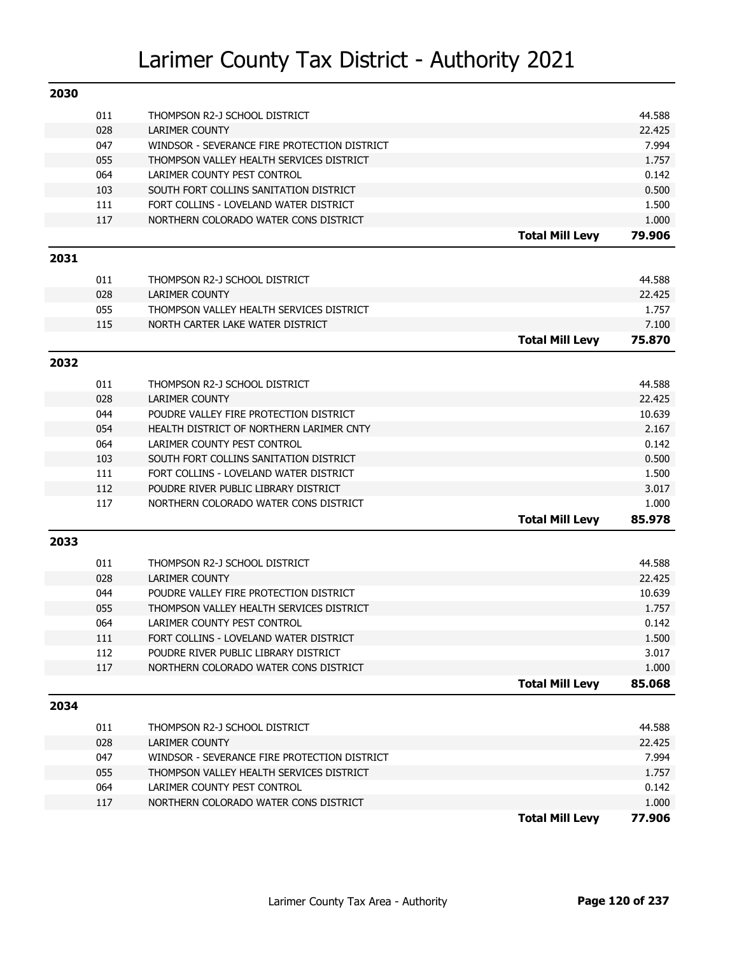| 2030 |     |                                              |                        |        |
|------|-----|----------------------------------------------|------------------------|--------|
|      | 011 | THOMPSON R2-J SCHOOL DISTRICT                |                        | 44.588 |
|      | 028 | <b>LARIMER COUNTY</b>                        |                        | 22.425 |
|      | 047 | WINDSOR - SEVERANCE FIRE PROTECTION DISTRICT |                        | 7.994  |
|      | 055 | THOMPSON VALLEY HEALTH SERVICES DISTRICT     |                        | 1.757  |
|      | 064 | LARIMER COUNTY PEST CONTROL                  |                        | 0.142  |
|      | 103 | SOUTH FORT COLLINS SANITATION DISTRICT       |                        | 0.500  |
|      | 111 | FORT COLLINS - LOVELAND WATER DISTRICT       |                        | 1.500  |
|      | 117 | NORTHERN COLORADO WATER CONS DISTRICT        |                        | 1.000  |
|      |     |                                              | <b>Total Mill Levy</b> | 79.906 |
| 2031 |     |                                              |                        |        |
|      | 011 | THOMPSON R2-J SCHOOL DISTRICT                |                        | 44.588 |
|      | 028 | <b>LARIMER COUNTY</b>                        |                        | 22.425 |
|      | 055 | THOMPSON VALLEY HEALTH SERVICES DISTRICT     |                        | 1.757  |
|      | 115 | NORTH CARTER LAKE WATER DISTRICT             |                        | 7.100  |
|      |     |                                              | <b>Total Mill Levy</b> | 75.870 |
| 2032 |     |                                              |                        |        |
|      | 011 | THOMPSON R2-J SCHOOL DISTRICT                |                        | 44.588 |
|      | 028 | <b>LARIMER COUNTY</b>                        |                        | 22.425 |
|      | 044 | POUDRE VALLEY FIRE PROTECTION DISTRICT       |                        | 10.639 |
|      | 054 | HEALTH DISTRICT OF NORTHERN LARIMER CNTY     |                        | 2.167  |
|      | 064 | LARIMER COUNTY PEST CONTROL                  |                        | 0.142  |
|      | 103 | SOUTH FORT COLLINS SANITATION DISTRICT       |                        | 0.500  |
|      | 111 | FORT COLLINS - LOVELAND WATER DISTRICT       |                        | 1.500  |
|      | 112 | POUDRE RIVER PUBLIC LIBRARY DISTRICT         |                        | 3.017  |
|      | 117 | NORTHERN COLORADO WATER CONS DISTRICT        |                        | 1.000  |
|      |     |                                              | <b>Total Mill Levy</b> | 85.978 |
| 2033 |     |                                              |                        |        |
|      | 011 | THOMPSON R2-J SCHOOL DISTRICT                |                        | 44.588 |
|      | 028 | <b>LARIMER COUNTY</b>                        |                        | 22.425 |
|      | 044 | POUDRE VALLEY FIRE PROTECTION DISTRICT       |                        | 10.639 |
|      | 055 | THOMPSON VALLEY HEALTH SERVICES DISTRICT     |                        | 1.757  |
|      | 064 | LARIMER COUNTY PEST CONTROL                  |                        | 0.142  |
|      | 111 | FORT COLLINS - LOVELAND WATER DISTRICT       |                        | 1.500  |
|      | 112 | POUDRE RIVER PUBLIC LIBRARY DISTRICT         |                        | 3.017  |
|      | 117 | NORTHERN COLORADO WATER CONS DISTRICT        |                        | 1.000  |
|      |     |                                              | <b>Total Mill Levy</b> | 85.068 |
| 2034 |     |                                              |                        |        |
|      |     |                                              |                        |        |
|      | 011 | THOMPSON R2-J SCHOOL DISTRICT                |                        | 44.588 |
|      | 028 | LARIMER COUNTY                               |                        | 22.425 |
|      | 047 | WINDSOR - SEVERANCE FIRE PROTECTION DISTRICT |                        | 7.994  |
|      | 055 | THOMPSON VALLEY HEALTH SERVICES DISTRICT     |                        | 1.757  |
|      | 064 | LARIMER COUNTY PEST CONTROL                  |                        | 0.142  |
|      | 117 | NORTHERN COLORADO WATER CONS DISTRICT        |                        | 1.000  |
|      |     |                                              | <b>Total Mill Levy</b> | 77.906 |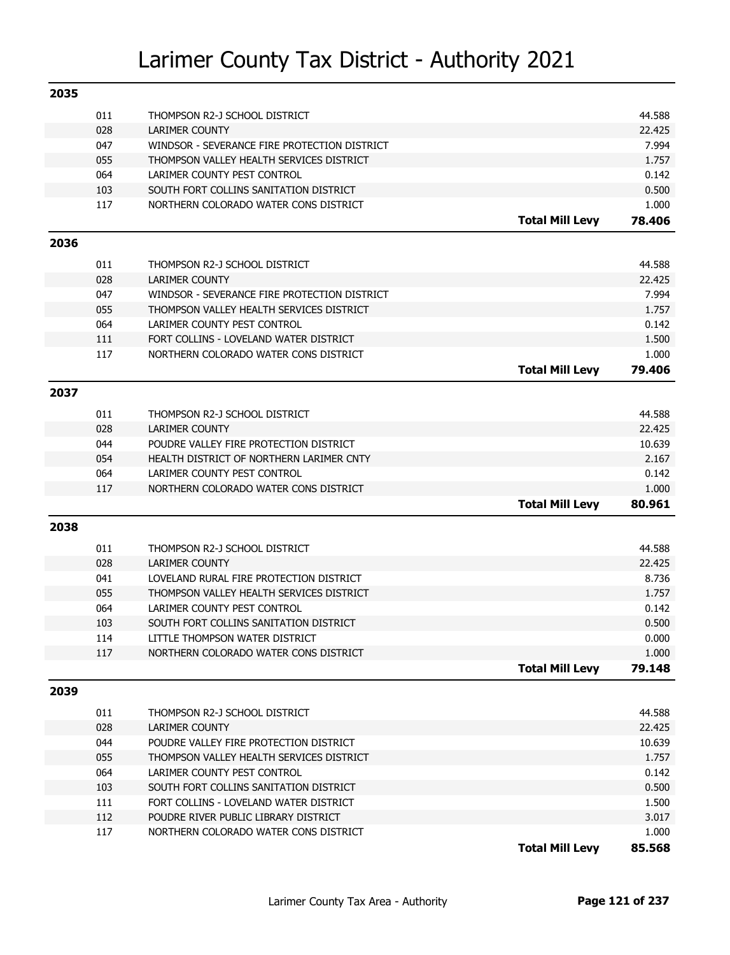| 2035 |     |                                                        |                        |        |
|------|-----|--------------------------------------------------------|------------------------|--------|
|      | 011 | THOMPSON R2-J SCHOOL DISTRICT                          |                        | 44.588 |
|      | 028 | LARIMER COUNTY                                         |                        | 22.425 |
|      | 047 | WINDSOR - SEVERANCE FIRE PROTECTION DISTRICT           |                        | 7.994  |
|      | 055 | THOMPSON VALLEY HEALTH SERVICES DISTRICT               |                        | 1.757  |
|      | 064 | LARIMER COUNTY PEST CONTROL                            |                        | 0.142  |
|      | 103 | SOUTH FORT COLLINS SANITATION DISTRICT                 |                        | 0.500  |
|      | 117 | NORTHERN COLORADO WATER CONS DISTRICT                  |                        | 1.000  |
|      |     |                                                        | <b>Total Mill Levy</b> | 78.406 |
| 2036 |     |                                                        |                        |        |
|      | 011 |                                                        |                        | 44.588 |
|      | 028 | THOMPSON R2-J SCHOOL DISTRICT<br><b>LARIMER COUNTY</b> |                        | 22.425 |
|      | 047 | WINDSOR - SEVERANCE FIRE PROTECTION DISTRICT           |                        | 7.994  |
|      | 055 | THOMPSON VALLEY HEALTH SERVICES DISTRICT               |                        | 1.757  |
|      | 064 | LARIMER COUNTY PEST CONTROL                            |                        | 0.142  |
|      | 111 | FORT COLLINS - LOVELAND WATER DISTRICT                 |                        | 1.500  |
|      | 117 | NORTHERN COLORADO WATER CONS DISTRICT                  |                        | 1.000  |
|      |     |                                                        | <b>Total Mill Levy</b> |        |
|      |     |                                                        |                        | 79.406 |
| 2037 |     |                                                        |                        |        |
|      | 011 | THOMPSON R2-J SCHOOL DISTRICT                          |                        | 44.588 |
|      | 028 | <b>LARIMER COUNTY</b>                                  |                        | 22.425 |
|      | 044 | POUDRE VALLEY FIRE PROTECTION DISTRICT                 |                        | 10.639 |
|      | 054 | HEALTH DISTRICT OF NORTHERN LARIMER CNTY               |                        | 2.167  |
|      | 064 | LARIMER COUNTY PEST CONTROL                            |                        | 0.142  |
|      | 117 | NORTHERN COLORADO WATER CONS DISTRICT                  |                        | 1.000  |
|      |     |                                                        | <b>Total Mill Levy</b> | 80.961 |
| 2038 |     |                                                        |                        |        |
|      |     |                                                        |                        |        |
|      | 011 | THOMPSON R2-J SCHOOL DISTRICT                          |                        | 44.588 |
|      | 028 | <b>LARIMER COUNTY</b>                                  |                        | 22.425 |
|      | 041 | LOVELAND RURAL FIRE PROTECTION DISTRICT                |                        | 8.736  |
|      | 055 | THOMPSON VALLEY HEALTH SERVICES DISTRICT               |                        | 1.757  |
|      | 064 | LARIMER COUNTY PEST CONTROL                            |                        | 0.142  |
|      | 103 | SOUTH FORT COLLINS SANITATION DISTRICT                 |                        | 0.500  |
|      | 114 | LITTLE THOMPSON WATER DISTRICT                         |                        | 0.000  |
|      | 117 | NORTHERN COLORADO WATER CONS DISTRICT                  |                        | 1.000  |
|      |     |                                                        | <b>Total Mill Levy</b> | 79.148 |
| 2039 |     |                                                        |                        |        |
|      | 011 | THOMPSON R2-J SCHOOL DISTRICT                          |                        | 44.588 |
|      | 028 | <b>LARIMER COUNTY</b>                                  |                        | 22.425 |
|      | 044 | POUDRE VALLEY FIRE PROTECTION DISTRICT                 |                        | 10.639 |
|      | 055 | THOMPSON VALLEY HEALTH SERVICES DISTRICT               |                        | 1.757  |
|      | 064 | LARIMER COUNTY PEST CONTROL                            |                        | 0.142  |
|      | 103 | SOUTH FORT COLLINS SANITATION DISTRICT                 |                        | 0.500  |
|      | 111 | FORT COLLINS - LOVELAND WATER DISTRICT                 |                        | 1.500  |
|      | 112 | POUDRE RIVER PUBLIC LIBRARY DISTRICT                   |                        | 3.017  |
|      | 117 | NORTHERN COLORADO WATER CONS DISTRICT                  |                        | 1.000  |
|      |     |                                                        | <b>Total Mill Levy</b> | 85.568 |
|      |     |                                                        |                        |        |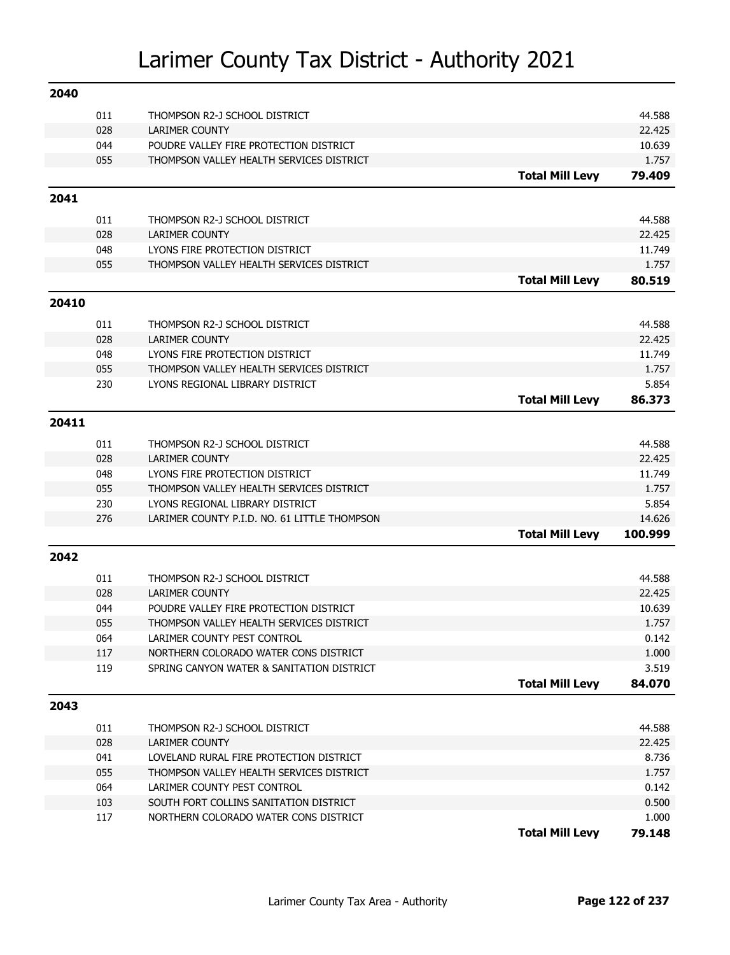| 011<br>THOMPSON R2-J SCHOOL DISTRICT<br>44.588<br>028<br><b>LARIMER COUNTY</b><br>22.425<br>044<br>POUDRE VALLEY FIRE PROTECTION DISTRICT<br>10.639<br>055<br>THOMPSON VALLEY HEALTH SERVICES DISTRICT<br>1.757<br><b>Total Mill Levy</b><br>79.409<br>2041<br>44.588<br>011<br>THOMPSON R2-J SCHOOL DISTRICT<br>028<br><b>LARIMER COUNTY</b><br>22.425<br>048<br>LYONS FIRE PROTECTION DISTRICT<br>11.749<br>055<br>THOMPSON VALLEY HEALTH SERVICES DISTRICT<br>1.757<br><b>Total Mill Levy</b><br>80.519<br>20410<br>44.588<br>011<br>THOMPSON R2-J SCHOOL DISTRICT<br>028<br><b>LARIMER COUNTY</b><br>22.425<br>048<br>LYONS FIRE PROTECTION DISTRICT<br>11.749<br>055<br>THOMPSON VALLEY HEALTH SERVICES DISTRICT<br>1.757 |
|--------------------------------------------------------------------------------------------------------------------------------------------------------------------------------------------------------------------------------------------------------------------------------------------------------------------------------------------------------------------------------------------------------------------------------------------------------------------------------------------------------------------------------------------------------------------------------------------------------------------------------------------------------------------------------------------------------------------------------|
|                                                                                                                                                                                                                                                                                                                                                                                                                                                                                                                                                                                                                                                                                                                                |
|                                                                                                                                                                                                                                                                                                                                                                                                                                                                                                                                                                                                                                                                                                                                |
|                                                                                                                                                                                                                                                                                                                                                                                                                                                                                                                                                                                                                                                                                                                                |
|                                                                                                                                                                                                                                                                                                                                                                                                                                                                                                                                                                                                                                                                                                                                |
|                                                                                                                                                                                                                                                                                                                                                                                                                                                                                                                                                                                                                                                                                                                                |
|                                                                                                                                                                                                                                                                                                                                                                                                                                                                                                                                                                                                                                                                                                                                |
|                                                                                                                                                                                                                                                                                                                                                                                                                                                                                                                                                                                                                                                                                                                                |
|                                                                                                                                                                                                                                                                                                                                                                                                                                                                                                                                                                                                                                                                                                                                |
|                                                                                                                                                                                                                                                                                                                                                                                                                                                                                                                                                                                                                                                                                                                                |
|                                                                                                                                                                                                                                                                                                                                                                                                                                                                                                                                                                                                                                                                                                                                |
|                                                                                                                                                                                                                                                                                                                                                                                                                                                                                                                                                                                                                                                                                                                                |
|                                                                                                                                                                                                                                                                                                                                                                                                                                                                                                                                                                                                                                                                                                                                |
|                                                                                                                                                                                                                                                                                                                                                                                                                                                                                                                                                                                                                                                                                                                                |
|                                                                                                                                                                                                                                                                                                                                                                                                                                                                                                                                                                                                                                                                                                                                |
|                                                                                                                                                                                                                                                                                                                                                                                                                                                                                                                                                                                                                                                                                                                                |
|                                                                                                                                                                                                                                                                                                                                                                                                                                                                                                                                                                                                                                                                                                                                |
|                                                                                                                                                                                                                                                                                                                                                                                                                                                                                                                                                                                                                                                                                                                                |
| 5.854<br>230<br>LYONS REGIONAL LIBRARY DISTRICT                                                                                                                                                                                                                                                                                                                                                                                                                                                                                                                                                                                                                                                                                |
| <b>Total Mill Levy</b><br>86.373                                                                                                                                                                                                                                                                                                                                                                                                                                                                                                                                                                                                                                                                                               |
| 20411                                                                                                                                                                                                                                                                                                                                                                                                                                                                                                                                                                                                                                                                                                                          |
| 44.588<br>011<br>THOMPSON R2-J SCHOOL DISTRICT                                                                                                                                                                                                                                                                                                                                                                                                                                                                                                                                                                                                                                                                                 |
| 028<br><b>LARIMER COUNTY</b><br>22.425                                                                                                                                                                                                                                                                                                                                                                                                                                                                                                                                                                                                                                                                                         |
| LYONS FIRE PROTECTION DISTRICT<br>048<br>11.749                                                                                                                                                                                                                                                                                                                                                                                                                                                                                                                                                                                                                                                                                |
| 055<br>1.757<br>THOMPSON VALLEY HEALTH SERVICES DISTRICT                                                                                                                                                                                                                                                                                                                                                                                                                                                                                                                                                                                                                                                                       |
| 230<br>5.854<br>LYONS REGIONAL LIBRARY DISTRICT                                                                                                                                                                                                                                                                                                                                                                                                                                                                                                                                                                                                                                                                                |
| 276<br>LARIMER COUNTY P.I.D. NO. 61 LITTLE THOMPSON<br>14.626                                                                                                                                                                                                                                                                                                                                                                                                                                                                                                                                                                                                                                                                  |
| <b>Total Mill Levy</b><br>100.999                                                                                                                                                                                                                                                                                                                                                                                                                                                                                                                                                                                                                                                                                              |
| 2042                                                                                                                                                                                                                                                                                                                                                                                                                                                                                                                                                                                                                                                                                                                           |
| 011<br>44.588<br>THOMPSON R2-J SCHOOL DISTRICT                                                                                                                                                                                                                                                                                                                                                                                                                                                                                                                                                                                                                                                                                 |
| 028<br>22,425<br><b>LARIMER COUNTY</b>                                                                                                                                                                                                                                                                                                                                                                                                                                                                                                                                                                                                                                                                                         |
| 044<br>POUDRE VALLEY FIRE PROTECTION DISTRICT<br>10.639                                                                                                                                                                                                                                                                                                                                                                                                                                                                                                                                                                                                                                                                        |
| 055<br>THOMPSON VALLEY HEALTH SERVICES DISTRICT<br>1.757                                                                                                                                                                                                                                                                                                                                                                                                                                                                                                                                                                                                                                                                       |
| 064<br>LARIMER COUNTY PEST CONTROL<br>0.142                                                                                                                                                                                                                                                                                                                                                                                                                                                                                                                                                                                                                                                                                    |
| NORTHERN COLORADO WATER CONS DISTRICT<br>1.000<br>117                                                                                                                                                                                                                                                                                                                                                                                                                                                                                                                                                                                                                                                                          |
| 119<br>3.519<br>SPRING CANYON WATER & SANITATION DISTRICT                                                                                                                                                                                                                                                                                                                                                                                                                                                                                                                                                                                                                                                                      |
|                                                                                                                                                                                                                                                                                                                                                                                                                                                                                                                                                                                                                                                                                                                                |
| <b>Total Mill Levy</b><br>84.070                                                                                                                                                                                                                                                                                                                                                                                                                                                                                                                                                                                                                                                                                               |
| 2043                                                                                                                                                                                                                                                                                                                                                                                                                                                                                                                                                                                                                                                                                                                           |
|                                                                                                                                                                                                                                                                                                                                                                                                                                                                                                                                                                                                                                                                                                                                |
| 44.588<br>011<br>THOMPSON R2-J SCHOOL DISTRICT                                                                                                                                                                                                                                                                                                                                                                                                                                                                                                                                                                                                                                                                                 |
| 028<br>22.425<br><b>LARIMER COUNTY</b>                                                                                                                                                                                                                                                                                                                                                                                                                                                                                                                                                                                                                                                                                         |
| 041<br>LOVELAND RURAL FIRE PROTECTION DISTRICT<br>8.736                                                                                                                                                                                                                                                                                                                                                                                                                                                                                                                                                                                                                                                                        |
| 055<br>1.757<br>THOMPSON VALLEY HEALTH SERVICES DISTRICT                                                                                                                                                                                                                                                                                                                                                                                                                                                                                                                                                                                                                                                                       |
| 064<br>LARIMER COUNTY PEST CONTROL<br>0.142                                                                                                                                                                                                                                                                                                                                                                                                                                                                                                                                                                                                                                                                                    |
| 103<br>SOUTH FORT COLLINS SANITATION DISTRICT<br>0.500<br>117<br>1.000<br>NORTHERN COLORADO WATER CONS DISTRICT                                                                                                                                                                                                                                                                                                                                                                                                                                                                                                                                                                                                                |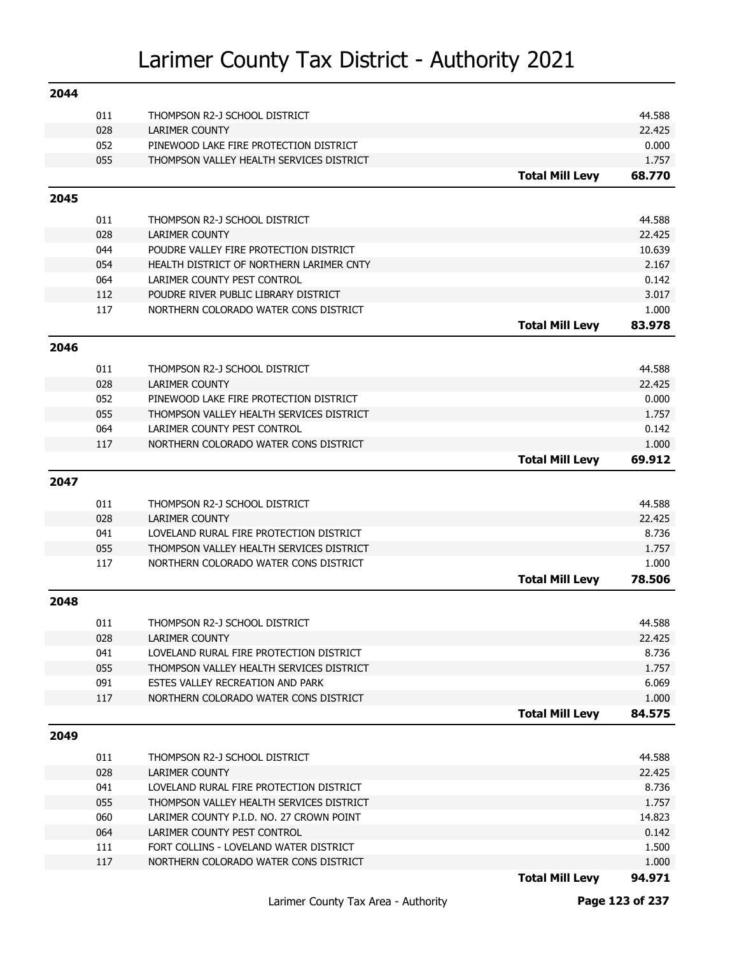| 2044 |            |                                                        |                        |                  |
|------|------------|--------------------------------------------------------|------------------------|------------------|
|      | 011        | THOMPSON R2-J SCHOOL DISTRICT                          |                        | 44.588           |
|      | 028        | <b>LARIMER COUNTY</b>                                  |                        | 22.425           |
|      | 052        | PINEWOOD LAKE FIRE PROTECTION DISTRICT                 |                        | 0.000            |
|      | 055        | THOMPSON VALLEY HEALTH SERVICES DISTRICT               |                        | 1.757            |
|      |            |                                                        | <b>Total Mill Levy</b> | 68.770           |
| 2045 |            |                                                        |                        |                  |
|      | 011        | THOMPSON R2-J SCHOOL DISTRICT                          |                        | 44.588           |
|      | 028        | <b>LARIMER COUNTY</b>                                  |                        | 22.425           |
|      | 044        | POUDRE VALLEY FIRE PROTECTION DISTRICT                 |                        | 10.639           |
|      | 054        | HEALTH DISTRICT OF NORTHERN LARIMER CNTY               |                        | 2.167            |
|      | 064        | LARIMER COUNTY PEST CONTROL                            |                        | 0.142            |
|      | 112        | POUDRE RIVER PUBLIC LIBRARY DISTRICT                   |                        | 3.017            |
|      | 117        | NORTHERN COLORADO WATER CONS DISTRICT                  |                        | 1.000            |
|      |            |                                                        | <b>Total Mill Levy</b> | 83.978           |
| 2046 |            |                                                        |                        |                  |
|      | 011        | THOMPSON R2-J SCHOOL DISTRICT                          |                        | 44.588           |
|      | 028        | <b>LARIMER COUNTY</b>                                  |                        | 22.425           |
|      | 052        | PINEWOOD LAKE FIRE PROTECTION DISTRICT                 |                        | 0.000            |
|      | 055        | THOMPSON VALLEY HEALTH SERVICES DISTRICT               |                        | 1.757            |
|      | 064        | LARIMER COUNTY PEST CONTROL                            |                        | 0.142            |
|      | 117        | NORTHERN COLORADO WATER CONS DISTRICT                  |                        | 1.000            |
|      |            |                                                        | <b>Total Mill Levy</b> | 69.912           |
| 2047 |            |                                                        |                        |                  |
|      | 011        | THOMPSON R2-J SCHOOL DISTRICT                          |                        | 44.588           |
|      | 028        | <b>LARIMER COUNTY</b>                                  |                        | 22.425           |
|      | 041        | LOVELAND RURAL FIRE PROTECTION DISTRICT                |                        | 8.736            |
|      | 055        | THOMPSON VALLEY HEALTH SERVICES DISTRICT               |                        | 1.757            |
|      | 117        | NORTHERN COLORADO WATER CONS DISTRICT                  |                        | 1.000            |
|      |            |                                                        | <b>Total Mill Levy</b> | 78.506           |
| 2048 |            |                                                        |                        |                  |
|      | 011        | THOMPSON R2-J SCHOOL DISTRICT                          |                        | 44.588           |
|      | 028        | <b>LARIMER COUNTY</b>                                  |                        | 22.425           |
|      | 041        | LOVELAND RURAL FIRE PROTECTION DISTRICT                |                        | 8.736            |
|      | 055        | THOMPSON VALLEY HEALTH SERVICES DISTRICT               |                        | 1.757            |
|      | 091        | ESTES VALLEY RECREATION AND PARK                       |                        | 6.069            |
|      | 117        | NORTHERN COLORADO WATER CONS DISTRICT                  |                        | 1.000            |
|      |            |                                                        | <b>Total Mill Levy</b> | 84.575           |
| 2049 |            |                                                        |                        |                  |
|      |            |                                                        |                        |                  |
|      | 011<br>028 | THOMPSON R2-J SCHOOL DISTRICT<br><b>LARIMER COUNTY</b> |                        | 44.588<br>22.425 |
|      | 041        | LOVELAND RURAL FIRE PROTECTION DISTRICT                |                        | 8.736            |
|      | 055        | THOMPSON VALLEY HEALTH SERVICES DISTRICT               |                        | 1.757            |
|      | 060        | LARIMER COUNTY P.I.D. NO. 27 CROWN POINT               |                        | 14.823           |
|      | 064        | LARIMER COUNTY PEST CONTROL                            |                        | 0.142            |
|      | 111        | FORT COLLINS - LOVELAND WATER DISTRICT                 |                        | 1.500            |
|      | 117        | NORTHERN COLORADO WATER CONS DISTRICT                  |                        | 1.000            |
|      |            |                                                        | <b>Total Mill Levy</b> | 94.971           |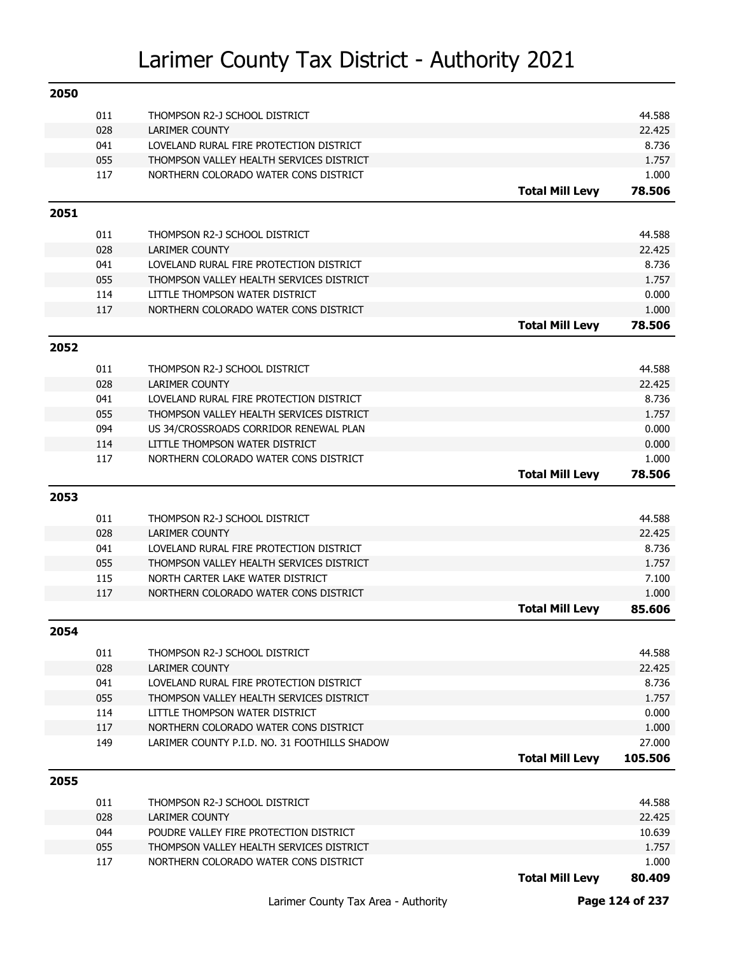| 2050 |     |                                               |                        |         |
|------|-----|-----------------------------------------------|------------------------|---------|
|      | 011 | THOMPSON R2-J SCHOOL DISTRICT                 |                        | 44.588  |
|      | 028 | <b>LARIMER COUNTY</b>                         |                        | 22.425  |
|      | 041 | LOVELAND RURAL FIRE PROTECTION DISTRICT       |                        | 8.736   |
|      | 055 | THOMPSON VALLEY HEALTH SERVICES DISTRICT      |                        | 1.757   |
|      | 117 | NORTHERN COLORADO WATER CONS DISTRICT         |                        | 1.000   |
|      |     |                                               | <b>Total Mill Levy</b> | 78.506  |
| 2051 |     |                                               |                        |         |
|      | 011 | THOMPSON R2-J SCHOOL DISTRICT                 |                        | 44.588  |
|      | 028 | <b>LARIMER COUNTY</b>                         |                        | 22.425  |
|      | 041 | LOVELAND RURAL FIRE PROTECTION DISTRICT       |                        | 8.736   |
|      | 055 | THOMPSON VALLEY HEALTH SERVICES DISTRICT      |                        | 1.757   |
|      | 114 | LITTLE THOMPSON WATER DISTRICT                |                        | 0.000   |
|      | 117 | NORTHERN COLORADO WATER CONS DISTRICT         |                        | 1.000   |
|      |     |                                               | <b>Total Mill Levy</b> | 78.506  |
| 2052 |     |                                               |                        |         |
|      | 011 | THOMPSON R2-J SCHOOL DISTRICT                 |                        | 44.588  |
|      | 028 | <b>LARIMER COUNTY</b>                         |                        | 22.425  |
|      | 041 | LOVELAND RURAL FIRE PROTECTION DISTRICT       |                        | 8.736   |
|      | 055 | THOMPSON VALLEY HEALTH SERVICES DISTRICT      |                        | 1.757   |
|      | 094 | US 34/CROSSROADS CORRIDOR RENEWAL PLAN        |                        | 0.000   |
|      | 114 | LITTLE THOMPSON WATER DISTRICT                |                        | 0.000   |
|      | 117 | NORTHERN COLORADO WATER CONS DISTRICT         |                        | 1.000   |
|      |     |                                               | <b>Total Mill Levy</b> | 78.506  |
| 2053 |     |                                               |                        |         |
|      | 011 | THOMPSON R2-J SCHOOL DISTRICT                 |                        | 44.588  |
|      | 028 | <b>LARIMER COUNTY</b>                         |                        | 22.425  |
|      | 041 | LOVELAND RURAL FIRE PROTECTION DISTRICT       |                        | 8.736   |
|      | 055 | THOMPSON VALLEY HEALTH SERVICES DISTRICT      |                        | 1.757   |
|      | 115 | NORTH CARTER LAKE WATER DISTRICT              |                        | 7.100   |
|      | 117 | NORTHERN COLORADO WATER CONS DISTRICT         |                        | 1.000   |
|      |     |                                               | <b>Total Mill Levy</b> | 85.606  |
| 2054 |     |                                               |                        |         |
|      | 011 | THOMPSON R2-J SCHOOL DISTRICT                 |                        | 44.588  |
|      | 028 | LARIMER COUNTY                                |                        | 22.425  |
|      | 041 | LOVELAND RURAL FIRE PROTECTION DISTRICT       |                        | 8.736   |
|      | 055 | THOMPSON VALLEY HEALTH SERVICES DISTRICT      |                        | 1.757   |
|      | 114 | LITTLE THOMPSON WATER DISTRICT                |                        | 0.000   |
|      | 117 | NORTHERN COLORADO WATER CONS DISTRICT         |                        | 1.000   |
|      | 149 | LARIMER COUNTY P.I.D. NO. 31 FOOTHILLS SHADOW |                        | 27.000  |
|      |     |                                               | <b>Total Mill Levy</b> | 105.506 |
| 2055 |     |                                               |                        |         |
|      | 011 | THOMPSON R2-J SCHOOL DISTRICT                 |                        | 44.588  |
|      | 028 | LARIMER COUNTY                                |                        | 22.425  |
|      | 044 | POUDRE VALLEY FIRE PROTECTION DISTRICT        |                        | 10.639  |
|      | 055 | THOMPSON VALLEY HEALTH SERVICES DISTRICT      |                        | 1.757   |
|      | 117 | NORTHERN COLORADO WATER CONS DISTRICT         |                        | 1.000   |
|      |     |                                               | <b>Total Mill Levy</b> | 80.409  |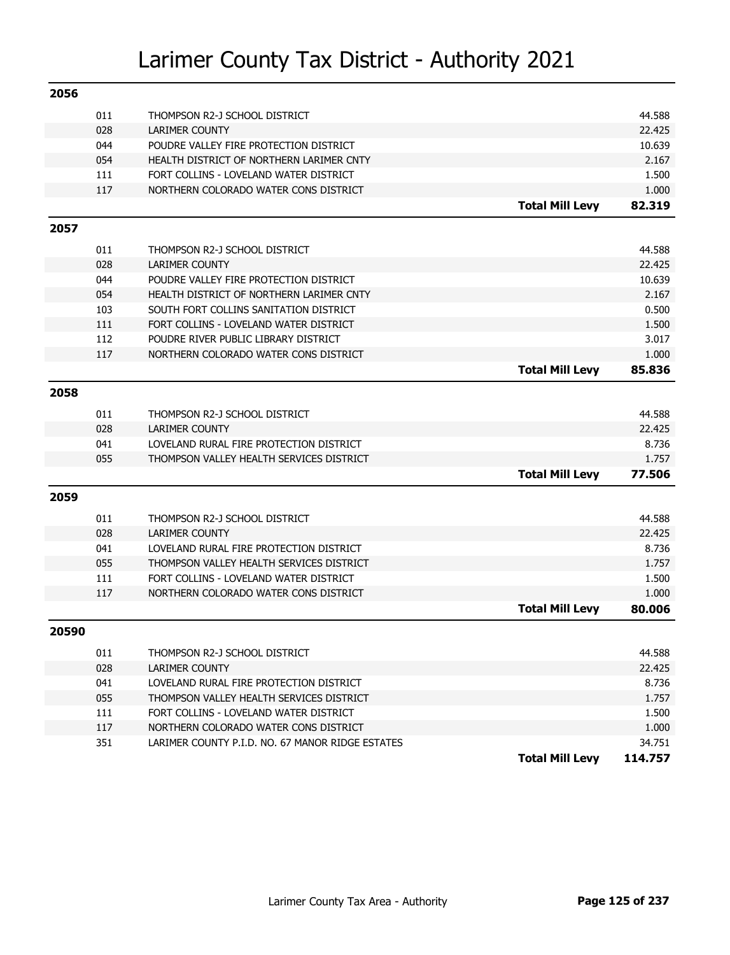| 2056  |     |                                                  |                        |         |
|-------|-----|--------------------------------------------------|------------------------|---------|
|       | 011 | THOMPSON R2-J SCHOOL DISTRICT                    |                        | 44.588  |
|       | 028 | <b>LARIMER COUNTY</b>                            |                        | 22.425  |
|       | 044 | POUDRE VALLEY FIRE PROTECTION DISTRICT           |                        | 10.639  |
|       | 054 | HEALTH DISTRICT OF NORTHERN LARIMER CNTY         |                        | 2.167   |
|       | 111 | FORT COLLINS - LOVELAND WATER DISTRICT           |                        | 1.500   |
|       | 117 | NORTHERN COLORADO WATER CONS DISTRICT            |                        | 1.000   |
|       |     |                                                  | <b>Total Mill Levy</b> | 82.319  |
| 2057  |     |                                                  |                        |         |
|       | 011 | THOMPSON R2-J SCHOOL DISTRICT                    |                        | 44.588  |
|       | 028 | <b>LARIMER COUNTY</b>                            |                        | 22.425  |
|       | 044 | POUDRE VALLEY FIRE PROTECTION DISTRICT           |                        | 10.639  |
|       | 054 | HEALTH DISTRICT OF NORTHERN LARIMER CNTY         |                        | 2.167   |
|       | 103 | SOUTH FORT COLLINS SANITATION DISTRICT           |                        | 0.500   |
|       | 111 | FORT COLLINS - LOVELAND WATER DISTRICT           |                        | 1.500   |
|       | 112 | POUDRE RIVER PUBLIC LIBRARY DISTRICT             |                        | 3.017   |
|       | 117 | NORTHERN COLORADO WATER CONS DISTRICT            |                        | 1.000   |
|       |     |                                                  | <b>Total Mill Levy</b> | 85.836  |
| 2058  |     |                                                  |                        |         |
|       | 011 | THOMPSON R2-J SCHOOL DISTRICT                    |                        | 44.588  |
|       | 028 | <b>LARIMER COUNTY</b>                            |                        | 22.425  |
|       | 041 | LOVELAND RURAL FIRE PROTECTION DISTRICT          |                        | 8.736   |
|       | 055 | THOMPSON VALLEY HEALTH SERVICES DISTRICT         |                        | 1.757   |
|       |     |                                                  | <b>Total Mill Levy</b> | 77.506  |
|       |     |                                                  |                        |         |
| 2059  |     |                                                  |                        |         |
|       | 011 | THOMPSON R2-J SCHOOL DISTRICT                    |                        | 44.588  |
|       | 028 | <b>LARIMER COUNTY</b>                            |                        | 22.425  |
|       | 041 | LOVELAND RURAL FIRE PROTECTION DISTRICT          |                        | 8.736   |
|       | 055 | THOMPSON VALLEY HEALTH SERVICES DISTRICT         |                        | 1.757   |
|       | 111 | FORT COLLINS - LOVELAND WATER DISTRICT           |                        | 1.500   |
|       | 117 | NORTHERN COLORADO WATER CONS DISTRICT            |                        | 1.000   |
|       |     |                                                  | <b>Total Mill Levy</b> | 80.006  |
| 20590 |     |                                                  |                        |         |
|       | 011 | THOMPSON R2-J SCHOOL DISTRICT                    |                        | 44.588  |
|       | 028 | <b>LARIMER COUNTY</b>                            |                        | 22.425  |
|       | 041 | LOVELAND RURAL FIRE PROTECTION DISTRICT          |                        | 8.736   |
|       | 055 | THOMPSON VALLEY HEALTH SERVICES DISTRICT         |                        | 1.757   |
|       | 111 | FORT COLLINS - LOVELAND WATER DISTRICT           |                        | 1.500   |
|       | 117 | NORTHERN COLORADO WATER CONS DISTRICT            |                        | 1.000   |
|       | 351 | LARIMER COUNTY P.I.D. NO. 67 MANOR RIDGE ESTATES |                        | 34.751  |
|       |     |                                                  | <b>Total Mill Levy</b> | 114.757 |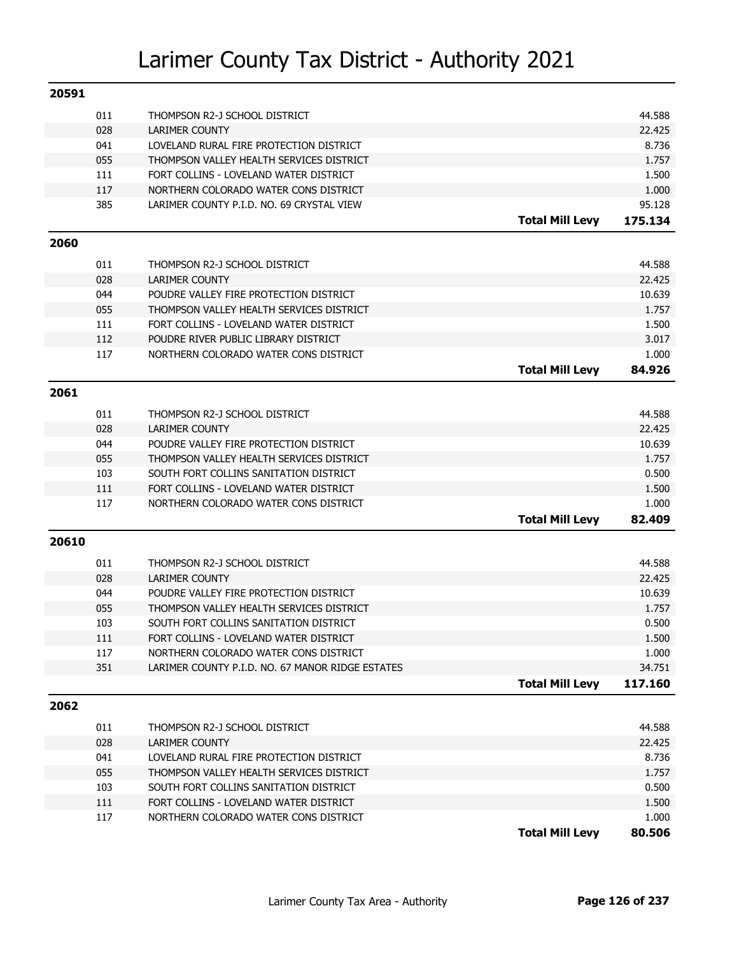| 20591 |     |                                                  |                        |                   |
|-------|-----|--------------------------------------------------|------------------------|-------------------|
|       | 011 | THOMPSON R2-J SCHOOL DISTRICT                    |                        | 44.588            |
|       | 028 | <b>LARIMER COUNTY</b>                            |                        | 22.425            |
|       | 041 | LOVELAND RURAL FIRE PROTECTION DISTRICT          |                        | 8.736             |
|       | 055 | THOMPSON VALLEY HEALTH SERVICES DISTRICT         |                        | 1.757             |
|       | 111 | FORT COLLINS - LOVELAND WATER DISTRICT           |                        | 1.500             |
|       | 117 | NORTHERN COLORADO WATER CONS DISTRICT            |                        | 1.000             |
|       | 385 | LARIMER COUNTY P.I.D. NO. 69 CRYSTAL VIEW        |                        | 95.128            |
|       |     |                                                  | <b>Total Mill Levy</b> | 175.134           |
| 2060  |     |                                                  |                        |                   |
|       | 011 | THOMPSON R2-J SCHOOL DISTRICT                    |                        | 44.588            |
|       | 028 | <b>LARIMER COUNTY</b>                            |                        | 22.425            |
|       | 044 | POUDRE VALLEY FIRE PROTECTION DISTRICT           |                        | 10.639            |
|       | 055 | THOMPSON VALLEY HEALTH SERVICES DISTRICT         |                        | 1.757             |
|       | 111 | FORT COLLINS - LOVELAND WATER DISTRICT           |                        | 1.500             |
|       | 112 | POUDRE RIVER PUBLIC LIBRARY DISTRICT             |                        | 3.017             |
|       | 117 | NORTHERN COLORADO WATER CONS DISTRICT            |                        | 1.000             |
|       |     |                                                  | <b>Total Mill Levy</b> | 84.926            |
| 2061  |     |                                                  |                        |                   |
|       | 011 | THOMPSON R2-J SCHOOL DISTRICT                    |                        | 44.588            |
|       | 028 | <b>LARIMER COUNTY</b>                            |                        | 22.425            |
|       | 044 | POUDRE VALLEY FIRE PROTECTION DISTRICT           |                        | 10.639            |
|       | 055 | THOMPSON VALLEY HEALTH SERVICES DISTRICT         |                        | 1.757             |
|       | 103 | SOUTH FORT COLLINS SANITATION DISTRICT           |                        | 0.500             |
|       | 111 | FORT COLLINS - LOVELAND WATER DISTRICT           |                        | 1.500             |
|       | 117 | NORTHERN COLORADO WATER CONS DISTRICT            |                        | 1.000             |
|       |     |                                                  | <b>Total Mill Levy</b> | 82.409            |
| 20610 |     |                                                  |                        |                   |
|       |     |                                                  |                        |                   |
|       | 011 | THOMPSON R2-J SCHOOL DISTRICT                    |                        | 44.588            |
|       | 028 | <b>LARIMER COUNTY</b>                            |                        | 22.425            |
|       | 044 | POUDRE VALLEY FIRE PROTECTION DISTRICT           |                        | 10.639            |
|       | 055 | THOMPSON VALLEY HEALTH SERVICES DISTRICT         |                        | 1.757             |
|       | 103 | SOUTH FORT COLLINS SANITATION DISTRICT           |                        | 0.500             |
|       | 111 | FORT COLLINS - LOVELAND WATER DISTRICT           |                        | 1.500             |
|       | 117 | NORTHERN COLORADO WATER CONS DISTRICT            |                        | 1.000             |
|       | 351 | LARIMER COUNTY P.I.D. NO. 67 MANOR RIDGE ESTATES | <b>Total Mill Levy</b> | 34.751<br>117.160 |
|       |     |                                                  |                        |                   |
| 2062  |     |                                                  |                        |                   |
|       | 011 | THOMPSON R2-J SCHOOL DISTRICT                    |                        | 44.588            |
|       | 028 | LARIMER COUNTY                                   |                        | 22.425            |
|       | 041 | LOVELAND RURAL FIRE PROTECTION DISTRICT          |                        | 8.736             |
|       | 055 | THOMPSON VALLEY HEALTH SERVICES DISTRICT         |                        | 1.757             |
|       | 103 | SOUTH FORT COLLINS SANITATION DISTRICT           |                        | 0.500             |
|       | 111 | FORT COLLINS - LOVELAND WATER DISTRICT           |                        | 1.500             |
|       | 117 | NORTHERN COLORADO WATER CONS DISTRICT            |                        | 1.000             |
|       |     |                                                  | <b>Total Mill Levy</b> | 80.506            |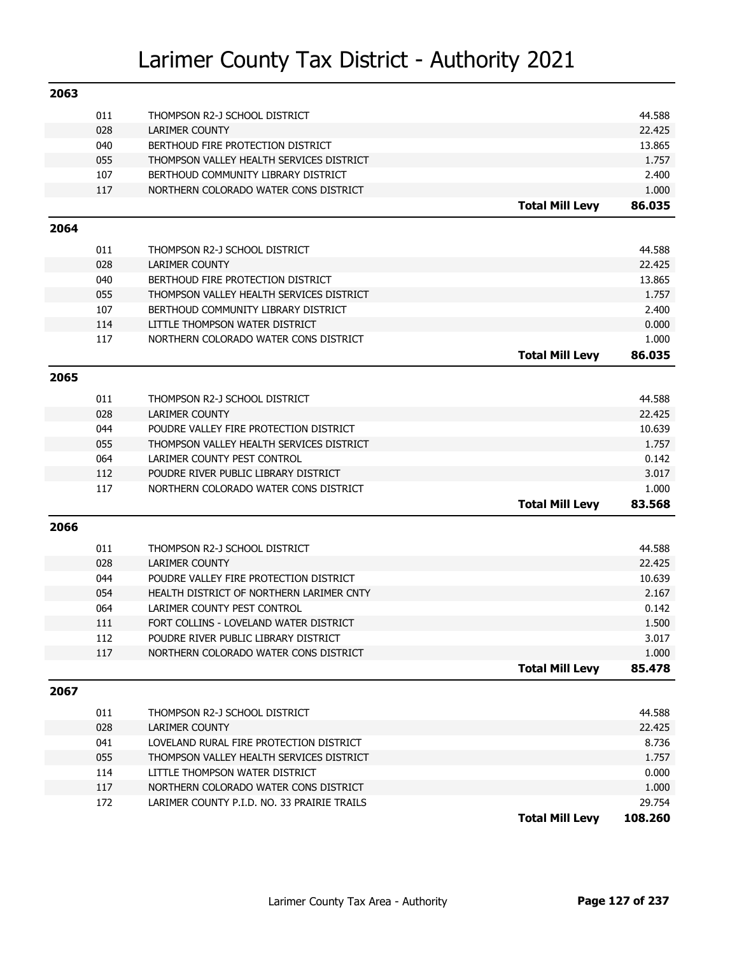| 2063 |     |                                             |                        |                |
|------|-----|---------------------------------------------|------------------------|----------------|
|      | 011 | THOMPSON R2-J SCHOOL DISTRICT               |                        | 44.588         |
|      | 028 | <b>LARIMER COUNTY</b>                       |                        | 22.425         |
|      | 040 | BERTHOUD FIRE PROTECTION DISTRICT           |                        | 13.865         |
|      | 055 | THOMPSON VALLEY HEALTH SERVICES DISTRICT    |                        | 1.757          |
|      | 107 | BERTHOUD COMMUNITY LIBRARY DISTRICT         |                        | 2.400          |
|      | 117 | NORTHERN COLORADO WATER CONS DISTRICT       |                        | 1.000          |
|      |     |                                             | <b>Total Mill Levy</b> | 86.035         |
| 2064 |     |                                             |                        |                |
|      | 011 | THOMPSON R2-J SCHOOL DISTRICT               |                        | 44.588         |
|      | 028 | <b>LARIMER COUNTY</b>                       |                        | 22.425         |
|      | 040 | BERTHOUD FIRE PROTECTION DISTRICT           |                        | 13.865         |
|      | 055 | THOMPSON VALLEY HEALTH SERVICES DISTRICT    |                        | 1.757          |
|      | 107 | BERTHOUD COMMUNITY LIBRARY DISTRICT         |                        | 2.400          |
|      | 114 | LITTLE THOMPSON WATER DISTRICT              |                        | 0.000          |
|      | 117 | NORTHERN COLORADO WATER CONS DISTRICT       |                        | 1.000          |
|      |     |                                             | <b>Total Mill Levy</b> | 86.035         |
| 2065 |     |                                             |                        |                |
|      | 011 | THOMPSON R2-J SCHOOL DISTRICT               |                        | 44.588         |
|      | 028 | <b>LARIMER COUNTY</b>                       |                        | 22.425         |
|      | 044 | POUDRE VALLEY FIRE PROTECTION DISTRICT      |                        | 10.639         |
|      | 055 | THOMPSON VALLEY HEALTH SERVICES DISTRICT    |                        | 1.757          |
|      | 064 | LARIMER COUNTY PEST CONTROL                 |                        | 0.142          |
|      | 112 | POUDRE RIVER PUBLIC LIBRARY DISTRICT        |                        | 3.017          |
|      | 117 | NORTHERN COLORADO WATER CONS DISTRICT       |                        | 1.000          |
|      |     |                                             | <b>Total Mill Levy</b> | 83.568         |
| 2066 |     |                                             |                        |                |
|      | 011 | THOMPSON R2-J SCHOOL DISTRICT               |                        | 44.588         |
|      | 028 | <b>LARIMER COUNTY</b>                       |                        | 22.425         |
|      | 044 | POUDRE VALLEY FIRE PROTECTION DISTRICT      |                        | 10.639         |
|      | 054 | HEALTH DISTRICT OF NORTHERN LARIMER CNTY    |                        | 2.167          |
|      | 064 | LARIMER COUNTY PEST CONTROL                 |                        | 0.142          |
|      | 111 | FORT COLLINS - LOVELAND WATER DISTRICT      |                        | 1.500          |
|      | 112 |                                             |                        |                |
|      |     | POUDRE RIVER PUBLIC LIBRARY DISTRICT        |                        | 3.017<br>1.000 |
|      | 117 | NORTHERN COLORADO WATER CONS DISTRICT       | <b>Total Mill Levy</b> | 85.478         |
| 2067 |     |                                             |                        |                |
|      |     |                                             |                        |                |
|      | 011 | THOMPSON R2-J SCHOOL DISTRICT               |                        | 44.588         |
|      | 028 | <b>LARIMER COUNTY</b>                       |                        | 22.425         |
|      | 041 | LOVELAND RURAL FIRE PROTECTION DISTRICT     |                        | 8.736          |
|      | 055 | THOMPSON VALLEY HEALTH SERVICES DISTRICT    |                        | 1.757          |
|      | 114 | LITTLE THOMPSON WATER DISTRICT              |                        | 0.000          |
|      | 117 | NORTHERN COLORADO WATER CONS DISTRICT       |                        | 1.000          |
|      | 172 | LARIMER COUNTY P.I.D. NO. 33 PRAIRIE TRAILS |                        | 29.754         |
|      |     |                                             | <b>Total Mill Levy</b> | 108.260        |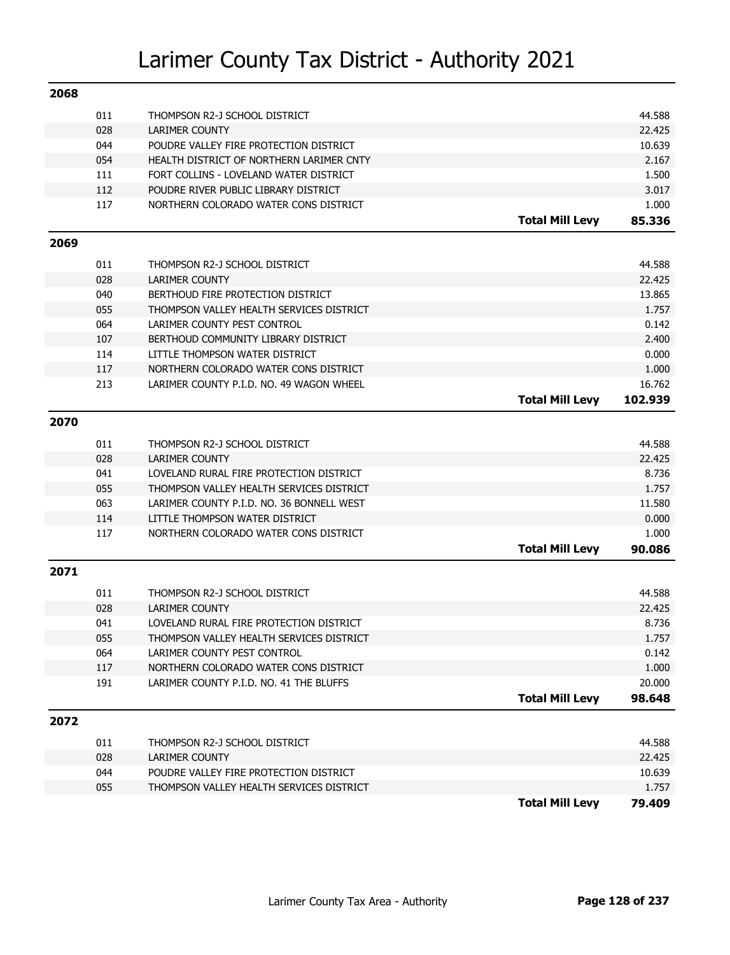| 2068 |     |                                           |                        |         |
|------|-----|-------------------------------------------|------------------------|---------|
|      | 011 | THOMPSON R2-J SCHOOL DISTRICT             |                        | 44.588  |
|      | 028 | <b>LARIMER COUNTY</b>                     |                        | 22.425  |
|      | 044 | POUDRE VALLEY FIRE PROTECTION DISTRICT    |                        | 10.639  |
|      | 054 | HEALTH DISTRICT OF NORTHERN LARIMER CNTY  |                        | 2.167   |
|      | 111 | FORT COLLINS - LOVELAND WATER DISTRICT    |                        | 1.500   |
|      | 112 | POUDRE RIVER PUBLIC LIBRARY DISTRICT      |                        | 3.017   |
|      | 117 | NORTHERN COLORADO WATER CONS DISTRICT     |                        | 1.000   |
|      |     |                                           | <b>Total Mill Levy</b> | 85.336  |
| 2069 |     |                                           |                        |         |
|      | 011 | THOMPSON R2-J SCHOOL DISTRICT             |                        | 44.588  |
|      | 028 | <b>LARIMER COUNTY</b>                     |                        | 22.425  |
|      | 040 | BERTHOUD FIRE PROTECTION DISTRICT         |                        | 13.865  |
|      | 055 | THOMPSON VALLEY HEALTH SERVICES DISTRICT  |                        | 1.757   |
|      | 064 | LARIMER COUNTY PEST CONTROL               |                        | 0.142   |
|      | 107 | BERTHOUD COMMUNITY LIBRARY DISTRICT       |                        | 2.400   |
|      | 114 | LITTLE THOMPSON WATER DISTRICT            |                        | 0.000   |
|      | 117 | NORTHERN COLORADO WATER CONS DISTRICT     |                        | 1.000   |
|      | 213 | LARIMER COUNTY P.I.D. NO. 49 WAGON WHEEL  |                        | 16.762  |
|      |     |                                           | <b>Total Mill Levy</b> | 102.939 |
| 2070 |     |                                           |                        |         |
|      | 011 | THOMPSON R2-J SCHOOL DISTRICT             |                        | 44.588  |
|      | 028 | <b>LARIMER COUNTY</b>                     |                        | 22.425  |
|      | 041 | LOVELAND RURAL FIRE PROTECTION DISTRICT   |                        | 8.736   |
|      | 055 | THOMPSON VALLEY HEALTH SERVICES DISTRICT  |                        | 1.757   |
|      | 063 | LARIMER COUNTY P.I.D. NO. 36 BONNELL WEST |                        | 11.580  |
|      | 114 | LITTLE THOMPSON WATER DISTRICT            |                        | 0.000   |
|      | 117 | NORTHERN COLORADO WATER CONS DISTRICT     |                        | 1.000   |
|      |     |                                           | <b>Total Mill Levy</b> | 90.086  |
| 2071 |     |                                           |                        |         |
|      | 011 | THOMPSON R2-J SCHOOL DISTRICT             |                        | 44.588  |
|      | 028 | <b>LARIMER COUNTY</b>                     |                        | 22.425  |
|      | 041 | LOVELAND RURAL FIRE PROTECTION DISTRICT   |                        | 8.736   |
|      | 055 | THOMPSON VALLEY HEALTH SERVICES DISTRICT  |                        | 1.757   |
|      | 064 | LARIMER COUNTY PEST CONTROL               |                        | 0.142   |
|      | 117 | NORTHERN COLORADO WATER CONS DISTRICT     |                        | 1.000   |
|      | 191 | LARIMER COUNTY P.I.D. NO. 41 THE BLUFFS   |                        | 20.000  |
|      |     |                                           | <b>Total Mill Levy</b> | 98.648  |
| 2072 |     |                                           |                        |         |
|      | 011 | THOMPSON R2-J SCHOOL DISTRICT             |                        | 44.588  |
|      | 028 | <b>LARIMER COUNTY</b>                     |                        | 22.425  |
|      | 044 | POUDRE VALLEY FIRE PROTECTION DISTRICT    |                        | 10.639  |
|      | 055 | THOMPSON VALLEY HEALTH SERVICES DISTRICT  |                        | 1.757   |
|      |     |                                           | <b>Total Mill Levy</b> | 79.409  |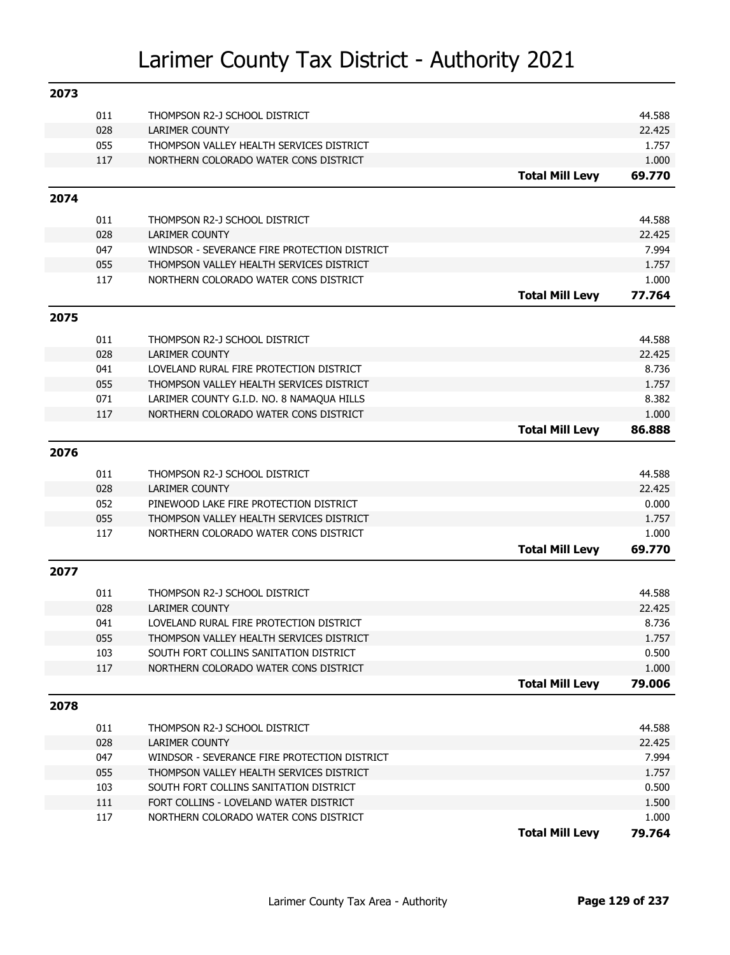| 2073 |     |                                              |                        |        |
|------|-----|----------------------------------------------|------------------------|--------|
|      | 011 | THOMPSON R2-J SCHOOL DISTRICT                |                        | 44.588 |
|      | 028 | <b>LARIMER COUNTY</b>                        |                        | 22.425 |
|      | 055 | THOMPSON VALLEY HEALTH SERVICES DISTRICT     |                        | 1.757  |
|      | 117 | NORTHERN COLORADO WATER CONS DISTRICT        |                        | 1.000  |
|      |     |                                              | <b>Total Mill Levy</b> | 69.770 |
| 2074 |     |                                              |                        |        |
|      | 011 | THOMPSON R2-J SCHOOL DISTRICT                |                        | 44.588 |
|      | 028 | <b>LARIMER COUNTY</b>                        |                        | 22.425 |
|      | 047 | WINDSOR - SEVERANCE FIRE PROTECTION DISTRICT |                        | 7.994  |
|      | 055 | THOMPSON VALLEY HEALTH SERVICES DISTRICT     |                        | 1.757  |
|      | 117 | NORTHERN COLORADO WATER CONS DISTRICT        |                        | 1.000  |
|      |     |                                              | <b>Total Mill Levy</b> | 77.764 |
| 2075 |     |                                              |                        |        |
|      | 011 | THOMPSON R2-J SCHOOL DISTRICT                |                        | 44.588 |
|      | 028 | <b>LARIMER COUNTY</b>                        |                        | 22.425 |
|      | 041 | LOVELAND RURAL FIRE PROTECTION DISTRICT      |                        | 8.736  |
|      | 055 | THOMPSON VALLEY HEALTH SERVICES DISTRICT     |                        | 1.757  |
|      | 071 | LARIMER COUNTY G.I.D. NO. 8 NAMAQUA HILLS    |                        | 8.382  |
|      | 117 | NORTHERN COLORADO WATER CONS DISTRICT        |                        | 1.000  |
|      |     |                                              | <b>Total Mill Levy</b> | 86.888 |
| 2076 |     |                                              |                        |        |
|      | 011 | THOMPSON R2-J SCHOOL DISTRICT                |                        | 44.588 |
|      | 028 | <b>LARIMER COUNTY</b>                        |                        | 22.425 |
|      | 052 | PINEWOOD LAKE FIRE PROTECTION DISTRICT       |                        | 0.000  |
|      | 055 | THOMPSON VALLEY HEALTH SERVICES DISTRICT     |                        | 1.757  |
|      | 117 | NORTHERN COLORADO WATER CONS DISTRICT        |                        | 1.000  |
|      |     |                                              | <b>Total Mill Levy</b> | 69.770 |
| 2077 |     |                                              |                        |        |
|      | 011 | THOMPSON R2-J SCHOOL DISTRICT                |                        | 44.588 |
|      | 028 | <b>LARIMER COUNTY</b>                        |                        | 22.425 |
|      | 041 | LOVELAND RURAL FIRE PROTECTION DISTRICT      |                        | 8.736  |
|      | 055 | THOMPSON VALLEY HEALTH SERVICES DISTRICT     |                        | 1.757  |
|      | 103 | SOUTH FORT COLLINS SANITATION DISTRICT       |                        | 0.500  |
|      | 117 | NORTHERN COLORADO WATER CONS DISTRICT        |                        | 1.000  |
|      |     |                                              | <b>Total Mill Levy</b> | 79.006 |
| 2078 |     |                                              |                        |        |
|      | 011 | THOMPSON R2-J SCHOOL DISTRICT                |                        | 44.588 |
|      | 028 | LARIMER COUNTY                               |                        | 22.425 |
|      | 047 | WINDSOR - SEVERANCE FIRE PROTECTION DISTRICT |                        | 7.994  |
|      | 055 | THOMPSON VALLEY HEALTH SERVICES DISTRICT     |                        | 1.757  |
|      | 103 | SOUTH FORT COLLINS SANITATION DISTRICT       |                        | 0.500  |
|      | 111 | FORT COLLINS - LOVELAND WATER DISTRICT       |                        | 1.500  |
|      | 117 | NORTHERN COLORADO WATER CONS DISTRICT        |                        | 1.000  |
|      |     |                                              | <b>Total Mill Levy</b> | 79.764 |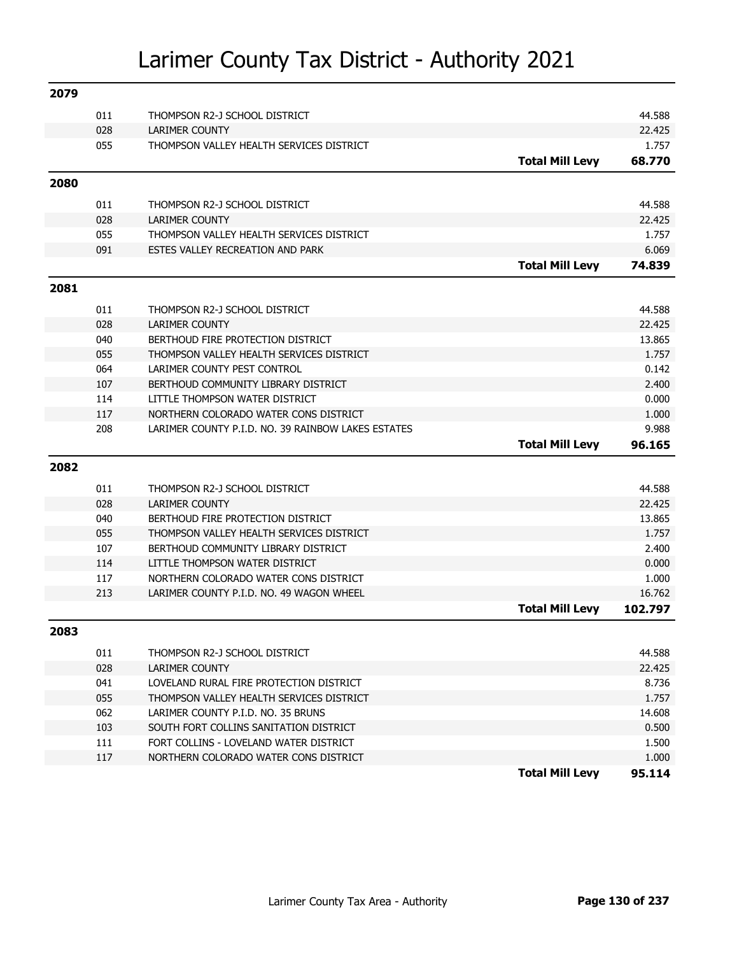| 2079 |            |                                                                                     |                        |                  |
|------|------------|-------------------------------------------------------------------------------------|------------------------|------------------|
|      | 011        | THOMPSON R2-J SCHOOL DISTRICT                                                       |                        | 44.588           |
|      | 028        | <b>LARIMER COUNTY</b>                                                               |                        | 22.425           |
|      | 055        | THOMPSON VALLEY HEALTH SERVICES DISTRICT                                            |                        | 1.757            |
|      |            |                                                                                     | <b>Total Mill Levy</b> | 68.770           |
| 2080 |            |                                                                                     |                        |                  |
|      | 011        | THOMPSON R2-J SCHOOL DISTRICT                                                       |                        | 44.588           |
|      | 028        | <b>LARIMER COUNTY</b>                                                               |                        | 22.425           |
|      | 055        | THOMPSON VALLEY HEALTH SERVICES DISTRICT                                            |                        | 1.757            |
|      | 091        | ESTES VALLEY RECREATION AND PARK                                                    |                        | 6.069            |
|      |            |                                                                                     | <b>Total Mill Levy</b> | 74.839           |
| 2081 |            |                                                                                     |                        |                  |
|      | 011        | THOMPSON R2-J SCHOOL DISTRICT                                                       |                        | 44.588           |
|      | 028        | LARIMER COUNTY                                                                      |                        | 22.425           |
|      | 040        | BERTHOUD FIRE PROTECTION DISTRICT                                                   |                        | 13.865           |
|      | 055        | THOMPSON VALLEY HEALTH SERVICES DISTRICT                                            |                        | 1.757            |
|      | 064        | LARIMER COUNTY PEST CONTROL                                                         |                        | 0.142            |
|      | 107        | BERTHOUD COMMUNITY LIBRARY DISTRICT                                                 |                        | 2.400            |
|      | 114        | LITTLE THOMPSON WATER DISTRICT                                                      |                        | 0.000            |
|      | 117        | NORTHERN COLORADO WATER CONS DISTRICT                                               |                        | 1.000            |
|      | 208        | LARIMER COUNTY P.I.D. NO. 39 RAINBOW LAKES ESTATES                                  |                        | 9.988            |
|      |            |                                                                                     |                        |                  |
|      |            |                                                                                     | <b>Total Mill Levy</b> | 96.165           |
| 2082 |            |                                                                                     |                        |                  |
|      |            |                                                                                     |                        |                  |
|      | 011<br>028 | THOMPSON R2-J SCHOOL DISTRICT<br>LARIMER COUNTY                                     |                        | 44.588<br>22.425 |
|      | 040        | BERTHOUD FIRE PROTECTION DISTRICT                                                   |                        | 13.865           |
|      | 055        | THOMPSON VALLEY HEALTH SERVICES DISTRICT                                            |                        | 1.757            |
|      | 107        | BERTHOUD COMMUNITY LIBRARY DISTRICT                                                 |                        | 2.400            |
|      | 114        | LITTLE THOMPSON WATER DISTRICT                                                      |                        | 0.000            |
|      | 117        | NORTHERN COLORADO WATER CONS DISTRICT                                               |                        | 1.000            |
|      | 213        | LARIMER COUNTY P.I.D. NO. 49 WAGON WHEEL                                            |                        | 16.762           |
|      |            |                                                                                     | <b>Total Mill Levy</b> | 102.797          |
| 2083 |            |                                                                                     |                        |                  |
|      |            |                                                                                     |                        |                  |
|      | 011        | THOMPSON R2-J SCHOOL DISTRICT                                                       |                        | 44.588           |
|      | 028        | LARIMER COUNTY                                                                      |                        | 22.425           |
|      | 041        | LOVELAND RURAL FIRE PROTECTION DISTRICT<br>THOMPSON VALLEY HEALTH SERVICES DISTRICT |                        | 8.736<br>1.757   |
|      | 055        | LARIMER COUNTY P.I.D. NO. 35 BRUNS                                                  |                        |                  |
|      | 062<br>103 | SOUTH FORT COLLINS SANITATION DISTRICT                                              |                        | 14.608<br>0.500  |
|      | 111        | FORT COLLINS - LOVELAND WATER DISTRICT                                              |                        | 1.500            |
|      | 117        | NORTHERN COLORADO WATER CONS DISTRICT                                               |                        | 1.000            |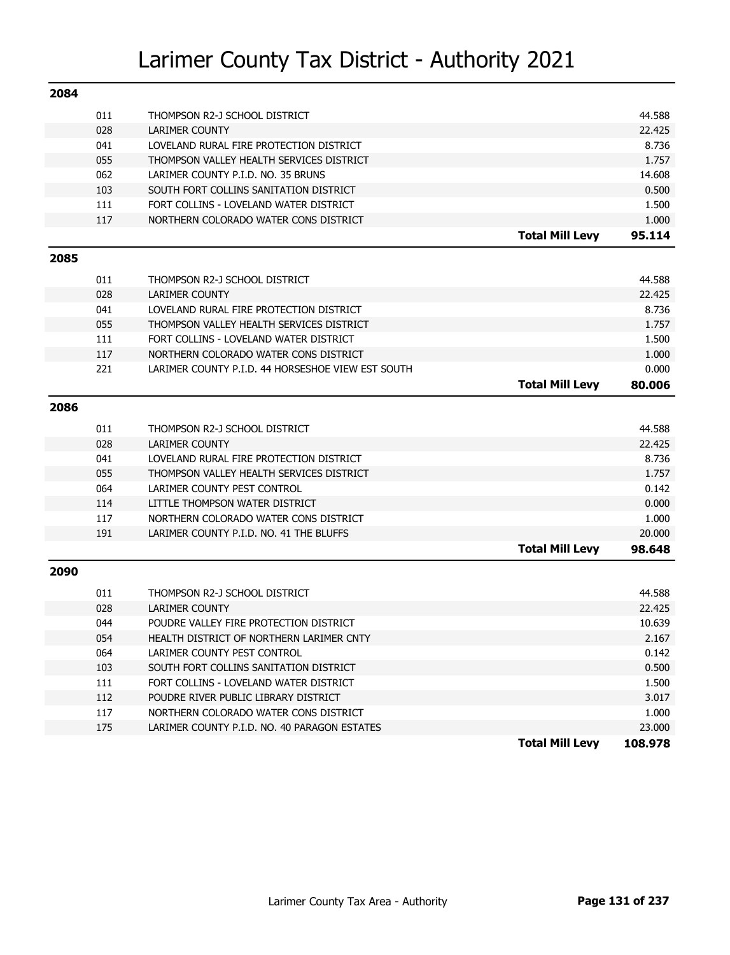| 2084 |     |                                                   |                        |         |
|------|-----|---------------------------------------------------|------------------------|---------|
|      | 011 | THOMPSON R2-J SCHOOL DISTRICT                     |                        | 44.588  |
|      | 028 | <b>LARIMER COUNTY</b>                             |                        | 22.425  |
|      | 041 | LOVELAND RURAL FIRE PROTECTION DISTRICT           |                        | 8.736   |
|      | 055 | THOMPSON VALLEY HEALTH SERVICES DISTRICT          |                        | 1.757   |
|      | 062 | LARIMER COUNTY P.I.D. NO. 35 BRUNS                |                        | 14.608  |
|      | 103 | SOUTH FORT COLLINS SANITATION DISTRICT            |                        | 0.500   |
|      | 111 | FORT COLLINS - LOVELAND WATER DISTRICT            |                        | 1.500   |
|      | 117 | NORTHERN COLORADO WATER CONS DISTRICT             |                        | 1.000   |
|      |     |                                                   | <b>Total Mill Levy</b> | 95.114  |
| 2085 |     |                                                   |                        |         |
|      | 011 | THOMPSON R2-J SCHOOL DISTRICT                     |                        | 44.588  |
|      | 028 | <b>LARIMER COUNTY</b>                             |                        | 22.425  |
|      | 041 | LOVELAND RURAL FIRE PROTECTION DISTRICT           |                        | 8.736   |
|      | 055 | THOMPSON VALLEY HEALTH SERVICES DISTRICT          |                        | 1.757   |
|      | 111 | FORT COLLINS - LOVELAND WATER DISTRICT            |                        | 1.500   |
|      | 117 | NORTHERN COLORADO WATER CONS DISTRICT             |                        | 1.000   |
|      | 221 | LARIMER COUNTY P.I.D. 44 HORSESHOE VIEW EST SOUTH |                        | 0.000   |
|      |     |                                                   | <b>Total Mill Levy</b> | 80.006  |
| 2086 |     |                                                   |                        |         |
|      |     |                                                   |                        |         |
|      | 011 | THOMPSON R2-J SCHOOL DISTRICT                     |                        | 44.588  |
|      | 028 | <b>LARIMER COUNTY</b>                             |                        | 22.425  |
|      | 041 | LOVELAND RURAL FIRE PROTECTION DISTRICT           |                        | 8.736   |
|      | 055 | THOMPSON VALLEY HEALTH SERVICES DISTRICT          |                        | 1.757   |
|      | 064 | LARIMER COUNTY PEST CONTROL                       |                        | 0.142   |
|      | 114 | LITTLE THOMPSON WATER DISTRICT                    |                        | 0.000   |
|      | 117 | NORTHERN COLORADO WATER CONS DISTRICT             |                        | 1.000   |
|      | 191 | LARIMER COUNTY P.I.D. NO. 41 THE BLUFFS           |                        | 20.000  |
|      |     |                                                   | <b>Total Mill Levy</b> | 98.648  |
| 2090 |     |                                                   |                        |         |
|      | 011 | THOMPSON R2-J SCHOOL DISTRICT                     |                        | 44.588  |
|      | 028 | <b>LARIMER COUNTY</b>                             |                        | 22.425  |
|      | 044 | POUDRE VALLEY FIRE PROTECTION DISTRICT            |                        | 10.639  |
|      | 054 | HEALTH DISTRICT OF NORTHERN LARIMER CNTY          |                        | 2.167   |
|      | 064 | LARIMER COUNTY PEST CONTROL                       |                        | 0.142   |
|      | 103 | SOUTH FORT COLLINS SANITATION DISTRICT            |                        | 0.500   |
|      | 111 | FORT COLLINS - LOVELAND WATER DISTRICT            |                        | 1.500   |
|      | 112 | POUDRE RIVER PUBLIC LIBRARY DISTRICT              |                        | 3.017   |
|      | 117 | NORTHERN COLORADO WATER CONS DISTRICT             |                        | 1.000   |
|      | 175 | LARIMER COUNTY P.I.D. NO. 40 PARAGON ESTATES      |                        | 23.000  |
|      |     |                                                   | <b>Total Mill Levy</b> | 108.978 |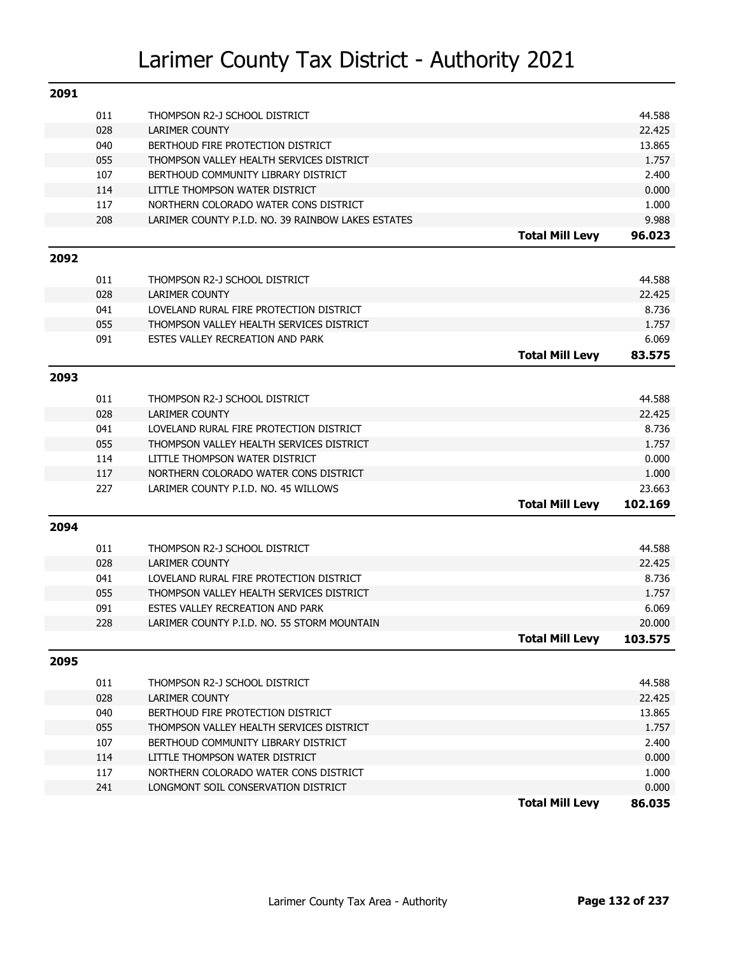| 2091 |     |                                                    |                        |         |
|------|-----|----------------------------------------------------|------------------------|---------|
|      | 011 | THOMPSON R2-J SCHOOL DISTRICT                      |                        | 44.588  |
|      | 028 | <b>LARIMER COUNTY</b>                              |                        | 22.425  |
|      | 040 | BERTHOUD FIRE PROTECTION DISTRICT                  |                        | 13.865  |
|      | 055 | THOMPSON VALLEY HEALTH SERVICES DISTRICT           |                        | 1.757   |
|      | 107 | BERTHOUD COMMUNITY LIBRARY DISTRICT                |                        | 2.400   |
|      | 114 | LITTLE THOMPSON WATER DISTRICT                     |                        | 0.000   |
|      | 117 | NORTHERN COLORADO WATER CONS DISTRICT              |                        | 1.000   |
|      | 208 | LARIMER COUNTY P.I.D. NO. 39 RAINBOW LAKES ESTATES |                        | 9.988   |
|      |     |                                                    | <b>Total Mill Levy</b> | 96.023  |
| 2092 |     |                                                    |                        |         |
|      | 011 | THOMPSON R2-J SCHOOL DISTRICT                      |                        | 44.588  |
|      | 028 | <b>LARIMER COUNTY</b>                              |                        | 22.425  |
|      | 041 | LOVELAND RURAL FIRE PROTECTION DISTRICT            |                        | 8.736   |
|      | 055 | THOMPSON VALLEY HEALTH SERVICES DISTRICT           |                        | 1.757   |
|      | 091 | ESTES VALLEY RECREATION AND PARK                   |                        | 6.069   |
|      |     |                                                    | <b>Total Mill Levy</b> | 83.575  |
| 2093 |     |                                                    |                        |         |
|      | 011 | THOMPSON R2-J SCHOOL DISTRICT                      |                        | 44.588  |
|      | 028 | <b>LARIMER COUNTY</b>                              |                        | 22.425  |
|      | 041 | LOVELAND RURAL FIRE PROTECTION DISTRICT            |                        | 8.736   |
|      | 055 | THOMPSON VALLEY HEALTH SERVICES DISTRICT           |                        | 1.757   |
|      | 114 | LITTLE THOMPSON WATER DISTRICT                     |                        | 0.000   |
|      | 117 | NORTHERN COLORADO WATER CONS DISTRICT              |                        | 1.000   |
|      | 227 | LARIMER COUNTY P.I.D. NO. 45 WILLOWS               |                        | 23.663  |
|      |     |                                                    | <b>Total Mill Levy</b> | 102.169 |
| 2094 |     |                                                    |                        |         |
|      | 011 | THOMPSON R2-J SCHOOL DISTRICT                      |                        | 44.588  |
|      | 028 | <b>LARIMER COUNTY</b>                              |                        | 22.425  |
|      | 041 | LOVELAND RURAL FIRE PROTECTION DISTRICT            |                        | 8.736   |
|      | 055 | THOMPSON VALLEY HEALTH SERVICES DISTRICT           |                        | 1.757   |
|      | 091 | ESTES VALLEY RECREATION AND PARK                   |                        | 6.069   |
|      | 228 | LARIMER COUNTY P.I.D. NO. 55 STORM MOUNTAIN        |                        | 20.000  |
|      |     |                                                    | Total Mill Levv        | 103.575 |
| 2095 |     |                                                    |                        |         |
|      | 011 | THOMPSON R2-J SCHOOL DISTRICT                      |                        | 44.588  |
|      | 028 | LARIMER COUNTY                                     |                        | 22.425  |
|      | 040 | BERTHOUD FIRE PROTECTION DISTRICT                  |                        | 13.865  |
|      | 055 | THOMPSON VALLEY HEALTH SERVICES DISTRICT           |                        | 1.757   |
|      | 107 | BERTHOUD COMMUNITY LIBRARY DISTRICT                |                        | 2.400   |
|      | 114 | LITTLE THOMPSON WATER DISTRICT                     |                        | 0.000   |
|      | 117 | NORTHERN COLORADO WATER CONS DISTRICT              |                        | 1.000   |
|      | 241 | LONGMONT SOIL CONSERVATION DISTRICT                |                        | 0.000   |
|      |     |                                                    | <b>Total Mill Levy</b> | 86.035  |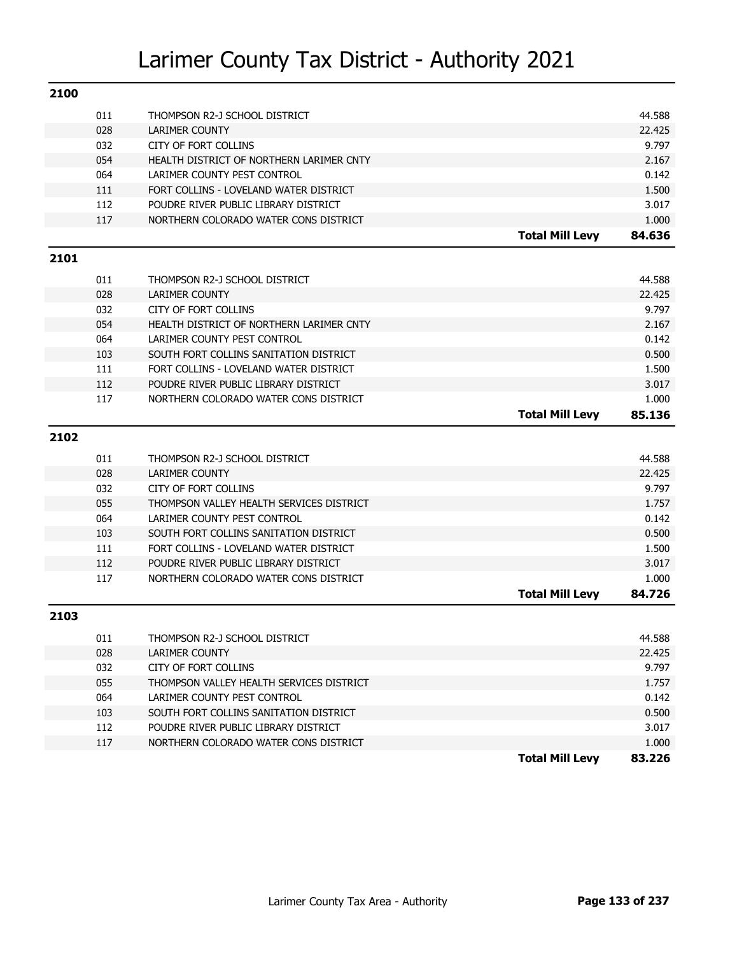| 2100 |     |                                          |                        |        |
|------|-----|------------------------------------------|------------------------|--------|
|      | 011 | THOMPSON R2-J SCHOOL DISTRICT            |                        | 44.588 |
|      | 028 | LARIMER COUNTY                           |                        | 22.425 |
|      | 032 | <b>CITY OF FORT COLLINS</b>              |                        | 9.797  |
|      | 054 | HEALTH DISTRICT OF NORTHERN LARIMER CNTY |                        | 2.167  |
|      | 064 | LARIMER COUNTY PEST CONTROL              |                        | 0.142  |
|      | 111 | FORT COLLINS - LOVELAND WATER DISTRICT   |                        | 1.500  |
|      | 112 | POUDRE RIVER PUBLIC LIBRARY DISTRICT     |                        | 3.017  |
|      | 117 | NORTHERN COLORADO WATER CONS DISTRICT    |                        | 1.000  |
|      |     |                                          | <b>Total Mill Levy</b> | 84.636 |
| 2101 |     |                                          |                        |        |
|      | 011 | THOMPSON R2-J SCHOOL DISTRICT            |                        | 44.588 |
|      | 028 | <b>LARIMER COUNTY</b>                    |                        | 22.425 |
|      | 032 | <b>CITY OF FORT COLLINS</b>              |                        | 9.797  |
|      | 054 | HEALTH DISTRICT OF NORTHERN LARIMER CNTY |                        | 2.167  |
|      | 064 | LARIMER COUNTY PEST CONTROL              |                        | 0.142  |
|      | 103 | SOUTH FORT COLLINS SANITATION DISTRICT   |                        | 0.500  |
|      | 111 | FORT COLLINS - LOVELAND WATER DISTRICT   |                        | 1.500  |
|      | 112 | POUDRE RIVER PUBLIC LIBRARY DISTRICT     |                        | 3.017  |
|      | 117 | NORTHERN COLORADO WATER CONS DISTRICT    |                        | 1.000  |
|      |     |                                          | <b>Total Mill Levy</b> | 85.136 |
| 2102 |     |                                          |                        |        |
|      | 011 | THOMPSON R2-J SCHOOL DISTRICT            |                        | 44.588 |
|      | 028 | <b>LARIMER COUNTY</b>                    |                        | 22.425 |
|      | 032 | <b>CITY OF FORT COLLINS</b>              |                        | 9.797  |
|      | 055 | THOMPSON VALLEY HEALTH SERVICES DISTRICT |                        | 1.757  |
|      | 064 | LARIMER COUNTY PEST CONTROL              |                        | 0.142  |
|      | 103 | SOUTH FORT COLLINS SANITATION DISTRICT   |                        | 0.500  |
|      | 111 | FORT COLLINS - LOVELAND WATER DISTRICT   |                        | 1.500  |
|      | 112 | POUDRE RIVER PUBLIC LIBRARY DISTRICT     |                        | 3.017  |
|      | 117 | NORTHERN COLORADO WATER CONS DISTRICT    |                        | 1.000  |
|      |     |                                          | <b>Total Mill Levy</b> | 84.726 |
| 2103 |     |                                          |                        |        |
|      | 011 | THOMPSON R2-J SCHOOL DISTRICT            |                        | 44.588 |
|      | 028 | LARIMER COUNTY                           |                        | 22.425 |
|      | 032 | CITY OF FORT COLLINS                     |                        | 9.797  |
|      | 055 | THOMPSON VALLEY HEALTH SERVICES DISTRICT |                        | 1.757  |
|      | 064 | LARIMER COUNTY PEST CONTROL              |                        | 0.142  |
|      | 103 | SOUTH FORT COLLINS SANITATION DISTRICT   |                        | 0.500  |
|      | 112 | POUDRE RIVER PUBLIC LIBRARY DISTRICT     |                        | 3.017  |
|      | 117 | NORTHERN COLORADO WATER CONS DISTRICT    |                        | 1.000  |
|      |     |                                          | <b>Total Mill Levy</b> | 83.226 |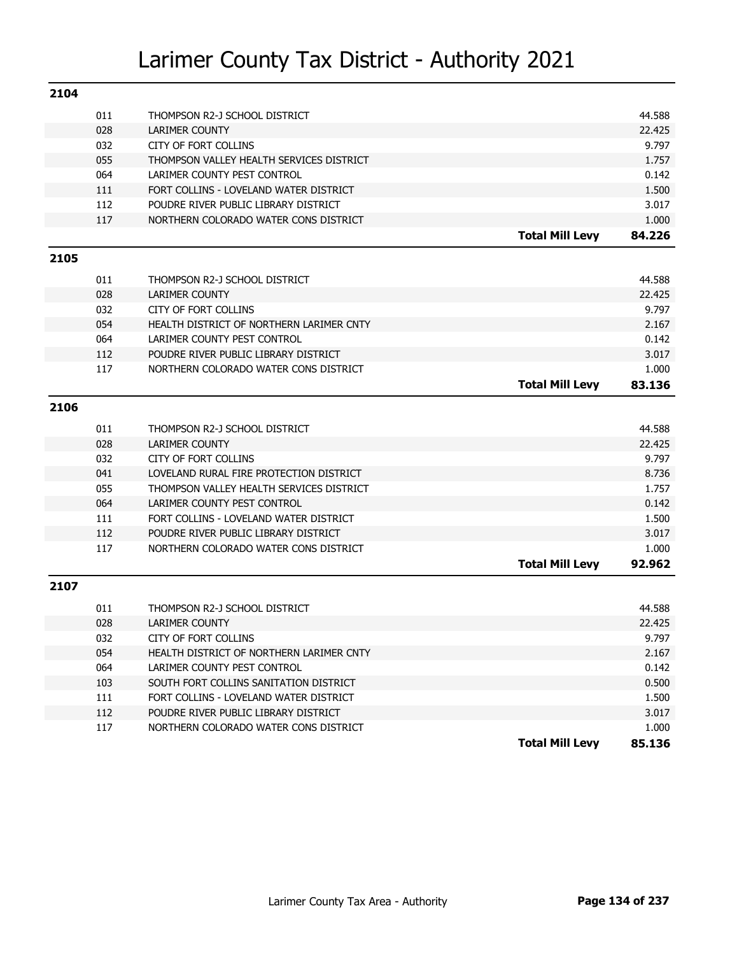| 2104 |            |                                                                                |                        |                |
|------|------------|--------------------------------------------------------------------------------|------------------------|----------------|
|      | 011        | THOMPSON R2-J SCHOOL DISTRICT                                                  |                        | 44.588         |
|      | 028        | <b>LARIMER COUNTY</b>                                                          |                        | 22.425         |
|      | 032        | <b>CITY OF FORT COLLINS</b>                                                    |                        | 9.797          |
|      | 055        | THOMPSON VALLEY HEALTH SERVICES DISTRICT                                       |                        | 1.757          |
|      | 064        | LARIMER COUNTY PEST CONTROL                                                    |                        | 0.142          |
|      | 111        | FORT COLLINS - LOVELAND WATER DISTRICT                                         |                        | 1.500          |
|      | 112        | POUDRE RIVER PUBLIC LIBRARY DISTRICT                                           |                        | 3.017          |
|      | 117        | NORTHERN COLORADO WATER CONS DISTRICT                                          |                        | 1.000          |
|      |            |                                                                                | <b>Total Mill Levy</b> | 84.226         |
|      |            |                                                                                |                        |                |
| 2105 |            |                                                                                |                        |                |
|      | 011        | THOMPSON R2-J SCHOOL DISTRICT                                                  |                        | 44.588         |
|      | 028        | <b>LARIMER COUNTY</b>                                                          |                        | 22.425         |
|      | 032        | <b>CITY OF FORT COLLINS</b>                                                    |                        | 9.797          |
|      | 054        | HEALTH DISTRICT OF NORTHERN LARIMER CNTY                                       |                        | 2.167          |
|      | 064        | LARIMER COUNTY PEST CONTROL                                                    |                        | 0.142          |
|      | 112        | POUDRE RIVER PUBLIC LIBRARY DISTRICT                                           |                        | 3.017          |
|      | 117        | NORTHERN COLORADO WATER CONS DISTRICT                                          |                        | 1.000          |
|      |            |                                                                                | <b>Total Mill Levy</b> | 83.136         |
| 2106 |            |                                                                                |                        |                |
|      |            |                                                                                |                        |                |
|      | 011        | THOMPSON R2-J SCHOOL DISTRICT                                                  |                        | 44.588         |
|      | 028        | <b>LARIMER COUNTY</b>                                                          |                        | 22.425         |
|      | 032        | <b>CITY OF FORT COLLINS</b>                                                    |                        | 9.797          |
|      | 041        | LOVELAND RURAL FIRE PROTECTION DISTRICT                                        |                        | 8.736          |
|      | 055        | THOMPSON VALLEY HEALTH SERVICES DISTRICT                                       |                        | 1.757          |
|      | 064        | LARIMER COUNTY PEST CONTROL                                                    |                        | 0.142          |
|      | 111        | FORT COLLINS - LOVELAND WATER DISTRICT                                         |                        | 1.500          |
|      | 112        | POUDRE RIVER PUBLIC LIBRARY DISTRICT                                           |                        | 3.017          |
|      | 117        | NORTHERN COLORADO WATER CONS DISTRICT                                          |                        | 1.000          |
|      |            |                                                                                | <b>Total Mill Levy</b> | 92.962         |
| 2107 |            |                                                                                |                        |                |
|      | 011        | THOMPSON R2-J SCHOOL DISTRICT                                                  |                        | 44.588         |
|      | 028        | <b>LARIMER COUNTY</b>                                                          |                        | 22.425         |
|      | 032        |                                                                                |                        |                |
|      |            | CITY OF FORT COLLINS                                                           |                        | 9.797          |
|      | 054<br>064 | HEALTH DISTRICT OF NORTHERN LARIMER CNTY<br>LARIMER COUNTY PEST CONTROL        |                        | 2.167          |
|      |            |                                                                                |                        | 0.142          |
|      | 103        | SOUTH FORT COLLINS SANITATION DISTRICT                                         |                        | 0.500          |
|      | 111        | FORT COLLINS - LOVELAND WATER DISTRICT<br>POUDRE RIVER PUBLIC LIBRARY DISTRICT |                        | 1.500          |
|      | 112<br>117 | NORTHERN COLORADO WATER CONS DISTRICT                                          |                        | 3.017<br>1.000 |
|      |            |                                                                                |                        | 85.136         |
|      |            |                                                                                | <b>Total Mill Levy</b> |                |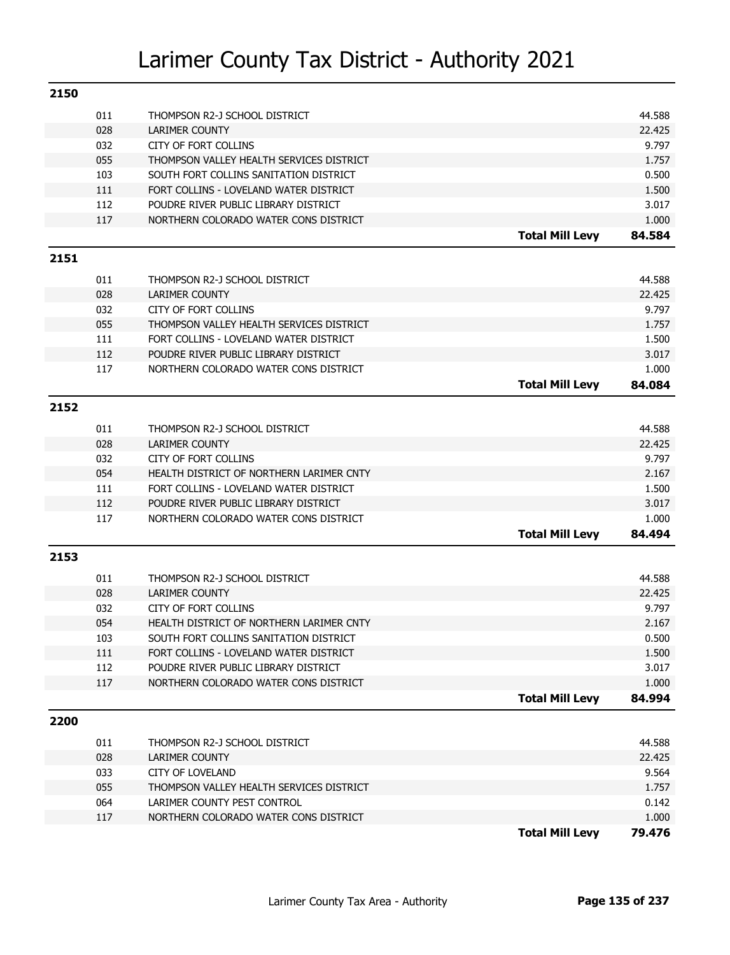| 2150 |     |                                          |                        |        |
|------|-----|------------------------------------------|------------------------|--------|
|      | 011 | THOMPSON R2-J SCHOOL DISTRICT            |                        | 44.588 |
|      | 028 | <b>LARIMER COUNTY</b>                    |                        | 22.425 |
|      | 032 | <b>CITY OF FORT COLLINS</b>              |                        | 9.797  |
|      | 055 | THOMPSON VALLEY HEALTH SERVICES DISTRICT |                        | 1.757  |
|      | 103 | SOUTH FORT COLLINS SANITATION DISTRICT   |                        | 0.500  |
|      | 111 | FORT COLLINS - LOVELAND WATER DISTRICT   |                        | 1.500  |
|      | 112 | POUDRE RIVER PUBLIC LIBRARY DISTRICT     |                        | 3.017  |
|      | 117 | NORTHERN COLORADO WATER CONS DISTRICT    |                        | 1.000  |
|      |     |                                          | <b>Total Mill Levy</b> | 84.584 |
| 2151 |     |                                          |                        |        |
|      | 011 | THOMPSON R2-J SCHOOL DISTRICT            |                        | 44.588 |
|      | 028 | <b>LARIMER COUNTY</b>                    |                        | 22.425 |
|      | 032 | <b>CITY OF FORT COLLINS</b>              |                        | 9.797  |
|      | 055 | THOMPSON VALLEY HEALTH SERVICES DISTRICT |                        | 1.757  |
|      | 111 | FORT COLLINS - LOVELAND WATER DISTRICT   |                        | 1.500  |
|      | 112 | POUDRE RIVER PUBLIC LIBRARY DISTRICT     |                        | 3.017  |
|      | 117 | NORTHERN COLORADO WATER CONS DISTRICT    |                        | 1.000  |
|      |     |                                          | <b>Total Mill Levy</b> | 84.084 |
| 2152 |     |                                          |                        |        |
|      | 011 | THOMPSON R2-J SCHOOL DISTRICT            |                        | 44.588 |
|      | 028 | <b>LARIMER COUNTY</b>                    |                        | 22.425 |
|      | 032 | <b>CITY OF FORT COLLINS</b>              |                        | 9.797  |
|      | 054 | HEALTH DISTRICT OF NORTHERN LARIMER CNTY |                        | 2.167  |
|      | 111 | FORT COLLINS - LOVELAND WATER DISTRICT   |                        | 1.500  |
|      | 112 | POUDRE RIVER PUBLIC LIBRARY DISTRICT     |                        | 3.017  |
|      | 117 | NORTHERN COLORADO WATER CONS DISTRICT    |                        | 1.000  |
|      |     |                                          | <b>Total Mill Levy</b> | 84.494 |
| 2153 |     |                                          |                        |        |
|      | 011 | THOMPSON R2-J SCHOOL DISTRICT            |                        | 44.588 |
|      | 028 | <b>LARIMER COUNTY</b>                    |                        | 22.425 |
|      | 032 | <b>CITY OF FORT COLLINS</b>              |                        | 9.797  |
|      | 054 | HEALTH DISTRICT OF NORTHERN LARIMER CNTY |                        | 2.167  |
|      | 103 | SOUTH FORT COLLINS SANITATION DISTRICT   |                        | 0.500  |
|      | 111 | FORT COLLINS - LOVELAND WATER DISTRICT   |                        | 1.500  |
|      | 112 | POUDRE RIVER PUBLIC LIBRARY DISTRICT     |                        | 3.017  |
|      | 117 | NORTHERN COLORADO WATER CONS DISTRICT    |                        | 1.000  |
|      |     |                                          | <b>Total Mill Levy</b> | 84.994 |
| 2200 |     |                                          |                        |        |
|      | 011 | THOMPSON R2-J SCHOOL DISTRICT            |                        | 44.588 |
|      | 028 | LARIMER COUNTY                           |                        | 22.425 |
|      | 033 | <b>CITY OF LOVELAND</b>                  |                        | 9.564  |
|      | 055 | THOMPSON VALLEY HEALTH SERVICES DISTRICT |                        | 1.757  |
|      | 064 | LARIMER COUNTY PEST CONTROL              |                        | 0.142  |
|      | 117 | NORTHERN COLORADO WATER CONS DISTRICT    |                        | 1.000  |
|      |     |                                          | <b>Total Mill Levy</b> | 79.476 |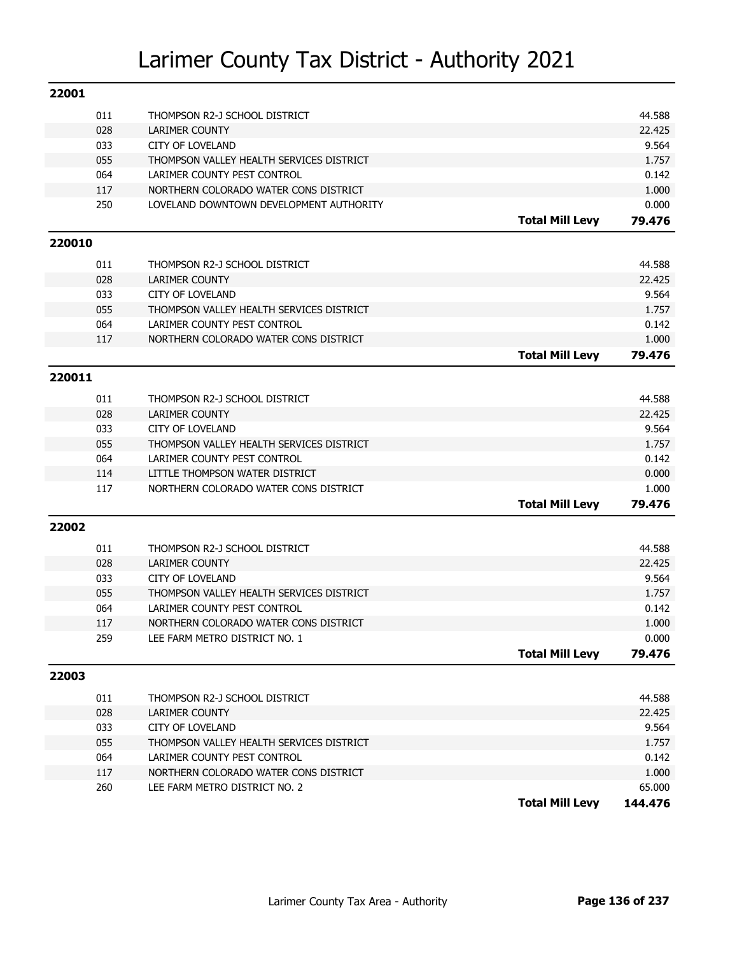| 22001  |     |                                          |                        |         |
|--------|-----|------------------------------------------|------------------------|---------|
|        | 011 | THOMPSON R2-J SCHOOL DISTRICT            |                        | 44.588  |
|        | 028 | LARIMER COUNTY                           |                        | 22.425  |
|        | 033 | <b>CITY OF LOVELAND</b>                  |                        | 9.564   |
|        | 055 | THOMPSON VALLEY HEALTH SERVICES DISTRICT |                        | 1.757   |
|        | 064 | LARIMER COUNTY PEST CONTROL              |                        | 0.142   |
|        | 117 | NORTHERN COLORADO WATER CONS DISTRICT    |                        | 1.000   |
|        | 250 | LOVELAND DOWNTOWN DEVELOPMENT AUTHORITY  |                        | 0.000   |
|        |     |                                          | <b>Total Mill Levy</b> | 79.476  |
| 220010 |     |                                          |                        |         |
|        | 011 | THOMPSON R2-J SCHOOL DISTRICT            |                        | 44.588  |
|        | 028 | <b>LARIMER COUNTY</b>                    |                        | 22.425  |
|        | 033 | <b>CITY OF LOVELAND</b>                  |                        | 9.564   |
|        | 055 | THOMPSON VALLEY HEALTH SERVICES DISTRICT |                        | 1.757   |
|        | 064 | LARIMER COUNTY PEST CONTROL              |                        | 0.142   |
|        | 117 | NORTHERN COLORADO WATER CONS DISTRICT    |                        | 1.000   |
|        |     |                                          | <b>Total Mill Levy</b> | 79.476  |
| 220011 |     |                                          |                        |         |
|        | 011 | THOMPSON R2-J SCHOOL DISTRICT            |                        | 44.588  |
|        | 028 | <b>LARIMER COUNTY</b>                    |                        | 22.425  |
|        | 033 | <b>CITY OF LOVELAND</b>                  |                        | 9.564   |
|        | 055 | THOMPSON VALLEY HEALTH SERVICES DISTRICT |                        | 1.757   |
|        | 064 | LARIMER COUNTY PEST CONTROL              |                        | 0.142   |
|        | 114 | LITTLE THOMPSON WATER DISTRICT           |                        | 0.000   |
|        | 117 | NORTHERN COLORADO WATER CONS DISTRICT    |                        | 1.000   |
|        |     |                                          | <b>Total Mill Levy</b> | 79.476  |
| 22002  |     |                                          |                        |         |
|        | 011 | THOMPSON R2-J SCHOOL DISTRICT            |                        | 44.588  |
|        | 028 | <b>LARIMER COUNTY</b>                    |                        | 22.425  |
|        | 033 | <b>CITY OF LOVELAND</b>                  |                        | 9.564   |
|        | 055 | THOMPSON VALLEY HEALTH SERVICES DISTRICT |                        | 1.757   |
|        | 064 | LARIMER COUNTY PEST CONTROL              |                        | 0.142   |
|        | 117 | NORTHERN COLORADO WATER CONS DISTRICT    |                        | 1.000   |
|        | 259 | LEE FARM METRO DISTRICT NO. 1            |                        | 0.000   |
|        |     |                                          | <b>Total Mill Levy</b> | 79.476  |
| 22003  |     |                                          |                        |         |
|        | 011 | THOMPSON R2-J SCHOOL DISTRICT            |                        | 44.588  |
|        | 028 | LARIMER COUNTY                           |                        | 22.425  |
|        | 033 | <b>CITY OF LOVELAND</b>                  |                        | 9.564   |
|        | 055 | THOMPSON VALLEY HEALTH SERVICES DISTRICT |                        | 1.757   |
|        | 064 | LARIMER COUNTY PEST CONTROL              |                        | 0.142   |
|        | 117 | NORTHERN COLORADO WATER CONS DISTRICT    |                        | 1.000   |
|        | 260 | LEE FARM METRO DISTRICT NO. 2            |                        | 65.000  |
|        |     |                                          | <b>Total Mill Levy</b> | 144.476 |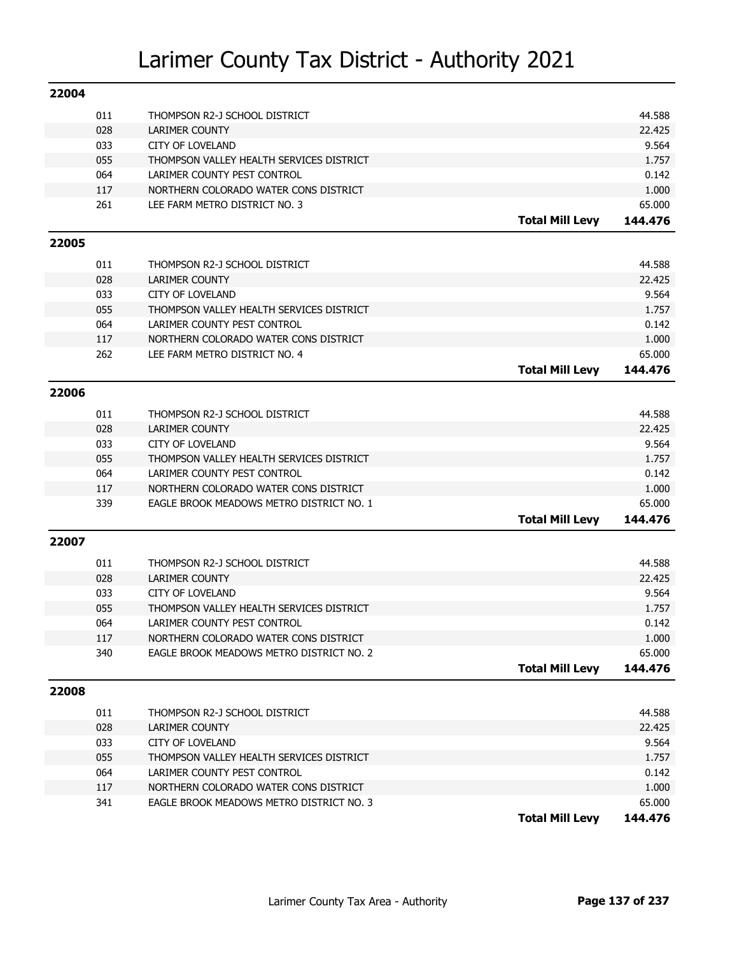| 22004 |     |                                          |                        |         |
|-------|-----|------------------------------------------|------------------------|---------|
|       | 011 | THOMPSON R2-J SCHOOL DISTRICT            |                        | 44.588  |
|       | 028 | <b>LARIMER COUNTY</b>                    |                        | 22.425  |
|       | 033 | <b>CITY OF LOVELAND</b>                  |                        | 9.564   |
|       | 055 | THOMPSON VALLEY HEALTH SERVICES DISTRICT |                        | 1.757   |
|       | 064 | LARIMER COUNTY PEST CONTROL              |                        | 0.142   |
|       | 117 | NORTHERN COLORADO WATER CONS DISTRICT    |                        | 1.000   |
|       | 261 | LEE FARM METRO DISTRICT NO. 3            |                        | 65.000  |
|       |     |                                          | <b>Total Mill Levy</b> | 144.476 |
| 22005 |     |                                          |                        |         |
|       | 011 | THOMPSON R2-J SCHOOL DISTRICT            |                        | 44.588  |
|       | 028 | <b>LARIMER COUNTY</b>                    |                        | 22.425  |
|       | 033 | <b>CITY OF LOVELAND</b>                  |                        | 9.564   |
|       | 055 | THOMPSON VALLEY HEALTH SERVICES DISTRICT |                        | 1.757   |
|       | 064 | LARIMER COUNTY PEST CONTROL              |                        | 0.142   |
|       | 117 | NORTHERN COLORADO WATER CONS DISTRICT    |                        | 1.000   |
|       | 262 | LEE FARM METRO DISTRICT NO. 4            |                        | 65.000  |
|       |     |                                          | <b>Total Mill Levy</b> | 144.476 |
| 22006 |     |                                          |                        |         |
|       |     |                                          |                        |         |
|       | 011 | THOMPSON R2-J SCHOOL DISTRICT            |                        | 44.588  |
|       | 028 | <b>LARIMER COUNTY</b>                    |                        | 22.425  |
|       | 033 | <b>CITY OF LOVELAND</b>                  |                        | 9.564   |
|       | 055 | THOMPSON VALLEY HEALTH SERVICES DISTRICT |                        | 1.757   |
|       | 064 | LARIMER COUNTY PEST CONTROL              |                        | 0.142   |
|       | 117 | NORTHERN COLORADO WATER CONS DISTRICT    |                        | 1.000   |
|       | 339 | EAGLE BROOK MEADOWS METRO DISTRICT NO. 1 |                        | 65.000  |
|       |     |                                          | <b>Total Mill Levy</b> | 144.476 |
| 22007 |     |                                          |                        |         |
|       | 011 | THOMPSON R2-J SCHOOL DISTRICT            |                        | 44.588  |
|       | 028 | <b>LARIMER COUNTY</b>                    |                        | 22.425  |
|       | 033 | <b>CITY OF LOVELAND</b>                  |                        | 9.564   |
|       | 055 | THOMPSON VALLEY HEALTH SERVICES DISTRICT |                        | 1.757   |
|       | 064 | LARIMER COUNTY PEST CONTROL              |                        | 0.142   |
|       | 117 | NORTHERN COLORADO WATER CONS DISTRICT    |                        | 1.000   |
|       | 340 | EAGLE BROOK MEADOWS METRO DISTRICT NO. 2 |                        | 65.000  |
|       |     |                                          | <b>Total Mill Levy</b> | 144.476 |
| 22008 |     |                                          |                        |         |
|       | 011 | THOMPSON R2-J SCHOOL DISTRICT            |                        | 44.588  |
|       | 028 | <b>LARIMER COUNTY</b>                    |                        | 22.425  |
|       | 033 | <b>CITY OF LOVELAND</b>                  |                        | 9.564   |
|       | 055 | THOMPSON VALLEY HEALTH SERVICES DISTRICT |                        | 1.757   |
|       | 064 | LARIMER COUNTY PEST CONTROL              |                        | 0.142   |
|       | 117 | NORTHERN COLORADO WATER CONS DISTRICT    |                        | 1.000   |
|       | 341 | EAGLE BROOK MEADOWS METRO DISTRICT NO. 3 |                        | 65.000  |
|       |     |                                          | <b>Total Mill Levy</b> | 144.476 |
|       |     |                                          |                        |         |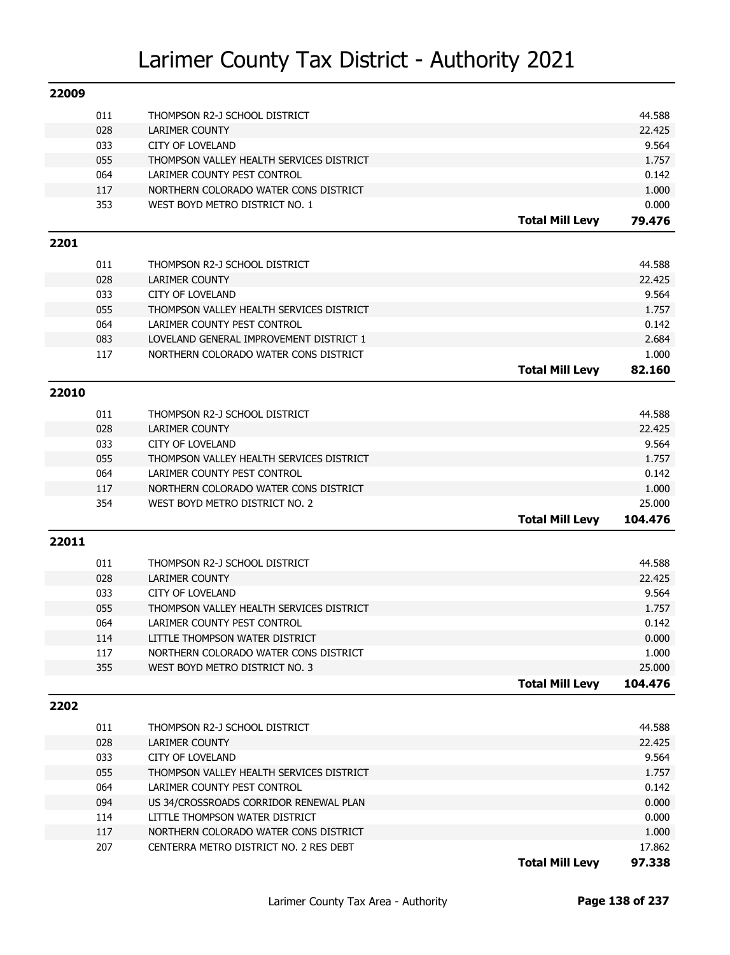| 22009 |     |                                          |                        |                  |
|-------|-----|------------------------------------------|------------------------|------------------|
|       | 011 | THOMPSON R2-J SCHOOL DISTRICT            |                        | 44.588           |
|       | 028 | LARIMER COUNTY                           |                        | 22.425           |
|       | 033 | <b>CITY OF LOVELAND</b>                  |                        | 9.564            |
|       | 055 | THOMPSON VALLEY HEALTH SERVICES DISTRICT |                        | 1.757            |
|       | 064 | LARIMER COUNTY PEST CONTROL              |                        | 0.142            |
|       | 117 | NORTHERN COLORADO WATER CONS DISTRICT    |                        | 1.000            |
|       | 353 | WEST BOYD METRO DISTRICT NO. 1           |                        | 0.000            |
|       |     |                                          | <b>Total Mill Levy</b> | 79.476           |
| 2201  |     |                                          |                        |                  |
|       | 011 | THOMPSON R2-J SCHOOL DISTRICT            |                        | 44.588           |
|       | 028 | <b>LARIMER COUNTY</b>                    |                        | 22.425           |
|       | 033 | <b>CITY OF LOVELAND</b>                  |                        | 9.564            |
|       | 055 | THOMPSON VALLEY HEALTH SERVICES DISTRICT |                        | 1.757            |
|       | 064 | LARIMER COUNTY PEST CONTROL              |                        | 0.142            |
|       | 083 | LOVELAND GENERAL IMPROVEMENT DISTRICT 1  |                        | 2.684            |
|       | 117 | NORTHERN COLORADO WATER CONS DISTRICT    |                        | 1.000            |
|       |     |                                          | <b>Total Mill Levy</b> | 82.160           |
|       |     |                                          |                        |                  |
| 22010 |     |                                          |                        |                  |
|       | 011 | THOMPSON R2-J SCHOOL DISTRICT            |                        | 44.588           |
|       | 028 | <b>LARIMER COUNTY</b>                    |                        | 22.425           |
|       | 033 | <b>CITY OF LOVELAND</b>                  |                        | 9.564            |
|       | 055 | THOMPSON VALLEY HEALTH SERVICES DISTRICT |                        | 1.757            |
|       | 064 | LARIMER COUNTY PEST CONTROL              |                        | 0.142            |
|       | 117 | NORTHERN COLORADO WATER CONS DISTRICT    |                        | 1.000            |
|       |     |                                          |                        |                  |
|       | 354 | WEST BOYD METRO DISTRICT NO. 2           |                        | 25.000           |
|       |     |                                          | <b>Total Mill Levy</b> | 104.476          |
| 22011 |     |                                          |                        |                  |
|       |     |                                          |                        |                  |
|       | 011 | THOMPSON R2-J SCHOOL DISTRICT            |                        | 44.588           |
|       | 028 | <b>LARIMER COUNTY</b>                    |                        | 22.425           |
|       | 033 | <b>CITY OF LOVELAND</b>                  |                        | 9.564            |
|       | 055 | THOMPSON VALLEY HEALTH SERVICES DISTRICT |                        | 1.757            |
|       | 064 | LARIMER COUNTY PEST CONTROL              |                        | 0.142            |
|       | 114 | LITTLE THOMPSON WATER DISTRICT           |                        | 0.000            |
|       | 117 | NORTHERN COLORADO WATER CONS DISTRICT    |                        | 1.000            |
|       | 355 | WEST BOYD METRO DISTRICT NO. 3           |                        | 25.000           |
|       |     |                                          | <b>Total Mill Levy</b> | 104.476          |
| 2202  |     |                                          |                        |                  |
|       | 011 | THOMPSON R2-J SCHOOL DISTRICT            |                        | 44.588           |
|       | 028 | LARIMER COUNTY                           |                        | 22.425           |
|       | 033 | <b>CITY OF LOVELAND</b>                  |                        | 9.564            |
|       | 055 | THOMPSON VALLEY HEALTH SERVICES DISTRICT |                        | 1.757            |
|       | 064 | LARIMER COUNTY PEST CONTROL              |                        | 0.142            |
|       | 094 | US 34/CROSSROADS CORRIDOR RENEWAL PLAN   |                        | 0.000            |
|       | 114 | LITTLE THOMPSON WATER DISTRICT           |                        | 0.000            |
|       | 117 | NORTHERN COLORADO WATER CONS DISTRICT    |                        | 1.000            |
|       | 207 | CENTERRA METRO DISTRICT NO. 2 RES DEBT   | <b>Total Mill Levy</b> | 17.862<br>97.338 |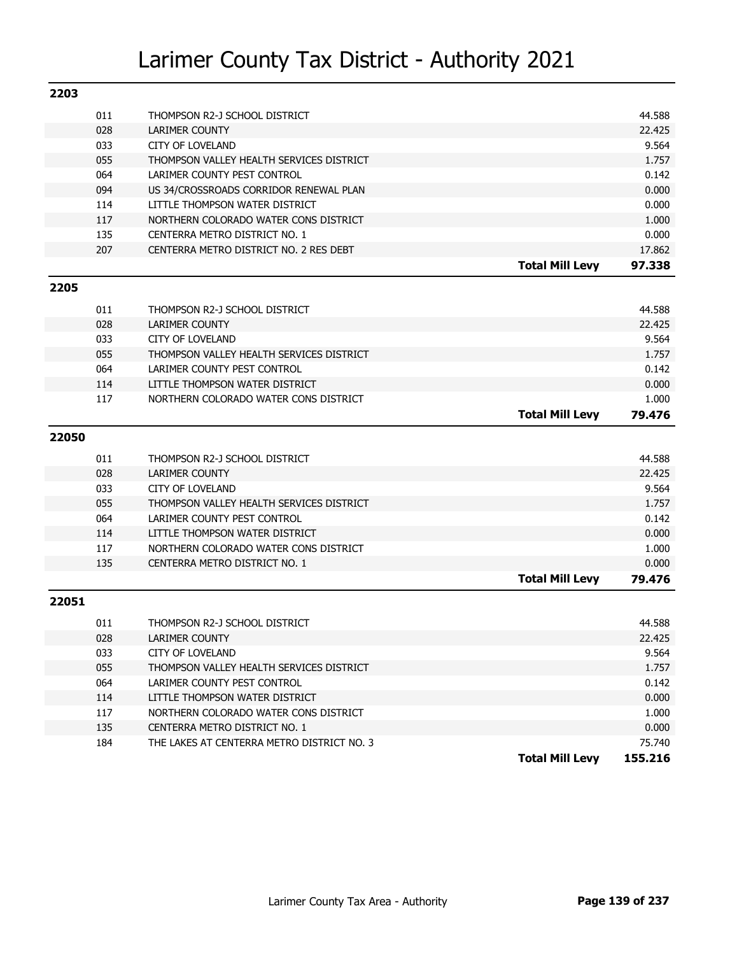| 2203  |     |                                            |                        |         |
|-------|-----|--------------------------------------------|------------------------|---------|
|       | 011 | THOMPSON R2-J SCHOOL DISTRICT              |                        | 44.588  |
|       | 028 | <b>LARIMER COUNTY</b>                      |                        | 22.425  |
|       | 033 | <b>CITY OF LOVELAND</b>                    |                        | 9.564   |
|       | 055 | THOMPSON VALLEY HEALTH SERVICES DISTRICT   |                        | 1.757   |
|       | 064 | LARIMER COUNTY PEST CONTROL                |                        | 0.142   |
|       | 094 | US 34/CROSSROADS CORRIDOR RENEWAL PLAN     |                        | 0.000   |
|       | 114 | LITTLE THOMPSON WATER DISTRICT             |                        | 0.000   |
|       | 117 | NORTHERN COLORADO WATER CONS DISTRICT      |                        | 1.000   |
|       | 135 | CENTERRA METRO DISTRICT NO. 1              |                        | 0.000   |
|       | 207 | CENTERRA METRO DISTRICT NO. 2 RES DEBT     |                        | 17.862  |
|       |     |                                            | <b>Total Mill Levy</b> | 97.338  |
|       |     |                                            |                        |         |
| 2205  |     |                                            |                        |         |
|       | 011 | THOMPSON R2-J SCHOOL DISTRICT              |                        | 44.588  |
|       | 028 | <b>LARIMER COUNTY</b>                      |                        | 22.425  |
|       | 033 | <b>CITY OF LOVELAND</b>                    |                        | 9.564   |
|       | 055 | THOMPSON VALLEY HEALTH SERVICES DISTRICT   |                        | 1.757   |
|       | 064 | LARIMER COUNTY PEST CONTROL                |                        | 0.142   |
|       | 114 | LITTLE THOMPSON WATER DISTRICT             |                        | 0.000   |
|       | 117 | NORTHERN COLORADO WATER CONS DISTRICT      |                        | 1.000   |
|       |     |                                            | <b>Total Mill Levy</b> | 79.476  |
| 22050 |     |                                            |                        |         |
|       |     |                                            |                        |         |
|       | 011 | THOMPSON R2-J SCHOOL DISTRICT              |                        | 44.588  |
|       | 028 | <b>LARIMER COUNTY</b>                      |                        | 22.425  |
|       | 033 | <b>CITY OF LOVELAND</b>                    |                        | 9.564   |
|       | 055 | THOMPSON VALLEY HEALTH SERVICES DISTRICT   |                        | 1.757   |
|       | 064 | LARIMER COUNTY PEST CONTROL                |                        | 0.142   |
|       | 114 | LITTLE THOMPSON WATER DISTRICT             |                        | 0.000   |
|       | 117 | NORTHERN COLORADO WATER CONS DISTRICT      |                        | 1.000   |
|       | 135 | CENTERRA METRO DISTRICT NO. 1              |                        | 0.000   |
|       |     |                                            | <b>Total Mill Levy</b> | 79.476  |
| 22051 |     |                                            |                        |         |
|       | 011 | THOMPSON R2-J SCHOOL DISTRICT              |                        | 44.588  |
|       | 028 | LARIMER COUNTY                             |                        | 22.425  |
|       | 033 | <b>CITY OF LOVELAND</b>                    |                        | 9.564   |
|       | 055 | THOMPSON VALLEY HEALTH SERVICES DISTRICT   |                        | 1.757   |
|       | 064 | LARIMER COUNTY PEST CONTROL                |                        | 0.142   |
|       | 114 | LITTLE THOMPSON WATER DISTRICT             |                        | 0.000   |
|       | 117 | NORTHERN COLORADO WATER CONS DISTRICT      |                        | 1.000   |
|       | 135 | CENTERRA METRO DISTRICT NO. 1              |                        | 0.000   |
|       | 184 | THE LAKES AT CENTERRA METRO DISTRICT NO. 3 |                        | 75.740  |
|       |     |                                            | <b>Total Mill Levy</b> | 155.216 |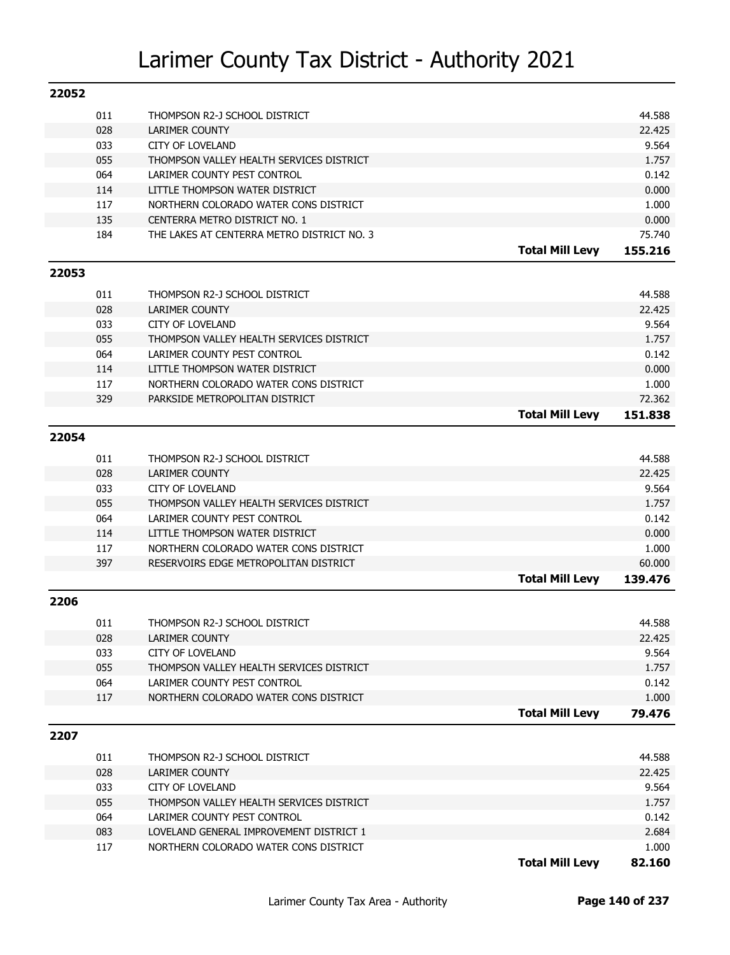| 22052 |     |                                            |                        |         |
|-------|-----|--------------------------------------------|------------------------|---------|
|       | 011 | THOMPSON R2-J SCHOOL DISTRICT              |                        | 44.588  |
|       | 028 | <b>LARIMER COUNTY</b>                      |                        | 22.425  |
|       | 033 | <b>CITY OF LOVELAND</b>                    |                        | 9.564   |
|       | 055 | THOMPSON VALLEY HEALTH SERVICES DISTRICT   |                        | 1.757   |
|       | 064 | LARIMER COUNTY PEST CONTROL                |                        | 0.142   |
|       | 114 | LITTLE THOMPSON WATER DISTRICT             |                        | 0.000   |
|       | 117 | NORTHERN COLORADO WATER CONS DISTRICT      |                        | 1.000   |
|       | 135 | CENTERRA METRO DISTRICT NO. 1              |                        | 0.000   |
|       | 184 | THE LAKES AT CENTERRA METRO DISTRICT NO. 3 |                        | 75.740  |
|       |     |                                            | <b>Total Mill Levy</b> | 155.216 |
| 22053 |     |                                            |                        |         |
|       | 011 | THOMPSON R2-J SCHOOL DISTRICT              |                        | 44.588  |
|       | 028 | LARIMER COUNTY                             |                        | 22.425  |
|       | 033 | <b>CITY OF LOVELAND</b>                    |                        | 9.564   |
|       | 055 | THOMPSON VALLEY HEALTH SERVICES DISTRICT   |                        | 1.757   |
|       | 064 | LARIMER COUNTY PEST CONTROL                |                        | 0.142   |
|       | 114 | LITTLE THOMPSON WATER DISTRICT             |                        | 0.000   |
|       | 117 | NORTHERN COLORADO WATER CONS DISTRICT      |                        | 1.000   |
|       | 329 | PARKSIDE METROPOLITAN DISTRICT             |                        | 72.362  |
|       |     |                                            | <b>Total Mill Levy</b> | 151.838 |
| 22054 |     |                                            |                        |         |
|       | 011 | THOMPSON R2-J SCHOOL DISTRICT              |                        | 44.588  |
|       | 028 | LARIMER COUNTY                             |                        | 22.425  |
|       | 033 | <b>CITY OF LOVELAND</b>                    |                        | 9.564   |
|       | 055 | THOMPSON VALLEY HEALTH SERVICES DISTRICT   |                        | 1.757   |
|       | 064 | LARIMER COUNTY PEST CONTROL                |                        | 0.142   |
|       | 114 | LITTLE THOMPSON WATER DISTRICT             |                        | 0.000   |
|       | 117 | NORTHERN COLORADO WATER CONS DISTRICT      |                        | 1.000   |
|       | 397 | RESERVOIRS EDGE METROPOLITAN DISTRICT      |                        | 60.000  |
|       |     |                                            | <b>Total Mill Levy</b> | 139,476 |
|       |     |                                            |                        |         |
| 2206  |     |                                            |                        |         |
|       | 011 | THOMPSON R2-J SCHOOL DISTRICT              |                        | 44.588  |
|       | 028 | LARIMER COUNTY                             |                        | 22.425  |
|       | 033 | <b>CITY OF LOVELAND</b>                    |                        | 9.564   |
|       | 055 | THOMPSON VALLEY HEALTH SERVICES DISTRICT   |                        | 1.757   |
|       | 064 | LARIMER COUNTY PEST CONTROL                |                        | 0.142   |
|       | 117 | NORTHERN COLORADO WATER CONS DISTRICT      | <b>Total Mill Levy</b> | 1.000   |
|       |     |                                            |                        | 79.476  |
| 2207  |     |                                            |                        |         |
|       | 011 | THOMPSON R2-J SCHOOL DISTRICT              |                        | 44.588  |
|       | 028 | LARIMER COUNTY                             |                        | 22.425  |
|       | 033 | <b>CITY OF LOVELAND</b>                    |                        | 9.564   |
|       | 055 | THOMPSON VALLEY HEALTH SERVICES DISTRICT   |                        | 1.757   |
|       | 064 | LARIMER COUNTY PEST CONTROL                |                        | 0.142   |
|       | 083 | LOVELAND GENERAL IMPROVEMENT DISTRICT 1    |                        | 2.684   |
|       | 117 | NORTHERN COLORADO WATER CONS DISTRICT      |                        | 1.000   |
|       |     |                                            | <b>Total Mill Levy</b> | 82.160  |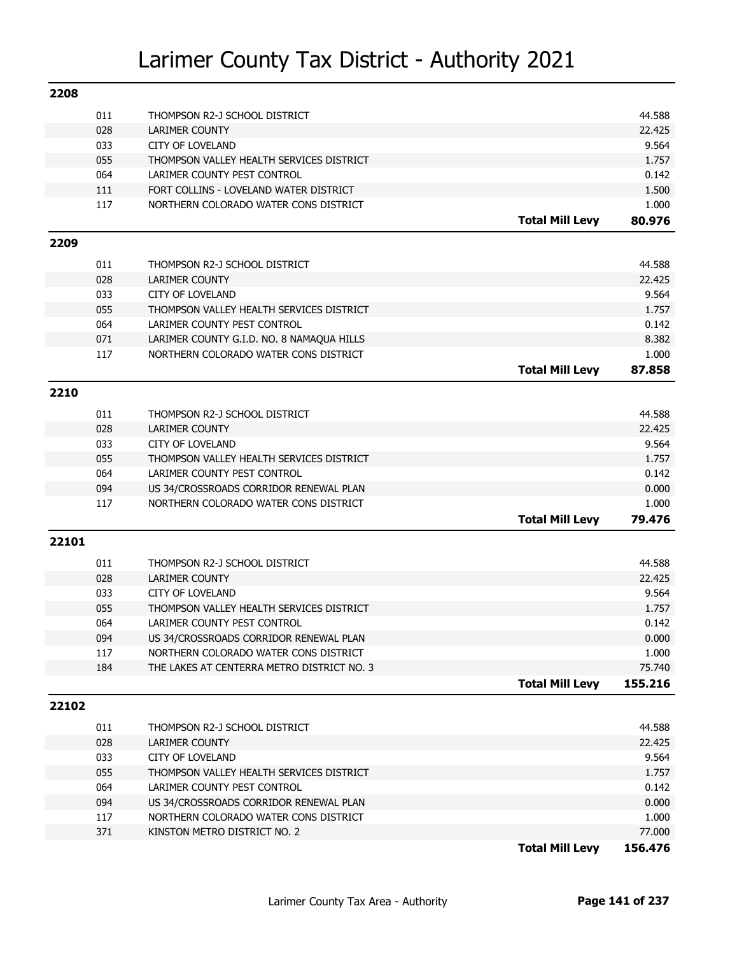| 2208  |     |                                            |                        |                   |
|-------|-----|--------------------------------------------|------------------------|-------------------|
|       | 011 | THOMPSON R2-J SCHOOL DISTRICT              |                        | 44.588            |
|       | 028 | <b>LARIMER COUNTY</b>                      |                        | 22.425            |
|       | 033 | <b>CITY OF LOVELAND</b>                    |                        | 9.564             |
|       | 055 | THOMPSON VALLEY HEALTH SERVICES DISTRICT   |                        | 1.757             |
|       | 064 | LARIMER COUNTY PEST CONTROL                |                        | 0.142             |
|       | 111 | FORT COLLINS - LOVELAND WATER DISTRICT     |                        | 1.500             |
|       | 117 | NORTHERN COLORADO WATER CONS DISTRICT      |                        | 1.000             |
|       |     |                                            | <b>Total Mill Levy</b> | 80.976            |
| 2209  |     |                                            |                        |                   |
|       | 011 | THOMPSON R2-J SCHOOL DISTRICT              |                        | 44.588            |
|       | 028 | <b>LARIMER COUNTY</b>                      |                        | 22.425            |
|       | 033 | <b>CITY OF LOVELAND</b>                    |                        | 9.564             |
|       | 055 | THOMPSON VALLEY HEALTH SERVICES DISTRICT   |                        | 1.757             |
|       | 064 | LARIMER COUNTY PEST CONTROL                |                        | 0.142             |
|       | 071 | LARIMER COUNTY G.I.D. NO. 8 NAMAQUA HILLS  |                        | 8.382             |
|       | 117 | NORTHERN COLORADO WATER CONS DISTRICT      |                        | 1.000             |
|       |     |                                            | <b>Total Mill Levy</b> | 87.858            |
|       |     |                                            |                        |                   |
| 2210  |     |                                            |                        |                   |
|       | 011 | THOMPSON R2-J SCHOOL DISTRICT              |                        | 44.588            |
|       | 028 | <b>LARIMER COUNTY</b>                      |                        | 22.425            |
|       | 033 | <b>CITY OF LOVELAND</b>                    |                        | 9.564             |
|       | 055 | THOMPSON VALLEY HEALTH SERVICES DISTRICT   |                        | 1.757             |
|       | 064 | LARIMER COUNTY PEST CONTROL                |                        | 0.142             |
|       | 094 | US 34/CROSSROADS CORRIDOR RENEWAL PLAN     |                        | 0.000             |
|       | 117 | NORTHERN COLORADO WATER CONS DISTRICT      |                        | 1.000             |
|       |     |                                            | <b>Total Mill Levy</b> | 79.476            |
| 22101 |     |                                            |                        |                   |
|       |     |                                            |                        |                   |
|       | 011 | THOMPSON R2-J SCHOOL DISTRICT              |                        | 44.588            |
|       | 028 | <b>LARIMER COUNTY</b>                      |                        | 22.425            |
|       | 033 | <b>CITY OF LOVELAND</b>                    |                        | 9.564             |
|       | 055 | THOMPSON VALLEY HEALTH SERVICES DISTRICT   |                        | 1.757             |
|       | 064 | LARIMER COUNTY PEST CONTROL                |                        | 0.142             |
|       | 094 | US 34/CROSSROADS CORRIDOR RENEWAL PLAN     |                        | 0.000             |
|       | 117 | NORTHERN COLORADO WATER CONS DISTRICT      |                        | 1.000             |
|       | 184 | THE LAKES AT CENTERRA METRO DISTRICT NO. 3 | <b>Total Mill Levy</b> | 75.740<br>155.216 |
|       |     |                                            |                        |                   |
| 22102 |     |                                            |                        |                   |
|       | 011 | THOMPSON R2-J SCHOOL DISTRICT              |                        | 44.588            |
|       | 028 | LARIMER COUNTY                             |                        | 22.425            |
|       | 033 | <b>CITY OF LOVELAND</b>                    |                        | 9.564             |
|       | 055 | THOMPSON VALLEY HEALTH SERVICES DISTRICT   |                        | 1.757             |
|       | 064 | LARIMER COUNTY PEST CONTROL                |                        | 0.142             |
|       | 094 | US 34/CROSSROADS CORRIDOR RENEWAL PLAN     |                        | 0.000             |
|       | 117 | NORTHERN COLORADO WATER CONS DISTRICT      |                        | 1.000             |
|       | 371 | KINSTON METRO DISTRICT NO. 2               |                        | 77.000            |
|       |     |                                            | <b>Total Mill Levy</b> | 156.476           |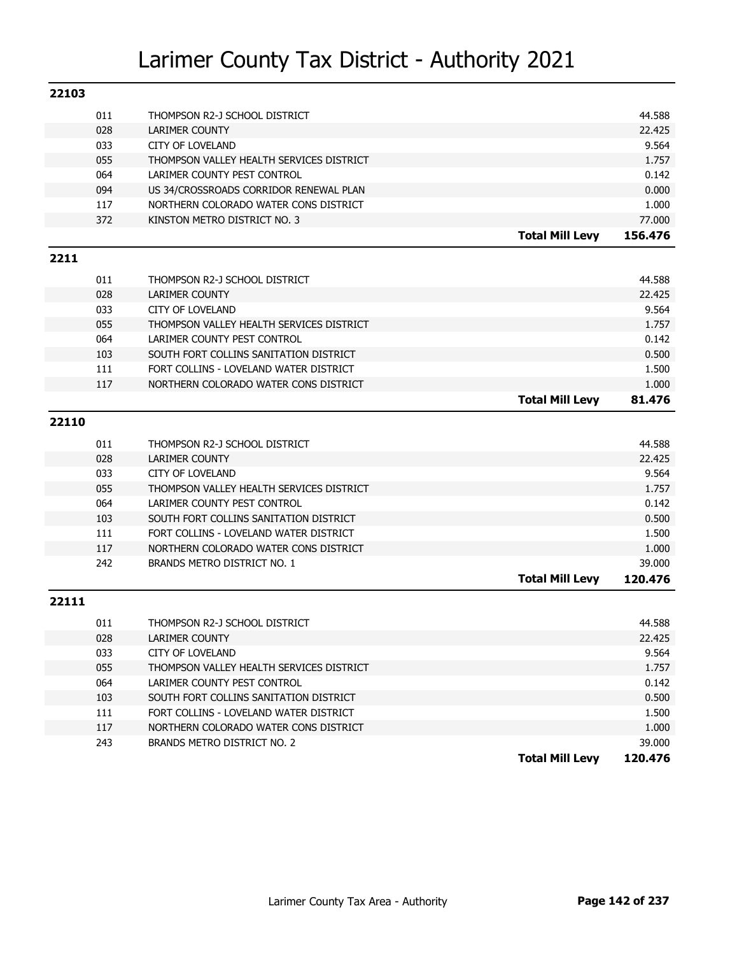| 22103 |     |                                          |                        |         |
|-------|-----|------------------------------------------|------------------------|---------|
|       | 011 | THOMPSON R2-J SCHOOL DISTRICT            |                        | 44.588  |
|       | 028 | <b>LARIMER COUNTY</b>                    |                        | 22.425  |
|       | 033 | <b>CITY OF LOVELAND</b>                  |                        | 9.564   |
|       | 055 | THOMPSON VALLEY HEALTH SERVICES DISTRICT |                        | 1.757   |
|       | 064 | LARIMER COUNTY PEST CONTROL              |                        | 0.142   |
|       | 094 | US 34/CROSSROADS CORRIDOR RENEWAL PLAN   |                        | 0.000   |
|       | 117 | NORTHERN COLORADO WATER CONS DISTRICT    |                        | 1.000   |
|       | 372 | KINSTON METRO DISTRICT NO. 3             |                        | 77.000  |
|       |     |                                          | <b>Total Mill Levy</b> | 156,476 |
| 2211  |     |                                          |                        |         |
|       | 011 | THOMPSON R2-J SCHOOL DISTRICT            |                        | 44.588  |
|       | 028 | <b>LARIMER COUNTY</b>                    |                        | 22.425  |
|       | 033 | <b>CITY OF LOVELAND</b>                  |                        | 9.564   |
|       | 055 | THOMPSON VALLEY HEALTH SERVICES DISTRICT |                        | 1.757   |
|       | 064 | LARIMER COUNTY PEST CONTROL              |                        | 0.142   |
|       | 103 | SOUTH FORT COLLINS SANITATION DISTRICT   |                        | 0.500   |
|       | 111 | FORT COLLINS - LOVELAND WATER DISTRICT   |                        | 1.500   |
|       | 117 | NORTHERN COLORADO WATER CONS DISTRICT    |                        | 1.000   |
|       |     |                                          | <b>Total Mill Levy</b> | 81.476  |
| 22110 |     |                                          |                        |         |
|       |     |                                          |                        |         |
|       | 011 | THOMPSON R2-J SCHOOL DISTRICT            |                        | 44.588  |
|       | 028 | <b>LARIMER COUNTY</b>                    |                        | 22.425  |
|       | 033 | <b>CITY OF LOVELAND</b>                  |                        | 9.564   |
|       | 055 | THOMPSON VALLEY HEALTH SERVICES DISTRICT |                        | 1.757   |
|       | 064 | LARIMER COUNTY PEST CONTROL              |                        | 0.142   |
|       | 103 | SOUTH FORT COLLINS SANITATION DISTRICT   |                        | 0.500   |
|       | 111 | FORT COLLINS - LOVELAND WATER DISTRICT   |                        | 1.500   |
|       | 117 | NORTHERN COLORADO WATER CONS DISTRICT    |                        | 1.000   |
|       | 242 | BRANDS METRO DISTRICT NO. 1              |                        | 39.000  |
|       |     |                                          | <b>Total Mill Levy</b> | 120,476 |
| 22111 |     |                                          |                        |         |
|       | 011 | THOMPSON R2-J SCHOOL DISTRICT            |                        | 44.588  |
|       | 028 | <b>LARIMER COUNTY</b>                    |                        | 22.425  |
|       | 033 | CITY OF LOVELAND                         |                        | 9.564   |
|       | 055 | THOMPSON VALLEY HEALTH SERVICES DISTRICT |                        | 1.757   |
|       | 064 | LARIMER COUNTY PEST CONTROL              |                        | 0.142   |
|       | 103 | SOUTH FORT COLLINS SANITATION DISTRICT   |                        | 0.500   |
|       | 111 | FORT COLLINS - LOVELAND WATER DISTRICT   |                        | 1.500   |
|       | 117 | NORTHERN COLORADO WATER CONS DISTRICT    |                        | 1.000   |
|       | 243 | BRANDS METRO DISTRICT NO. 2              |                        | 39.000  |
|       |     |                                          | <b>Total Mill Levy</b> | 120.476 |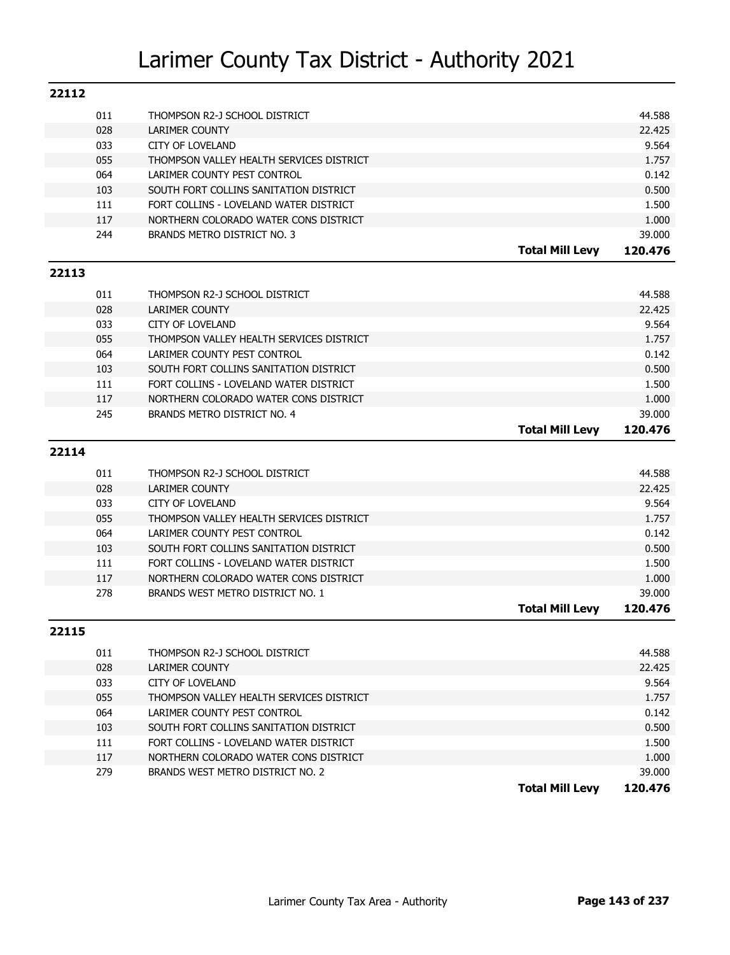| 22112 |     |                                          |                        |         |
|-------|-----|------------------------------------------|------------------------|---------|
|       | 011 | THOMPSON R2-J SCHOOL DISTRICT            |                        | 44.588  |
|       | 028 | <b>LARIMER COUNTY</b>                    |                        | 22.425  |
|       | 033 | CITY OF LOVELAND                         |                        | 9.564   |
|       | 055 | THOMPSON VALLEY HEALTH SERVICES DISTRICT |                        | 1.757   |
|       | 064 | LARIMER COUNTY PEST CONTROL              |                        | 0.142   |
|       | 103 | SOUTH FORT COLLINS SANITATION DISTRICT   |                        | 0.500   |
|       | 111 | FORT COLLINS - LOVELAND WATER DISTRICT   |                        | 1.500   |
|       | 117 | NORTHERN COLORADO WATER CONS DISTRICT    |                        | 1.000   |
|       | 244 | BRANDS METRO DISTRICT NO. 3              |                        | 39.000  |
|       |     |                                          | <b>Total Mill Levy</b> | 120.476 |
| 22113 |     |                                          |                        |         |
|       | 011 | THOMPSON R2-J SCHOOL DISTRICT            |                        | 44.588  |
|       | 028 | LARIMER COUNTY                           |                        | 22.425  |
|       | 033 | <b>CITY OF LOVELAND</b>                  |                        | 9.564   |
|       | 055 | THOMPSON VALLEY HEALTH SERVICES DISTRICT |                        | 1.757   |
|       | 064 | LARIMER COUNTY PEST CONTROL              |                        | 0.142   |
|       | 103 | SOUTH FORT COLLINS SANITATION DISTRICT   |                        | 0.500   |
|       | 111 | FORT COLLINS - LOVELAND WATER DISTRICT   |                        | 1.500   |
|       | 117 | NORTHERN COLORADO WATER CONS DISTRICT    |                        | 1.000   |
|       | 245 | BRANDS METRO DISTRICT NO. 4              |                        | 39.000  |
|       |     |                                          | <b>Total Mill Levy</b> | 120,476 |
| 22114 |     |                                          |                        |         |
|       | 011 | THOMPSON R2-J SCHOOL DISTRICT            |                        | 44.588  |
|       | 028 | LARIMER COUNTY                           |                        | 22.425  |
|       | 033 | <b>CITY OF LOVELAND</b>                  |                        | 9.564   |
|       | 055 | THOMPSON VALLEY HEALTH SERVICES DISTRICT |                        | 1.757   |
|       | 064 | LARIMER COUNTY PEST CONTROL              |                        | 0.142   |
|       | 103 | SOUTH FORT COLLINS SANITATION DISTRICT   |                        | 0.500   |
|       | 111 | FORT COLLINS - LOVELAND WATER DISTRICT   |                        | 1.500   |
|       | 117 | NORTHERN COLORADO WATER CONS DISTRICT    |                        | 1.000   |
|       | 278 | BRANDS WEST METRO DISTRICT NO. 1         |                        | 39.000  |
|       |     |                                          | <b>Total Mill Levy</b> | 120,476 |
| 22115 |     |                                          |                        |         |
|       | 011 | THOMPSON R2-J SCHOOL DISTRICT            |                        | 44.588  |
|       | 028 | LARIMER COUNTY                           |                        | 22.425  |
|       | 033 | CITY OF LOVELAND                         |                        | 9.564   |
|       | 055 | THOMPSON VALLEY HEALTH SERVICES DISTRICT |                        | 1.757   |
|       | 064 | LARIMER COUNTY PEST CONTROL              |                        | 0.142   |
|       | 103 | SOUTH FORT COLLINS SANITATION DISTRICT   |                        | 0.500   |
|       |     |                                          |                        |         |
|       | 111 | FORT COLLINS - LOVELAND WATER DISTRICT   |                        | 1.500   |
|       | 117 | NORTHERN COLORADO WATER CONS DISTRICT    |                        | 1.000   |

**Total Mill Levy 120.476**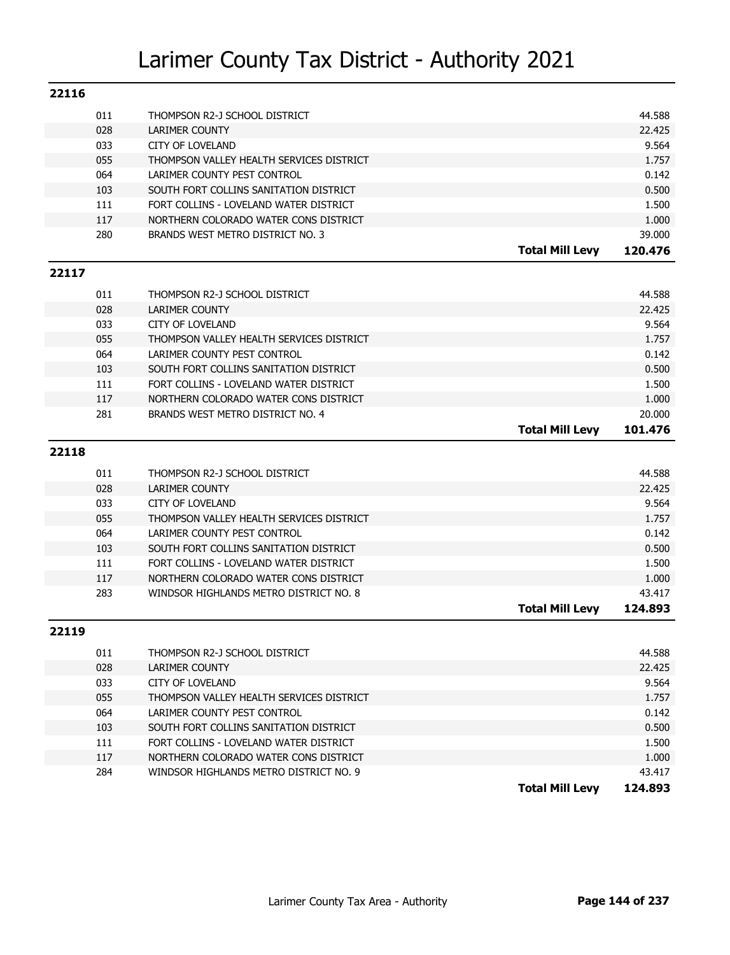| 22116 |            |                                                                                 |                        |                |
|-------|------------|---------------------------------------------------------------------------------|------------------------|----------------|
|       | 011        | THOMPSON R2-J SCHOOL DISTRICT                                                   |                        | 44.588         |
|       | 028        | LARIMER COUNTY                                                                  |                        | 22.425         |
|       | 033        | <b>CITY OF LOVELAND</b>                                                         |                        | 9.564          |
|       | 055        | THOMPSON VALLEY HEALTH SERVICES DISTRICT                                        |                        | 1.757          |
|       | 064        | LARIMER COUNTY PEST CONTROL                                                     |                        | 0.142          |
|       | 103        | SOUTH FORT COLLINS SANITATION DISTRICT                                          |                        | 0.500          |
|       | 111        | FORT COLLINS - LOVELAND WATER DISTRICT                                          |                        | 1.500          |
|       | 117        | NORTHERN COLORADO WATER CONS DISTRICT                                           |                        | 1.000          |
|       | 280        | BRANDS WEST METRO DISTRICT NO. 3                                                |                        | 39.000         |
|       |            |                                                                                 | <b>Total Mill Levy</b> | 120.476        |
| 22117 |            |                                                                                 |                        |                |
|       | 011        | THOMPSON R2-J SCHOOL DISTRICT                                                   |                        | 44.588         |
|       | 028        | LARIMER COUNTY                                                                  |                        | 22.425         |
|       | 033        | <b>CITY OF LOVELAND</b>                                                         |                        | 9.564          |
|       | 055        | THOMPSON VALLEY HEALTH SERVICES DISTRICT                                        |                        | 1.757          |
|       | 064        | LARIMER COUNTY PEST CONTROL                                                     |                        | 0.142          |
|       | 103        | SOUTH FORT COLLINS SANITATION DISTRICT                                          |                        | 0.500          |
|       | 111        | FORT COLLINS - LOVELAND WATER DISTRICT                                          |                        | 1.500          |
|       | 117        | NORTHERN COLORADO WATER CONS DISTRICT                                           |                        | 1.000          |
|       | 281        | BRANDS WEST METRO DISTRICT NO. 4                                                |                        | 20,000         |
|       |            |                                                                                 | <b>Total Mill Levy</b> | 101.476        |
| 22118 |            |                                                                                 |                        |                |
|       | 011        | THOMPSON R2-J SCHOOL DISTRICT                                                   |                        | 44.588         |
|       | 028        | LARIMER COUNTY                                                                  |                        | 22.425         |
|       | 033        | <b>CITY OF LOVELAND</b>                                                         |                        | 9.564          |
|       | 055        | THOMPSON VALLEY HEALTH SERVICES DISTRICT                                        |                        | 1.757          |
|       | 064        | LARIMER COUNTY PEST CONTROL                                                     |                        | 0.142          |
|       | 103        | SOUTH FORT COLLINS SANITATION DISTRICT                                          |                        | 0.500          |
|       | 111        | FORT COLLINS - LOVELAND WATER DISTRICT                                          |                        | 1.500          |
|       | 117        | NORTHERN COLORADO WATER CONS DISTRICT                                           |                        | 1.000          |
|       | 283        | WINDSOR HIGHLANDS METRO DISTRICT NO. 8                                          |                        | 43.417         |
|       |            |                                                                                 | <b>Total Mill Levy</b> | 124.893        |
| 22119 |            |                                                                                 |                        |                |
|       | 011        | THOMPSON R2-J SCHOOL DISTRICT                                                   |                        | 44.588         |
|       | 028        | LARIMER COUNTY                                                                  |                        | 22.425         |
|       | 033        | <b>CITY OF LOVELAND</b>                                                         |                        | 9.564          |
|       |            |                                                                                 |                        |                |
|       |            |                                                                                 |                        |                |
|       | 055        | THOMPSON VALLEY HEALTH SERVICES DISTRICT                                        |                        | 1.757          |
|       | 064        | LARIMER COUNTY PEST CONTROL                                                     |                        | 0.142          |
|       | 103        | SOUTH FORT COLLINS SANITATION DISTRICT                                          |                        | 0.500          |
|       | 111<br>117 | FORT COLLINS - LOVELAND WATER DISTRICT<br>NORTHERN COLORADO WATER CONS DISTRICT |                        | 1.500<br>1.000 |

**Total Mill Levy 124.893**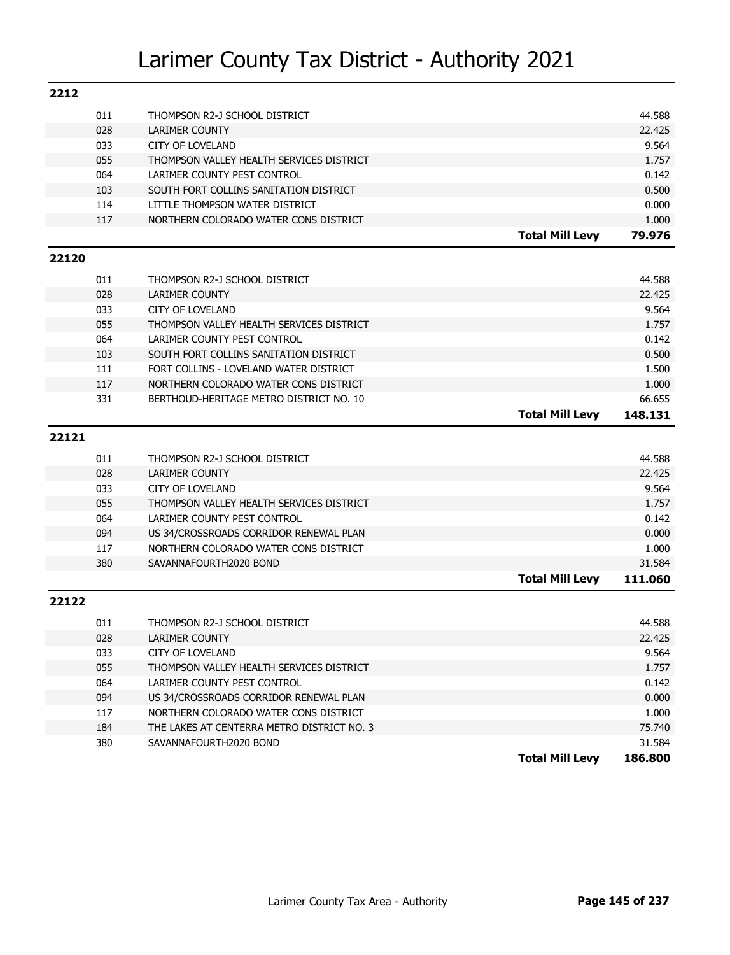| 011<br>44.588<br>THOMPSON R2-J SCHOOL DISTRICT<br>028<br><b>LARIMER COUNTY</b><br>22.425<br>9.564<br>033<br><b>CITY OF LOVELAND</b><br>055<br>THOMPSON VALLEY HEALTH SERVICES DISTRICT<br>1.757<br>064<br>0.142<br>LARIMER COUNTY PEST CONTROL<br>0.500<br>103<br>SOUTH FORT COLLINS SANITATION DISTRICT<br>114<br>LITTLE THOMPSON WATER DISTRICT<br>0.000<br>117<br>NORTHERN COLORADO WATER CONS DISTRICT<br>1.000<br><b>Total Mill Levy</b><br>79.976<br>22120<br>011<br>44.588<br>THOMPSON R2-J SCHOOL DISTRICT<br>028<br><b>LARIMER COUNTY</b><br>22.425<br>033<br>9.564<br><b>CITY OF LOVELAND</b><br>055<br>THOMPSON VALLEY HEALTH SERVICES DISTRICT<br>1.757<br>064<br>0.142<br>LARIMER COUNTY PEST CONTROL<br>SOUTH FORT COLLINS SANITATION DISTRICT<br>0.500<br>103<br>1.500<br>111<br>FORT COLLINS - LOVELAND WATER DISTRICT<br>117<br>1.000<br>NORTHERN COLORADO WATER CONS DISTRICT<br>66.655<br>331<br>BERTHOUD-HERITAGE METRO DISTRICT NO. 10<br><b>Total Mill Levy</b><br>148.131<br>22121<br>44.588<br>011<br>THOMPSON R2-J SCHOOL DISTRICT<br>028<br><b>LARIMER COUNTY</b><br>22.425<br>9.564<br>033<br><b>CITY OF LOVELAND</b><br>055<br>THOMPSON VALLEY HEALTH SERVICES DISTRICT<br>1.757<br>064<br>0.142<br>LARIMER COUNTY PEST CONTROL<br>0.000<br>094<br>US 34/CROSSROADS CORRIDOR RENEWAL PLAN<br>117<br>1.000<br>NORTHERN COLORADO WATER CONS DISTRICT<br>380<br>SAVANNAFOURTH2020 BOND<br>31.584<br><b>Total Mill Levy</b><br>111.060<br>22122<br>011<br>44.588<br>THOMPSON R2-J SCHOOL DISTRICT<br>028<br>LARIMER COUNTY<br>22.425<br>033<br>9.564<br><b>CITY OF LOVELAND</b><br>055<br>THOMPSON VALLEY HEALTH SERVICES DISTRICT<br>1.757<br>064<br>LARIMER COUNTY PEST CONTROL<br>0.142<br>094<br>0.000<br>US 34/CROSSROADS CORRIDOR RENEWAL PLAN<br>117<br>NORTHERN COLORADO WATER CONS DISTRICT<br>1.000<br>184<br>75.740<br>THE LAKES AT CENTERRA METRO DISTRICT NO. 3 | 2212 |     |                        |        |
|------------------------------------------------------------------------------------------------------------------------------------------------------------------------------------------------------------------------------------------------------------------------------------------------------------------------------------------------------------------------------------------------------------------------------------------------------------------------------------------------------------------------------------------------------------------------------------------------------------------------------------------------------------------------------------------------------------------------------------------------------------------------------------------------------------------------------------------------------------------------------------------------------------------------------------------------------------------------------------------------------------------------------------------------------------------------------------------------------------------------------------------------------------------------------------------------------------------------------------------------------------------------------------------------------------------------------------------------------------------------------------------------------------------------------------------------------------------------------------------------------------------------------------------------------------------------------------------------------------------------------------------------------------------------------------------------------------------------------------------------------------------------------------------------------------------------------------------------------------------------------------------------------|------|-----|------------------------|--------|
|                                                                                                                                                                                                                                                                                                                                                                                                                                                                                                                                                                                                                                                                                                                                                                                                                                                                                                                                                                                                                                                                                                                                                                                                                                                                                                                                                                                                                                                                                                                                                                                                                                                                                                                                                                                                                                                                                                      |      |     |                        |        |
|                                                                                                                                                                                                                                                                                                                                                                                                                                                                                                                                                                                                                                                                                                                                                                                                                                                                                                                                                                                                                                                                                                                                                                                                                                                                                                                                                                                                                                                                                                                                                                                                                                                                                                                                                                                                                                                                                                      |      |     |                        |        |
|                                                                                                                                                                                                                                                                                                                                                                                                                                                                                                                                                                                                                                                                                                                                                                                                                                                                                                                                                                                                                                                                                                                                                                                                                                                                                                                                                                                                                                                                                                                                                                                                                                                                                                                                                                                                                                                                                                      |      |     |                        |        |
|                                                                                                                                                                                                                                                                                                                                                                                                                                                                                                                                                                                                                                                                                                                                                                                                                                                                                                                                                                                                                                                                                                                                                                                                                                                                                                                                                                                                                                                                                                                                                                                                                                                                                                                                                                                                                                                                                                      |      |     |                        |        |
|                                                                                                                                                                                                                                                                                                                                                                                                                                                                                                                                                                                                                                                                                                                                                                                                                                                                                                                                                                                                                                                                                                                                                                                                                                                                                                                                                                                                                                                                                                                                                                                                                                                                                                                                                                                                                                                                                                      |      |     |                        |        |
|                                                                                                                                                                                                                                                                                                                                                                                                                                                                                                                                                                                                                                                                                                                                                                                                                                                                                                                                                                                                                                                                                                                                                                                                                                                                                                                                                                                                                                                                                                                                                                                                                                                                                                                                                                                                                                                                                                      |      |     |                        |        |
|                                                                                                                                                                                                                                                                                                                                                                                                                                                                                                                                                                                                                                                                                                                                                                                                                                                                                                                                                                                                                                                                                                                                                                                                                                                                                                                                                                                                                                                                                                                                                                                                                                                                                                                                                                                                                                                                                                      |      |     |                        |        |
|                                                                                                                                                                                                                                                                                                                                                                                                                                                                                                                                                                                                                                                                                                                                                                                                                                                                                                                                                                                                                                                                                                                                                                                                                                                                                                                                                                                                                                                                                                                                                                                                                                                                                                                                                                                                                                                                                                      |      |     |                        |        |
|                                                                                                                                                                                                                                                                                                                                                                                                                                                                                                                                                                                                                                                                                                                                                                                                                                                                                                                                                                                                                                                                                                                                                                                                                                                                                                                                                                                                                                                                                                                                                                                                                                                                                                                                                                                                                                                                                                      |      |     |                        |        |
|                                                                                                                                                                                                                                                                                                                                                                                                                                                                                                                                                                                                                                                                                                                                                                                                                                                                                                                                                                                                                                                                                                                                                                                                                                                                                                                                                                                                                                                                                                                                                                                                                                                                                                                                                                                                                                                                                                      |      |     |                        |        |
|                                                                                                                                                                                                                                                                                                                                                                                                                                                                                                                                                                                                                                                                                                                                                                                                                                                                                                                                                                                                                                                                                                                                                                                                                                                                                                                                                                                                                                                                                                                                                                                                                                                                                                                                                                                                                                                                                                      |      |     |                        |        |
|                                                                                                                                                                                                                                                                                                                                                                                                                                                                                                                                                                                                                                                                                                                                                                                                                                                                                                                                                                                                                                                                                                                                                                                                                                                                                                                                                                                                                                                                                                                                                                                                                                                                                                                                                                                                                                                                                                      |      |     |                        |        |
|                                                                                                                                                                                                                                                                                                                                                                                                                                                                                                                                                                                                                                                                                                                                                                                                                                                                                                                                                                                                                                                                                                                                                                                                                                                                                                                                                                                                                                                                                                                                                                                                                                                                                                                                                                                                                                                                                                      |      |     |                        |        |
|                                                                                                                                                                                                                                                                                                                                                                                                                                                                                                                                                                                                                                                                                                                                                                                                                                                                                                                                                                                                                                                                                                                                                                                                                                                                                                                                                                                                                                                                                                                                                                                                                                                                                                                                                                                                                                                                                                      |      |     |                        |        |
|                                                                                                                                                                                                                                                                                                                                                                                                                                                                                                                                                                                                                                                                                                                                                                                                                                                                                                                                                                                                                                                                                                                                                                                                                                                                                                                                                                                                                                                                                                                                                                                                                                                                                                                                                                                                                                                                                                      |      |     |                        |        |
|                                                                                                                                                                                                                                                                                                                                                                                                                                                                                                                                                                                                                                                                                                                                                                                                                                                                                                                                                                                                                                                                                                                                                                                                                                                                                                                                                                                                                                                                                                                                                                                                                                                                                                                                                                                                                                                                                                      |      |     |                        |        |
|                                                                                                                                                                                                                                                                                                                                                                                                                                                                                                                                                                                                                                                                                                                                                                                                                                                                                                                                                                                                                                                                                                                                                                                                                                                                                                                                                                                                                                                                                                                                                                                                                                                                                                                                                                                                                                                                                                      |      |     |                        |        |
|                                                                                                                                                                                                                                                                                                                                                                                                                                                                                                                                                                                                                                                                                                                                                                                                                                                                                                                                                                                                                                                                                                                                                                                                                                                                                                                                                                                                                                                                                                                                                                                                                                                                                                                                                                                                                                                                                                      |      |     |                        |        |
|                                                                                                                                                                                                                                                                                                                                                                                                                                                                                                                                                                                                                                                                                                                                                                                                                                                                                                                                                                                                                                                                                                                                                                                                                                                                                                                                                                                                                                                                                                                                                                                                                                                                                                                                                                                                                                                                                                      |      |     |                        |        |
|                                                                                                                                                                                                                                                                                                                                                                                                                                                                                                                                                                                                                                                                                                                                                                                                                                                                                                                                                                                                                                                                                                                                                                                                                                                                                                                                                                                                                                                                                                                                                                                                                                                                                                                                                                                                                                                                                                      |      |     |                        |        |
|                                                                                                                                                                                                                                                                                                                                                                                                                                                                                                                                                                                                                                                                                                                                                                                                                                                                                                                                                                                                                                                                                                                                                                                                                                                                                                                                                                                                                                                                                                                                                                                                                                                                                                                                                                                                                                                                                                      |      |     |                        |        |
|                                                                                                                                                                                                                                                                                                                                                                                                                                                                                                                                                                                                                                                                                                                                                                                                                                                                                                                                                                                                                                                                                                                                                                                                                                                                                                                                                                                                                                                                                                                                                                                                                                                                                                                                                                                                                                                                                                      |      |     |                        |        |
|                                                                                                                                                                                                                                                                                                                                                                                                                                                                                                                                                                                                                                                                                                                                                                                                                                                                                                                                                                                                                                                                                                                                                                                                                                                                                                                                                                                                                                                                                                                                                                                                                                                                                                                                                                                                                                                                                                      |      |     |                        |        |
|                                                                                                                                                                                                                                                                                                                                                                                                                                                                                                                                                                                                                                                                                                                                                                                                                                                                                                                                                                                                                                                                                                                                                                                                                                                                                                                                                                                                                                                                                                                                                                                                                                                                                                                                                                                                                                                                                                      |      |     |                        |        |
|                                                                                                                                                                                                                                                                                                                                                                                                                                                                                                                                                                                                                                                                                                                                                                                                                                                                                                                                                                                                                                                                                                                                                                                                                                                                                                                                                                                                                                                                                                                                                                                                                                                                                                                                                                                                                                                                                                      |      |     |                        |        |
|                                                                                                                                                                                                                                                                                                                                                                                                                                                                                                                                                                                                                                                                                                                                                                                                                                                                                                                                                                                                                                                                                                                                                                                                                                                                                                                                                                                                                                                                                                                                                                                                                                                                                                                                                                                                                                                                                                      |      |     |                        |        |
|                                                                                                                                                                                                                                                                                                                                                                                                                                                                                                                                                                                                                                                                                                                                                                                                                                                                                                                                                                                                                                                                                                                                                                                                                                                                                                                                                                                                                                                                                                                                                                                                                                                                                                                                                                                                                                                                                                      |      |     |                        |        |
|                                                                                                                                                                                                                                                                                                                                                                                                                                                                                                                                                                                                                                                                                                                                                                                                                                                                                                                                                                                                                                                                                                                                                                                                                                                                                                                                                                                                                                                                                                                                                                                                                                                                                                                                                                                                                                                                                                      |      |     |                        |        |
|                                                                                                                                                                                                                                                                                                                                                                                                                                                                                                                                                                                                                                                                                                                                                                                                                                                                                                                                                                                                                                                                                                                                                                                                                                                                                                                                                                                                                                                                                                                                                                                                                                                                                                                                                                                                                                                                                                      |      |     |                        |        |
|                                                                                                                                                                                                                                                                                                                                                                                                                                                                                                                                                                                                                                                                                                                                                                                                                                                                                                                                                                                                                                                                                                                                                                                                                                                                                                                                                                                                                                                                                                                                                                                                                                                                                                                                                                                                                                                                                                      |      |     |                        |        |
|                                                                                                                                                                                                                                                                                                                                                                                                                                                                                                                                                                                                                                                                                                                                                                                                                                                                                                                                                                                                                                                                                                                                                                                                                                                                                                                                                                                                                                                                                                                                                                                                                                                                                                                                                                                                                                                                                                      |      |     |                        |        |
|                                                                                                                                                                                                                                                                                                                                                                                                                                                                                                                                                                                                                                                                                                                                                                                                                                                                                                                                                                                                                                                                                                                                                                                                                                                                                                                                                                                                                                                                                                                                                                                                                                                                                                                                                                                                                                                                                                      |      |     |                        |        |
|                                                                                                                                                                                                                                                                                                                                                                                                                                                                                                                                                                                                                                                                                                                                                                                                                                                                                                                                                                                                                                                                                                                                                                                                                                                                                                                                                                                                                                                                                                                                                                                                                                                                                                                                                                                                                                                                                                      |      |     |                        |        |
|                                                                                                                                                                                                                                                                                                                                                                                                                                                                                                                                                                                                                                                                                                                                                                                                                                                                                                                                                                                                                                                                                                                                                                                                                                                                                                                                                                                                                                                                                                                                                                                                                                                                                                                                                                                                                                                                                                      |      |     |                        |        |
|                                                                                                                                                                                                                                                                                                                                                                                                                                                                                                                                                                                                                                                                                                                                                                                                                                                                                                                                                                                                                                                                                                                                                                                                                                                                                                                                                                                                                                                                                                                                                                                                                                                                                                                                                                                                                                                                                                      |      |     |                        |        |
|                                                                                                                                                                                                                                                                                                                                                                                                                                                                                                                                                                                                                                                                                                                                                                                                                                                                                                                                                                                                                                                                                                                                                                                                                                                                                                                                                                                                                                                                                                                                                                                                                                                                                                                                                                                                                                                                                                      |      |     |                        |        |
|                                                                                                                                                                                                                                                                                                                                                                                                                                                                                                                                                                                                                                                                                                                                                                                                                                                                                                                                                                                                                                                                                                                                                                                                                                                                                                                                                                                                                                                                                                                                                                                                                                                                                                                                                                                                                                                                                                      |      |     |                        |        |
|                                                                                                                                                                                                                                                                                                                                                                                                                                                                                                                                                                                                                                                                                                                                                                                                                                                                                                                                                                                                                                                                                                                                                                                                                                                                                                                                                                                                                                                                                                                                                                                                                                                                                                                                                                                                                                                                                                      |      |     |                        |        |
|                                                                                                                                                                                                                                                                                                                                                                                                                                                                                                                                                                                                                                                                                                                                                                                                                                                                                                                                                                                                                                                                                                                                                                                                                                                                                                                                                                                                                                                                                                                                                                                                                                                                                                                                                                                                                                                                                                      |      |     |                        |        |
|                                                                                                                                                                                                                                                                                                                                                                                                                                                                                                                                                                                                                                                                                                                                                                                                                                                                                                                                                                                                                                                                                                                                                                                                                                                                                                                                                                                                                                                                                                                                                                                                                                                                                                                                                                                                                                                                                                      |      |     |                        |        |
| <b>Total Mill Levy</b><br>186.800                                                                                                                                                                                                                                                                                                                                                                                                                                                                                                                                                                                                                                                                                                                                                                                                                                                                                                                                                                                                                                                                                                                                                                                                                                                                                                                                                                                                                                                                                                                                                                                                                                                                                                                                                                                                                                                                    |      | 380 | SAVANNAFOURTH2020 BOND | 31.584 |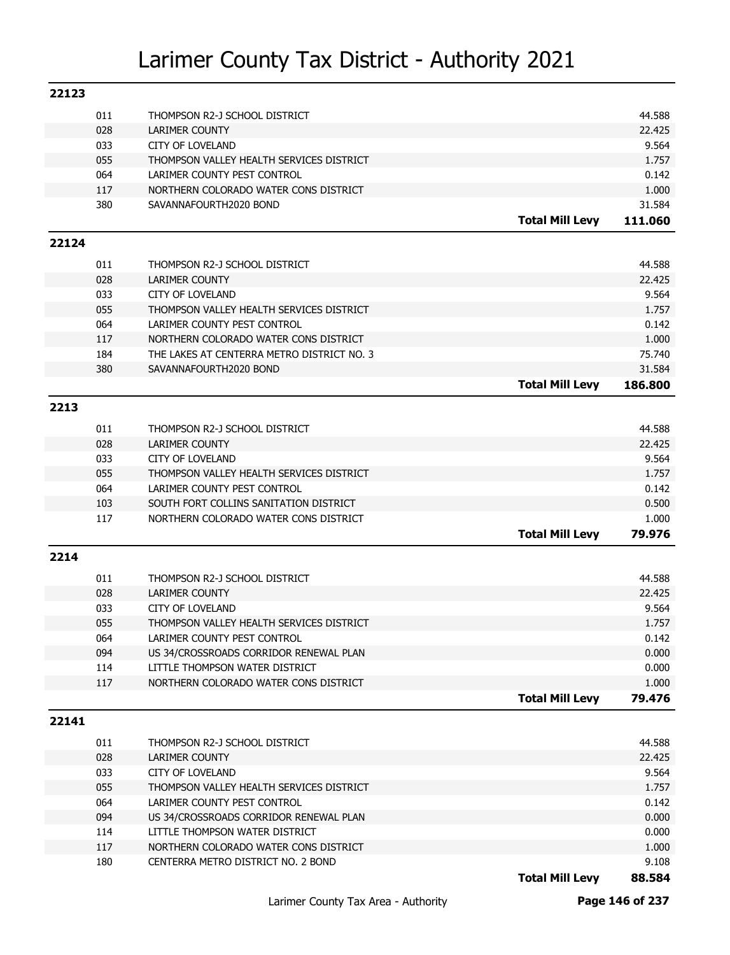|       | 011 | THOMPSON R2-J SCHOOL DISTRICT              |                        | 44.588          |
|-------|-----|--------------------------------------------|------------------------|-----------------|
|       | 028 | <b>LARIMER COUNTY</b>                      |                        | 22.425          |
|       | 033 | <b>CITY OF LOVELAND</b>                    |                        | 9.564           |
|       | 055 | THOMPSON VALLEY HEALTH SERVICES DISTRICT   |                        | 1.757           |
|       | 064 | LARIMER COUNTY PEST CONTROL                |                        | 0.142           |
|       | 117 | NORTHERN COLORADO WATER CONS DISTRICT      |                        | 1.000           |
|       | 380 | SAVANNAFOURTH2020 BOND                     |                        | 31.584          |
|       |     |                                            | <b>Total Mill Levy</b> | 111.060         |
| 22124 |     |                                            |                        |                 |
|       |     |                                            |                        |                 |
|       | 011 | THOMPSON R2-J SCHOOL DISTRICT              |                        | 44.588          |
|       | 028 | <b>LARIMER COUNTY</b>                      |                        | 22.425          |
|       | 033 | <b>CITY OF LOVELAND</b>                    |                        | 9.564           |
|       | 055 | THOMPSON VALLEY HEALTH SERVICES DISTRICT   |                        | 1.757           |
|       | 064 | LARIMER COUNTY PEST CONTROL                |                        | 0.142           |
|       | 117 | NORTHERN COLORADO WATER CONS DISTRICT      |                        | 1.000           |
|       | 184 | THE LAKES AT CENTERRA METRO DISTRICT NO. 3 |                        | 75.740          |
|       | 380 | SAVANNAFOURTH2020 BOND                     |                        | 31.584          |
|       |     |                                            | <b>Total Mill Levy</b> | 186.800         |
| 2213  |     |                                            |                        |                 |
|       | 011 | THOMPSON R2-J SCHOOL DISTRICT              |                        | 44.588          |
|       | 028 | <b>LARIMER COUNTY</b>                      |                        | 22.425          |
|       | 033 | <b>CITY OF LOVELAND</b>                    |                        | 9.564           |
|       | 055 | THOMPSON VALLEY HEALTH SERVICES DISTRICT   |                        | 1.757           |
|       | 064 | LARIMER COUNTY PEST CONTROL                |                        | 0.142           |
|       | 103 | SOUTH FORT COLLINS SANITATION DISTRICT     |                        | 0.500           |
|       | 117 | NORTHERN COLORADO WATER CONS DISTRICT      |                        | 1.000           |
|       |     |                                            | <b>Total Mill Levy</b> | 79.976          |
|       |     |                                            |                        |                 |
|       |     |                                            |                        |                 |
| 2214  |     |                                            |                        |                 |
|       | 011 | THOMPSON R2-J SCHOOL DISTRICT              |                        | 44.588          |
|       | 028 | <b>LARIMER COUNTY</b>                      |                        | 22.425          |
|       | 033 | <b>CITY OF LOVELAND</b>                    |                        | 9.564           |
|       | 055 | THOMPSON VALLEY HEALTH SERVICES DISTRICT   |                        | 1.757           |
|       | 064 | LARIMER COUNTY PEST CONTROL                |                        | 0.142           |
|       | 094 | US 34/CROSSROADS CORRIDOR RENEWAL PLAN     |                        | 0.000           |
|       | 114 | LITTLE THOMPSON WATER DISTRICT             |                        | 0.000           |
|       | 117 | NORTHERN COLORADO WATER CONS DISTRICT      |                        | 1.000           |
|       |     |                                            | <b>Total Mill Levy</b> | 79.476          |
| 22141 |     |                                            |                        |                 |
|       |     |                                            |                        |                 |
|       | 011 | THOMPSON R2-J SCHOOL DISTRICT              |                        | 44.588          |
|       | 028 | <b>LARIMER COUNTY</b>                      |                        | 22.425          |
|       | 033 | <b>CITY OF LOVELAND</b>                    |                        | 9.564           |
|       | 055 | THOMPSON VALLEY HEALTH SERVICES DISTRICT   |                        | 1.757           |
|       | 064 | LARIMER COUNTY PEST CONTROL                |                        | 0.142           |
|       | 094 | US 34/CROSSROADS CORRIDOR RENEWAL PLAN     |                        | 0.000           |
|       | 114 | LITTLE THOMPSON WATER DISTRICT             |                        | 0.000           |
|       | 117 | NORTHERN COLORADO WATER CONS DISTRICT      |                        | 1.000           |
|       | 180 | CENTERRA METRO DISTRICT NO. 2 BOND         | <b>Total Mill Levy</b> | 9.108<br>88.584 |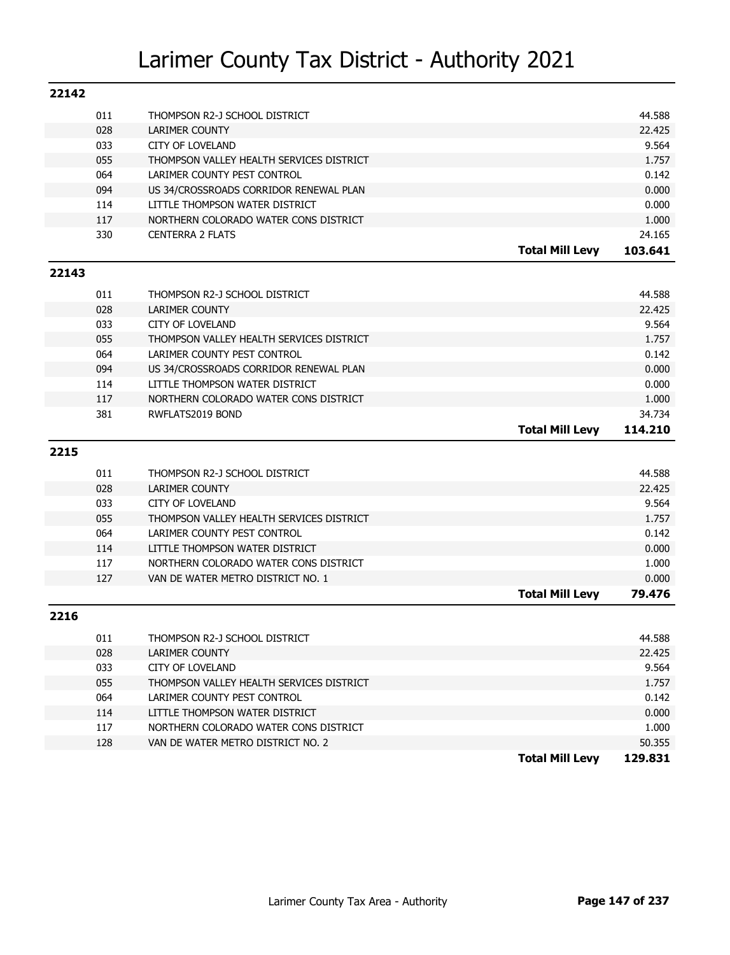| 22142 |     |                                          |                        |         |
|-------|-----|------------------------------------------|------------------------|---------|
|       | 011 | THOMPSON R2-J SCHOOL DISTRICT            |                        | 44.588  |
|       | 028 | LARIMER COUNTY                           |                        | 22.425  |
|       | 033 | <b>CITY OF LOVELAND</b>                  |                        | 9.564   |
|       | 055 | THOMPSON VALLEY HEALTH SERVICES DISTRICT |                        | 1.757   |
|       | 064 | LARIMER COUNTY PEST CONTROL              |                        | 0.142   |
|       | 094 | US 34/CROSSROADS CORRIDOR RENEWAL PLAN   |                        | 0.000   |
|       | 114 | LITTLE THOMPSON WATER DISTRICT           |                        | 0.000   |
|       | 117 | NORTHERN COLORADO WATER CONS DISTRICT    |                        | 1.000   |
|       | 330 | <b>CENTERRA 2 FLATS</b>                  |                        | 24.165  |
|       |     |                                          | <b>Total Mill Levy</b> | 103.641 |
| 22143 |     |                                          |                        |         |
|       | 011 | THOMPSON R2-J SCHOOL DISTRICT            |                        | 44.588  |
|       | 028 | LARIMER COUNTY                           |                        | 22.425  |
|       | 033 | <b>CITY OF LOVELAND</b>                  |                        | 9.564   |
|       | 055 | THOMPSON VALLEY HEALTH SERVICES DISTRICT |                        | 1.757   |
|       | 064 | LARIMER COUNTY PEST CONTROL              |                        | 0.142   |
|       | 094 | US 34/CROSSROADS CORRIDOR RENEWAL PLAN   |                        | 0.000   |
|       | 114 | LITTLE THOMPSON WATER DISTRICT           |                        | 0.000   |
|       | 117 | NORTHERN COLORADO WATER CONS DISTRICT    |                        | 1.000   |
|       | 381 | RWFLATS2019 BOND                         |                        | 34.734  |
|       |     |                                          | <b>Total Mill Levy</b> | 114.210 |
| 2215  |     |                                          |                        |         |
|       | 011 | THOMPSON R2-J SCHOOL DISTRICT            |                        | 44.588  |
|       | 028 | LARIMER COUNTY                           |                        | 22.425  |
|       | 033 | <b>CITY OF LOVELAND</b>                  |                        | 9.564   |
|       | 055 | THOMPSON VALLEY HEALTH SERVICES DISTRICT |                        | 1.757   |
|       | 064 | LARIMER COUNTY PEST CONTROL              |                        | 0.142   |
|       | 114 | LITTLE THOMPSON WATER DISTRICT           |                        | 0.000   |
|       | 117 | NORTHERN COLORADO WATER CONS DISTRICT    |                        | 1.000   |
|       | 127 | VAN DE WATER METRO DISTRICT NO. 1        |                        | 0.000   |
|       |     |                                          | <b>Total Mill Levy</b> | 79.476  |
| 2216  |     |                                          |                        |         |
|       | 011 | THOMPSON R2-J SCHOOL DISTRICT            |                        | 44.588  |
|       | 028 | LARIMER COUNTY                           |                        | 22,425  |
|       | 033 | CITY OF LOVELAND                         |                        | 9.564   |
|       | 055 | THOMPSON VALLEY HEALTH SERVICES DISTRICT |                        | 1.757   |
|       | 064 | LARIMER COUNTY PEST CONTROL              |                        | 0.142   |
|       | 114 | LITTLE THOMPSON WATER DISTRICT           |                        | 0.000   |
|       | 117 | NORTHERN COLORADO WATER CONS DISTRICT    |                        | 1.000   |
|       | 128 | VAN DE WATER METRO DISTRICT NO. 2        |                        | 50.355  |
|       |     |                                          | <b>Total Mill Levy</b> | 129.831 |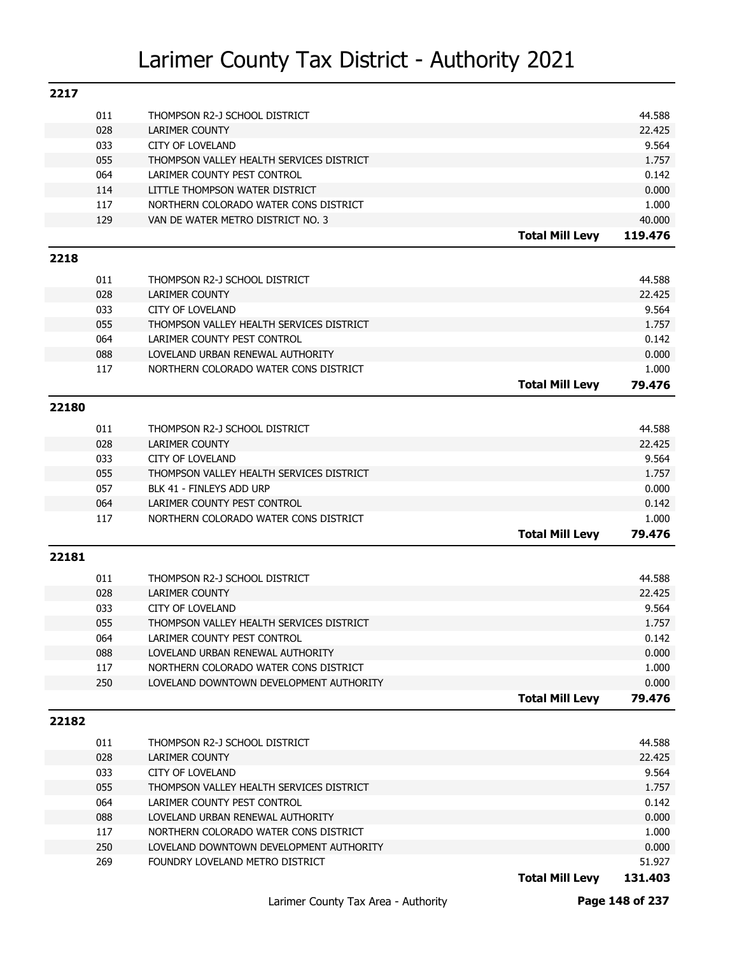| 2217  |     |                                                 |                        |                 |
|-------|-----|-------------------------------------------------|------------------------|-----------------|
|       | 011 | THOMPSON R2-J SCHOOL DISTRICT                   |                        | 44.588          |
|       | 028 | LARIMER COUNTY                                  |                        | 22.425          |
|       | 033 | <b>CITY OF LOVELAND</b>                         |                        | 9.564           |
|       | 055 | THOMPSON VALLEY HEALTH SERVICES DISTRICT        |                        | 1.757           |
|       | 064 | LARIMER COUNTY PEST CONTROL                     |                        | 0.142           |
|       | 114 | LITTLE THOMPSON WATER DISTRICT                  |                        | 0.000           |
|       | 117 | NORTHERN COLORADO WATER CONS DISTRICT           |                        | 1.000           |
|       | 129 | VAN DE WATER METRO DISTRICT NO. 3               |                        | 40.000          |
|       |     |                                                 | <b>Total Mill Levy</b> | 119.476         |
| 2218  |     |                                                 |                        |                 |
|       | 011 |                                                 |                        | 44.588          |
|       | 028 | THOMPSON R2-J SCHOOL DISTRICT<br>LARIMER COUNTY |                        | 22.425          |
|       | 033 | <b>CITY OF LOVELAND</b>                         |                        | 9.564           |
|       | 055 | THOMPSON VALLEY HEALTH SERVICES DISTRICT        |                        | 1.757           |
|       | 064 | LARIMER COUNTY PEST CONTROL                     |                        | 0.142           |
|       | 088 | LOVELAND URBAN RENEWAL AUTHORITY                |                        | 0.000           |
|       | 117 | NORTHERN COLORADO WATER CONS DISTRICT           |                        | 1.000           |
|       |     |                                                 | <b>Total Mill Levy</b> | 79.476          |
|       |     |                                                 |                        |                 |
| 22180 |     |                                                 |                        |                 |
|       | 011 | THOMPSON R2-J SCHOOL DISTRICT                   |                        | 44.588          |
|       | 028 | LARIMER COUNTY                                  |                        | 22.425          |
|       | 033 | <b>CITY OF LOVELAND</b>                         |                        | 9.564           |
|       | 055 | THOMPSON VALLEY HEALTH SERVICES DISTRICT        |                        | 1.757           |
|       | 057 | BLK 41 - FINLEYS ADD URP                        |                        | 0.000           |
|       | 064 | LARIMER COUNTY PEST CONTROL                     |                        | 0.142           |
|       | 117 | NORTHERN COLORADO WATER CONS DISTRICT           |                        | 1.000           |
|       |     |                                                 | <b>Total Mill Levy</b> | 79.476          |
| 22181 |     |                                                 |                        |                 |
|       |     |                                                 |                        |                 |
|       | 011 | THOMPSON R2-J SCHOOL DISTRICT                   |                        | 44.588          |
|       | 028 | LARIMER COUNTY                                  |                        | 22.425          |
|       | 033 | <b>CITY OF LOVELAND</b>                         |                        | 9.564           |
|       | 055 | THOMPSON VALLEY HEALTH SERVICES DISTRICT        |                        | 1.757           |
|       | 064 | LARIMER COUNTY PEST CONTROL                     |                        | 0.142           |
|       | 088 | LOVELAND URBAN RENEWAL AUTHORITY                |                        | 0.000           |
|       | 117 | NORTHERN COLORADO WATER CONS DISTRICT           |                        | 1.000           |
|       | 250 | LOVELAND DOWNTOWN DEVELOPMENT AUTHORITY         |                        | 0.000<br>79.476 |
|       |     |                                                 | <b>Total Mill Levy</b> |                 |
| 22182 |     |                                                 |                        |                 |
|       | 011 | THOMPSON R2-J SCHOOL DISTRICT                   |                        | 44.588          |
|       | 028 | LARIMER COUNTY                                  |                        | 22.425          |
|       | 033 | <b>CITY OF LOVELAND</b>                         |                        | 9.564           |
|       | 055 | THOMPSON VALLEY HEALTH SERVICES DISTRICT        |                        | 1.757           |
|       | 064 | LARIMER COUNTY PEST CONTROL                     |                        | 0.142           |
|       | 088 | LOVELAND URBAN RENEWAL AUTHORITY                |                        | 0.000           |
|       | 117 | NORTHERN COLORADO WATER CONS DISTRICT           |                        | 1.000           |
|       |     |                                                 |                        |                 |
|       | 250 | LOVELAND DOWNTOWN DEVELOPMENT AUTHORITY         |                        | 0.000           |
|       | 269 | FOUNDRY LOVELAND METRO DISTRICT                 |                        | 51.927          |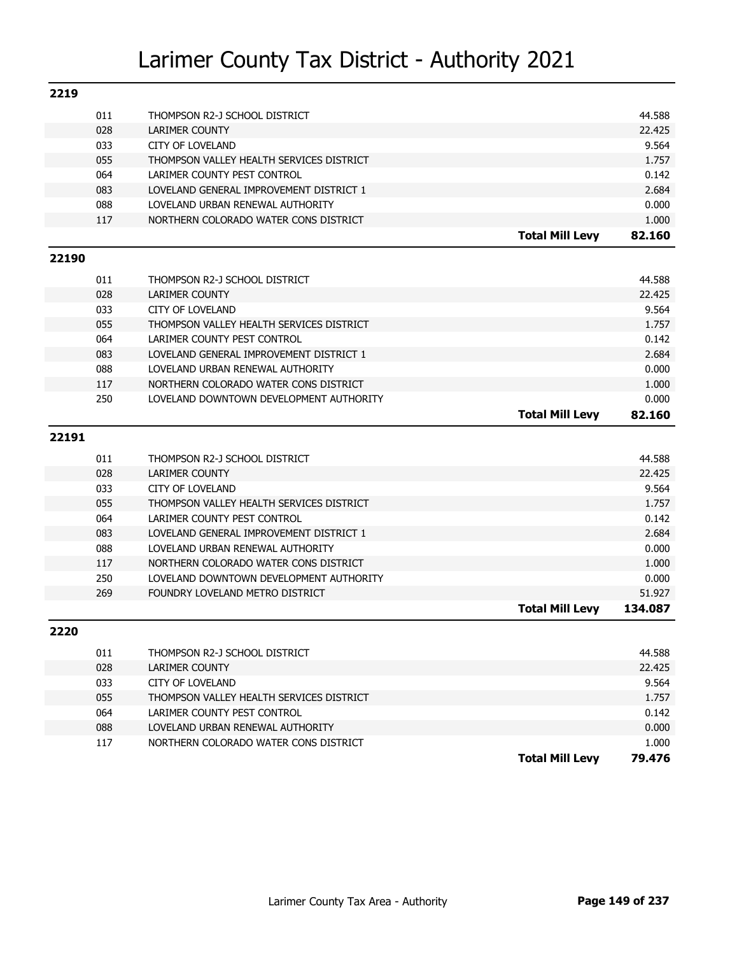| 2219  |     |                                          |                        |         |
|-------|-----|------------------------------------------|------------------------|---------|
|       | 011 | THOMPSON R2-J SCHOOL DISTRICT            |                        | 44.588  |
|       | 028 | LARIMER COUNTY                           |                        | 22.425  |
|       | 033 | <b>CITY OF LOVELAND</b>                  |                        | 9.564   |
|       | 055 | THOMPSON VALLEY HEALTH SERVICES DISTRICT |                        | 1.757   |
|       | 064 | LARIMER COUNTY PEST CONTROL              |                        | 0.142   |
|       | 083 | LOVELAND GENERAL IMPROVEMENT DISTRICT 1  |                        | 2.684   |
|       | 088 | LOVELAND URBAN RENEWAL AUTHORITY         |                        | 0.000   |
|       | 117 | NORTHERN COLORADO WATER CONS DISTRICT    |                        | 1.000   |
|       |     |                                          | <b>Total Mill Levy</b> | 82.160  |
| 22190 |     |                                          |                        |         |
|       | 011 | THOMPSON R2-J SCHOOL DISTRICT            |                        | 44.588  |
|       | 028 | LARIMER COUNTY                           |                        | 22.425  |
|       | 033 | <b>CITY OF LOVELAND</b>                  |                        | 9.564   |
|       | 055 | THOMPSON VALLEY HEALTH SERVICES DISTRICT |                        | 1.757   |
|       | 064 | LARIMER COUNTY PEST CONTROL              |                        | 0.142   |
|       | 083 | LOVELAND GENERAL IMPROVEMENT DISTRICT 1  |                        | 2.684   |
|       | 088 | LOVELAND URBAN RENEWAL AUTHORITY         |                        | 0.000   |
|       | 117 | NORTHERN COLORADO WATER CONS DISTRICT    |                        | 1.000   |
|       | 250 | LOVELAND DOWNTOWN DEVELOPMENT AUTHORITY  |                        | 0.000   |
|       |     |                                          | <b>Total Mill Levy</b> | 82.160  |
| 22191 |     |                                          |                        |         |
|       |     |                                          |                        |         |
|       | 011 | THOMPSON R2-J SCHOOL DISTRICT            |                        | 44.588  |
|       | 028 | LARIMER COUNTY                           |                        | 22.425  |
|       | 033 | <b>CITY OF LOVELAND</b>                  |                        | 9.564   |
|       | 055 | THOMPSON VALLEY HEALTH SERVICES DISTRICT |                        | 1.757   |
|       | 064 | LARIMER COUNTY PEST CONTROL              |                        | 0.142   |
|       | 083 | LOVELAND GENERAL IMPROVEMENT DISTRICT 1  |                        | 2.684   |
|       | 088 | LOVELAND URBAN RENEWAL AUTHORITY         |                        | 0.000   |
|       | 117 | NORTHERN COLORADO WATER CONS DISTRICT    |                        | 1.000   |
|       | 250 | LOVELAND DOWNTOWN DEVELOPMENT AUTHORITY  |                        | 0.000   |
|       | 269 | FOUNDRY LOVELAND METRO DISTRICT          |                        | 51.927  |
|       |     |                                          | <b>Total Mill Levy</b> | 134.087 |
| 2220  |     |                                          |                        |         |
|       | 011 | THOMPSON R2-J SCHOOL DISTRICT            |                        | 44.588  |
|       | 028 | LARIMER COUNTY                           |                        | 22.425  |
|       | 033 | <b>CITY OF LOVELAND</b>                  |                        | 9.564   |
|       | 055 | THOMPSON VALLEY HEALTH SERVICES DISTRICT |                        | 1.757   |
|       | 064 | LARIMER COUNTY PEST CONTROL              |                        | 0.142   |
|       | 088 | LOVELAND URBAN RENEWAL AUTHORITY         |                        | 0.000   |
|       | 117 | NORTHERN COLORADO WATER CONS DISTRICT    |                        | 1.000   |

**Total Mill Levy 79.476**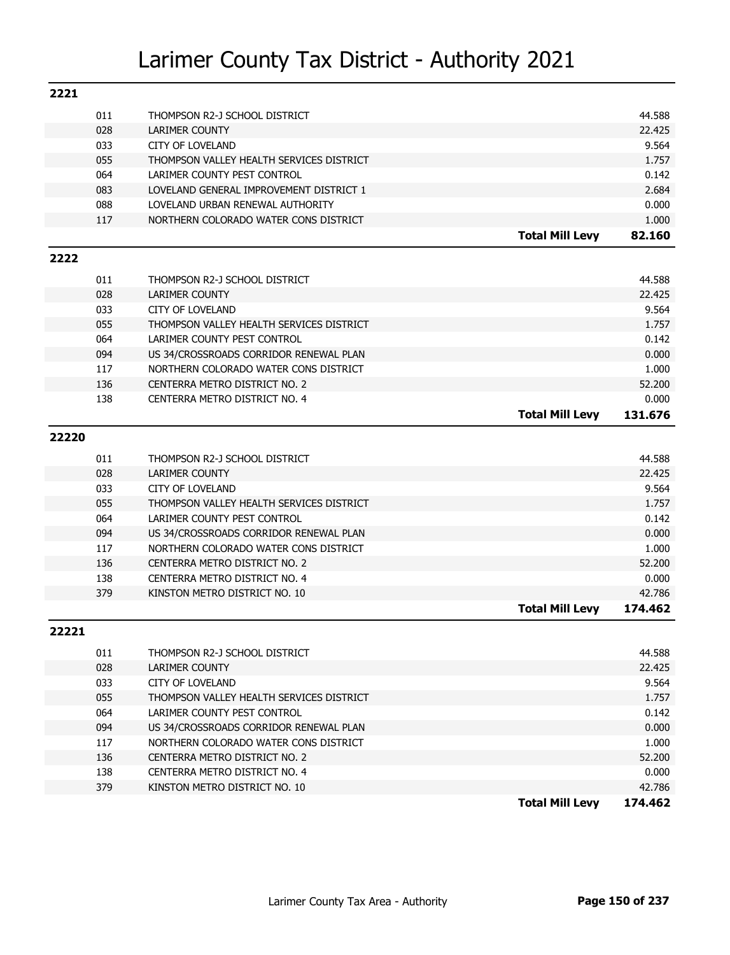| 2221  |     |                                          |                        |                   |
|-------|-----|------------------------------------------|------------------------|-------------------|
|       | 011 | THOMPSON R2-J SCHOOL DISTRICT            |                        | 44.588            |
|       | 028 | LARIMER COUNTY                           |                        | 22.425            |
|       | 033 | <b>CITY OF LOVELAND</b>                  |                        | 9.564             |
|       | 055 | THOMPSON VALLEY HEALTH SERVICES DISTRICT |                        | 1.757             |
|       | 064 | LARIMER COUNTY PEST CONTROL              |                        | 0.142             |
|       | 083 | LOVELAND GENERAL IMPROVEMENT DISTRICT 1  |                        | 2.684             |
|       | 088 | LOVELAND URBAN RENEWAL AUTHORITY         |                        | 0.000             |
|       | 117 | NORTHERN COLORADO WATER CONS DISTRICT    |                        | 1.000             |
|       |     |                                          | <b>Total Mill Levy</b> | 82.160            |
| 2222  |     |                                          |                        |                   |
|       | 011 | THOMPSON R2-J SCHOOL DISTRICT            |                        | 44.588            |
|       | 028 | LARIMER COUNTY                           |                        | 22.425            |
|       | 033 | <b>CITY OF LOVELAND</b>                  |                        | 9.564             |
|       | 055 | THOMPSON VALLEY HEALTH SERVICES DISTRICT |                        | 1.757             |
|       | 064 | LARIMER COUNTY PEST CONTROL              |                        | 0.142             |
|       | 094 | US 34/CROSSROADS CORRIDOR RENEWAL PLAN   |                        | 0.000             |
|       | 117 | NORTHERN COLORADO WATER CONS DISTRICT    |                        | 1.000             |
|       | 136 | CENTERRA METRO DISTRICT NO. 2            |                        | 52.200            |
|       | 138 | CENTERRA METRO DISTRICT NO. 4            |                        | 0.000             |
|       |     |                                          | <b>Total Mill Levy</b> | 131.676           |
| 22220 |     |                                          |                        |                   |
|       |     |                                          |                        |                   |
|       | 011 | THOMPSON R2-J SCHOOL DISTRICT            |                        | 44.588            |
|       | 028 | LARIMER COUNTY                           |                        | 22.425            |
|       | 033 | <b>CITY OF LOVELAND</b>                  |                        | 9.564             |
|       | 055 | THOMPSON VALLEY HEALTH SERVICES DISTRICT |                        | 1.757             |
|       | 064 | LARIMER COUNTY PEST CONTROL              |                        | 0.142             |
|       | 094 | US 34/CROSSROADS CORRIDOR RENEWAL PLAN   |                        | 0.000             |
|       | 117 | NORTHERN COLORADO WATER CONS DISTRICT    |                        | 1.000             |
|       | 136 | CENTERRA METRO DISTRICT NO. 2            |                        | 52,200            |
|       | 138 | CENTERRA METRO DISTRICT NO. 4            |                        | 0.000             |
|       | 379 | KINSTON METRO DISTRICT NO. 10            | <b>Total Mill Levy</b> | 42.786<br>174.462 |
|       |     |                                          |                        |                   |
| 22221 |     |                                          |                        |                   |
|       | 011 | THOMPSON R2-J SCHOOL DISTRICT            |                        | 44.588            |
|       | 028 | LARIMER COUNTY                           |                        | 22.425            |
|       | 033 | CITY OF LOVELAND                         |                        | 9.564             |
|       | 055 | THOMPSON VALLEY HEALTH SERVICES DISTRICT |                        | 1.757             |
|       | 064 | LARIMER COUNTY PEST CONTROL              |                        | 0.142             |
|       | 094 | US 34/CROSSROADS CORRIDOR RENEWAL PLAN   |                        | 0.000             |
|       | 117 | NORTHERN COLORADO WATER CONS DISTRICT    |                        | 1.000             |

136 CENTERRA METRO DISTRICT NO. 2 52.200 138 CENTERRA METRO DISTRICT NO. 4 0.000 379 KINSTON METRO DISTRICT NO. 10 42.786

**Total Mill Levy 174.462**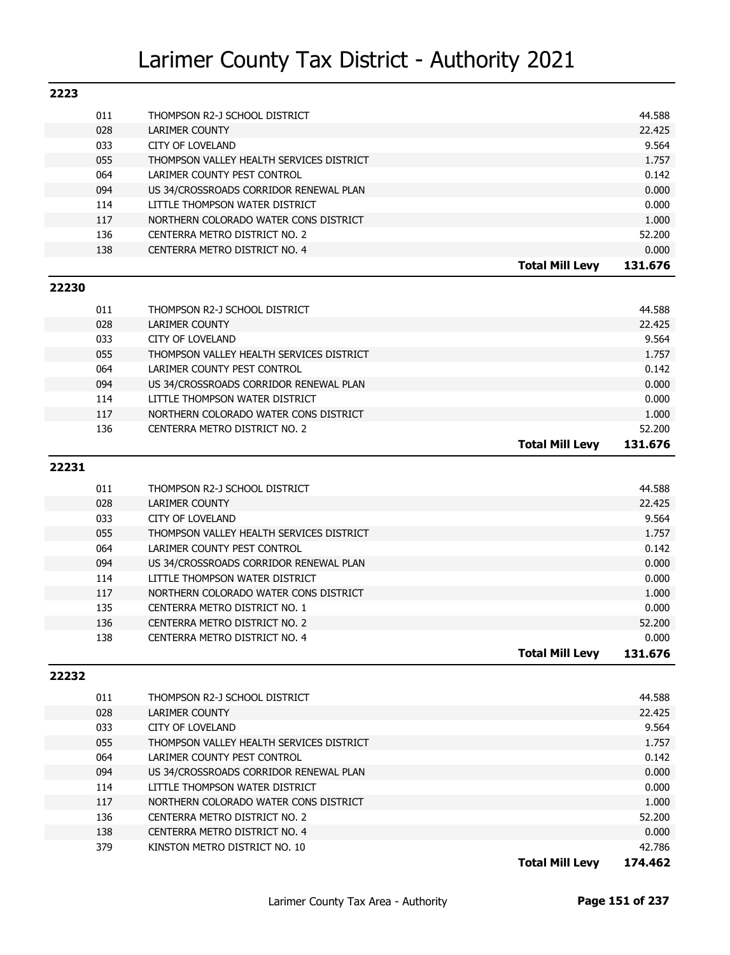| 2223  |     |                                                        |                        |                  |
|-------|-----|--------------------------------------------------------|------------------------|------------------|
|       | 011 | THOMPSON R2-J SCHOOL DISTRICT                          |                        | 44.588           |
|       | 028 | <b>LARIMER COUNTY</b>                                  |                        | 22.425           |
|       | 033 | <b>CITY OF LOVELAND</b>                                |                        | 9.564            |
|       | 055 | THOMPSON VALLEY HEALTH SERVICES DISTRICT               |                        | 1.757            |
|       | 064 | LARIMER COUNTY PEST CONTROL                            |                        | 0.142            |
|       | 094 | US 34/CROSSROADS CORRIDOR RENEWAL PLAN                 |                        | 0.000            |
|       | 114 | LITTLE THOMPSON WATER DISTRICT                         |                        | 0.000            |
|       | 117 | NORTHERN COLORADO WATER CONS DISTRICT                  |                        | 1.000            |
|       | 136 | CENTERRA METRO DISTRICT NO. 2                          |                        | 52.200           |
|       | 138 | CENTERRA METRO DISTRICT NO. 4                          |                        | 0.000            |
|       |     |                                                        | <b>Total Mill Levy</b> | 131.676          |
| 22230 |     |                                                        |                        |                  |
|       | 011 |                                                        |                        |                  |
|       | 028 | THOMPSON R2-J SCHOOL DISTRICT<br><b>LARIMER COUNTY</b> |                        | 44.588<br>22.425 |
|       | 033 | <b>CITY OF LOVELAND</b>                                |                        | 9.564            |
|       | 055 | THOMPSON VALLEY HEALTH SERVICES DISTRICT               |                        | 1.757            |
|       | 064 | LARIMER COUNTY PEST CONTROL                            |                        | 0.142            |
|       | 094 | US 34/CROSSROADS CORRIDOR RENEWAL PLAN                 |                        | 0.000            |
|       | 114 | LITTLE THOMPSON WATER DISTRICT                         |                        | 0.000            |
|       | 117 | NORTHERN COLORADO WATER CONS DISTRICT                  |                        | 1.000            |
|       | 136 | CENTERRA METRO DISTRICT NO. 2                          |                        | 52,200           |
|       |     |                                                        | <b>Total Mill Levy</b> | 131.676          |
|       |     |                                                        |                        |                  |
| 22231 |     |                                                        |                        |                  |
|       | 011 | THOMPSON R2-J SCHOOL DISTRICT                          |                        | 44.588           |
|       | 028 | <b>LARIMER COUNTY</b>                                  |                        | 22.425           |
|       | 033 |                                                        |                        |                  |
|       |     | <b>CITY OF LOVELAND</b>                                |                        | 9.564            |
|       | 055 | THOMPSON VALLEY HEALTH SERVICES DISTRICT               |                        | 1.757            |
|       | 064 | LARIMER COUNTY PEST CONTROL                            |                        | 0.142            |
|       | 094 | US 34/CROSSROADS CORRIDOR RENEWAL PLAN                 |                        | 0.000            |
|       | 114 | LITTLE THOMPSON WATER DISTRICT                         |                        | 0.000            |
|       | 117 | NORTHERN COLORADO WATER CONS DISTRICT                  |                        | 1.000            |
|       | 135 | CENTERRA METRO DISTRICT NO. 1                          |                        | 0.000            |
|       | 136 | CENTERRA METRO DISTRICT NO. 2                          |                        | 52.200           |
|       | 138 | CENTERRA METRO DISTRICT NO. 4                          |                        | 0.000            |
|       |     |                                                        | <b>Total Mill Levy</b> | 131.676          |
| 22232 |     |                                                        |                        |                  |
|       | 011 | THOMPSON R2-J SCHOOL DISTRICT                          |                        | 44.588           |

|     |                                          | <b>Total Mill Levv</b> | 174.462 |
|-----|------------------------------------------|------------------------|---------|
| 379 | KINSTON METRO DISTRICT NO. 10            |                        | 42.786  |
| 138 | CENTERRA METRO DISTRICT NO. 4            |                        | 0.000   |
| 136 | CENTERRA METRO DISTRICT NO. 2            |                        | 52.200  |
| 117 | NORTHERN COLORADO WATER CONS DISTRICT    |                        | 1.000   |
| 114 | LITTLE THOMPSON WATER DISTRICT           |                        | 0.000   |
| 094 | US 34/CROSSROADS CORRIDOR RENEWAL PLAN   |                        | 0.000   |
| 064 | LARIMER COUNTY PEST CONTROL              |                        | 0.142   |
| 055 | THOMPSON VALLEY HEALTH SERVICES DISTRICT |                        | 1.757   |
| 033 | <b>CITY OF LOVELAND</b>                  |                        | 9.564   |
| 028 | LARIMER COUNTY                           |                        | 22.425  |
| ັັ  |                                          |                        | .       |

Larimer County Tax Area - Authority **Page 151 of 237**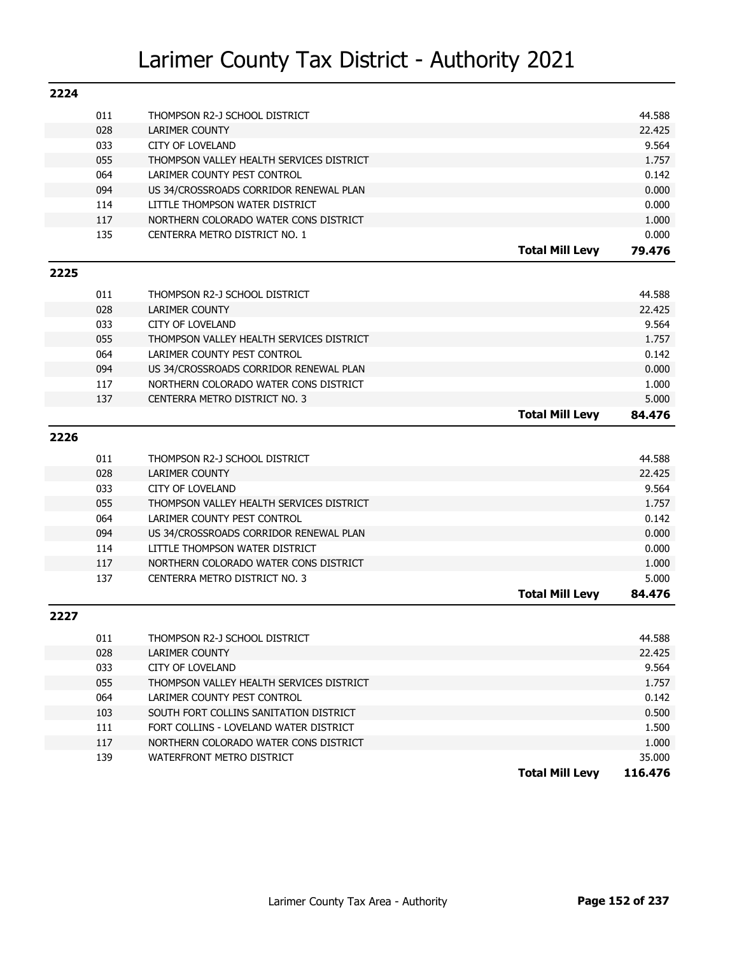| 2224 |            |                                                                          |                        |                |
|------|------------|--------------------------------------------------------------------------|------------------------|----------------|
|      | 011        | THOMPSON R2-J SCHOOL DISTRICT                                            |                        | 44.588         |
|      | 028        | LARIMER COUNTY                                                           |                        | 22.425         |
|      | 033        | <b>CITY OF LOVELAND</b>                                                  |                        | 9.564          |
|      | 055        | THOMPSON VALLEY HEALTH SERVICES DISTRICT                                 |                        | 1.757          |
|      | 064        | LARIMER COUNTY PEST CONTROL                                              |                        | 0.142          |
|      | 094        | US 34/CROSSROADS CORRIDOR RENEWAL PLAN                                   |                        | 0.000          |
|      | 114        | LITTLE THOMPSON WATER DISTRICT                                           |                        | 0.000          |
|      | 117        | NORTHERN COLORADO WATER CONS DISTRICT                                    |                        | 1.000          |
|      | 135        | CENTERRA METRO DISTRICT NO. 1                                            |                        | 0.000          |
|      |            |                                                                          | <b>Total Mill Levy</b> | 79.476         |
| 2225 |            |                                                                          |                        |                |
|      | 011        | THOMPSON R2-J SCHOOL DISTRICT                                            |                        | 44.588         |
|      | 028        | <b>LARIMER COUNTY</b>                                                    |                        | 22.425         |
|      | 033        | <b>CITY OF LOVELAND</b>                                                  |                        | 9.564          |
|      | 055        | THOMPSON VALLEY HEALTH SERVICES DISTRICT                                 |                        | 1.757          |
|      | 064        | LARIMER COUNTY PEST CONTROL                                              |                        | 0.142          |
|      | 094        | US 34/CROSSROADS CORRIDOR RENEWAL PLAN                                   |                        | 0.000          |
|      | 117        | NORTHERN COLORADO WATER CONS DISTRICT                                    |                        | 1.000          |
|      | 137        | CENTERRA METRO DISTRICT NO. 3                                            |                        | 5.000          |
|      |            |                                                                          | <b>Total Mill Levy</b> | 84.476         |
| 2226 |            |                                                                          |                        |                |
|      |            |                                                                          |                        |                |
|      | 011        | THOMPSON R2-J SCHOOL DISTRICT                                            |                        | 44.588         |
|      | 028        | <b>LARIMER COUNTY</b>                                                    |                        | 22.425         |
|      | 033        | <b>CITY OF LOVELAND</b>                                                  |                        | 9.564          |
|      | 055        | THOMPSON VALLEY HEALTH SERVICES DISTRICT                                 |                        | 1.757          |
|      | 064<br>094 | LARIMER COUNTY PEST CONTROL                                              |                        | 0.142          |
|      | 114        | US 34/CROSSROADS CORRIDOR RENEWAL PLAN<br>LITTLE THOMPSON WATER DISTRICT |                        | 0.000<br>0.000 |
|      | 117        | NORTHERN COLORADO WATER CONS DISTRICT                                    |                        | 1.000          |
|      | 137        | CENTERRA METRO DISTRICT NO. 3                                            |                        | 5.000          |
|      |            |                                                                          | <b>Total Mill Levy</b> | 84.476         |
| 2227 |            |                                                                          |                        |                |
|      |            |                                                                          |                        |                |
|      | 011        | THOMPSON R2-J SCHOOL DISTRICT                                            |                        | 44.588         |
|      | 028        | LARIMER COUNTY                                                           |                        | 22.425         |
|      | 033        | <b>CITY OF LOVELAND</b>                                                  |                        | 9.564          |
|      | 055        | THOMPSON VALLEY HEALTH SERVICES DISTRICT                                 |                        | 1.757          |
|      | 064        | LARIMER COUNTY PEST CONTROL                                              |                        | 0.142          |
|      | 103        | SOUTH FORT COLLINS SANITATION DISTRICT                                   |                        | 0.500          |
|      | 111        | FORT COLLINS - LOVELAND WATER DISTRICT                                   |                        | 1.500          |
|      | 117        | NORTHERN COLORADO WATER CONS DISTRICT                                    |                        | 1.000          |
|      | 139        | WATERFRONT METRO DISTRICT                                                |                        | 35.000         |
|      |            |                                                                          | <b>Total Mill Levy</b> | 116.476        |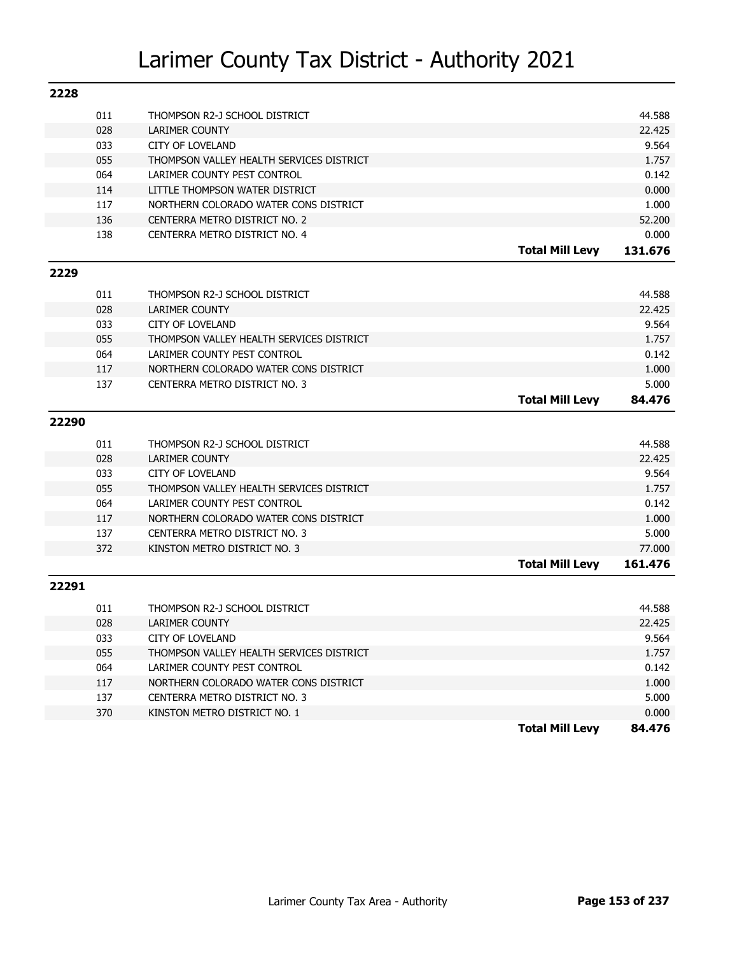| 2228  |     |                                          |                        |         |
|-------|-----|------------------------------------------|------------------------|---------|
|       | 011 | THOMPSON R2-J SCHOOL DISTRICT            |                        | 44.588  |
|       | 028 | <b>LARIMER COUNTY</b>                    |                        | 22.425  |
|       | 033 | <b>CITY OF LOVELAND</b>                  |                        | 9.564   |
|       | 055 | THOMPSON VALLEY HEALTH SERVICES DISTRICT |                        | 1.757   |
|       | 064 | LARIMER COUNTY PEST CONTROL              |                        | 0.142   |
|       | 114 | LITTLE THOMPSON WATER DISTRICT           |                        | 0.000   |
|       | 117 | NORTHERN COLORADO WATER CONS DISTRICT    |                        | 1.000   |
|       | 136 | CENTERRA METRO DISTRICT NO. 2            |                        | 52.200  |
|       | 138 | CENTERRA METRO DISTRICT NO. 4            |                        | 0.000   |
|       |     |                                          | <b>Total Mill Levy</b> | 131.676 |
| 2229  |     |                                          |                        |         |
|       | 011 | THOMPSON R2-J SCHOOL DISTRICT            |                        | 44.588  |
|       | 028 | <b>LARIMER COUNTY</b>                    |                        | 22.425  |
|       | 033 | CITY OF LOVELAND                         |                        | 9.564   |
|       | 055 | THOMPSON VALLEY HEALTH SERVICES DISTRICT |                        | 1.757   |
|       | 064 | LARIMER COUNTY PEST CONTROL              |                        | 0.142   |
|       | 117 | NORTHERN COLORADO WATER CONS DISTRICT    |                        | 1.000   |
|       | 137 | CENTERRA METRO DISTRICT NO. 3            |                        | 5.000   |
|       |     |                                          | <b>Total Mill Levy</b> | 84.476  |
| 22290 |     |                                          |                        |         |
|       | 011 | THOMPSON R2-J SCHOOL DISTRICT            |                        | 44.588  |
|       | 028 | <b>LARIMER COUNTY</b>                    |                        | 22.425  |
|       | 033 | <b>CITY OF LOVELAND</b>                  |                        | 9.564   |
|       | 055 | THOMPSON VALLEY HEALTH SERVICES DISTRICT |                        | 1.757   |
|       | 064 | LARIMER COUNTY PEST CONTROL              |                        | 0.142   |
|       | 117 |                                          |                        |         |
|       |     | NORTHERN COLORADO WATER CONS DISTRICT    |                        | 1.000   |
|       | 137 | CENTERRA METRO DISTRICT NO. 3            |                        | 5.000   |
|       | 372 | KINSTON METRO DISTRICT NO. 3             |                        | 77.000  |
|       |     |                                          | <b>Total Mill Levy</b> | 161.476 |
| 22291 |     |                                          |                        |         |
|       | 011 | THOMPSON R2-J SCHOOL DISTRICT            |                        | 44.588  |
|       | 028 | <b>LARIMER COUNTY</b>                    |                        | 22.425  |
|       | 033 | CITY OF LOVELAND                         |                        | 9.564   |
|       | 055 | THOMPSON VALLEY HEALTH SERVICES DISTRICT |                        | 1.757   |
|       | 064 | LARIMER COUNTY PEST CONTROL              |                        | 0.142   |
|       | 117 | NORTHERN COLORADO WATER CONS DISTRICT    |                        | 1.000   |
|       | 137 | CENTERRA METRO DISTRICT NO. 3            |                        | 5.000   |
|       | 370 | KINSTON METRO DISTRICT NO. 1             |                        | 0.000   |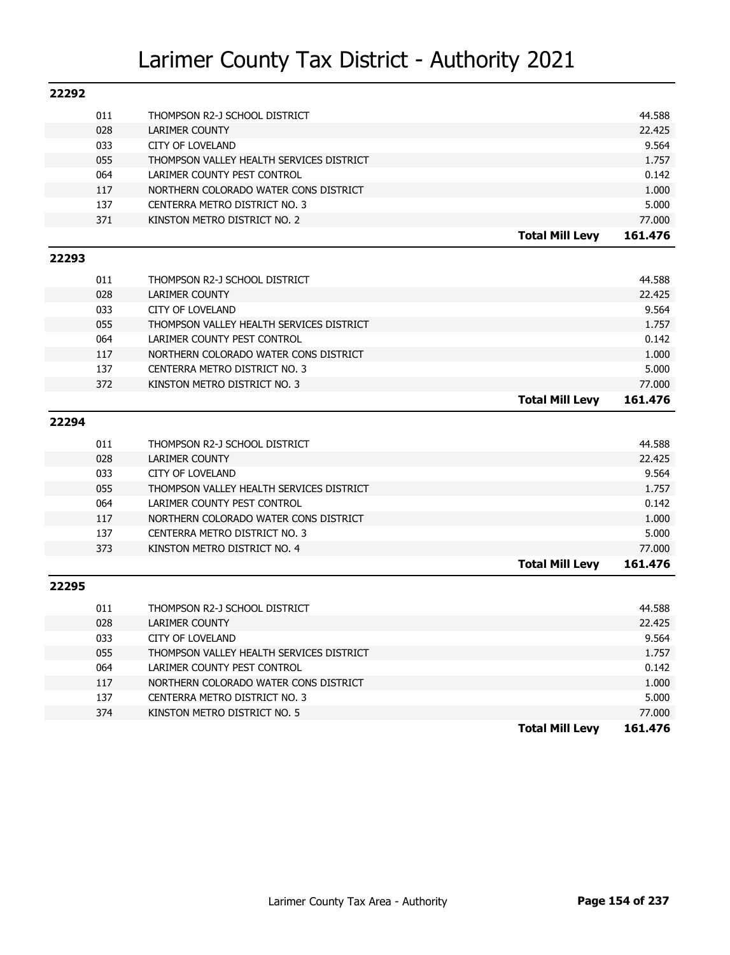| 22292 |     |                                          |                        |         |
|-------|-----|------------------------------------------|------------------------|---------|
|       | 011 | THOMPSON R2-J SCHOOL DISTRICT            |                        | 44.588  |
|       | 028 | <b>LARIMER COUNTY</b>                    |                        | 22.425  |
|       | 033 | <b>CITY OF LOVELAND</b>                  |                        | 9.564   |
|       | 055 | THOMPSON VALLEY HEALTH SERVICES DISTRICT |                        | 1.757   |
|       | 064 | LARIMER COUNTY PEST CONTROL              |                        | 0.142   |
|       | 117 | NORTHERN COLORADO WATER CONS DISTRICT    |                        | 1.000   |
|       | 137 | CENTERRA METRO DISTRICT NO. 3            |                        | 5.000   |
|       | 371 | KINSTON METRO DISTRICT NO. 2             |                        | 77.000  |
|       |     |                                          | <b>Total Mill Levy</b> | 161.476 |
| 22293 |     |                                          |                        |         |
|       |     |                                          |                        |         |
|       | 011 | THOMPSON R2-J SCHOOL DISTRICT            |                        | 44.588  |
|       | 028 | <b>LARIMER COUNTY</b>                    |                        | 22.425  |
|       | 033 | <b>CITY OF LOVELAND</b>                  |                        | 9.564   |
|       | 055 | THOMPSON VALLEY HEALTH SERVICES DISTRICT |                        | 1.757   |
|       | 064 | LARIMER COUNTY PEST CONTROL              |                        | 0.142   |
|       | 117 | NORTHERN COLORADO WATER CONS DISTRICT    |                        | 1.000   |
|       | 137 | CENTERRA METRO DISTRICT NO. 3            |                        | 5.000   |
|       | 372 | KINSTON METRO DISTRICT NO. 3             |                        | 77,000  |
|       |     |                                          | <b>Total Mill Levy</b> | 161.476 |
| 22294 |     |                                          |                        |         |
|       | 011 | THOMPSON R2-J SCHOOL DISTRICT            |                        | 44.588  |
|       | 028 | <b>LARIMER COUNTY</b>                    |                        | 22.425  |
|       | 033 | <b>CITY OF LOVELAND</b>                  |                        | 9.564   |
|       | 055 | THOMPSON VALLEY HEALTH SERVICES DISTRICT |                        | 1.757   |
|       | 064 | LARIMER COUNTY PEST CONTROL              |                        | 0.142   |
|       | 117 | NORTHERN COLORADO WATER CONS DISTRICT    |                        | 1.000   |
|       | 137 | CENTERRA METRO DISTRICT NO. 3            |                        | 5.000   |
|       | 373 | KINSTON METRO DISTRICT NO. 4             |                        | 77,000  |
|       |     |                                          | <b>Total Mill Levy</b> | 161.476 |
| 22295 |     |                                          |                        |         |
|       |     |                                          |                        |         |
|       | 011 | THOMPSON R2-J SCHOOL DISTRICT            |                        | 44.588  |
|       | 028 | <b>LARIMER COUNTY</b>                    |                        | 22.425  |
|       | 033 | <b>CITY OF LOVELAND</b>                  |                        | 9.564   |
|       | 055 | THOMPSON VALLEY HEALTH SERVICES DISTRICT |                        | 1.757   |
|       | 064 | LARIMER COUNTY PEST CONTROL              |                        | 0.142   |
|       | 117 | NORTHERN COLORADO WATER CONS DISTRICT    |                        | 1.000   |
|       | 137 | CENTERRA METRO DISTRICT NO. 3            |                        | 5.000   |
|       | 374 | KINSTON METRO DISTRICT NO. 5             |                        | 77.000  |
|       |     |                                          | <b>Total Mill Levy</b> | 161.476 |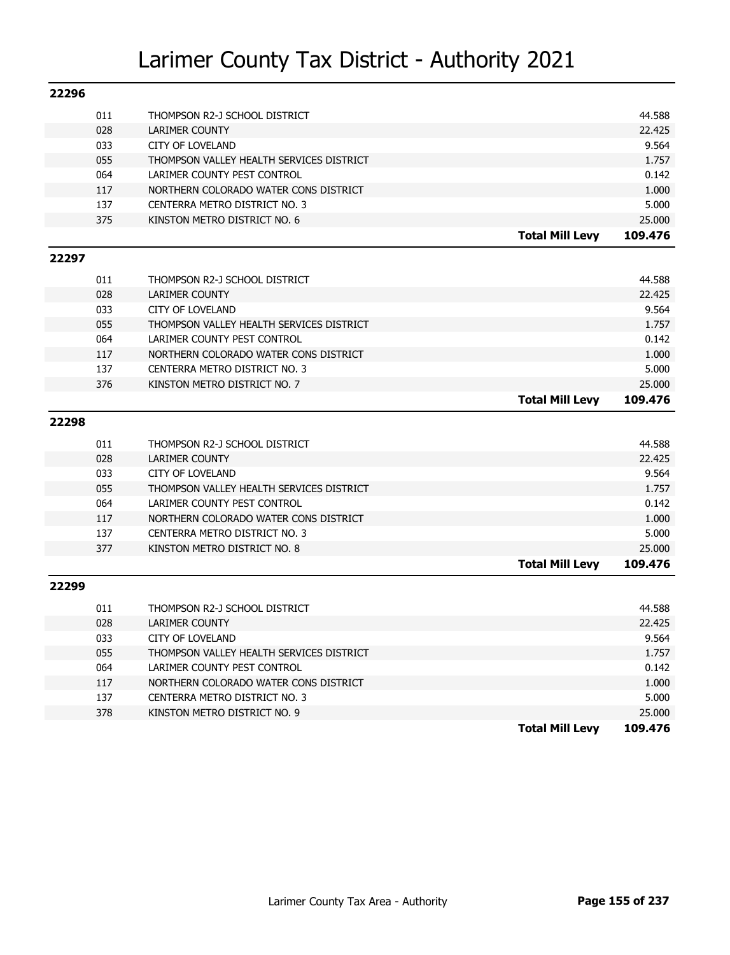| 22296 |            |                                                                         |                        |                 |
|-------|------------|-------------------------------------------------------------------------|------------------------|-----------------|
|       | 011        | THOMPSON R2-J SCHOOL DISTRICT                                           |                        | 44.588          |
|       | 028        | <b>LARIMER COUNTY</b>                                                   |                        | 22.425          |
|       | 033        | <b>CITY OF LOVELAND</b>                                                 |                        | 9.564           |
|       | 055        | THOMPSON VALLEY HEALTH SERVICES DISTRICT                                |                        | 1.757           |
|       | 064        | LARIMER COUNTY PEST CONTROL                                             |                        | 0.142           |
|       | 117        | NORTHERN COLORADO WATER CONS DISTRICT                                   |                        | 1.000           |
|       | 137        | CENTERRA METRO DISTRICT NO. 3                                           |                        | 5.000           |
|       | 375        | KINSTON METRO DISTRICT NO. 6                                            |                        | 25.000          |
|       |            |                                                                         | <b>Total Mill Levy</b> | 109.476         |
| 22297 |            |                                                                         |                        |                 |
|       |            |                                                                         |                        |                 |
|       | 011        | THOMPSON R2-J SCHOOL DISTRICT                                           |                        | 44.588          |
|       | 028        | <b>LARIMER COUNTY</b>                                                   |                        | 22.425<br>9.564 |
|       | 033<br>055 | <b>CITY OF LOVELAND</b>                                                 |                        | 1.757           |
|       | 064        | THOMPSON VALLEY HEALTH SERVICES DISTRICT<br>LARIMER COUNTY PEST CONTROL |                        | 0.142           |
|       | 117        | NORTHERN COLORADO WATER CONS DISTRICT                                   |                        | 1.000           |
|       | 137        | CENTERRA METRO DISTRICT NO. 3                                           |                        | 5.000           |
|       | 376        | KINSTON METRO DISTRICT NO. 7                                            |                        | 25.000          |
|       |            |                                                                         | <b>Total Mill Levy</b> | 109.476         |
|       |            |                                                                         |                        |                 |
|       |            |                                                                         |                        |                 |
| 22298 |            |                                                                         |                        |                 |
|       | 011        | THOMPSON R2-J SCHOOL DISTRICT                                           |                        | 44.588          |
|       | 028        | <b>LARIMER COUNTY</b>                                                   |                        | 22.425          |
|       | 033        | <b>CITY OF LOVELAND</b>                                                 |                        | 9.564           |
|       | 055        | THOMPSON VALLEY HEALTH SERVICES DISTRICT                                |                        | 1.757           |
|       | 064        | LARIMER COUNTY PEST CONTROL                                             |                        | 0.142           |
|       | 117        | NORTHERN COLORADO WATER CONS DISTRICT                                   |                        | 1.000           |
|       | 137        | CENTERRA METRO DISTRICT NO. 3                                           |                        | 5.000           |
|       | 377        | KINSTON METRO DISTRICT NO. 8                                            |                        | 25.000          |
|       |            |                                                                         | <b>Total Mill Levy</b> | 109.476         |
| 22299 |            |                                                                         |                        |                 |
|       |            |                                                                         |                        |                 |
|       | 011        | THOMPSON R2-J SCHOOL DISTRICT                                           |                        | 44.588          |
|       | 028<br>033 | <b>LARIMER COUNTY</b><br><b>CITY OF LOVELAND</b>                        |                        | 22.425<br>9.564 |
|       | 055        |                                                                         |                        | 1.757           |
|       | 064        | THOMPSON VALLEY HEALTH SERVICES DISTRICT<br>LARIMER COUNTY PEST CONTROL |                        | 0.142           |
|       | 117        | NORTHERN COLORADO WATER CONS DISTRICT                                   |                        | 1.000           |
|       | 137        | CENTERRA METRO DISTRICT NO. 3                                           |                        | 5.000           |
|       | 378        | KINSTON METRO DISTRICT NO. 9                                            |                        | 25.000          |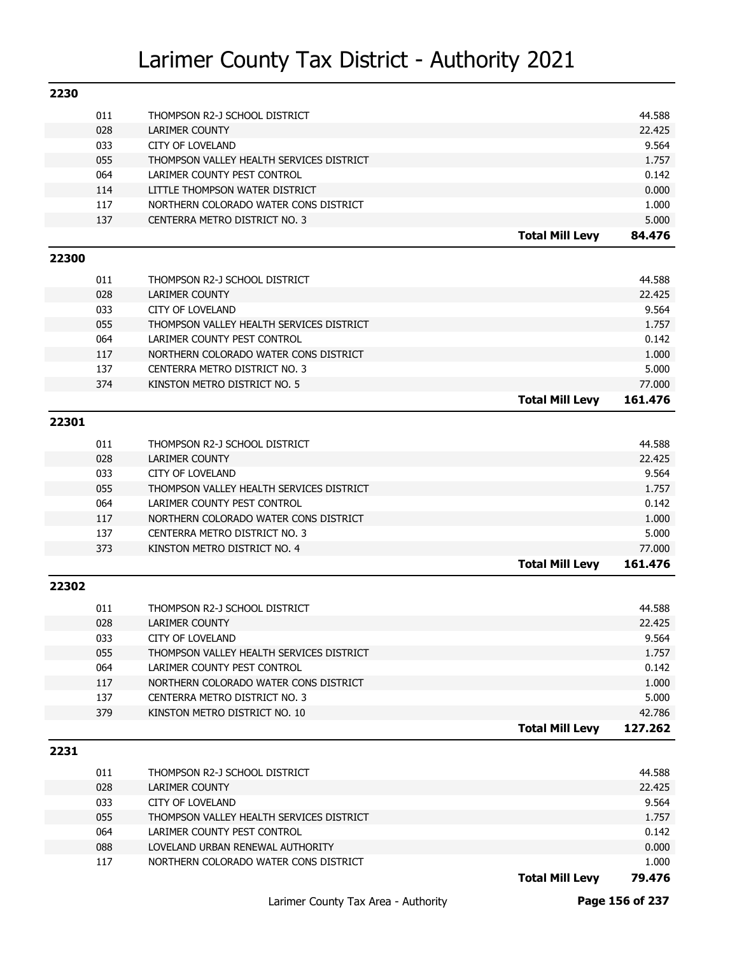| 2230  |     |                                          |                        |                 |
|-------|-----|------------------------------------------|------------------------|-----------------|
|       | 011 | THOMPSON R2-J SCHOOL DISTRICT            |                        | 44.588          |
|       | 028 | <b>LARIMER COUNTY</b>                    |                        | 22.425          |
|       | 033 | <b>CITY OF LOVELAND</b>                  |                        | 9.564           |
|       | 055 | THOMPSON VALLEY HEALTH SERVICES DISTRICT |                        | 1.757           |
|       | 064 | LARIMER COUNTY PEST CONTROL              |                        | 0.142           |
|       | 114 | LITTLE THOMPSON WATER DISTRICT           |                        | 0.000           |
|       | 117 | NORTHERN COLORADO WATER CONS DISTRICT    |                        | 1.000           |
|       | 137 | CENTERRA METRO DISTRICT NO. 3            |                        | 5.000           |
|       |     |                                          | <b>Total Mill Levy</b> | 84.476          |
| 22300 |     |                                          |                        |                 |
|       | 011 | THOMPSON R2-J SCHOOL DISTRICT            |                        | 44.588          |
|       | 028 | <b>LARIMER COUNTY</b>                    |                        | 22.425          |
|       | 033 | <b>CITY OF LOVELAND</b>                  |                        | 9.564           |
|       | 055 | THOMPSON VALLEY HEALTH SERVICES DISTRICT |                        | 1.757           |
|       | 064 | LARIMER COUNTY PEST CONTROL              |                        | 0.142           |
|       | 117 | NORTHERN COLORADO WATER CONS DISTRICT    |                        | 1.000           |
|       | 137 | CENTERRA METRO DISTRICT NO. 3            |                        | 5.000           |
|       | 374 | KINSTON METRO DISTRICT NO. 5             |                        | 77.000          |
|       |     |                                          | <b>Total Mill Levy</b> | 161.476         |
|       |     |                                          |                        |                 |
| 22301 |     |                                          |                        |                 |
|       | 011 | THOMPSON R2-J SCHOOL DISTRICT            |                        | 44.588          |
|       | 028 | <b>LARIMER COUNTY</b>                    |                        | 22.425          |
|       | 033 | <b>CITY OF LOVELAND</b>                  |                        | 9.564           |
|       | 055 | THOMPSON VALLEY HEALTH SERVICES DISTRICT |                        | 1.757           |
|       | 064 | LARIMER COUNTY PEST CONTROL              |                        | 0.142           |
|       | 117 | NORTHERN COLORADO WATER CONS DISTRICT    |                        | 1.000           |
|       | 137 | CENTERRA METRO DISTRICT NO. 3            |                        | 5.000           |
|       | 373 | KINSTON METRO DISTRICT NO. 4             |                        | 77.000          |
|       |     |                                          | <b>Total Mill Levy</b> | 161.476         |
| 22302 |     |                                          |                        |                 |
|       | 011 | THOMPSON R2-J SCHOOL DISTRICT            |                        | 44.588          |
|       | 028 | <b>LARIMER COUNTY</b>                    |                        | 22.425          |
|       | 033 | <b>CITY OF LOVELAND</b>                  |                        | 9.564           |
|       | 055 | THOMPSON VALLEY HEALTH SERVICES DISTRICT |                        | 1.757           |
|       | 064 | LARIMER COUNTY PEST CONTROL              |                        | 0.142           |
|       | 117 | NORTHERN COLORADO WATER CONS DISTRICT    |                        | 1.000           |
|       | 137 | CENTERRA METRO DISTRICT NO. 3            |                        | 5.000           |
|       | 379 | KINSTON METRO DISTRICT NO. 10            |                        | 42.786          |
|       |     |                                          | <b>Total Mill Levy</b> | 127.262         |
|       |     |                                          |                        |                 |
| 2231  |     |                                          |                        |                 |
|       |     |                                          |                        |                 |
|       | 011 | THOMPSON R2-J SCHOOL DISTRICT            |                        | 44.588          |
|       | 028 | LARIMER COUNTY                           |                        | 22.425          |
|       | 033 | CITY OF LOVELAND                         |                        | 9.564           |
|       | 055 | THOMPSON VALLEY HEALTH SERVICES DISTRICT |                        | 1.757           |
|       | 064 | LARIMER COUNTY PEST CONTROL              |                        | 0.142           |
|       | 088 | LOVELAND URBAN RENEWAL AUTHORITY         |                        | 0.000           |
|       | 117 | NORTHERN COLORADO WATER CONS DISTRICT    | <b>Total Mill Levy</b> | 1.000<br>79.476 |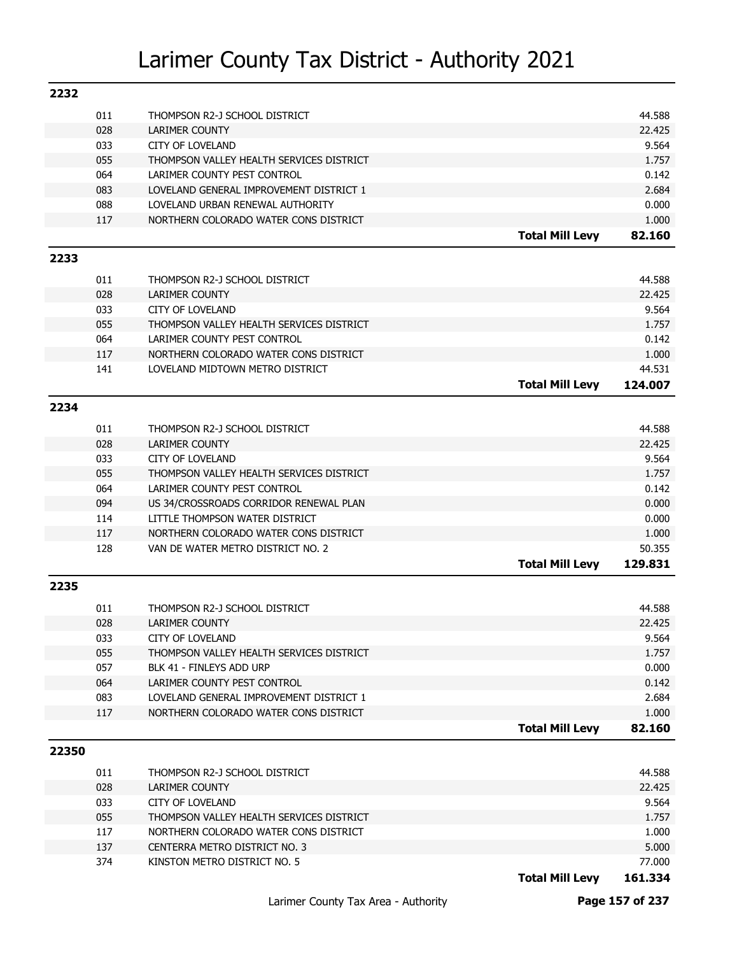| 2232  |            |                                                                                   |                        |                  |
|-------|------------|-----------------------------------------------------------------------------------|------------------------|------------------|
|       | 011        | THOMPSON R2-J SCHOOL DISTRICT                                                     |                        | 44.588           |
|       | 028        | <b>LARIMER COUNTY</b>                                                             |                        | 22.425           |
|       | 033        | <b>CITY OF LOVELAND</b>                                                           |                        | 9.564            |
|       | 055        | THOMPSON VALLEY HEALTH SERVICES DISTRICT                                          |                        | 1.757            |
|       | 064        | LARIMER COUNTY PEST CONTROL                                                       |                        | 0.142            |
|       | 083        | LOVELAND GENERAL IMPROVEMENT DISTRICT 1                                           |                        | 2.684            |
|       | 088        | LOVELAND URBAN RENEWAL AUTHORITY                                                  |                        | 0.000            |
|       | 117        | NORTHERN COLORADO WATER CONS DISTRICT                                             |                        | 1.000            |
|       |            |                                                                                   | <b>Total Mill Levy</b> | 82.160           |
| 2233  |            |                                                                                   |                        |                  |
|       |            |                                                                                   |                        |                  |
|       | 011<br>028 | THOMPSON R2-J SCHOOL DISTRICT                                                     |                        | 44.588<br>22.425 |
|       | 033        | LARIMER COUNTY<br><b>CITY OF LOVELAND</b>                                         |                        | 9.564            |
|       |            |                                                                                   |                        |                  |
|       | 055        | THOMPSON VALLEY HEALTH SERVICES DISTRICT<br>LARIMER COUNTY PEST CONTROL           |                        | 1.757            |
|       | 064<br>117 | NORTHERN COLORADO WATER CONS DISTRICT                                             |                        | 0.142<br>1.000   |
|       | 141        | LOVELAND MIDTOWN METRO DISTRICT                                                   |                        | 44.531           |
|       |            |                                                                                   | <b>Total Mill Levy</b> | 124.007          |
|       |            |                                                                                   |                        |                  |
| 2234  |            |                                                                                   |                        |                  |
|       | 011        | THOMPSON R2-J SCHOOL DISTRICT                                                     |                        | 44.588           |
|       | 028        | <b>LARIMER COUNTY</b>                                                             |                        | 22.425           |
|       | 033        | <b>CITY OF LOVELAND</b>                                                           |                        | 9.564            |
|       | 055        | THOMPSON VALLEY HEALTH SERVICES DISTRICT                                          |                        | 1.757            |
|       | 064        | LARIMER COUNTY PEST CONTROL                                                       |                        | 0.142            |
|       | 094        | US 34/CROSSROADS CORRIDOR RENEWAL PLAN                                            |                        | 0.000            |
|       | 114        | LITTLE THOMPSON WATER DISTRICT                                                    |                        | 0.000            |
|       | 117        | NORTHERN COLORADO WATER CONS DISTRICT                                             |                        | 1.000            |
|       | 128        | VAN DE WATER METRO DISTRICT NO. 2                                                 |                        | 50.355           |
|       |            |                                                                                   | <b>Total Mill Levy</b> | 129.831          |
| 2235  |            |                                                                                   |                        |                  |
|       | 011        | THOMPSON R2-J SCHOOL DISTRICT                                                     |                        | 44.588           |
|       | 028        | <b>LARIMER COUNTY</b>                                                             |                        | 22.425           |
|       | 033        | CITY OF LOVELAND                                                                  |                        | 9.564            |
|       | 055        | THOMPSON VALLEY HEALTH SERVICES DISTRICT                                          |                        | 1.757            |
|       | 057        | BLK 41 - FINLEYS ADD URP                                                          |                        | 0.000            |
|       | 064        | LARIMER COUNTY PEST CONTROL                                                       |                        | 0.142            |
|       | 083        | LOVELAND GENERAL IMPROVEMENT DISTRICT 1                                           |                        | 2.684            |
|       | 117        | NORTHERN COLORADO WATER CONS DISTRICT                                             |                        | 1.000            |
|       |            |                                                                                   | <b>Total Mill Levy</b> | 82.160           |
| 22350 |            |                                                                                   |                        |                  |
|       |            |                                                                                   |                        |                  |
|       | 011        | THOMPSON R2-J SCHOOL DISTRICT                                                     |                        | 44.588           |
|       | 028        | LARIMER COUNTY                                                                    |                        | 22.425           |
|       | 033        | <b>CITY OF LOVELAND</b>                                                           |                        | 9.564            |
|       | 055<br>117 | THOMPSON VALLEY HEALTH SERVICES DISTRICT<br>NORTHERN COLORADO WATER CONS DISTRICT |                        | 1.757            |
|       | 137        | CENTERRA METRO DISTRICT NO. 3                                                     |                        | 1.000<br>5.000   |
|       | 374        | KINSTON METRO DISTRICT NO. 5                                                      |                        | 77.000           |
|       |            |                                                                                   | <b>Total Mill Levy</b> | 161.334          |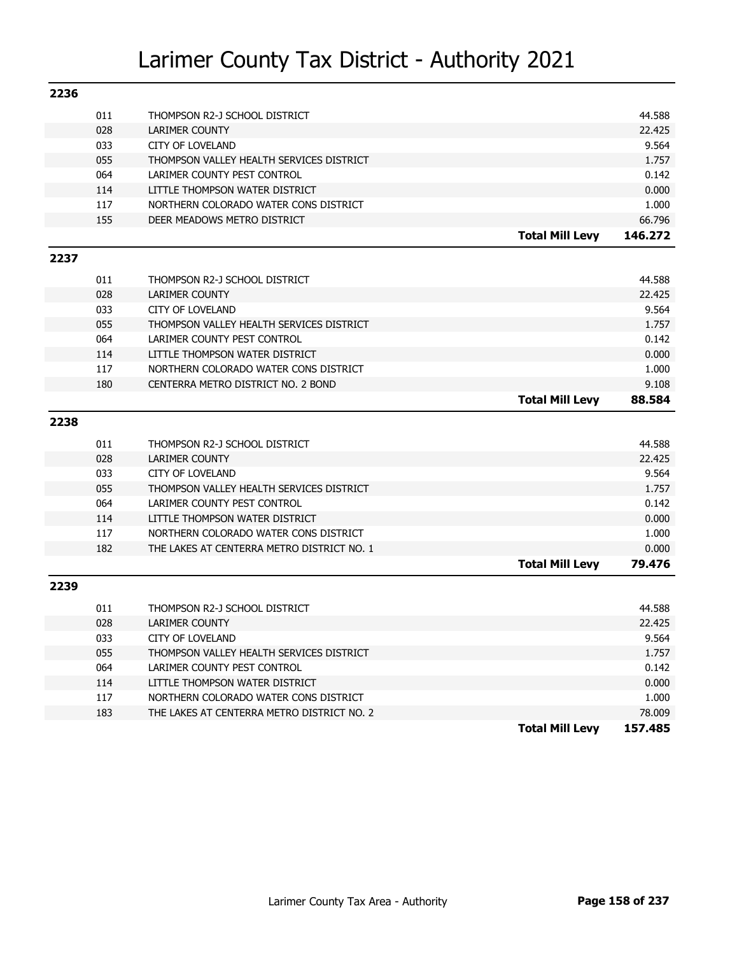| 2236 |     |                                            |                        |         |
|------|-----|--------------------------------------------|------------------------|---------|
|      | 011 | THOMPSON R2-J SCHOOL DISTRICT              |                        | 44.588  |
|      | 028 | <b>LARIMER COUNTY</b>                      |                        | 22.425  |
|      | 033 | CITY OF LOVELAND                           |                        | 9.564   |
|      | 055 | THOMPSON VALLEY HEALTH SERVICES DISTRICT   |                        | 1.757   |
|      | 064 | LARIMER COUNTY PEST CONTROL                |                        | 0.142   |
|      | 114 | LITTLE THOMPSON WATER DISTRICT             |                        | 0.000   |
|      | 117 | NORTHERN COLORADO WATER CONS DISTRICT      |                        | 1.000   |
|      | 155 | DEER MEADOWS METRO DISTRICT                |                        | 66.796  |
|      |     |                                            | <b>Total Mill Levy</b> | 146.272 |
| 2237 |     |                                            |                        |         |
|      | 011 | THOMPSON R2-J SCHOOL DISTRICT              |                        | 44.588  |
|      | 028 | <b>LARIMER COUNTY</b>                      |                        | 22.425  |
|      | 033 | <b>CITY OF LOVELAND</b>                    |                        | 9.564   |
|      | 055 | THOMPSON VALLEY HEALTH SERVICES DISTRICT   |                        | 1.757   |
|      | 064 | LARIMER COUNTY PEST CONTROL                |                        | 0.142   |
|      | 114 | LITTLE THOMPSON WATER DISTRICT             |                        | 0.000   |
|      | 117 | NORTHERN COLORADO WATER CONS DISTRICT      |                        | 1.000   |
|      | 180 | CENTERRA METRO DISTRICT NO. 2 BOND         |                        | 9.108   |
|      |     |                                            | <b>Total Mill Levy</b> | 88.584  |
|      |     |                                            |                        |         |
| 2238 |     |                                            |                        |         |
|      | 011 | THOMPSON R2-J SCHOOL DISTRICT              |                        | 44.588  |
|      | 028 | <b>LARIMER COUNTY</b>                      |                        | 22.425  |
|      | 033 | <b>CITY OF LOVELAND</b>                    |                        | 9.564   |
|      | 055 | THOMPSON VALLEY HEALTH SERVICES DISTRICT   |                        | 1.757   |
|      | 064 | LARIMER COUNTY PEST CONTROL                |                        | 0.142   |
|      | 114 | LITTLE THOMPSON WATER DISTRICT             |                        | 0.000   |
|      | 117 | NORTHERN COLORADO WATER CONS DISTRICT      |                        | 1.000   |
|      | 182 | THE LAKES AT CENTERRA METRO DISTRICT NO. 1 |                        | 0.000   |
|      |     |                                            | <b>Total Mill Levy</b> | 79.476  |
| 2239 |     |                                            |                        |         |
|      | 011 | THOMPSON R2-J SCHOOL DISTRICT              |                        | 44.588  |
|      | 028 | <b>LARIMER COUNTY</b>                      |                        | 22.425  |
|      | 033 | <b>CITY OF LOVELAND</b>                    |                        | 9.564   |
|      | 055 | THOMPSON VALLEY HEALTH SERVICES DISTRICT   |                        | 1.757   |
|      | 064 | LARIMER COUNTY PEST CONTROL                |                        | 0.142   |
|      | 114 | LITTLE THOMPSON WATER DISTRICT             |                        | 0.000   |
|      | 117 | NORTHERN COLORADO WATER CONS DISTRICT      |                        | 1.000   |
|      | 183 | THE LAKES AT CENTERRA METRO DISTRICT NO. 2 |                        | 78.009  |
|      |     |                                            | <b>Total Mill Levy</b> | 157.485 |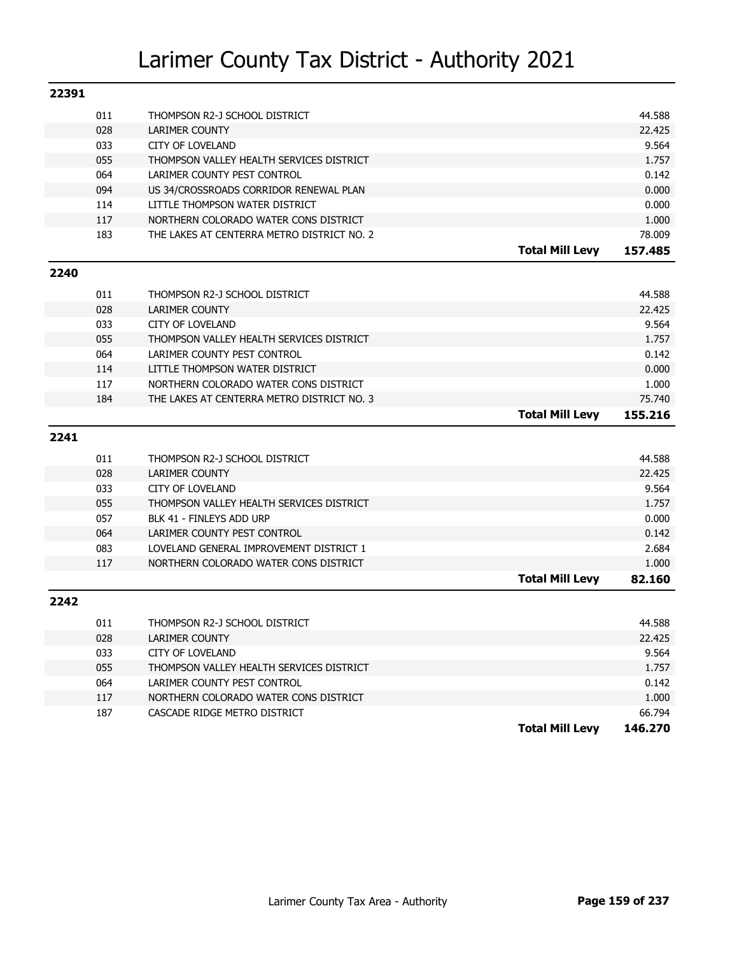| 22391 |     |                                            |                        |         |
|-------|-----|--------------------------------------------|------------------------|---------|
|       | 011 | THOMPSON R2-J SCHOOL DISTRICT              |                        | 44.588  |
|       | 028 | <b>LARIMER COUNTY</b>                      |                        | 22.425  |
|       | 033 | <b>CITY OF LOVELAND</b>                    |                        | 9.564   |
|       | 055 | THOMPSON VALLEY HEALTH SERVICES DISTRICT   |                        | 1.757   |
|       | 064 | LARIMER COUNTY PEST CONTROL                |                        | 0.142   |
|       | 094 | US 34/CROSSROADS CORRIDOR RENEWAL PLAN     |                        | 0.000   |
|       | 114 | LITTLE THOMPSON WATER DISTRICT             |                        | 0.000   |
|       | 117 | NORTHERN COLORADO WATER CONS DISTRICT      |                        | 1.000   |
|       | 183 | THE LAKES AT CENTERRA METRO DISTRICT NO. 2 |                        | 78.009  |
|       |     |                                            | <b>Total Mill Levy</b> | 157.485 |
| 2240  |     |                                            |                        |         |
|       |     |                                            |                        |         |
|       | 011 | THOMPSON R2-J SCHOOL DISTRICT              |                        | 44.588  |
|       | 028 | <b>LARIMER COUNTY</b>                      |                        | 22.425  |
|       | 033 | <b>CITY OF LOVELAND</b>                    |                        | 9.564   |
|       | 055 | THOMPSON VALLEY HEALTH SERVICES DISTRICT   |                        | 1.757   |
|       | 064 | LARIMER COUNTY PEST CONTROL                |                        | 0.142   |
|       | 114 | LITTLE THOMPSON WATER DISTRICT             |                        | 0.000   |
|       | 117 | NORTHERN COLORADO WATER CONS DISTRICT      |                        | 1.000   |
|       | 184 | THE LAKES AT CENTERRA METRO DISTRICT NO. 3 |                        | 75.740  |
|       |     |                                            | <b>Total Mill Levy</b> | 155.216 |
| 2241  |     |                                            |                        |         |
|       | 011 | THOMPSON R2-J SCHOOL DISTRICT              |                        | 44.588  |
|       | 028 | <b>LARIMER COUNTY</b>                      |                        | 22.425  |
|       | 033 | <b>CITY OF LOVELAND</b>                    |                        | 9.564   |
|       | 055 | THOMPSON VALLEY HEALTH SERVICES DISTRICT   |                        | 1.757   |
|       | 057 | BLK 41 - FINLEYS ADD URP                   |                        | 0.000   |
|       | 064 | LARIMER COUNTY PEST CONTROL                |                        | 0.142   |
|       | 083 | LOVELAND GENERAL IMPROVEMENT DISTRICT 1    |                        | 2.684   |
|       | 117 | NORTHERN COLORADO WATER CONS DISTRICT      |                        | 1.000   |
|       |     |                                            | <b>Total Mill Levy</b> | 82.160  |
| 2242  |     |                                            |                        |         |
|       | 011 | THOMPSON R2-J SCHOOL DISTRICT              |                        | 44.588  |
|       | 028 | <b>LARIMER COUNTY</b>                      |                        | 22.425  |
|       | 033 | <b>CITY OF LOVELAND</b>                    |                        | 9.564   |
|       | 055 | THOMPSON VALLEY HEALTH SERVICES DISTRICT   |                        | 1.757   |
|       | 064 | LARIMER COUNTY PEST CONTROL                |                        | 0.142   |
|       | 117 | NORTHERN COLORADO WATER CONS DISTRICT      |                        | 1.000   |
|       | 187 | CASCADE RIDGE METRO DISTRICT               |                        | 66.794  |
|       |     |                                            | <b>Total Mill Levy</b> | 146.270 |
|       |     |                                            |                        |         |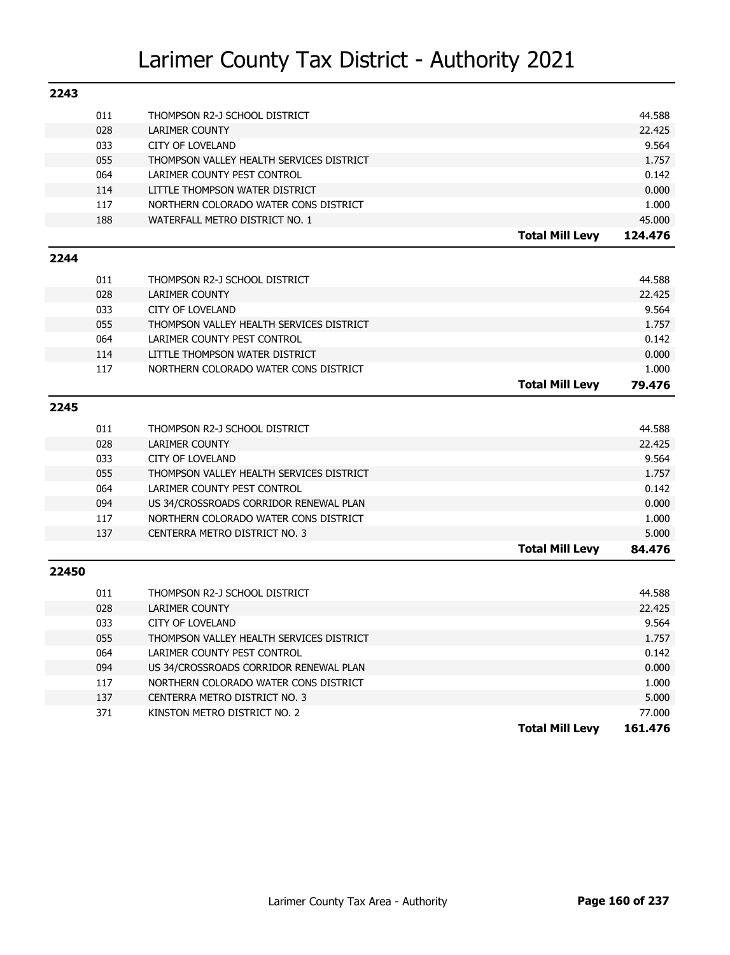| 2243  |            |                                                               |                        |                 |
|-------|------------|---------------------------------------------------------------|------------------------|-----------------|
|       | 011        | THOMPSON R2-J SCHOOL DISTRICT                                 |                        | 44.588          |
|       | 028        | <b>LARIMER COUNTY</b>                                         |                        | 22,425          |
|       | 033        | <b>CITY OF LOVELAND</b>                                       |                        | 9.564           |
|       | 055        | THOMPSON VALLEY HEALTH SERVICES DISTRICT                      |                        | 1.757           |
|       | 064        | LARIMER COUNTY PEST CONTROL                                   |                        | 0.142           |
|       | 114        | LITTLE THOMPSON WATER DISTRICT                                |                        | 0.000           |
|       | 117        | NORTHERN COLORADO WATER CONS DISTRICT                         |                        | 1.000           |
|       | 188        | WATERFALL METRO DISTRICT NO. 1                                |                        | 45.000          |
|       |            |                                                               | <b>Total Mill Levy</b> | 124.476         |
| 2244  |            |                                                               |                        |                 |
|       | 011        | THOMPSON R2-J SCHOOL DISTRICT                                 |                        | 44.588          |
|       |            |                                                               |                        |                 |
|       | 028        | LARIMER COUNTY<br><b>CITY OF LOVELAND</b>                     |                        | 22.425<br>9.564 |
|       | 033        |                                                               |                        |                 |
|       | 055        | THOMPSON VALLEY HEALTH SERVICES DISTRICT                      |                        | 1.757           |
|       | 064<br>114 | LARIMER COUNTY PEST CONTROL<br>LITTLE THOMPSON WATER DISTRICT |                        | 0.142           |
|       | 117        | NORTHERN COLORADO WATER CONS DISTRICT                         |                        | 0.000           |
|       |            |                                                               |                        | 1.000<br>79.476 |
|       |            |                                                               | <b>Total Mill Levy</b> |                 |
| 2245  |            |                                                               |                        |                 |
|       | 011        | THOMPSON R2-J SCHOOL DISTRICT                                 |                        | 44.588          |
|       | 028        | <b>LARIMER COUNTY</b>                                         |                        | 22.425          |
|       | 033        | <b>CITY OF LOVELAND</b>                                       |                        | 9.564           |
|       | 055        | THOMPSON VALLEY HEALTH SERVICES DISTRICT                      |                        | 1.757           |
|       | 064        | LARIMER COUNTY PEST CONTROL                                   |                        | 0.142           |
|       | 094        | US 34/CROSSROADS CORRIDOR RENEWAL PLAN                        |                        | 0.000           |
|       | 117        | NORTHERN COLORADO WATER CONS DISTRICT                         |                        | 1.000           |
|       | 137        | CENTERRA METRO DISTRICT NO. 3                                 |                        | 5.000           |
|       |            |                                                               | <b>Total Mill Levy</b> | 84.476          |
| 22450 |            |                                                               |                        |                 |
|       | 011        | THOMPSON R2-J SCHOOL DISTRICT                                 |                        | 44.588          |
|       | 028        | <b>LARIMER COUNTY</b>                                         |                        | 22.425          |
|       | 033        | <b>CITY OF LOVELAND</b>                                       |                        | 9.564           |
|       | 055        | THOMPSON VALLEY HEALTH SERVICES DISTRICT                      |                        | 1.757           |
|       | 064        | LARIMER COUNTY PEST CONTROL                                   |                        | 0.142           |
|       | 094        | US 34/CROSSROADS CORRIDOR RENEWAL PLAN                        |                        | 0.000           |
|       | 117        | NORTHERN COLORADO WATER CONS DISTRICT                         |                        | 1.000           |
|       | 137        | CENTERRA METRO DISTRICT NO. 3                                 |                        | 5.000           |
|       | 371        | KINSTON METRO DISTRICT NO. 2                                  |                        | 77,000          |
|       |            |                                                               | <b>Total Mill Levy</b> | 161.476         |
|       |            |                                                               |                        |                 |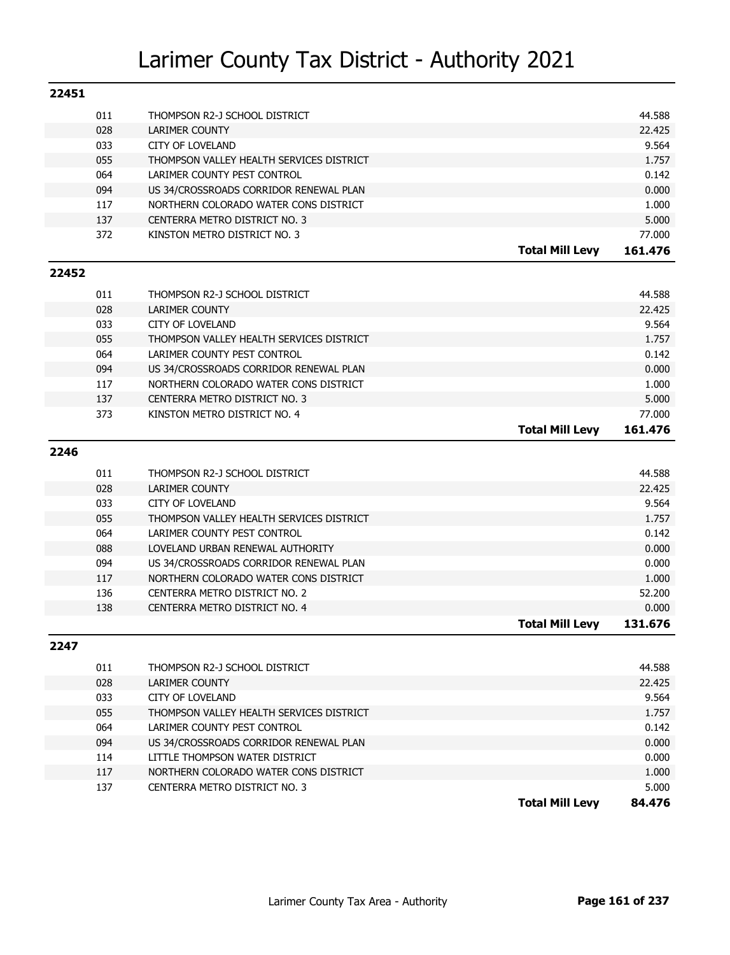| 22451 |     |                                          |                        |                   |
|-------|-----|------------------------------------------|------------------------|-------------------|
|       | 011 | THOMPSON R2-J SCHOOL DISTRICT            |                        | 44.588            |
|       | 028 | LARIMER COUNTY                           |                        | 22.425            |
|       | 033 | CITY OF LOVELAND                         |                        | 9.564             |
|       | 055 | THOMPSON VALLEY HEALTH SERVICES DISTRICT |                        | 1.757             |
|       | 064 | LARIMER COUNTY PEST CONTROL              |                        | 0.142             |
|       | 094 | US 34/CROSSROADS CORRIDOR RENEWAL PLAN   |                        | 0.000             |
|       | 117 | NORTHERN COLORADO WATER CONS DISTRICT    |                        | 1.000             |
|       | 137 | CENTERRA METRO DISTRICT NO. 3            |                        | 5.000             |
|       | 372 | KINSTON METRO DISTRICT NO. 3             |                        | 77.000            |
|       |     |                                          | <b>Total Mill Levy</b> | 161.476           |
| 22452 |     |                                          |                        |                   |
|       |     |                                          |                        |                   |
|       | 011 | THOMPSON R2-J SCHOOL DISTRICT            |                        | 44.588            |
|       | 028 | LARIMER COUNTY                           |                        | 22.425            |
|       | 033 | <b>CITY OF LOVELAND</b>                  |                        | 9.564             |
|       | 055 | THOMPSON VALLEY HEALTH SERVICES DISTRICT |                        | 1.757             |
|       | 064 | LARIMER COUNTY PEST CONTROL              |                        | 0.142             |
|       | 094 | US 34/CROSSROADS CORRIDOR RENEWAL PLAN   |                        | 0.000             |
|       | 117 | NORTHERN COLORADO WATER CONS DISTRICT    |                        | 1.000             |
|       | 137 | CENTERRA METRO DISTRICT NO. 3            |                        | 5.000             |
|       | 373 | KINSTON METRO DISTRICT NO. 4             | <b>Total Mill Levy</b> | 77.000<br>161.476 |
|       |     |                                          |                        |                   |
| 2246  |     |                                          |                        |                   |
|       | 011 | THOMPSON R2-J SCHOOL DISTRICT            |                        | 44.588            |
|       | 028 | LARIMER COUNTY                           |                        | 22.425            |
|       | 033 | <b>CITY OF LOVELAND</b>                  |                        | 9.564             |
|       | 055 | THOMPSON VALLEY HEALTH SERVICES DISTRICT |                        | 1.757             |
|       | 064 | LARIMER COUNTY PEST CONTROL              |                        | 0.142             |
|       | 088 | LOVELAND URBAN RENEWAL AUTHORITY         |                        | 0.000             |
|       | 094 | US 34/CROSSROADS CORRIDOR RENEWAL PLAN   |                        | 0.000             |
|       | 117 | NORTHERN COLORADO WATER CONS DISTRICT    |                        | 1.000             |
|       | 136 | CENTERRA METRO DISTRICT NO. 2            |                        | 52.200            |
|       | 138 | CENTERRA METRO DISTRICT NO. 4            |                        | 0.000             |
|       |     |                                          | <b>Total Mill Levy</b> | 131.676           |
| 2247  |     |                                          |                        |                   |
|       | 011 | THOMPSON R2-J SCHOOL DISTRICT            |                        | 44.588            |
|       | 028 | LARIMER COUNTY                           |                        | 22.425            |
|       | 033 | <b>CITY OF LOVELAND</b>                  |                        | 9.564             |
|       | 055 | THOMPSON VALLEY HEALTH SERVICES DISTRICT |                        | 1.757             |
|       | 064 | LARIMER COUNTY PEST CONTROL              |                        | 0.142             |
|       | 094 | US 34/CROSSROADS CORRIDOR RENEWAL PLAN   |                        | 0.000             |
|       | 114 | LITTLE THOMPSON WATER DISTRICT           |                        | 0.000             |
|       | 117 | NORTHERN COLORADO WATER CONS DISTRICT    |                        | 1.000             |
|       | 137 | CENTERRA METRO DISTRICT NO. 3            |                        | 5.000             |
|       |     |                                          | <b>Total Mill Levy</b> | 84.476            |
|       |     |                                          |                        |                   |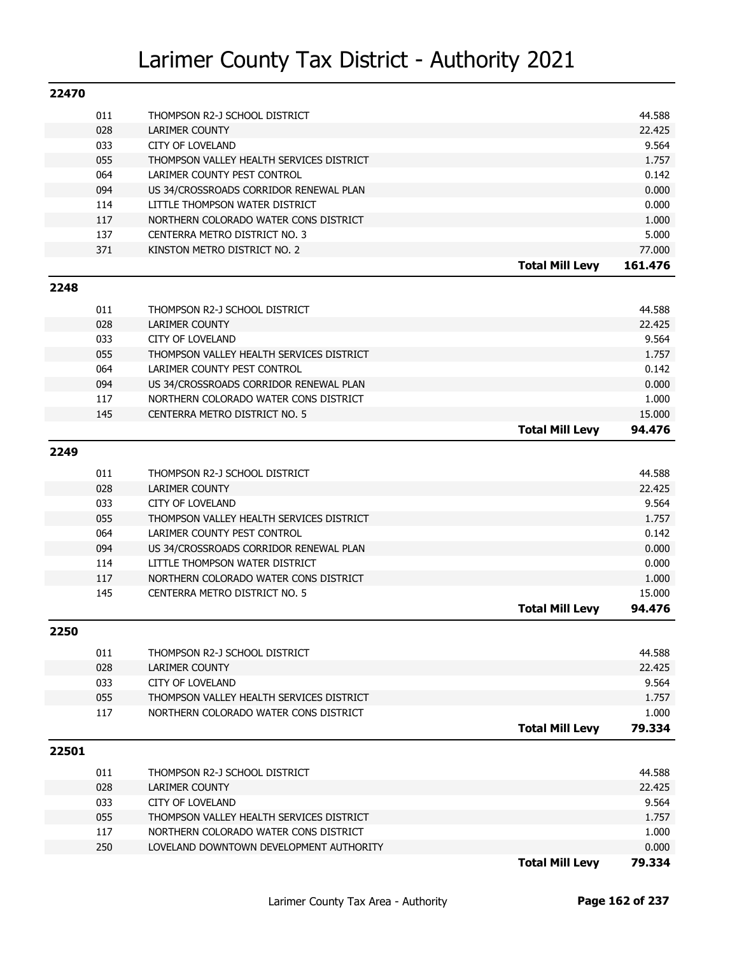| 22470 |            |                                                  |                        |                 |
|-------|------------|--------------------------------------------------|------------------------|-----------------|
|       | 011        | THOMPSON R2-J SCHOOL DISTRICT                    |                        | 44.588          |
|       | 028        | LARIMER COUNTY                                   |                        | 22.425          |
|       | 033        | CITY OF LOVELAND                                 |                        | 9.564           |
|       | 055        | THOMPSON VALLEY HEALTH SERVICES DISTRICT         |                        | 1.757           |
|       | 064        | LARIMER COUNTY PEST CONTROL                      |                        | 0.142           |
|       | 094        | US 34/CROSSROADS CORRIDOR RENEWAL PLAN           |                        | 0.000           |
|       | 114        | LITTLE THOMPSON WATER DISTRICT                   |                        | 0.000           |
|       | 117        | NORTHERN COLORADO WATER CONS DISTRICT            |                        | 1.000           |
|       | 137        | CENTERRA METRO DISTRICT NO. 3                    |                        | 5.000           |
|       | 371        | KINSTON METRO DISTRICT NO. 2                     |                        | 77.000          |
|       |            |                                                  | <b>Total Mill Levy</b> | 161.476         |
| 2248  |            |                                                  |                        |                 |
|       |            |                                                  |                        |                 |
|       | 011        | THOMPSON R2-J SCHOOL DISTRICT                    |                        | 44.588          |
|       | 028        | LARIMER COUNTY                                   |                        | 22.425          |
|       | 033        | CITY OF LOVELAND                                 |                        | 9.564           |
|       | 055        | THOMPSON VALLEY HEALTH SERVICES DISTRICT         |                        | 1.757           |
|       | 064        | LARIMER COUNTY PEST CONTROL                      |                        | 0.142           |
|       | 094        | US 34/CROSSROADS CORRIDOR RENEWAL PLAN           |                        | 0.000           |
|       | 117        | NORTHERN COLORADO WATER CONS DISTRICT            |                        | 1.000           |
|       | 145        | CENTERRA METRO DISTRICT NO. 5                    |                        | 15.000          |
|       |            |                                                  | <b>Total Mill Levy</b> | 94.476          |
| 2249  |            |                                                  |                        |                 |
|       | 011        | THOMPSON R2-J SCHOOL DISTRICT                    |                        | 44.588          |
|       | 028        | LARIMER COUNTY                                   |                        | 22.425          |
|       | 033        | CITY OF LOVELAND                                 |                        | 9.564           |
|       | 055        | THOMPSON VALLEY HEALTH SERVICES DISTRICT         |                        | 1.757           |
|       | 064        | LARIMER COUNTY PEST CONTROL                      |                        | 0.142           |
|       | 094        | US 34/CROSSROADS CORRIDOR RENEWAL PLAN           |                        | 0.000           |
|       | 114        | LITTLE THOMPSON WATER DISTRICT                   |                        | 0.000           |
|       | 117        | NORTHERN COLORADO WATER CONS DISTRICT            |                        | 1.000           |
|       | 145        | CENTERRA METRO DISTRICT NO. 5                    |                        | 15.000          |
|       |            |                                                  | <b>Total Mill Levy</b> | 94.476          |
| 2250  |            |                                                  |                        |                 |
|       |            |                                                  |                        |                 |
|       | 011        | THOMPSON R2-J SCHOOL DISTRICT                    |                        | 44.588          |
|       | 028<br>033 | <b>LARIMER COUNTY</b><br><b>CITY OF LOVELAND</b> |                        | 22.425<br>9.564 |
|       | 055        | THOMPSON VALLEY HEALTH SERVICES DISTRICT         |                        | 1.757           |
|       | 117        | NORTHERN COLORADO WATER CONS DISTRICT            |                        | 1.000           |
|       |            |                                                  | <b>Total Mill Levy</b> | 79.334          |
|       |            |                                                  |                        |                 |
| 22501 |            |                                                  |                        |                 |
|       | 011        | THOMPSON R2-J SCHOOL DISTRICT                    |                        | 44.588          |
|       | 028        | LARIMER COUNTY                                   |                        | 22.425          |
|       | 033        | <b>CITY OF LOVELAND</b>                          |                        | 9.564           |
|       | 055        | THOMPSON VALLEY HEALTH SERVICES DISTRICT         |                        | 1.757           |
|       | 117        | NORTHERN COLORADO WATER CONS DISTRICT            |                        | 1.000           |
|       | 250        | LOVELAND DOWNTOWN DEVELOPMENT AUTHORITY          |                        | 0.000           |
|       |            |                                                  | <b>Total Mill Levy</b> | 79.334          |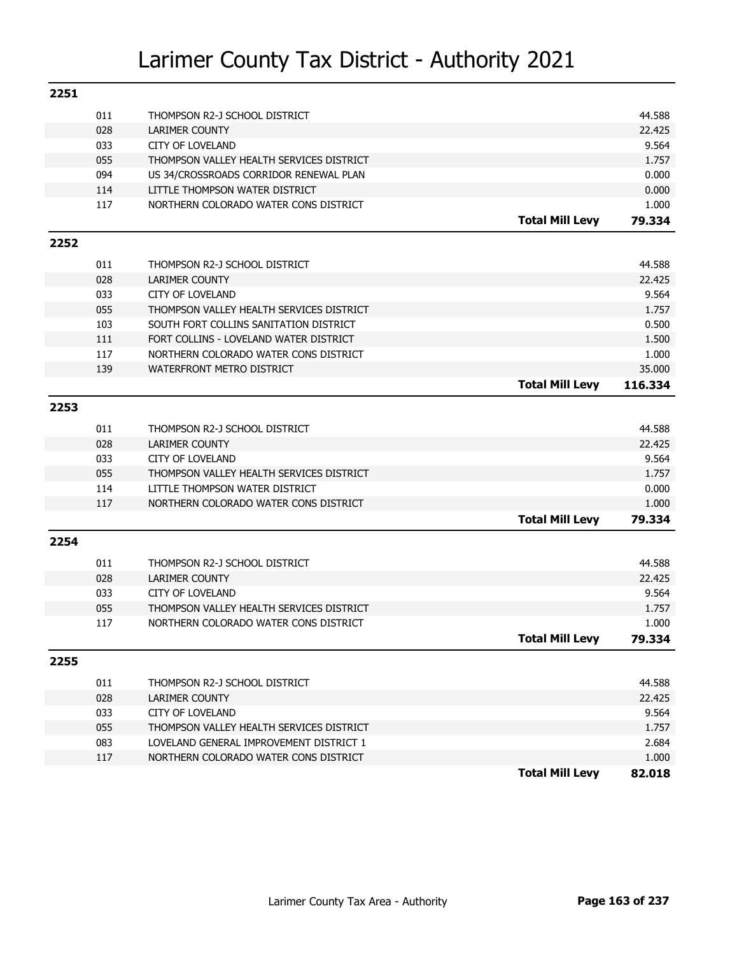| 011<br>44.588<br>THOMPSON R2-J SCHOOL DISTRICT<br>028<br>22.425<br>LARIMER COUNTY<br>9.564<br>033<br><b>CITY OF LOVELAND</b><br>055<br>THOMPSON VALLEY HEALTH SERVICES DISTRICT<br>1.757<br>094<br>US 34/CROSSROADS CORRIDOR RENEWAL PLAN<br>0.000<br>114<br>LITTLE THOMPSON WATER DISTRICT<br>0.000<br>117<br>NORTHERN COLORADO WATER CONS DISTRICT<br>1.000<br><b>Total Mill Levy</b><br>79.334<br>2252<br>011<br>44.588<br>THOMPSON R2-J SCHOOL DISTRICT<br>028<br><b>LARIMER COUNTY</b><br>22.425<br>033<br>9.564<br><b>CITY OF LOVELAND</b><br>055<br>THOMPSON VALLEY HEALTH SERVICES DISTRICT<br>1.757 |
|--------------------------------------------------------------------------------------------------------------------------------------------------------------------------------------------------------------------------------------------------------------------------------------------------------------------------------------------------------------------------------------------------------------------------------------------------------------------------------------------------------------------------------------------------------------------------------------------------------------|
|                                                                                                                                                                                                                                                                                                                                                                                                                                                                                                                                                                                                              |
|                                                                                                                                                                                                                                                                                                                                                                                                                                                                                                                                                                                                              |
|                                                                                                                                                                                                                                                                                                                                                                                                                                                                                                                                                                                                              |
|                                                                                                                                                                                                                                                                                                                                                                                                                                                                                                                                                                                                              |
|                                                                                                                                                                                                                                                                                                                                                                                                                                                                                                                                                                                                              |
|                                                                                                                                                                                                                                                                                                                                                                                                                                                                                                                                                                                                              |
|                                                                                                                                                                                                                                                                                                                                                                                                                                                                                                                                                                                                              |
|                                                                                                                                                                                                                                                                                                                                                                                                                                                                                                                                                                                                              |
|                                                                                                                                                                                                                                                                                                                                                                                                                                                                                                                                                                                                              |
|                                                                                                                                                                                                                                                                                                                                                                                                                                                                                                                                                                                                              |
|                                                                                                                                                                                                                                                                                                                                                                                                                                                                                                                                                                                                              |
|                                                                                                                                                                                                                                                                                                                                                                                                                                                                                                                                                                                                              |
|                                                                                                                                                                                                                                                                                                                                                                                                                                                                                                                                                                                                              |
| 103<br>0.500<br>SOUTH FORT COLLINS SANITATION DISTRICT                                                                                                                                                                                                                                                                                                                                                                                                                                                                                                                                                       |
| 111<br>FORT COLLINS - LOVELAND WATER DISTRICT<br>1.500                                                                                                                                                                                                                                                                                                                                                                                                                                                                                                                                                       |
| 117<br>1.000<br>NORTHERN COLORADO WATER CONS DISTRICT                                                                                                                                                                                                                                                                                                                                                                                                                                                                                                                                                        |
| 35.000<br>139<br>WATERFRONT METRO DISTRICT                                                                                                                                                                                                                                                                                                                                                                                                                                                                                                                                                                   |
| <b>Total Mill Levy</b><br>116.334                                                                                                                                                                                                                                                                                                                                                                                                                                                                                                                                                                            |
| 2253                                                                                                                                                                                                                                                                                                                                                                                                                                                                                                                                                                                                         |
|                                                                                                                                                                                                                                                                                                                                                                                                                                                                                                                                                                                                              |
| 011<br>44.588<br>THOMPSON R2-J SCHOOL DISTRICT                                                                                                                                                                                                                                                                                                                                                                                                                                                                                                                                                               |
| 028<br><b>LARIMER COUNTY</b><br>22.425                                                                                                                                                                                                                                                                                                                                                                                                                                                                                                                                                                       |
| 033<br>9.564<br><b>CITY OF LOVELAND</b>                                                                                                                                                                                                                                                                                                                                                                                                                                                                                                                                                                      |
| 055<br>THOMPSON VALLEY HEALTH SERVICES DISTRICT<br>1.757                                                                                                                                                                                                                                                                                                                                                                                                                                                                                                                                                     |
| 0.000<br>114<br>LITTLE THOMPSON WATER DISTRICT<br>117<br>NORTHERN COLORADO WATER CONS DISTRICT<br>1.000                                                                                                                                                                                                                                                                                                                                                                                                                                                                                                      |
|                                                                                                                                                                                                                                                                                                                                                                                                                                                                                                                                                                                                              |
| <b>Total Mill Levy</b><br>79.334                                                                                                                                                                                                                                                                                                                                                                                                                                                                                                                                                                             |
| 2254                                                                                                                                                                                                                                                                                                                                                                                                                                                                                                                                                                                                         |
| 011<br>44.588<br>THOMPSON R2-J SCHOOL DISTRICT                                                                                                                                                                                                                                                                                                                                                                                                                                                                                                                                                               |
| 028<br><b>LARIMER COUNTY</b><br>22.425                                                                                                                                                                                                                                                                                                                                                                                                                                                                                                                                                                       |
| 9.564<br>033<br><b>CITY OF LOVELAND</b>                                                                                                                                                                                                                                                                                                                                                                                                                                                                                                                                                                      |
| 055<br>THOMPSON VALLEY HEALTH SERVICES DISTRICT<br>1.757                                                                                                                                                                                                                                                                                                                                                                                                                                                                                                                                                     |
| 1.000<br>117<br>NORTHERN COLORADO WATER CONS DISTRICT                                                                                                                                                                                                                                                                                                                                                                                                                                                                                                                                                        |
| 79.334<br><b>Total Mill Levy</b>                                                                                                                                                                                                                                                                                                                                                                                                                                                                                                                                                                             |
| 2255                                                                                                                                                                                                                                                                                                                                                                                                                                                                                                                                                                                                         |
| 011<br>44.588<br>THOMPSON R2-J SCHOOL DISTRICT                                                                                                                                                                                                                                                                                                                                                                                                                                                                                                                                                               |
| 028<br>22.425<br>LARIMER COUNTY                                                                                                                                                                                                                                                                                                                                                                                                                                                                                                                                                                              |
| 033<br>9.564<br><b>CITY OF LOVELAND</b>                                                                                                                                                                                                                                                                                                                                                                                                                                                                                                                                                                      |
| 055<br>1.757<br>THOMPSON VALLEY HEALTH SERVICES DISTRICT                                                                                                                                                                                                                                                                                                                                                                                                                                                                                                                                                     |
| 083<br>LOVELAND GENERAL IMPROVEMENT DISTRICT 1<br>2.684                                                                                                                                                                                                                                                                                                                                                                                                                                                                                                                                                      |
| 117<br>1.000<br>NORTHERN COLORADO WATER CONS DISTRICT                                                                                                                                                                                                                                                                                                                                                                                                                                                                                                                                                        |
| <b>Total Mill Levy</b><br>82.018                                                                                                                                                                                                                                                                                                                                                                                                                                                                                                                                                                             |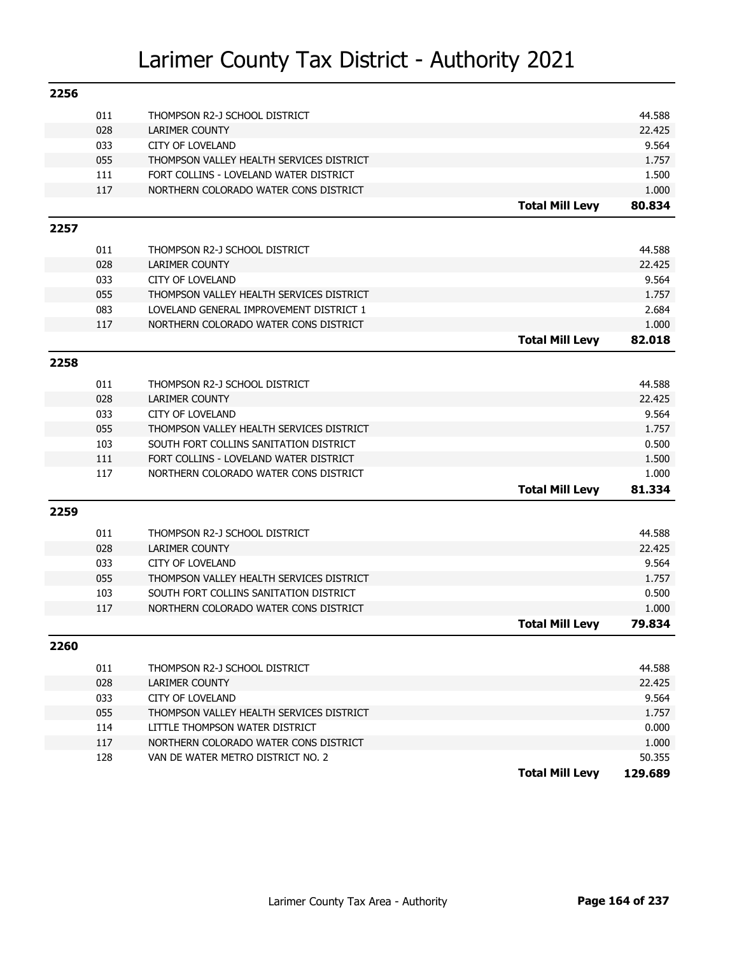| 2256 |     |                                          |                        |                 |
|------|-----|------------------------------------------|------------------------|-----------------|
|      | 011 | THOMPSON R2-J SCHOOL DISTRICT            |                        | 44.588          |
|      | 028 | <b>LARIMER COUNTY</b>                    |                        | 22.425          |
|      | 033 | <b>CITY OF LOVELAND</b>                  |                        | 9.564           |
|      | 055 | THOMPSON VALLEY HEALTH SERVICES DISTRICT |                        | 1.757           |
|      | 111 | FORT COLLINS - LOVELAND WATER DISTRICT   |                        | 1.500           |
|      | 117 | NORTHERN COLORADO WATER CONS DISTRICT    |                        | 1.000           |
|      |     |                                          | <b>Total Mill Levy</b> | 80.834          |
| 2257 |     |                                          |                        |                 |
|      | 011 | THOMPSON R2-J SCHOOL DISTRICT            |                        | 44.588          |
|      | 028 | <b>LARIMER COUNTY</b>                    |                        | 22.425          |
|      | 033 | <b>CITY OF LOVELAND</b>                  |                        | 9.564           |
|      | 055 | THOMPSON VALLEY HEALTH SERVICES DISTRICT |                        | 1.757           |
|      | 083 | LOVELAND GENERAL IMPROVEMENT DISTRICT 1  |                        | 2.684           |
|      | 117 | NORTHERN COLORADO WATER CONS DISTRICT    |                        | 1.000           |
|      |     |                                          | <b>Total Mill Levy</b> | 82.018          |
| 2258 |     |                                          |                        |                 |
|      | 011 | THOMPSON R2-J SCHOOL DISTRICT            |                        | 44.588          |
|      | 028 | <b>LARIMER COUNTY</b>                    |                        | 22.425          |
|      | 033 | <b>CITY OF LOVELAND</b>                  |                        | 9.564           |
|      | 055 | THOMPSON VALLEY HEALTH SERVICES DISTRICT |                        | 1.757           |
|      | 103 | SOUTH FORT COLLINS SANITATION DISTRICT   |                        | 0.500           |
|      | 111 | FORT COLLINS - LOVELAND WATER DISTRICT   |                        | 1.500           |
|      | 117 | NORTHERN COLORADO WATER CONS DISTRICT    |                        | 1.000           |
|      |     |                                          | <b>Total Mill Levy</b> | 81.334          |
| 2259 |     |                                          |                        |                 |
|      |     |                                          |                        |                 |
|      | 011 | THOMPSON R2-J SCHOOL DISTRICT            |                        | 44.588          |
|      | 028 | <b>LARIMER COUNTY</b>                    |                        | 22.425          |
|      | 033 | <b>CITY OF LOVELAND</b>                  |                        | 9.564           |
|      | 055 | THOMPSON VALLEY HEALTH SERVICES DISTRICT |                        | 1.757           |
|      | 103 | SOUTH FORT COLLINS SANITATION DISTRICT   |                        | 0.500           |
|      | 117 | NORTHERN COLORADO WATER CONS DISTRICT    | <b>Total Mill Levy</b> | 1.000<br>79.834 |
|      |     |                                          |                        |                 |
| 2260 |     |                                          |                        |                 |
|      | 011 | THOMPSON R2-J SCHOOL DISTRICT            |                        | 44.588          |
|      | 028 | <b>LARIMER COUNTY</b>                    |                        | 22.425          |
|      | 033 | <b>CITY OF LOVELAND</b>                  |                        | 9.564           |
|      | 055 | THOMPSON VALLEY HEALTH SERVICES DISTRICT |                        | 1.757           |
|      | 114 | LITTLE THOMPSON WATER DISTRICT           |                        | 0.000           |
|      | 117 | NORTHERN COLORADO WATER CONS DISTRICT    |                        | 1.000           |
|      | 128 | VAN DE WATER METRO DISTRICT NO. 2        |                        | 50.355          |
|      |     |                                          | <b>Total Mill Levy</b> | 129.689         |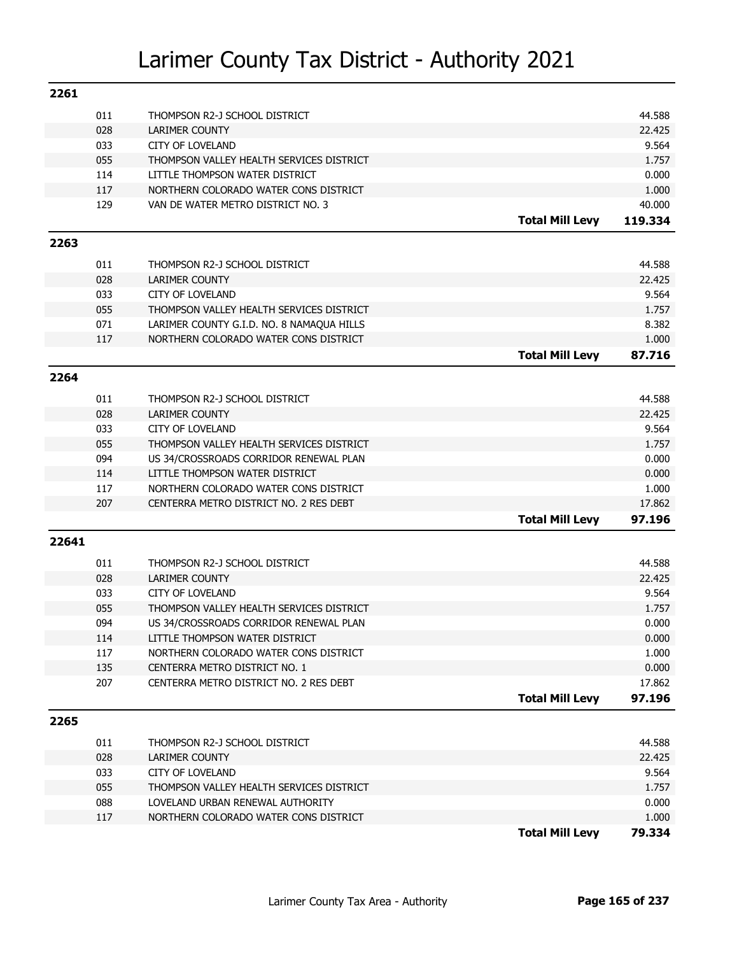| 2261  |     |                                                        |                        |         |
|-------|-----|--------------------------------------------------------|------------------------|---------|
|       | 011 | THOMPSON R2-J SCHOOL DISTRICT                          |                        | 44.588  |
|       | 028 | LARIMER COUNTY                                         |                        | 22.425  |
|       | 033 | <b>CITY OF LOVELAND</b>                                |                        | 9.564   |
|       | 055 | THOMPSON VALLEY HEALTH SERVICES DISTRICT               |                        | 1.757   |
|       | 114 | LITTLE THOMPSON WATER DISTRICT                         |                        | 0.000   |
|       | 117 | NORTHERN COLORADO WATER CONS DISTRICT                  |                        | 1.000   |
|       | 129 | VAN DE WATER METRO DISTRICT NO. 3                      |                        | 40.000  |
|       |     |                                                        | <b>Total Mill Levy</b> | 119.334 |
| 2263  |     |                                                        |                        |         |
|       | 011 | THOMPSON R2-J SCHOOL DISTRICT                          |                        | 44.588  |
|       | 028 | <b>LARIMER COUNTY</b>                                  |                        | 22.425  |
|       | 033 | <b>CITY OF LOVELAND</b>                                |                        | 9.564   |
|       | 055 | THOMPSON VALLEY HEALTH SERVICES DISTRICT               |                        | 1.757   |
|       | 071 | LARIMER COUNTY G.I.D. NO. 8 NAMAQUA HILLS              |                        | 8.382   |
|       | 117 | NORTHERN COLORADO WATER CONS DISTRICT                  |                        | 1.000   |
|       |     |                                                        | <b>Total Mill Levy</b> | 87.716  |
|       |     |                                                        |                        |         |
| 2264  |     |                                                        |                        |         |
|       | 011 | THOMPSON R2-J SCHOOL DISTRICT                          |                        | 44.588  |
|       | 028 | <b>LARIMER COUNTY</b>                                  |                        | 22.425  |
|       | 033 | <b>CITY OF LOVELAND</b>                                |                        | 9.564   |
|       | 055 | THOMPSON VALLEY HEALTH SERVICES DISTRICT               |                        | 1.757   |
|       | 094 | US 34/CROSSROADS CORRIDOR RENEWAL PLAN                 |                        | 0.000   |
|       | 114 | LITTLE THOMPSON WATER DISTRICT                         |                        | 0.000   |
|       | 117 | NORTHERN COLORADO WATER CONS DISTRICT                  |                        | 1.000   |
|       | 207 | CENTERRA METRO DISTRICT NO. 2 RES DEBT                 |                        | 17.862  |
|       |     |                                                        | <b>Total Mill Levy</b> | 97.196  |
| 22641 |     |                                                        |                        |         |
|       | 011 |                                                        |                        | 44.588  |
|       | 028 | THOMPSON R2-J SCHOOL DISTRICT<br><b>LARIMER COUNTY</b> |                        | 22.425  |
|       | 033 | <b>CITY OF LOVELAND</b>                                |                        | 9.564   |
|       | 055 | THOMPSON VALLEY HEALTH SERVICES DISTRICT               |                        | 1.757   |
|       | 094 | US 34/CROSSROADS CORRIDOR RENEWAL PLAN                 |                        | 0.000   |
|       | 114 | LITTLE THOMPSON WATER DISTRICT                         |                        | 0.000   |
|       | 117 | NORTHERN COLORADO WATER CONS DISTRICT                  |                        | 1.000   |
|       | 135 | CENTERRA METRO DISTRICT NO. 1                          |                        | 0.000   |
|       | 207 | CENTERRA METRO DISTRICT NO. 2 RES DEBT                 |                        | 17.862  |
|       |     |                                                        | <b>Total Mill Levy</b> | 97.196  |
|       |     |                                                        |                        |         |
| 2265  |     |                                                        |                        |         |
|       | 011 | THOMPSON R2-J SCHOOL DISTRICT                          |                        | 44.588  |
|       | 028 | LARIMER COUNTY                                         |                        | 22.425  |
|       | 033 | <b>CITY OF LOVELAND</b>                                |                        | 9.564   |
|       | 055 | THOMPSON VALLEY HEALTH SERVICES DISTRICT               |                        | 1.757   |
|       | 088 | LOVELAND URBAN RENEWAL AUTHORITY                       |                        | 0.000   |
|       | 117 | NORTHERN COLORADO WATER CONS DISTRICT                  |                        | 1.000   |
|       |     |                                                        | <b>Total Mill Levy</b> | 79.334  |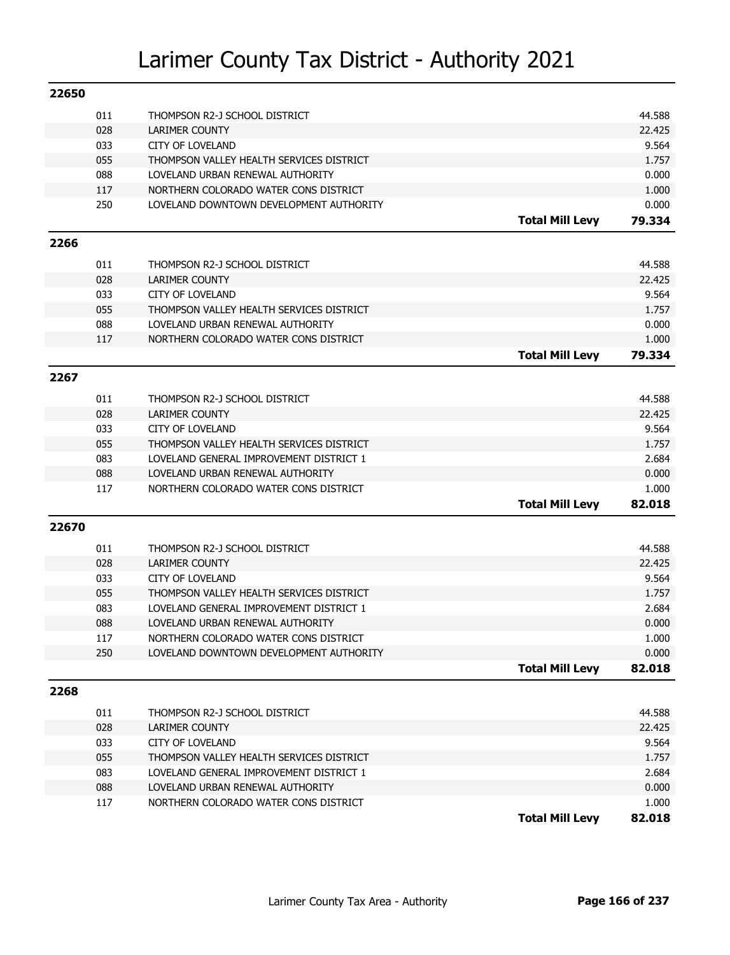| 011<br>44.588<br>THOMPSON R2-J SCHOOL DISTRICT<br>028<br><b>LARIMER COUNTY</b><br>22.425<br>033<br><b>CITY OF LOVELAND</b><br>9.564<br>055<br>THOMPSON VALLEY HEALTH SERVICES DISTRICT<br>1.757<br>088<br>LOVELAND URBAN RENEWAL AUTHORITY<br>0.000<br>117<br>NORTHERN COLORADO WATER CONS DISTRICT<br>1.000<br>250<br>LOVELAND DOWNTOWN DEVELOPMENT AUTHORITY<br>0.000<br><b>Total Mill Levy</b><br>79.334<br>2266<br>011<br>44.588<br>THOMPSON R2-J SCHOOL DISTRICT<br>028<br><b>LARIMER COUNTY</b><br>22.425<br>033<br>9.564<br><b>CITY OF LOVELAND</b><br>055<br>THOMPSON VALLEY HEALTH SERVICES DISTRICT<br>1.757<br>088<br>LOVELAND URBAN RENEWAL AUTHORITY<br>0.000<br>117<br>NORTHERN COLORADO WATER CONS DISTRICT<br>1.000<br><b>Total Mill Levy</b><br>79.334<br>2267<br>011<br>44.588<br>THOMPSON R2-J SCHOOL DISTRICT<br>028<br><b>LARIMER COUNTY</b><br>22.425<br>033<br><b>CITY OF LOVELAND</b><br>9.564<br>055<br>THOMPSON VALLEY HEALTH SERVICES DISTRICT<br>1.757<br>083<br>2.684<br>LOVELAND GENERAL IMPROVEMENT DISTRICT 1<br>088<br>LOVELAND URBAN RENEWAL AUTHORITY<br>0.000<br>117<br>NORTHERN COLORADO WATER CONS DISTRICT<br>1.000<br><b>Total Mill Levy</b><br>82.018 |
|------------------------------------------------------------------------------------------------------------------------------------------------------------------------------------------------------------------------------------------------------------------------------------------------------------------------------------------------------------------------------------------------------------------------------------------------------------------------------------------------------------------------------------------------------------------------------------------------------------------------------------------------------------------------------------------------------------------------------------------------------------------------------------------------------------------------------------------------------------------------------------------------------------------------------------------------------------------------------------------------------------------------------------------------------------------------------------------------------------------------------------------------------------------------------------------------|
|                                                                                                                                                                                                                                                                                                                                                                                                                                                                                                                                                                                                                                                                                                                                                                                                                                                                                                                                                                                                                                                                                                                                                                                                |
|                                                                                                                                                                                                                                                                                                                                                                                                                                                                                                                                                                                                                                                                                                                                                                                                                                                                                                                                                                                                                                                                                                                                                                                                |
|                                                                                                                                                                                                                                                                                                                                                                                                                                                                                                                                                                                                                                                                                                                                                                                                                                                                                                                                                                                                                                                                                                                                                                                                |
|                                                                                                                                                                                                                                                                                                                                                                                                                                                                                                                                                                                                                                                                                                                                                                                                                                                                                                                                                                                                                                                                                                                                                                                                |
|                                                                                                                                                                                                                                                                                                                                                                                                                                                                                                                                                                                                                                                                                                                                                                                                                                                                                                                                                                                                                                                                                                                                                                                                |
|                                                                                                                                                                                                                                                                                                                                                                                                                                                                                                                                                                                                                                                                                                                                                                                                                                                                                                                                                                                                                                                                                                                                                                                                |
|                                                                                                                                                                                                                                                                                                                                                                                                                                                                                                                                                                                                                                                                                                                                                                                                                                                                                                                                                                                                                                                                                                                                                                                                |
|                                                                                                                                                                                                                                                                                                                                                                                                                                                                                                                                                                                                                                                                                                                                                                                                                                                                                                                                                                                                                                                                                                                                                                                                |
|                                                                                                                                                                                                                                                                                                                                                                                                                                                                                                                                                                                                                                                                                                                                                                                                                                                                                                                                                                                                                                                                                                                                                                                                |
|                                                                                                                                                                                                                                                                                                                                                                                                                                                                                                                                                                                                                                                                                                                                                                                                                                                                                                                                                                                                                                                                                                                                                                                                |
|                                                                                                                                                                                                                                                                                                                                                                                                                                                                                                                                                                                                                                                                                                                                                                                                                                                                                                                                                                                                                                                                                                                                                                                                |
|                                                                                                                                                                                                                                                                                                                                                                                                                                                                                                                                                                                                                                                                                                                                                                                                                                                                                                                                                                                                                                                                                                                                                                                                |
|                                                                                                                                                                                                                                                                                                                                                                                                                                                                                                                                                                                                                                                                                                                                                                                                                                                                                                                                                                                                                                                                                                                                                                                                |
|                                                                                                                                                                                                                                                                                                                                                                                                                                                                                                                                                                                                                                                                                                                                                                                                                                                                                                                                                                                                                                                                                                                                                                                                |
|                                                                                                                                                                                                                                                                                                                                                                                                                                                                                                                                                                                                                                                                                                                                                                                                                                                                                                                                                                                                                                                                                                                                                                                                |
|                                                                                                                                                                                                                                                                                                                                                                                                                                                                                                                                                                                                                                                                                                                                                                                                                                                                                                                                                                                                                                                                                                                                                                                                |
|                                                                                                                                                                                                                                                                                                                                                                                                                                                                                                                                                                                                                                                                                                                                                                                                                                                                                                                                                                                                                                                                                                                                                                                                |
|                                                                                                                                                                                                                                                                                                                                                                                                                                                                                                                                                                                                                                                                                                                                                                                                                                                                                                                                                                                                                                                                                                                                                                                                |
|                                                                                                                                                                                                                                                                                                                                                                                                                                                                                                                                                                                                                                                                                                                                                                                                                                                                                                                                                                                                                                                                                                                                                                                                |
|                                                                                                                                                                                                                                                                                                                                                                                                                                                                                                                                                                                                                                                                                                                                                                                                                                                                                                                                                                                                                                                                                                                                                                                                |
|                                                                                                                                                                                                                                                                                                                                                                                                                                                                                                                                                                                                                                                                                                                                                                                                                                                                                                                                                                                                                                                                                                                                                                                                |
|                                                                                                                                                                                                                                                                                                                                                                                                                                                                                                                                                                                                                                                                                                                                                                                                                                                                                                                                                                                                                                                                                                                                                                                                |
|                                                                                                                                                                                                                                                                                                                                                                                                                                                                                                                                                                                                                                                                                                                                                                                                                                                                                                                                                                                                                                                                                                                                                                                                |
|                                                                                                                                                                                                                                                                                                                                                                                                                                                                                                                                                                                                                                                                                                                                                                                                                                                                                                                                                                                                                                                                                                                                                                                                |
|                                                                                                                                                                                                                                                                                                                                                                                                                                                                                                                                                                                                                                                                                                                                                                                                                                                                                                                                                                                                                                                                                                                                                                                                |
| 22670                                                                                                                                                                                                                                                                                                                                                                                                                                                                                                                                                                                                                                                                                                                                                                                                                                                                                                                                                                                                                                                                                                                                                                                          |
| 011<br>THOMPSON R2-J SCHOOL DISTRICT<br>44.588                                                                                                                                                                                                                                                                                                                                                                                                                                                                                                                                                                                                                                                                                                                                                                                                                                                                                                                                                                                                                                                                                                                                                 |
| 028<br><b>LARIMER COUNTY</b><br>22.425                                                                                                                                                                                                                                                                                                                                                                                                                                                                                                                                                                                                                                                                                                                                                                                                                                                                                                                                                                                                                                                                                                                                                         |
| 033<br><b>CITY OF LOVELAND</b><br>9.564                                                                                                                                                                                                                                                                                                                                                                                                                                                                                                                                                                                                                                                                                                                                                                                                                                                                                                                                                                                                                                                                                                                                                        |
| 055<br>THOMPSON VALLEY HEALTH SERVICES DISTRICT<br>1.757                                                                                                                                                                                                                                                                                                                                                                                                                                                                                                                                                                                                                                                                                                                                                                                                                                                                                                                                                                                                                                                                                                                                       |
| 083<br>LOVELAND GENERAL IMPROVEMENT DISTRICT 1<br>2.684                                                                                                                                                                                                                                                                                                                                                                                                                                                                                                                                                                                                                                                                                                                                                                                                                                                                                                                                                                                                                                                                                                                                        |
| 088<br>LOVELAND URBAN RENEWAL AUTHORITY<br>0.000                                                                                                                                                                                                                                                                                                                                                                                                                                                                                                                                                                                                                                                                                                                                                                                                                                                                                                                                                                                                                                                                                                                                               |
| 117<br>NORTHERN COLORADO WATER CONS DISTRICT<br>1.000                                                                                                                                                                                                                                                                                                                                                                                                                                                                                                                                                                                                                                                                                                                                                                                                                                                                                                                                                                                                                                                                                                                                          |
| 250<br>0.000<br>LOVELAND DOWNTOWN DEVELOPMENT AUTHORITY                                                                                                                                                                                                                                                                                                                                                                                                                                                                                                                                                                                                                                                                                                                                                                                                                                                                                                                                                                                                                                                                                                                                        |
| <b>Total Mill Levy</b><br>82.018                                                                                                                                                                                                                                                                                                                                                                                                                                                                                                                                                                                                                                                                                                                                                                                                                                                                                                                                                                                                                                                                                                                                                               |
| 2268                                                                                                                                                                                                                                                                                                                                                                                                                                                                                                                                                                                                                                                                                                                                                                                                                                                                                                                                                                                                                                                                                                                                                                                           |
| 011<br>44.588<br>THOMPSON R2-J SCHOOL DISTRICT                                                                                                                                                                                                                                                                                                                                                                                                                                                                                                                                                                                                                                                                                                                                                                                                                                                                                                                                                                                                                                                                                                                                                 |
| 028<br><b>LARIMER COUNTY</b><br>22.425                                                                                                                                                                                                                                                                                                                                                                                                                                                                                                                                                                                                                                                                                                                                                                                                                                                                                                                                                                                                                                                                                                                                                         |
| 033<br><b>CITY OF LOVELAND</b><br>9.564                                                                                                                                                                                                                                                                                                                                                                                                                                                                                                                                                                                                                                                                                                                                                                                                                                                                                                                                                                                                                                                                                                                                                        |
| 055<br>1.757<br>THOMPSON VALLEY HEALTH SERVICES DISTRICT                                                                                                                                                                                                                                                                                                                                                                                                                                                                                                                                                                                                                                                                                                                                                                                                                                                                                                                                                                                                                                                                                                                                       |
| 083<br>2.684<br>LOVELAND GENERAL IMPROVEMENT DISTRICT 1                                                                                                                                                                                                                                                                                                                                                                                                                                                                                                                                                                                                                                                                                                                                                                                                                                                                                                                                                                                                                                                                                                                                        |
| 088<br>0.000<br>LOVELAND URBAN RENEWAL AUTHORITY                                                                                                                                                                                                                                                                                                                                                                                                                                                                                                                                                                                                                                                                                                                                                                                                                                                                                                                                                                                                                                                                                                                                               |
| 117<br>NORTHERN COLORADO WATER CONS DISTRICT<br>1.000                                                                                                                                                                                                                                                                                                                                                                                                                                                                                                                                                                                                                                                                                                                                                                                                                                                                                                                                                                                                                                                                                                                                          |
| <b>Total Mill Levy</b><br>82.018                                                                                                                                                                                                                                                                                                                                                                                                                                                                                                                                                                                                                                                                                                                                                                                                                                                                                                                                                                                                                                                                                                                                                               |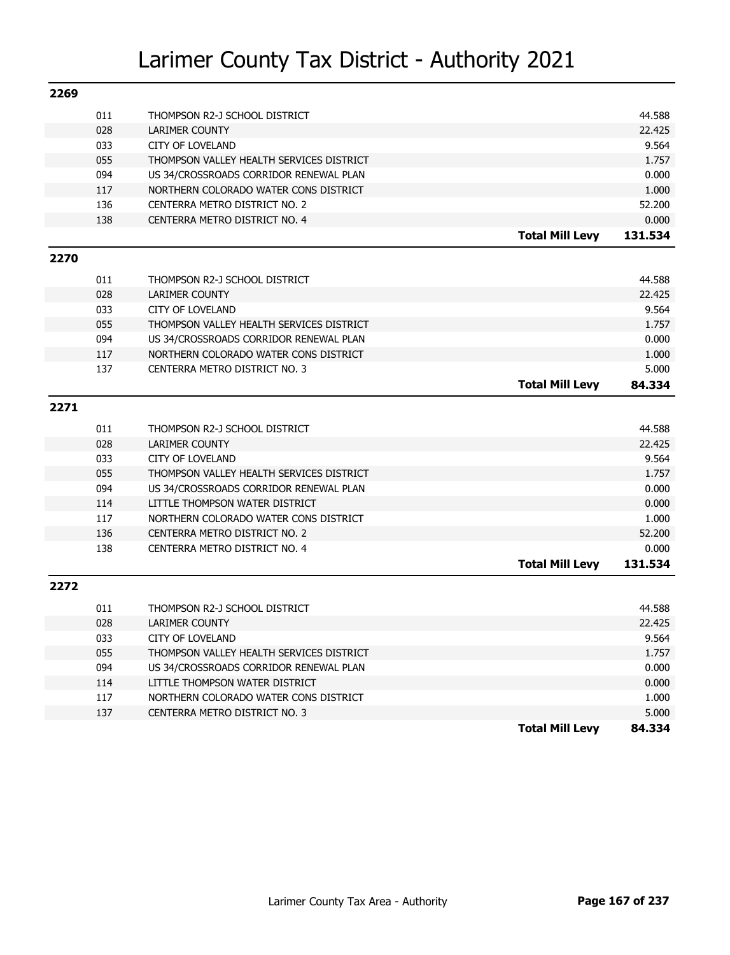| 2269 |     |                                          |                        |         |
|------|-----|------------------------------------------|------------------------|---------|
|      | 011 | THOMPSON R2-J SCHOOL DISTRICT            |                        | 44.588  |
|      | 028 | <b>LARIMER COUNTY</b>                    |                        | 22.425  |
|      | 033 | CITY OF LOVELAND                         |                        | 9.564   |
|      | 055 | THOMPSON VALLEY HEALTH SERVICES DISTRICT |                        | 1.757   |
|      | 094 | US 34/CROSSROADS CORRIDOR RENEWAL PLAN   |                        | 0.000   |
|      | 117 | NORTHERN COLORADO WATER CONS DISTRICT    |                        | 1.000   |
|      | 136 | CENTERRA METRO DISTRICT NO. 2            |                        | 52.200  |
|      | 138 | CENTERRA METRO DISTRICT NO. 4            |                        | 0.000   |
|      |     |                                          | <b>Total Mill Levy</b> | 131.534 |
| 2270 |     |                                          |                        |         |
|      | 011 | THOMPSON R2-J SCHOOL DISTRICT            |                        | 44.588  |
|      | 028 | <b>LARIMER COUNTY</b>                    |                        | 22.425  |
|      | 033 | <b>CITY OF LOVELAND</b>                  |                        | 9.564   |
|      | 055 | THOMPSON VALLEY HEALTH SERVICES DISTRICT |                        | 1.757   |
|      | 094 | US 34/CROSSROADS CORRIDOR RENEWAL PLAN   |                        | 0.000   |
|      | 117 | NORTHERN COLORADO WATER CONS DISTRICT    |                        | 1.000   |
|      | 137 | CENTERRA METRO DISTRICT NO. 3            |                        | 5.000   |
|      |     |                                          | <b>Total Mill Levy</b> | 84.334  |
|      |     |                                          |                        |         |
| 2271 |     |                                          |                        |         |
|      | 011 | THOMPSON R2-J SCHOOL DISTRICT            |                        | 44.588  |
|      | 028 | <b>LARIMER COUNTY</b>                    |                        | 22.425  |
|      | 033 | <b>CITY OF LOVELAND</b>                  |                        | 9.564   |
|      | 055 | THOMPSON VALLEY HEALTH SERVICES DISTRICT |                        | 1.757   |
|      | 094 | US 34/CROSSROADS CORRIDOR RENEWAL PLAN   |                        | 0.000   |
|      | 114 | LITTLE THOMPSON WATER DISTRICT           |                        | 0.000   |
|      | 117 | NORTHERN COLORADO WATER CONS DISTRICT    |                        | 1.000   |
|      | 136 | CENTERRA METRO DISTRICT NO. 2            |                        | 52.200  |
|      | 138 | CENTERRA METRO DISTRICT NO. 4            |                        | 0.000   |
|      |     |                                          | <b>Total Mill Levy</b> | 131.534 |
| 2272 |     |                                          |                        |         |
|      | 011 | THOMPSON R2-J SCHOOL DISTRICT            |                        | 44.588  |
|      | 028 | <b>LARIMER COUNTY</b>                    |                        | 22.425  |
|      | 033 | <b>CITY OF LOVELAND</b>                  |                        | 9.564   |
|      | 055 | THOMPSON VALLEY HEALTH SERVICES DISTRICT |                        | 1.757   |
|      | 094 | US 34/CROSSROADS CORRIDOR RENEWAL PLAN   |                        | 0.000   |
|      | 114 | LITTLE THOMPSON WATER DISTRICT           |                        | 0.000   |
|      | 117 | NORTHERN COLORADO WATER CONS DISTRICT    |                        | 1.000   |
|      | 137 | CENTERRA METRO DISTRICT NO. 3            |                        | 5.000   |
|      |     |                                          | <b>Total Mill Levy</b> | 84.334  |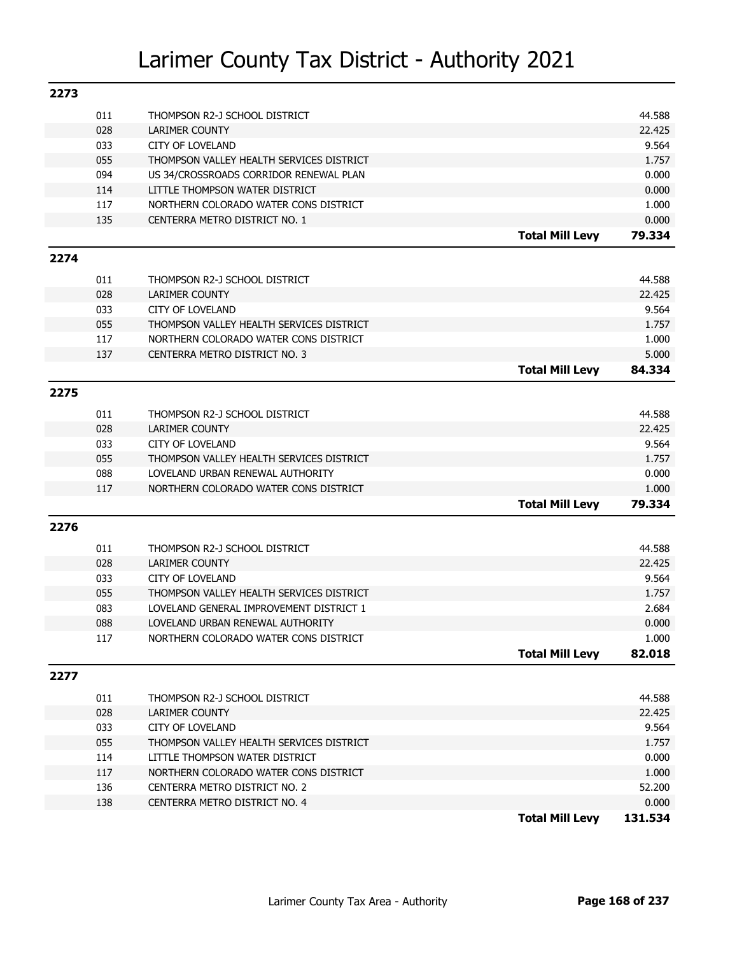| 2273 |     |                                          |                        |         |
|------|-----|------------------------------------------|------------------------|---------|
|      | 011 | THOMPSON R2-J SCHOOL DISTRICT            |                        | 44.588  |
|      | 028 | LARIMER COUNTY                           |                        | 22.425  |
|      | 033 | <b>CITY OF LOVELAND</b>                  |                        | 9.564   |
|      | 055 | THOMPSON VALLEY HEALTH SERVICES DISTRICT |                        | 1.757   |
|      | 094 | US 34/CROSSROADS CORRIDOR RENEWAL PLAN   |                        | 0.000   |
|      | 114 | LITTLE THOMPSON WATER DISTRICT           |                        | 0.000   |
|      | 117 | NORTHERN COLORADO WATER CONS DISTRICT    |                        | 1.000   |
|      | 135 | CENTERRA METRO DISTRICT NO. 1            |                        | 0.000   |
|      |     |                                          | <b>Total Mill Levy</b> | 79.334  |
| 2274 |     |                                          |                        |         |
|      | 011 | THOMPSON R2-J SCHOOL DISTRICT            |                        | 44.588  |
|      | 028 | <b>LARIMER COUNTY</b>                    |                        | 22.425  |
|      | 033 | <b>CITY OF LOVELAND</b>                  |                        | 9.564   |
|      | 055 | THOMPSON VALLEY HEALTH SERVICES DISTRICT |                        | 1.757   |
|      | 117 | NORTHERN COLORADO WATER CONS DISTRICT    |                        | 1.000   |
|      | 137 | CENTERRA METRO DISTRICT NO. 3            |                        | 5.000   |
|      |     |                                          | <b>Total Mill Levy</b> | 84.334  |
| 2275 |     |                                          |                        |         |
|      | 011 | THOMPSON R2-J SCHOOL DISTRICT            |                        | 44.588  |
|      | 028 | <b>LARIMER COUNTY</b>                    |                        | 22.425  |
|      | 033 | <b>CITY OF LOVELAND</b>                  |                        | 9.564   |
|      | 055 | THOMPSON VALLEY HEALTH SERVICES DISTRICT |                        | 1.757   |
|      | 088 | LOVELAND URBAN RENEWAL AUTHORITY         |                        | 0.000   |
|      | 117 | NORTHERN COLORADO WATER CONS DISTRICT    |                        | 1.000   |
|      |     |                                          | <b>Total Mill Levy</b> | 79.334  |
| 2276 |     |                                          |                        |         |
|      | 011 | THOMPSON R2-J SCHOOL DISTRICT            |                        | 44.588  |
|      | 028 | <b>LARIMER COUNTY</b>                    |                        | 22.425  |
|      | 033 | <b>CITY OF LOVELAND</b>                  |                        | 9.564   |
|      | 055 | THOMPSON VALLEY HEALTH SERVICES DISTRICT |                        | 1.757   |
|      | 083 | LOVELAND GENERAL IMPROVEMENT DISTRICT 1  |                        | 2.684   |
|      | 088 | LOVELAND URBAN RENEWAL AUTHORITY         |                        | 0.000   |
|      | 117 | NORTHERN COLORADO WATER CONS DISTRICT    |                        | 1.000   |
|      |     |                                          | <b>Total Mill Levy</b> | 82.018  |
| 2277 |     |                                          |                        |         |
|      |     |                                          |                        |         |
|      | 011 | THOMPSON R2-J SCHOOL DISTRICT            |                        | 44.588  |
|      | 028 | <b>LARIMER COUNTY</b>                    |                        | 22.425  |
|      | 033 | <b>CITY OF LOVELAND</b>                  |                        | 9.564   |
|      | 055 | THOMPSON VALLEY HEALTH SERVICES DISTRICT |                        | 1.757   |
|      | 114 | LITTLE THOMPSON WATER DISTRICT           |                        | 0.000   |
|      | 117 | NORTHERN COLORADO WATER CONS DISTRICT    |                        | 1.000   |
|      | 136 | CENTERRA METRO DISTRICT NO. 2            |                        | 52.200  |
|      | 138 | CENTERRA METRO DISTRICT NO. 4            |                        | 0.000   |
|      |     |                                          | <b>Total Mill Levy</b> | 131.534 |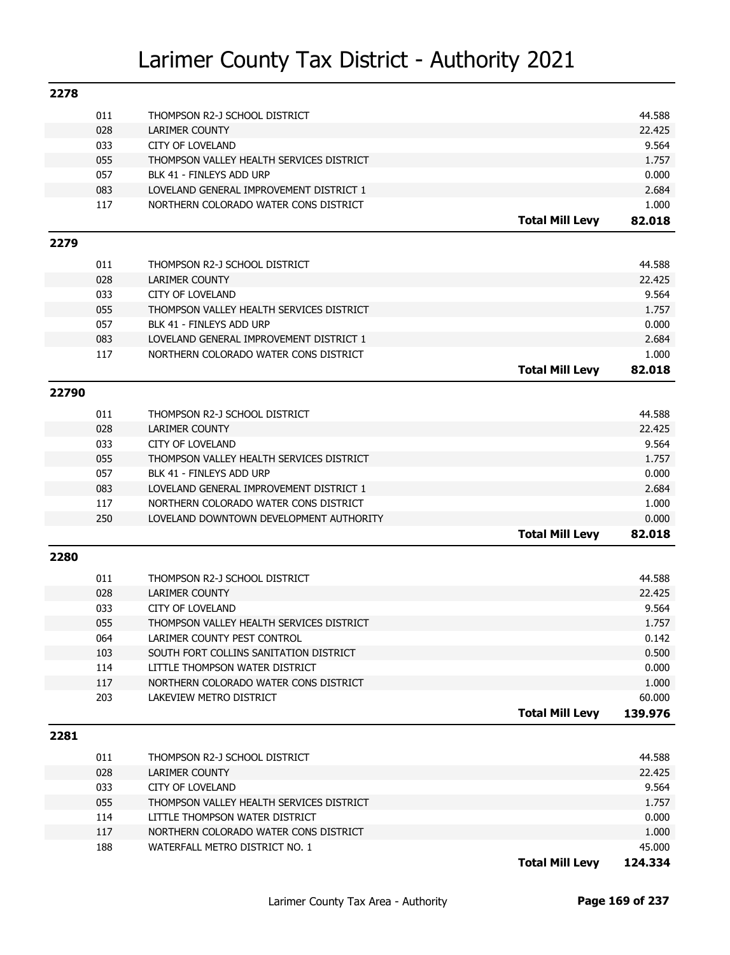| 2278  |            |                                                                     |                        |                |
|-------|------------|---------------------------------------------------------------------|------------------------|----------------|
|       | 011        | THOMPSON R2-J SCHOOL DISTRICT                                       |                        | 44.588         |
|       | 028        | <b>LARIMER COUNTY</b>                                               |                        | 22.425         |
|       | 033        | <b>CITY OF LOVELAND</b>                                             |                        | 9.564          |
|       | 055        | THOMPSON VALLEY HEALTH SERVICES DISTRICT                            |                        | 1.757          |
|       | 057        | BLK 41 - FINLEYS ADD URP                                            |                        | 0.000          |
|       | 083        | LOVELAND GENERAL IMPROVEMENT DISTRICT 1                             |                        | 2.684          |
|       | 117        | NORTHERN COLORADO WATER CONS DISTRICT                               |                        | 1.000          |
|       |            |                                                                     | <b>Total Mill Levy</b> | 82.018         |
| 2279  |            |                                                                     |                        |                |
|       |            |                                                                     |                        |                |
|       | 011        | THOMPSON R2-J SCHOOL DISTRICT                                       |                        | 44.588         |
|       | 028        | <b>LARIMER COUNTY</b>                                               |                        | 22.425         |
|       | 033<br>055 | <b>CITY OF LOVELAND</b><br>THOMPSON VALLEY HEALTH SERVICES DISTRICT |                        | 9.564<br>1.757 |
|       | 057        | BLK 41 - FINLEYS ADD URP                                            |                        | 0.000          |
|       | 083        | LOVELAND GENERAL IMPROVEMENT DISTRICT 1                             |                        | 2.684          |
|       | 117        | NORTHERN COLORADO WATER CONS DISTRICT                               |                        | 1.000          |
|       |            |                                                                     | <b>Total Mill Levy</b> | 82.018         |
|       |            |                                                                     |                        |                |
| 22790 |            |                                                                     |                        |                |
|       | 011        | THOMPSON R2-J SCHOOL DISTRICT                                       |                        | 44.588         |
|       | 028        | <b>LARIMER COUNTY</b>                                               |                        | 22.425         |
|       | 033        | <b>CITY OF LOVELAND</b>                                             |                        | 9.564          |
|       | 055        | THOMPSON VALLEY HEALTH SERVICES DISTRICT                            |                        | 1.757          |
|       | 057        | BLK 41 - FINLEYS ADD URP                                            |                        | 0.000          |
|       | 083        | LOVELAND GENERAL IMPROVEMENT DISTRICT 1                             |                        | 2.684          |
|       | 117        | NORTHERN COLORADO WATER CONS DISTRICT                               |                        | 1.000          |
|       | 250        | LOVELAND DOWNTOWN DEVELOPMENT AUTHORITY                             |                        | 0.000          |
|       |            |                                                                     | <b>Total Mill Levy</b> | 82.018         |
| 2280  |            |                                                                     |                        |                |
|       | 011        | THOMPSON R2-J SCHOOL DISTRICT                                       |                        | 44.588         |
|       | 028        | <b>LARIMER COUNTY</b>                                               |                        | 22.425         |
|       | 033        | <b>CITY OF LOVELAND</b>                                             |                        | 9.564          |
|       | 055        | THOMPSON VALLEY HEALTH SERVICES DISTRICT                            |                        | 1.757          |
|       | 064        | LARIMER COUNTY PEST CONTROL                                         |                        | 0.142          |
|       | 103        | SOUTH FORT COLLINS SANITATION DISTRICT                              |                        | 0.500          |
|       | 114        | LITTLE THOMPSON WATER DISTRICT                                      |                        | 0.000          |
|       | 117        | NORTHERN COLORADO WATER CONS DISTRICT                               |                        | 1.000          |
|       | 203        | LAKEVIEW METRO DISTRICT                                             |                        | 60.000         |
|       |            |                                                                     | <b>Total Mill Levy</b> | 139.976        |
|       |            |                                                                     |                        |                |
| 2281  |            |                                                                     |                        |                |
|       | 011        | THOMPSON R2-J SCHOOL DISTRICT                                       |                        | 44.588         |
|       | 028        | LARIMER COUNTY                                                      |                        | 22.425         |
|       | 033        | <b>CITY OF LOVELAND</b>                                             |                        | 9.564          |
|       | 055        | THOMPSON VALLEY HEALTH SERVICES DISTRICT                            |                        | 1.757          |
|       | 114        | LITTLE THOMPSON WATER DISTRICT                                      |                        | 0.000          |
|       | 117        | NORTHERN COLORADO WATER CONS DISTRICT                               |                        | 1.000          |
|       | 188        | WATERFALL METRO DISTRICT NO. 1                                      |                        | 45.000         |

**Total Mill Levy 124.334**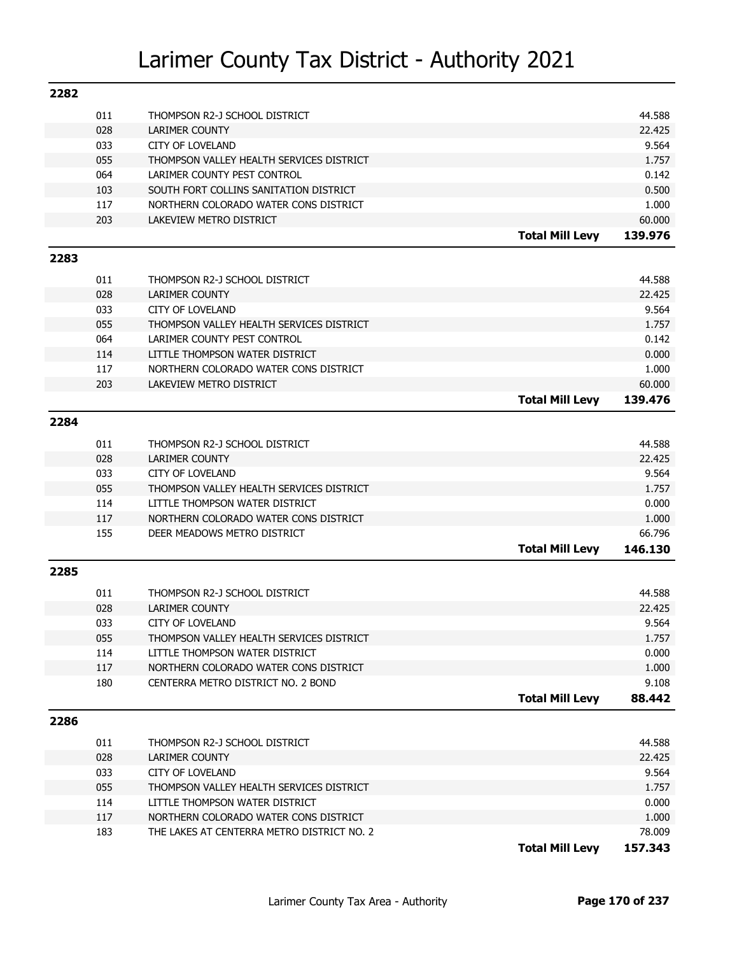| 2282 |            |                                                        |                        |         |
|------|------------|--------------------------------------------------------|------------------------|---------|
|      | 011        | THOMPSON R2-J SCHOOL DISTRICT                          |                        | 44.588  |
|      | 028        | LARIMER COUNTY                                         |                        | 22.425  |
|      | 033        | <b>CITY OF LOVELAND</b>                                |                        | 9.564   |
|      | 055        | THOMPSON VALLEY HEALTH SERVICES DISTRICT               |                        | 1.757   |
|      | 064        | LARIMER COUNTY PEST CONTROL                            |                        | 0.142   |
|      | 103        | SOUTH FORT COLLINS SANITATION DISTRICT                 |                        | 0.500   |
|      | 117        | NORTHERN COLORADO WATER CONS DISTRICT                  |                        | 1.000   |
|      | 203        | LAKEVIEW METRO DISTRICT                                |                        | 60.000  |
|      |            |                                                        | <b>Total Mill Levy</b> | 139.976 |
| 2283 |            |                                                        |                        |         |
|      | 011        | THOMPSON R2-J SCHOOL DISTRICT                          |                        | 44.588  |
|      | 028        | <b>LARIMER COUNTY</b>                                  |                        | 22.425  |
|      | 033        | <b>CITY OF LOVELAND</b>                                |                        | 9.564   |
|      | 055        | THOMPSON VALLEY HEALTH SERVICES DISTRICT               |                        | 1.757   |
|      | 064        | LARIMER COUNTY PEST CONTROL                            |                        | 0.142   |
|      | 114        | LITTLE THOMPSON WATER DISTRICT                         |                        | 0.000   |
|      | 117        | NORTHERN COLORADO WATER CONS DISTRICT                  |                        | 1.000   |
|      | 203        | LAKEVIEW METRO DISTRICT                                |                        | 60.000  |
|      |            |                                                        | <b>Total Mill Levy</b> | 139,476 |
| 2284 |            |                                                        |                        |         |
|      |            |                                                        |                        |         |
|      | 011        | THOMPSON R2-J SCHOOL DISTRICT                          |                        | 44.588  |
|      | 028        | <b>LARIMER COUNTY</b>                                  |                        | 22.425  |
|      | 033        | <b>CITY OF LOVELAND</b>                                |                        | 9.564   |
|      | 055        | THOMPSON VALLEY HEALTH SERVICES DISTRICT               |                        | 1.757   |
|      | 114        | LITTLE THOMPSON WATER DISTRICT                         |                        | 0.000   |
|      | 117        | NORTHERN COLORADO WATER CONS DISTRICT                  |                        | 1.000   |
|      | 155        | DEER MEADOWS METRO DISTRICT                            |                        | 66.796  |
|      |            |                                                        | <b>Total Mill Levy</b> | 146.130 |
| 2285 |            |                                                        |                        |         |
|      | 011        | THOMPSON R2-J SCHOOL DISTRICT                          |                        | 44.588  |
|      | 028        | <b>LARIMER COUNTY</b>                                  |                        | 22.425  |
|      | 033        | <b>CITY OF LOVELAND</b>                                |                        | 9.564   |
|      | 055        | THOMPSON VALLEY HEALTH SERVICES DISTRICT               |                        | 1.757   |
|      | 114        | LITTLE THOMPSON WATER DISTRICT                         |                        | 0.000   |
|      | 117        | NORTHERN COLORADO WATER CONS DISTRICT                  |                        | 1.000   |
|      | 180        | CENTERRA METRO DISTRICT NO. 2 BOND                     |                        | 9.108   |
|      |            |                                                        | <b>Total Mill Levy</b> | 88.442  |
| 2286 |            |                                                        |                        |         |
|      |            |                                                        |                        | 44.588  |
|      | 011<br>028 | THOMPSON R2-J SCHOOL DISTRICT<br><b>LARIMER COUNTY</b> |                        | 22.425  |
|      | 033        | <b>CITY OF LOVELAND</b>                                |                        | 9.564   |
|      | 055        | THOMPSON VALLEY HEALTH SERVICES DISTRICT               |                        | 1.757   |
|      | 114        | LITTLE THOMPSON WATER DISTRICT                         |                        | 0.000   |
|      | 117        | NORTHERN COLORADO WATER CONS DISTRICT                  |                        | 1.000   |
|      | 183        | THE LAKES AT CENTERRA METRO DISTRICT NO. 2             |                        | 78.009  |
|      |            |                                                        | <b>Total Mill Levy</b> | 157.343 |
|      |            |                                                        |                        |         |

Larimer County Tax Area - Authority **Page 170 of 237**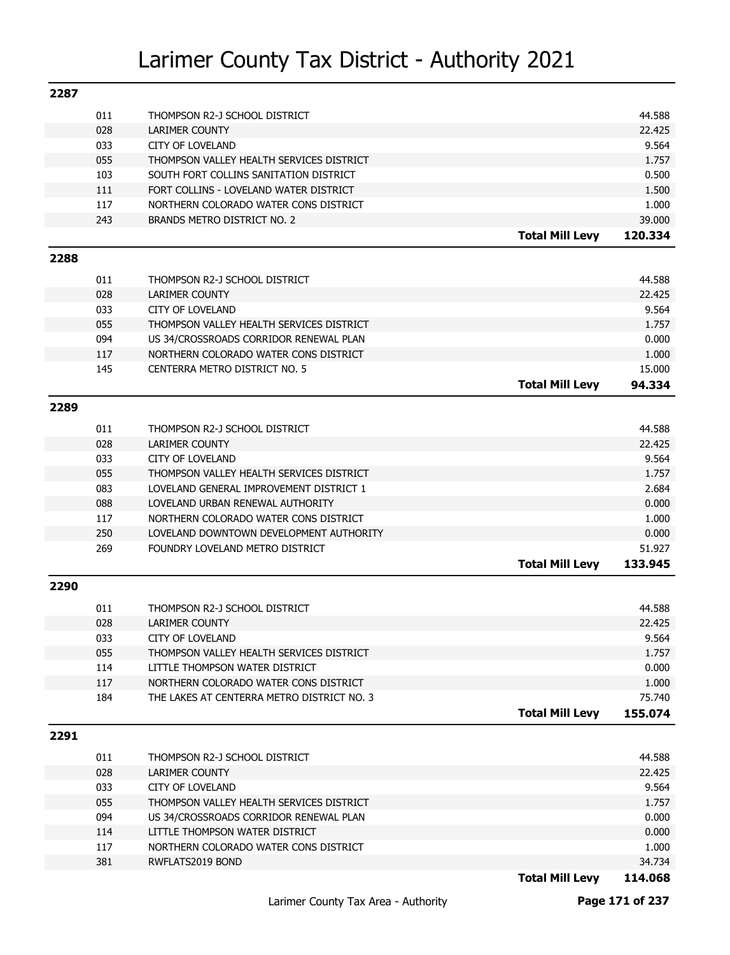| 2287 |            |                                                              |                        |                |
|------|------------|--------------------------------------------------------------|------------------------|----------------|
|      | 011        | THOMPSON R2-J SCHOOL DISTRICT                                |                        | 44.588         |
|      | 028        | LARIMER COUNTY                                               |                        | 22.425         |
|      | 033        | <b>CITY OF LOVELAND</b>                                      |                        | 9.564          |
|      | 055        | THOMPSON VALLEY HEALTH SERVICES DISTRICT                     |                        | 1.757          |
|      | 103        | SOUTH FORT COLLINS SANITATION DISTRICT                       |                        | 0.500          |
|      | 111        | FORT COLLINS - LOVELAND WATER DISTRICT                       |                        | 1.500          |
|      | 117        | NORTHERN COLORADO WATER CONS DISTRICT                        |                        | 1.000          |
|      | 243        | BRANDS METRO DISTRICT NO. 2                                  |                        | 39.000         |
|      |            |                                                              | <b>Total Mill Levy</b> | 120.334        |
| 2288 |            |                                                              |                        |                |
|      |            |                                                              |                        |                |
|      | 011        | THOMPSON R2-J SCHOOL DISTRICT                                |                        | 44.588         |
|      | 028        | <b>LARIMER COUNTY</b>                                        |                        | 22.425         |
|      | 033        | <b>CITY OF LOVELAND</b>                                      |                        | 9.564          |
|      | 055        | THOMPSON VALLEY HEALTH SERVICES DISTRICT                     |                        | 1.757          |
|      | 094        | US 34/CROSSROADS CORRIDOR RENEWAL PLAN                       |                        | 0.000          |
|      | 117        | NORTHERN COLORADO WATER CONS DISTRICT                        |                        | 1.000          |
|      | 145        | CENTERRA METRO DISTRICT NO. 5                                |                        | 15.000         |
|      |            |                                                              | <b>Total Mill Levy</b> | 94.334         |
| 2289 |            |                                                              |                        |                |
|      | 011        | THOMPSON R2-J SCHOOL DISTRICT                                |                        | 44.588         |
|      | 028        | <b>LARIMER COUNTY</b>                                        |                        | 22.425         |
|      | 033        | <b>CITY OF LOVELAND</b>                                      |                        | 9.564          |
|      | 055        | THOMPSON VALLEY HEALTH SERVICES DISTRICT                     |                        | 1.757          |
|      | 083        | LOVELAND GENERAL IMPROVEMENT DISTRICT 1                      |                        | 2.684          |
|      | 088        | LOVELAND URBAN RENEWAL AUTHORITY                             |                        | 0.000          |
|      | 117        | NORTHERN COLORADO WATER CONS DISTRICT                        |                        | 1.000          |
|      | 250        | LOVELAND DOWNTOWN DEVELOPMENT AUTHORITY                      |                        | 0.000          |
|      | 269        | FOUNDRY LOVELAND METRO DISTRICT                              |                        | 51.927         |
|      |            |                                                              | <b>Total Mill Levy</b> | 133.945        |
| 2290 |            |                                                              |                        |                |
|      |            |                                                              |                        |                |
|      | 011        | THOMPSON R2-J SCHOOL DISTRICT                                |                        | 44.588         |
|      | 028        | <b>LARIMER COUNTY</b>                                        |                        | 22.425         |
|      | 033<br>055 | CITY OF LOVELAND<br>THOMPSON VALLEY HEALTH SERVICES DISTRICT |                        | 9.564<br>1.757 |
|      | 114        | LITTLE THOMPSON WATER DISTRICT                               |                        | 0.000          |
|      | 117        | NORTHERN COLORADO WATER CONS DISTRICT                        |                        | 1.000          |
|      | 184        | THE LAKES AT CENTERRA METRO DISTRICT NO. 3                   |                        | 75.740         |
|      |            |                                                              | <b>Total Mill Levy</b> | 155.074        |
|      |            |                                                              |                        |                |
| 2291 |            |                                                              |                        |                |
|      | 011        | THOMPSON R2-J SCHOOL DISTRICT                                |                        | 44.588         |
|      | 028        | LARIMER COUNTY                                               |                        | 22.425         |
|      | 033        | <b>CITY OF LOVELAND</b>                                      |                        | 9.564          |
|      | 055        | THOMPSON VALLEY HEALTH SERVICES DISTRICT                     |                        | 1.757          |
|      | 094        | US 34/CROSSROADS CORRIDOR RENEWAL PLAN                       |                        | 0.000          |
|      | 114        | LITTLE THOMPSON WATER DISTRICT                               |                        | 0.000          |
|      | 117        | NORTHERN COLORADO WATER CONS DISTRICT                        |                        | 1.000          |
|      | 381        | RWFLATS2019 BOND                                             |                        | 34.734         |
|      |            |                                                              | <b>Total Mill Levy</b> | 114.068        |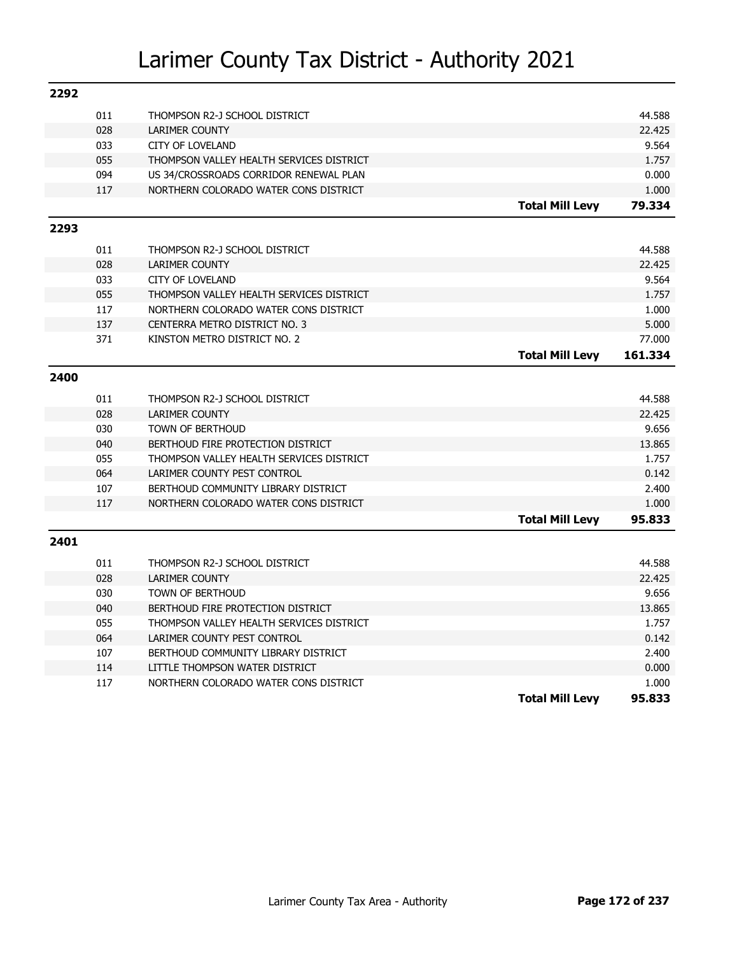| 2292 |            |                                                              |                        |                 |
|------|------------|--------------------------------------------------------------|------------------------|-----------------|
|      | 011        | THOMPSON R2-J SCHOOL DISTRICT                                |                        | 44.588          |
|      | 028        | <b>LARIMER COUNTY</b>                                        |                        | 22.425          |
|      | 033        | <b>CITY OF LOVELAND</b>                                      |                        | 9.564           |
|      | 055        | THOMPSON VALLEY HEALTH SERVICES DISTRICT                     |                        | 1.757           |
|      | 094        | US 34/CROSSROADS CORRIDOR RENEWAL PLAN                       |                        | 0.000           |
|      | 117        | NORTHERN COLORADO WATER CONS DISTRICT                        |                        | 1.000           |
|      |            |                                                              | <b>Total Mill Levy</b> | 79.334          |
| 2293 |            |                                                              |                        |                 |
|      | 011        | THOMPSON R2-J SCHOOL DISTRICT                                |                        | 44.588          |
|      | 028        | <b>LARIMER COUNTY</b>                                        |                        | 22.425          |
|      | 033        | <b>CITY OF LOVELAND</b>                                      |                        | 9.564           |
|      | 055        | THOMPSON VALLEY HEALTH SERVICES DISTRICT                     |                        | 1.757           |
|      | 117        | NORTHERN COLORADO WATER CONS DISTRICT                        |                        | 1.000           |
|      | 137        | CENTERRA METRO DISTRICT NO. 3                                |                        | 5.000           |
|      | 371        | KINSTON METRO DISTRICT NO. 2                                 |                        | 77,000          |
|      |            |                                                              | <b>Total Mill Levy</b> | 161.334         |
| 2400 |            |                                                              |                        |                 |
|      |            |                                                              |                        |                 |
|      | 011        | THOMPSON R2-J SCHOOL DISTRICT                                |                        | 44.588          |
|      | 028        | <b>LARIMER COUNTY</b>                                        |                        | 22.425<br>9.656 |
|      | 030<br>040 | <b>TOWN OF BERTHOUD</b><br>BERTHOUD FIRE PROTECTION DISTRICT |                        | 13.865          |
|      | 055        | THOMPSON VALLEY HEALTH SERVICES DISTRICT                     |                        | 1.757           |
|      | 064        | LARIMER COUNTY PEST CONTROL                                  |                        | 0.142           |
|      | 107        | BERTHOUD COMMUNITY LIBRARY DISTRICT                          |                        |                 |
|      | 117        | NORTHERN COLORADO WATER CONS DISTRICT                        |                        | 2.400<br>1.000  |
|      |            |                                                              | <b>Total Mill Levy</b> | 95.833          |
|      |            |                                                              |                        |                 |
| 2401 |            |                                                              |                        |                 |
|      | 011        | THOMPSON R2-J SCHOOL DISTRICT                                |                        | 44.588          |
|      | 028        | <b>LARIMER COUNTY</b>                                        |                        | 22.425          |
|      | 030        | <b>TOWN OF BERTHOUD</b>                                      |                        | 9.656           |
|      | 040        | BERTHOUD FIRE PROTECTION DISTRICT                            |                        | 13.865          |
|      | 055        | THOMPSON VALLEY HEALTH SERVICES DISTRICT                     |                        | 1.757           |
|      | 064        | LARIMER COUNTY PEST CONTROL                                  |                        | 0.142           |
|      | 107        | BERTHOUD COMMUNITY LIBRARY DISTRICT                          |                        | 2.400           |
|      | 114        | LITTLE THOMPSON WATER DISTRICT                               |                        | 0.000           |
|      | 117        | NORTHERN COLORADO WATER CONS DISTRICT                        |                        | 1.000           |
|      |            |                                                              | <b>Total Mill Levy</b> | 95.833          |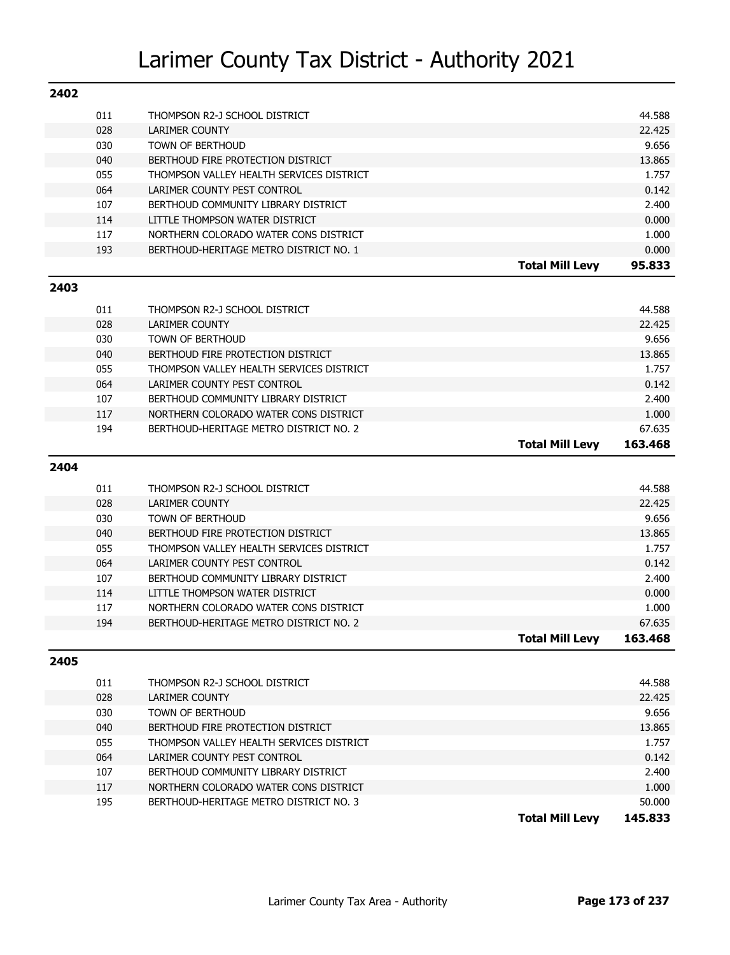| 2402 |     |                                          |                        |                   |
|------|-----|------------------------------------------|------------------------|-------------------|
|      | 011 | THOMPSON R2-J SCHOOL DISTRICT            |                        | 44.588            |
|      | 028 | <b>LARIMER COUNTY</b>                    |                        | 22.425            |
|      | 030 | <b>TOWN OF BERTHOUD</b>                  |                        | 9.656             |
|      | 040 | BERTHOUD FIRE PROTECTION DISTRICT        |                        | 13.865            |
|      | 055 | THOMPSON VALLEY HEALTH SERVICES DISTRICT |                        | 1.757             |
|      | 064 | LARIMER COUNTY PEST CONTROL              |                        | 0.142             |
|      | 107 | BERTHOUD COMMUNITY LIBRARY DISTRICT      |                        | 2.400             |
|      | 114 | LITTLE THOMPSON WATER DISTRICT           |                        | 0.000             |
|      | 117 | NORTHERN COLORADO WATER CONS DISTRICT    |                        | 1.000             |
|      | 193 | BERTHOUD-HERITAGE METRO DISTRICT NO. 1   |                        | 0.000             |
|      |     |                                          | <b>Total Mill Levy</b> | 95.833            |
| 2403 |     |                                          |                        |                   |
|      | 011 | THOMPSON R2-J SCHOOL DISTRICT            |                        | 44.588            |
|      | 028 | <b>LARIMER COUNTY</b>                    |                        | 22.425            |
|      | 030 | <b>TOWN OF BERTHOUD</b>                  |                        | 9.656             |
|      | 040 | BERTHOUD FIRE PROTECTION DISTRICT        |                        | 13.865            |
|      | 055 | THOMPSON VALLEY HEALTH SERVICES DISTRICT |                        | 1.757             |
|      | 064 | LARIMER COUNTY PEST CONTROL              |                        | 0.142             |
|      | 107 | BERTHOUD COMMUNITY LIBRARY DISTRICT      |                        | 2.400             |
|      | 117 | NORTHERN COLORADO WATER CONS DISTRICT    |                        | 1.000             |
|      | 194 | BERTHOUD-HERITAGE METRO DISTRICT NO. 2   |                        | 67.635            |
|      |     |                                          | <b>Total Mill Levy</b> | 163.468           |
|      |     |                                          |                        |                   |
| 2404 |     |                                          |                        |                   |
|      | 011 | THOMPSON R2-J SCHOOL DISTRICT            |                        | 44.588            |
|      | 028 | <b>LARIMER COUNTY</b>                    |                        | 22.425            |
|      | 030 | <b>TOWN OF BERTHOUD</b>                  |                        | 9.656             |
|      | 040 | BERTHOUD FIRE PROTECTION DISTRICT        |                        | 13.865            |
|      | 055 | THOMPSON VALLEY HEALTH SERVICES DISTRICT |                        | 1.757             |
|      | 064 | LARIMER COUNTY PEST CONTROL              |                        | 0.142             |
|      | 107 | BERTHOUD COMMUNITY LIBRARY DISTRICT      |                        | 2.400             |
|      | 114 | LITTLE THOMPSON WATER DISTRICT           |                        | 0.000             |
|      | 117 | NORTHERN COLORADO WATER CONS DISTRICT    |                        | 1.000             |
|      | 194 | BERTHOUD-HERITAGE METRO DISTRICT NO. 2   |                        | 67.635            |
|      |     |                                          | Total Mill Levy        | 163,468           |
| 2405 |     |                                          |                        |                   |
|      |     |                                          |                        |                   |
|      |     |                                          |                        |                   |
|      | 011 | THOMPSON R2-J SCHOOL DISTRICT            |                        | 44.588            |
|      | 028 | LARIMER COUNTY                           |                        | 22.425            |
|      | 030 | <b>TOWN OF BERTHOUD</b>                  |                        | 9.656             |
|      | 040 | BERTHOUD FIRE PROTECTION DISTRICT        |                        | 13.865            |
|      | 055 | THOMPSON VALLEY HEALTH SERVICES DISTRICT |                        | 1.757             |
|      | 064 | LARIMER COUNTY PEST CONTROL              |                        | 0.142             |
|      | 107 | BERTHOUD COMMUNITY LIBRARY DISTRICT      |                        | 2.400             |
|      | 117 | NORTHERN COLORADO WATER CONS DISTRICT    |                        | 1.000             |
|      | 195 | BERTHOUD-HERITAGE METRO DISTRICT NO. 3   | <b>Total Mill Levy</b> | 50.000<br>145.833 |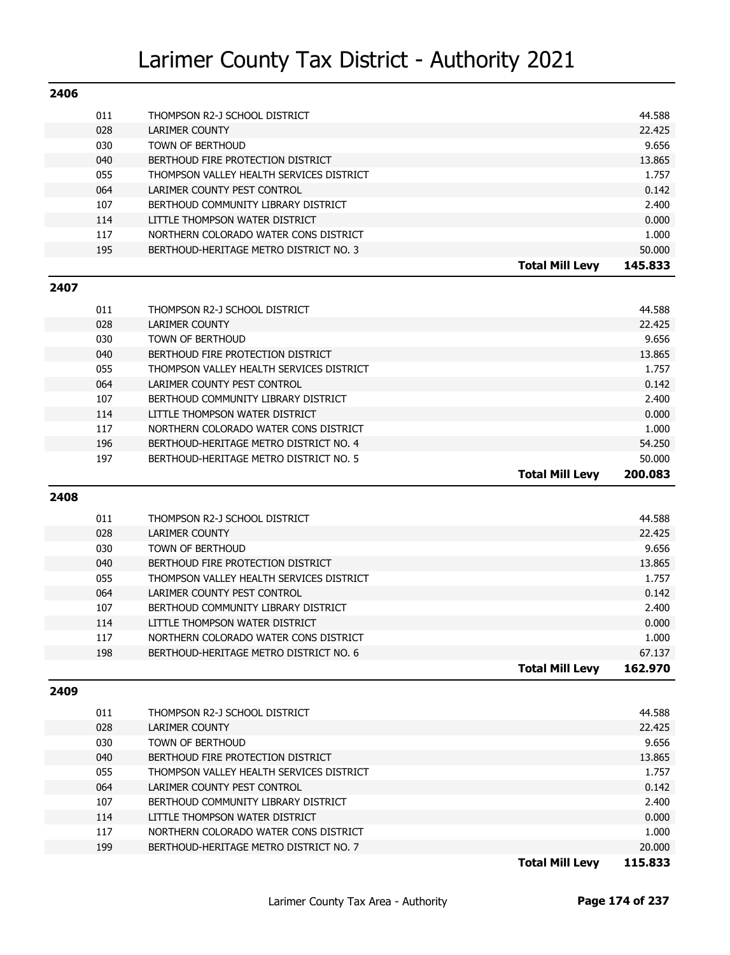| 2406 |     |                                          |                        |         |
|------|-----|------------------------------------------|------------------------|---------|
|      | 011 | THOMPSON R2-J SCHOOL DISTRICT            |                        | 44.588  |
|      | 028 | LARIMER COUNTY                           |                        | 22.425  |
|      | 030 | <b>TOWN OF BERTHOUD</b>                  |                        | 9.656   |
|      | 040 | BERTHOUD FIRE PROTECTION DISTRICT        |                        | 13.865  |
|      | 055 | THOMPSON VALLEY HEALTH SERVICES DISTRICT |                        | 1.757   |
|      | 064 | LARIMER COUNTY PEST CONTROL              |                        | 0.142   |
|      | 107 | BERTHOUD COMMUNITY LIBRARY DISTRICT      |                        | 2.400   |
|      | 114 | LITTLE THOMPSON WATER DISTRICT           |                        | 0.000   |
|      | 117 | NORTHERN COLORADO WATER CONS DISTRICT    |                        | 1.000   |
|      | 195 | BERTHOUD-HERITAGE METRO DISTRICT NO. 3   |                        | 50.000  |
|      |     |                                          | <b>Total Mill Levy</b> | 145.833 |

#### **2407**

| 011 | THOMPSON R2-J SCHOOL DISTRICT            |                        | 44.588  |
|-----|------------------------------------------|------------------------|---------|
| 028 | <b>LARIMER COUNTY</b>                    |                        | 22.425  |
| 030 | TOWN OF BERTHOUD                         |                        | 9.656   |
| 040 | BERTHOUD FIRE PROTECTION DISTRICT        |                        | 13.865  |
| 055 | THOMPSON VALLEY HEALTH SERVICES DISTRICT |                        | 1.757   |
| 064 | LARIMER COUNTY PEST CONTROL              |                        | 0.142   |
| 107 | BERTHOUD COMMUNITY LIBRARY DISTRICT      |                        | 2.400   |
| 114 | LITTLE THOMPSON WATER DISTRICT           |                        | 0.000   |
| 117 | NORTHERN COLORADO WATER CONS DISTRICT    |                        | 1.000   |
| 196 | BERTHOUD-HERITAGE METRO DISTRICT NO. 4   |                        | 54.250  |
| 197 | BERTHOUD-HERITAGE METRO DISTRICT NO. 5   |                        | 50.000  |
|     |                                          | <b>Total Mill Levy</b> | 200.083 |

### **2408**

|     |                                          | Total Mill Levv | 162.970 |
|-----|------------------------------------------|-----------------|---------|
| 198 | BERTHOUD-HERITAGE METRO DISTRICT NO. 6   |                 | 67.137  |
| 117 | NORTHERN COLORADO WATER CONS DISTRICT    |                 | 1.000   |
| 114 | LITTLE THOMPSON WATER DISTRICT           |                 | 0.000   |
| 107 | BERTHOUD COMMUNITY LIBRARY DISTRICT      |                 | 2.400   |
| 064 | LARIMER COUNTY PEST CONTROL              |                 | 0.142   |
| 055 | THOMPSON VALLEY HEALTH SERVICES DISTRICT |                 | 1.757   |
| 040 | BERTHOUD FIRE PROTECTION DISTRICT        |                 | 13.865  |
| 030 | TOWN OF BERTHOUD                         |                 | 9.656   |
| 028 | LARIMER COUNTY                           |                 | 22.425  |
| 011 | THOMPSON R2-J SCHOOL DISTRICT            |                 | 44.588  |
|     |                                          |                 |         |

#### **2409**

|     |                                          | 115.833<br><b>Total Mill Levy</b> |
|-----|------------------------------------------|-----------------------------------|
| 199 | BERTHOUD-HERITAGE METRO DISTRICT NO. 7   | 20.000                            |
| 117 | NORTHERN COLORADO WATER CONS DISTRICT    | 1.000                             |
| 114 | LITTLE THOMPSON WATER DISTRICT           | 0.000                             |
| 107 | BERTHOUD COMMUNITY LIBRARY DISTRICT      | 2.400                             |
| 064 | LARIMER COUNTY PEST CONTROL              | 0.142                             |
| 055 | THOMPSON VALLEY HEALTH SERVICES DISTRICT | 1.757                             |
| 040 | BERTHOUD FIRE PROTECTION DISTRICT        | 13.865                            |
| 030 | <b>TOWN OF BERTHOUD</b>                  | 9.656                             |
| 028 | LARIMER COUNTY                           | 22.425                            |
| 011 | THOMPSON R2-J SCHOOL DISTRICT            | 44.588                            |
|     |                                          |                                   |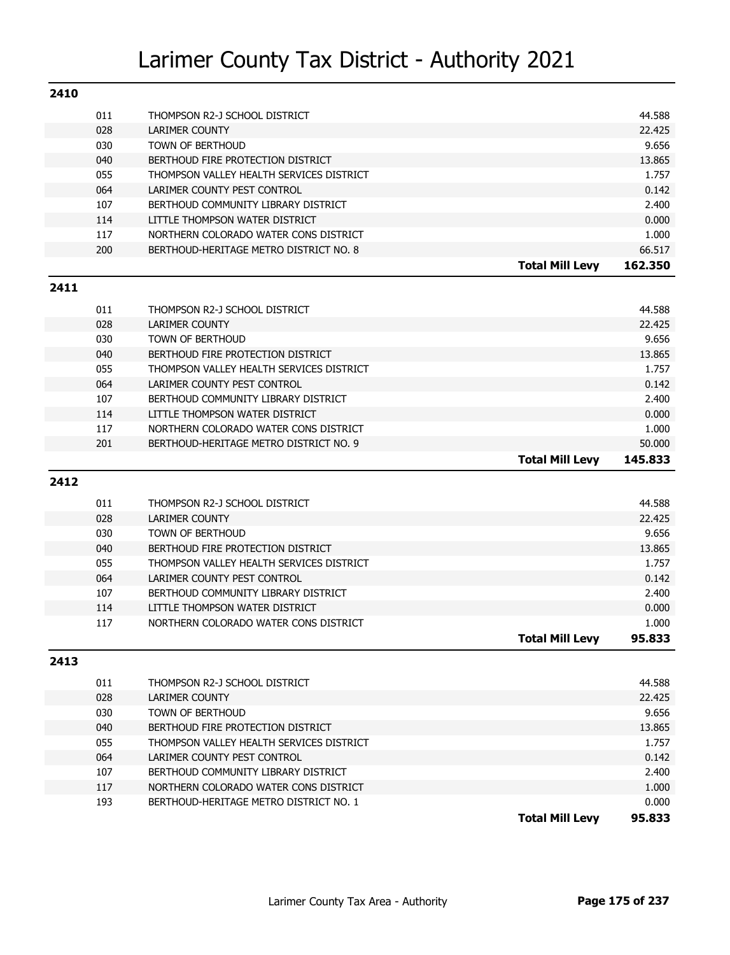| 2410 |     |                                          |                        |         |
|------|-----|------------------------------------------|------------------------|---------|
|      | 011 | THOMPSON R2-J SCHOOL DISTRICT            |                        | 44.588  |
|      | 028 | <b>LARIMER COUNTY</b>                    |                        | 22.425  |
|      | 030 | <b>TOWN OF BERTHOUD</b>                  |                        | 9.656   |
|      | 040 | BERTHOUD FIRE PROTECTION DISTRICT        |                        | 13.865  |
|      | 055 | THOMPSON VALLEY HEALTH SERVICES DISTRICT |                        | 1.757   |
|      | 064 | LARIMER COUNTY PEST CONTROL              |                        | 0.142   |
|      | 107 | BERTHOUD COMMUNITY LIBRARY DISTRICT      |                        | 2.400   |
|      | 114 | LITTLE THOMPSON WATER DISTRICT           |                        | 0.000   |
|      | 117 | NORTHERN COLORADO WATER CONS DISTRICT    |                        | 1.000   |
|      | 200 | BERTHOUD-HERITAGE METRO DISTRICT NO. 8   |                        | 66.517  |
|      |     |                                          | <b>Total Mill Levy</b> | 162.350 |
| 2411 |     |                                          |                        |         |
|      | 011 | THOMPSON R2-J SCHOOL DISTRICT            |                        | 44.588  |
|      | 028 | <b>LARIMER COUNTY</b>                    |                        | 22.425  |
|      | 030 | <b>TOWN OF BERTHOUD</b>                  |                        | 9.656   |
|      | 040 | BERTHOUD FIRE PROTECTION DISTRICT        |                        | 13.865  |
|      | 055 | THOMPSON VALLEY HEALTH SERVICES DISTRICT |                        | 1.757   |
|      | 064 | LARIMER COUNTY PEST CONTROL              |                        | 0.142   |
|      | 107 | BERTHOUD COMMUNITY LIBRARY DISTRICT      |                        | 2.400   |
|      | 114 | LITTLE THOMPSON WATER DISTRICT           |                        | 0.000   |
|      | 117 | NORTHERN COLORADO WATER CONS DISTRICT    |                        | 1.000   |
|      | 201 | BERTHOUD-HERITAGE METRO DISTRICT NO. 9   |                        | 50.000  |
|      |     |                                          | <b>Total Mill Levy</b> | 145.833 |
| 2412 |     |                                          |                        |         |
|      | 011 | THOMPSON R2-J SCHOOL DISTRICT            |                        | 44.588  |
|      | 028 | <b>LARIMER COUNTY</b>                    |                        | 22.425  |
|      | 030 | <b>TOWN OF BERTHOUD</b>                  |                        | 9.656   |
|      | 040 | BERTHOUD FIRE PROTECTION DISTRICT        |                        | 13.865  |
|      | 055 | THOMPSON VALLEY HEALTH SERVICES DISTRICT |                        | 1.757   |
|      | 064 | LARIMER COUNTY PEST CONTROL              |                        | 0.142   |
|      | 107 | BERTHOUD COMMUNITY LIBRARY DISTRICT      |                        | 2.400   |
|      | 114 | LITTLE THOMPSON WATER DISTRICT           |                        | 0.000   |
|      | 117 | NORTHERN COLORADO WATER CONS DISTRICT    |                        | 1.000   |
|      |     |                                          | Total Mill Levy        | 95.833  |
| 2413 |     |                                          |                        |         |
|      |     |                                          |                        |         |
|      | 011 | THOMPSON R2-J SCHOOL DISTRICT            |                        | 44.588  |
|      | 028 | LARIMER COUNTY                           |                        | 22.425  |
|      | 030 | TOWN OF BERTHOUD                         |                        | 9.656   |
|      | 040 | BERTHOUD FIRE PROTECTION DISTRICT        |                        | 13.865  |
|      | 055 | THOMPSON VALLEY HEALTH SERVICES DISTRICT |                        | 1.757   |
|      | 064 | LARIMER COUNTY PEST CONTROL              |                        | 0.142   |
|      | 107 | BERTHOUD COMMUNITY LIBRARY DISTRICT      |                        | 2.400   |
|      | 117 | NORTHERN COLORADO WATER CONS DISTRICT    |                        | 1.000   |

**Total Mill Levy 95.833**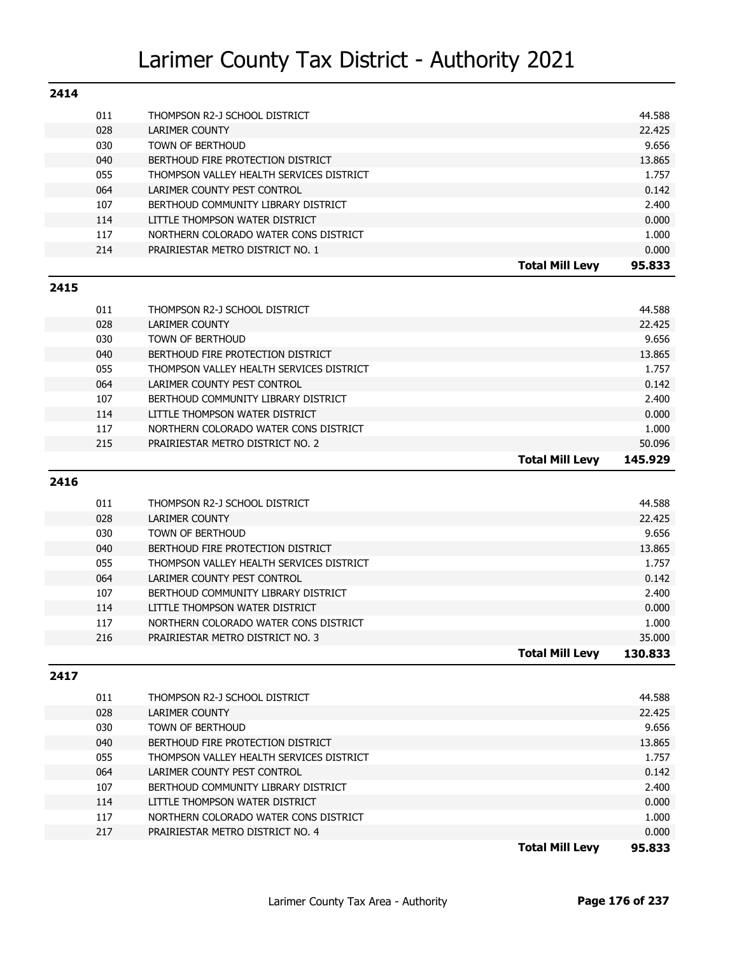| 2414 |            |                                                                    |                |
|------|------------|--------------------------------------------------------------------|----------------|
|      | 011        | THOMPSON R2-J SCHOOL DISTRICT                                      | 44.588         |
|      | 028        | <b>LARIMER COUNTY</b>                                              | 22.425         |
|      | 030        | <b>TOWN OF BERTHOUD</b>                                            | 9.656          |
|      | 040        | BERTHOUD FIRE PROTECTION DISTRICT                                  | 13.865         |
|      | 055        | THOMPSON VALLEY HEALTH SERVICES DISTRICT                           | 1.757          |
|      | 064        | LARIMER COUNTY PEST CONTROL                                        | 0.142          |
|      | 107        | BERTHOUD COMMUNITY LIBRARY DISTRICT                                | 2.400          |
|      | 114        | LITTLE THOMPSON WATER DISTRICT                                     | 0.000          |
|      | 117        | NORTHERN COLORADO WATER CONS DISTRICT                              | 1.000          |
|      | 214        | PRAIRIESTAR METRO DISTRICT NO. 1                                   | 0.000          |
|      |            | <b>Total Mill Levy</b>                                             | 95.833         |
| 2415 |            |                                                                    |                |
|      |            |                                                                    |                |
|      | 011        | THOMPSON R2-J SCHOOL DISTRICT                                      | 44.588         |
|      | 028        | <b>LARIMER COUNTY</b>                                              | 22.425         |
|      | 030        | <b>TOWN OF BERTHOUD</b>                                            | 9.656          |
|      | 040        | BERTHOUD FIRE PROTECTION DISTRICT                                  | 13.865         |
|      | 055        | THOMPSON VALLEY HEALTH SERVICES DISTRICT                           | 1.757          |
|      | 064        | LARIMER COUNTY PEST CONTROL<br>BERTHOUD COMMUNITY LIBRARY DISTRICT | 0.142          |
|      | 107<br>114 | LITTLE THOMPSON WATER DISTRICT                                     | 2.400<br>0.000 |
|      |            | NORTHERN COLORADO WATER CONS DISTRICT                              | 1.000          |
|      |            |                                                                    |                |
|      | 117        |                                                                    |                |
|      | 215        | PRAIRIESTAR METRO DISTRICT NO. 2                                   | 50.096         |
|      |            | <b>Total Mill Levy</b>                                             | 145.929        |
| 2416 |            |                                                                    |                |
|      | 011        | THOMPSON R2-J SCHOOL DISTRICT                                      | 44.588         |
|      | 028        | <b>LARIMER COUNTY</b>                                              | 22.425         |
|      | 030        | <b>TOWN OF BERTHOUD</b>                                            | 9.656          |
|      | 040        | BERTHOUD FIRE PROTECTION DISTRICT                                  | 13.865         |
|      | 055        | THOMPSON VALLEY HEALTH SERVICES DISTRICT                           | 1.757          |
|      | 064        | LARIMER COUNTY PEST CONTROL                                        | 0.142          |
|      | 107        | BERTHOUD COMMUNITY LIBRARY DISTRICT                                | 2.400          |
|      | 114        | LITTLE THOMPSON WATER DISTRICT                                     | 0.000          |
|      | 117        | NORTHERN COLORADO WATER CONS DISTRICT                              | 1.000          |
|      | 216        | PRAIRIESTAR METRO DISTRICT NO. 3                                   | 35.000         |
|      |            | <b>Total Mill Levy</b>                                             | 130.833        |
| 2417 |            |                                                                    |                |
|      |            |                                                                    |                |
|      | 011        | THOMPSON R2-J SCHOOL DISTRICT                                      | 44.588         |
|      | 028        | <b>LARIMER COUNTY</b>                                              | 22.425         |
|      | 030        | <b>TOWN OF BERTHOUD</b>                                            | 9.656          |
|      | 040        | BERTHOUD FIRE PROTECTION DISTRICT                                  | 13.865         |
|      | 055        | THOMPSON VALLEY HEALTH SERVICES DISTRICT                           | 1.757          |
|      | 064<br>107 | LARIMER COUNTY PEST CONTROL<br>BERTHOUD COMMUNITY LIBRARY DISTRICT | 0.142<br>2.400 |

117 NORTHERN COLORADO WATER CONS DISTRICT 1.000 217 PRAIRIESTAR METRO DISTRICT NO. 4 0.000

**Total Mill Levy 95.833**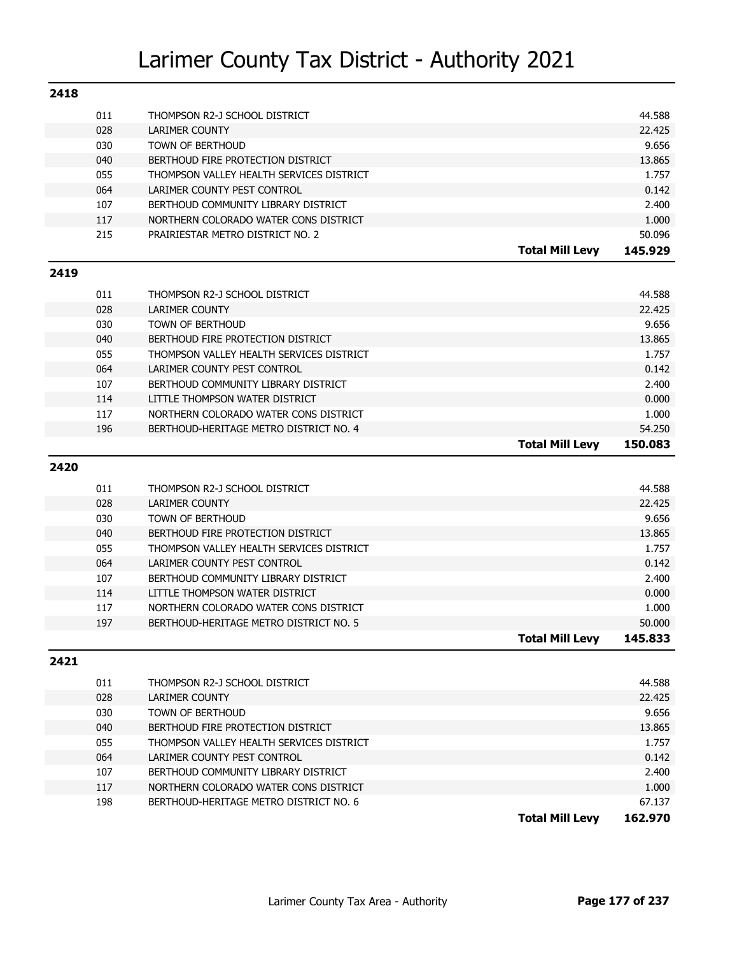| 2418 |            |                                                                                 |                        |                 |
|------|------------|---------------------------------------------------------------------------------|------------------------|-----------------|
|      | 011        | THOMPSON R2-J SCHOOL DISTRICT                                                   |                        | 44.588          |
|      | 028        | <b>LARIMER COUNTY</b>                                                           |                        | 22.425          |
|      | 030        | <b>TOWN OF BERTHOUD</b>                                                         |                        | 9.656           |
|      | 040        | BERTHOUD FIRE PROTECTION DISTRICT                                               |                        | 13.865          |
|      | 055        | THOMPSON VALLEY HEALTH SERVICES DISTRICT                                        |                        | 1.757           |
|      | 064        | LARIMER COUNTY PEST CONTROL                                                     |                        | 0.142           |
|      | 107        | BERTHOUD COMMUNITY LIBRARY DISTRICT                                             |                        | 2.400           |
|      | 117        | NORTHERN COLORADO WATER CONS DISTRICT                                           |                        | 1.000           |
|      | 215        | PRAIRIESTAR METRO DISTRICT NO. 2                                                |                        | 50.096          |
|      |            |                                                                                 | <b>Total Mill Levy</b> | 145.929         |
| 2419 |            |                                                                                 |                        |                 |
|      | 011        | THOMPSON R2-J SCHOOL DISTRICT                                                   |                        | 44.588          |
|      | 028        | <b>LARIMER COUNTY</b>                                                           |                        | 22.425          |
|      | 030        | <b>TOWN OF BERTHOUD</b>                                                         |                        | 9.656           |
|      | 040        | BERTHOUD FIRE PROTECTION DISTRICT                                               |                        | 13.865          |
|      | 055        | THOMPSON VALLEY HEALTH SERVICES DISTRICT                                        |                        | 1.757           |
|      | 064        | LARIMER COUNTY PEST CONTROL                                                     |                        | 0.142           |
|      | 107        | BERTHOUD COMMUNITY LIBRARY DISTRICT                                             |                        | 2.400           |
|      | 114        | LITTLE THOMPSON WATER DISTRICT                                                  |                        | 0.000           |
|      | 117        | NORTHERN COLORADO WATER CONS DISTRICT                                           |                        | 1.000           |
|      | 196        | BERTHOUD-HERITAGE METRO DISTRICT NO. 4                                          |                        | 54.250          |
|      |            |                                                                                 | <b>Total Mill Levy</b> | 150.083         |
|      |            |                                                                                 |                        |                 |
| 2420 |            |                                                                                 |                        |                 |
|      |            |                                                                                 |                        |                 |
|      | 011        | THOMPSON R2-J SCHOOL DISTRICT                                                   |                        | 44.588          |
|      | 028        | <b>LARIMER COUNTY</b>                                                           |                        | 22.425          |
|      | 030        | <b>TOWN OF BERTHOUD</b><br>BERTHOUD FIRE PROTECTION DISTRICT                    |                        | 9.656           |
|      | 040        | THOMPSON VALLEY HEALTH SERVICES DISTRICT                                        |                        | 13.865<br>1.757 |
|      | 055<br>064 | LARIMER COUNTY PEST CONTROL                                                     |                        | 0.142           |
|      | 107        | BERTHOUD COMMUNITY LIBRARY DISTRICT                                             |                        | 2.400           |
|      | 114        | LITTLE THOMPSON WATER DISTRICT                                                  |                        | 0.000           |
|      | 117        | NORTHERN COLORADO WATER CONS DISTRICT                                           |                        | 1.000           |
|      | 197        | BERTHOUD-HERITAGE METRO DISTRICT NO. 5                                          |                        | 50.000          |
|      |            |                                                                                 | Total Mill Levy        | 145,833         |
| 2421 |            |                                                                                 |                        |                 |
|      |            |                                                                                 |                        |                 |
|      | 011        | THOMPSON R2-J SCHOOL DISTRICT                                                   |                        | 44.588          |
|      | 028        | LARIMER COUNTY                                                                  |                        | 22.425          |
|      | 030        | TOWN OF BERTHOUD                                                                |                        | 9.656           |
|      | 040        | BERTHOUD FIRE PROTECTION DISTRICT                                               |                        | 13.865          |
|      | 055        | THOMPSON VALLEY HEALTH SERVICES DISTRICT                                        |                        | 1.757           |
|      | 064        | LARIMER COUNTY PEST CONTROL<br>BERTHOUD COMMUNITY LIBRARY DISTRICT              |                        | 0.142           |
|      | 107        |                                                                                 |                        | 2.400           |
|      | 117<br>198 | NORTHERN COLORADO WATER CONS DISTRICT<br>BERTHOUD-HERITAGE METRO DISTRICT NO. 6 |                        | 1.000<br>67.137 |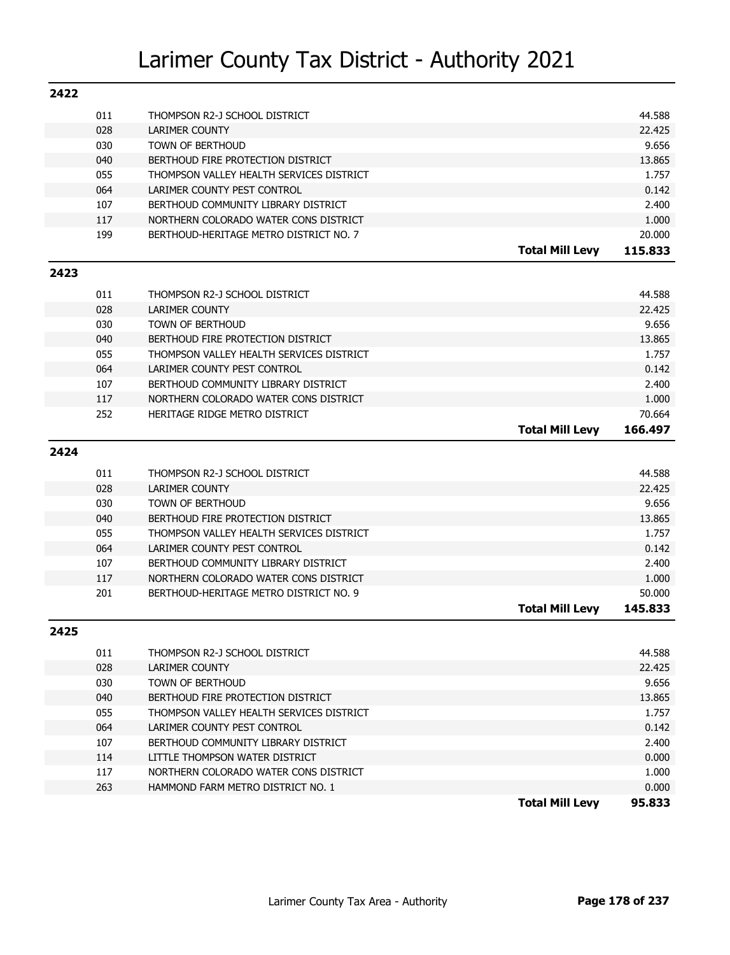| 2422 |     |                                          |                        |         |
|------|-----|------------------------------------------|------------------------|---------|
|      | 011 | THOMPSON R2-J SCHOOL DISTRICT            |                        | 44.588  |
|      | 028 | <b>LARIMER COUNTY</b>                    |                        | 22.425  |
|      | 030 | <b>TOWN OF BERTHOUD</b>                  |                        | 9.656   |
|      | 040 | BERTHOUD FIRE PROTECTION DISTRICT        |                        | 13.865  |
|      | 055 | THOMPSON VALLEY HEALTH SERVICES DISTRICT |                        | 1.757   |
|      | 064 | LARIMER COUNTY PEST CONTROL              |                        | 0.142   |
|      | 107 | BERTHOUD COMMUNITY LIBRARY DISTRICT      |                        | 2.400   |
|      | 117 | NORTHERN COLORADO WATER CONS DISTRICT    |                        | 1.000   |
|      | 199 | BERTHOUD-HERITAGE METRO DISTRICT NO. 7   |                        | 20.000  |
|      |     |                                          | <b>Total Mill Levy</b> | 115.833 |
| 2423 |     |                                          |                        |         |
|      | 011 | THOMPSON R2-J SCHOOL DISTRICT            |                        | 44.588  |
|      | 028 | <b>LARIMER COUNTY</b>                    |                        | 22.425  |
|      | 030 | <b>TOWN OF BERTHOUD</b>                  |                        | 9.656   |
|      | 040 | BERTHOUD FIRE PROTECTION DISTRICT        |                        | 13.865  |
|      | 055 | THOMPSON VALLEY HEALTH SERVICES DISTRICT |                        | 1.757   |
|      | 064 | LARIMER COUNTY PEST CONTROL              |                        | 0.142   |
|      | 107 | BERTHOUD COMMUNITY LIBRARY DISTRICT      |                        | 2.400   |
|      | 117 | NORTHERN COLORADO WATER CONS DISTRICT    |                        | 1.000   |
|      | 252 | HERITAGE RIDGE METRO DISTRICT            |                        | 70.664  |
|      |     |                                          | <b>Total Mill Levy</b> | 166.497 |
| 2424 |     |                                          |                        |         |
|      | 011 | THOMPSON R2-J SCHOOL DISTRICT            |                        | 44.588  |
|      | 028 | <b>LARIMER COUNTY</b>                    |                        | 22.425  |
|      | 030 | <b>TOWN OF BERTHOUD</b>                  |                        | 9.656   |
|      | 040 | BERTHOUD FIRE PROTECTION DISTRICT        |                        | 13.865  |
|      | 055 | THOMPSON VALLEY HEALTH SERVICES DISTRICT |                        | 1.757   |
|      | 064 | LARIMER COUNTY PEST CONTROL              |                        | 0.142   |
|      | 107 | BERTHOUD COMMUNITY LIBRARY DISTRICT      |                        | 2.400   |
|      | 117 | NORTHERN COLORADO WATER CONS DISTRICT    |                        | 1.000   |
|      | 201 | BERTHOUD-HERITAGE METRO DISTRICT NO. 9   |                        | 50.000  |
|      |     |                                          | <b>Total Mill Levy</b> | 145,833 |
| 2425 |     |                                          |                        |         |
|      | 011 | THOMPSON R2-J SCHOOL DISTRICT            |                        | 44.588  |
|      | 028 | <b>LARIMER COUNTY</b>                    |                        | 22.425  |
|      | 030 | TOWN OF BERTHOUD                         |                        | 9.656   |
|      | 040 | BERTHOUD FIRE PROTECTION DISTRICT        |                        | 13.865  |
|      | 055 | THOMPSON VALLEY HEALTH SERVICES DISTRICT |                        | 1.757   |
|      | 064 | LARIMER COUNTY PEST CONTROL              |                        | 0.142   |
|      | 107 | BERTHOUD COMMUNITY LIBRARY DISTRICT      |                        | 2.400   |
|      |     |                                          |                        |         |
|      | 114 | LITTLE THOMPSON WATER DISTRICT           |                        | 0.000   |
|      | 117 | NORTHERN COLORADO WATER CONS DISTRICT    |                        | 1.000   |
|      | 263 | HAMMOND FARM METRO DISTRICT NO. 1        |                        | 0.000   |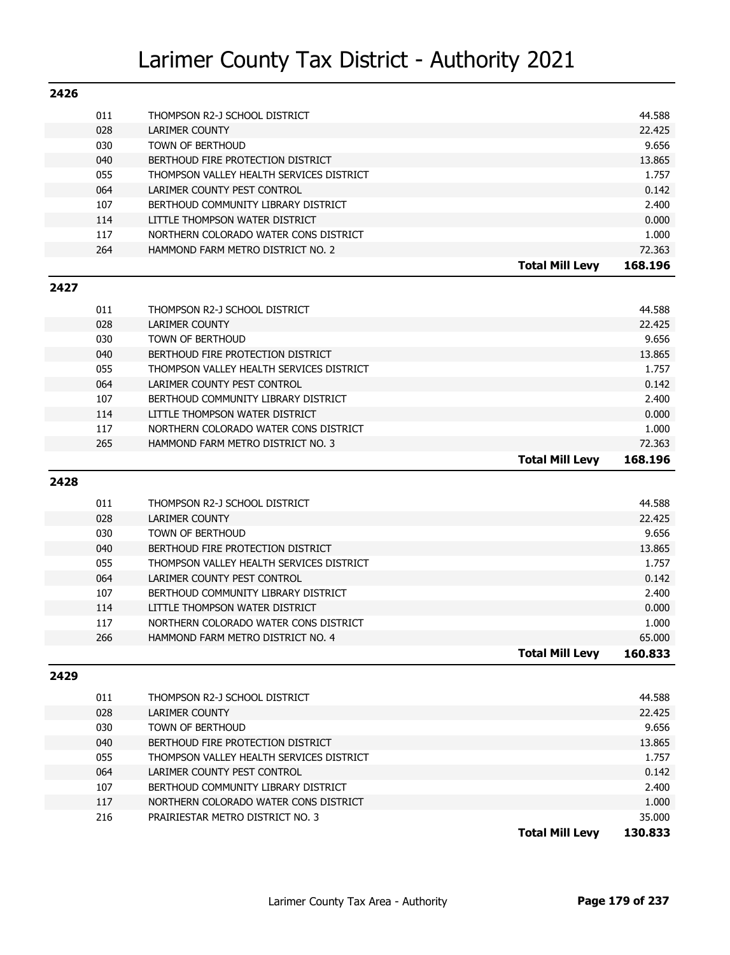| 2426 |     |                                          |         |
|------|-----|------------------------------------------|---------|
|      | 011 | THOMPSON R2-J SCHOOL DISTRICT            | 44.588  |
|      | 028 | <b>LARIMER COUNTY</b>                    | 22.425  |
|      | 030 | TOWN OF BERTHOUD                         | 9.656   |
|      | 040 | BERTHOUD FIRE PROTECTION DISTRICT        | 13.865  |
|      | 055 | THOMPSON VALLEY HEALTH SERVICES DISTRICT | 1.757   |
|      | 064 | LARIMER COUNTY PEST CONTROL              | 0.142   |
|      | 107 | BERTHOUD COMMUNITY LIBRARY DISTRICT      | 2.400   |
|      | 114 | LITTLE THOMPSON WATER DISTRICT           | 0.000   |
|      | 117 | NORTHERN COLORADO WATER CONS DISTRICT    | 1.000   |
|      | 264 | HAMMOND FARM METRO DISTRICT NO. 2        | 72.363  |
|      |     | <b>Total Mill Levy</b>                   | 168.196 |
| 2427 |     |                                          |         |
|      | 011 | THOMPSON R2-J SCHOOL DISTRICT            | 44.588  |
|      | 028 | <b>LARIMER COUNTY</b>                    | 22.425  |
|      | 030 | TOWN OF BERTHOUD                         | 9.656   |
|      | 040 | BERTHOUD FIRE PROTECTION DISTRICT        | 13.865  |
|      | 055 | THOMPSON VALLEY HEALTH SERVICES DISTRICT | 1.757   |
|      | 064 | LARIMER COUNTY PEST CONTROL              | 0.142   |
|      | 107 | BERTHOUD COMMUNITY LIBRARY DISTRICT      | 2.400   |
|      |     |                                          |         |

|     |                                       | <b>Total Mill Levy</b> | 168.196 |
|-----|---------------------------------------|------------------------|---------|
| 265 | HAMMOND FARM METRO DISTRICT NO. 3     |                        | 72.363  |
| 117 | NORTHERN COLORADO WATER CONS DISTRICT |                        | 1.000   |
| 114 | LITTLE THOMPSON WATER DISTRICT        |                        | 0.000   |
| --- |                                       |                        | ----    |

#### **2428**

| 011 | THOMPSON R2-J SCHOOL DISTRICT            |                        | 44.588  |
|-----|------------------------------------------|------------------------|---------|
| 028 | LARIMER COUNTY                           |                        | 22.425  |
| 030 | TOWN OF BERTHOUD                         |                        | 9.656   |
| 040 | BERTHOUD FIRE PROTECTION DISTRICT        |                        | 13.865  |
| 055 | THOMPSON VALLEY HEALTH SERVICES DISTRICT |                        | 1.757   |
| 064 | LARIMER COUNTY PEST CONTROL              |                        | 0.142   |
| 107 | BERTHOUD COMMUNITY LIBRARY DISTRICT      |                        | 2.400   |
| 114 | LITTLE THOMPSON WATER DISTRICT           |                        | 0.000   |
| 117 | NORTHERN COLORADO WATER CONS DISTRICT    |                        | 1.000   |
| 266 | HAMMOND FARM METRO DISTRICT NO. 4        |                        | 65.000  |
|     |                                          | <b>Total Mill Levy</b> | 160.833 |

#### **2429**

| THOMPSON R2-J SCHOOL DISTRICT            |                 | 44.588  |
|------------------------------------------|-----------------|---------|
| LARIMER COUNTY                           |                 | 22.425  |
| TOWN OF BERTHOUD                         |                 | 9.656   |
| BERTHOUD FIRE PROTECTION DISTRICT        |                 | 13.865  |
| THOMPSON VALLEY HEALTH SERVICES DISTRICT |                 | 1.757   |
| LARIMER COUNTY PEST CONTROL              |                 | 0.142   |
| BERTHOUD COMMUNITY LIBRARY DISTRICT      |                 | 2.400   |
| NORTHERN COLORADO WATER CONS DISTRICT    |                 | 1.000   |
| PRAIRIESTAR METRO DISTRICT NO. 3         |                 | 35.000  |
|                                          | Total Mill Levv | 130.833 |
|                                          |                 |         |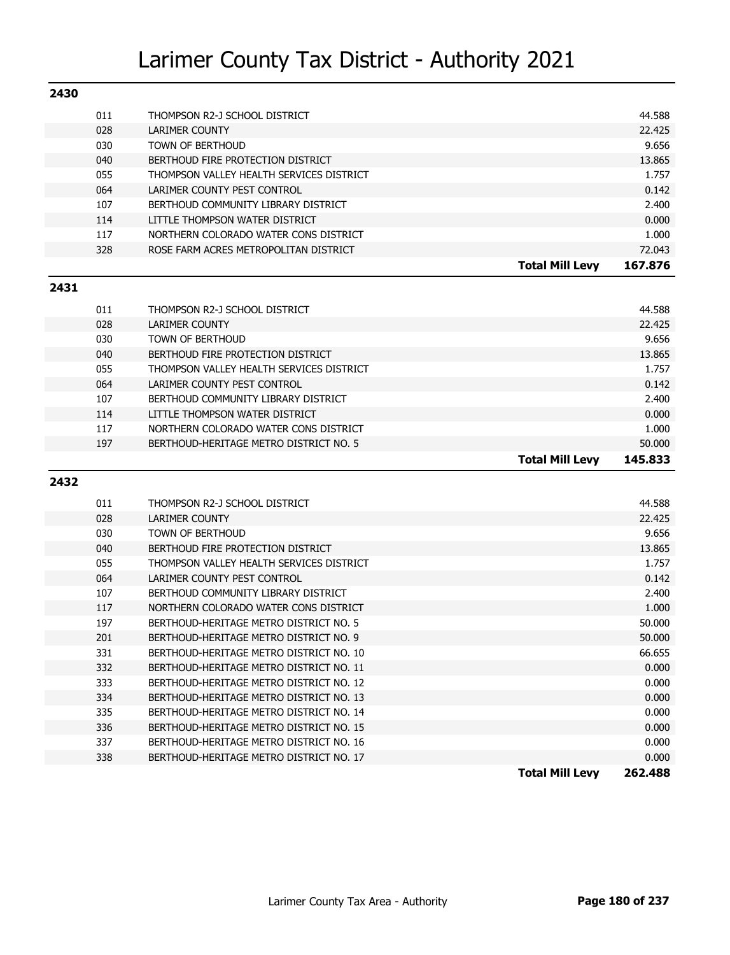| 2430 |                                          |                        |         |
|------|------------------------------------------|------------------------|---------|
| 011  | THOMPSON R2-J SCHOOL DISTRICT            |                        | 44.588  |
| 028  | <b>LARIMER COUNTY</b>                    |                        | 22.425  |
| 030  | <b>TOWN OF BERTHOUD</b>                  |                        | 9.656   |
| 040  | BERTHOUD FIRE PROTECTION DISTRICT        |                        | 13.865  |
| 055  | THOMPSON VALLEY HEALTH SERVICES DISTRICT |                        | 1.757   |
| 064  | LARIMER COUNTY PEST CONTROL              |                        | 0.142   |
| 107  | BERTHOUD COMMUNITY LIBRARY DISTRICT      |                        | 2.400   |
| 114  | LITTLE THOMPSON WATER DISTRICT           |                        | 0.000   |
| 117  | NORTHERN COLORADO WATER CONS DISTRICT    |                        | 1.000   |
| 328  | ROSE FARM ACRES METROPOLITAN DISTRICT    |                        | 72.043  |
|      |                                          | <b>Total Mill Levy</b> | 167.876 |

#### **2431**

| 011 | THOMPSON R2-J SCHOOL DISTRICT            |                        | 44.588  |
|-----|------------------------------------------|------------------------|---------|
| 028 | LARIMER COUNTY                           |                        | 22.425  |
| 030 | TOWN OF BERTHOUD                         |                        | 9.656   |
| 040 | BERTHOUD FIRE PROTECTION DISTRICT        |                        | 13.865  |
| 055 | THOMPSON VALLEY HEALTH SERVICES DISTRICT |                        | 1.757   |
| 064 | LARIMER COUNTY PEST CONTROL              |                        | 0.142   |
| 107 | BERTHOUD COMMUNITY LIBRARY DISTRICT      |                        | 2.400   |
| 114 | LITTLE THOMPSON WATER DISTRICT           |                        | 0.000   |
| 117 | NORTHERN COLORADO WATER CONS DISTRICT    |                        | 1.000   |
| 197 | BERTHOUD-HERITAGE METRO DISTRICT NO. 5   |                        | 50.000  |
|     |                                          | <b>Total Mill Levy</b> | 145.833 |
|     |                                          |                        |         |

#### **2432**

|     |                                          | <b>Total Mill Levy</b><br>262.488 |
|-----|------------------------------------------|-----------------------------------|
| 338 | BERTHOUD-HERITAGE METRO DISTRICT NO. 17  | 0.000                             |
| 337 | BERTHOUD-HERITAGE METRO DISTRICT NO. 16  | 0.000                             |
| 336 | BERTHOUD-HERITAGE METRO DISTRICT NO. 15  | 0.000                             |
| 335 | BERTHOUD-HERITAGE METRO DISTRICT NO. 14  | 0.000                             |
| 334 | BERTHOUD-HERITAGE METRO DISTRICT NO. 13  | 0.000                             |
| 333 | BERTHOUD-HERITAGE METRO DISTRICT NO. 12  | 0.000                             |
| 332 | BERTHOUD-HERITAGE METRO DISTRICT NO. 11  | 0.000                             |
| 331 | BERTHOUD-HERITAGE METRO DISTRICT NO. 10  | 66.655                            |
| 201 | BERTHOUD-HERITAGE METRO DISTRICT NO. 9   | 50,000                            |
| 197 | BERTHOUD-HERITAGE METRO DISTRICT NO. 5   | 50,000                            |
| 117 | NORTHERN COLORADO WATER CONS DISTRICT    | 1.000                             |
| 107 | BERTHOUD COMMUNITY LIBRARY DISTRICT      | 2.400                             |
| 064 | LARIMER COUNTY PEST CONTROL              | 0.142                             |
| 055 | THOMPSON VALLEY HEALTH SERVICES DISTRICT | 1.757                             |
| 040 | BERTHOUD FIRE PROTECTION DISTRICT        | 13.865                            |
| 030 | TOWN OF BERTHOUD                         | 9.656                             |
| 028 | LARIMER COUNTY                           | 22.425                            |
| 011 | THOMPSON R2-J SCHOOL DISTRICT            | 44.588                            |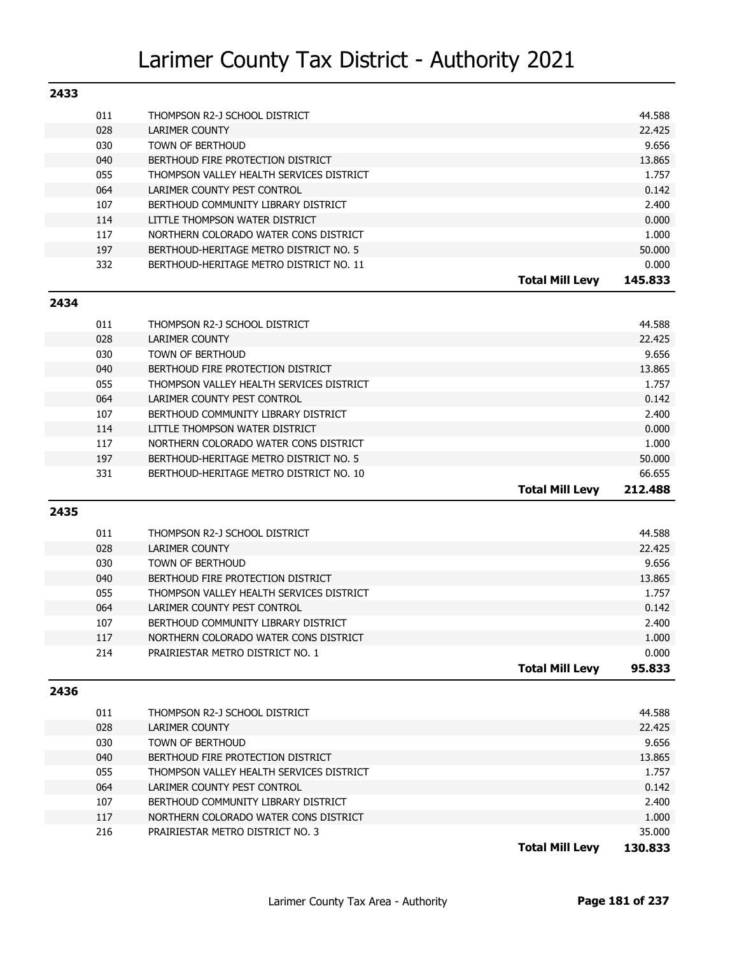| 2433 |                                          |                                   |
|------|------------------------------------------|-----------------------------------|
| 011  | THOMPSON R2-J SCHOOL DISTRICT            | 44.588                            |
| 028  | LARIMER COUNTY                           | 22.425                            |
| 030  | TOWN OF BERTHOUD                         | 9.656                             |
| 040  | BERTHOUD FIRE PROTECTION DISTRICT        | 13.865                            |
| 055  | THOMPSON VALLEY HEALTH SERVICES DISTRICT | 1.757                             |
| 064  | LARIMER COUNTY PEST CONTROL              | 0.142                             |
| 107  | BERTHOUD COMMUNITY LIBRARY DISTRICT      | 2.400                             |
| 114  | LITTLE THOMPSON WATER DISTRICT           | 0.000                             |
| 117  | NORTHERN COLORADO WATER CONS DISTRICT    | 1.000                             |
| 197  | BERTHOUD-HERITAGE METRO DISTRICT NO. 5   | 50.000                            |
| 332  | BERTHOUD-HERITAGE METRO DISTRICT NO. 11  | 0.000                             |
|      |                                          | 145.833<br><b>Total Mill Levv</b> |

#### **2434**

| 011 | THOMPSON R2-J SCHOOL DISTRICT            |                        | 44.588  |
|-----|------------------------------------------|------------------------|---------|
| 028 | LARIMER COUNTY                           |                        | 22.425  |
| 030 | <b>TOWN OF BERTHOUD</b>                  |                        | 9.656   |
| 040 | BERTHOUD FIRE PROTECTION DISTRICT        |                        | 13.865  |
| 055 | THOMPSON VALLEY HEALTH SERVICES DISTRICT |                        | 1.757   |
| 064 | LARIMER COUNTY PEST CONTROL              |                        | 0.142   |
| 107 | BERTHOUD COMMUNITY LIBRARY DISTRICT      |                        | 2.400   |
| 114 | LITTLE THOMPSON WATER DISTRICT           |                        | 0.000   |
| 117 | NORTHERN COLORADO WATER CONS DISTRICT    |                        | 1.000   |
| 197 | BERTHOUD-HERITAGE METRO DISTRICT NO. 5   |                        | 50,000  |
| 331 | BERTHOUD-HERITAGE METRO DISTRICT NO. 10  |                        | 66.655  |
|     |                                          | <b>Total Mill Levy</b> | 212.488 |

#### **2435**

| 011 | THOMPSON R2-J SCHOOL DISTRICT            |                        | 44.588 |
|-----|------------------------------------------|------------------------|--------|
| 028 | LARIMER COUNTY                           |                        | 22.425 |
| 030 | TOWN OF BERTHOUD                         |                        | 9.656  |
| 040 | BERTHOUD FIRE PROTECTION DISTRICT        |                        | 13.865 |
| 055 | THOMPSON VALLEY HEALTH SERVICES DISTRICT |                        | 1.757  |
| 064 | LARIMER COUNTY PEST CONTROL              |                        | 0.142  |
| 107 | BERTHOUD COMMUNITY LIBRARY DISTRICT      |                        | 2.400  |
| 117 | NORTHERN COLORADO WATER CONS DISTRICT    |                        | 1.000  |
| 214 | PRAIRIESTAR METRO DISTRICT NO. 1         |                        | 0.000  |
|     |                                          | <b>Total Mill Levv</b> | 95.833 |

#### **2436**

| 011 | THOMPSON R2-J SCHOOL DISTRICT            |                 | 44.588  |
|-----|------------------------------------------|-----------------|---------|
| 028 | LARIMER COUNTY                           |                 | 22.425  |
| 030 | TOWN OF BERTHOUD                         |                 | 9.656   |
| 040 | BERTHOUD FIRE PROTECTION DISTRICT        |                 | 13.865  |
| 055 | THOMPSON VALLEY HEALTH SERVICES DISTRICT |                 | 1.757   |
| 064 | LARIMER COUNTY PEST CONTROL              |                 | 0.142   |
| 107 | BERTHOUD COMMUNITY LIBRARY DISTRICT      |                 | 2.400   |
| 117 | NORTHERN COLORADO WATER CONS DISTRICT    |                 | 1.000   |
| 216 | PRAIRIESTAR METRO DISTRICT NO. 3         |                 | 35.000  |
|     |                                          | Total Mill Levv | 130.833 |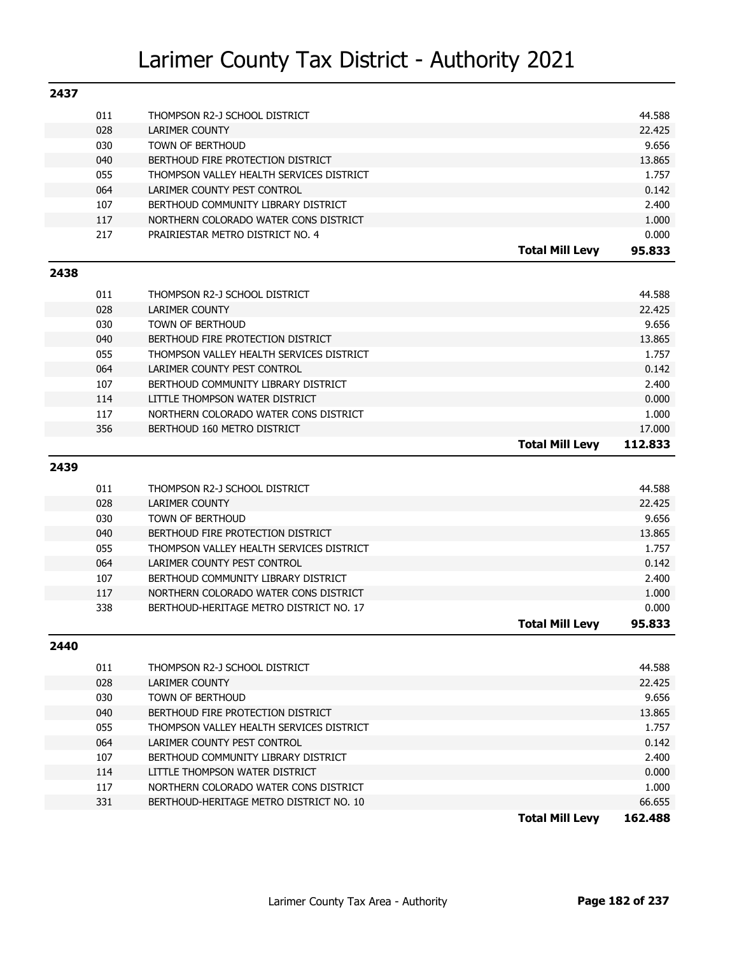| 011<br>44.588<br>THOMPSON R2-J SCHOOL DISTRICT<br>028<br>22.425<br><b>LARIMER COUNTY</b><br>030<br><b>TOWN OF BERTHOUD</b><br>9.656<br>040<br>BERTHOUD FIRE PROTECTION DISTRICT<br>13.865<br>055<br>THOMPSON VALLEY HEALTH SERVICES DISTRICT<br>1.757<br>064<br>LARIMER COUNTY PEST CONTROL<br>0.142<br>107<br>BERTHOUD COMMUNITY LIBRARY DISTRICT<br>2.400<br>117<br>NORTHERN COLORADO WATER CONS DISTRICT<br>1.000<br>217<br>PRAIRIESTAR METRO DISTRICT NO. 4<br>0.000<br><b>Total Mill Levy</b><br>95.833 |
|--------------------------------------------------------------------------------------------------------------------------------------------------------------------------------------------------------------------------------------------------------------------------------------------------------------------------------------------------------------------------------------------------------------------------------------------------------------------------------------------------------------|
|                                                                                                                                                                                                                                                                                                                                                                                                                                                                                                              |
|                                                                                                                                                                                                                                                                                                                                                                                                                                                                                                              |
|                                                                                                                                                                                                                                                                                                                                                                                                                                                                                                              |
|                                                                                                                                                                                                                                                                                                                                                                                                                                                                                                              |
|                                                                                                                                                                                                                                                                                                                                                                                                                                                                                                              |
|                                                                                                                                                                                                                                                                                                                                                                                                                                                                                                              |
|                                                                                                                                                                                                                                                                                                                                                                                                                                                                                                              |
|                                                                                                                                                                                                                                                                                                                                                                                                                                                                                                              |
|                                                                                                                                                                                                                                                                                                                                                                                                                                                                                                              |
|                                                                                                                                                                                                                                                                                                                                                                                                                                                                                                              |
| 2438                                                                                                                                                                                                                                                                                                                                                                                                                                                                                                         |
| 011<br>44.588<br>THOMPSON R2-J SCHOOL DISTRICT                                                                                                                                                                                                                                                                                                                                                                                                                                                               |
| 028<br>22.425<br><b>LARIMER COUNTY</b>                                                                                                                                                                                                                                                                                                                                                                                                                                                                       |
| 030<br><b>TOWN OF BERTHOUD</b><br>9.656                                                                                                                                                                                                                                                                                                                                                                                                                                                                      |
| 040<br>BERTHOUD FIRE PROTECTION DISTRICT<br>13.865                                                                                                                                                                                                                                                                                                                                                                                                                                                           |
| 055<br>THOMPSON VALLEY HEALTH SERVICES DISTRICT<br>1.757                                                                                                                                                                                                                                                                                                                                                                                                                                                     |
| 064<br>0.142<br>LARIMER COUNTY PEST CONTROL                                                                                                                                                                                                                                                                                                                                                                                                                                                                  |
| 107<br>BERTHOUD COMMUNITY LIBRARY DISTRICT<br>2.400                                                                                                                                                                                                                                                                                                                                                                                                                                                          |
| 114<br>0.000<br>LITTLE THOMPSON WATER DISTRICT                                                                                                                                                                                                                                                                                                                                                                                                                                                               |
| 117<br>NORTHERN COLORADO WATER CONS DISTRICT<br>1.000                                                                                                                                                                                                                                                                                                                                                                                                                                                        |
| 356<br>17.000<br>BERTHOUD 160 METRO DISTRICT                                                                                                                                                                                                                                                                                                                                                                                                                                                                 |
| <b>Total Mill Levy</b><br>112.833                                                                                                                                                                                                                                                                                                                                                                                                                                                                            |
| 2439                                                                                                                                                                                                                                                                                                                                                                                                                                                                                                         |
| 011<br>44.588<br>THOMPSON R2-J SCHOOL DISTRICT                                                                                                                                                                                                                                                                                                                                                                                                                                                               |
| 028<br><b>LARIMER COUNTY</b><br>22.425                                                                                                                                                                                                                                                                                                                                                                                                                                                                       |
| 030<br><b>TOWN OF BERTHOUD</b><br>9.656                                                                                                                                                                                                                                                                                                                                                                                                                                                                      |
| 040<br>BERTHOUD FIRE PROTECTION DISTRICT<br>13.865                                                                                                                                                                                                                                                                                                                                                                                                                                                           |
| 055<br>THOMPSON VALLEY HEALTH SERVICES DISTRICT<br>1.757                                                                                                                                                                                                                                                                                                                                                                                                                                                     |
| 0.142<br>064<br>LARIMER COUNTY PEST CONTROL                                                                                                                                                                                                                                                                                                                                                                                                                                                                  |
| 107<br>BERTHOUD COMMUNITY LIBRARY DISTRICT<br>2.400                                                                                                                                                                                                                                                                                                                                                                                                                                                          |
| 117<br>NORTHERN COLORADO WATER CONS DISTRICT<br>1.000                                                                                                                                                                                                                                                                                                                                                                                                                                                        |
| 338<br>0.000<br>BERTHOUD-HERITAGE METRO DISTRICT NO. 17                                                                                                                                                                                                                                                                                                                                                                                                                                                      |
| <b>Total Mill Levy</b><br>95.833                                                                                                                                                                                                                                                                                                                                                                                                                                                                             |
| 2440                                                                                                                                                                                                                                                                                                                                                                                                                                                                                                         |
| 011<br>THOMPSON R2-J SCHOOL DISTRICT<br>44.588                                                                                                                                                                                                                                                                                                                                                                                                                                                               |
| 028<br><b>LARIMER COUNTY</b><br>22.425                                                                                                                                                                                                                                                                                                                                                                                                                                                                       |
| 030<br>9.656<br>TOWN OF BERTHOUD                                                                                                                                                                                                                                                                                                                                                                                                                                                                             |
| 040<br>BERTHOUD FIRE PROTECTION DISTRICT<br>13.865                                                                                                                                                                                                                                                                                                                                                                                                                                                           |
| 055<br>THOMPSON VALLEY HEALTH SERVICES DISTRICT<br>1.757                                                                                                                                                                                                                                                                                                                                                                                                                                                     |
| 064<br>0.142<br>LARIMER COUNTY PEST CONTROL                                                                                                                                                                                                                                                                                                                                                                                                                                                                  |
| 107<br>BERTHOUD COMMUNITY LIBRARY DISTRICT<br>2.400                                                                                                                                                                                                                                                                                                                                                                                                                                                          |
| 114<br>LITTLE THOMPSON WATER DISTRICT<br>0.000                                                                                                                                                                                                                                                                                                                                                                                                                                                               |
| 117<br>NORTHERN COLORADO WATER CONS DISTRICT<br>1.000                                                                                                                                                                                                                                                                                                                                                                                                                                                        |
| 331<br>66.655<br>BERTHOUD-HERITAGE METRO DISTRICT NO. 10                                                                                                                                                                                                                                                                                                                                                                                                                                                     |
| <b>Total Mill Levy</b><br>162.488                                                                                                                                                                                                                                                                                                                                                                                                                                                                            |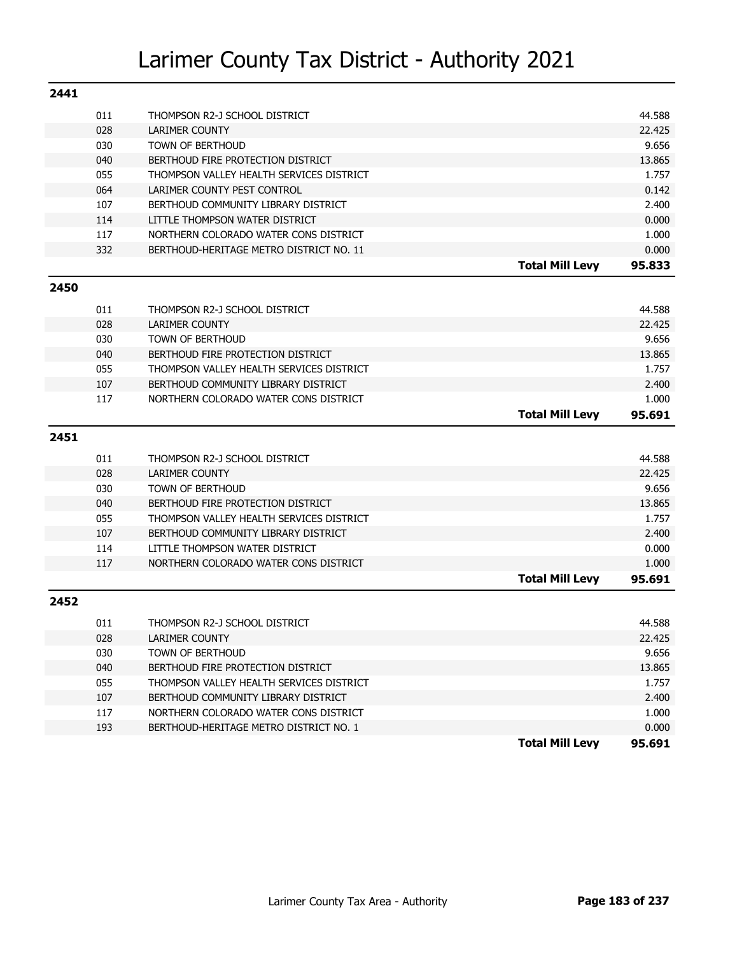| 2441 |     |                                          |                        |        |
|------|-----|------------------------------------------|------------------------|--------|
|      | 011 | THOMPSON R2-J SCHOOL DISTRICT            |                        | 44.588 |
|      | 028 | <b>LARIMER COUNTY</b>                    |                        | 22.425 |
|      | 030 | TOWN OF BERTHOUD                         |                        | 9.656  |
|      | 040 | BERTHOUD FIRE PROTECTION DISTRICT        |                        | 13.865 |
|      | 055 | THOMPSON VALLEY HEALTH SERVICES DISTRICT |                        | 1.757  |
|      | 064 | LARIMER COUNTY PEST CONTROL              |                        | 0.142  |
|      | 107 | BERTHOUD COMMUNITY LIBRARY DISTRICT      |                        | 2.400  |
|      | 114 | LITTLE THOMPSON WATER DISTRICT           |                        | 0.000  |
|      | 117 | NORTHERN COLORADO WATER CONS DISTRICT    |                        | 1.000  |
|      | 332 | BERTHOUD-HERITAGE METRO DISTRICT NO. 11  |                        | 0.000  |
|      |     |                                          | <b>Total Mill Levy</b> | 95.833 |
| 2450 |     |                                          |                        |        |
|      | 011 | THOMPSON R2-J SCHOOL DISTRICT            |                        | 44.588 |
|      | 028 | <b>LARIMER COUNTY</b>                    |                        | 22.425 |
|      | 030 | TOWN OF BERTHOUD                         |                        | 9.656  |
|      | 040 | BERTHOUD FIRE PROTECTION DISTRICT        |                        | 13.865 |
|      | 055 | THOMPSON VALLEY HEALTH SERVICES DISTRICT |                        | 1.757  |
|      | 107 | BERTHOUD COMMUNITY LIBRARY DISTRICT      |                        | 2.400  |
|      | 117 | NORTHERN COLORADO WATER CONS DISTRICT    |                        | 1.000  |
|      |     |                                          | <b>Total Mill Levy</b> | 95.691 |
| 2451 |     |                                          |                        |        |
|      | 011 | THOMPSON R2-J SCHOOL DISTRICT            |                        | 44.588 |
|      | 028 | <b>LARIMER COUNTY</b>                    |                        | 22.425 |
|      | 030 | TOWN OF BERTHOUD                         |                        | 9.656  |
|      | 040 | BERTHOUD FIRE PROTECTION DISTRICT        |                        | 13.865 |
|      | 055 | THOMPSON VALLEY HEALTH SERVICES DISTRICT |                        | 1.757  |
|      | 107 | BERTHOUD COMMUNITY LIBRARY DISTRICT      |                        | 2.400  |
|      | 114 | LITTLE THOMPSON WATER DISTRICT           |                        | 0.000  |
|      | 117 | NORTHERN COLORADO WATER CONS DISTRICT    |                        | 1.000  |
|      |     |                                          | <b>Total Mill Levy</b> | 95.691 |
| 2452 |     |                                          |                        |        |
|      |     |                                          |                        |        |
|      | 011 | THOMPSON R2-J SCHOOL DISTRICT            |                        | 44.588 |
|      | 028 | LARIMER COUNTY                           |                        | 22.425 |
|      | 030 | TOWN OF BERTHOUD                         |                        | 9.656  |
|      | 040 | BERTHOUD FIRE PROTECTION DISTRICT        |                        | 13.865 |
|      | 055 | THOMPSON VALLEY HEALTH SERVICES DISTRICT |                        | 1.757  |
|      | 107 | BERTHOUD COMMUNITY LIBRARY DISTRICT      |                        | 2.400  |
|      | 117 | NORTHERN COLORADO WATER CONS DISTRICT    |                        | 1.000  |
|      | 193 | BERTHOUD-HERITAGE METRO DISTRICT NO. 1   |                        | 0.000  |
|      |     |                                          | <b>Total Mill Levy</b> | 95.691 |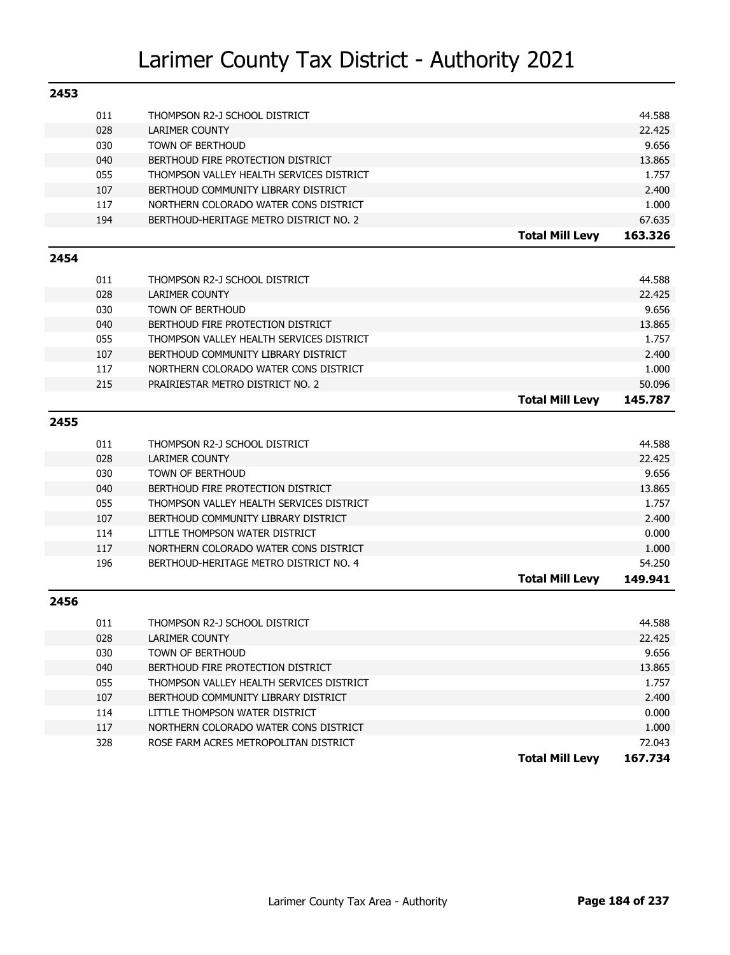| 2453 |     |                                          |                        |         |
|------|-----|------------------------------------------|------------------------|---------|
|      | 011 | THOMPSON R2-J SCHOOL DISTRICT            |                        | 44.588  |
|      | 028 | LARIMER COUNTY                           |                        | 22.425  |
|      | 030 | <b>TOWN OF BERTHOUD</b>                  |                        | 9.656   |
|      | 040 | BERTHOUD FIRE PROTECTION DISTRICT        |                        | 13.865  |
|      | 055 | THOMPSON VALLEY HEALTH SERVICES DISTRICT |                        | 1.757   |
|      | 107 | BERTHOUD COMMUNITY LIBRARY DISTRICT      |                        | 2.400   |
|      | 117 | NORTHERN COLORADO WATER CONS DISTRICT    |                        | 1.000   |
|      | 194 | BERTHOUD-HERITAGE METRO DISTRICT NO. 2   |                        | 67.635  |
|      |     |                                          | <b>Total Mill Levy</b> | 163.326 |
| 2454 |     |                                          |                        |         |
|      | 011 | THOMPSON R2-J SCHOOL DISTRICT            |                        | 44.588  |
|      | 028 | <b>LARIMER COUNTY</b>                    |                        | 22.425  |
|      | 030 | <b>TOWN OF BERTHOUD</b>                  |                        | 9.656   |
|      | 040 | BERTHOUD FIRE PROTECTION DISTRICT        |                        | 13.865  |
|      | 055 | THOMPSON VALLEY HEALTH SERVICES DISTRICT |                        | 1.757   |
|      | 107 | BERTHOUD COMMUNITY LIBRARY DISTRICT      |                        | 2.400   |
|      | 117 | NORTHERN COLORADO WATER CONS DISTRICT    |                        | 1.000   |
|      | 215 | PRAIRIESTAR METRO DISTRICT NO. 2         |                        | 50.096  |
|      |     |                                          | <b>Total Mill Levy</b> | 145.787 |
| 2455 |     |                                          |                        |         |
|      | 011 | THOMPSON R2-J SCHOOL DISTRICT            |                        | 44.588  |
|      | 028 | <b>LARIMER COUNTY</b>                    |                        | 22.425  |
|      | 030 | <b>TOWN OF BERTHOUD</b>                  |                        | 9.656   |
|      | 040 | BERTHOUD FIRE PROTECTION DISTRICT        |                        | 13.865  |
|      | 055 | THOMPSON VALLEY HEALTH SERVICES DISTRICT |                        | 1.757   |
|      | 107 | BERTHOUD COMMUNITY LIBRARY DISTRICT      |                        | 2.400   |
|      | 114 | LITTLE THOMPSON WATER DISTRICT           |                        | 0.000   |
|      | 117 | NORTHERN COLORADO WATER CONS DISTRICT    |                        | 1.000   |
|      | 196 | BERTHOUD-HERITAGE METRO DISTRICT NO. 4   |                        | 54.250  |
|      |     |                                          | <b>Total Mill Levy</b> | 149.941 |
| 2456 |     |                                          |                        |         |
|      | 011 | THOMPSON R2-J SCHOOL DISTRICT            |                        | 44.588  |
|      | 028 | <b>LARIMER COUNTY</b>                    |                        | 22.425  |
|      | 030 | TOWN OF BERTHOUD                         |                        | 9.656   |
|      | 040 | BERTHOUD FIRE PROTECTION DISTRICT        |                        | 13.865  |
|      | 055 | THOMPSON VALLEY HEALTH SERVICES DISTRICT |                        | 1.757   |
|      | 107 | BERTHOUD COMMUNITY LIBRARY DISTRICT      |                        | 2.400   |
|      | 114 | LITTLE THOMPSON WATER DISTRICT           |                        | 0.000   |
|      | 117 | NORTHERN COLORADO WATER CONS DISTRICT    |                        | 1.000   |
|      | 328 | ROSE FARM ACRES METROPOLITAN DISTRICT    |                        | 72.043  |
|      |     |                                          | <b>Total Mill Levy</b> | 167.734 |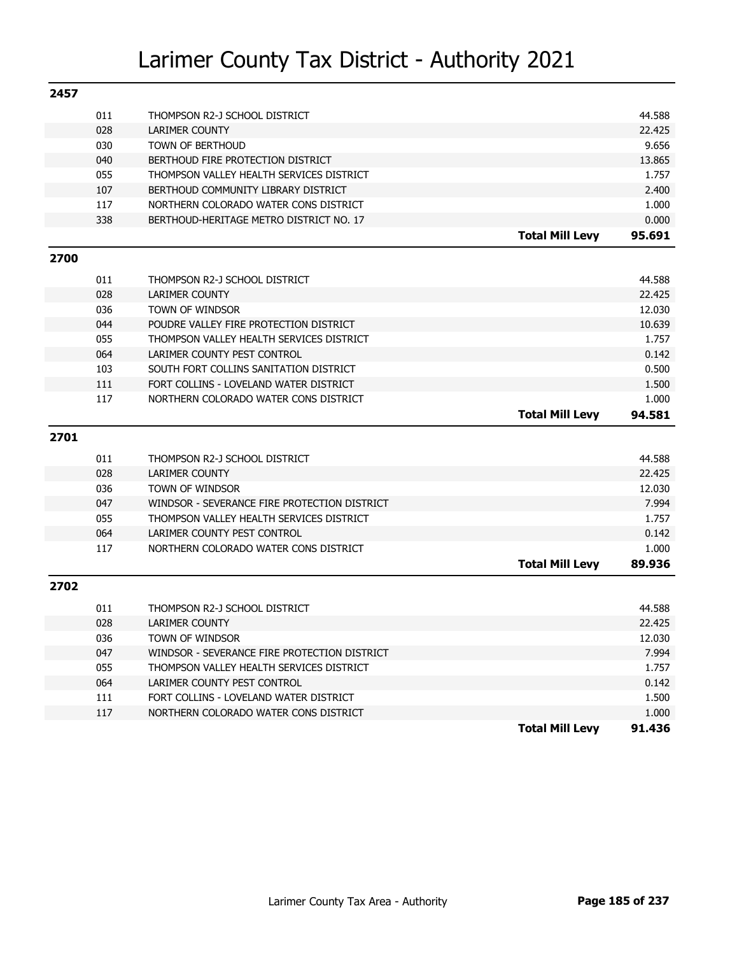|      |            |                                                                                 | <b>Total Mill Levy</b> | 91.436          |
|------|------------|---------------------------------------------------------------------------------|------------------------|-----------------|
|      | 117        | NORTHERN COLORADO WATER CONS DISTRICT                                           |                        | 1.000           |
|      | 111        | FORT COLLINS - LOVELAND WATER DISTRICT                                          |                        | 1.500           |
|      | 064        | LARIMER COUNTY PEST CONTROL                                                     |                        | 0.142           |
|      | 055        | THOMPSON VALLEY HEALTH SERVICES DISTRICT                                        |                        | 1.757           |
|      | 047        | WINDSOR - SEVERANCE FIRE PROTECTION DISTRICT                                    |                        | 7.994           |
|      | 036        | TOWN OF WINDSOR                                                                 |                        | 12.030          |
|      | 028        | <b>LARIMER COUNTY</b>                                                           |                        | 22.425          |
|      | 011        | THOMPSON R2-J SCHOOL DISTRICT                                                   |                        | 44.588          |
| 2702 |            |                                                                                 |                        |                 |
|      |            |                                                                                 | <b>Total Mill Levy</b> | 89.936          |
|      | 117        | NORTHERN COLORADO WATER CONS DISTRICT                                           |                        | 1.000           |
|      | 064        | LARIMER COUNTY PEST CONTROL                                                     |                        | 0.142           |
|      | 055        | THOMPSON VALLEY HEALTH SERVICES DISTRICT                                        |                        | 1.757           |
|      | 047        | WINDSOR - SEVERANCE FIRE PROTECTION DISTRICT                                    |                        | 7.994           |
|      | 036        | <b>TOWN OF WINDSOR</b>                                                          |                        | 12.030          |
|      | 028        | <b>LARIMER COUNTY</b>                                                           |                        | 22.425          |
|      | 011        | THOMPSON R2-J SCHOOL DISTRICT                                                   |                        | 44.588          |
|      |            |                                                                                 |                        |                 |
| 2701 |            |                                                                                 |                        |                 |
|      |            |                                                                                 | <b>Total Mill Levy</b> | 1.000<br>94.581 |
|      | 111<br>117 | FORT COLLINS - LOVELAND WATER DISTRICT<br>NORTHERN COLORADO WATER CONS DISTRICT |                        | 1.500           |
|      | 103        | SOUTH FORT COLLINS SANITATION DISTRICT                                          |                        | 0.500           |
|      | 064        | LARIMER COUNTY PEST CONTROL                                                     |                        | 0.142           |
|      | 055        | THOMPSON VALLEY HEALTH SERVICES DISTRICT                                        |                        | 1.757           |
|      | 044        | POUDRE VALLEY FIRE PROTECTION DISTRICT                                          |                        | 10.639          |
|      | 036        | <b>TOWN OF WINDSOR</b>                                                          |                        | 12.030          |
|      | 028        | <b>LARIMER COUNTY</b>                                                           |                        | 22.425          |
|      | 011        | THOMPSON R2-J SCHOOL DISTRICT                                                   |                        | 44.588          |
| 2700 |            |                                                                                 |                        |                 |
|      |            |                                                                                 |                        |                 |
|      | 338        | BERTHOUD-HERITAGE METRO DISTRICT NO. 17                                         | <b>Total Mill Levy</b> | 0.000<br>95.691 |
|      | 117        |                                                                                 |                        | 1.000           |
|      | 107        | BERTHOUD COMMUNITY LIBRARY DISTRICT<br>NORTHERN COLORADO WATER CONS DISTRICT    |                        | 2.400           |
|      | 055        | THOMPSON VALLEY HEALTH SERVICES DISTRICT                                        |                        | 1.757           |
|      | 040        | BERTHOUD FIRE PROTECTION DISTRICT                                               |                        | 13.865          |
|      | 030        | <b>TOWN OF BERTHOUD</b>                                                         |                        | 9.656           |
|      | 028        | <b>LARIMER COUNTY</b>                                                           |                        | 22.425          |
|      | 011        | THOMPSON R2-J SCHOOL DISTRICT                                                   |                        | 44.588          |
| 2457 |            |                                                                                 |                        |                 |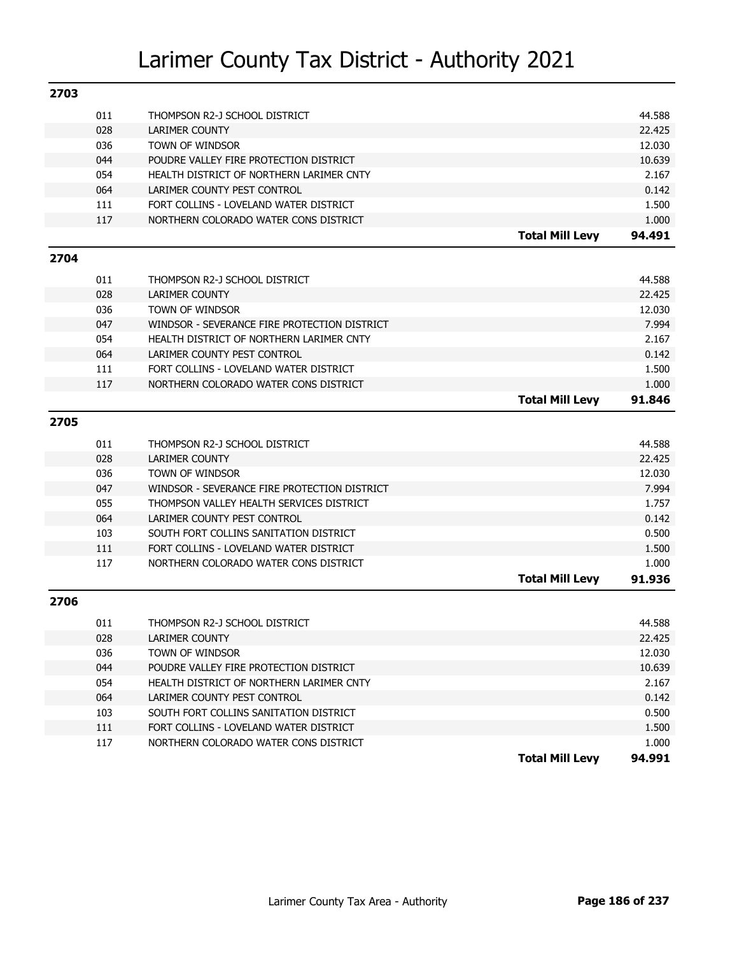| 2703 |     |                                              |                        |        |
|------|-----|----------------------------------------------|------------------------|--------|
|      | 011 | THOMPSON R2-J SCHOOL DISTRICT                |                        | 44.588 |
|      | 028 | <b>LARIMER COUNTY</b>                        |                        | 22.425 |
|      | 036 | TOWN OF WINDSOR                              |                        | 12.030 |
|      | 044 | POUDRE VALLEY FIRE PROTECTION DISTRICT       |                        | 10.639 |
|      | 054 | HEALTH DISTRICT OF NORTHERN LARIMER CNTY     |                        | 2.167  |
|      | 064 | LARIMER COUNTY PEST CONTROL                  |                        | 0.142  |
|      | 111 | FORT COLLINS - LOVELAND WATER DISTRICT       |                        | 1.500  |
|      | 117 | NORTHERN COLORADO WATER CONS DISTRICT        |                        | 1.000  |
|      |     |                                              | <b>Total Mill Levy</b> | 94.491 |
| 2704 |     |                                              |                        |        |
|      | 011 | THOMPSON R2-J SCHOOL DISTRICT                |                        | 44.588 |
|      | 028 | <b>LARIMER COUNTY</b>                        |                        | 22.425 |
|      | 036 | TOWN OF WINDSOR                              |                        | 12.030 |
|      | 047 | WINDSOR - SEVERANCE FIRE PROTECTION DISTRICT |                        | 7.994  |
|      | 054 | HEALTH DISTRICT OF NORTHERN LARIMER CNTY     |                        | 2.167  |
|      | 064 | LARIMER COUNTY PEST CONTROL                  |                        | 0.142  |
|      | 111 | FORT COLLINS - LOVELAND WATER DISTRICT       |                        | 1.500  |
|      | 117 | NORTHERN COLORADO WATER CONS DISTRICT        |                        | 1.000  |
|      |     |                                              | <b>Total Mill Levy</b> | 91.846 |
|      |     |                                              |                        |        |
| 2705 |     |                                              |                        |        |
|      | 011 | THOMPSON R2-J SCHOOL DISTRICT                |                        | 44.588 |
|      | 028 | <b>LARIMER COUNTY</b>                        |                        | 22.425 |
|      | 036 | TOWN OF WINDSOR                              |                        | 12.030 |
|      | 047 | WINDSOR - SEVERANCE FIRE PROTECTION DISTRICT |                        | 7.994  |
|      | 055 | THOMPSON VALLEY HEALTH SERVICES DISTRICT     |                        | 1.757  |
|      | 064 | LARIMER COUNTY PEST CONTROL                  |                        | 0.142  |
|      | 103 | SOUTH FORT COLLINS SANITATION DISTRICT       |                        | 0.500  |
|      | 111 | FORT COLLINS - LOVELAND WATER DISTRICT       |                        | 1.500  |
|      | 117 | NORTHERN COLORADO WATER CONS DISTRICT        |                        | 1.000  |
|      |     |                                              | <b>Total Mill Levy</b> | 91.936 |
| 2706 |     |                                              |                        |        |
|      | 011 | THOMPSON R2-J SCHOOL DISTRICT                |                        | 44.588 |
|      | 028 | LARIMER COUNTY                               |                        | 22.425 |
|      | 036 | TOWN OF WINDSOR                              |                        | 12.030 |
|      | 044 | POUDRE VALLEY FIRE PROTECTION DISTRICT       |                        | 10.639 |
|      | 054 | HEALTH DISTRICT OF NORTHERN LARIMER CNTY     |                        | 2.167  |
|      | 064 | LARIMER COUNTY PEST CONTROL                  |                        | 0.142  |
|      | 103 | SOUTH FORT COLLINS SANITATION DISTRICT       |                        | 0.500  |
|      | 111 | FORT COLLINS - LOVELAND WATER DISTRICT       |                        | 1.500  |
|      | 117 | NORTHERN COLORADO WATER CONS DISTRICT        |                        | 1.000  |
|      |     |                                              | <b>Total Mill Levy</b> | 94.991 |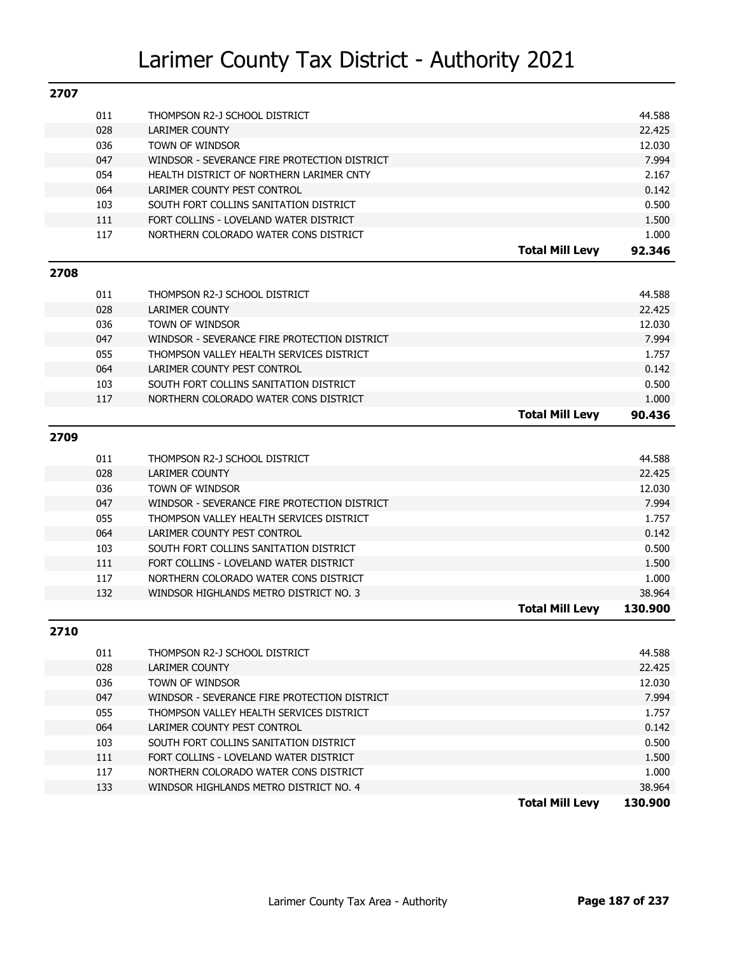| 2707 |            |                                              |                        |                  |
|------|------------|----------------------------------------------|------------------------|------------------|
|      | 011        | THOMPSON R2-J SCHOOL DISTRICT                |                        | 44.588           |
|      | 028        | <b>LARIMER COUNTY</b>                        |                        | 22.425           |
|      | 036        | TOWN OF WINDSOR                              |                        | 12.030           |
|      | 047        | WINDSOR - SEVERANCE FIRE PROTECTION DISTRICT |                        | 7.994            |
|      | 054        | HEALTH DISTRICT OF NORTHERN LARIMER CNTY     |                        | 2.167            |
|      | 064        | LARIMER COUNTY PEST CONTROL                  |                        | 0.142            |
|      | 103        | SOUTH FORT COLLINS SANITATION DISTRICT       |                        | 0.500            |
|      | 111        | FORT COLLINS - LOVELAND WATER DISTRICT       |                        | 1.500            |
|      | 117        | NORTHERN COLORADO WATER CONS DISTRICT        |                        | 1.000            |
|      |            |                                              | <b>Total Mill Levy</b> | 92.346           |
| 2708 |            |                                              |                        |                  |
|      | 011        | THOMPSON R2-J SCHOOL DISTRICT                |                        | 44.588           |
|      | 028        | <b>LARIMER COUNTY</b>                        |                        | 22.425           |
|      | 036        | TOWN OF WINDSOR                              |                        | 12.030           |
|      | 047        | WINDSOR - SEVERANCE FIRE PROTECTION DISTRICT |                        | 7.994            |
|      | 055        | THOMPSON VALLEY HEALTH SERVICES DISTRICT     |                        | 1.757            |
|      | 064        | LARIMER COUNTY PEST CONTROL                  |                        | 0.142            |
|      | 103        | SOUTH FORT COLLINS SANITATION DISTRICT       |                        | 0.500            |
|      | 117        | NORTHERN COLORADO WATER CONS DISTRICT        |                        | 1.000            |
|      |            |                                              | <b>Total Mill Levy</b> | 90.436           |
|      |            |                                              |                        |                  |
| 2709 |            |                                              |                        |                  |
|      | 011        | THOMPSON R2-J SCHOOL DISTRICT                |                        | 44.588           |
|      | 028        |                                              |                        |                  |
|      |            | <b>LARIMER COUNTY</b>                        |                        | 22.425           |
|      | 036        | TOWN OF WINDSOR                              |                        | 12.030           |
|      | 047        | WINDSOR - SEVERANCE FIRE PROTECTION DISTRICT |                        | 7.994            |
|      | 055        | THOMPSON VALLEY HEALTH SERVICES DISTRICT     |                        | 1.757            |
|      | 064        | LARIMER COUNTY PEST CONTROL                  |                        | 0.142            |
|      | 103        | SOUTH FORT COLLINS SANITATION DISTRICT       |                        | 0.500            |
|      | 111        | FORT COLLINS - LOVELAND WATER DISTRICT       |                        | 1.500            |
|      | 117        | NORTHERN COLORADO WATER CONS DISTRICT        |                        | 1.000            |
|      | 132        | WINDSOR HIGHLANDS METRO DISTRICT NO. 3       |                        | 38.964           |
|      |            |                                              | <b>Total Mill Levy</b> | 130.900          |
| 2710 |            |                                              |                        |                  |
|      |            |                                              |                        |                  |
|      | 011        | THOMPSON R2-J SCHOOL DISTRICT                |                        | 44.588           |
|      | 028<br>036 | LARIMER COUNTY<br>TOWN OF WINDSOR            |                        | 22.425<br>12.030 |
|      |            | WINDSOR - SEVERANCE FIRE PROTECTION DISTRICT |                        | 7.994            |
|      | 047        | THOMPSON VALLEY HEALTH SERVICES DISTRICT     |                        | 1.757            |
|      | 055        | LARIMER COUNTY PEST CONTROL                  |                        |                  |
|      | 064<br>103 | SOUTH FORT COLLINS SANITATION DISTRICT       |                        | 0.142<br>0.500   |

117 NORTHERN COLORADO WATER CONS DISTRICT 1.000 133 WINDSOR HIGHLANDS METRO DISTRICT NO. 4 38.964

**Total Mill Levy 130.900**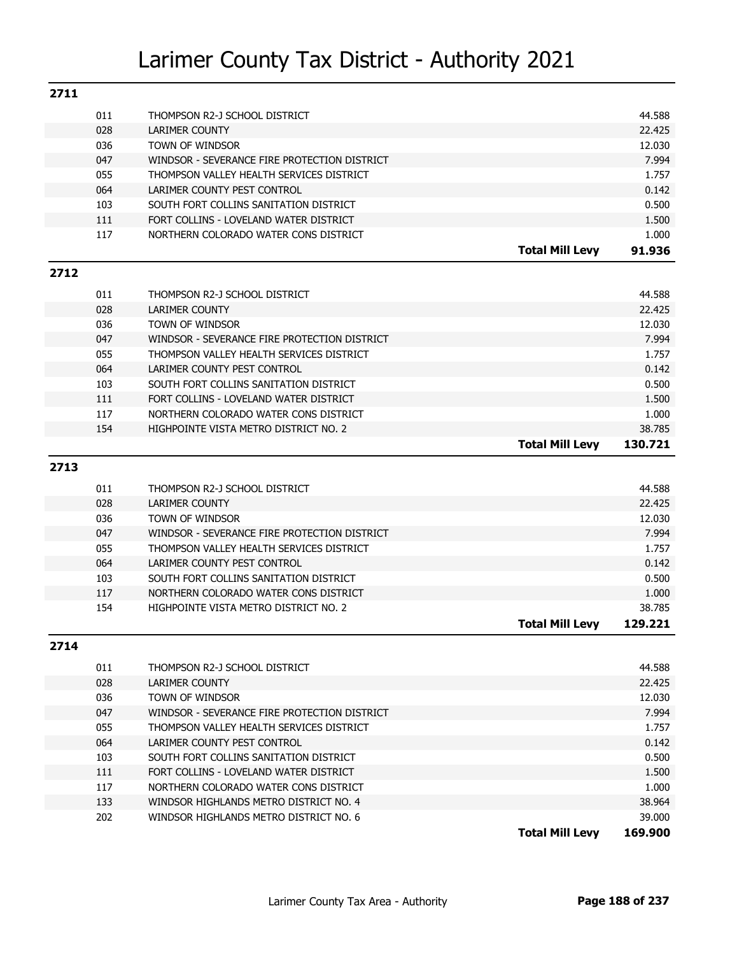| 2711 |     |                                              |                        |         |
|------|-----|----------------------------------------------|------------------------|---------|
|      | 011 | THOMPSON R2-J SCHOOL DISTRICT                |                        | 44.588  |
|      | 028 | LARIMER COUNTY                               |                        | 22.425  |
|      | 036 | TOWN OF WINDSOR                              |                        | 12.030  |
|      | 047 | WINDSOR - SEVERANCE FIRE PROTECTION DISTRICT |                        | 7.994   |
|      | 055 | THOMPSON VALLEY HEALTH SERVICES DISTRICT     |                        | 1.757   |
|      | 064 | LARIMER COUNTY PEST CONTROL                  |                        | 0.142   |
|      | 103 | SOUTH FORT COLLINS SANITATION DISTRICT       |                        | 0.500   |
|      | 111 | FORT COLLINS - LOVELAND WATER DISTRICT       |                        | 1.500   |
|      | 117 | NORTHERN COLORADO WATER CONS DISTRICT        |                        | 1.000   |
|      |     |                                              | <b>Total Mill Levy</b> | 91.936  |
| 2712 |     |                                              |                        |         |
|      | 011 | THOMPSON R2-J SCHOOL DISTRICT                |                        | 44.588  |
|      | 028 | LARIMER COUNTY                               |                        | 22.425  |
|      | 036 | TOWN OF WINDSOR                              |                        | 12.030  |
|      | 047 | WINDSOR - SEVERANCE FIRE PROTECTION DISTRICT |                        | 7.994   |
|      | 055 | THOMPSON VALLEY HEALTH SERVICES DISTRICT     |                        | 1.757   |
|      | 064 | LARIMER COUNTY PEST CONTROL                  |                        | 0.142   |
|      | 103 | SOUTH FORT COLLINS SANITATION DISTRICT       |                        | 0.500   |
|      | 111 | FORT COLLINS - LOVELAND WATER DISTRICT       |                        | 1.500   |
|      | 117 | NORTHERN COLORADO WATER CONS DISTRICT        |                        | 1.000   |
|      | 154 | HIGHPOINTE VISTA METRO DISTRICT NO. 2        |                        | 38.785  |
|      |     |                                              | <b>Total Mill Levy</b> | 130.721 |
|      |     |                                              |                        |         |
| 2713 |     |                                              |                        |         |
|      | 011 | THOMPSON R2-J SCHOOL DISTRICT                |                        | 44.588  |
|      | 028 | <b>LARIMER COUNTY</b>                        |                        | 22.425  |
|      | 036 | TOWN OF WINDSOR                              |                        | 12.030  |
|      | 047 | WINDSOR - SEVERANCE FIRE PROTECTION DISTRICT |                        | 7.994   |
|      | 055 | THOMPSON VALLEY HEALTH SERVICES DISTRICT     |                        | 1.757   |
|      | 064 | LARIMER COUNTY PEST CONTROL                  |                        | 0.142   |
|      | 103 | SOUTH FORT COLLINS SANITATION DISTRICT       |                        | 0.500   |
|      | 117 | NORTHERN COLORADO WATER CONS DISTRICT        |                        | 1.000   |
|      | 154 | HIGHPOINTE VISTA METRO DISTRICT NO. 2        |                        | 38.785  |
|      |     |                                              | <b>Total Mill Levy</b> | 129.221 |
| 2714 |     |                                              |                        |         |
|      | 011 | THOMPSON R2-J SCHOOL DISTRICT                |                        | 44.588  |
|      | 028 | LARIMER COUNTY                               |                        | 22.425  |
|      | 036 | TOWN OF WINDSOR                              |                        | 12.030  |
|      | 047 | WINDSOR - SEVERANCE FIRE PROTECTION DISTRICT |                        | 7.994   |
|      | 055 | THOMPSON VALLEY HEALTH SERVICES DISTRICT     |                        | 1.757   |
|      | 064 | LARIMER COUNTY PEST CONTROL                  |                        | 0.142   |
|      | 103 | SOUTH FORT COLLINS SANITATION DISTRICT       |                        | 0.500   |
|      | 111 | FORT COLLINS - LOVELAND WATER DISTRICT       |                        | 1.500   |
|      | 117 | NORTHERN COLORADO WATER CONS DISTRICT        |                        | 1.000   |
|      | 133 | WINDSOR HIGHLANDS METRO DISTRICT NO. 4       |                        | 38.964  |
|      | 202 | WINDSOR HIGHLANDS METRO DISTRICT NO. 6       |                        | 39.000  |
|      |     |                                              | <b>Total Mill Levy</b> | 169.900 |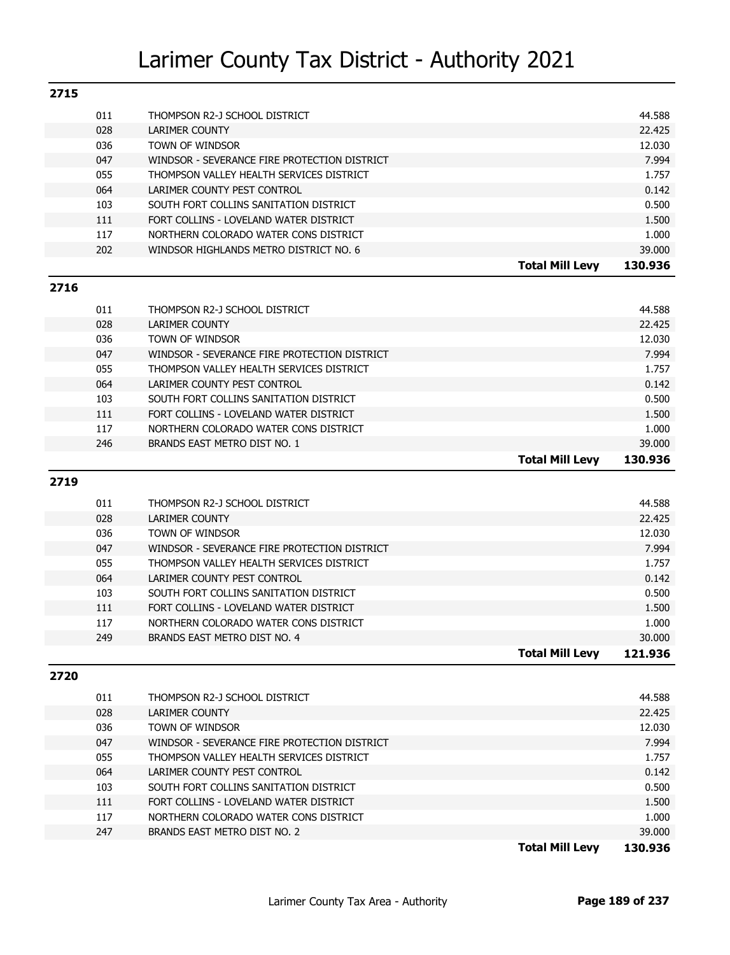| 2715         |     |                                              |                        |         |
|--------------|-----|----------------------------------------------|------------------------|---------|
|              | 011 | THOMPSON R2-J SCHOOL DISTRICT                |                        | 44.588  |
|              | 028 | LARIMER COUNTY                               |                        | 22.425  |
|              | 036 | TOWN OF WINDSOR                              |                        | 12.030  |
|              | 047 | WINDSOR - SEVERANCE FIRE PROTECTION DISTRICT |                        | 7.994   |
|              | 055 | THOMPSON VALLEY HEALTH SERVICES DISTRICT     |                        | 1.757   |
|              | 064 | LARIMER COUNTY PEST CONTROL                  |                        | 0.142   |
|              | 103 | SOUTH FORT COLLINS SANITATION DISTRICT       |                        | 0.500   |
|              | 111 | FORT COLLINS - LOVELAND WATER DISTRICT       |                        | 1.500   |
|              | 117 | NORTHERN COLORADO WATER CONS DISTRICT        |                        | 1.000   |
|              | 202 | WINDSOR HIGHLANDS METRO DISTRICT NO. 6       |                        | 39.000  |
|              |     |                                              | <b>Total Mill Levy</b> | 130.936 |
| 771 <i>c</i> |     |                                              |                        |         |

#### **2716**

|     |                                              | <b>Total Mill Levv</b> | 130.936 |
|-----|----------------------------------------------|------------------------|---------|
| 246 | BRANDS EAST METRO DIST NO. 1                 |                        | 39.000  |
| 117 | NORTHERN COLORADO WATER CONS DISTRICT        |                        | 1.000   |
| 111 | FORT COLLINS - LOVELAND WATER DISTRICT       |                        | 1.500   |
| 103 | SOUTH FORT COLLINS SANITATION DISTRICT       |                        | 0.500   |
| 064 | LARIMER COUNTY PEST CONTROL                  |                        | 0.142   |
| 055 | THOMPSON VALLEY HEALTH SERVICES DISTRICT     |                        | 1.757   |
| 047 | WINDSOR - SEVERANCE FIRE PROTECTION DISTRICT |                        | 7.994   |
| 036 | TOWN OF WINDSOR                              |                        | 12.030  |
| 028 | LARIMER COUNTY                               |                        | 22.425  |
| 011 | THOMPSON R2-J SCHOOL DISTRICT                |                        | 44.588  |
|     |                                              |                        |         |

#### **2719**

| 011<br>THOMPSON R2-J SCHOOL DISTRICT                | 44.588  |
|-----------------------------------------------------|---------|
| 028<br>LARIMER COUNTY                               | 22.425  |
| 036<br><b>TOWN OF WINDSOR</b>                       | 12.030  |
| 047<br>WINDSOR - SEVERANCE FIRE PROTECTION DISTRICT | 7.994   |
| 055<br>THOMPSON VALLEY HEALTH SERVICES DISTRICT     | 1.757   |
| 064<br>LARIMER COUNTY PEST CONTROL                  | 0.142   |
| 103<br>SOUTH FORT COLLINS SANITATION DISTRICT       | 0.500   |
| 111<br>FORT COLLINS - LOVELAND WATER DISTRICT       | 1.500   |
| 117<br>NORTHERN COLORADO WATER CONS DISTRICT        | 1.000   |
| 249<br>BRANDS EAST METRO DIST NO. 4                 | 30.000  |
| <b>Total Mill Levy</b>                              | 121.936 |

#### **2720**

|     |                                              | <b>Total Mill Levv</b> | 130.936 |
|-----|----------------------------------------------|------------------------|---------|
| 247 | BRANDS EAST METRO DIST NO. 2                 |                        | 39,000  |
| 117 | NORTHERN COLORADO WATER CONS DISTRICT        |                        | 1.000   |
| 111 | FORT COLLINS - LOVELAND WATER DISTRICT       |                        | 1.500   |
| 103 | SOUTH FORT COLLINS SANITATION DISTRICT       |                        | 0.500   |
| 064 | LARIMER COUNTY PEST CONTROL                  |                        | 0.142   |
| 055 | THOMPSON VALLEY HEALTH SERVICES DISTRICT     |                        | 1.757   |
| 047 | WINDSOR - SEVERANCE FIRE PROTECTION DISTRICT |                        | 7.994   |
| 036 | <b>TOWN OF WINDSOR</b>                       |                        | 12.030  |
| 028 | LARIMER COUNTY                               |                        | 22.425  |
| 011 | THOMPSON R2-J SCHOOL DISTRICT                |                        | 44.588  |
|     |                                              |                        |         |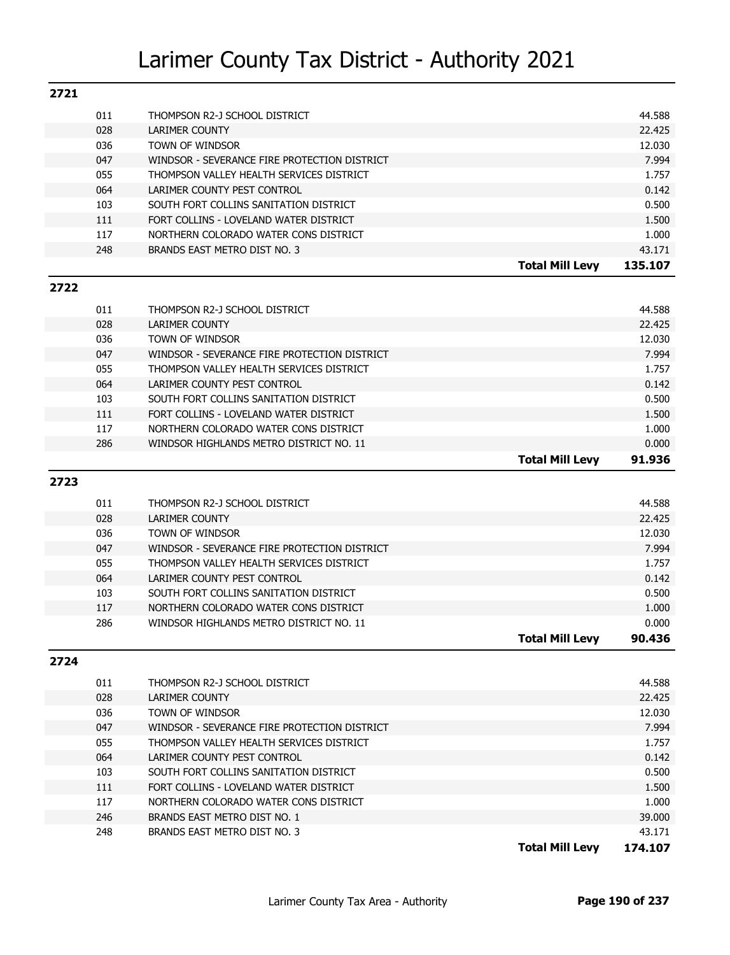| 2721 |            |                                                                                          |                        |                 |
|------|------------|------------------------------------------------------------------------------------------|------------------------|-----------------|
|      | 011        | THOMPSON R2-J SCHOOL DISTRICT                                                            |                        | 44.588          |
|      | 028        | <b>LARIMER COUNTY</b>                                                                    |                        | 22.425          |
|      | 036        | TOWN OF WINDSOR                                                                          |                        | 12.030          |
|      | 047        | WINDSOR - SEVERANCE FIRE PROTECTION DISTRICT                                             |                        | 7.994           |
|      | 055        | THOMPSON VALLEY HEALTH SERVICES DISTRICT                                                 |                        | 1.757           |
|      | 064        | LARIMER COUNTY PEST CONTROL                                                              |                        | 0.142           |
|      | 103        | SOUTH FORT COLLINS SANITATION DISTRICT                                                   |                        | 0.500           |
|      | 111        | FORT COLLINS - LOVELAND WATER DISTRICT                                                   |                        | 1.500           |
|      | 117        | NORTHERN COLORADO WATER CONS DISTRICT                                                    |                        | 1.000           |
|      | 248        | BRANDS EAST METRO DIST NO. 3                                                             |                        | 43.171          |
|      |            |                                                                                          | <b>Total Mill Levy</b> | 135.107         |
| 2722 |            |                                                                                          |                        |                 |
|      | 011        | THOMPSON R2-J SCHOOL DISTRICT                                                            |                        | 44.588          |
|      | 028        | <b>LARIMER COUNTY</b>                                                                    |                        | 22.425          |
|      | 036        | TOWN OF WINDSOR                                                                          |                        | 12.030          |
|      | 047        | WINDSOR - SEVERANCE FIRE PROTECTION DISTRICT                                             |                        | 7.994           |
|      | 055        | THOMPSON VALLEY HEALTH SERVICES DISTRICT                                                 |                        | 1.757           |
|      | 064        | LARIMER COUNTY PEST CONTROL                                                              |                        | 0.142           |
|      | 103        | SOUTH FORT COLLINS SANITATION DISTRICT                                                   |                        | 0.500           |
|      | 111        | FORT COLLINS - LOVELAND WATER DISTRICT                                                   |                        | 1.500           |
|      | 117        | NORTHERN COLORADO WATER CONS DISTRICT                                                    |                        | 1.000           |
|      | 286        | WINDSOR HIGHLANDS METRO DISTRICT NO. 11                                                  |                        | 0.000           |
|      |            |                                                                                          | <b>Total Mill Levy</b> | 91.936          |
|      |            |                                                                                          |                        |                 |
| 2723 |            |                                                                                          |                        |                 |
|      |            |                                                                                          |                        |                 |
|      | 011        | THOMPSON R2-J SCHOOL DISTRICT                                                            |                        | 44.588          |
|      | 028        | <b>LARIMER COUNTY</b>                                                                    |                        | 22.425          |
|      | 036        | TOWN OF WINDSOR                                                                          |                        | 12.030          |
|      | 047        | WINDSOR - SEVERANCE FIRE PROTECTION DISTRICT                                             |                        | 7.994           |
|      | 055        | THOMPSON VALLEY HEALTH SERVICES DISTRICT                                                 |                        | 1.757           |
|      | 064<br>103 | LARIMER COUNTY PEST CONTROL<br>SOUTH FORT COLLINS SANITATION DISTRICT                    |                        | 0.142<br>0.500  |
|      | 117        | NORTHERN COLORADO WATER CONS DISTRICT                                                    |                        | 1.000           |
|      | 286        | WINDSOR HIGHLANDS METRO DISTRICT NO. 11                                                  |                        | 0.000           |
|      |            |                                                                                          | <b>Total Mill Levy</b> | 90.436          |
| 2724 |            |                                                                                          |                        |                 |
|      |            |                                                                                          |                        |                 |
|      | 011        | THOMPSON R2-J SCHOOL DISTRICT                                                            |                        | 44.588          |
|      | 028        | LARIMER COUNTY                                                                           |                        | 22.425          |
|      | 036        | TOWN OF WINDSOR                                                                          |                        | 12.030<br>7.994 |
|      | 047<br>055 | WINDSOR - SEVERANCE FIRE PROTECTION DISTRICT<br>THOMPSON VALLEY HEALTH SERVICES DISTRICT |                        | 1.757           |
|      | 064        | LARIMER COUNTY PEST CONTROL                                                              |                        | 0.142           |
|      | 103        | SOUTH FORT COLLINS SANITATION DISTRICT                                                   |                        | 0.500           |
|      | 111        | FORT COLLINS - LOVELAND WATER DISTRICT                                                   |                        | 1.500           |
|      | 117        | NORTHERN COLORADO WATER CONS DISTRICT                                                    |                        | 1.000           |
|      | 246        | BRANDS EAST METRO DIST NO. 1                                                             |                        | 39.000          |

**Total Mill Levy 174.107**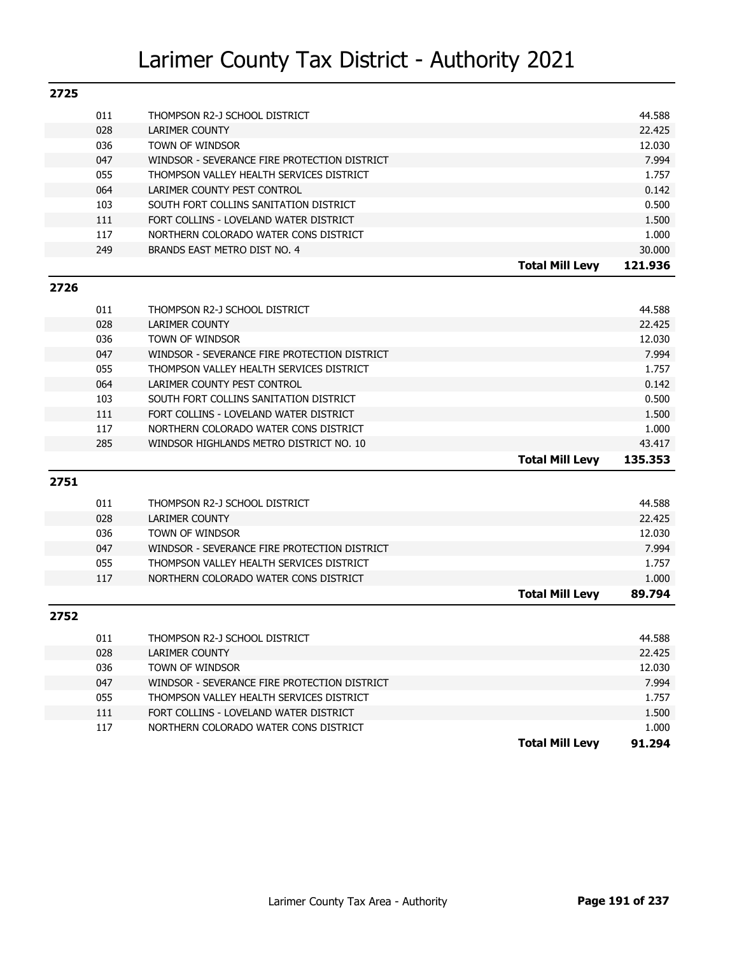| 2725 |     |                                              |                        |         |
|------|-----|----------------------------------------------|------------------------|---------|
|      | 011 | THOMPSON R2-J SCHOOL DISTRICT                |                        | 44.588  |
|      | 028 | <b>LARIMER COUNTY</b>                        |                        | 22.425  |
|      | 036 | TOWN OF WINDSOR                              |                        | 12.030  |
|      | 047 | WINDSOR - SEVERANCE FIRE PROTECTION DISTRICT |                        | 7.994   |
|      | 055 | THOMPSON VALLEY HEALTH SERVICES DISTRICT     |                        | 1.757   |
|      | 064 | LARIMER COUNTY PEST CONTROL                  |                        | 0.142   |
|      | 103 | SOUTH FORT COLLINS SANITATION DISTRICT       |                        | 0.500   |
|      | 111 | FORT COLLINS - LOVELAND WATER DISTRICT       |                        | 1.500   |
|      | 117 | NORTHERN COLORADO WATER CONS DISTRICT        |                        | 1.000   |
|      | 249 | BRANDS EAST METRO DIST NO. 4                 |                        | 30.000  |
|      |     |                                              | <b>Total Mill Levy</b> | 121.936 |
| 2726 |     |                                              |                        |         |
|      | 011 | THOMPSON R2-J SCHOOL DISTRICT                |                        | 44.588  |
|      | 028 | <b>LARIMER COUNTY</b>                        |                        | 22.425  |
|      | 036 | TOWN OF WINDSOR                              |                        | 12.030  |
|      | 047 | WINDSOR - SEVERANCE FIRE PROTECTION DISTRICT |                        | 7.994   |
|      | 055 | THOMPSON VALLEY HEALTH SERVICES DISTRICT     |                        | 1.757   |
|      | 064 | LARIMER COUNTY PEST CONTROL                  |                        | 0.142   |
|      | 103 | SOUTH FORT COLLINS SANITATION DISTRICT       |                        | 0.500   |
|      | 111 | FORT COLLINS - LOVELAND WATER DISTRICT       |                        | 1.500   |
|      | 117 | NORTHERN COLORADO WATER CONS DISTRICT        |                        | 1.000   |
|      | 285 | WINDSOR HIGHLANDS METRO DISTRICT NO. 10      |                        | 43.417  |
|      |     |                                              | <b>Total Mill Levy</b> | 135.353 |
| 2751 |     |                                              |                        |         |
|      | 011 | THOMPSON R2-J SCHOOL DISTRICT                |                        | 44.588  |
|      | 028 | <b>LARIMER COUNTY</b>                        |                        | 22.425  |
|      | 036 | TOWN OF WINDSOR                              |                        | 12.030  |
|      | 047 | WINDSOR - SEVERANCE FIRE PROTECTION DISTRICT |                        | 7.994   |
|      | 055 | THOMPSON VALLEY HEALTH SERVICES DISTRICT     |                        | 1.757   |
|      | 117 | NORTHERN COLORADO WATER CONS DISTRICT        |                        | 1.000   |
|      |     |                                              | <b>Total Mill Levy</b> | 89.794  |
| 2752 |     |                                              |                        |         |
|      | 011 | THOMPSON R2-J SCHOOL DISTRICT                |                        | 44.588  |
|      | 028 | LARIMER COUNTY                               |                        | 22.425  |
|      | 036 | TOWN OF WINDSOR                              |                        | 12.030  |
|      | 047 | WINDSOR - SEVERANCE FIRE PROTECTION DISTRICT |                        | 7.994   |
|      | 055 | THOMPSON VALLEY HEALTH SERVICES DISTRICT     |                        | 1.757   |
|      | 111 | FORT COLLINS - LOVELAND WATER DISTRICT       |                        | 1.500   |
|      | 117 | NORTHERN COLORADO WATER CONS DISTRICT        |                        | 1.000   |
|      |     |                                              | <b>Total Mill Levy</b> | 91.294  |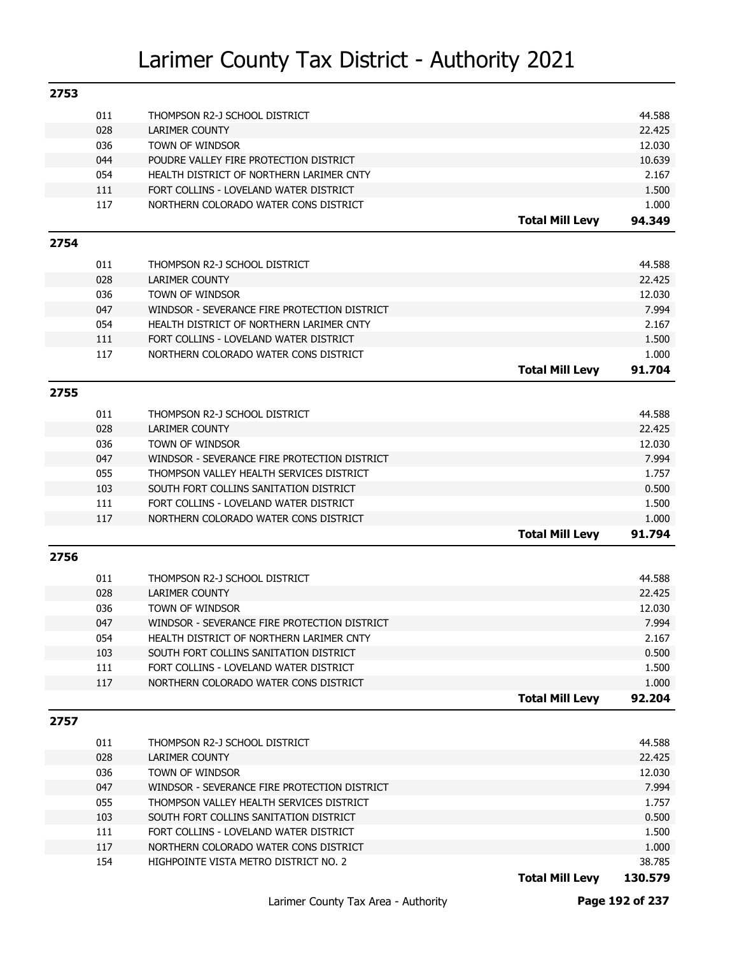| 011<br>44.588<br>THOMPSON R2-J SCHOOL DISTRICT<br>028<br>22.425<br><b>LARIMER COUNTY</b><br>036<br>TOWN OF WINDSOR<br>12.030<br>044<br>POUDRE VALLEY FIRE PROTECTION DISTRICT<br>10.639<br>054<br>HEALTH DISTRICT OF NORTHERN LARIMER CNTY<br>2.167<br>111<br>FORT COLLINS - LOVELAND WATER DISTRICT<br>1.500<br>117<br>1.000<br>NORTHERN COLORADO WATER CONS DISTRICT<br><b>Total Mill Levy</b><br>94.349<br>2754<br>011<br>44.588<br>THOMPSON R2-J SCHOOL DISTRICT<br>028<br><b>LARIMER COUNTY</b><br>22.425<br>036<br>TOWN OF WINDSOR<br>12.030<br>047<br>WINDSOR - SEVERANCE FIRE PROTECTION DISTRICT<br>7.994<br>054<br>HEALTH DISTRICT OF NORTHERN LARIMER CNTY<br>2.167<br>111<br>FORT COLLINS - LOVELAND WATER DISTRICT<br>1.500<br>117<br>NORTHERN COLORADO WATER CONS DISTRICT<br>1.000<br><b>Total Mill Levy</b><br>91.704<br>2755<br>011<br>44.588<br>THOMPSON R2-J SCHOOL DISTRICT<br>028<br><b>LARIMER COUNTY</b><br>22.425<br>036<br>TOWN OF WINDSOR<br>12.030<br>047<br>WINDSOR - SEVERANCE FIRE PROTECTION DISTRICT<br>7.994<br>055<br>THOMPSON VALLEY HEALTH SERVICES DISTRICT<br>1.757<br>0.500<br>103<br>SOUTH FORT COLLINS SANITATION DISTRICT<br>111<br>FORT COLLINS - LOVELAND WATER DISTRICT<br>1.500<br>117<br>1.000<br>NORTHERN COLORADO WATER CONS DISTRICT<br><b>Total Mill Levy</b><br>91.794<br>2756<br>011<br>44.588<br>THOMPSON R2-J SCHOOL DISTRICT<br><b>LARIMER COUNTY</b><br>028<br>22.425<br>036<br>TOWN OF WINDSOR<br>12.030<br>047<br>WINDSOR - SEVERANCE FIRE PROTECTION DISTRICT<br>7.994<br>054<br>HEALTH DISTRICT OF NORTHERN LARIMER CNTY<br>2.167<br>0.500<br>103<br>SOUTH FORT COLLINS SANITATION DISTRICT<br>111<br>FORT COLLINS - LOVELAND WATER DISTRICT<br>1.500<br>117<br>NORTHERN COLORADO WATER CONS DISTRICT<br>1.000<br><b>Total Mill Levy</b><br>92.204<br>2757<br>011<br>44.588<br>THOMPSON R2-J SCHOOL DISTRICT<br>028<br><b>LARIMER COUNTY</b><br>22.425<br>036<br>TOWN OF WINDSOR<br>12.030<br>047<br>WINDSOR - SEVERANCE FIRE PROTECTION DISTRICT<br>7.994<br>055<br>THOMPSON VALLEY HEALTH SERVICES DISTRICT<br>1.757<br>103<br>SOUTH FORT COLLINS SANITATION DISTRICT<br>0.500<br>111<br>FORT COLLINS - LOVELAND WATER DISTRICT<br>1.500<br>117<br>NORTHERN COLORADO WATER CONS DISTRICT<br>1.000<br>154<br>HIGHPOINTE VISTA METRO DISTRICT NO. 2<br>38.785 | 2753 |  |                        |         |
|----------------------------------------------------------------------------------------------------------------------------------------------------------------------------------------------------------------------------------------------------------------------------------------------------------------------------------------------------------------------------------------------------------------------------------------------------------------------------------------------------------------------------------------------------------------------------------------------------------------------------------------------------------------------------------------------------------------------------------------------------------------------------------------------------------------------------------------------------------------------------------------------------------------------------------------------------------------------------------------------------------------------------------------------------------------------------------------------------------------------------------------------------------------------------------------------------------------------------------------------------------------------------------------------------------------------------------------------------------------------------------------------------------------------------------------------------------------------------------------------------------------------------------------------------------------------------------------------------------------------------------------------------------------------------------------------------------------------------------------------------------------------------------------------------------------------------------------------------------------------------------------------------------------------------------------------------------------------------------------------------------------------------------------------------------------------------------------------------------------------------------------------------------------------------------------------------------------------------------------------------------------------------------------------------------------------------|------|--|------------------------|---------|
|                                                                                                                                                                                                                                                                                                                                                                                                                                                                                                                                                                                                                                                                                                                                                                                                                                                                                                                                                                                                                                                                                                                                                                                                                                                                                                                                                                                                                                                                                                                                                                                                                                                                                                                                                                                                                                                                                                                                                                                                                                                                                                                                                                                                                                                                                                                            |      |  |                        |         |
|                                                                                                                                                                                                                                                                                                                                                                                                                                                                                                                                                                                                                                                                                                                                                                                                                                                                                                                                                                                                                                                                                                                                                                                                                                                                                                                                                                                                                                                                                                                                                                                                                                                                                                                                                                                                                                                                                                                                                                                                                                                                                                                                                                                                                                                                                                                            |      |  |                        |         |
|                                                                                                                                                                                                                                                                                                                                                                                                                                                                                                                                                                                                                                                                                                                                                                                                                                                                                                                                                                                                                                                                                                                                                                                                                                                                                                                                                                                                                                                                                                                                                                                                                                                                                                                                                                                                                                                                                                                                                                                                                                                                                                                                                                                                                                                                                                                            |      |  |                        |         |
|                                                                                                                                                                                                                                                                                                                                                                                                                                                                                                                                                                                                                                                                                                                                                                                                                                                                                                                                                                                                                                                                                                                                                                                                                                                                                                                                                                                                                                                                                                                                                                                                                                                                                                                                                                                                                                                                                                                                                                                                                                                                                                                                                                                                                                                                                                                            |      |  |                        |         |
|                                                                                                                                                                                                                                                                                                                                                                                                                                                                                                                                                                                                                                                                                                                                                                                                                                                                                                                                                                                                                                                                                                                                                                                                                                                                                                                                                                                                                                                                                                                                                                                                                                                                                                                                                                                                                                                                                                                                                                                                                                                                                                                                                                                                                                                                                                                            |      |  |                        |         |
|                                                                                                                                                                                                                                                                                                                                                                                                                                                                                                                                                                                                                                                                                                                                                                                                                                                                                                                                                                                                                                                                                                                                                                                                                                                                                                                                                                                                                                                                                                                                                                                                                                                                                                                                                                                                                                                                                                                                                                                                                                                                                                                                                                                                                                                                                                                            |      |  |                        |         |
|                                                                                                                                                                                                                                                                                                                                                                                                                                                                                                                                                                                                                                                                                                                                                                                                                                                                                                                                                                                                                                                                                                                                                                                                                                                                                                                                                                                                                                                                                                                                                                                                                                                                                                                                                                                                                                                                                                                                                                                                                                                                                                                                                                                                                                                                                                                            |      |  |                        |         |
|                                                                                                                                                                                                                                                                                                                                                                                                                                                                                                                                                                                                                                                                                                                                                                                                                                                                                                                                                                                                                                                                                                                                                                                                                                                                                                                                                                                                                                                                                                                                                                                                                                                                                                                                                                                                                                                                                                                                                                                                                                                                                                                                                                                                                                                                                                                            |      |  |                        |         |
|                                                                                                                                                                                                                                                                                                                                                                                                                                                                                                                                                                                                                                                                                                                                                                                                                                                                                                                                                                                                                                                                                                                                                                                                                                                                                                                                                                                                                                                                                                                                                                                                                                                                                                                                                                                                                                                                                                                                                                                                                                                                                                                                                                                                                                                                                                                            |      |  |                        |         |
|                                                                                                                                                                                                                                                                                                                                                                                                                                                                                                                                                                                                                                                                                                                                                                                                                                                                                                                                                                                                                                                                                                                                                                                                                                                                                                                                                                                                                                                                                                                                                                                                                                                                                                                                                                                                                                                                                                                                                                                                                                                                                                                                                                                                                                                                                                                            |      |  |                        |         |
|                                                                                                                                                                                                                                                                                                                                                                                                                                                                                                                                                                                                                                                                                                                                                                                                                                                                                                                                                                                                                                                                                                                                                                                                                                                                                                                                                                                                                                                                                                                                                                                                                                                                                                                                                                                                                                                                                                                                                                                                                                                                                                                                                                                                                                                                                                                            |      |  |                        |         |
|                                                                                                                                                                                                                                                                                                                                                                                                                                                                                                                                                                                                                                                                                                                                                                                                                                                                                                                                                                                                                                                                                                                                                                                                                                                                                                                                                                                                                                                                                                                                                                                                                                                                                                                                                                                                                                                                                                                                                                                                                                                                                                                                                                                                                                                                                                                            |      |  |                        |         |
|                                                                                                                                                                                                                                                                                                                                                                                                                                                                                                                                                                                                                                                                                                                                                                                                                                                                                                                                                                                                                                                                                                                                                                                                                                                                                                                                                                                                                                                                                                                                                                                                                                                                                                                                                                                                                                                                                                                                                                                                                                                                                                                                                                                                                                                                                                                            |      |  |                        |         |
|                                                                                                                                                                                                                                                                                                                                                                                                                                                                                                                                                                                                                                                                                                                                                                                                                                                                                                                                                                                                                                                                                                                                                                                                                                                                                                                                                                                                                                                                                                                                                                                                                                                                                                                                                                                                                                                                                                                                                                                                                                                                                                                                                                                                                                                                                                                            |      |  |                        |         |
|                                                                                                                                                                                                                                                                                                                                                                                                                                                                                                                                                                                                                                                                                                                                                                                                                                                                                                                                                                                                                                                                                                                                                                                                                                                                                                                                                                                                                                                                                                                                                                                                                                                                                                                                                                                                                                                                                                                                                                                                                                                                                                                                                                                                                                                                                                                            |      |  |                        |         |
|                                                                                                                                                                                                                                                                                                                                                                                                                                                                                                                                                                                                                                                                                                                                                                                                                                                                                                                                                                                                                                                                                                                                                                                                                                                                                                                                                                                                                                                                                                                                                                                                                                                                                                                                                                                                                                                                                                                                                                                                                                                                                                                                                                                                                                                                                                                            |      |  |                        |         |
|                                                                                                                                                                                                                                                                                                                                                                                                                                                                                                                                                                                                                                                                                                                                                                                                                                                                                                                                                                                                                                                                                                                                                                                                                                                                                                                                                                                                                                                                                                                                                                                                                                                                                                                                                                                                                                                                                                                                                                                                                                                                                                                                                                                                                                                                                                                            |      |  |                        |         |
|                                                                                                                                                                                                                                                                                                                                                                                                                                                                                                                                                                                                                                                                                                                                                                                                                                                                                                                                                                                                                                                                                                                                                                                                                                                                                                                                                                                                                                                                                                                                                                                                                                                                                                                                                                                                                                                                                                                                                                                                                                                                                                                                                                                                                                                                                                                            |      |  |                        |         |
|                                                                                                                                                                                                                                                                                                                                                                                                                                                                                                                                                                                                                                                                                                                                                                                                                                                                                                                                                                                                                                                                                                                                                                                                                                                                                                                                                                                                                                                                                                                                                                                                                                                                                                                                                                                                                                                                                                                                                                                                                                                                                                                                                                                                                                                                                                                            |      |  |                        |         |
|                                                                                                                                                                                                                                                                                                                                                                                                                                                                                                                                                                                                                                                                                                                                                                                                                                                                                                                                                                                                                                                                                                                                                                                                                                                                                                                                                                                                                                                                                                                                                                                                                                                                                                                                                                                                                                                                                                                                                                                                                                                                                                                                                                                                                                                                                                                            |      |  |                        |         |
|                                                                                                                                                                                                                                                                                                                                                                                                                                                                                                                                                                                                                                                                                                                                                                                                                                                                                                                                                                                                                                                                                                                                                                                                                                                                                                                                                                                                                                                                                                                                                                                                                                                                                                                                                                                                                                                                                                                                                                                                                                                                                                                                                                                                                                                                                                                            |      |  |                        |         |
|                                                                                                                                                                                                                                                                                                                                                                                                                                                                                                                                                                                                                                                                                                                                                                                                                                                                                                                                                                                                                                                                                                                                                                                                                                                                                                                                                                                                                                                                                                                                                                                                                                                                                                                                                                                                                                                                                                                                                                                                                                                                                                                                                                                                                                                                                                                            |      |  |                        |         |
|                                                                                                                                                                                                                                                                                                                                                                                                                                                                                                                                                                                                                                                                                                                                                                                                                                                                                                                                                                                                                                                                                                                                                                                                                                                                                                                                                                                                                                                                                                                                                                                                                                                                                                                                                                                                                                                                                                                                                                                                                                                                                                                                                                                                                                                                                                                            |      |  |                        |         |
|                                                                                                                                                                                                                                                                                                                                                                                                                                                                                                                                                                                                                                                                                                                                                                                                                                                                                                                                                                                                                                                                                                                                                                                                                                                                                                                                                                                                                                                                                                                                                                                                                                                                                                                                                                                                                                                                                                                                                                                                                                                                                                                                                                                                                                                                                                                            |      |  |                        |         |
|                                                                                                                                                                                                                                                                                                                                                                                                                                                                                                                                                                                                                                                                                                                                                                                                                                                                                                                                                                                                                                                                                                                                                                                                                                                                                                                                                                                                                                                                                                                                                                                                                                                                                                                                                                                                                                                                                                                                                                                                                                                                                                                                                                                                                                                                                                                            |      |  |                        |         |
|                                                                                                                                                                                                                                                                                                                                                                                                                                                                                                                                                                                                                                                                                                                                                                                                                                                                                                                                                                                                                                                                                                                                                                                                                                                                                                                                                                                                                                                                                                                                                                                                                                                                                                                                                                                                                                                                                                                                                                                                                                                                                                                                                                                                                                                                                                                            |      |  |                        |         |
|                                                                                                                                                                                                                                                                                                                                                                                                                                                                                                                                                                                                                                                                                                                                                                                                                                                                                                                                                                                                                                                                                                                                                                                                                                                                                                                                                                                                                                                                                                                                                                                                                                                                                                                                                                                                                                                                                                                                                                                                                                                                                                                                                                                                                                                                                                                            |      |  |                        |         |
|                                                                                                                                                                                                                                                                                                                                                                                                                                                                                                                                                                                                                                                                                                                                                                                                                                                                                                                                                                                                                                                                                                                                                                                                                                                                                                                                                                                                                                                                                                                                                                                                                                                                                                                                                                                                                                                                                                                                                                                                                                                                                                                                                                                                                                                                                                                            |      |  |                        |         |
|                                                                                                                                                                                                                                                                                                                                                                                                                                                                                                                                                                                                                                                                                                                                                                                                                                                                                                                                                                                                                                                                                                                                                                                                                                                                                                                                                                                                                                                                                                                                                                                                                                                                                                                                                                                                                                                                                                                                                                                                                                                                                                                                                                                                                                                                                                                            |      |  |                        |         |
|                                                                                                                                                                                                                                                                                                                                                                                                                                                                                                                                                                                                                                                                                                                                                                                                                                                                                                                                                                                                                                                                                                                                                                                                                                                                                                                                                                                                                                                                                                                                                                                                                                                                                                                                                                                                                                                                                                                                                                                                                                                                                                                                                                                                                                                                                                                            |      |  |                        |         |
|                                                                                                                                                                                                                                                                                                                                                                                                                                                                                                                                                                                                                                                                                                                                                                                                                                                                                                                                                                                                                                                                                                                                                                                                                                                                                                                                                                                                                                                                                                                                                                                                                                                                                                                                                                                                                                                                                                                                                                                                                                                                                                                                                                                                                                                                                                                            |      |  |                        |         |
|                                                                                                                                                                                                                                                                                                                                                                                                                                                                                                                                                                                                                                                                                                                                                                                                                                                                                                                                                                                                                                                                                                                                                                                                                                                                                                                                                                                                                                                                                                                                                                                                                                                                                                                                                                                                                                                                                                                                                                                                                                                                                                                                                                                                                                                                                                                            |      |  |                        |         |
|                                                                                                                                                                                                                                                                                                                                                                                                                                                                                                                                                                                                                                                                                                                                                                                                                                                                                                                                                                                                                                                                                                                                                                                                                                                                                                                                                                                                                                                                                                                                                                                                                                                                                                                                                                                                                                                                                                                                                                                                                                                                                                                                                                                                                                                                                                                            |      |  |                        |         |
|                                                                                                                                                                                                                                                                                                                                                                                                                                                                                                                                                                                                                                                                                                                                                                                                                                                                                                                                                                                                                                                                                                                                                                                                                                                                                                                                                                                                                                                                                                                                                                                                                                                                                                                                                                                                                                                                                                                                                                                                                                                                                                                                                                                                                                                                                                                            |      |  |                        |         |
|                                                                                                                                                                                                                                                                                                                                                                                                                                                                                                                                                                                                                                                                                                                                                                                                                                                                                                                                                                                                                                                                                                                                                                                                                                                                                                                                                                                                                                                                                                                                                                                                                                                                                                                                                                                                                                                                                                                                                                                                                                                                                                                                                                                                                                                                                                                            |      |  |                        |         |
|                                                                                                                                                                                                                                                                                                                                                                                                                                                                                                                                                                                                                                                                                                                                                                                                                                                                                                                                                                                                                                                                                                                                                                                                                                                                                                                                                                                                                                                                                                                                                                                                                                                                                                                                                                                                                                                                                                                                                                                                                                                                                                                                                                                                                                                                                                                            |      |  |                        |         |
|                                                                                                                                                                                                                                                                                                                                                                                                                                                                                                                                                                                                                                                                                                                                                                                                                                                                                                                                                                                                                                                                                                                                                                                                                                                                                                                                                                                                                                                                                                                                                                                                                                                                                                                                                                                                                                                                                                                                                                                                                                                                                                                                                                                                                                                                                                                            |      |  |                        |         |
|                                                                                                                                                                                                                                                                                                                                                                                                                                                                                                                                                                                                                                                                                                                                                                                                                                                                                                                                                                                                                                                                                                                                                                                                                                                                                                                                                                                                                                                                                                                                                                                                                                                                                                                                                                                                                                                                                                                                                                                                                                                                                                                                                                                                                                                                                                                            |      |  |                        |         |
|                                                                                                                                                                                                                                                                                                                                                                                                                                                                                                                                                                                                                                                                                                                                                                                                                                                                                                                                                                                                                                                                                                                                                                                                                                                                                                                                                                                                                                                                                                                                                                                                                                                                                                                                                                                                                                                                                                                                                                                                                                                                                                                                                                                                                                                                                                                            |      |  |                        |         |
|                                                                                                                                                                                                                                                                                                                                                                                                                                                                                                                                                                                                                                                                                                                                                                                                                                                                                                                                                                                                                                                                                                                                                                                                                                                                                                                                                                                                                                                                                                                                                                                                                                                                                                                                                                                                                                                                                                                                                                                                                                                                                                                                                                                                                                                                                                                            |      |  |                        |         |
|                                                                                                                                                                                                                                                                                                                                                                                                                                                                                                                                                                                                                                                                                                                                                                                                                                                                                                                                                                                                                                                                                                                                                                                                                                                                                                                                                                                                                                                                                                                                                                                                                                                                                                                                                                                                                                                                                                                                                                                                                                                                                                                                                                                                                                                                                                                            |      |  |                        |         |
|                                                                                                                                                                                                                                                                                                                                                                                                                                                                                                                                                                                                                                                                                                                                                                                                                                                                                                                                                                                                                                                                                                                                                                                                                                                                                                                                                                                                                                                                                                                                                                                                                                                                                                                                                                                                                                                                                                                                                                                                                                                                                                                                                                                                                                                                                                                            |      |  |                        |         |
|                                                                                                                                                                                                                                                                                                                                                                                                                                                                                                                                                                                                                                                                                                                                                                                                                                                                                                                                                                                                                                                                                                                                                                                                                                                                                                                                                                                                                                                                                                                                                                                                                                                                                                                                                                                                                                                                                                                                                                                                                                                                                                                                                                                                                                                                                                                            |      |  |                        |         |
|                                                                                                                                                                                                                                                                                                                                                                                                                                                                                                                                                                                                                                                                                                                                                                                                                                                                                                                                                                                                                                                                                                                                                                                                                                                                                                                                                                                                                                                                                                                                                                                                                                                                                                                                                                                                                                                                                                                                                                                                                                                                                                                                                                                                                                                                                                                            |      |  |                        |         |
|                                                                                                                                                                                                                                                                                                                                                                                                                                                                                                                                                                                                                                                                                                                                                                                                                                                                                                                                                                                                                                                                                                                                                                                                                                                                                                                                                                                                                                                                                                                                                                                                                                                                                                                                                                                                                                                                                                                                                                                                                                                                                                                                                                                                                                                                                                                            |      |  |                        |         |
|                                                                                                                                                                                                                                                                                                                                                                                                                                                                                                                                                                                                                                                                                                                                                                                                                                                                                                                                                                                                                                                                                                                                                                                                                                                                                                                                                                                                                                                                                                                                                                                                                                                                                                                                                                                                                                                                                                                                                                                                                                                                                                                                                                                                                                                                                                                            |      |  |                        |         |
|                                                                                                                                                                                                                                                                                                                                                                                                                                                                                                                                                                                                                                                                                                                                                                                                                                                                                                                                                                                                                                                                                                                                                                                                                                                                                                                                                                                                                                                                                                                                                                                                                                                                                                                                                                                                                                                                                                                                                                                                                                                                                                                                                                                                                                                                                                                            |      |  |                        |         |
|                                                                                                                                                                                                                                                                                                                                                                                                                                                                                                                                                                                                                                                                                                                                                                                                                                                                                                                                                                                                                                                                                                                                                                                                                                                                                                                                                                                                                                                                                                                                                                                                                                                                                                                                                                                                                                                                                                                                                                                                                                                                                                                                                                                                                                                                                                                            |      |  |                        |         |
|                                                                                                                                                                                                                                                                                                                                                                                                                                                                                                                                                                                                                                                                                                                                                                                                                                                                                                                                                                                                                                                                                                                                                                                                                                                                                                                                                                                                                                                                                                                                                                                                                                                                                                                                                                                                                                                                                                                                                                                                                                                                                                                                                                                                                                                                                                                            |      |  |                        |         |
|                                                                                                                                                                                                                                                                                                                                                                                                                                                                                                                                                                                                                                                                                                                                                                                                                                                                                                                                                                                                                                                                                                                                                                                                                                                                                                                                                                                                                                                                                                                                                                                                                                                                                                                                                                                                                                                                                                                                                                                                                                                                                                                                                                                                                                                                                                                            |      |  | <b>Total Mill Levy</b> | 130.579 |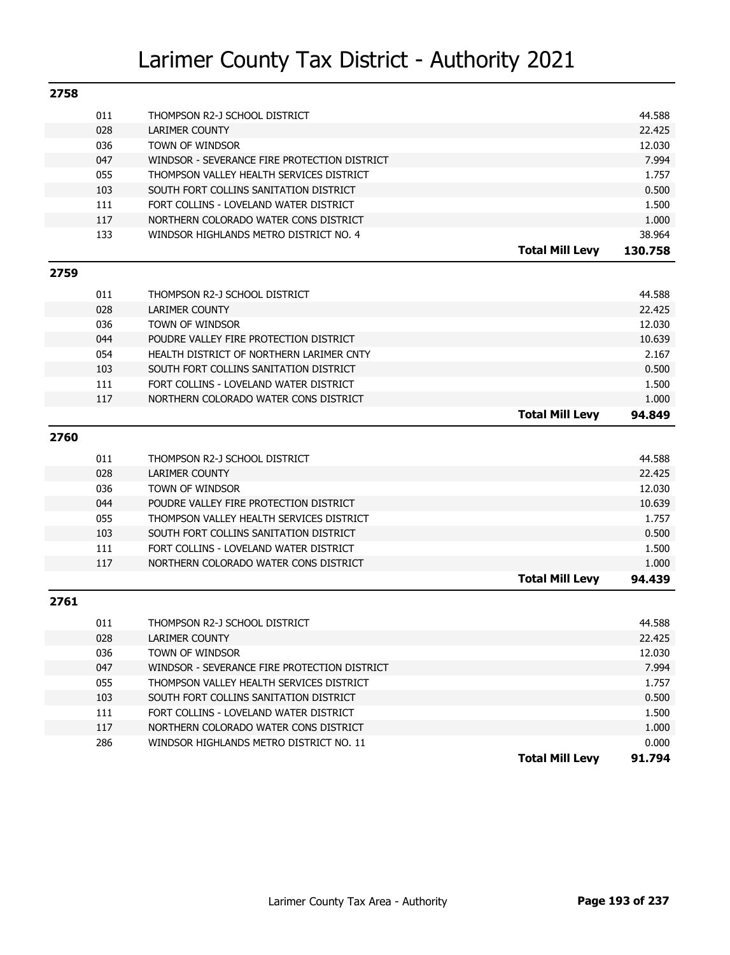| 2758 |     |                                                        |                        |         |
|------|-----|--------------------------------------------------------|------------------------|---------|
|      | 011 | THOMPSON R2-J SCHOOL DISTRICT                          |                        | 44.588  |
|      | 028 | <b>LARIMER COUNTY</b>                                  |                        | 22.425  |
|      | 036 | TOWN OF WINDSOR                                        |                        | 12.030  |
|      | 047 | WINDSOR - SEVERANCE FIRE PROTECTION DISTRICT           |                        | 7.994   |
|      | 055 | THOMPSON VALLEY HEALTH SERVICES DISTRICT               |                        | 1.757   |
|      | 103 | SOUTH FORT COLLINS SANITATION DISTRICT                 |                        | 0.500   |
|      | 111 | FORT COLLINS - LOVELAND WATER DISTRICT                 |                        | 1.500   |
|      | 117 | NORTHERN COLORADO WATER CONS DISTRICT                  |                        | 1.000   |
|      | 133 | WINDSOR HIGHLANDS METRO DISTRICT NO. 4                 |                        | 38.964  |
|      |     |                                                        | <b>Total Mill Levy</b> | 130.758 |
| 2759 |     |                                                        |                        |         |
|      |     |                                                        |                        |         |
|      | 011 | THOMPSON R2-J SCHOOL DISTRICT                          |                        | 44.588  |
|      | 028 | <b>LARIMER COUNTY</b>                                  |                        | 22.425  |
|      | 036 | TOWN OF WINDSOR                                        |                        | 12.030  |
|      | 044 | POUDRE VALLEY FIRE PROTECTION DISTRICT                 |                        | 10.639  |
|      | 054 | HEALTH DISTRICT OF NORTHERN LARIMER CNTY               |                        | 2.167   |
|      | 103 | SOUTH FORT COLLINS SANITATION DISTRICT                 |                        | 0.500   |
|      | 111 | FORT COLLINS - LOVELAND WATER DISTRICT                 |                        | 1.500   |
|      | 117 | NORTHERN COLORADO WATER CONS DISTRICT                  |                        | 1.000   |
|      |     |                                                        | <b>Total Mill Levy</b> | 94.849  |
| 2760 |     |                                                        |                        |         |
|      | 011 |                                                        |                        | 44.588  |
|      | 028 | THOMPSON R2-J SCHOOL DISTRICT<br><b>LARIMER COUNTY</b> |                        | 22.425  |
|      |     |                                                        |                        |         |
|      | 036 | TOWN OF WINDSOR                                        |                        | 12.030  |
|      | 044 | POUDRE VALLEY FIRE PROTECTION DISTRICT                 |                        | 10.639  |
|      | 055 | THOMPSON VALLEY HEALTH SERVICES DISTRICT               |                        | 1.757   |
|      | 103 | SOUTH FORT COLLINS SANITATION DISTRICT                 |                        | 0.500   |
|      | 111 | FORT COLLINS - LOVELAND WATER DISTRICT                 |                        | 1.500   |
|      | 117 | NORTHERN COLORADO WATER CONS DISTRICT                  |                        | 1.000   |
|      |     |                                                        | <b>Total Mill Levy</b> | 94.439  |
| 2761 |     |                                                        |                        |         |
|      | 011 | THOMPSON R2-J SCHOOL DISTRICT                          |                        | 44.588  |
|      | 028 | <b>LARIMER COUNTY</b>                                  |                        | 22.425  |
|      | 036 | TOWN OF WINDSOR                                        |                        | 12.030  |
|      | 047 | WINDSOR - SEVERANCE FIRE PROTECTION DISTRICT           |                        | 7.994   |
|      | 055 | THOMPSON VALLEY HEALTH SERVICES DISTRICT               |                        | 1.757   |
|      | 103 | SOUTH FORT COLLINS SANITATION DISTRICT                 |                        | 0.500   |
|      | 111 | FORT COLLINS - LOVELAND WATER DISTRICT                 |                        | 1.500   |
|      | 117 | NORTHERN COLORADO WATER CONS DISTRICT                  |                        | 1.000   |
|      | 286 | WINDSOR HIGHLANDS METRO DISTRICT NO. 11                |                        | 0.000   |
|      |     |                                                        | <b>Total Mill Levy</b> | 91.794  |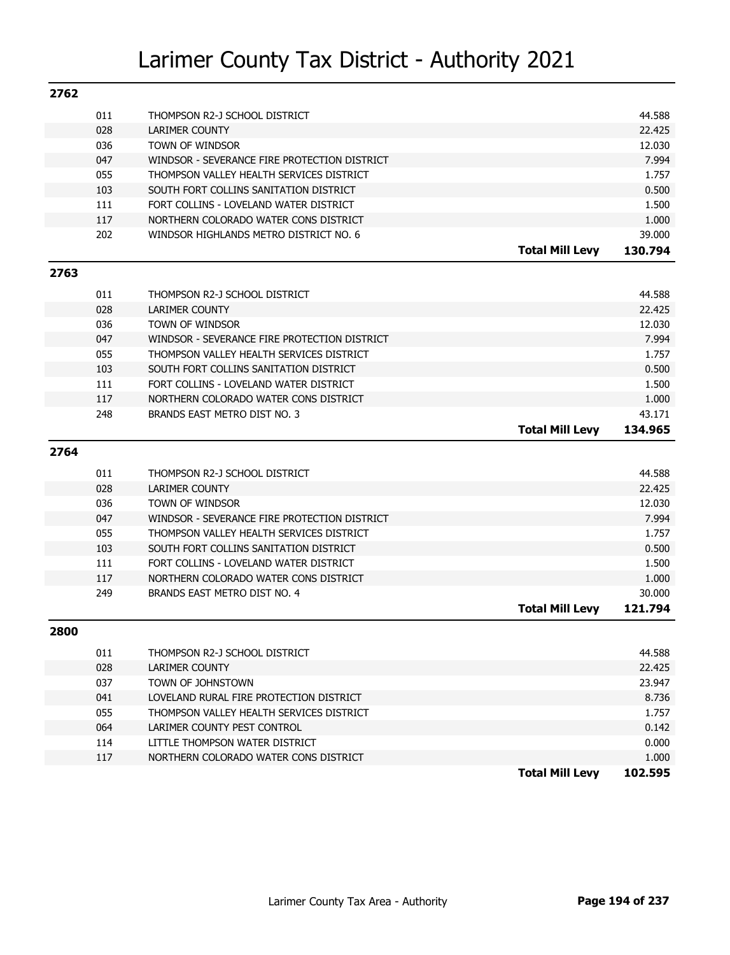| 2762 |     |                                              |                        |         |
|------|-----|----------------------------------------------|------------------------|---------|
|      | 011 | THOMPSON R2-J SCHOOL DISTRICT                |                        | 44.588  |
|      | 028 | <b>LARIMER COUNTY</b>                        |                        | 22.425  |
|      | 036 | TOWN OF WINDSOR                              |                        | 12.030  |
|      | 047 | WINDSOR - SEVERANCE FIRE PROTECTION DISTRICT |                        | 7.994   |
|      | 055 | THOMPSON VALLEY HEALTH SERVICES DISTRICT     |                        | 1.757   |
|      | 103 | SOUTH FORT COLLINS SANITATION DISTRICT       |                        | 0.500   |
|      | 111 | FORT COLLINS - LOVELAND WATER DISTRICT       |                        | 1.500   |
|      | 117 | NORTHERN COLORADO WATER CONS DISTRICT        |                        | 1.000   |
|      | 202 | WINDSOR HIGHLANDS METRO DISTRICT NO. 6       |                        | 39.000  |
|      |     |                                              | <b>Total Mill Levy</b> | 130.794 |
| 2763 |     |                                              |                        |         |
|      | 011 | THOMPSON R2-J SCHOOL DISTRICT                |                        | 44.588  |
|      | 028 | <b>LARIMER COUNTY</b>                        |                        | 22.425  |
|      | 036 | TOWN OF WINDSOR                              |                        | 12.030  |
|      | 047 | WINDSOR - SEVERANCE FIRE PROTECTION DISTRICT |                        | 7.994   |
|      | 055 | THOMPSON VALLEY HEALTH SERVICES DISTRICT     |                        | 1.757   |
|      | 103 | SOUTH FORT COLLINS SANITATION DISTRICT       |                        | 0.500   |
|      | 111 | FORT COLLINS - LOVELAND WATER DISTRICT       |                        | 1.500   |
|      | 117 | NORTHERN COLORADO WATER CONS DISTRICT        |                        | 1.000   |
|      | 248 | BRANDS EAST METRO DIST NO. 3                 |                        | 43.171  |
|      |     |                                              | <b>Total Mill Levy</b> | 134.965 |
| 2764 |     |                                              |                        |         |
|      | 011 | THOMPSON R2-J SCHOOL DISTRICT                |                        | 44.588  |
|      | 028 | <b>LARIMER COUNTY</b>                        |                        | 22.425  |
|      | 036 | TOWN OF WINDSOR                              |                        | 12.030  |
|      | 047 | WINDSOR - SEVERANCE FIRE PROTECTION DISTRICT |                        | 7.994   |
|      | 055 | THOMPSON VALLEY HEALTH SERVICES DISTRICT     |                        | 1.757   |
|      | 103 | SOUTH FORT COLLINS SANITATION DISTRICT       |                        | 0.500   |
|      | 111 | FORT COLLINS - LOVELAND WATER DISTRICT       |                        | 1.500   |
|      | 117 | NORTHERN COLORADO WATER CONS DISTRICT        |                        | 1.000   |
|      | 249 | BRANDS EAST METRO DIST NO. 4                 |                        | 30.000  |
|      |     |                                              | <b>Total Mill Levy</b> | 121.794 |
| 2800 |     |                                              |                        |         |
|      | 011 | THOMPSON R2-J SCHOOL DISTRICT                |                        | 44.588  |
|      | 028 | LARIMER COUNTY                               |                        | 22,425  |
|      | 037 | TOWN OF JOHNSTOWN                            |                        | 23.947  |
|      | 041 | LOVELAND RURAL FIRE PROTECTION DISTRICT      |                        | 8.736   |
|      | 055 | THOMPSON VALLEY HEALTH SERVICES DISTRICT     |                        | 1.757   |
|      | 064 | LARIMER COUNTY PEST CONTROL                  |                        | 0.142   |
|      |     |                                              |                        |         |
|      | 114 | LITTLE THOMPSON WATER DISTRICT               |                        | 0.000   |
|      | 117 | NORTHERN COLORADO WATER CONS DISTRICT        |                        | 1.000   |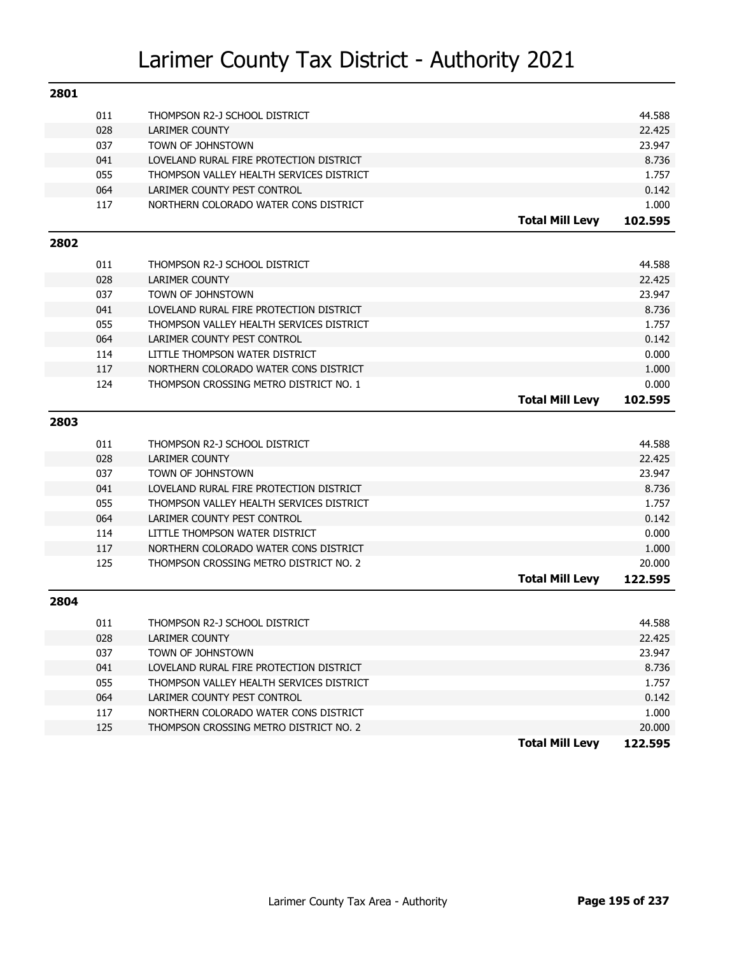| 2801 |            |                                                                                 |                        |                 |
|------|------------|---------------------------------------------------------------------------------|------------------------|-----------------|
|      | 011        | THOMPSON R2-J SCHOOL DISTRICT                                                   |                        | 44.588          |
|      | 028        | <b>LARIMER COUNTY</b>                                                           |                        | 22.425          |
|      | 037        | TOWN OF JOHNSTOWN                                                               |                        | 23.947          |
|      | 041        | LOVELAND RURAL FIRE PROTECTION DISTRICT                                         |                        | 8.736           |
|      | 055        | THOMPSON VALLEY HEALTH SERVICES DISTRICT                                        |                        | 1.757           |
|      | 064        | LARIMER COUNTY PEST CONTROL                                                     |                        | 0.142           |
|      | 117        | NORTHERN COLORADO WATER CONS DISTRICT                                           |                        | 1.000           |
|      |            |                                                                                 | <b>Total Mill Levy</b> | 102.595         |
| 2802 |            |                                                                                 |                        |                 |
|      | 011        | THOMPSON R2-J SCHOOL DISTRICT                                                   |                        | 44.588          |
|      | 028        | <b>LARIMER COUNTY</b>                                                           |                        | 22.425          |
|      | 037        | TOWN OF JOHNSTOWN                                                               |                        | 23.947          |
|      | 041        | LOVELAND RURAL FIRE PROTECTION DISTRICT                                         |                        | 8.736           |
|      | 055        | THOMPSON VALLEY HEALTH SERVICES DISTRICT                                        |                        | 1.757           |
|      | 064        | LARIMER COUNTY PEST CONTROL                                                     |                        | 0.142           |
|      | 114        | LITTLE THOMPSON WATER DISTRICT                                                  |                        | 0.000           |
|      | 117        | NORTHERN COLORADO WATER CONS DISTRICT                                           |                        | 1.000           |
|      | 124        | THOMPSON CROSSING METRO DISTRICT NO. 1                                          |                        | 0.000           |
|      |            |                                                                                 | <b>Total Mill Levy</b> | 102.595         |
| 2803 |            |                                                                                 |                        |                 |
|      | 011        | THOMPSON R2-J SCHOOL DISTRICT                                                   |                        | 44.588          |
|      | 028        | <b>LARIMER COUNTY</b>                                                           |                        | 22.425          |
|      | 037        | TOWN OF JOHNSTOWN                                                               |                        | 23.947          |
|      | 041        |                                                                                 |                        |                 |
|      |            |                                                                                 |                        |                 |
|      |            | LOVELAND RURAL FIRE PROTECTION DISTRICT                                         |                        | 8.736           |
|      | 055        | THOMPSON VALLEY HEALTH SERVICES DISTRICT                                        |                        | 1.757           |
|      | 064        | LARIMER COUNTY PEST CONTROL                                                     |                        | 0.142           |
|      | 114<br>117 | LITTLE THOMPSON WATER DISTRICT<br>NORTHERN COLORADO WATER CONS DISTRICT         |                        | 0.000           |
|      | 125        | THOMPSON CROSSING METRO DISTRICT NO. 2                                          |                        | 1.000<br>20,000 |
|      |            |                                                                                 | <b>Total Mill Levy</b> | 122.595         |
| 2804 |            |                                                                                 |                        |                 |
|      |            |                                                                                 |                        |                 |
|      | 011        | THOMPSON R2-J SCHOOL DISTRICT                                                   |                        | 44.588          |
|      | 028        | LARIMER COUNTY                                                                  |                        | 22.425          |
|      | 037        | TOWN OF JOHNSTOWN                                                               |                        | 23.947          |
|      | 041        | LOVELAND RURAL FIRE PROTECTION DISTRICT                                         |                        | 8.736           |
|      | 055        | THOMPSON VALLEY HEALTH SERVICES DISTRICT                                        |                        | 1.757           |
|      | 064        | LARIMER COUNTY PEST CONTROL                                                     |                        | 0.142           |
|      | 117<br>125 | NORTHERN COLORADO WATER CONS DISTRICT<br>THOMPSON CROSSING METRO DISTRICT NO. 2 |                        | 1.000<br>20.000 |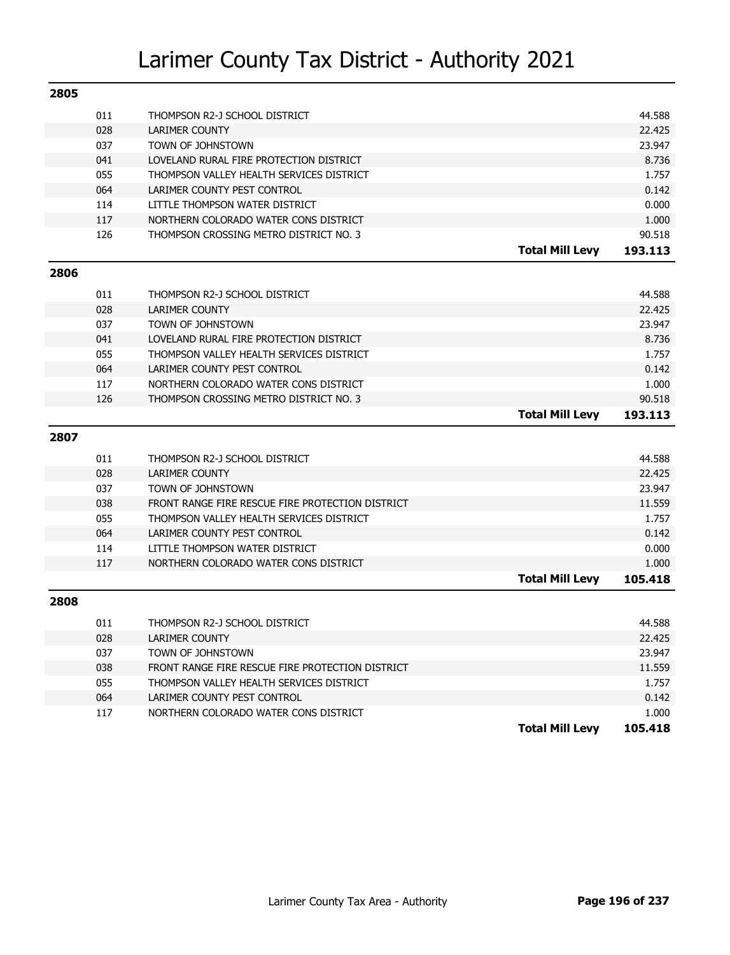| 2805 |     |                                                  |                        |                  |
|------|-----|--------------------------------------------------|------------------------|------------------|
|      | 011 | THOMPSON R2-J SCHOOL DISTRICT                    |                        | 44.588           |
|      | 028 | LARIMER COUNTY                                   |                        | 22.425           |
|      | 037 | TOWN OF JOHNSTOWN                                |                        | 23.947           |
|      | 041 | LOVELAND RURAL FIRE PROTECTION DISTRICT          |                        | 8.736            |
|      | 055 | THOMPSON VALLEY HEALTH SERVICES DISTRICT         |                        | 1.757            |
|      | 064 | LARIMER COUNTY PEST CONTROL                      |                        | 0.142            |
|      | 114 | LITTLE THOMPSON WATER DISTRICT                   |                        | 0.000            |
|      | 117 | NORTHERN COLORADO WATER CONS DISTRICT            |                        | 1.000            |
|      | 126 | THOMPSON CROSSING METRO DISTRICT NO. 3           |                        | 90.518           |
|      |     |                                                  | <b>Total Mill Levy</b> | 193.113          |
| 2806 |     |                                                  |                        |                  |
|      | 011 | THOMPSON R2-J SCHOOL DISTRICT                    |                        | 44.588           |
|      | 028 | <b>LARIMER COUNTY</b>                            |                        | 22.425           |
|      | 037 | TOWN OF JOHNSTOWN                                |                        | 23.947           |
|      | 041 | LOVELAND RURAL FIRE PROTECTION DISTRICT          |                        | 8.736            |
|      | 055 | THOMPSON VALLEY HEALTH SERVICES DISTRICT         |                        | 1.757            |
|      | 064 | LARIMER COUNTY PEST CONTROL                      |                        | 0.142            |
|      | 117 | NORTHERN COLORADO WATER CONS DISTRICT            |                        | 1.000            |
|      | 126 | THOMPSON CROSSING METRO DISTRICT NO. 3           |                        | 90.518           |
|      |     |                                                  |                        |                  |
|      |     |                                                  | <b>Total Mill Levy</b> | 193.113          |
| 2807 |     |                                                  |                        |                  |
|      | 011 | THOMPSON R2-J SCHOOL DISTRICT                    |                        | 44.588           |
|      | 028 | <b>LARIMER COUNTY</b>                            |                        | 22.425           |
|      | 037 | TOWN OF JOHNSTOWN                                |                        | 23.947           |
|      | 038 | FRONT RANGE FIRE RESCUE FIRE PROTECTION DISTRICT |                        | 11.559           |
|      | 055 | THOMPSON VALLEY HEALTH SERVICES DISTRICT         |                        | 1.757            |
|      | 064 | LARIMER COUNTY PEST CONTROL                      |                        | 0.142            |
|      | 114 | LITTLE THOMPSON WATER DISTRICT                   |                        | 0.000            |
|      | 117 | NORTHERN COLORADO WATER CONS DISTRICT            |                        | 1.000            |
|      |     |                                                  | <b>Total Mill Levy</b> | 105.418          |
| 2808 |     |                                                  |                        |                  |
|      | 011 | THOMPSON R2-J SCHOOL DISTRICT                    |                        | 44.588           |
|      | 028 | LARIMER COUNTY                                   |                        | 22.425           |
|      | 037 | TOWN OF JOHNSTOWN                                |                        | 23.947           |
|      | 038 | FRONT RANGE FIRE RESCUE FIRE PROTECTION DISTRICT |                        | 11.559           |
|      | 055 | THOMPSON VALLEY HEALTH SERVICES DISTRICT         |                        | 1.757            |
|      | 064 | LARIMER COUNTY PEST CONTROL                      |                        | 0.142            |
|      | 117 | NORTHERN COLORADO WATER CONS DISTRICT            | <b>Total Mill Levy</b> | 1.000<br>105.418 |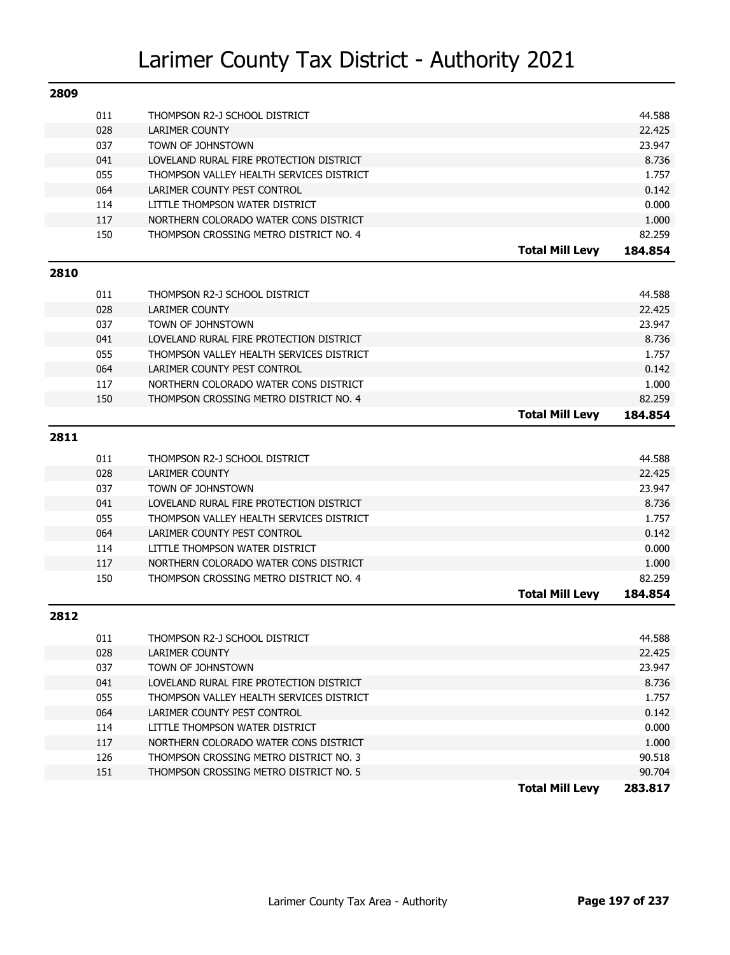| 2809 |     |                                          |                        |         |
|------|-----|------------------------------------------|------------------------|---------|
|      | 011 | THOMPSON R2-J SCHOOL DISTRICT            |                        | 44.588  |
|      | 028 | <b>LARIMER COUNTY</b>                    |                        | 22.425  |
|      | 037 | TOWN OF JOHNSTOWN                        |                        | 23.947  |
|      | 041 | LOVELAND RURAL FIRE PROTECTION DISTRICT  |                        | 8.736   |
|      | 055 | THOMPSON VALLEY HEALTH SERVICES DISTRICT |                        | 1.757   |
|      | 064 | LARIMER COUNTY PEST CONTROL              |                        | 0.142   |
|      | 114 | LITTLE THOMPSON WATER DISTRICT           |                        | 0.000   |
|      | 117 | NORTHERN COLORADO WATER CONS DISTRICT    |                        | 1.000   |
|      | 150 | THOMPSON CROSSING METRO DISTRICT NO. 4   |                        | 82.259  |
|      |     |                                          | <b>Total Mill Levy</b> | 184.854 |
| 2810 |     |                                          |                        |         |
|      | 011 | THOMPSON R2-J SCHOOL DISTRICT            |                        | 44.588  |
|      | 028 | <b>LARIMER COUNTY</b>                    |                        | 22.425  |
|      | 037 | TOWN OF JOHNSTOWN                        |                        | 23.947  |
|      | 041 | LOVELAND RURAL FIRE PROTECTION DISTRICT  |                        | 8.736   |
|      | 055 | THOMPSON VALLEY HEALTH SERVICES DISTRICT |                        | 1.757   |
|      | 064 | LARIMER COUNTY PEST CONTROL              |                        | 0.142   |
|      | 117 | NORTHERN COLORADO WATER CONS DISTRICT    |                        | 1.000   |
|      | 150 | THOMPSON CROSSING METRO DISTRICT NO. 4   |                        | 82.259  |
|      |     |                                          | <b>Total Mill Levy</b> | 184.854 |
|      |     |                                          |                        |         |
| 2811 |     |                                          |                        |         |
|      | 011 | THOMPSON R2-J SCHOOL DISTRICT            |                        | 44.588  |
|      | 028 | <b>LARIMER COUNTY</b>                    |                        | 22.425  |
|      | 037 | TOWN OF JOHNSTOWN                        |                        | 23.947  |
|      | 041 | LOVELAND RURAL FIRE PROTECTION DISTRICT  |                        | 8.736   |
|      | 055 | THOMPSON VALLEY HEALTH SERVICES DISTRICT |                        | 1.757   |
|      | 064 | LARIMER COUNTY PEST CONTROL              |                        | 0.142   |
|      | 114 | LITTLE THOMPSON WATER DISTRICT           |                        | 0.000   |
|      | 117 | NORTHERN COLORADO WATER CONS DISTRICT    |                        | 1.000   |
|      | 150 | THOMPSON CROSSING METRO DISTRICT NO. 4   |                        | 82.259  |
|      |     |                                          | <b>Total Mill Levy</b> | 184.854 |
| 2812 |     |                                          |                        |         |
|      | 011 | THOMPSON R2-J SCHOOL DISTRICT            |                        | 44.588  |
|      | 028 | LARIMER COUNTY                           |                        | 22.425  |
|      | 037 | TOWN OF JOHNSTOWN                        |                        | 23.947  |
|      | 041 | LOVELAND RURAL FIRE PROTECTION DISTRICT  |                        | 8.736   |
|      | 055 | THOMPSON VALLEY HEALTH SERVICES DISTRICT |                        | 1.757   |
|      | 064 | LARIMER COUNTY PEST CONTROL              |                        | 0.142   |
|      | 114 | LITTLE THOMPSON WATER DISTRICT           |                        | 0.000   |
|      | 117 | NORTHERN COLORADO WATER CONS DISTRICT    |                        | 1.000   |
|      | 126 | THOMPSON CROSSING METRO DISTRICT NO. 3   |                        | 90.518  |
|      | 151 | THOMPSON CROSSING METRO DISTRICT NO. 5   |                        | 90.704  |
|      |     |                                          | <b>Total Mill Levy</b> | 283.817 |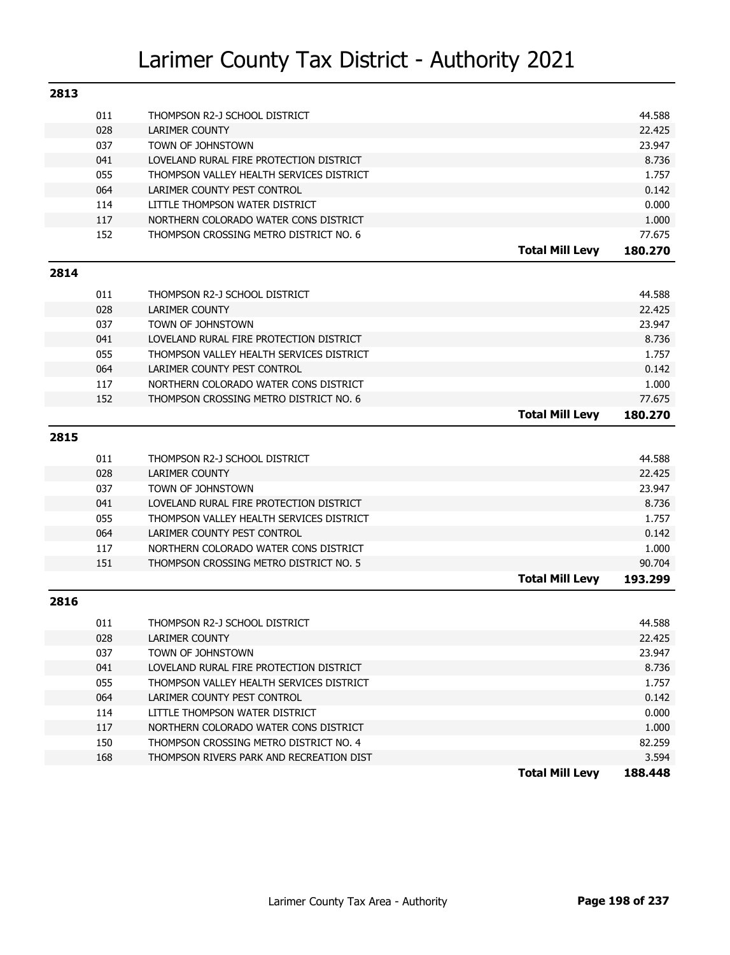| 2813 |     |                                          |                        |         |
|------|-----|------------------------------------------|------------------------|---------|
|      | 011 | THOMPSON R2-J SCHOOL DISTRICT            |                        | 44.588  |
|      | 028 | <b>LARIMER COUNTY</b>                    |                        | 22.425  |
|      | 037 | TOWN OF JOHNSTOWN                        |                        | 23.947  |
|      | 041 | LOVELAND RURAL FIRE PROTECTION DISTRICT  |                        | 8.736   |
|      | 055 | THOMPSON VALLEY HEALTH SERVICES DISTRICT |                        | 1.757   |
|      | 064 | LARIMER COUNTY PEST CONTROL              |                        | 0.142   |
|      | 114 | LITTLE THOMPSON WATER DISTRICT           |                        | 0.000   |
|      | 117 | NORTHERN COLORADO WATER CONS DISTRICT    |                        | 1.000   |
|      | 152 | THOMPSON CROSSING METRO DISTRICT NO. 6   |                        | 77.675  |
|      |     |                                          | <b>Total Mill Levy</b> | 180.270 |
| 2814 |     |                                          |                        |         |
|      | 011 | THOMPSON R2-J SCHOOL DISTRICT            |                        | 44.588  |
|      | 028 | <b>LARIMER COUNTY</b>                    |                        | 22.425  |
|      | 037 | TOWN OF JOHNSTOWN                        |                        | 23.947  |
|      | 041 | LOVELAND RURAL FIRE PROTECTION DISTRICT  |                        | 8.736   |
|      | 055 | THOMPSON VALLEY HEALTH SERVICES DISTRICT |                        | 1.757   |
|      | 064 | LARIMER COUNTY PEST CONTROL              |                        | 0.142   |
|      | 117 | NORTHERN COLORADO WATER CONS DISTRICT    |                        | 1.000   |
|      | 152 | THOMPSON CROSSING METRO DISTRICT NO. 6   |                        | 77.675  |
|      |     |                                          | <b>Total Mill Levy</b> | 180.270 |
| 2815 |     |                                          |                        |         |
|      | 011 | THOMPSON R2-J SCHOOL DISTRICT            |                        | 44.588  |
|      | 028 | <b>LARIMER COUNTY</b>                    |                        | 22.425  |
|      | 037 | TOWN OF JOHNSTOWN                        |                        | 23.947  |
|      | 041 | LOVELAND RURAL FIRE PROTECTION DISTRICT  |                        | 8.736   |
|      | 055 | THOMPSON VALLEY HEALTH SERVICES DISTRICT |                        | 1.757   |
|      | 064 | LARIMER COUNTY PEST CONTROL              |                        | 0.142   |
|      | 117 | NORTHERN COLORADO WATER CONS DISTRICT    |                        | 1.000   |
|      | 151 | THOMPSON CROSSING METRO DISTRICT NO. 5   |                        | 90.704  |
|      |     |                                          | <b>Total Mill Levy</b> | 193.299 |
| 2816 |     |                                          |                        |         |
|      | 011 | THOMPSON R2-J SCHOOL DISTRICT            |                        | 44.588  |
|      | 028 | LARIMER COUNTY                           |                        | 22.425  |
|      | 037 | TOWN OF JOHNSTOWN                        |                        | 23.947  |
|      | 041 | LOVELAND RURAL FIRE PROTECTION DISTRICT  |                        | 8.736   |
|      | 055 | THOMPSON VALLEY HEALTH SERVICES DISTRICT |                        | 1.757   |
|      | 064 | LARIMER COUNTY PEST CONTROL              |                        | 0.142   |
|      | 114 | LITTLE THOMPSON WATER DISTRICT           |                        | 0.000   |
|      | 117 | NORTHERN COLORADO WATER CONS DISTRICT    |                        | 1.000   |
|      | 150 | THOMPSON CROSSING METRO DISTRICT NO. 4   |                        | 82.259  |
|      | 168 | THOMPSON RIVERS PARK AND RECREATION DIST |                        | 3.594   |
|      |     |                                          | <b>Total Mill Levy</b> | 188.448 |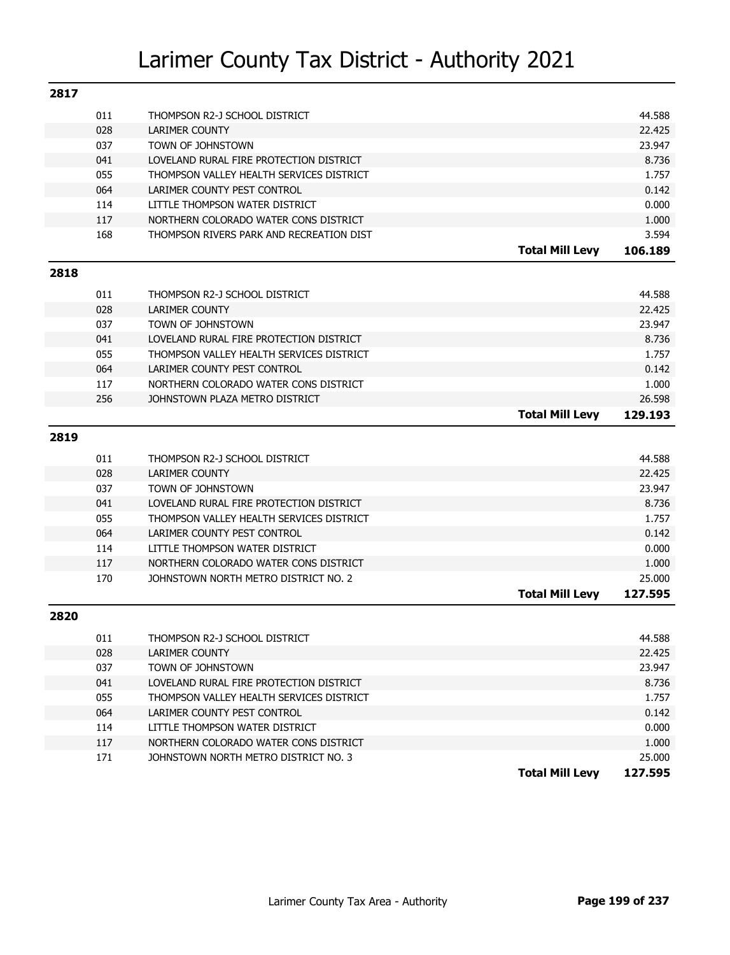| 2817 |     |                                          |                        |         |
|------|-----|------------------------------------------|------------------------|---------|
|      | 011 | THOMPSON R2-J SCHOOL DISTRICT            |                        | 44.588  |
|      | 028 | <b>LARIMER COUNTY</b>                    |                        | 22.425  |
|      | 037 | TOWN OF JOHNSTOWN                        |                        | 23.947  |
|      | 041 | LOVELAND RURAL FIRE PROTECTION DISTRICT  |                        | 8.736   |
|      | 055 | THOMPSON VALLEY HEALTH SERVICES DISTRICT |                        | 1.757   |
|      | 064 | LARIMER COUNTY PEST CONTROL              |                        | 0.142   |
|      | 114 | LITTLE THOMPSON WATER DISTRICT           |                        | 0.000   |
|      | 117 | NORTHERN COLORADO WATER CONS DISTRICT    |                        | 1.000   |
|      | 168 | THOMPSON RIVERS PARK AND RECREATION DIST |                        | 3.594   |
|      |     |                                          | <b>Total Mill Levy</b> | 106.189 |
| 2818 |     |                                          |                        |         |
|      | 011 | THOMPSON R2-J SCHOOL DISTRICT            |                        | 44.588  |
|      | 028 | <b>LARIMER COUNTY</b>                    |                        | 22.425  |
|      | 037 | TOWN OF JOHNSTOWN                        |                        | 23.947  |
|      | 041 | LOVELAND RURAL FIRE PROTECTION DISTRICT  |                        | 8.736   |
|      | 055 | THOMPSON VALLEY HEALTH SERVICES DISTRICT |                        | 1.757   |
|      | 064 | LARIMER COUNTY PEST CONTROL              |                        | 0.142   |
|      | 117 | NORTHERN COLORADO WATER CONS DISTRICT    |                        | 1.000   |
|      | 256 | JOHNSTOWN PLAZA METRO DISTRICT           |                        | 26.598  |
|      |     |                                          | <b>Total Mill Levy</b> | 129.193 |
| 2819 |     |                                          |                        |         |
|      | 011 | THOMPSON R2-J SCHOOL DISTRICT            |                        | 44.588  |
|      | 028 | <b>LARIMER COUNTY</b>                    |                        | 22.425  |
|      | 037 | TOWN OF JOHNSTOWN                        |                        | 23.947  |
|      | 041 | LOVELAND RURAL FIRE PROTECTION DISTRICT  |                        | 8.736   |
|      | 055 | THOMPSON VALLEY HEALTH SERVICES DISTRICT |                        | 1.757   |
|      | 064 | LARIMER COUNTY PEST CONTROL              |                        | 0.142   |
|      | 114 | LITTLE THOMPSON WATER DISTRICT           |                        | 0.000   |
|      | 117 | NORTHERN COLORADO WATER CONS DISTRICT    |                        | 1.000   |
|      | 170 | JOHNSTOWN NORTH METRO DISTRICT NO. 2     |                        | 25,000  |
|      |     |                                          | <b>Total Mill Levy</b> | 127.595 |
| 2820 |     |                                          |                        |         |
|      | 011 | THOMPSON R2-J SCHOOL DISTRICT            |                        | 44.588  |
|      | 028 | <b>LARIMER COUNTY</b>                    |                        | 22.425  |
|      | 037 | TOWN OF JOHNSTOWN                        |                        | 23.947  |
|      | 041 | LOVELAND RURAL FIRE PROTECTION DISTRICT  |                        | 8.736   |
|      | 055 | THOMPSON VALLEY HEALTH SERVICES DISTRICT |                        | 1.757   |
|      | 064 | LARIMER COUNTY PEST CONTROL              |                        | 0.142   |
|      | 114 | LITTLE THOMPSON WATER DISTRICT           |                        | 0.000   |
|      |     |                                          |                        |         |
|      | 117 | NORTHERN COLORADO WATER CONS DISTRICT    |                        | 1.000   |
|      | 171 | JOHNSTOWN NORTH METRO DISTRICT NO. 3     | <b>Total Mill Levy</b> | 25.000  |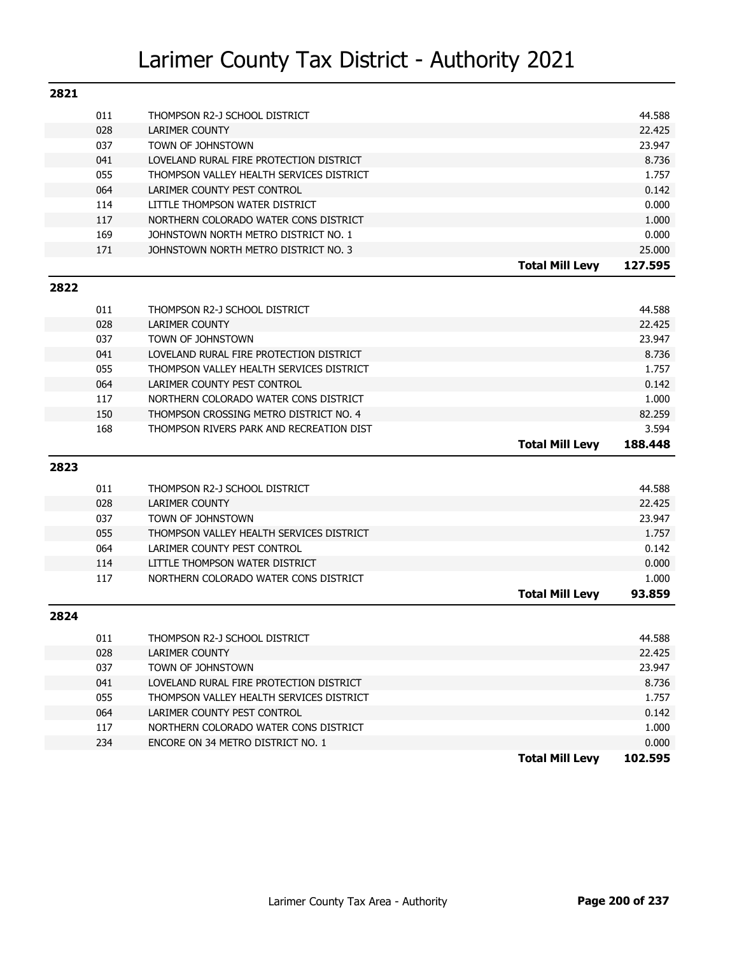| 2821 |     |                                          |                        |         |
|------|-----|------------------------------------------|------------------------|---------|
|      | 011 | THOMPSON R2-J SCHOOL DISTRICT            |                        | 44.588  |
|      | 028 | <b>LARIMER COUNTY</b>                    |                        | 22.425  |
|      | 037 | TOWN OF JOHNSTOWN                        |                        | 23.947  |
|      | 041 | LOVELAND RURAL FIRE PROTECTION DISTRICT  |                        | 8.736   |
|      | 055 | THOMPSON VALLEY HEALTH SERVICES DISTRICT |                        | 1.757   |
|      | 064 | LARIMER COUNTY PEST CONTROL              |                        | 0.142   |
|      | 114 | LITTLE THOMPSON WATER DISTRICT           |                        | 0.000   |
|      | 117 | NORTHERN COLORADO WATER CONS DISTRICT    |                        | 1.000   |
|      | 169 | JOHNSTOWN NORTH METRO DISTRICT NO. 1     |                        | 0.000   |
|      | 171 | JOHNSTOWN NORTH METRO DISTRICT NO. 3     |                        | 25.000  |
|      |     |                                          | <b>Total Mill Levy</b> | 127.595 |
| 2822 |     |                                          |                        |         |
|      | 011 | THOMPSON R2-J SCHOOL DISTRICT            |                        | 44.588  |
|      | 028 | <b>LARIMER COUNTY</b>                    |                        | 22.425  |
|      | 037 | TOWN OF JOHNSTOWN                        |                        | 23.947  |
|      | 041 | LOVELAND RURAL FIRE PROTECTION DISTRICT  |                        | 8.736   |
|      | 055 | THOMPSON VALLEY HEALTH SERVICES DISTRICT |                        | 1.757   |
|      | 064 | LARIMER COUNTY PEST CONTROL              |                        | 0.142   |
|      | 117 | NORTHERN COLORADO WATER CONS DISTRICT    |                        | 1.000   |
|      | 150 | THOMPSON CROSSING METRO DISTRICT NO. 4   |                        | 82.259  |
|      | 168 | THOMPSON RIVERS PARK AND RECREATION DIST |                        | 3.594   |
|      |     |                                          | <b>Total Mill Levy</b> | 188.448 |
| 2823 |     |                                          |                        |         |
|      | 011 | THOMPSON R2-J SCHOOL DISTRICT            |                        | 44.588  |
|      | 028 | <b>LARIMER COUNTY</b>                    |                        | 22.425  |
|      | 037 | TOWN OF JOHNSTOWN                        |                        | 23.947  |
|      | 055 | THOMPSON VALLEY HEALTH SERVICES DISTRICT |                        | 1.757   |
|      | 064 | LARIMER COUNTY PEST CONTROL              |                        | 0.142   |
|      | 114 | LITTLE THOMPSON WATER DISTRICT           |                        | 0.000   |
|      | 117 | NORTHERN COLORADO WATER CONS DISTRICT    |                        | 1.000   |
|      |     |                                          | <b>Total Mill Levy</b> | 93.859  |
| 2824 |     |                                          |                        |         |
|      | 011 | THOMPSON R2-J SCHOOL DISTRICT            |                        | 44.588  |
|      | 028 | <b>LARIMER COUNTY</b>                    |                        | 22.425  |
|      | 037 | TOWN OF JOHNSTOWN                        |                        | 23.947  |
|      | 041 | LOVELAND RURAL FIRE PROTECTION DISTRICT  |                        | 8.736   |
|      | 055 | THOMPSON VALLEY HEALTH SERVICES DISTRICT |                        | 1.757   |
|      | 064 | LARIMER COUNTY PEST CONTROL              |                        | 0.142   |
|      | 117 | NORTHERN COLORADO WATER CONS DISTRICT    |                        | 1.000   |
|      | 234 | ENCORE ON 34 METRO DISTRICT NO. 1        |                        | 0.000   |
|      |     |                                          | <b>Total Mill Levy</b> | 102.595 |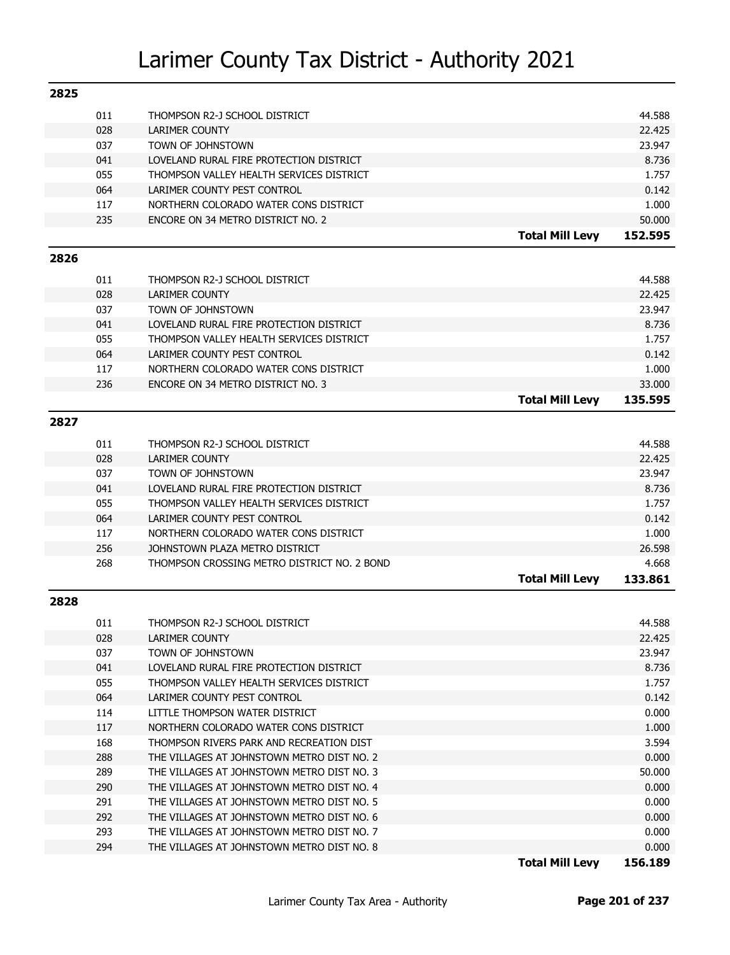| 2825 |     |                                             |                        |         |
|------|-----|---------------------------------------------|------------------------|---------|
|      | 011 | THOMPSON R2-J SCHOOL DISTRICT               |                        | 44.588  |
|      | 028 | LARIMER COUNTY                              |                        | 22.425  |
|      | 037 | TOWN OF JOHNSTOWN                           |                        | 23.947  |
|      | 041 | LOVELAND RURAL FIRE PROTECTION DISTRICT     |                        | 8.736   |
|      | 055 | THOMPSON VALLEY HEALTH SERVICES DISTRICT    |                        | 1.757   |
|      | 064 | LARIMER COUNTY PEST CONTROL                 |                        | 0.142   |
|      | 117 | NORTHERN COLORADO WATER CONS DISTRICT       |                        | 1.000   |
|      | 235 | ENCORE ON 34 METRO DISTRICT NO. 2           |                        | 50.000  |
|      |     |                                             | <b>Total Mill Levy</b> | 152.595 |
| 2826 |     |                                             |                        |         |
|      | 011 | THOMPSON R2-J SCHOOL DISTRICT               |                        | 44.588  |
|      | 028 | <b>LARIMER COUNTY</b>                       |                        | 22.425  |
|      | 037 | TOWN OF JOHNSTOWN                           |                        | 23.947  |
|      | 041 | LOVELAND RURAL FIRE PROTECTION DISTRICT     |                        | 8.736   |
|      | 055 | THOMPSON VALLEY HEALTH SERVICES DISTRICT    |                        | 1.757   |
|      | 064 | LARIMER COUNTY PEST CONTROL                 |                        | 0.142   |
|      | 117 | NORTHERN COLORADO WATER CONS DISTRICT       |                        | 1.000   |
|      | 236 | ENCORE ON 34 METRO DISTRICT NO. 3           |                        | 33.000  |
|      |     |                                             | <b>Total Mill Levy</b> | 135.595 |
| 2827 |     |                                             |                        |         |
|      | 011 | THOMPSON R2-J SCHOOL DISTRICT               |                        | 44.588  |
|      | 028 | <b>LARIMER COUNTY</b>                       |                        | 22.425  |
|      | 037 | TOWN OF JOHNSTOWN                           |                        | 23.947  |
|      | 041 | LOVELAND RURAL FIRE PROTECTION DISTRICT     |                        | 8.736   |
|      | 055 | THOMPSON VALLEY HEALTH SERVICES DISTRICT    |                        | 1.757   |
|      | 064 | LARIMER COUNTY PEST CONTROL                 |                        | 0.142   |
|      | 117 | NORTHERN COLORADO WATER CONS DISTRICT       |                        | 1.000   |
|      | 256 | JOHNSTOWN PLAZA METRO DISTRICT              |                        | 26.598  |
|      | 268 | THOMPSON CROSSING METRO DISTRICT NO. 2 BOND |                        | 4.668   |
|      |     |                                             | <b>Total Mill Levy</b> | 133.861 |
| 2828 |     |                                             |                        |         |
|      | 011 | THOMPSON R2-J SCHOOL DISTRICT               |                        | 44.588  |
|      | 028 | <b>LARIMER COUNTY</b>                       |                        | 22.425  |
|      | 037 | TOWN OF JOHNSTOWN                           |                        | 23.947  |
|      | 041 | LOVELAND RURAL FIRE PROTECTION DISTRICT     |                        | 8.736   |
|      | 055 | THOMPSON VALLEY HEALTH SERVICES DISTRICT    |                        | 1.757   |
|      | 064 | LARIMER COUNTY PEST CONTROL                 |                        | 0.142   |
|      | 114 | LITTLE THOMPSON WATER DISTRICT              |                        | 0.000   |
|      | 117 | NORTHERN COLORADO WATER CONS DISTRICT       |                        | 1.000   |
|      | 168 | THOMPSON RIVERS PARK AND RECREATION DIST    |                        | 3.594   |
|      | 288 | THE VILLAGES AT JOHNSTOWN METRO DIST NO. 2  |                        | 0.000   |
|      | 289 | THE VILLAGES AT JOHNSTOWN METRO DIST NO. 3  |                        | 50.000  |
|      | 290 | THE VILLAGES AT JOHNSTOWN METRO DIST NO. 4  |                        | 0.000   |
|      | 291 | THE VILLAGES AT JOHNSTOWN METRO DIST NO. 5  |                        | 0.000   |
|      | 292 | THE VILLAGES AT JOHNSTOWN METRO DIST NO. 6  |                        | 0.000   |
|      | 293 | THE VILLAGES AT JOHNSTOWN METRO DIST NO. 7  |                        | 0.000   |
|      | 294 | THE VILLAGES AT JOHNSTOWN METRO DIST NO. 8  |                        | 0.000   |
|      |     |                                             | <b>Total Mill Levy</b> | 156.189 |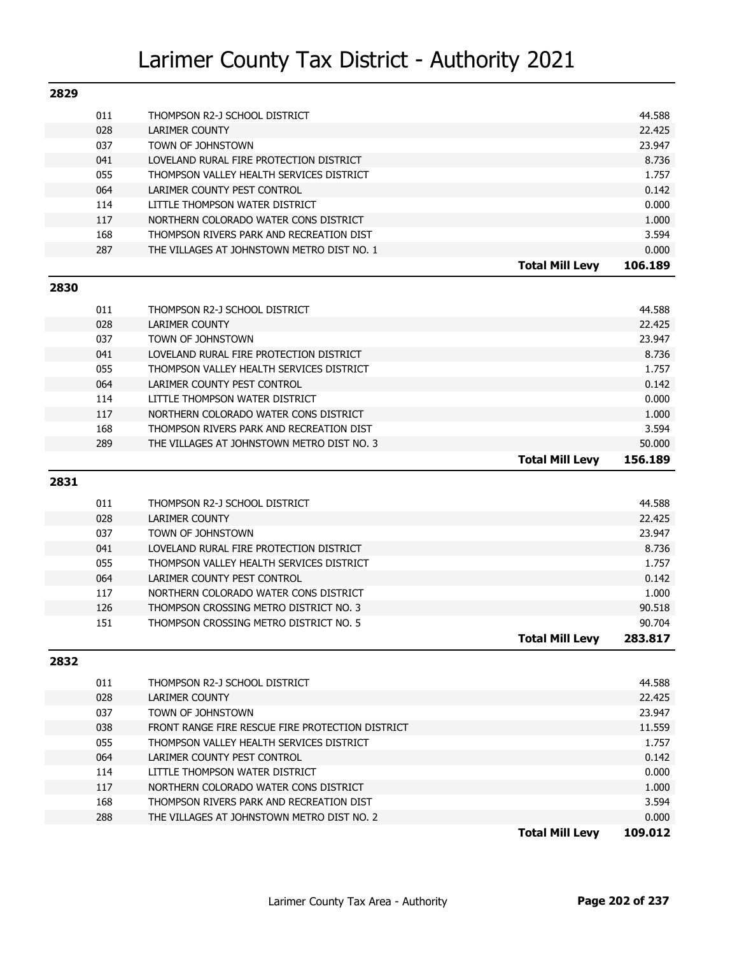| 2829 |     |                                                        |                        |         |
|------|-----|--------------------------------------------------------|------------------------|---------|
|      | 011 | THOMPSON R2-J SCHOOL DISTRICT                          |                        | 44.588  |
|      | 028 | <b>LARIMER COUNTY</b>                                  |                        | 22.425  |
|      | 037 | TOWN OF JOHNSTOWN                                      |                        | 23.947  |
|      | 041 | LOVELAND RURAL FIRE PROTECTION DISTRICT                |                        | 8.736   |
|      | 055 | THOMPSON VALLEY HEALTH SERVICES DISTRICT               |                        | 1.757   |
|      | 064 | LARIMER COUNTY PEST CONTROL                            |                        | 0.142   |
|      | 114 | LITTLE THOMPSON WATER DISTRICT                         |                        | 0.000   |
|      | 117 | NORTHERN COLORADO WATER CONS DISTRICT                  |                        | 1.000   |
|      | 168 | THOMPSON RIVERS PARK AND RECREATION DIST               |                        | 3.594   |
|      | 287 | THE VILLAGES AT JOHNSTOWN METRO DIST NO. 1             |                        | 0.000   |
|      |     |                                                        | <b>Total Mill Levy</b> | 106.189 |
| 2830 |     |                                                        |                        |         |
|      | 011 | THOMPSON R2-J SCHOOL DISTRICT                          |                        | 44.588  |
|      | 028 | <b>LARIMER COUNTY</b>                                  |                        | 22.425  |
|      | 037 | TOWN OF JOHNSTOWN                                      |                        | 23.947  |
|      | 041 | LOVELAND RURAL FIRE PROTECTION DISTRICT                |                        | 8.736   |
|      | 055 | THOMPSON VALLEY HEALTH SERVICES DISTRICT               |                        | 1.757   |
|      | 064 | LARIMER COUNTY PEST CONTROL                            |                        | 0.142   |
|      | 114 | LITTLE THOMPSON WATER DISTRICT                         |                        | 0.000   |
|      | 117 | NORTHERN COLORADO WATER CONS DISTRICT                  |                        | 1.000   |
|      | 168 | THOMPSON RIVERS PARK AND RECREATION DIST               |                        | 3.594   |
|      | 289 | THE VILLAGES AT JOHNSTOWN METRO DIST NO. 3             |                        | 50.000  |
|      |     |                                                        | <b>Total Mill Levy</b> | 156.189 |
| 2831 |     |                                                        |                        |         |
|      | 011 |                                                        |                        | 44.588  |
|      | 028 | THOMPSON R2-J SCHOOL DISTRICT<br><b>LARIMER COUNTY</b> |                        | 22.425  |
|      | 037 | TOWN OF JOHNSTOWN                                      |                        | 23.947  |
|      | 041 | LOVELAND RURAL FIRE PROTECTION DISTRICT                |                        | 8.736   |
|      | 055 | THOMPSON VALLEY HEALTH SERVICES DISTRICT               |                        | 1.757   |
|      | 064 | LARIMER COUNTY PEST CONTROL                            |                        | 0.142   |
|      | 117 | NORTHERN COLORADO WATER CONS DISTRICT                  |                        | 1.000   |
|      | 126 | THOMPSON CROSSING METRO DISTRICT NO. 3                 |                        | 90.518  |
|      | 151 | THOMPSON CROSSING METRO DISTRICT NO. 5                 |                        | 90.704  |
|      |     |                                                        | <b>Total Mill Levy</b> | 283.817 |
| 2832 |     |                                                        |                        |         |
|      | 011 | THOMPSON R2-J SCHOOL DISTRICT                          |                        | 44.588  |
|      | 028 | <b>LARIMER COUNTY</b>                                  |                        | 22.425  |
|      | 037 | TOWN OF JOHNSTOWN                                      |                        | 23.947  |
|      | 038 | FRONT RANGE FIRE RESCUE FIRE PROTECTION DISTRICT       |                        | 11.559  |
|      | 055 | THOMPSON VALLEY HEALTH SERVICES DISTRICT               |                        | 1.757   |
|      | 064 | LARIMER COUNTY PEST CONTROL                            |                        | 0.142   |
|      | 114 | LITTLE THOMPSON WATER DISTRICT                         |                        | 0.000   |
|      | 117 | NORTHERN COLORADO WATER CONS DISTRICT                  |                        | 1.000   |
|      | 168 | THOMPSON RIVERS PARK AND RECREATION DIST               |                        | 3.594   |
|      | 288 | THE VILLAGES AT JOHNSTOWN METRO DIST NO. 2             |                        | 0.000   |
|      |     |                                                        | <b>Total Mill Levy</b> | 109.012 |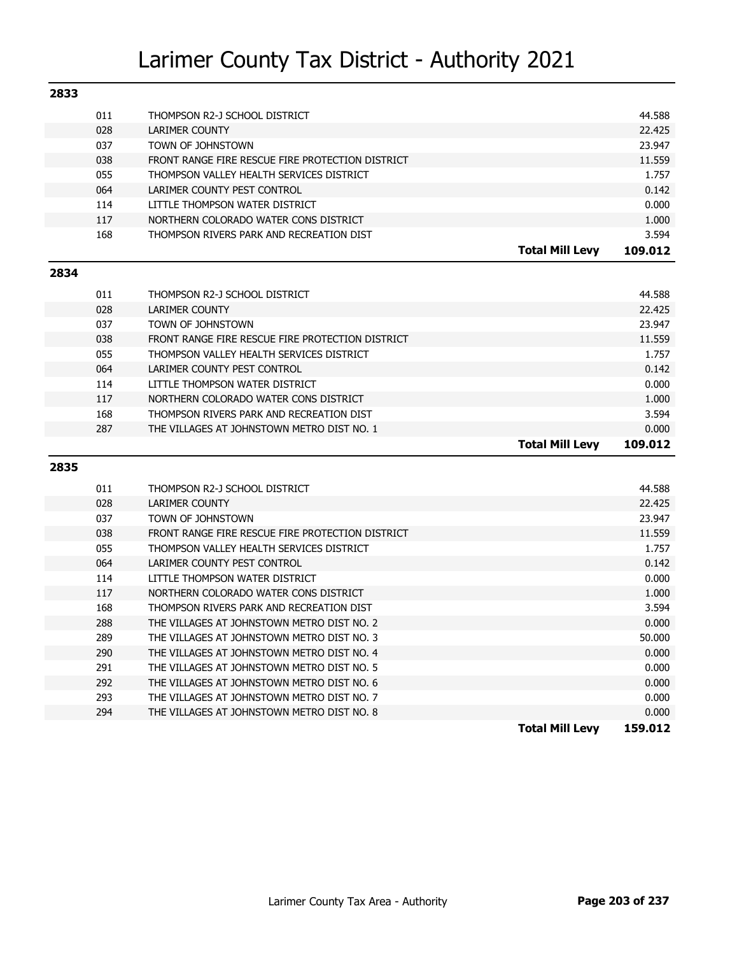| 2833 |     |                                                  |                        |         |
|------|-----|--------------------------------------------------|------------------------|---------|
|      | 011 | THOMPSON R2-J SCHOOL DISTRICT                    |                        | 44.588  |
|      | 028 | <b>LARIMER COUNTY</b>                            |                        | 22,425  |
|      | 037 | TOWN OF JOHNSTOWN                                |                        | 23.947  |
|      | 038 | FRONT RANGE FIRE RESCUE FIRE PROTECTION DISTRICT |                        | 11.559  |
|      | 055 | THOMPSON VALLEY HEALTH SERVICES DISTRICT         |                        | 1.757   |
|      | 064 | LARIMER COUNTY PEST CONTROL                      |                        | 0.142   |
|      | 114 | LITTLE THOMPSON WATER DISTRICT                   |                        | 0.000   |
|      | 117 | NORTHERN COLORADO WATER CONS DISTRICT            |                        | 1.000   |
|      | 168 | THOMPSON RIVERS PARK AND RECREATION DIST         |                        | 3.594   |
|      |     |                                                  | <b>Total Mill Levy</b> | 109.012 |
| 2834 |     |                                                  |                        |         |
|      |     |                                                  |                        |         |
|      | 011 | THOMPSON R2-J SCHOOL DISTRICT                    |                        | 44.588  |
|      | 028 | <b>LARIMER COUNTY</b>                            |                        | 22.425  |
|      | 037 | TOWN OF JOHNSTOWN                                |                        | 23.947  |
|      | 038 | FRONT RANGE FIRE RESCUE FIRE PROTECTION DISTRICT |                        | 11.559  |
|      | 055 | THOMPSON VALLEY HEALTH SERVICES DISTRICT         |                        | 1.757   |
|      | 064 | LARIMER COUNTY PEST CONTROL                      |                        | 0.142   |
|      | 114 | LITTLE THOMPSON WATER DISTRICT                   |                        | 0.000   |
|      | 117 | NORTHERN COLORADO WATER CONS DISTRICT            |                        | 1.000   |
|      | 168 | THOMPSON RIVERS PARK AND RECREATION DIST         |                        | 3.594   |
|      | 287 | THE VILLAGES AT JOHNSTOWN METRO DIST NO. 1       |                        | 0.000   |
|      |     |                                                  | <b>Total Mill Levy</b> | 109.012 |
| 2835 |     |                                                  |                        |         |
|      | 011 | THOMPSON R2-J SCHOOL DISTRICT                    |                        | 44.588  |
|      | 028 | <b>LARIMER COUNTY</b>                            |                        | 22.425  |
|      | 037 | TOWN OF JOHNSTOWN                                |                        | 23.947  |
|      | 038 | FRONT RANGE FIRE RESCUE FIRE PROTECTION DISTRICT |                        | 11.559  |
|      | 055 | THOMPSON VALLEY HEALTH SERVICES DISTRICT         |                        | 1.757   |
|      | 064 | LARIMER COUNTY PEST CONTROL                      |                        | 0.142   |
|      | 114 | LITTLE THOMPSON WATER DISTRICT                   |                        | 0.000   |
|      | 117 | NORTHERN COLORADO WATER CONS DISTRICT            |                        | 1.000   |
|      | 168 | THOMPSON RIVERS PARK AND RECREATION DIST         |                        | 3.594   |
|      | 288 | THE VILLAGES AT JOHNSTOWN METRO DIST NO. 2       |                        | 0.000   |
|      | 289 | THE VILLAGES AT JOHNSTOWN METRO DIST NO. 3       |                        | 50.000  |
|      | 290 | THE VILLAGES AT JOHNSTOWN METRO DIST NO. 4       |                        | 0.000   |
|      | 291 | THE VILLAGES AT JOHNSTOWN METRO DIST NO. 5       |                        | 0.000   |
|      | 292 | THE VILLAGES AT JOHNSTOWN METRO DIST NO. 6       |                        | 0.000   |
|      | 293 | THE VILLAGES AT JOHNSTOWN METRO DIST NO. 7       |                        | 0.000   |
|      | 294 | THE VILLAGES AT JOHNSTOWN METRO DIST NO. 8       |                        | 0.000   |
|      |     |                                                  | <b>Total Mill Levy</b> | 159.012 |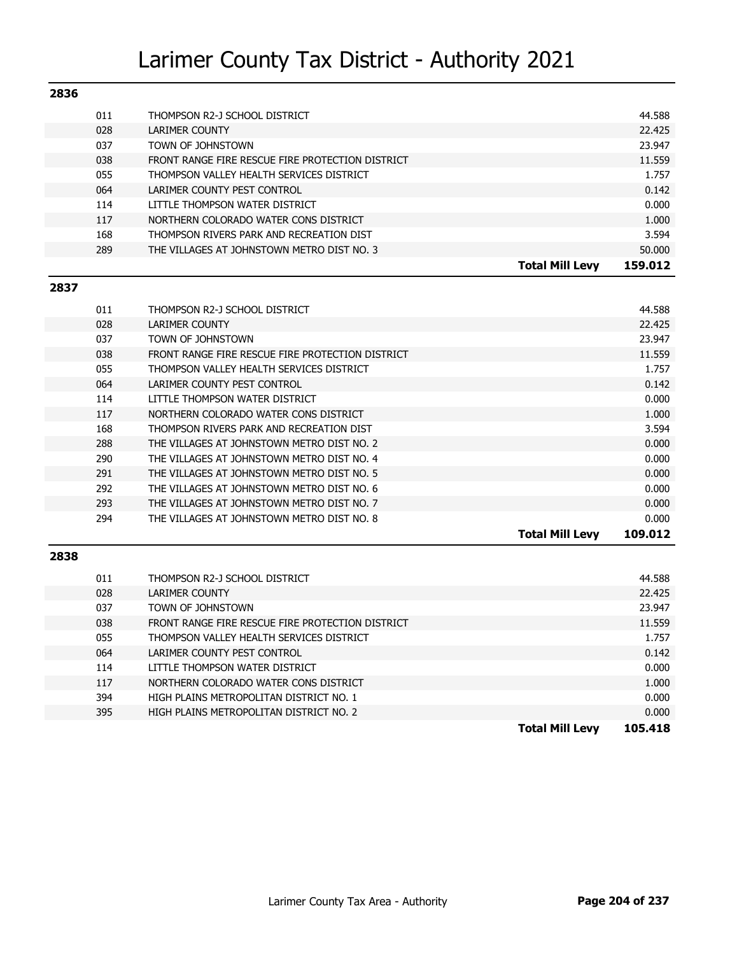| 2836 |     |                                                  |                        |         |
|------|-----|--------------------------------------------------|------------------------|---------|
|      | 011 | THOMPSON R2-J SCHOOL DISTRICT                    |                        | 44.588  |
|      | 028 | LARIMER COUNTY                                   |                        | 22.425  |
|      | 037 | TOWN OF JOHNSTOWN                                |                        | 23.947  |
|      | 038 | FRONT RANGE FIRE RESCUE FIRE PROTECTION DISTRICT |                        | 11.559  |
|      | 055 | THOMPSON VALLEY HEALTH SERVICES DISTRICT         |                        | 1.757   |
|      | 064 | LARIMER COUNTY PEST CONTROL                      |                        | 0.142   |
|      | 114 | LITTLE THOMPSON WATER DISTRICT                   |                        | 0.000   |
|      | 117 | NORTHERN COLORADO WATER CONS DISTRICT            |                        | 1.000   |
|      | 168 | THOMPSON RIVERS PARK AND RECREATION DIST         |                        | 3.594   |
|      | 289 | THE VILLAGES AT JOHNSTOWN METRO DIST NO. 3       |                        | 50.000  |
|      |     |                                                  | <b>Total Mill Levy</b> | 159.012 |

#### **2837**

| 011 | THOMPSON R2-J SCHOOL DISTRICT                    |                        | 44.588  |
|-----|--------------------------------------------------|------------------------|---------|
| 028 | LARIMER COUNTY                                   |                        | 22.425  |
| 037 | TOWN OF JOHNSTOWN                                |                        | 23.947  |
| 038 | FRONT RANGE FIRE RESCUE FIRE PROTECTION DISTRICT |                        | 11.559  |
| 055 | THOMPSON VALLEY HEALTH SERVICES DISTRICT         |                        | 1.757   |
| 064 | LARIMER COUNTY PEST CONTROL                      |                        | 0.142   |
| 114 | LITTLE THOMPSON WATER DISTRICT                   |                        | 0.000   |
| 117 | NORTHERN COLORADO WATER CONS DISTRICT            |                        | 1.000   |
| 168 | THOMPSON RIVERS PARK AND RECREATION DIST         |                        | 3.594   |
| 288 | THE VILLAGES AT JOHNSTOWN METRO DIST NO. 2       |                        | 0.000   |
| 290 | THE VILLAGES AT JOHNSTOWN METRO DIST NO. 4       |                        | 0.000   |
| 291 | THE VILLAGES AT JOHNSTOWN METRO DIST NO. 5       |                        | 0.000   |
| 292 | THE VILLAGES AT JOHNSTOWN METRO DIST NO. 6       |                        | 0.000   |
| 293 | THE VILLAGES AT JOHNSTOWN METRO DIST NO. 7       |                        | 0.000   |
| 294 | THE VILLAGES AT JOHNSTOWN METRO DIST NO. 8       |                        | 0.000   |
|     |                                                  | <b>Total Mill Levy</b> | 109.012 |
|     |                                                  |                        |         |

#### **2838**

| 011 | THOMPSON R2-J SCHOOL DISTRICT                    |                        | 44.588  |
|-----|--------------------------------------------------|------------------------|---------|
| 028 | LARIMER COUNTY                                   |                        | 22.425  |
| 037 | TOWN OF JOHNSTOWN                                |                        | 23.947  |
| 038 | FRONT RANGE FIRE RESCUE FIRE PROTECTION DISTRICT |                        | 11.559  |
| 055 | THOMPSON VALLEY HEALTH SERVICES DISTRICT         |                        | 1.757   |
| 064 | LARIMER COUNTY PEST CONTROL                      |                        | 0.142   |
| 114 | LITTLE THOMPSON WATER DISTRICT                   |                        | 0.000   |
| 117 | NORTHERN COLORADO WATER CONS DISTRICT            |                        | 1.000   |
| 394 | HIGH PLAINS METROPOLITAN DISTRICT NO. 1          |                        | 0.000   |
| 395 | HIGH PLAINS METROPOLITAN DISTRICT NO. 2          |                        | 0.000   |
|     |                                                  | <b>Total Mill Levv</b> | 105.418 |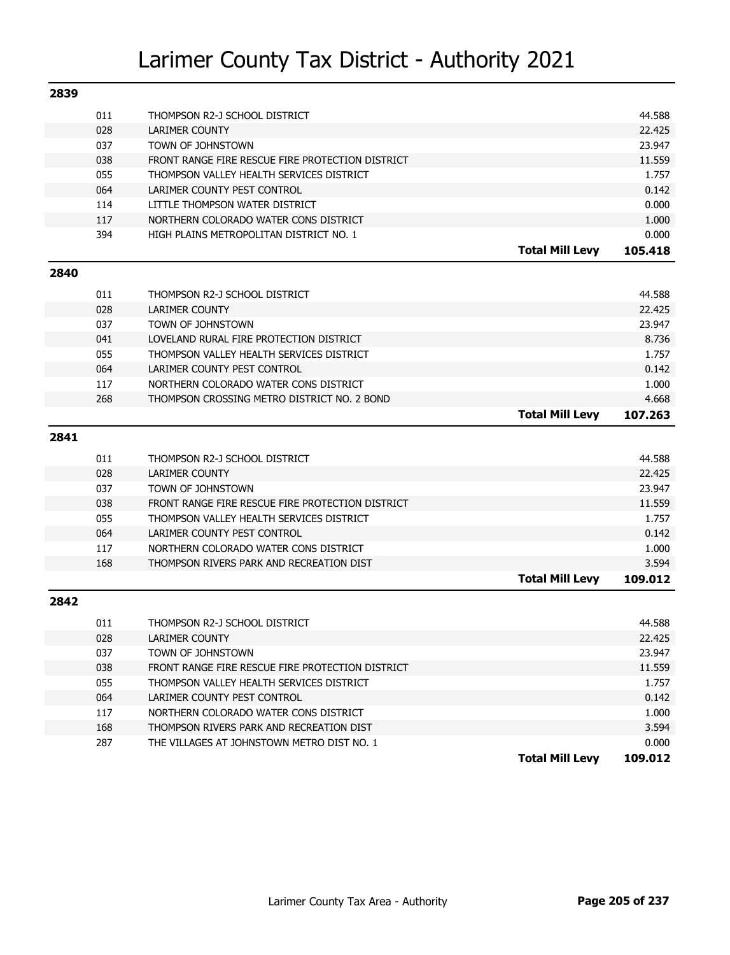| 2839 |            |                                                                                   |                        |                |
|------|------------|-----------------------------------------------------------------------------------|------------------------|----------------|
|      | 011        | THOMPSON R2-J SCHOOL DISTRICT                                                     |                        | 44.588         |
|      | 028        | <b>LARIMER COUNTY</b>                                                             |                        | 22.425         |
|      | 037        | TOWN OF JOHNSTOWN                                                                 |                        | 23.947         |
|      | 038        | FRONT RANGE FIRE RESCUE FIRE PROTECTION DISTRICT                                  |                        | 11.559         |
|      | 055        | THOMPSON VALLEY HEALTH SERVICES DISTRICT                                          |                        | 1.757          |
|      | 064        | LARIMER COUNTY PEST CONTROL                                                       |                        | 0.142          |
|      | 114        | LITTLE THOMPSON WATER DISTRICT                                                    |                        | 0.000          |
|      | 117        | NORTHERN COLORADO WATER CONS DISTRICT                                             |                        | 1.000          |
|      | 394        | HIGH PLAINS METROPOLITAN DISTRICT NO. 1                                           |                        | 0.000          |
|      |            |                                                                                   | <b>Total Mill Levy</b> | 105.418        |
| 2840 |            |                                                                                   |                        |                |
|      |            |                                                                                   |                        |                |
|      | 011        | THOMPSON R2-J SCHOOL DISTRICT                                                     |                        | 44.588         |
|      | 028        | <b>LARIMER COUNTY</b>                                                             |                        | 22.425         |
|      | 037        | TOWN OF JOHNSTOWN                                                                 |                        | 23.947         |
|      | 041        | LOVELAND RURAL FIRE PROTECTION DISTRICT                                           |                        | 8.736          |
|      | 055        | THOMPSON VALLEY HEALTH SERVICES DISTRICT                                          |                        | 1.757          |
|      | 064        | LARIMER COUNTY PEST CONTROL                                                       |                        | 0.142          |
|      | 117        | NORTHERN COLORADO WATER CONS DISTRICT                                             |                        | 1.000          |
|      | 268        | THOMPSON CROSSING METRO DISTRICT NO. 2 BOND                                       |                        | 4.668          |
|      |            |                                                                                   | <b>Total Mill Levy</b> | 107.263        |
| 2841 |            |                                                                                   |                        |                |
|      | 011        | THOMPSON R2-J SCHOOL DISTRICT                                                     |                        | 44.588         |
|      | 028        | <b>LARIMER COUNTY</b>                                                             |                        | 22.425         |
|      | 037        | TOWN OF JOHNSTOWN                                                                 |                        | 23.947         |
|      | 038        | FRONT RANGE FIRE RESCUE FIRE PROTECTION DISTRICT                                  |                        | 11.559         |
|      | 055        | THOMPSON VALLEY HEALTH SERVICES DISTRICT                                          |                        | 1.757          |
|      | 064        | LARIMER COUNTY PEST CONTROL                                                       |                        | 0.142          |
|      | 117        | NORTHERN COLORADO WATER CONS DISTRICT                                             |                        | 1.000          |
|      | 168        | THOMPSON RIVERS PARK AND RECREATION DIST                                          |                        | 3.594          |
|      |            |                                                                                   | <b>Total Mill Levy</b> | 109.012        |
| 2842 |            |                                                                                   |                        |                |
|      |            |                                                                                   |                        |                |
|      |            |                                                                                   |                        |                |
|      | 011        | THOMPSON R2-J SCHOOL DISTRICT                                                     |                        | 44.588         |
|      | 028        | LARIMER COUNTY                                                                    |                        | 22.425         |
|      | 037        | TOWN OF JOHNSTOWN                                                                 |                        | 23.947         |
|      | 038        | FRONT RANGE FIRE RESCUE FIRE PROTECTION DISTRICT                                  |                        | 11.559         |
|      | 055        | THOMPSON VALLEY HEALTH SERVICES DISTRICT                                          |                        | 1.757          |
|      | 064        | LARIMER COUNTY PEST CONTROL                                                       |                        | 0.142          |
|      | 117        | NORTHERN COLORADO WATER CONS DISTRICT<br>THOMPSON RIVERS PARK AND RECREATION DIST |                        | 1.000          |
|      | 168<br>287 | THE VILLAGES AT JOHNSTOWN METRO DIST NO. 1                                        |                        | 3.594<br>0.000 |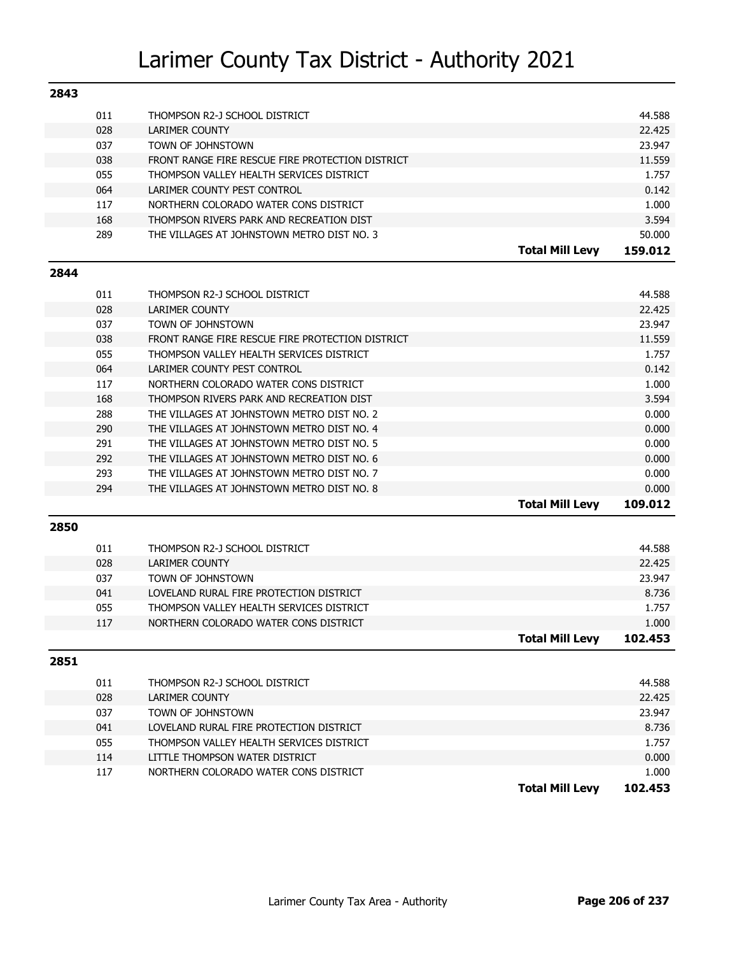| 2843 |     |                                                  |                        |         |
|------|-----|--------------------------------------------------|------------------------|---------|
|      | 011 | THOMPSON R2-J SCHOOL DISTRICT                    |                        | 44.588  |
|      | 028 | LARIMER COUNTY                                   |                        | 22.425  |
|      | 037 | TOWN OF JOHNSTOWN                                |                        | 23.947  |
|      | 038 | FRONT RANGE FIRE RESCUE FIRE PROTECTION DISTRICT |                        | 11.559  |
|      | 055 | THOMPSON VALLEY HEALTH SERVICES DISTRICT         |                        | 1.757   |
|      | 064 | LARIMER COUNTY PEST CONTROL                      |                        | 0.142   |
|      | 117 | NORTHERN COLORADO WATER CONS DISTRICT            |                        | 1.000   |
|      | 168 | THOMPSON RIVERS PARK AND RECREATION DIST         |                        | 3.594   |
|      | 289 | THE VILLAGES AT JOHNSTOWN METRO DIST NO. 3       |                        | 50.000  |
|      |     |                                                  | <b>Total Mill Levy</b> | 159.012 |

#### **2844**

| 011 | THOMPSON R2-J SCHOOL DISTRICT                    |                        | 44.588  |
|-----|--------------------------------------------------|------------------------|---------|
| 028 | LARIMER COUNTY                                   |                        | 22.425  |
| 037 | TOWN OF JOHNSTOWN                                |                        | 23.947  |
| 038 | FRONT RANGE FIRE RESCUE FIRE PROTECTION DISTRICT |                        | 11.559  |
| 055 | THOMPSON VALLEY HEALTH SERVICES DISTRICT         |                        | 1.757   |
| 064 | LARIMER COUNTY PEST CONTROL                      |                        | 0.142   |
| 117 | NORTHERN COLORADO WATER CONS DISTRICT            |                        | 1.000   |
| 168 | THOMPSON RIVERS PARK AND RECREATION DIST         |                        | 3.594   |
| 288 | THE VILLAGES AT JOHNSTOWN METRO DIST NO. 2       |                        | 0.000   |
| 290 | THE VILLAGES AT JOHNSTOWN METRO DIST NO. 4       |                        | 0.000   |
| 291 | THE VILLAGES AT JOHNSTOWN METRO DIST NO. 5       |                        | 0.000   |
| 292 | THE VILLAGES AT JOHNSTOWN METRO DIST NO. 6       |                        | 0.000   |
| 293 | THE VILLAGES AT JOHNSTOWN METRO DIST NO. 7       |                        | 0.000   |
| 294 | THE VILLAGES AT JOHNSTOWN METRO DIST NO. 8       |                        | 0.000   |
|     |                                                  | <b>Total Mill Levy</b> | 109.012 |

#### **2850**

| 011<br>028 | THOMPSON R2-J SCHOOL DISTRICT<br>LARIMER COUNTY |                        | 44.588<br>22.425 |
|------------|-------------------------------------------------|------------------------|------------------|
| 037        | TOWN OF JOHNSTOWN                               |                        | 23.947           |
|            |                                                 |                        |                  |
| 041        | LOVELAND RURAL FIRE PROTECTION DISTRICT         |                        | 8.736            |
| 055        | THOMPSON VALLEY HEALTH SERVICES DISTRICT        |                        | 1.757            |
| 117        | NORTHERN COLORADO WATER CONS DISTRICT           |                        | 1.000            |
|            |                                                 | <b>Total Mill Levy</b> | 102.453          |

| 2851 |     |                                          |                        |         |
|------|-----|------------------------------------------|------------------------|---------|
|      | 011 | THOMPSON R2-J SCHOOL DISTRICT            |                        | 44.588  |
|      | 028 | LARIMER COUNTY                           |                        | 22.425  |
|      | 037 | TOWN OF JOHNSTOWN                        |                        | 23.947  |
|      | 041 | LOVELAND RURAL FIRE PROTECTION DISTRICT  |                        | 8.736   |
|      | 055 | THOMPSON VALLEY HEALTH SERVICES DISTRICT |                        | 1.757   |
|      | 114 | LITTLE THOMPSON WATER DISTRICT           |                        | 0.000   |
|      | 117 | NORTHERN COLORADO WATER CONS DISTRICT    |                        | 1.000   |
|      |     |                                          | <b>Total Mill Levy</b> | 102.453 |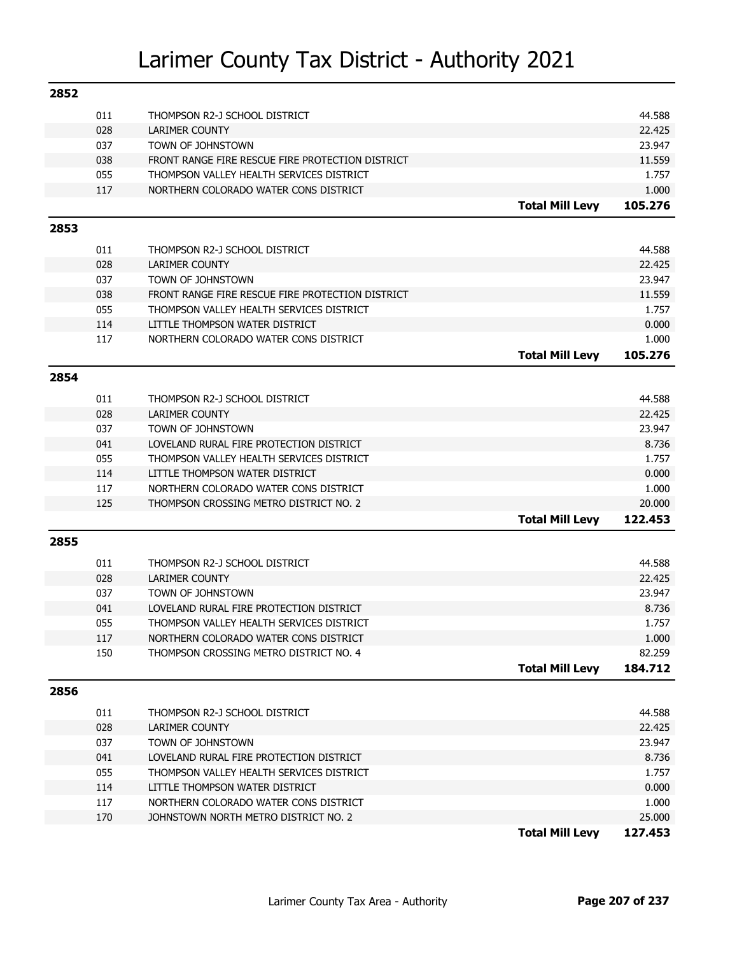| 2852 |     |                                                  |                        |                  |
|------|-----|--------------------------------------------------|------------------------|------------------|
|      | 011 | THOMPSON R2-J SCHOOL DISTRICT                    |                        | 44.588           |
|      | 028 | LARIMER COUNTY                                   |                        | 22.425           |
|      | 037 | TOWN OF JOHNSTOWN                                |                        | 23.947           |
|      | 038 | FRONT RANGE FIRE RESCUE FIRE PROTECTION DISTRICT |                        | 11.559           |
|      | 055 | THOMPSON VALLEY HEALTH SERVICES DISTRICT         |                        | 1.757            |
|      | 117 | NORTHERN COLORADO WATER CONS DISTRICT            |                        | 1.000            |
|      |     |                                                  | <b>Total Mill Levy</b> | 105.276          |
| 2853 |     |                                                  |                        |                  |
|      |     |                                                  |                        |                  |
|      | 011 | THOMPSON R2-J SCHOOL DISTRICT                    |                        | 44.588<br>22.425 |
|      | 028 | <b>LARIMER COUNTY</b>                            |                        | 23.947           |
|      | 037 | TOWN OF JOHNSTOWN                                |                        |                  |
|      | 038 | FRONT RANGE FIRE RESCUE FIRE PROTECTION DISTRICT |                        | 11.559           |
|      | 055 | THOMPSON VALLEY HEALTH SERVICES DISTRICT         |                        | 1.757            |
|      | 114 | LITTLE THOMPSON WATER DISTRICT                   |                        | 0.000            |
|      | 117 | NORTHERN COLORADO WATER CONS DISTRICT            |                        | 1.000            |
|      |     |                                                  | <b>Total Mill Levy</b> | 105.276          |
| 2854 |     |                                                  |                        |                  |
|      | 011 | THOMPSON R2-J SCHOOL DISTRICT                    |                        | 44.588           |
|      | 028 | <b>LARIMER COUNTY</b>                            |                        | 22.425           |
|      | 037 | TOWN OF JOHNSTOWN                                |                        | 23.947           |
|      | 041 | LOVELAND RURAL FIRE PROTECTION DISTRICT          |                        | 8.736            |
|      | 055 | THOMPSON VALLEY HEALTH SERVICES DISTRICT         |                        | 1.757            |
|      | 114 | LITTLE THOMPSON WATER DISTRICT                   |                        | 0.000            |
|      | 117 | NORTHERN COLORADO WATER CONS DISTRICT            |                        | 1.000            |
|      | 125 | THOMPSON CROSSING METRO DISTRICT NO. 2           |                        | 20.000           |
|      |     |                                                  | <b>Total Mill Levy</b> | 122.453          |
| 2855 |     |                                                  |                        |                  |
|      | 011 | THOMPSON R2-J SCHOOL DISTRICT                    |                        | 44.588           |
|      | 028 | <b>LARIMER COUNTY</b>                            |                        | 22.425           |
|      | 037 | TOWN OF JOHNSTOWN                                |                        | 23.947           |
|      | 041 | LOVELAND RURAL FIRE PROTECTION DISTRICT          |                        | 8.736            |
|      | 055 | THOMPSON VALLEY HEALTH SERVICES DISTRICT         |                        | 1.757            |
|      | 117 | NORTHERN COLORADO WATER CONS DISTRICT            |                        | 1.000            |
|      | 150 | THOMPSON CROSSING METRO DISTRICT NO. 4           |                        | 82.259           |
|      |     |                                                  | <b>Total Mill Levy</b> | 184.712          |
|      |     |                                                  |                        |                  |
| 2856 |     |                                                  |                        |                  |
|      | 011 | THOMPSON R2-J SCHOOL DISTRICT                    |                        | 44.588           |
|      | 028 | LARIMER COUNTY                                   |                        | 22.425           |
|      | 037 | TOWN OF JOHNSTOWN                                |                        | 23.947           |
|      | 041 | LOVELAND RURAL FIRE PROTECTION DISTRICT          |                        | 8.736            |
|      | 055 | THOMPSON VALLEY HEALTH SERVICES DISTRICT         |                        | 1.757            |
|      | 114 | LITTLE THOMPSON WATER DISTRICT                   |                        | 0.000            |
|      | 117 | NORTHERN COLORADO WATER CONS DISTRICT            |                        | 1.000            |
|      | 170 | JOHNSTOWN NORTH METRO DISTRICT NO. 2             |                        | 25.000           |
|      |     |                                                  | <b>Total Mill Levy</b> | 127.453          |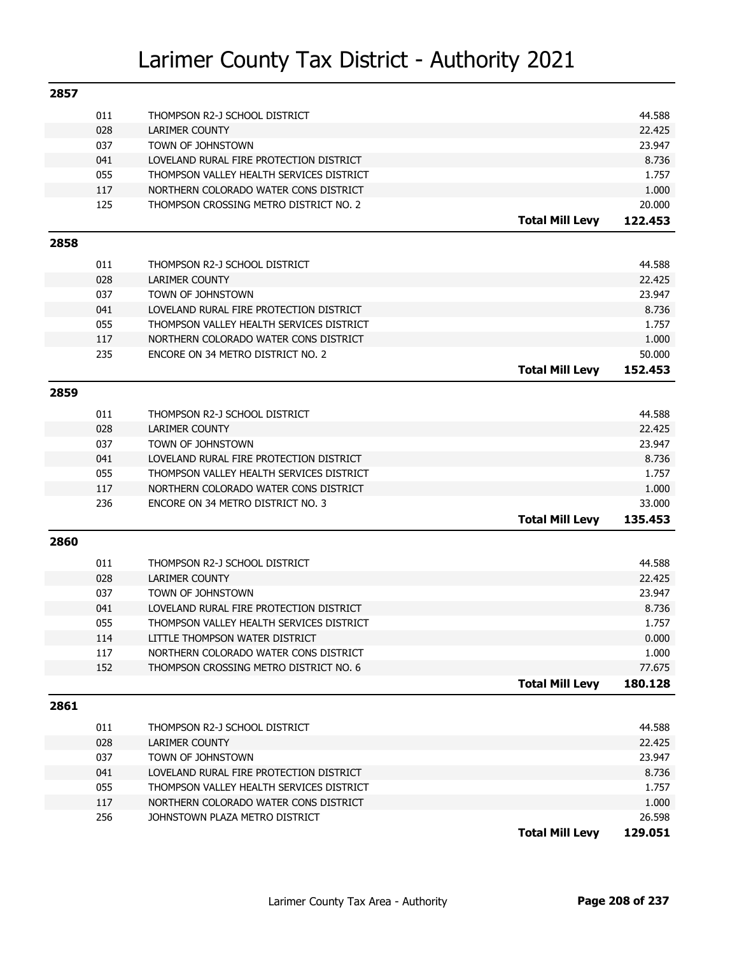| 2857 |     |                                          |                        |         |
|------|-----|------------------------------------------|------------------------|---------|
|      | 011 | THOMPSON R2-J SCHOOL DISTRICT            |                        | 44.588  |
|      | 028 | <b>LARIMER COUNTY</b>                    |                        | 22.425  |
|      | 037 | TOWN OF JOHNSTOWN                        |                        | 23.947  |
|      | 041 | LOVELAND RURAL FIRE PROTECTION DISTRICT  |                        | 8.736   |
|      | 055 | THOMPSON VALLEY HEALTH SERVICES DISTRICT |                        | 1.757   |
|      | 117 | NORTHERN COLORADO WATER CONS DISTRICT    |                        | 1.000   |
|      | 125 | THOMPSON CROSSING METRO DISTRICT NO. 2   |                        | 20.000  |
|      |     |                                          | <b>Total Mill Levy</b> | 122.453 |
| 2858 |     |                                          |                        |         |
|      | 011 | THOMPSON R2-J SCHOOL DISTRICT            |                        | 44.588  |
|      | 028 | <b>LARIMER COUNTY</b>                    |                        | 22.425  |
|      | 037 | TOWN OF JOHNSTOWN                        |                        | 23.947  |
|      | 041 | LOVELAND RURAL FIRE PROTECTION DISTRICT  |                        | 8.736   |
|      | 055 | THOMPSON VALLEY HEALTH SERVICES DISTRICT |                        | 1.757   |
|      | 117 | NORTHERN COLORADO WATER CONS DISTRICT    |                        | 1.000   |
|      | 235 | ENCORE ON 34 METRO DISTRICT NO. 2        |                        | 50.000  |
|      |     |                                          | <b>Total Mill Levy</b> | 152.453 |
| 2859 |     |                                          |                        |         |
|      |     |                                          |                        |         |
|      | 011 | THOMPSON R2-J SCHOOL DISTRICT            |                        | 44.588  |
|      | 028 | <b>LARIMER COUNTY</b>                    |                        | 22.425  |
|      | 037 | TOWN OF JOHNSTOWN                        |                        | 23.947  |
|      | 041 | LOVELAND RURAL FIRE PROTECTION DISTRICT  |                        | 8.736   |
|      | 055 | THOMPSON VALLEY HEALTH SERVICES DISTRICT |                        | 1.757   |
|      | 117 | NORTHERN COLORADO WATER CONS DISTRICT    |                        | 1.000   |
|      | 236 | ENCORE ON 34 METRO DISTRICT NO. 3        |                        | 33.000  |
|      |     |                                          | <b>Total Mill Levy</b> | 135,453 |
| 2860 |     |                                          |                        |         |
|      | 011 | THOMPSON R2-J SCHOOL DISTRICT            |                        | 44.588  |
|      | 028 | <b>LARIMER COUNTY</b>                    |                        | 22.425  |
|      | 037 | TOWN OF JOHNSTOWN                        |                        | 23.947  |
|      | 041 | LOVELAND RURAL FIRE PROTECTION DISTRICT  |                        | 8.736   |
|      | 055 | THOMPSON VALLEY HEALTH SERVICES DISTRICT |                        | 1.757   |
|      | 114 | LITTLE THOMPSON WATER DISTRICT           |                        | 0.000   |
|      | 117 | NORTHERN COLORADO WATER CONS DISTRICT    |                        | 1.000   |
|      | 152 | THOMPSON CROSSING METRO DISTRICT NO. 6   |                        | 77.675  |
|      |     |                                          | <b>Total Mill Levy</b> | 180.128 |
| 2861 |     |                                          |                        |         |
|      | 011 | THOMPSON R2-J SCHOOL DISTRICT            |                        | 44.588  |
|      | 028 | LARIMER COUNTY                           |                        | 22.425  |
|      | 037 | TOWN OF JOHNSTOWN                        |                        | 23.947  |
|      | 041 | LOVELAND RURAL FIRE PROTECTION DISTRICT  |                        | 8.736   |
|      | 055 | THOMPSON VALLEY HEALTH SERVICES DISTRICT |                        | 1.757   |
|      | 117 | NORTHERN COLORADO WATER CONS DISTRICT    |                        | 1.000   |
|      | 256 | JOHNSTOWN PLAZA METRO DISTRICT           |                        | 26.598  |
|      |     |                                          | <b>Total Mill Levy</b> | 129.051 |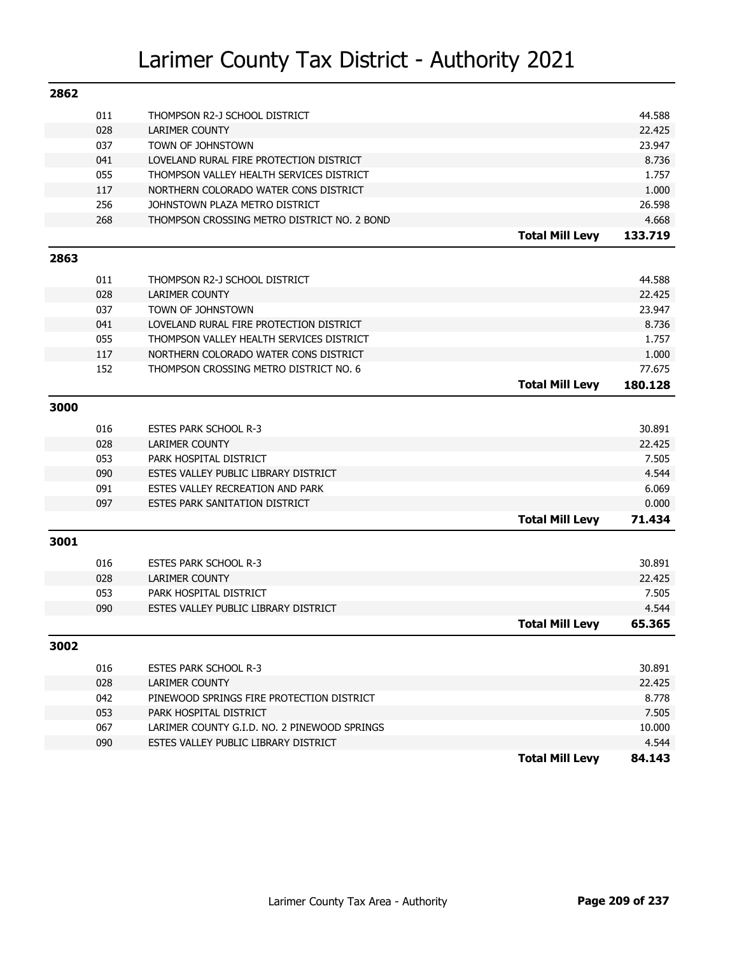| 2862 |            |                                                 |                        |                 |
|------|------------|-------------------------------------------------|------------------------|-----------------|
|      | 011        | THOMPSON R2-J SCHOOL DISTRICT                   |                        | 44.588          |
|      | 028        | LARIMER COUNTY                                  |                        | 22.425          |
|      | 037        | TOWN OF JOHNSTOWN                               |                        | 23.947          |
|      | 041        | LOVELAND RURAL FIRE PROTECTION DISTRICT         |                        | 8.736           |
|      | 055        | THOMPSON VALLEY HEALTH SERVICES DISTRICT        |                        | 1.757           |
|      | 117        | NORTHERN COLORADO WATER CONS DISTRICT           |                        | 1.000           |
|      | 256        | JOHNSTOWN PLAZA METRO DISTRICT                  |                        | 26.598          |
|      | 268        | THOMPSON CROSSING METRO DISTRICT NO. 2 BOND     |                        | 4.668           |
|      |            |                                                 | <b>Total Mill Levy</b> | 133.719         |
| 2863 |            |                                                 |                        |                 |
|      | 011        | THOMPSON R2-J SCHOOL DISTRICT                   |                        | 44.588          |
|      | 028        | <b>LARIMER COUNTY</b>                           |                        | 22.425          |
|      | 037        | TOWN OF JOHNSTOWN                               |                        | 23.947          |
|      | 041        | LOVELAND RURAL FIRE PROTECTION DISTRICT         |                        | 8.736           |
|      | 055        | THOMPSON VALLEY HEALTH SERVICES DISTRICT        |                        | 1.757           |
|      | 117        | NORTHERN COLORADO WATER CONS DISTRICT           |                        | 1.000           |
|      | 152        | THOMPSON CROSSING METRO DISTRICT NO. 6          |                        | 77.675          |
|      |            |                                                 | <b>Total Mill Levy</b> | 180.128         |
| 3000 |            |                                                 |                        |                 |
|      | 016        | <b>ESTES PARK SCHOOL R-3</b>                    |                        | 30.891          |
|      | 028        | <b>LARIMER COUNTY</b>                           |                        | 22.425          |
|      | 053        | PARK HOSPITAL DISTRICT                          |                        | 7.505           |
|      | 090        | ESTES VALLEY PUBLIC LIBRARY DISTRICT            |                        | 4.544           |
|      | 091        | ESTES VALLEY RECREATION AND PARK                |                        | 6.069           |
|      | 097        | <b>ESTES PARK SANITATION DISTRICT</b>           |                        | 0.000           |
|      |            |                                                 | <b>Total Mill Levy</b> | 71.434          |
| 3001 |            |                                                 |                        |                 |
|      |            |                                                 |                        |                 |
|      | 016        | <b>ESTES PARK SCHOOL R-3</b>                    |                        | 30.891          |
|      | 028<br>053 | <b>LARIMER COUNTY</b><br>PARK HOSPITAL DISTRICT |                        | 22.425<br>7.505 |
|      | 090        | ESTES VALLEY PUBLIC LIBRARY DISTRICT            |                        | 4.544           |
|      |            |                                                 | <b>Total Mill Levy</b> | 65.365          |
|      |            |                                                 |                        |                 |
| 3002 |            |                                                 |                        |                 |
|      | 016        | <b>ESTES PARK SCHOOL R-3</b>                    |                        | 30.891          |
|      | 028        | LARIMER COUNTY                                  |                        | 22.425          |
|      | 042        | PINEWOOD SPRINGS FIRE PROTECTION DISTRICT       |                        | 8.778           |
|      | 053        | PARK HOSPITAL DISTRICT                          |                        | 7.505           |
|      | 067        | LARIMER COUNTY G.I.D. NO. 2 PINEWOOD SPRINGS    |                        | 10.000          |
|      | 090        | ESTES VALLEY PUBLIC LIBRARY DISTRICT            |                        | 4.544           |
|      |            |                                                 | <b>Total Mill Levy</b> | 84.143          |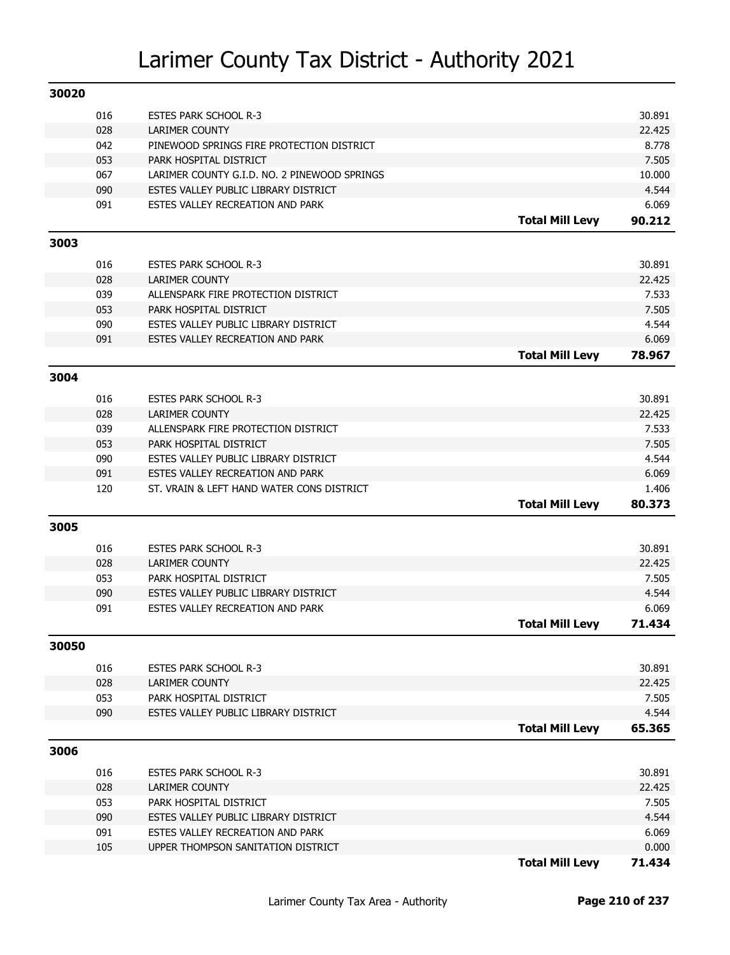| 30020 |     |                                              |                        |        |
|-------|-----|----------------------------------------------|------------------------|--------|
|       | 016 | <b>ESTES PARK SCHOOL R-3</b>                 |                        | 30.891 |
|       | 028 | <b>LARIMER COUNTY</b>                        |                        | 22.425 |
|       | 042 | PINEWOOD SPRINGS FIRE PROTECTION DISTRICT    |                        | 8.778  |
|       | 053 | PARK HOSPITAL DISTRICT                       |                        | 7.505  |
|       | 067 | LARIMER COUNTY G.I.D. NO. 2 PINEWOOD SPRINGS |                        | 10.000 |
|       | 090 | ESTES VALLEY PUBLIC LIBRARY DISTRICT         |                        | 4.544  |
|       | 091 | ESTES VALLEY RECREATION AND PARK             |                        | 6.069  |
|       |     |                                              | <b>Total Mill Levy</b> | 90.212 |
| 3003  |     |                                              |                        |        |
|       | 016 | <b>ESTES PARK SCHOOL R-3</b>                 |                        | 30.891 |
|       | 028 | <b>LARIMER COUNTY</b>                        |                        | 22.425 |
|       | 039 | ALLENSPARK FIRE PROTECTION DISTRICT          |                        | 7.533  |
|       | 053 | PARK HOSPITAL DISTRICT                       |                        | 7.505  |
|       | 090 | ESTES VALLEY PUBLIC LIBRARY DISTRICT         |                        | 4.544  |
|       | 091 | ESTES VALLEY RECREATION AND PARK             |                        | 6.069  |
|       |     |                                              | <b>Total Mill Levy</b> | 78.967 |
| 3004  |     |                                              |                        |        |
|       |     |                                              |                        |        |
|       | 016 | <b>ESTES PARK SCHOOL R-3</b>                 |                        | 30.891 |
|       | 028 | <b>LARIMER COUNTY</b>                        |                        | 22.425 |
|       | 039 | ALLENSPARK FIRE PROTECTION DISTRICT          |                        | 7.533  |
|       | 053 | PARK HOSPITAL DISTRICT                       |                        | 7.505  |
|       | 090 | ESTES VALLEY PUBLIC LIBRARY DISTRICT         |                        | 4.544  |
|       | 091 | ESTES VALLEY RECREATION AND PARK             |                        | 6.069  |
|       | 120 | ST. VRAIN & LEFT HAND WATER CONS DISTRICT    |                        | 1.406  |
|       |     |                                              | <b>Total Mill Levy</b> | 80.373 |
| 3005  |     |                                              |                        |        |
|       | 016 | <b>ESTES PARK SCHOOL R-3</b>                 |                        | 30.891 |
|       | 028 | <b>LARIMER COUNTY</b>                        |                        | 22.425 |
|       | 053 | PARK HOSPITAL DISTRICT                       |                        | 7.505  |
|       | 090 | ESTES VALLEY PUBLIC LIBRARY DISTRICT         |                        | 4.544  |
|       | 091 | ESTES VALLEY RECREATION AND PARK             |                        | 6.069  |
|       |     |                                              | <b>Total Mill Levy</b> | 71.434 |
|       |     |                                              |                        |        |
| 30050 |     |                                              |                        |        |
|       | 016 | <b>ESTES PARK SCHOOL R-3</b>                 |                        | 30.891 |
|       | 028 | <b>LARIMER COUNTY</b>                        |                        | 22.425 |
|       | 053 | PARK HOSPITAL DISTRICT                       |                        | 7.505  |
|       | 090 | ESTES VALLEY PUBLIC LIBRARY DISTRICT         |                        | 4.544  |
|       |     |                                              | <b>Total Mill Levy</b> | 65.365 |
| 3006  |     |                                              |                        |        |
|       | 016 | <b>ESTES PARK SCHOOL R-3</b>                 |                        | 30.891 |
|       | 028 | <b>LARIMER COUNTY</b>                        |                        | 22.425 |
|       | 053 | PARK HOSPITAL DISTRICT                       |                        | 7.505  |
|       | 090 | ESTES VALLEY PUBLIC LIBRARY DISTRICT         |                        | 4.544  |
|       | 091 | ESTES VALLEY RECREATION AND PARK             |                        | 6.069  |
|       | 105 | UPPER THOMPSON SANITATION DISTRICT           |                        | 0.000  |
|       |     |                                              | <b>Total Mill Levy</b> | 71.434 |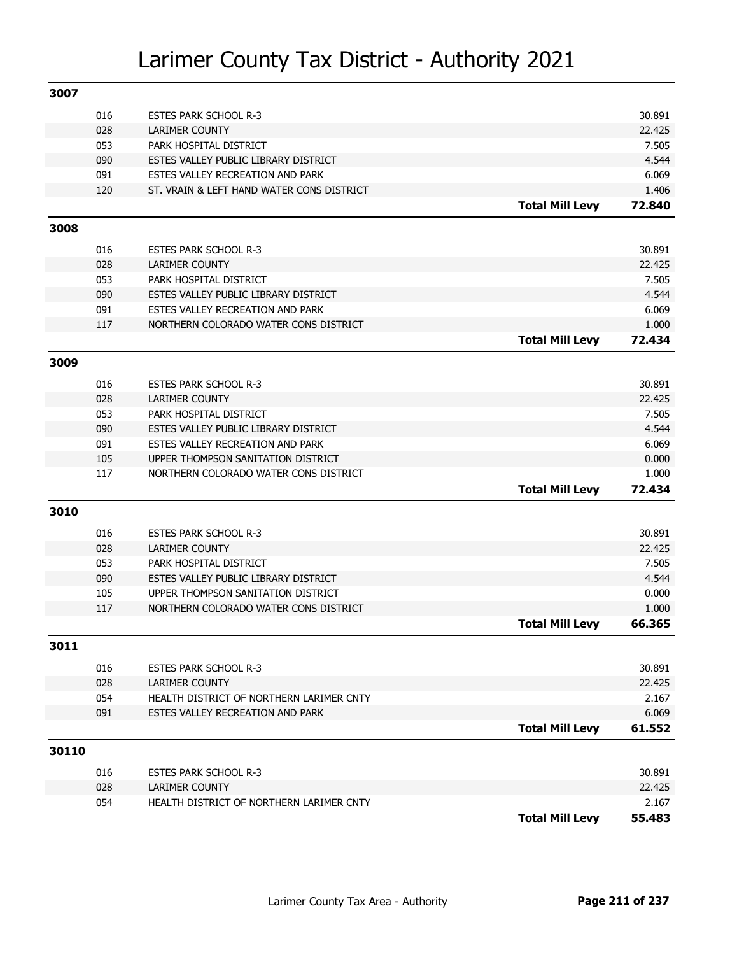| 3007        |     |                                                                            |                        |                 |
|-------------|-----|----------------------------------------------------------------------------|------------------------|-----------------|
|             | 016 | <b>ESTES PARK SCHOOL R-3</b>                                               |                        | 30.891          |
|             | 028 | LARIMER COUNTY                                                             |                        | 22.425          |
|             | 053 | PARK HOSPITAL DISTRICT                                                     |                        | 7.505           |
|             | 090 | ESTES VALLEY PUBLIC LIBRARY DISTRICT                                       |                        | 4.544           |
|             | 091 | ESTES VALLEY RECREATION AND PARK                                           |                        | 6.069           |
|             | 120 | ST. VRAIN & LEFT HAND WATER CONS DISTRICT                                  |                        | 1.406           |
|             |     |                                                                            | <b>Total Mill Levy</b> | 72.840          |
| 3008        |     |                                                                            |                        |                 |
|             | 016 | <b>ESTES PARK SCHOOL R-3</b>                                               |                        | 30.891          |
|             | 028 | LARIMER COUNTY                                                             |                        | 22.425          |
|             | 053 | PARK HOSPITAL DISTRICT                                                     |                        | 7.505           |
|             | 090 | ESTES VALLEY PUBLIC LIBRARY DISTRICT                                       |                        | 4.544           |
|             | 091 | ESTES VALLEY RECREATION AND PARK                                           |                        | 6.069           |
|             | 117 | NORTHERN COLORADO WATER CONS DISTRICT                                      |                        | 1.000           |
|             |     |                                                                            | <b>Total Mill Levy</b> | 72.434          |
| 3009        |     |                                                                            |                        |                 |
|             | 016 | <b>ESTES PARK SCHOOL R-3</b>                                               |                        | 30.891          |
|             | 028 | <b>LARIMER COUNTY</b>                                                      |                        | 22.425          |
|             | 053 | PARK HOSPITAL DISTRICT                                                     |                        | 7.505           |
|             | 090 | ESTES VALLEY PUBLIC LIBRARY DISTRICT                                       |                        | 4.544           |
|             | 091 | ESTES VALLEY RECREATION AND PARK                                           |                        | 6.069           |
|             | 105 | UPPER THOMPSON SANITATION DISTRICT                                         |                        | 0.000           |
|             | 117 | NORTHERN COLORADO WATER CONS DISTRICT                                      |                        | 1.000           |
|             |     |                                                                            | <b>Total Mill Levy</b> | 72.434          |
| 3010        |     |                                                                            |                        |                 |
|             |     |                                                                            |                        |                 |
|             | 016 | <b>ESTES PARK SCHOOL R-3</b>                                               |                        | 30.891          |
|             | 028 | <b>LARIMER COUNTY</b>                                                      |                        | 22.425          |
|             | 053 | PARK HOSPITAL DISTRICT                                                     |                        | 7.505           |
|             | 090 | ESTES VALLEY PUBLIC LIBRARY DISTRICT<br>UPPER THOMPSON SANITATION DISTRICT |                        | 4.544           |
|             | 105 |                                                                            |                        | 0.000           |
|             | 117 | NORTHERN COLORADO WATER CONS DISTRICT                                      | <b>Total Mill Levy</b> | 1.000<br>66.365 |
|             |     |                                                                            |                        |                 |
| <b>3011</b> |     |                                                                            |                        |                 |
|             | 016 | <b>ESTES PARK SCHOOL R-3</b>                                               |                        | 30.891          |
|             | 028 | <b>LARIMER COUNTY</b>                                                      |                        | 22.425          |
|             | 054 | HEALTH DISTRICT OF NORTHERN LARIMER CNTY                                   |                        | 2.167           |
|             | 091 | ESTES VALLEY RECREATION AND PARK                                           |                        | 6.069           |
|             |     |                                                                            | <b>Total Mill Levy</b> | 61.552          |
| 30110       |     |                                                                            |                        |                 |
|             | 016 | <b>ESTES PARK SCHOOL R-3</b>                                               |                        | 30.891          |
|             | 028 | <b>LARIMER COUNTY</b>                                                      |                        | 22.425          |
|             | 054 | HEALTH DISTRICT OF NORTHERN LARIMER CNTY                                   |                        | 2.167           |
|             |     |                                                                            | <b>Total Mill Levy</b> | 55.483          |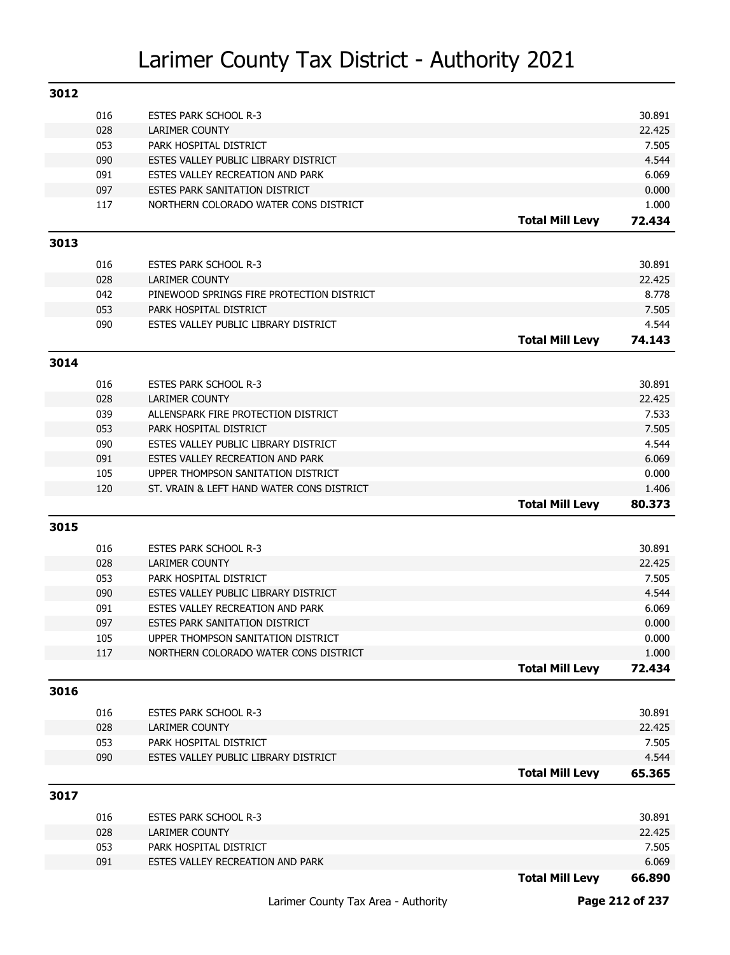| 3012 |            |                                                                             |                        |                |
|------|------------|-----------------------------------------------------------------------------|------------------------|----------------|
|      | 016        | <b>ESTES PARK SCHOOL R-3</b>                                                |                        | 30.891         |
|      | 028        | LARIMER COUNTY                                                              |                        | 22.425         |
|      | 053        | PARK HOSPITAL DISTRICT                                                      |                        | 7.505          |
|      | 090        | ESTES VALLEY PUBLIC LIBRARY DISTRICT                                        |                        | 4.544          |
|      | 091        | ESTES VALLEY RECREATION AND PARK                                            |                        | 6.069          |
|      | 097        | ESTES PARK SANITATION DISTRICT                                              |                        | 0.000          |
|      | 117        | NORTHERN COLORADO WATER CONS DISTRICT                                       |                        | 1.000          |
|      |            |                                                                             | <b>Total Mill Levy</b> | 72.434         |
| 3013 |            |                                                                             |                        |                |
|      | 016        | <b>ESTES PARK SCHOOL R-3</b>                                                |                        | 30.891         |
|      | 028        | <b>LARIMER COUNTY</b>                                                       |                        | 22.425         |
|      | 042        | PINEWOOD SPRINGS FIRE PROTECTION DISTRICT                                   |                        | 8.778          |
|      | 053        | PARK HOSPITAL DISTRICT                                                      |                        | 7.505          |
|      | 090        | ESTES VALLEY PUBLIC LIBRARY DISTRICT                                        |                        | 4.544          |
|      |            |                                                                             | <b>Total Mill Levy</b> | 74.143         |
|      |            |                                                                             |                        |                |
| 3014 |            |                                                                             |                        |                |
|      | 016        | <b>ESTES PARK SCHOOL R-3</b>                                                |                        | 30.891         |
|      | 028        | <b>LARIMER COUNTY</b>                                                       |                        | 22.425         |
|      | 039        | ALLENSPARK FIRE PROTECTION DISTRICT                                         |                        | 7.533          |
|      | 053        | PARK HOSPITAL DISTRICT                                                      |                        | 7.505          |
|      | 090        | ESTES VALLEY PUBLIC LIBRARY DISTRICT                                        |                        | 4.544          |
|      | 091        | ESTES VALLEY RECREATION AND PARK                                            |                        | 6.069          |
|      | 105        | UPPER THOMPSON SANITATION DISTRICT                                          |                        | 0.000          |
|      |            |                                                                             |                        |                |
|      | 120        | ST. VRAIN & LEFT HAND WATER CONS DISTRICT                                   |                        | 1.406          |
|      |            |                                                                             | <b>Total Mill Levy</b> | 80.373         |
| 3015 |            |                                                                             |                        |                |
|      | 016        | <b>ESTES PARK SCHOOL R-3</b>                                                |                        | 30.891         |
|      | 028        | <b>LARIMER COUNTY</b>                                                       |                        | 22.425         |
|      | 053        | PARK HOSPITAL DISTRICT                                                      |                        | 7.505          |
|      | 090        | ESTES VALLEY PUBLIC LIBRARY DISTRICT                                        |                        | 4.544          |
|      | 091        | ESTES VALLEY RECREATION AND PARK                                            |                        | 6.069          |
|      | 097        | ESTES PARK SANITATION DISTRICT                                              |                        | 0.000          |
|      |            |                                                                             |                        |                |
|      | 105<br>117 | UPPER THOMPSON SANITATION DISTRICT<br>NORTHERN COLORADO WATER CONS DISTRICT |                        | 0.000<br>1.000 |
|      |            |                                                                             | <b>Total Mill Levy</b> | 72.434         |
|      |            |                                                                             |                        |                |
| 3016 |            |                                                                             |                        |                |
|      | 016        | <b>ESTES PARK SCHOOL R-3</b>                                                |                        | 30.891         |
|      | 028        | <b>LARIMER COUNTY</b>                                                       |                        | 22.425         |
|      | 053        | PARK HOSPITAL DISTRICT                                                      |                        | 7.505          |
|      | 090        | ESTES VALLEY PUBLIC LIBRARY DISTRICT                                        |                        | 4.544          |
|      |            |                                                                             | <b>Total Mill Levy</b> | 65.365         |
| 3017 |            |                                                                             |                        |                |
|      | 016        | ESTES PARK SCHOOL R-3                                                       |                        | 30.891         |
|      | 028        | <b>LARIMER COUNTY</b>                                                       |                        | 22.425         |
|      | 053        | PARK HOSPITAL DISTRICT                                                      |                        | 7.505          |
|      | 091        | ESTES VALLEY RECREATION AND PARK                                            | <b>Total Mill Levy</b> | 6.069          |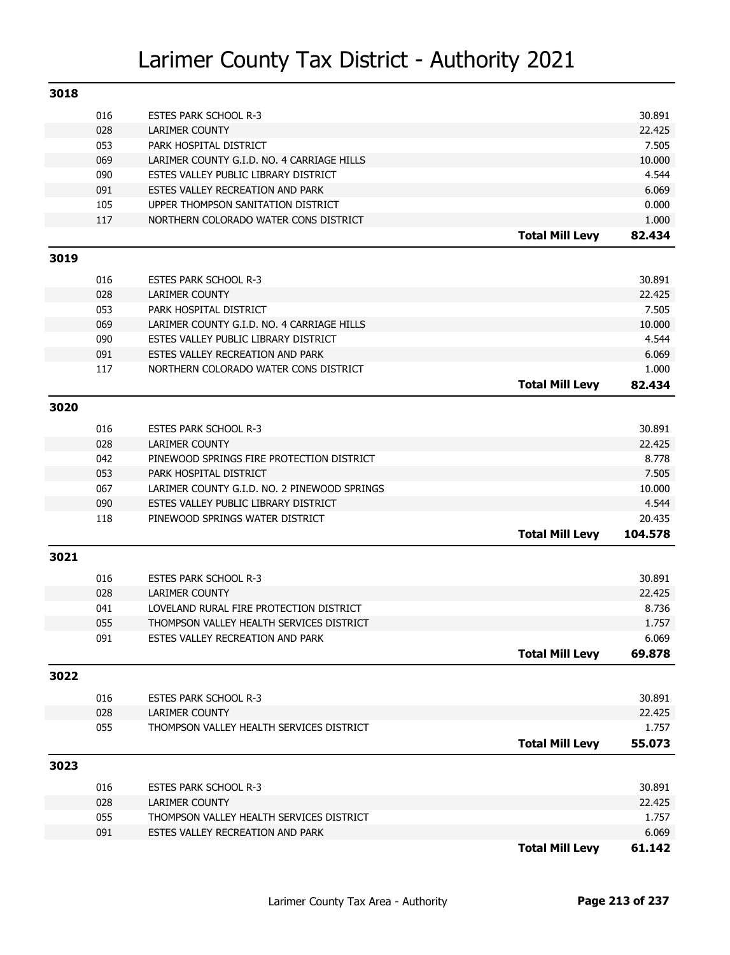| 3018 |            |                                                                     |                        |                 |
|------|------------|---------------------------------------------------------------------|------------------------|-----------------|
|      | 016        | <b>ESTES PARK SCHOOL R-3</b>                                        |                        | 30.891          |
|      | 028        | LARIMER COUNTY                                                      |                        | 22.425          |
|      | 053        | PARK HOSPITAL DISTRICT                                              |                        | 7.505           |
|      | 069        | LARIMER COUNTY G.I.D. NO. 4 CARRIAGE HILLS                          |                        | 10.000          |
|      | 090        | ESTES VALLEY PUBLIC LIBRARY DISTRICT                                |                        | 4.544           |
|      | 091        | ESTES VALLEY RECREATION AND PARK                                    |                        | 6.069           |
|      | 105        | UPPER THOMPSON SANITATION DISTRICT                                  |                        | 0.000           |
|      | 117        | NORTHERN COLORADO WATER CONS DISTRICT                               |                        | 1.000           |
|      |            |                                                                     | <b>Total Mill Levy</b> | 82.434          |
| 3019 |            |                                                                     |                        |                 |
|      | 016        | <b>ESTES PARK SCHOOL R-3</b>                                        |                        | 30.891          |
|      | 028        | <b>LARIMER COUNTY</b>                                               |                        | 22.425          |
|      | 053        | PARK HOSPITAL DISTRICT                                              |                        | 7.505           |
|      | 069        | LARIMER COUNTY G.I.D. NO. 4 CARRIAGE HILLS                          |                        | 10.000          |
|      | 090        | ESTES VALLEY PUBLIC LIBRARY DISTRICT                                |                        | 4.544           |
|      | 091        | ESTES VALLEY RECREATION AND PARK                                    |                        | 6.069           |
|      | 117        | NORTHERN COLORADO WATER CONS DISTRICT                               |                        | 1.000           |
|      |            |                                                                     | <b>Total Mill Levy</b> | 82.434          |
| 3020 |            |                                                                     |                        |                 |
|      |            |                                                                     |                        | 30.891          |
|      | 016        | <b>ESTES PARK SCHOOL R-3</b>                                        |                        |                 |
|      | 028<br>042 | <b>LARIMER COUNTY</b>                                               |                        | 22.425<br>8.778 |
|      | 053        | PINEWOOD SPRINGS FIRE PROTECTION DISTRICT<br>PARK HOSPITAL DISTRICT |                        | 7.505           |
|      | 067        | LARIMER COUNTY G.I.D. NO. 2 PINEWOOD SPRINGS                        |                        | 10.000          |
|      | 090        | ESTES VALLEY PUBLIC LIBRARY DISTRICT                                |                        | 4.544           |
|      | 118        | PINEWOOD SPRINGS WATER DISTRICT                                     |                        | 20.435          |
|      |            |                                                                     | <b>Total Mill Levy</b> | 104.578         |
| 3021 |            |                                                                     |                        |                 |
|      |            |                                                                     |                        |                 |
|      | 016        | <b>ESTES PARK SCHOOL R-3</b>                                        |                        | 30.891          |
|      | 028        | <b>LARIMER COUNTY</b>                                               |                        | 22.425          |
|      | 041        | LOVELAND RURAL FIRE PROTECTION DISTRICT                             |                        | 8.736           |
|      | 055        | THOMPSON VALLEY HEALTH SERVICES DISTRICT                            |                        | 1.757           |
|      | 091        | ESTES VALLEY RECREATION AND PARK                                    | <b>Total Mill Levy</b> | 6.069<br>69.878 |
|      |            |                                                                     |                        |                 |
| 3022 |            |                                                                     |                        |                 |
|      | 016        | <b>ESTES PARK SCHOOL R-3</b>                                        |                        | 30.891          |
|      | 028        | <b>LARIMER COUNTY</b>                                               |                        | 22.425          |
|      | 055        | THOMPSON VALLEY HEALTH SERVICES DISTRICT                            |                        | 1.757           |
|      |            |                                                                     | <b>Total Mill Levy</b> | 55.073          |
| 3023 |            |                                                                     |                        |                 |
|      | 016        | <b>ESTES PARK SCHOOL R-3</b>                                        |                        | 30.891          |
|      | 028        | <b>LARIMER COUNTY</b>                                               |                        | 22.425          |
|      | 055        | THOMPSON VALLEY HEALTH SERVICES DISTRICT                            |                        | 1.757           |
|      | 091        | ESTES VALLEY RECREATION AND PARK                                    |                        | 6.069           |
|      |            |                                                                     | <b>Total Mill Levy</b> | 61.142          |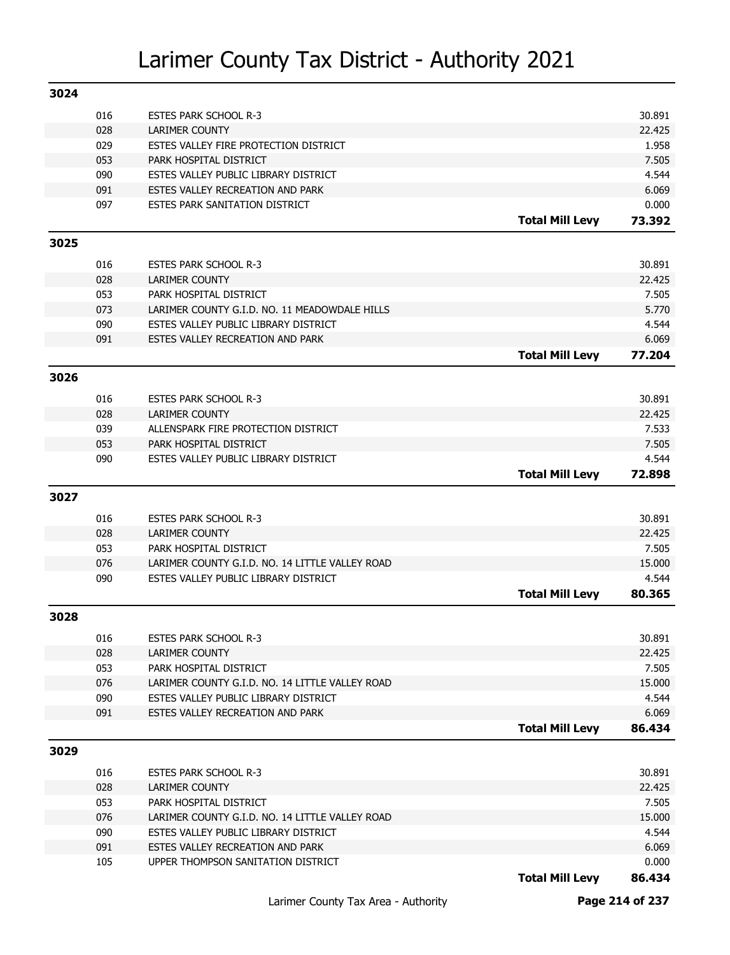| 3024 |            |                                                                          |                        |                 |
|------|------------|--------------------------------------------------------------------------|------------------------|-----------------|
|      | 016        | <b>ESTES PARK SCHOOL R-3</b>                                             |                        | 30.891          |
|      | 028        | LARIMER COUNTY                                                           |                        | 22.425          |
|      | 029        | ESTES VALLEY FIRE PROTECTION DISTRICT                                    |                        | 1.958           |
|      | 053        | PARK HOSPITAL DISTRICT                                                   |                        | 7.505           |
|      | 090        | ESTES VALLEY PUBLIC LIBRARY DISTRICT                                     |                        | 4.544           |
|      | 091        | ESTES VALLEY RECREATION AND PARK                                         |                        | 6.069           |
|      | 097        | ESTES PARK SANITATION DISTRICT                                           |                        | 0.000           |
|      |            |                                                                          | <b>Total Mill Levy</b> | 73.392          |
| 3025 |            |                                                                          |                        |                 |
|      | 016        | <b>ESTES PARK SCHOOL R-3</b>                                             |                        | 30.891          |
|      | 028        | <b>LARIMER COUNTY</b>                                                    |                        | 22.425          |
|      | 053        | PARK HOSPITAL DISTRICT                                                   |                        | 7.505           |
|      | 073        | LARIMER COUNTY G.I.D. NO. 11 MEADOWDALE HILLS                            |                        | 5.770           |
|      | 090        | ESTES VALLEY PUBLIC LIBRARY DISTRICT                                     |                        | 4.544           |
|      | 091        | ESTES VALLEY RECREATION AND PARK                                         |                        | 6.069           |
|      |            |                                                                          | <b>Total Mill Levy</b> | 77.204          |
|      |            |                                                                          |                        |                 |
| 3026 |            |                                                                          |                        |                 |
|      | 016        | <b>ESTES PARK SCHOOL R-3</b>                                             |                        | 30.891          |
|      | 028        | <b>LARIMER COUNTY</b>                                                    |                        | 22.425          |
|      | 039        | ALLENSPARK FIRE PROTECTION DISTRICT                                      |                        | 7.533           |
|      | 053        | PARK HOSPITAL DISTRICT                                                   |                        | 7.505           |
|      | 090        | ESTES VALLEY PUBLIC LIBRARY DISTRICT                                     |                        | 4.544           |
|      |            |                                                                          | <b>Total Mill Levy</b> | 72.898          |
|      |            |                                                                          |                        |                 |
| 3027 |            |                                                                          |                        |                 |
|      |            |                                                                          |                        |                 |
|      | 016        | <b>ESTES PARK SCHOOL R-3</b>                                             |                        | 30.891          |
|      | 028        | <b>LARIMER COUNTY</b>                                                    |                        | 22.425          |
|      | 053        | PARK HOSPITAL DISTRICT                                                   |                        | 7.505           |
|      | 076        | LARIMER COUNTY G.I.D. NO. 14 LITTLE VALLEY ROAD                          |                        | 15.000          |
|      | 090        | ESTES VALLEY PUBLIC LIBRARY DISTRICT                                     | <b>Total Mill Levy</b> | 4.544<br>80.365 |
| 3028 |            |                                                                          |                        |                 |
|      |            |                                                                          |                        |                 |
|      | 016        | <b>ESTES PARK SCHOOL R-3</b>                                             |                        | 30.891          |
|      | 028        | LARIMER COUNTY                                                           |                        | 22.425          |
|      | 053        | PARK HOSPITAL DISTRICT                                                   |                        | 7.505           |
|      | 076        | LARIMER COUNTY G.I.D. NO. 14 LITTLE VALLEY ROAD                          |                        | 15.000          |
|      | 090        | ESTES VALLEY PUBLIC LIBRARY DISTRICT                                     |                        | 4.544           |
|      | 091        | ESTES VALLEY RECREATION AND PARK                                         | <b>Total Mill Levy</b> | 6.069<br>86.434 |
|      |            |                                                                          |                        |                 |
| 3029 |            |                                                                          |                        |                 |
|      | 016        | <b>ESTES PARK SCHOOL R-3</b>                                             |                        | 30.891          |
|      | 028        | <b>LARIMER COUNTY</b>                                                    |                        | 22.425          |
|      | 053        | PARK HOSPITAL DISTRICT                                                   |                        | 7.505           |
|      | 076        | LARIMER COUNTY G.I.D. NO. 14 LITTLE VALLEY ROAD                          |                        | 15.000          |
|      | 090<br>091 | ESTES VALLEY PUBLIC LIBRARY DISTRICT<br>ESTES VALLEY RECREATION AND PARK |                        | 4.544           |
|      | 105        | UPPER THOMPSON SANITATION DISTRICT                                       |                        | 6.069<br>0.000  |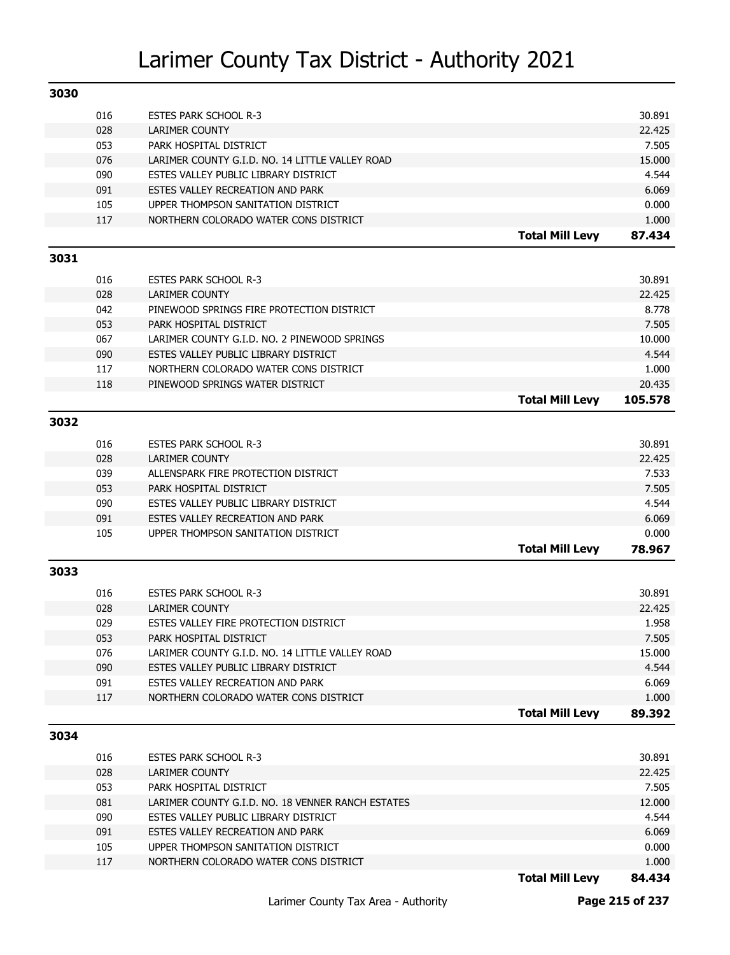| 3030 |     |                                                   |                        |         |
|------|-----|---------------------------------------------------|------------------------|---------|
|      | 016 | <b>ESTES PARK SCHOOL R-3</b>                      |                        | 30.891  |
|      | 028 | LARIMER COUNTY                                    |                        | 22.425  |
|      | 053 | PARK HOSPITAL DISTRICT                            |                        | 7.505   |
|      | 076 | LARIMER COUNTY G.I.D. NO. 14 LITTLE VALLEY ROAD   |                        | 15.000  |
|      | 090 | ESTES VALLEY PUBLIC LIBRARY DISTRICT              |                        | 4.544   |
|      | 091 | ESTES VALLEY RECREATION AND PARK                  |                        | 6.069   |
|      | 105 | UPPER THOMPSON SANITATION DISTRICT                |                        | 0.000   |
|      | 117 | NORTHERN COLORADO WATER CONS DISTRICT             |                        | 1.000   |
|      |     |                                                   | <b>Total Mill Levy</b> | 87.434  |
| 3031 |     |                                                   |                        |         |
|      |     |                                                   |                        |         |
|      | 016 | <b>ESTES PARK SCHOOL R-3</b>                      |                        | 30.891  |
|      | 028 | <b>LARIMER COUNTY</b>                             |                        | 22.425  |
|      | 042 | PINEWOOD SPRINGS FIRE PROTECTION DISTRICT         |                        | 8.778   |
|      | 053 | PARK HOSPITAL DISTRICT                            |                        | 7.505   |
|      | 067 | LARIMER COUNTY G.I.D. NO. 2 PINEWOOD SPRINGS      |                        | 10.000  |
|      | 090 | ESTES VALLEY PUBLIC LIBRARY DISTRICT              |                        | 4.544   |
|      | 117 | NORTHERN COLORADO WATER CONS DISTRICT             |                        | 1.000   |
|      | 118 | PINEWOOD SPRINGS WATER DISTRICT                   |                        | 20.435  |
|      |     |                                                   | <b>Total Mill Levy</b> | 105.578 |
| 3032 |     |                                                   |                        |         |
|      | 016 | <b>ESTES PARK SCHOOL R-3</b>                      |                        | 30.891  |
|      | 028 | <b>LARIMER COUNTY</b>                             |                        | 22.425  |
|      | 039 | ALLENSPARK FIRE PROTECTION DISTRICT               |                        | 7.533   |
|      | 053 | PARK HOSPITAL DISTRICT                            |                        | 7.505   |
|      | 090 | ESTES VALLEY PUBLIC LIBRARY DISTRICT              |                        | 4.544   |
|      | 091 | ESTES VALLEY RECREATION AND PARK                  |                        | 6.069   |
|      | 105 | UPPER THOMPSON SANITATION DISTRICT                |                        | 0.000   |
|      |     |                                                   | <b>Total Mill Levy</b> | 78.967  |
| 3033 |     |                                                   |                        |         |
|      |     |                                                   |                        |         |
|      | 016 | <b>ESTES PARK SCHOOL R-3</b>                      |                        | 30.891  |
|      | 028 | <b>LARIMER COUNTY</b>                             |                        | 22.425  |
|      | 029 | ESTES VALLEY FIRE PROTECTION DISTRICT             |                        | 1.958   |
|      | 053 | PARK HOSPITAL DISTRICT                            |                        | 7.505   |
|      | 076 | LARIMER COUNTY G.I.D. NO. 14 LITTLE VALLEY ROAD   |                        | 15.000  |
|      | 090 | ESTES VALLEY PUBLIC LIBRARY DISTRICT              |                        | 4.544   |
|      | 091 | ESTES VALLEY RECREATION AND PARK                  |                        | 6.069   |
|      | 117 | NORTHERN COLORADO WATER CONS DISTRICT             |                        | 1.000   |
|      |     |                                                   | <b>Total Mill Levy</b> | 89.392  |
| 3034 |     |                                                   |                        |         |
|      | 016 | <b>ESTES PARK SCHOOL R-3</b>                      |                        | 30.891  |
|      | 028 | LARIMER COUNTY                                    |                        | 22.425  |
|      | 053 | PARK HOSPITAL DISTRICT                            |                        | 7.505   |
|      | 081 | LARIMER COUNTY G.I.D. NO. 18 VENNER RANCH ESTATES |                        | 12.000  |
|      | 090 | ESTES VALLEY PUBLIC LIBRARY DISTRICT              |                        | 4.544   |
|      | 091 | ESTES VALLEY RECREATION AND PARK                  |                        | 6.069   |
|      | 105 | UPPER THOMPSON SANITATION DISTRICT                |                        | 0.000   |
|      | 117 | NORTHERN COLORADO WATER CONS DISTRICT             |                        | 1.000   |
|      |     |                                                   | <b>Total Mill Levy</b> | 84.434  |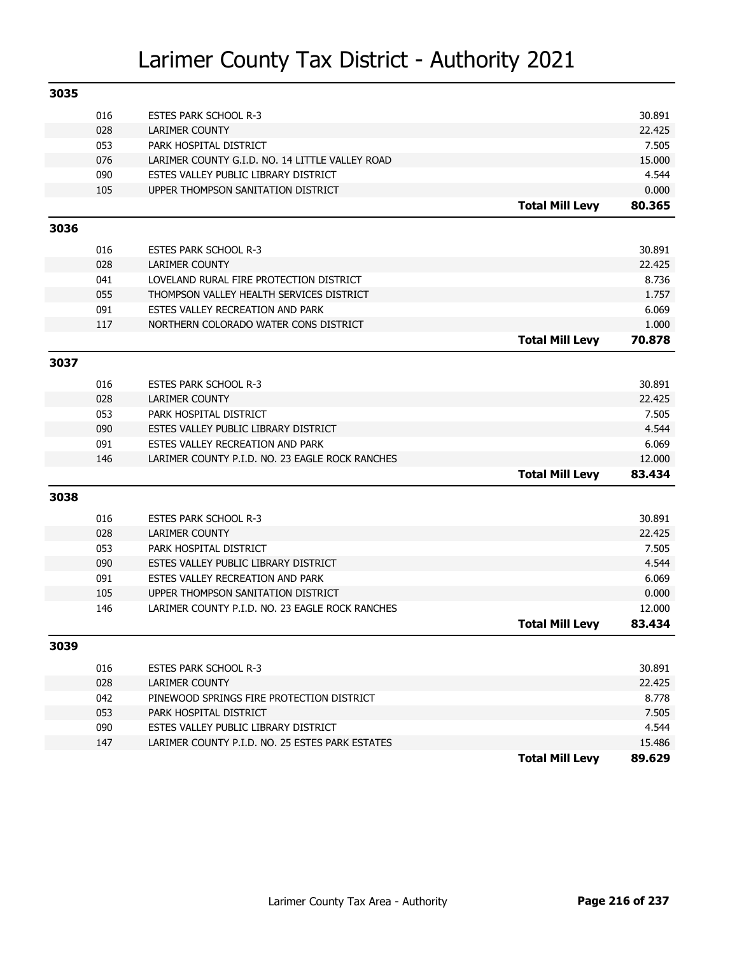| 3035 |            |                                                                          |                        |                  |
|------|------------|--------------------------------------------------------------------------|------------------------|------------------|
|      | 016        | <b>ESTES PARK SCHOOL R-3</b>                                             |                        | 30.891           |
|      | 028        | <b>LARIMER COUNTY</b>                                                    |                        | 22.425           |
|      | 053        | PARK HOSPITAL DISTRICT                                                   |                        | 7.505            |
|      | 076        | LARIMER COUNTY G.I.D. NO. 14 LITTLE VALLEY ROAD                          |                        | 15.000           |
|      | 090        | ESTES VALLEY PUBLIC LIBRARY DISTRICT                                     |                        | 4.544            |
|      | 105        | UPPER THOMPSON SANITATION DISTRICT                                       |                        | 0.000            |
|      |            |                                                                          | <b>Total Mill Levy</b> | 80.365           |
| 3036 |            |                                                                          |                        |                  |
|      | 016        | <b>ESTES PARK SCHOOL R-3</b>                                             |                        | 30.891           |
|      | 028        | <b>LARIMER COUNTY</b>                                                    |                        | 22.425           |
|      | 041        | LOVELAND RURAL FIRE PROTECTION DISTRICT                                  |                        | 8.736            |
|      | 055        | THOMPSON VALLEY HEALTH SERVICES DISTRICT                                 |                        | 1.757            |
|      | 091        | ESTES VALLEY RECREATION AND PARK                                         |                        | 6.069            |
|      | 117        | NORTHERN COLORADO WATER CONS DISTRICT                                    |                        | 1.000            |
|      |            |                                                                          | <b>Total Mill Levy</b> | 70.878           |
| 3037 |            |                                                                          |                        |                  |
|      | 016        | <b>ESTES PARK SCHOOL R-3</b>                                             |                        | 30.891           |
|      | 028        | <b>LARIMER COUNTY</b>                                                    |                        | 22.425           |
|      | 053        | PARK HOSPITAL DISTRICT                                                   |                        | 7.505            |
|      | 090        | ESTES VALLEY PUBLIC LIBRARY DISTRICT                                     |                        | 4.544            |
|      | 091        | ESTES VALLEY RECREATION AND PARK                                         |                        | 6.069            |
|      | 146        | LARIMER COUNTY P.I.D. NO. 23 EAGLE ROCK RANCHES                          |                        | 12.000           |
|      |            |                                                                          | <b>Total Mill Levy</b> | 83.434           |
| 3038 |            |                                                                          |                        |                  |
|      |            |                                                                          |                        |                  |
|      | 016        | <b>ESTES PARK SCHOOL R-3</b>                                             |                        | 30.891           |
|      | 028        | <b>LARIMER COUNTY</b>                                                    |                        | 22.425           |
|      | 053        | PARK HOSPITAL DISTRICT                                                   |                        | 7.505            |
|      | 090        | ESTES VALLEY PUBLIC LIBRARY DISTRICT<br>ESTES VALLEY RECREATION AND PARK |                        | 4.544            |
|      | 091        | UPPER THOMPSON SANITATION DISTRICT                                       |                        | 6.069            |
|      | 105<br>146 |                                                                          |                        | 0.000            |
|      |            | LARIMER COUNTY P.I.D. NO. 23 EAGLE ROCK RANCHES                          | <b>Total Mill Levy</b> | 12.000<br>83.434 |
| 3039 |            |                                                                          |                        |                  |
|      |            |                                                                          |                        |                  |
|      | 016        | <b>ESTES PARK SCHOOL R-3</b>                                             |                        | 30.891           |
|      | 028        | <b>LARIMER COUNTY</b>                                                    |                        | 22.425           |
|      | 042        | PINEWOOD SPRINGS FIRE PROTECTION DISTRICT                                |                        | 8.778            |
|      | 053        | PARK HOSPITAL DISTRICT                                                   |                        | 7.505            |
|      | 090        | ESTES VALLEY PUBLIC LIBRARY DISTRICT                                     |                        | 4.544            |
|      | 147        | LARIMER COUNTY P.I.D. NO. 25 ESTES PARK ESTATES                          |                        | 15.486           |
|      |            |                                                                          | <b>Total Mill Levy</b> | 89.629           |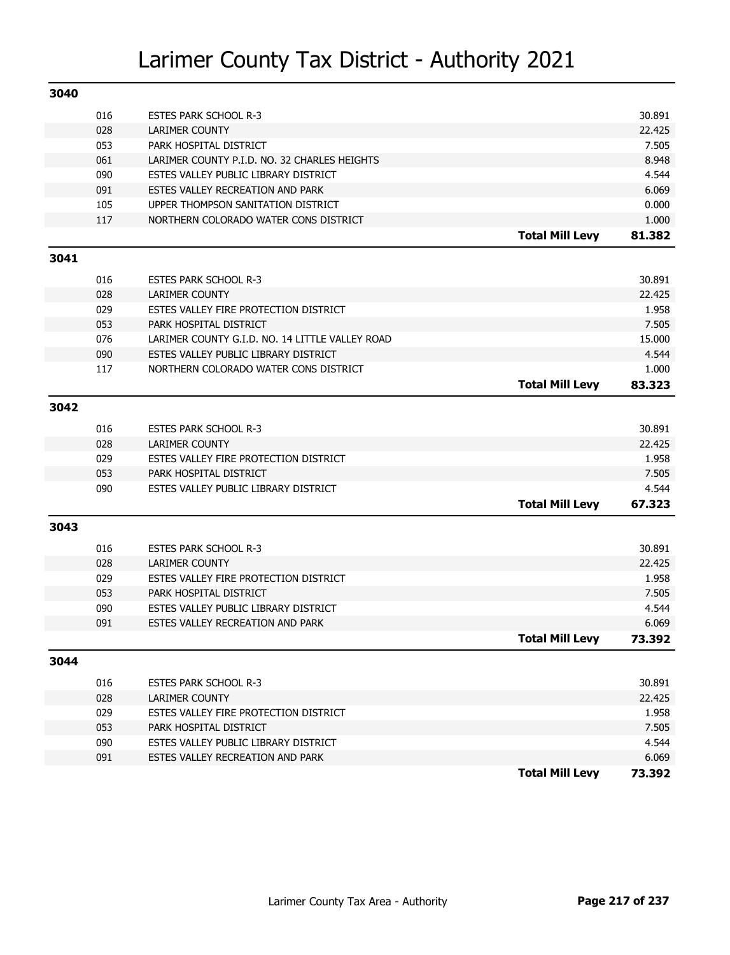| 3040 |            |                                                                |                        |                |
|------|------------|----------------------------------------------------------------|------------------------|----------------|
|      | 016        | <b>ESTES PARK SCHOOL R-3</b>                                   |                        | 30.891         |
|      | 028        | <b>LARIMER COUNTY</b>                                          |                        | 22.425         |
|      | 053        | PARK HOSPITAL DISTRICT                                         |                        | 7.505          |
|      | 061        | LARIMER COUNTY P.I.D. NO. 32 CHARLES HEIGHTS                   |                        | 8.948          |
|      | 090        | ESTES VALLEY PUBLIC LIBRARY DISTRICT                           |                        | 4.544          |
|      | 091        | ESTES VALLEY RECREATION AND PARK                               |                        | 6.069          |
|      | 105        | UPPER THOMPSON SANITATION DISTRICT                             |                        | 0.000          |
|      | 117        | NORTHERN COLORADO WATER CONS DISTRICT                          |                        | 1.000          |
|      |            |                                                                | <b>Total Mill Levy</b> | 81.382         |
| 3041 |            |                                                                |                        |                |
|      | 016        | <b>ESTES PARK SCHOOL R-3</b>                                   |                        | 30.891         |
|      | 028        | <b>LARIMER COUNTY</b>                                          |                        | 22.425         |
|      | 029        | ESTES VALLEY FIRE PROTECTION DISTRICT                          |                        | 1.958          |
|      | 053        | PARK HOSPITAL DISTRICT                                         |                        | 7.505          |
|      | 076        | LARIMER COUNTY G.I.D. NO. 14 LITTLE VALLEY ROAD                |                        | 15.000         |
|      | 090        | ESTES VALLEY PUBLIC LIBRARY DISTRICT                           |                        | 4.544          |
|      | 117        | NORTHERN COLORADO WATER CONS DISTRICT                          |                        | 1.000          |
|      |            |                                                                | <b>Total Mill Levy</b> | 83.323         |
| 3042 |            |                                                                |                        |                |
|      | 016        | <b>ESTES PARK SCHOOL R-3</b>                                   |                        | 30.891         |
|      | 028        | <b>LARIMER COUNTY</b>                                          |                        | 22.425         |
|      | 029        | ESTES VALLEY FIRE PROTECTION DISTRICT                          |                        | 1.958          |
|      | 053        | PARK HOSPITAL DISTRICT                                         |                        | 7.505          |
|      | 090        | ESTES VALLEY PUBLIC LIBRARY DISTRICT                           |                        | 4.544          |
|      |            |                                                                | <b>Total Mill Levy</b> | 67.323         |
| 3043 |            |                                                                |                        |                |
|      |            |                                                                |                        |                |
|      | 016        | <b>ESTES PARK SCHOOL R-3</b>                                   |                        | 30.891         |
|      | 028        | <b>LARIMER COUNTY</b>                                          |                        | 22.425         |
|      | 029        | ESTES VALLEY FIRE PROTECTION DISTRICT                          |                        | 1.958          |
|      | 053<br>090 | PARK HOSPITAL DISTRICT<br>ESTES VALLEY PUBLIC LIBRARY DISTRICT |                        | 7.505<br>4.544 |
|      | 091        | ESTES VALLEY RECREATION AND PARK                               |                        | 6.069          |
|      |            |                                                                | <b>Total Mill Levy</b> | 73.392         |
|      |            |                                                                |                        |                |
| 3044 |            |                                                                |                        |                |
|      | 016        | <b>ESTES PARK SCHOOL R-3</b>                                   |                        | 30.891         |
|      | 028        | LARIMER COUNTY                                                 |                        | 22.425         |
|      | 029        | ESTES VALLEY FIRE PROTECTION DISTRICT                          |                        | 1.958          |
|      | 053        | PARK HOSPITAL DISTRICT                                         |                        | 7.505          |
|      | 090        | ESTES VALLEY PUBLIC LIBRARY DISTRICT                           |                        | 4.544          |
|      | 091        | ESTES VALLEY RECREATION AND PARK                               |                        | 6.069          |
|      |            |                                                                | <b>Total Mill Levy</b> | 73.392         |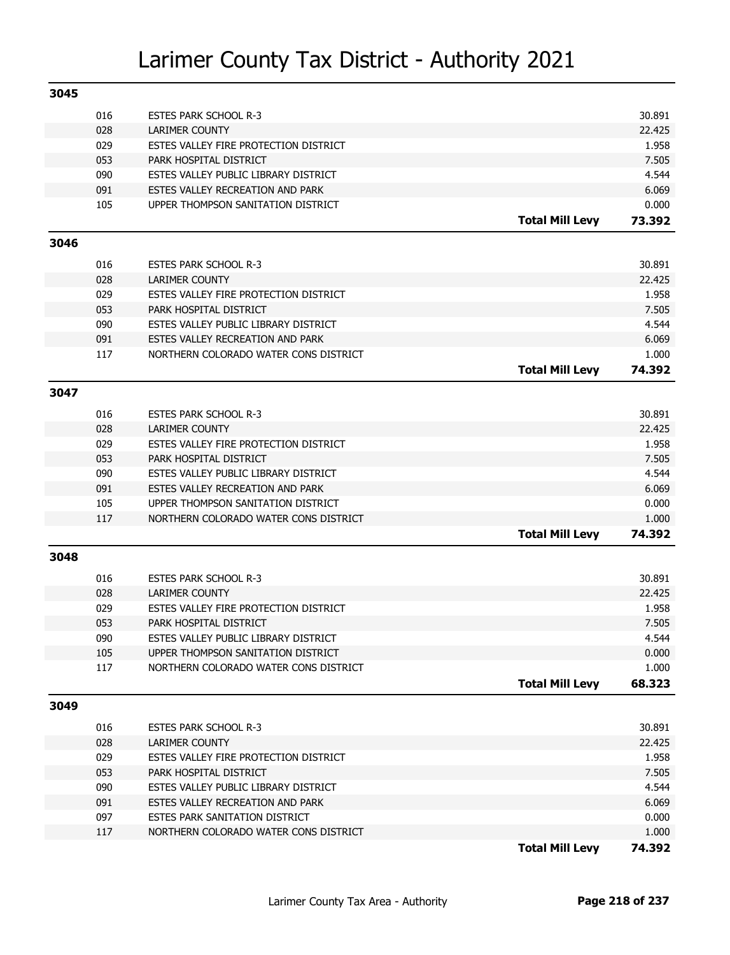| 3045 |            |                                                                |                        |                 |
|------|------------|----------------------------------------------------------------|------------------------|-----------------|
|      | 016        | <b>ESTES PARK SCHOOL R-3</b>                                   |                        | 30.891          |
|      | 028        | <b>LARIMER COUNTY</b>                                          |                        | 22.425          |
|      | 029        | ESTES VALLEY FIRE PROTECTION DISTRICT                          |                        | 1.958           |
|      | 053        | PARK HOSPITAL DISTRICT                                         |                        | 7.505           |
|      | 090        | ESTES VALLEY PUBLIC LIBRARY DISTRICT                           |                        | 4.544           |
|      | 091        | ESTES VALLEY RECREATION AND PARK                               |                        | 6.069           |
|      | 105        | UPPER THOMPSON SANITATION DISTRICT                             |                        | 0.000           |
|      |            |                                                                | <b>Total Mill Levy</b> | 73.392          |
| 3046 |            |                                                                |                        |                 |
|      | 016        |                                                                |                        | 30.891          |
|      | 028        | <b>ESTES PARK SCHOOL R-3</b><br><b>LARIMER COUNTY</b>          |                        | 22.425          |
|      | 029        | ESTES VALLEY FIRE PROTECTION DISTRICT                          |                        | 1.958           |
|      | 053        | PARK HOSPITAL DISTRICT                                         |                        | 7.505           |
|      | 090        | ESTES VALLEY PUBLIC LIBRARY DISTRICT                           |                        | 4.544           |
|      | 091        | ESTES VALLEY RECREATION AND PARK                               |                        | 6.069           |
|      | 117        | NORTHERN COLORADO WATER CONS DISTRICT                          |                        | 1.000           |
|      |            |                                                                | <b>Total Mill Levy</b> | 74.392          |
|      |            |                                                                |                        |                 |
| 3047 |            |                                                                |                        |                 |
|      | 016        | <b>ESTES PARK SCHOOL R-3</b>                                   |                        | 30.891          |
|      | 028        | <b>LARIMER COUNTY</b>                                          |                        | 22.425          |
|      | 029        | ESTES VALLEY FIRE PROTECTION DISTRICT                          |                        | 1.958           |
|      | 053        | PARK HOSPITAL DISTRICT                                         |                        | 7.505           |
|      | 090        | ESTES VALLEY PUBLIC LIBRARY DISTRICT                           |                        | 4.544           |
|      | 091        | ESTES VALLEY RECREATION AND PARK                               |                        | 6.069           |
|      | 105        | UPPER THOMPSON SANITATION DISTRICT                             |                        | 0.000           |
|      | 117        | NORTHERN COLORADO WATER CONS DISTRICT                          |                        | 1.000           |
|      |            |                                                                | <b>Total Mill Levy</b> | 74.392          |
| 3048 |            |                                                                |                        |                 |
|      |            |                                                                |                        |                 |
|      | 016        | <b>ESTES PARK SCHOOL R-3</b>                                   |                        | 30.891          |
|      | 028<br>029 | <b>LARIMER COUNTY</b><br>ESTES VALLEY FIRE PROTECTION DISTRICT |                        | 22.425<br>1.958 |
|      | 053        | PARK HOSPITAL DISTRICT                                         |                        | 7.505           |
|      | 090        | ESTES VALLEY PUBLIC LIBRARY DISTRICT                           |                        | 4.544           |
|      | 105        | UPPER THOMPSON SANITATION DISTRICT                             |                        | 0.000           |
|      | 117        | NORTHERN COLORADO WATER CONS DISTRICT                          |                        | 1.000           |
|      |            |                                                                | <b>Total Mill Levy</b> | 68.323          |
|      |            |                                                                |                        |                 |
| 3049 |            |                                                                |                        |                 |
|      | 016        | <b>ESTES PARK SCHOOL R-3</b>                                   |                        | 30.891          |
|      | 028        | <b>LARIMER COUNTY</b>                                          |                        | 22.425          |
|      | 029        | ESTES VALLEY FIRE PROTECTION DISTRICT                          |                        | 1.958           |
|      | 053        | PARK HOSPITAL DISTRICT                                         |                        | 7.505           |
|      | 090        | ESTES VALLEY PUBLIC LIBRARY DISTRICT                           |                        | 4.544           |
|      | 091        | ESTES VALLEY RECREATION AND PARK                               |                        | 6.069           |
|      | 097        | ESTES PARK SANITATION DISTRICT                                 |                        | 0.000           |
|      | 117        | NORTHERN COLORADO WATER CONS DISTRICT                          |                        | 1.000           |
|      |            |                                                                | <b>Total Mill Levy</b> | 74.392          |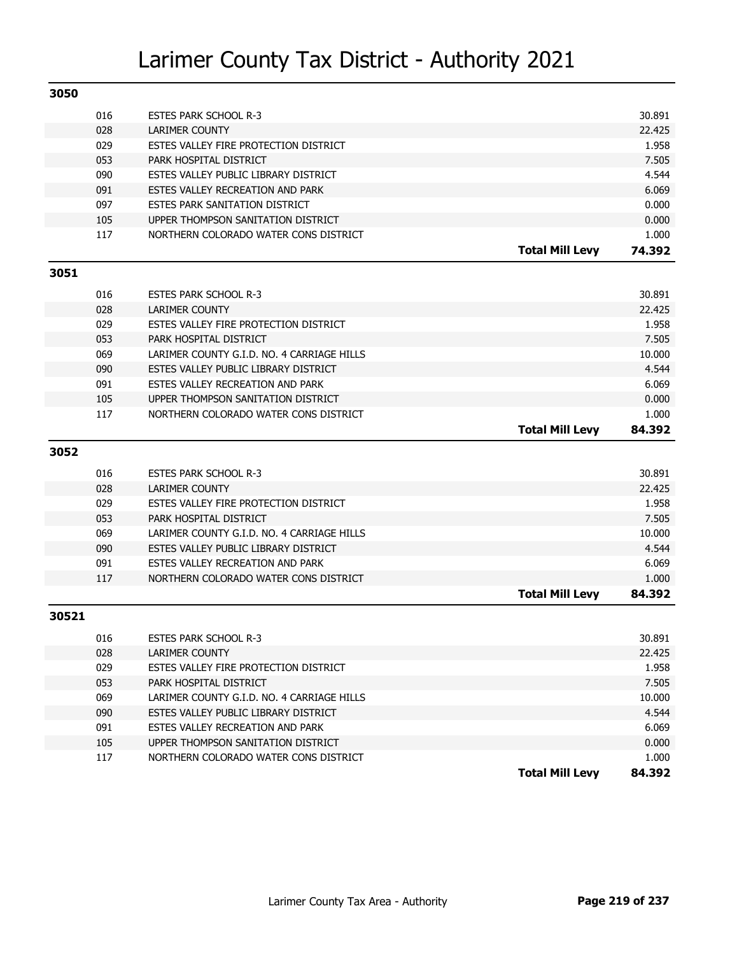| 3050  |            |                                                                             |                        |                |
|-------|------------|-----------------------------------------------------------------------------|------------------------|----------------|
|       | 016        | <b>ESTES PARK SCHOOL R-3</b>                                                |                        | 30.891         |
|       | 028        | LARIMER COUNTY                                                              |                        | 22.425         |
|       | 029        | ESTES VALLEY FIRE PROTECTION DISTRICT                                       |                        | 1.958          |
|       | 053        | PARK HOSPITAL DISTRICT                                                      |                        | 7.505          |
|       | 090        | ESTES VALLEY PUBLIC LIBRARY DISTRICT                                        |                        | 4.544          |
|       | 091        | ESTES VALLEY RECREATION AND PARK                                            |                        | 6.069          |
|       | 097        | ESTES PARK SANITATION DISTRICT                                              |                        | 0.000          |
|       | 105        | UPPER THOMPSON SANITATION DISTRICT                                          |                        | 0.000          |
|       | 117        | NORTHERN COLORADO WATER CONS DISTRICT                                       |                        | 1.000          |
|       |            |                                                                             | <b>Total Mill Levy</b> | 74.392         |
| 3051  |            |                                                                             |                        |                |
|       | 016        | <b>ESTES PARK SCHOOL R-3</b>                                                |                        | 30.891         |
|       | 028        | <b>LARIMER COUNTY</b>                                                       |                        | 22.425         |
|       | 029        | ESTES VALLEY FIRE PROTECTION DISTRICT                                       |                        | 1.958          |
|       | 053        | PARK HOSPITAL DISTRICT                                                      |                        | 7.505          |
|       | 069        | LARIMER COUNTY G.I.D. NO. 4 CARRIAGE HILLS                                  |                        | 10.000         |
|       | 090        | ESTES VALLEY PUBLIC LIBRARY DISTRICT                                        |                        | 4.544          |
|       | 091        | ESTES VALLEY RECREATION AND PARK                                            |                        | 6.069          |
|       | 105        | UPPER THOMPSON SANITATION DISTRICT                                          |                        | 0.000          |
|       | 117        | NORTHERN COLORADO WATER CONS DISTRICT                                       |                        | 1.000          |
|       |            |                                                                             | <b>Total Mill Levy</b> | 84.392         |
| 3052  |            |                                                                             |                        |                |
|       | 016        |                                                                             |                        | 30.891         |
|       | 028        | <b>ESTES PARK SCHOOL R-3</b><br><b>LARIMER COUNTY</b>                       |                        | 22.425         |
|       | 029        | ESTES VALLEY FIRE PROTECTION DISTRICT                                       |                        | 1.958          |
|       | 053        | PARK HOSPITAL DISTRICT                                                      |                        | 7.505          |
|       | 069        | LARIMER COUNTY G.I.D. NO. 4 CARRIAGE HILLS                                  |                        | 10.000         |
|       | 090        | ESTES VALLEY PUBLIC LIBRARY DISTRICT                                        |                        | 4.544          |
|       | 091        | ESTES VALLEY RECREATION AND PARK                                            |                        | 6.069          |
|       | 117        | NORTHERN COLORADO WATER CONS DISTRICT                                       |                        | 1.000          |
|       |            |                                                                             | <b>Total Mill Levy</b> | 84.392         |
| 30521 |            |                                                                             |                        |                |
|       |            |                                                                             |                        |                |
|       | 016        | <b>ESTES PARK SCHOOL R-3</b>                                                |                        | 30.891         |
|       | 028        | <b>LARIMER COUNTY</b>                                                       |                        | 22.425         |
|       | 029        | ESTES VALLEY FIRE PROTECTION DISTRICT                                       |                        | 1.958          |
|       | 053        | PARK HOSPITAL DISTRICT                                                      |                        | 7.505          |
|       | 069        | LARIMER COUNTY G.I.D. NO. 4 CARRIAGE HILLS                                  |                        | 10.000         |
|       | 090        | ESTES VALLEY PUBLIC LIBRARY DISTRICT                                        |                        | 4.544          |
|       | 091        | ESTES VALLEY RECREATION AND PARK                                            |                        | 6.069          |
|       | 105<br>117 | UPPER THOMPSON SANITATION DISTRICT<br>NORTHERN COLORADO WATER CONS DISTRICT |                        | 0.000<br>1.000 |
|       |            |                                                                             | <b>Total Mill Levy</b> |                |
|       |            |                                                                             |                        | 84.392         |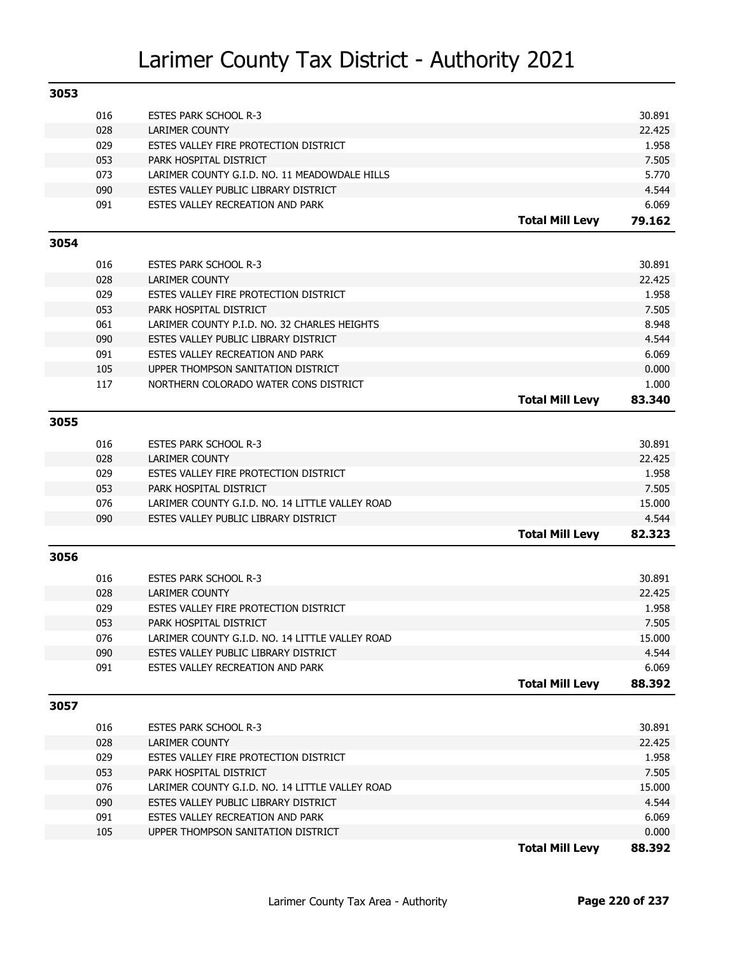| 3053 |            |                                                                          |                        |                 |
|------|------------|--------------------------------------------------------------------------|------------------------|-----------------|
|      | 016        | <b>ESTES PARK SCHOOL R-3</b>                                             |                        | 30.891          |
|      | 028        | LARIMER COUNTY                                                           |                        | 22.425          |
|      | 029        | ESTES VALLEY FIRE PROTECTION DISTRICT                                    |                        | 1.958           |
|      | 053        | PARK HOSPITAL DISTRICT                                                   |                        | 7.505           |
|      | 073        | LARIMER COUNTY G.I.D. NO. 11 MEADOWDALE HILLS                            |                        | 5.770           |
|      | 090        | ESTES VALLEY PUBLIC LIBRARY DISTRICT                                     |                        | 4.544           |
|      | 091        | ESTES VALLEY RECREATION AND PARK                                         |                        | 6.069           |
|      |            |                                                                          | <b>Total Mill Levy</b> | 79.162          |
| 3054 |            |                                                                          |                        |                 |
|      |            |                                                                          |                        |                 |
|      | 016        | <b>ESTES PARK SCHOOL R-3</b>                                             |                        | 30.891          |
|      | 028<br>029 | <b>LARIMER COUNTY</b><br>ESTES VALLEY FIRE PROTECTION DISTRICT           |                        | 22.425<br>1.958 |
|      | 053        | PARK HOSPITAL DISTRICT                                                   |                        | 7.505           |
|      | 061        | LARIMER COUNTY P.I.D. NO. 32 CHARLES HEIGHTS                             |                        | 8.948           |
|      | 090        | ESTES VALLEY PUBLIC LIBRARY DISTRICT                                     |                        | 4.544           |
|      | 091        | ESTES VALLEY RECREATION AND PARK                                         |                        | 6.069           |
|      | 105        | UPPER THOMPSON SANITATION DISTRICT                                       |                        | 0.000           |
|      | 117        | NORTHERN COLORADO WATER CONS DISTRICT                                    |                        | 1.000           |
|      |            |                                                                          | <b>Total Mill Levy</b> | 83.340          |
|      |            |                                                                          |                        |                 |
| 3055 |            |                                                                          |                        |                 |
|      | 016        | <b>ESTES PARK SCHOOL R-3</b>                                             |                        | 30.891          |
|      | 028        | <b>LARIMER COUNTY</b>                                                    |                        | 22.425          |
|      | 029        | ESTES VALLEY FIRE PROTECTION DISTRICT                                    |                        | 1.958           |
|      | 053        | PARK HOSPITAL DISTRICT                                                   |                        | 7.505           |
|      | 076        | LARIMER COUNTY G.I.D. NO. 14 LITTLE VALLEY ROAD                          |                        | 15.000          |
|      | 090        | ESTES VALLEY PUBLIC LIBRARY DISTRICT                                     |                        | 4.544           |
|      |            |                                                                          | <b>Total Mill Levy</b> | 82.323          |
| 3056 |            |                                                                          |                        |                 |
|      |            |                                                                          |                        |                 |
|      | 016        | <b>ESTES PARK SCHOOL R-3</b>                                             |                        | 30.891          |
|      | 028        | <b>LARIMER COUNTY</b>                                                    |                        | 22.425          |
|      | 029        | ESTES VALLEY FIRE PROTECTION DISTRICT                                    |                        | 1.958           |
|      | 053        | PARK HOSPITAL DISTRICT                                                   |                        | 7.505           |
|      | 076        | LARIMER COUNTY G.I.D. NO. 14 LITTLE VALLEY ROAD                          |                        | 15.000          |
|      | 090        | ESTES VALLEY PUBLIC LIBRARY DISTRICT                                     |                        | 4.544           |
|      | 091        | ESTES VALLEY RECREATION AND PARK                                         |                        | 6.069           |
|      |            |                                                                          | <b>Total Mill Levy</b> | 88.392          |
| 3057 |            |                                                                          |                        |                 |
|      | 016        |                                                                          |                        | 30.891          |
|      |            | <b>ESTES PARK SCHOOL R-3</b>                                             |                        |                 |
|      | 028<br>029 | LARIMER COUNTY<br>ESTES VALLEY FIRE PROTECTION DISTRICT                  |                        | 22.425<br>1.958 |
|      | 053        | PARK HOSPITAL DISTRICT                                                   |                        | 7.505           |
|      | 076        | LARIMER COUNTY G.I.D. NO. 14 LITTLE VALLEY ROAD                          |                        | 15.000          |
|      |            |                                                                          |                        |                 |
|      | 090<br>091 | ESTES VALLEY PUBLIC LIBRARY DISTRICT<br>ESTES VALLEY RECREATION AND PARK |                        | 4.544<br>6.069  |
|      | 105        |                                                                          |                        |                 |
|      |            | UPPER THOMPSON SANITATION DISTRICT                                       |                        | 0.000<br>88.392 |
|      |            |                                                                          | <b>Total Mill Levy</b> |                 |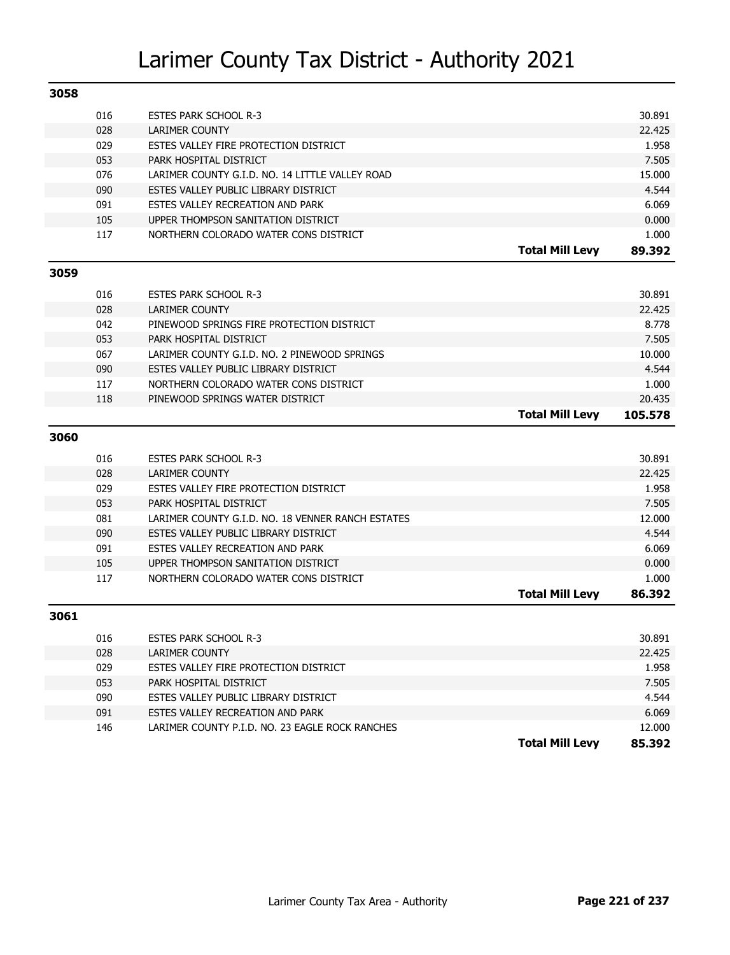| 3058 |     |                                                   |                        |         |
|------|-----|---------------------------------------------------|------------------------|---------|
|      | 016 | <b>ESTES PARK SCHOOL R-3</b>                      |                        | 30.891  |
|      | 028 | <b>LARIMER COUNTY</b>                             |                        | 22.425  |
|      | 029 | ESTES VALLEY FIRE PROTECTION DISTRICT             |                        | 1.958   |
|      | 053 | PARK HOSPITAL DISTRICT                            |                        | 7.505   |
|      | 076 | LARIMER COUNTY G.I.D. NO. 14 LITTLE VALLEY ROAD   |                        | 15.000  |
|      | 090 | ESTES VALLEY PUBLIC LIBRARY DISTRICT              |                        | 4.544   |
|      | 091 | ESTES VALLEY RECREATION AND PARK                  |                        | 6.069   |
|      | 105 | UPPER THOMPSON SANITATION DISTRICT                |                        | 0.000   |
|      | 117 | NORTHERN COLORADO WATER CONS DISTRICT             |                        | 1.000   |
|      |     |                                                   | <b>Total Mill Levy</b> | 89.392  |
| 3059 |     |                                                   |                        |         |
|      | 016 | <b>ESTES PARK SCHOOL R-3</b>                      |                        | 30.891  |
|      | 028 | <b>LARIMER COUNTY</b>                             |                        | 22.425  |
|      | 042 | PINEWOOD SPRINGS FIRE PROTECTION DISTRICT         |                        | 8.778   |
|      | 053 | PARK HOSPITAL DISTRICT                            |                        | 7.505   |
|      | 067 | LARIMER COUNTY G.I.D. NO. 2 PINEWOOD SPRINGS      |                        | 10.000  |
|      | 090 | ESTES VALLEY PUBLIC LIBRARY DISTRICT              |                        | 4.544   |
|      | 117 | NORTHERN COLORADO WATER CONS DISTRICT             |                        | 1.000   |
|      | 118 | PINEWOOD SPRINGS WATER DISTRICT                   |                        | 20.435  |
|      |     |                                                   | <b>Total Mill Levy</b> | 105.578 |
| 3060 |     |                                                   |                        |         |
|      | 016 | <b>ESTES PARK SCHOOL R-3</b>                      |                        | 30.891  |
|      | 028 | <b>LARIMER COUNTY</b>                             |                        | 22.425  |
|      | 029 | ESTES VALLEY FIRE PROTECTION DISTRICT             |                        | 1.958   |
|      | 053 | PARK HOSPITAL DISTRICT                            |                        | 7.505   |
|      | 081 | LARIMER COUNTY G.I.D. NO. 18 VENNER RANCH ESTATES |                        | 12.000  |
|      | 090 | ESTES VALLEY PUBLIC LIBRARY DISTRICT              |                        | 4.544   |
|      | 091 | ESTES VALLEY RECREATION AND PARK                  |                        | 6.069   |
|      | 105 | UPPER THOMPSON SANITATION DISTRICT                |                        | 0.000   |
|      | 117 | NORTHERN COLORADO WATER CONS DISTRICT             |                        | 1.000   |
|      |     |                                                   | <b>Total Mill Levy</b> | 86.392  |
| 3061 |     |                                                   |                        |         |
|      | 016 | <b>ESTES PARK SCHOOL R-3</b>                      |                        | 30.891  |
|      | 028 | LARIMER COUNTY                                    |                        | 22.425  |
|      | 029 | ESTES VALLEY FIRE PROTECTION DISTRICT             |                        | 1.958   |
|      | 053 | PARK HOSPITAL DISTRICT                            |                        | 7.505   |
|      | 090 | ESTES VALLEY PUBLIC LIBRARY DISTRICT              |                        | 4.544   |
|      | 091 | ESTES VALLEY RECREATION AND PARK                  |                        | 6.069   |
|      | 146 | LARIMER COUNTY P.I.D. NO. 23 EAGLE ROCK RANCHES   |                        | 12.000  |
|      |     |                                                   | <b>Total Mill Levy</b> | 85.392  |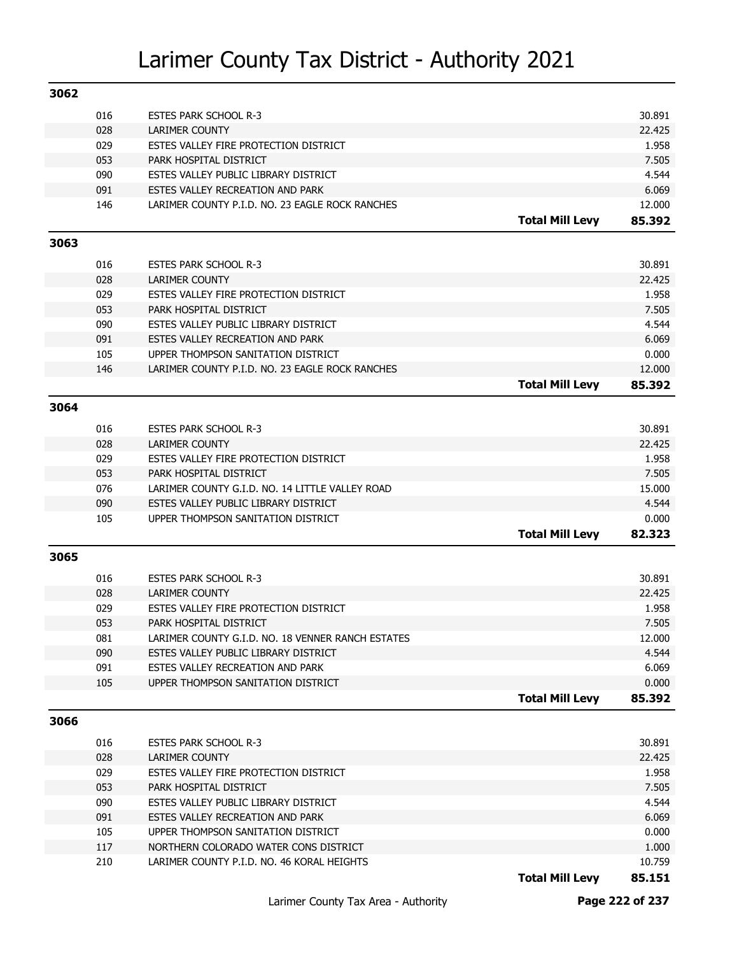| 3062 |     |                                                   |                        |        |
|------|-----|---------------------------------------------------|------------------------|--------|
|      | 016 | <b>ESTES PARK SCHOOL R-3</b>                      |                        | 30.891 |
|      | 028 | LARIMER COUNTY                                    |                        | 22.425 |
|      | 029 | ESTES VALLEY FIRE PROTECTION DISTRICT             |                        | 1.958  |
|      | 053 | PARK HOSPITAL DISTRICT                            |                        | 7.505  |
|      | 090 | ESTES VALLEY PUBLIC LIBRARY DISTRICT              |                        | 4.544  |
|      | 091 | ESTES VALLEY RECREATION AND PARK                  |                        | 6.069  |
|      | 146 | LARIMER COUNTY P.I.D. NO. 23 EAGLE ROCK RANCHES   |                        | 12.000 |
|      |     |                                                   | <b>Total Mill Levy</b> | 85.392 |
| 3063 |     |                                                   |                        |        |
|      | 016 | <b>ESTES PARK SCHOOL R-3</b>                      |                        | 30.891 |
|      | 028 | <b>LARIMER COUNTY</b>                             |                        | 22.425 |
|      | 029 | ESTES VALLEY FIRE PROTECTION DISTRICT             |                        | 1.958  |
|      | 053 | PARK HOSPITAL DISTRICT                            |                        | 7.505  |
|      | 090 | ESTES VALLEY PUBLIC LIBRARY DISTRICT              |                        | 4.544  |
|      | 091 | ESTES VALLEY RECREATION AND PARK                  |                        | 6.069  |
|      | 105 | UPPER THOMPSON SANITATION DISTRICT                |                        | 0.000  |
|      | 146 | LARIMER COUNTY P.I.D. NO. 23 EAGLE ROCK RANCHES   |                        | 12.000 |
|      |     |                                                   | <b>Total Mill Levy</b> | 85.392 |
|      |     |                                                   |                        |        |
| 3064 |     |                                                   |                        |        |
|      | 016 | <b>ESTES PARK SCHOOL R-3</b>                      |                        | 30.891 |
|      | 028 | <b>LARIMER COUNTY</b>                             |                        | 22.425 |
|      | 029 | ESTES VALLEY FIRE PROTECTION DISTRICT             |                        | 1.958  |
|      | 053 | PARK HOSPITAL DISTRICT                            |                        | 7.505  |
|      | 076 | LARIMER COUNTY G.I.D. NO. 14 LITTLE VALLEY ROAD   |                        | 15.000 |
|      | 090 | ESTES VALLEY PUBLIC LIBRARY DISTRICT              |                        | 4.544  |
|      | 105 | UPPER THOMPSON SANITATION DISTRICT                |                        | 0.000  |
|      |     |                                                   | <b>Total Mill Levy</b> | 82.323 |
| 3065 |     |                                                   |                        |        |
|      |     |                                                   |                        |        |
|      |     |                                                   |                        |        |
|      | 016 | <b>ESTES PARK SCHOOL R-3</b>                      |                        | 30.891 |
|      | 028 | <b>LARIMER COUNTY</b>                             |                        | 22.425 |
|      | 029 | ESTES VALLEY FIRE PROTECTION DISTRICT             |                        | 1.958  |
|      | 053 | PARK HOSPITAL DISTRICT                            |                        | 7.505  |
|      | 081 | LARIMER COUNTY G.I.D. NO. 18 VENNER RANCH ESTATES |                        | 12.000 |
|      | 090 | ESTES VALLEY PUBLIC LIBRARY DISTRICT              |                        | 4.544  |
|      | 091 | ESTES VALLEY RECREATION AND PARK                  |                        | 6.069  |
|      | 105 | UPPER THOMPSON SANITATION DISTRICT                |                        | 0.000  |
|      |     |                                                   | <b>Total Mill Levy</b> | 85.392 |
| 3066 |     |                                                   |                        |        |
|      | 016 | <b>ESTES PARK SCHOOL R-3</b>                      |                        | 30.891 |
|      | 028 | LARIMER COUNTY                                    |                        | 22.425 |
|      | 029 | ESTES VALLEY FIRE PROTECTION DISTRICT             |                        | 1.958  |
|      | 053 | PARK HOSPITAL DISTRICT                            |                        | 7.505  |
|      | 090 | ESTES VALLEY PUBLIC LIBRARY DISTRICT              |                        | 4.544  |
|      | 091 | ESTES VALLEY RECREATION AND PARK                  |                        | 6.069  |
|      | 105 | UPPER THOMPSON SANITATION DISTRICT                |                        | 0.000  |
|      | 117 | NORTHERN COLORADO WATER CONS DISTRICT             |                        | 1.000  |
|      | 210 | LARIMER COUNTY P.I.D. NO. 46 KORAL HEIGHTS        |                        | 10.759 |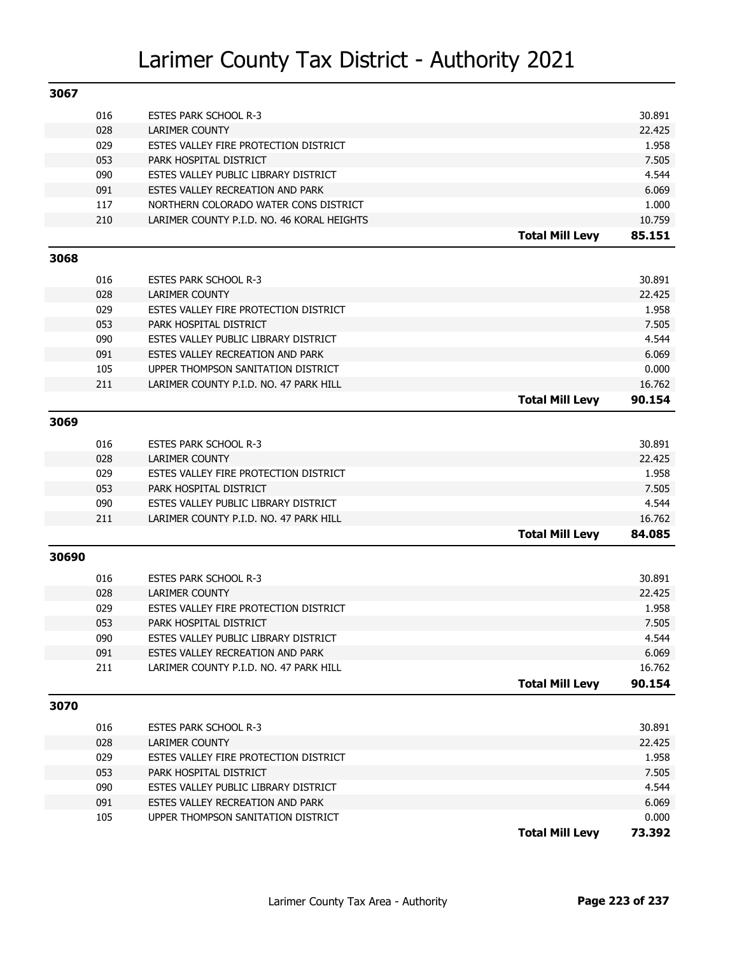| 3067  |     |                                                         |                        |                 |
|-------|-----|---------------------------------------------------------|------------------------|-----------------|
|       | 016 | <b>ESTES PARK SCHOOL R-3</b>                            |                        | 30.891          |
|       | 028 | <b>LARIMER COUNTY</b>                                   |                        | 22.425          |
|       | 029 | ESTES VALLEY FIRE PROTECTION DISTRICT                   |                        | 1.958           |
|       | 053 | PARK HOSPITAL DISTRICT                                  |                        | 7.505           |
|       | 090 | ESTES VALLEY PUBLIC LIBRARY DISTRICT                    |                        | 4.544           |
|       | 091 | ESTES VALLEY RECREATION AND PARK                        |                        | 6.069           |
|       | 117 | NORTHERN COLORADO WATER CONS DISTRICT                   |                        | 1.000           |
|       | 210 | LARIMER COUNTY P.I.D. NO. 46 KORAL HEIGHTS              |                        | 10.759          |
|       |     |                                                         | <b>Total Mill Levy</b> | 85.151          |
| 3068  |     |                                                         |                        |                 |
|       |     |                                                         |                        |                 |
|       | 016 | <b>ESTES PARK SCHOOL R-3</b>                            |                        | 30.891          |
|       | 028 | LARIMER COUNTY                                          |                        | 22.425          |
|       | 029 | ESTES VALLEY FIRE PROTECTION DISTRICT                   |                        | 1.958           |
|       | 053 | PARK HOSPITAL DISTRICT                                  |                        | 7.505           |
|       | 090 | ESTES VALLEY PUBLIC LIBRARY DISTRICT                    |                        | 4.544           |
|       | 091 | ESTES VALLEY RECREATION AND PARK                        |                        | 6.069           |
|       | 105 | UPPER THOMPSON SANITATION DISTRICT                      |                        | 0.000           |
|       | 211 | LARIMER COUNTY P.I.D. NO. 47 PARK HILL                  |                        | 16.762          |
|       |     |                                                         | <b>Total Mill Levy</b> | 90.154          |
| 3069  |     |                                                         |                        |                 |
|       | 016 | <b>ESTES PARK SCHOOL R-3</b>                            |                        | 30.891          |
|       | 028 | LARIMER COUNTY                                          |                        | 22.425          |
|       | 029 | ESTES VALLEY FIRE PROTECTION DISTRICT                   |                        | 1.958           |
|       | 053 | PARK HOSPITAL DISTRICT                                  |                        | 7.505           |
|       | 090 | ESTES VALLEY PUBLIC LIBRARY DISTRICT                    |                        | 4.544           |
|       | 211 | LARIMER COUNTY P.I.D. NO. 47 PARK HILL                  |                        | 16.762          |
|       |     |                                                         | <b>Total Mill Levy</b> | 84.085          |
| 30690 |     |                                                         |                        |                 |
|       | 016 | <b>ESTES PARK SCHOOL R-3</b>                            |                        | 30.891          |
|       | 028 |                                                         |                        | 22.425          |
|       | 029 | LARIMER COUNTY<br>ESTES VALLEY FIRE PROTECTION DISTRICT |                        | 1.958           |
|       | 053 | PARK HOSPITAL DISTRICT                                  |                        | 7.505           |
|       | 090 | ESTES VALLEY PUBLIC LIBRARY DISTRICT                    |                        | 4.544           |
|       | 091 | ESTES VALLEY RECREATION AND PARK                        |                        | 6.069           |
|       | 211 | LARIMER COUNTY P.I.D. NO. 47 PARK HILL                  |                        | 16.762          |
|       |     |                                                         | <b>Total Mill Levy</b> | 90.154          |
| 3070  |     |                                                         |                        |                 |
|       |     |                                                         |                        |                 |
|       | 016 | <b>ESTES PARK SCHOOL R-3</b>                            |                        | 30.891          |
|       | 028 | LARIMER COUNTY                                          |                        | 22.425          |
|       | 029 | ESTES VALLEY FIRE PROTECTION DISTRICT                   |                        | 1.958           |
|       | 053 | PARK HOSPITAL DISTRICT                                  |                        | 7.505           |
|       | 090 | ESTES VALLEY PUBLIC LIBRARY DISTRICT                    |                        | 4.544           |
|       |     |                                                         |                        |                 |
|       | 091 | ESTES VALLEY RECREATION AND PARK                        |                        | 6.069           |
|       | 105 | UPPER THOMPSON SANITATION DISTRICT                      | <b>Total Mill Levy</b> | 0.000<br>73.392 |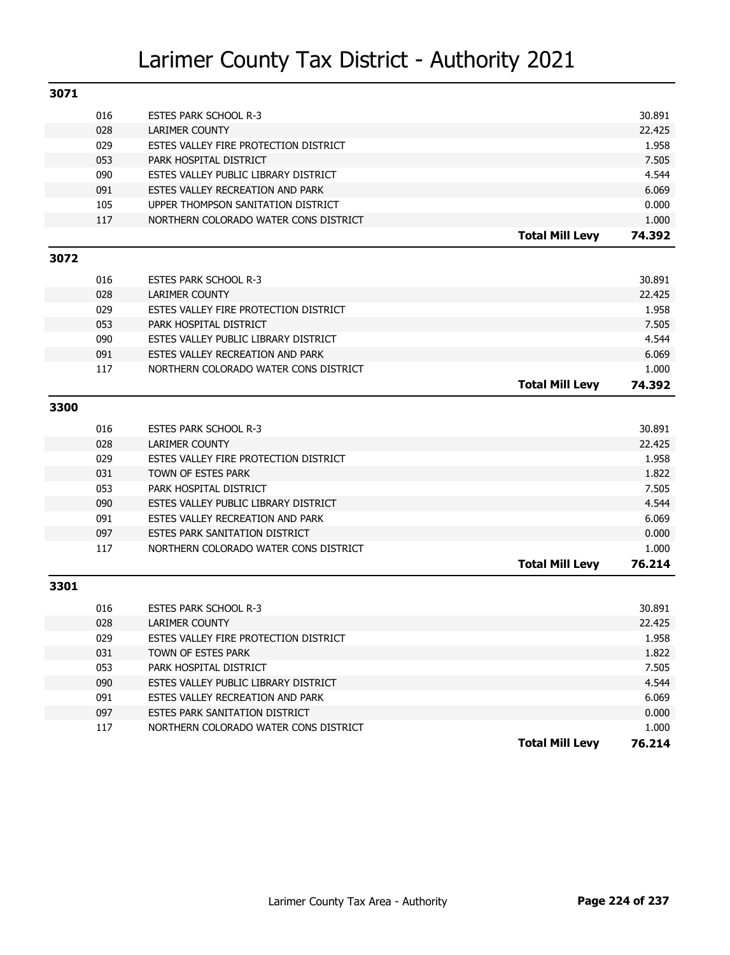| 3071 |     |                                       |                        |        |
|------|-----|---------------------------------------|------------------------|--------|
|      | 016 | <b>ESTES PARK SCHOOL R-3</b>          |                        | 30.891 |
|      | 028 | <b>LARIMER COUNTY</b>                 |                        | 22.425 |
|      | 029 | ESTES VALLEY FIRE PROTECTION DISTRICT |                        | 1.958  |
|      | 053 | PARK HOSPITAL DISTRICT                |                        | 7.505  |
|      | 090 | ESTES VALLEY PUBLIC LIBRARY DISTRICT  |                        | 4.544  |
|      | 091 | ESTES VALLEY RECREATION AND PARK      |                        | 6.069  |
|      | 105 | UPPER THOMPSON SANITATION DISTRICT    |                        | 0.000  |
|      | 117 | NORTHERN COLORADO WATER CONS DISTRICT |                        | 1.000  |
|      |     |                                       | <b>Total Mill Levy</b> | 74.392 |
| 3072 |     |                                       |                        |        |
|      | 016 | <b>ESTES PARK SCHOOL R-3</b>          |                        | 30.891 |
|      | 028 | <b>LARIMER COUNTY</b>                 |                        | 22.425 |
|      | 029 | ESTES VALLEY FIRE PROTECTION DISTRICT |                        | 1.958  |
|      | 053 | PARK HOSPITAL DISTRICT                |                        | 7.505  |
|      | 090 | ESTES VALLEY PUBLIC LIBRARY DISTRICT  |                        | 4.544  |
|      | 091 | ESTES VALLEY RECREATION AND PARK      |                        | 6.069  |
|      | 117 | NORTHERN COLORADO WATER CONS DISTRICT |                        | 1.000  |
|      |     |                                       | <b>Total Mill Levy</b> | 74.392 |
| 3300 |     |                                       |                        |        |
|      |     |                                       |                        |        |
|      | 016 | <b>ESTES PARK SCHOOL R-3</b>          |                        | 30.891 |
|      | 028 | <b>LARIMER COUNTY</b>                 |                        | 22.425 |
|      | 029 | ESTES VALLEY FIRE PROTECTION DISTRICT |                        | 1.958  |
|      | 031 | TOWN OF ESTES PARK                    |                        | 1.822  |
|      | 053 | PARK HOSPITAL DISTRICT                |                        | 7.505  |
|      | 090 | ESTES VALLEY PUBLIC LIBRARY DISTRICT  |                        | 4.544  |
|      | 091 | ESTES VALLEY RECREATION AND PARK      |                        | 6.069  |
|      | 097 | <b>ESTES PARK SANITATION DISTRICT</b> |                        | 0.000  |
|      | 117 | NORTHERN COLORADO WATER CONS DISTRICT |                        | 1.000  |
|      |     |                                       | <b>Total Mill Levy</b> | 76.214 |
| 3301 |     |                                       |                        |        |
|      | 016 | <b>ESTES PARK SCHOOL R-3</b>          |                        | 30.891 |
|      | 028 | <b>LARIMER COUNTY</b>                 |                        | 22.425 |
|      | 029 | ESTES VALLEY FIRE PROTECTION DISTRICT |                        | 1.958  |
|      | 031 | TOWN OF ESTES PARK                    |                        | 1.822  |
|      | 053 | PARK HOSPITAL DISTRICT                |                        | 7.505  |
|      | 090 | ESTES VALLEY PUBLIC LIBRARY DISTRICT  |                        | 4.544  |
|      | 091 | ESTES VALLEY RECREATION AND PARK      |                        | 6.069  |
|      | 097 | ESTES PARK SANITATION DISTRICT        |                        | 0.000  |
|      | 117 | NORTHERN COLORADO WATER CONS DISTRICT |                        | 1.000  |
|      |     |                                       | <b>Total Mill Levy</b> | 76.214 |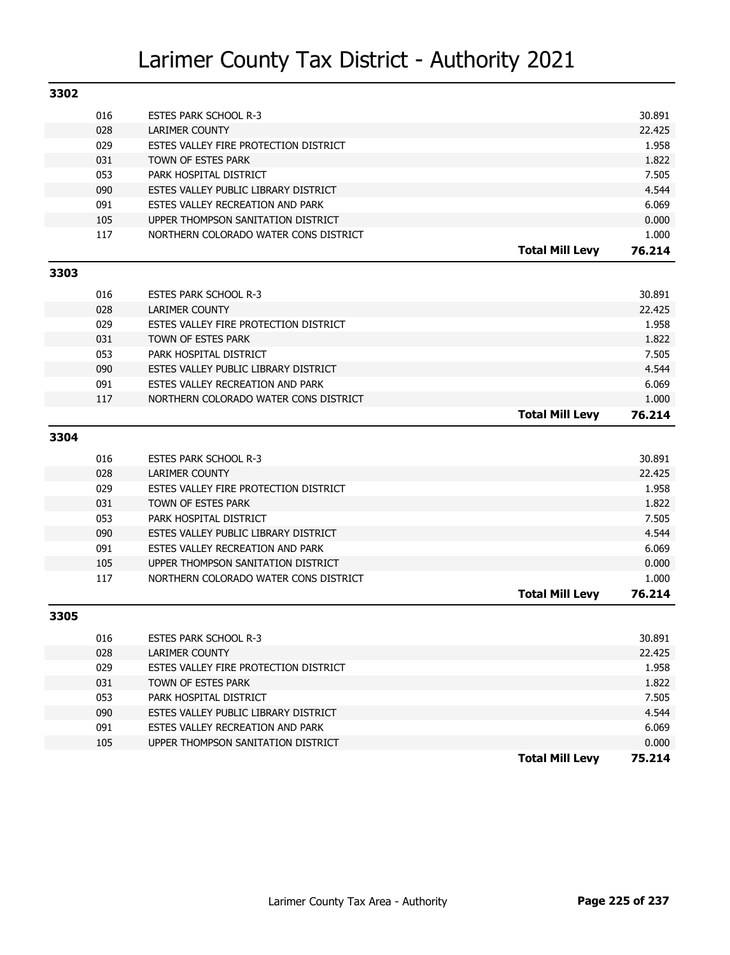| 3302 |            |                                                             |                        |                |
|------|------------|-------------------------------------------------------------|------------------------|----------------|
|      | 016        | <b>ESTES PARK SCHOOL R-3</b>                                |                        | 30.891         |
|      | 028        | <b>LARIMER COUNTY</b>                                       |                        | 22.425         |
|      | 029        | ESTES VALLEY FIRE PROTECTION DISTRICT                       |                        | 1.958          |
|      | 031        | TOWN OF ESTES PARK                                          |                        | 1.822          |
|      | 053        | PARK HOSPITAL DISTRICT                                      |                        | 7.505          |
|      | 090        | ESTES VALLEY PUBLIC LIBRARY DISTRICT                        |                        | 4.544          |
|      | 091        | ESTES VALLEY RECREATION AND PARK                            |                        | 6.069          |
|      | 105        | UPPER THOMPSON SANITATION DISTRICT                          |                        | 0.000          |
|      | 117        | NORTHERN COLORADO WATER CONS DISTRICT                       |                        | 1.000          |
|      |            |                                                             | <b>Total Mill Levy</b> | 76.214         |
| 3303 |            |                                                             |                        |                |
|      |            |                                                             |                        |                |
|      | 016        | <b>ESTES PARK SCHOOL R-3</b>                                |                        | 30.891         |
|      | 028        | <b>LARIMER COUNTY</b>                                       |                        | 22.425         |
|      | 029        | ESTES VALLEY FIRE PROTECTION DISTRICT                       |                        | 1.958          |
|      | 031        | TOWN OF ESTES PARK                                          |                        | 1.822          |
|      | 053        | PARK HOSPITAL DISTRICT                                      |                        | 7.505          |
|      | 090        | ESTES VALLEY PUBLIC LIBRARY DISTRICT                        |                        | 4.544          |
|      | 091        | ESTES VALLEY RECREATION AND PARK                            |                        | 6.069          |
|      | 117        | NORTHERN COLORADO WATER CONS DISTRICT                       |                        | 1.000          |
|      |            |                                                             | <b>Total Mill Levy</b> | 76.214         |
| 3304 |            |                                                             |                        |                |
|      | 016        | <b>ESTES PARK SCHOOL R-3</b>                                |                        | 30.891         |
|      | 028        | <b>LARIMER COUNTY</b>                                       |                        | 22.425         |
|      | 029        | ESTES VALLEY FIRE PROTECTION DISTRICT                       |                        | 1.958          |
|      | 031        | TOWN OF ESTES PARK                                          |                        | 1.822          |
|      | 053        | PARK HOSPITAL DISTRICT                                      |                        | 7.505          |
|      | 090        | ESTES VALLEY PUBLIC LIBRARY DISTRICT                        |                        | 4.544          |
|      | 091        | ESTES VALLEY RECREATION AND PARK                            |                        | 6.069          |
|      | 105        | UPPER THOMPSON SANITATION DISTRICT                          |                        | 0.000          |
|      | 117        | NORTHERN COLORADO WATER CONS DISTRICT                       |                        | 1.000          |
|      |            |                                                             | <b>Total Mill Levy</b> | 76.214         |
| 3305 |            |                                                             |                        |                |
|      |            |                                                             |                        |                |
|      | 016        | ESTES PARK SCHOOL R-3                                       |                        | 30.891         |
|      | 028        | LARIMER COUNTY                                              |                        | 22.425         |
|      | 029<br>031 | ESTES VALLEY FIRE PROTECTION DISTRICT<br>TOWN OF ESTES PARK |                        | 1.958<br>1.822 |
|      | 053        | PARK HOSPITAL DISTRICT                                      |                        | 7.505          |
|      | 090        | ESTES VALLEY PUBLIC LIBRARY DISTRICT                        |                        | 4.544          |
|      | 091        | ESTES VALLEY RECREATION AND PARK                            |                        | 6.069          |
|      | 105        | UPPER THOMPSON SANITATION DISTRICT                          |                        | 0.000          |
|      |            |                                                             | <b>Total Mill Levy</b> | 75.214         |
|      |            |                                                             |                        |                |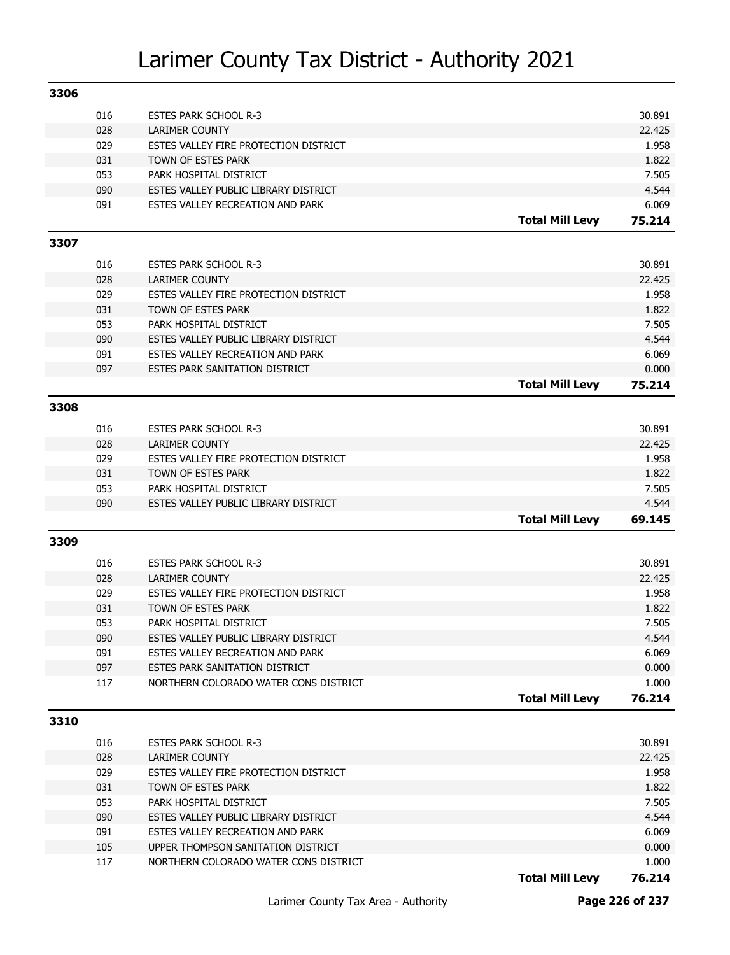| 3306 |     |                                       |                        |        |
|------|-----|---------------------------------------|------------------------|--------|
|      | 016 | <b>ESTES PARK SCHOOL R-3</b>          |                        | 30.891 |
|      | 028 | LARIMER COUNTY                        |                        | 22.425 |
|      | 029 | ESTES VALLEY FIRE PROTECTION DISTRICT |                        | 1.958  |
|      | 031 | TOWN OF ESTES PARK                    |                        | 1.822  |
|      | 053 | PARK HOSPITAL DISTRICT                |                        | 7.505  |
|      | 090 | ESTES VALLEY PUBLIC LIBRARY DISTRICT  |                        | 4.544  |
|      | 091 | ESTES VALLEY RECREATION AND PARK      |                        | 6.069  |
|      |     |                                       | <b>Total Mill Levy</b> | 75.214 |
| 3307 |     |                                       |                        |        |
|      |     |                                       |                        |        |
|      | 016 | <b>ESTES PARK SCHOOL R-3</b>          |                        | 30.891 |
|      | 028 | <b>LARIMER COUNTY</b>                 |                        | 22.425 |
|      | 029 | ESTES VALLEY FIRE PROTECTION DISTRICT |                        | 1.958  |
|      | 031 | TOWN OF ESTES PARK                    |                        | 1.822  |
|      | 053 | PARK HOSPITAL DISTRICT                |                        | 7.505  |
|      | 090 | ESTES VALLEY PUBLIC LIBRARY DISTRICT  |                        | 4.544  |
|      | 091 | ESTES VALLEY RECREATION AND PARK      |                        | 6.069  |
|      | 097 | ESTES PARK SANITATION DISTRICT        |                        | 0.000  |
|      |     |                                       | <b>Total Mill Levy</b> | 75.214 |
| 3308 |     |                                       |                        |        |
|      | 016 | <b>ESTES PARK SCHOOL R-3</b>          |                        | 30.891 |
|      | 028 | <b>LARIMER COUNTY</b>                 |                        | 22.425 |
|      | 029 | ESTES VALLEY FIRE PROTECTION DISTRICT |                        | 1.958  |
|      | 031 | TOWN OF ESTES PARK                    |                        | 1.822  |
|      | 053 | PARK HOSPITAL DISTRICT                |                        | 7.505  |
|      | 090 | ESTES VALLEY PUBLIC LIBRARY DISTRICT  |                        | 4.544  |
|      |     |                                       | <b>Total Mill Levy</b> | 69.145 |
| 3309 |     |                                       |                        |        |
|      |     |                                       |                        |        |
|      | 016 | ESTES PARK SCHOOL R-3                 |                        | 30.891 |
|      | 028 | <b>LARIMER COUNTY</b>                 |                        | 22.425 |
|      | 029 | ESTES VALLEY FIRE PROTECTION DISTRICT |                        | 1.958  |
|      | 031 | TOWN OF ESTES PARK                    |                        | 1.822  |
|      | 053 | PARK HOSPITAL DISTRICT                |                        | 7.505  |
|      | 090 | ESTES VALLEY PUBLIC LIBRARY DISTRICT  |                        | 4.544  |
|      | 091 | ESTES VALLEY RECREATION AND PARK      |                        | 6.069  |
|      | 097 | ESTES PARK SANITATION DISTRICT        |                        | 0.000  |
|      | 117 | NORTHERN COLORADO WATER CONS DISTRICT |                        | 1.000  |
|      |     |                                       | <b>Total Mill Levy</b> | 76.214 |
| 3310 |     |                                       |                        |        |
|      | 016 | <b>ESTES PARK SCHOOL R-3</b>          |                        | 30.891 |
|      | 028 | LARIMER COUNTY                        |                        | 22.425 |
|      | 029 | ESTES VALLEY FIRE PROTECTION DISTRICT |                        | 1.958  |
|      | 031 | TOWN OF ESTES PARK                    |                        | 1.822  |
|      | 053 | PARK HOSPITAL DISTRICT                |                        | 7.505  |
|      | 090 | ESTES VALLEY PUBLIC LIBRARY DISTRICT  |                        | 4.544  |
|      | 091 | ESTES VALLEY RECREATION AND PARK      |                        | 6.069  |
|      | 105 | UPPER THOMPSON SANITATION DISTRICT    |                        | 0.000  |
|      | 117 | NORTHERN COLORADO WATER CONS DISTRICT |                        | 1.000  |
|      |     |                                       | <b>Total Mill Levy</b> | 76.214 |
|      |     |                                       |                        |        |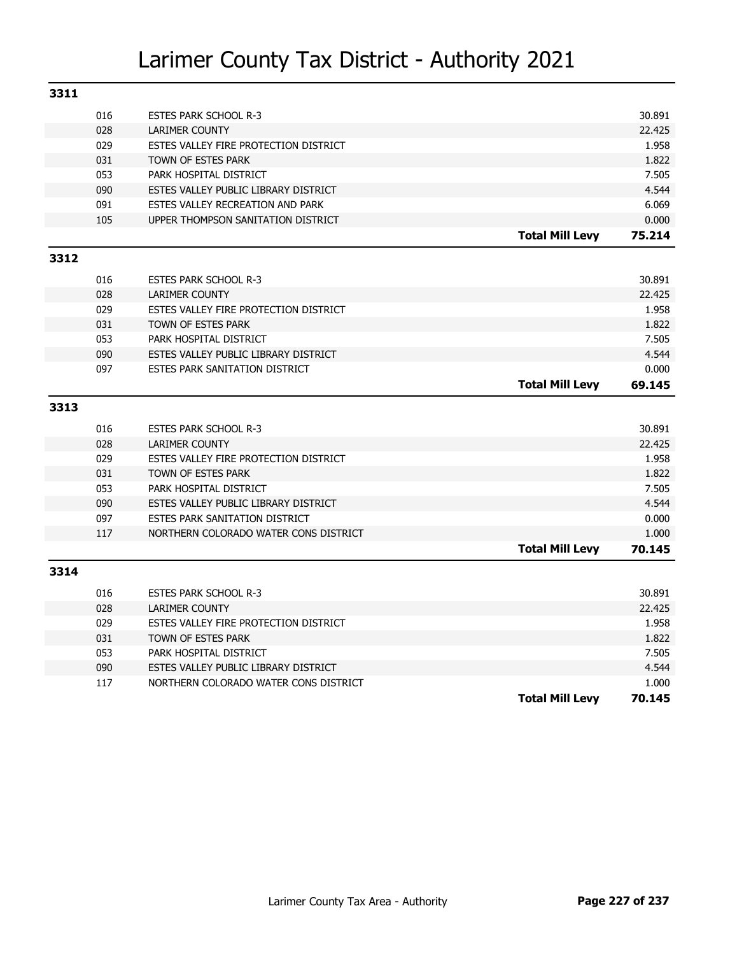| 3311 |     |                                       |                        |        |
|------|-----|---------------------------------------|------------------------|--------|
|      | 016 | <b>ESTES PARK SCHOOL R-3</b>          |                        | 30.891 |
|      | 028 | <b>LARIMER COUNTY</b>                 |                        | 22.425 |
|      | 029 | ESTES VALLEY FIRE PROTECTION DISTRICT |                        | 1.958  |
|      | 031 | TOWN OF ESTES PARK                    |                        | 1.822  |
|      | 053 | PARK HOSPITAL DISTRICT                |                        | 7.505  |
|      | 090 | ESTES VALLEY PUBLIC LIBRARY DISTRICT  |                        | 4.544  |
|      | 091 | ESTES VALLEY RECREATION AND PARK      |                        | 6.069  |
|      | 105 | UPPER THOMPSON SANITATION DISTRICT    |                        | 0.000  |
|      |     |                                       | <b>Total Mill Levy</b> | 75.214 |
| 3312 |     |                                       |                        |        |
|      | 016 | <b>ESTES PARK SCHOOL R-3</b>          |                        | 30.891 |
|      | 028 | <b>LARIMER COUNTY</b>                 |                        | 22.425 |
|      | 029 | ESTES VALLEY FIRE PROTECTION DISTRICT |                        | 1.958  |
|      | 031 | TOWN OF ESTES PARK                    |                        | 1.822  |
|      | 053 | PARK HOSPITAL DISTRICT                |                        | 7.505  |
|      | 090 | ESTES VALLEY PUBLIC LIBRARY DISTRICT  |                        | 4.544  |
|      | 097 | ESTES PARK SANITATION DISTRICT        |                        | 0.000  |
|      |     |                                       | <b>Total Mill Levy</b> | 69.145 |
| 3313 |     |                                       |                        |        |
|      |     |                                       |                        |        |
|      | 016 | <b>ESTES PARK SCHOOL R-3</b>          |                        | 30.891 |
|      | 028 | <b>LARIMER COUNTY</b>                 |                        | 22.425 |
|      | 029 | ESTES VALLEY FIRE PROTECTION DISTRICT |                        | 1.958  |
|      | 031 | TOWN OF ESTES PARK                    |                        | 1.822  |
|      | 053 | PARK HOSPITAL DISTRICT                |                        | 7.505  |
|      | 090 | ESTES VALLEY PUBLIC LIBRARY DISTRICT  |                        |        |
|      |     |                                       |                        | 4.544  |
|      | 097 | <b>ESTES PARK SANITATION DISTRICT</b> |                        | 0.000  |
|      | 117 | NORTHERN COLORADO WATER CONS DISTRICT |                        | 1.000  |
|      |     |                                       | <b>Total Mill Levy</b> | 70.145 |
| 3314 |     |                                       |                        |        |
|      | 016 | <b>ESTES PARK SCHOOL R-3</b>          |                        | 30.891 |
|      | 028 | LARIMER COUNTY                        |                        | 22.425 |
|      | 029 | ESTES VALLEY FIRE PROTECTION DISTRICT |                        | 1.958  |
|      | 031 | TOWN OF ESTES PARK                    |                        | 1.822  |
|      | 053 | PARK HOSPITAL DISTRICT                |                        | 7.505  |
|      | 090 | ESTES VALLEY PUBLIC LIBRARY DISTRICT  |                        | 4.544  |
|      | 117 | NORTHERN COLORADO WATER CONS DISTRICT |                        | 1.000  |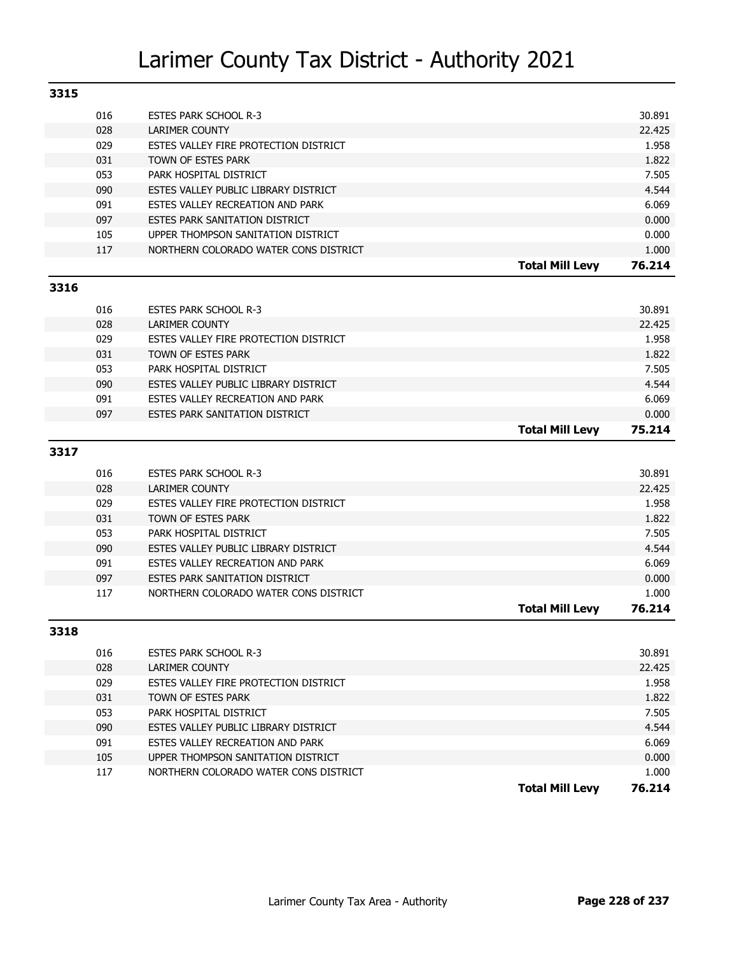| 3315 |     |                                       |        |
|------|-----|---------------------------------------|--------|
|      | 016 | <b>ESTES PARK SCHOOL R-3</b>          | 30.891 |
|      | 028 | LARIMER COUNTY                        | 22.425 |
|      | 029 | ESTES VALLEY FIRE PROTECTION DISTRICT | 1.958  |
|      | 031 | TOWN OF ESTES PARK                    | 1.822  |
|      | 053 | PARK HOSPITAL DISTRICT                | 7.505  |
|      | 090 | ESTES VALLEY PUBLIC LIBRARY DISTRICT  | 4.544  |
|      | 091 | ESTES VALLEY RECREATION AND PARK      | 6.069  |
|      | 097 | ESTES PARK SANITATION DISTRICT        | 0.000  |
|      | 105 | UPPER THOMPSON SANITATION DISTRICT    | 0.000  |
|      | 117 | NORTHERN COLORADO WATER CONS DISTRICT | 1.000  |
|      |     | <b>Total Mill Levy</b>                | 76.214 |
| 3316 |     |                                       |        |

#### **3316**

| 016 | <b>ESTES PARK SCHOOL R-3</b>          |                        | 30.891 |
|-----|---------------------------------------|------------------------|--------|
| 028 | LARIMER COUNTY                        |                        | 22.425 |
| 029 | ESTES VALLEY FIRE PROTECTION DISTRICT |                        | 1.958  |
| 031 | TOWN OF ESTES PARK                    |                        | 1.822  |
| 053 | PARK HOSPITAL DISTRICT                |                        | 7.505  |
| 090 | ESTES VALLEY PUBLIC LIBRARY DISTRICT  |                        | 4.544  |
| 091 | ESTES VALLEY RECREATION AND PARK      |                        | 6.069  |
| 097 | ESTES PARK SANITATION DISTRICT        |                        | 0.000  |
|     |                                       | <b>Total Mill Levy</b> | 75.214 |

#### **3317**

| 016 | <b>ESTES PARK SCHOOL R-3</b>          |                        | 30.891 |
|-----|---------------------------------------|------------------------|--------|
| 028 | LARIMER COUNTY                        |                        | 22.425 |
| 029 | ESTES VALLEY FIRE PROTECTION DISTRICT |                        | 1.958  |
| 031 | TOWN OF ESTES PARK                    |                        | 1.822  |
| 053 | PARK HOSPITAL DISTRICT                |                        | 7.505  |
| 090 | ESTES VALLEY PUBLIC LIBRARY DISTRICT  |                        | 4.544  |
| 091 | ESTES VALLEY RECREATION AND PARK      |                        | 6.069  |
| 097 | ESTES PARK SANITATION DISTRICT        |                        | 0.000  |
| 117 | NORTHERN COLORADO WATER CONS DISTRICT |                        | 1.000  |
|     |                                       | <b>Total Mill Levv</b> | 76.214 |

| 016 | <b>ESTES PARK SCHOOL R-3</b>          |                 | 30.891 |
|-----|---------------------------------------|-----------------|--------|
| 028 | LARIMER COUNTY                        |                 | 22,425 |
| 029 | ESTES VALLEY FIRE PROTECTION DISTRICT |                 | 1.958  |
| 031 | TOWN OF ESTES PARK                    |                 | 1.822  |
| 053 | PARK HOSPITAL DISTRICT                |                 | 7.505  |
| 090 | ESTES VALLEY PUBLIC LIBRARY DISTRICT  |                 | 4.544  |
| 091 | ESTES VALLEY RECREATION AND PARK      |                 | 6.069  |
| 105 | UPPER THOMPSON SANITATION DISTRICT    |                 | 0.000  |
| 117 | NORTHERN COLORADO WATER CONS DISTRICT |                 | 1.000  |
|     |                                       | Total Mill Levv | 76.214 |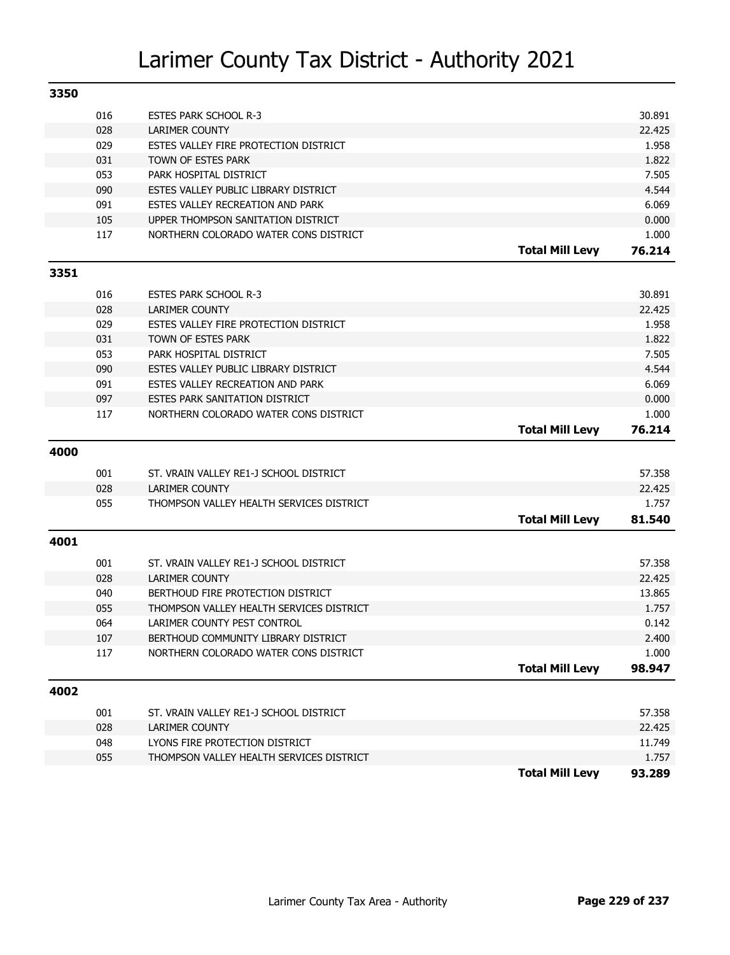| 3350 |     |                                          |                        |        |
|------|-----|------------------------------------------|------------------------|--------|
|      | 016 | <b>ESTES PARK SCHOOL R-3</b>             |                        | 30.891 |
|      | 028 | LARIMER COUNTY                           |                        | 22.425 |
|      | 029 | ESTES VALLEY FIRE PROTECTION DISTRICT    |                        | 1.958  |
|      | 031 | TOWN OF ESTES PARK                       |                        | 1.822  |
|      | 053 | PARK HOSPITAL DISTRICT                   |                        | 7.505  |
|      | 090 | ESTES VALLEY PUBLIC LIBRARY DISTRICT     |                        | 4.544  |
|      | 091 | ESTES VALLEY RECREATION AND PARK         |                        | 6.069  |
|      | 105 | UPPER THOMPSON SANITATION DISTRICT       |                        | 0.000  |
|      | 117 | NORTHERN COLORADO WATER CONS DISTRICT    |                        | 1.000  |
|      |     |                                          | <b>Total Mill Levy</b> | 76.214 |
| 3351 |     |                                          |                        |        |
|      | 016 | <b>ESTES PARK SCHOOL R-3</b>             |                        | 30.891 |
|      | 028 | <b>LARIMER COUNTY</b>                    |                        | 22.425 |
|      | 029 | ESTES VALLEY FIRE PROTECTION DISTRICT    |                        | 1.958  |
|      | 031 | TOWN OF ESTES PARK                       |                        | 1.822  |
|      | 053 | PARK HOSPITAL DISTRICT                   |                        | 7.505  |
|      | 090 | ESTES VALLEY PUBLIC LIBRARY DISTRICT     |                        | 4.544  |
|      | 091 | ESTES VALLEY RECREATION AND PARK         |                        | 6.069  |
|      | 097 | ESTES PARK SANITATION DISTRICT           |                        | 0.000  |
|      | 117 | NORTHERN COLORADO WATER CONS DISTRICT    |                        | 1.000  |
|      |     |                                          | <b>Total Mill Levy</b> | 76.214 |
| 4000 |     |                                          |                        |        |
|      | 001 | ST. VRAIN VALLEY RE1-J SCHOOL DISTRICT   |                        | 57.358 |
|      | 028 | <b>LARIMER COUNTY</b>                    |                        | 22.425 |
|      | 055 | THOMPSON VALLEY HEALTH SERVICES DISTRICT |                        | 1.757  |
|      |     |                                          | <b>Total Mill Levy</b> | 81.540 |
| 4001 |     |                                          |                        |        |
|      | 001 | ST. VRAIN VALLEY RE1-J SCHOOL DISTRICT   |                        | 57.358 |
|      | 028 | <b>LARIMER COUNTY</b>                    |                        | 22.425 |
|      | 040 | BERTHOUD FIRE PROTECTION DISTRICT        |                        | 13.865 |
|      | 055 | THOMPSON VALLEY HEALTH SERVICES DISTRICT |                        | 1.757  |
|      | 064 | LARIMER COUNTY PEST CONTROL              |                        | 0.142  |
|      | 107 | BERTHOUD COMMUNITY LIBRARY DISTRICT      |                        | 2.400  |
|      | 117 | NORTHERN COLORADO WATER CONS DISTRICT    |                        | 1.000  |
|      |     |                                          | <b>Total Mill Levy</b> | 98.947 |
| 4002 |     |                                          |                        |        |
|      | 001 | ST. VRAIN VALLEY RE1-J SCHOOL DISTRICT   |                        | 57.358 |
|      | 028 | <b>LARIMER COUNTY</b>                    |                        | 22.425 |
|      | 048 | LYONS FIRE PROTECTION DISTRICT           |                        | 11.749 |
|      | 055 | THOMPSON VALLEY HEALTH SERVICES DISTRICT |                        | 1.757  |
|      |     |                                          | <b>Total Mill Levy</b> | 93.289 |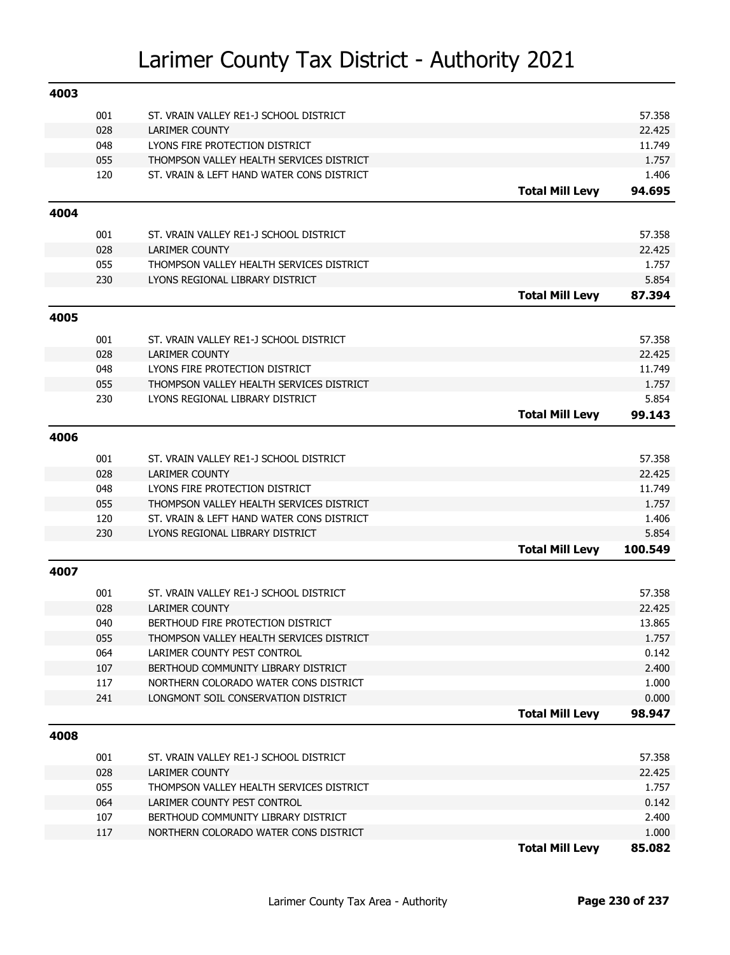| 4003 |     |                                           |                        |                 |
|------|-----|-------------------------------------------|------------------------|-----------------|
|      | 001 | ST. VRAIN VALLEY RE1-J SCHOOL DISTRICT    |                        | 57.358          |
|      | 028 | <b>LARIMER COUNTY</b>                     |                        | 22.425          |
|      | 048 | LYONS FIRE PROTECTION DISTRICT            |                        | 11.749          |
|      | 055 | THOMPSON VALLEY HEALTH SERVICES DISTRICT  |                        | 1.757           |
|      | 120 | ST. VRAIN & LEFT HAND WATER CONS DISTRICT |                        | 1.406           |
|      |     |                                           | <b>Total Mill Levy</b> | 94.695          |
| 4004 |     |                                           |                        |                 |
|      | 001 | ST. VRAIN VALLEY RE1-J SCHOOL DISTRICT    |                        | 57.358          |
|      | 028 | <b>LARIMER COUNTY</b>                     |                        | 22.425          |
|      | 055 | THOMPSON VALLEY HEALTH SERVICES DISTRICT  |                        | 1.757           |
|      | 230 | LYONS REGIONAL LIBRARY DISTRICT           |                        | 5.854           |
|      |     |                                           | <b>Total Mill Levy</b> | 87.394          |
| 4005 |     |                                           |                        |                 |
|      | 001 | ST. VRAIN VALLEY RE1-J SCHOOL DISTRICT    |                        | 57.358          |
|      | 028 | <b>LARIMER COUNTY</b>                     |                        | 22.425          |
|      | 048 | LYONS FIRE PROTECTION DISTRICT            |                        | 11.749          |
|      | 055 | THOMPSON VALLEY HEALTH SERVICES DISTRICT  |                        | 1.757           |
|      | 230 | LYONS REGIONAL LIBRARY DISTRICT           |                        | 5.854           |
|      |     |                                           | <b>Total Mill Levy</b> | 99.143          |
| 4006 |     |                                           |                        |                 |
|      | 001 | ST. VRAIN VALLEY RE1-J SCHOOL DISTRICT    |                        | 57.358          |
|      | 028 | <b>LARIMER COUNTY</b>                     |                        | 22.425          |
|      | 048 | LYONS FIRE PROTECTION DISTRICT            |                        | 11.749          |
|      | 055 | THOMPSON VALLEY HEALTH SERVICES DISTRICT  |                        | 1.757           |
|      | 120 | ST. VRAIN & LEFT HAND WATER CONS DISTRICT |                        | 1.406           |
|      | 230 | LYONS REGIONAL LIBRARY DISTRICT           |                        | 5.854           |
|      |     |                                           | <b>Total Mill Levy</b> | 100.549         |
| 4007 |     |                                           |                        |                 |
|      | 001 | ST. VRAIN VALLEY RE1-J SCHOOL DISTRICT    |                        | 57.358          |
|      | 028 | <b>LARIMER COUNTY</b>                     |                        | 22.425          |
|      | 040 | BERTHOUD FIRE PROTECTION DISTRICT         |                        | 13.865          |
|      | 055 | THOMPSON VALLEY HEALTH SERVICES DISTRICT  |                        | 1.757           |
|      | 064 | LARIMER COUNTY PEST CONTROL               |                        | 0.142           |
|      | 107 | BERTHOUD COMMUNITY LIBRARY DISTRICT       |                        | 2.400           |
|      | 117 | NORTHERN COLORADO WATER CONS DISTRICT     |                        | 1.000           |
|      | 241 | LONGMONT SOIL CONSERVATION DISTRICT       | <b>Total Mill Levy</b> | 0.000<br>98.947 |
|      |     |                                           |                        |                 |
| 4008 |     |                                           |                        |                 |
|      | 001 | ST. VRAIN VALLEY RE1-J SCHOOL DISTRICT    |                        | 57.358          |
|      | 028 | <b>LARIMER COUNTY</b>                     |                        | 22.425          |
|      | 055 | THOMPSON VALLEY HEALTH SERVICES DISTRICT  |                        | 1.757           |
|      | 064 | LARIMER COUNTY PEST CONTROL               |                        | 0.142           |
|      | 107 | BERTHOUD COMMUNITY LIBRARY DISTRICT       |                        | 2.400           |
|      | 117 | NORTHERN COLORADO WATER CONS DISTRICT     |                        | 1.000           |

**Total Mill Levy 85.082**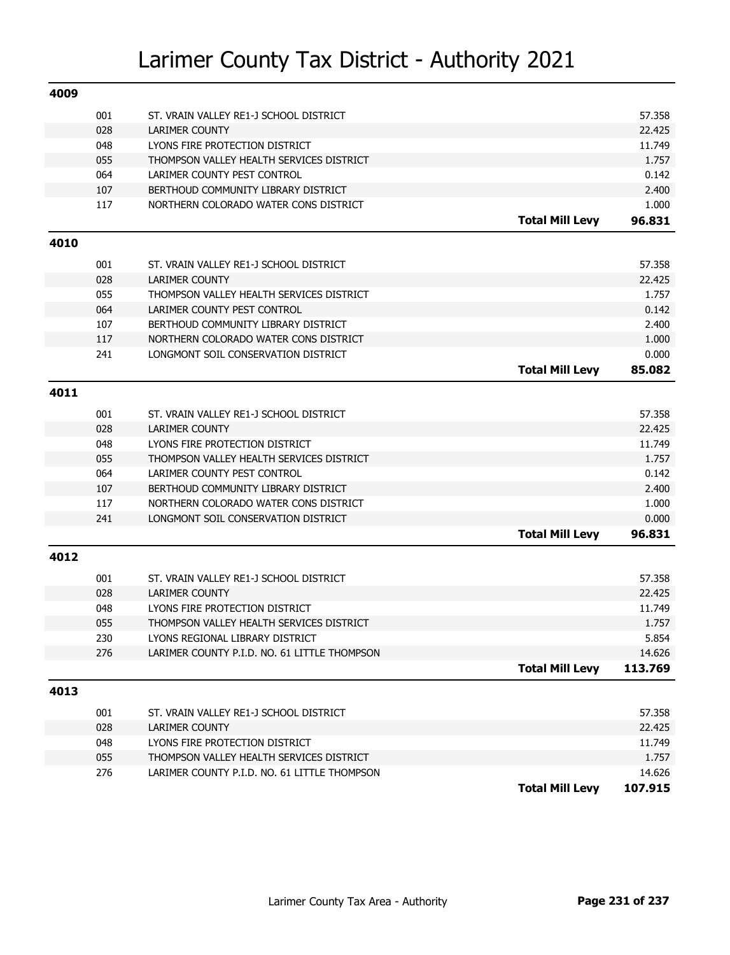| 4009 |     |                                              |                        |         |
|------|-----|----------------------------------------------|------------------------|---------|
|      | 001 | ST. VRAIN VALLEY RE1-J SCHOOL DISTRICT       |                        | 57.358  |
|      | 028 | <b>LARIMER COUNTY</b>                        |                        | 22.425  |
|      | 048 | LYONS FIRE PROTECTION DISTRICT               |                        | 11.749  |
|      | 055 | THOMPSON VALLEY HEALTH SERVICES DISTRICT     |                        | 1.757   |
|      | 064 | LARIMER COUNTY PEST CONTROL                  |                        | 0.142   |
|      | 107 | BERTHOUD COMMUNITY LIBRARY DISTRICT          |                        | 2.400   |
|      | 117 | NORTHERN COLORADO WATER CONS DISTRICT        |                        | 1.000   |
|      |     |                                              | <b>Total Mill Levy</b> | 96.831  |
| 4010 |     |                                              |                        |         |
|      | 001 | ST. VRAIN VALLEY RE1-J SCHOOL DISTRICT       |                        | 57.358  |
|      | 028 | <b>LARIMER COUNTY</b>                        |                        | 22.425  |
|      | 055 | THOMPSON VALLEY HEALTH SERVICES DISTRICT     |                        | 1.757   |
|      | 064 | LARIMER COUNTY PEST CONTROL                  |                        | 0.142   |
|      | 107 | BERTHOUD COMMUNITY LIBRARY DISTRICT          |                        | 2.400   |
|      | 117 | NORTHERN COLORADO WATER CONS DISTRICT        |                        | 1.000   |
|      | 241 | LONGMONT SOIL CONSERVATION DISTRICT          |                        | 0.000   |
|      |     |                                              | <b>Total Mill Levy</b> | 85.082  |
| 4011 |     |                                              |                        |         |
|      |     |                                              |                        |         |
|      | 001 | ST. VRAIN VALLEY RE1-J SCHOOL DISTRICT       |                        | 57.358  |
|      | 028 | <b>LARIMER COUNTY</b>                        |                        | 22.425  |
|      | 048 | LYONS FIRE PROTECTION DISTRICT               |                        | 11.749  |
|      | 055 | THOMPSON VALLEY HEALTH SERVICES DISTRICT     |                        | 1.757   |
|      | 064 | LARIMER COUNTY PEST CONTROL                  |                        | 0.142   |
|      | 107 | BERTHOUD COMMUNITY LIBRARY DISTRICT          |                        | 2.400   |
|      | 117 | NORTHERN COLORADO WATER CONS DISTRICT        |                        | 1.000   |
|      | 241 | LONGMONT SOIL CONSERVATION DISTRICT          |                        | 0.000   |
|      |     |                                              | <b>Total Mill Levy</b> | 96.831  |
| 4012 |     |                                              |                        |         |
|      | 001 | ST. VRAIN VALLEY RE1-J SCHOOL DISTRICT       |                        | 57.358  |
|      | 028 | <b>LARIMER COUNTY</b>                        |                        | 22.425  |
|      | 048 | LYONS FIRE PROTECTION DISTRICT               |                        | 11.749  |
|      | 055 | THOMPSON VALLEY HEALTH SERVICES DISTRICT     |                        | 1.757   |
|      | 230 | LYONS REGIONAL LIBRARY DISTRICT              |                        | 5.854   |
|      | 276 | LARIMER COUNTY P.I.D. NO. 61 LITTLE THOMPSON |                        | 14.626  |
|      |     |                                              | <b>Total Mill Levy</b> | 113.769 |
| 4013 |     |                                              |                        |         |
|      | 001 | ST. VRAIN VALLEY RE1-J SCHOOL DISTRICT       |                        | 57.358  |
|      | 028 | <b>LARIMER COUNTY</b>                        |                        | 22.425  |
|      | 048 | LYONS FIRE PROTECTION DISTRICT               |                        | 11.749  |
|      | 055 | THOMPSON VALLEY HEALTH SERVICES DISTRICT     |                        | 1.757   |
|      | 276 | LARIMER COUNTY P.I.D. NO. 61 LITTLE THOMPSON |                        | 14.626  |
|      |     |                                              | <b>Total Mill Levy</b> | 107.915 |
|      |     |                                              |                        |         |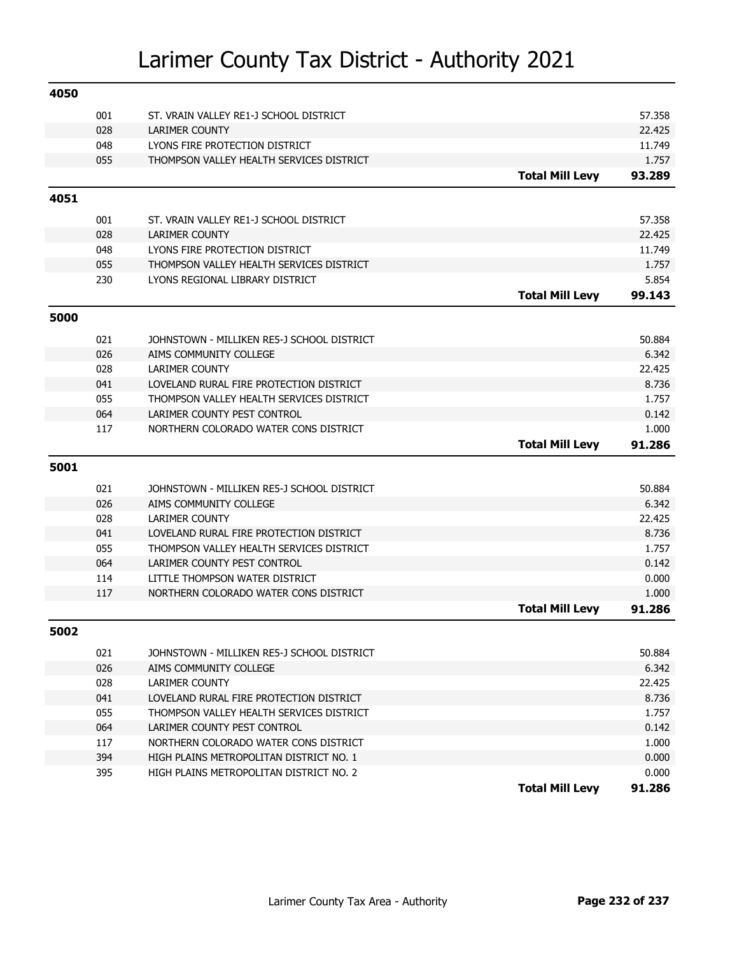| 4050 |            |                                                                      |                        |                 |
|------|------------|----------------------------------------------------------------------|------------------------|-----------------|
|      | 001        | ST. VRAIN VALLEY RE1-J SCHOOL DISTRICT                               |                        | 57.358          |
|      | 028        | <b>LARIMER COUNTY</b>                                                |                        | 22.425          |
|      | 048        | LYONS FIRE PROTECTION DISTRICT                                       |                        | 11.749          |
|      | 055        | THOMPSON VALLEY HEALTH SERVICES DISTRICT                             |                        | 1.757           |
|      |            |                                                                      | <b>Total Mill Levy</b> | 93.289          |
| 4051 |            |                                                                      |                        |                 |
|      | 001        | ST. VRAIN VALLEY RE1-J SCHOOL DISTRICT                               |                        | 57.358          |
|      | 028        | <b>LARIMER COUNTY</b>                                                |                        | 22.425          |
|      | 048        | LYONS FIRE PROTECTION DISTRICT                                       |                        | 11.749          |
|      | 055        | THOMPSON VALLEY HEALTH SERVICES DISTRICT                             |                        | 1.757           |
|      | 230        | LYONS REGIONAL LIBRARY DISTRICT                                      |                        | 5.854           |
|      |            |                                                                      | <b>Total Mill Levy</b> | 99.143          |
|      |            |                                                                      |                        |                 |
| 5000 |            |                                                                      |                        |                 |
|      | 021        | JOHNSTOWN - MILLIKEN RE5-J SCHOOL DISTRICT                           |                        | 50.884          |
|      | 026        | AIMS COMMUNITY COLLEGE                                               |                        | 6.342           |
|      | 028        | <b>LARIMER COUNTY</b>                                                |                        | 22.425          |
|      | 041        | LOVELAND RURAL FIRE PROTECTION DISTRICT                              |                        | 8.736           |
|      | 055        | THOMPSON VALLEY HEALTH SERVICES DISTRICT                             |                        | 1.757           |
|      | 064        | LARIMER COUNTY PEST CONTROL                                          |                        | 0.142           |
|      | 117        | NORTHERN COLORADO WATER CONS DISTRICT                                |                        | 1.000           |
|      |            |                                                                      | <b>Total Mill Levy</b> | 91.286          |
|      |            |                                                                      |                        |                 |
| 5001 |            |                                                                      |                        |                 |
|      |            |                                                                      |                        |                 |
|      | 021<br>026 | JOHNSTOWN - MILLIKEN RE5-J SCHOOL DISTRICT<br>AIMS COMMUNITY COLLEGE |                        | 50.884<br>6.342 |
|      |            | <b>LARIMER COUNTY</b>                                                |                        | 22.425          |
|      | 028<br>041 | LOVELAND RURAL FIRE PROTECTION DISTRICT                              |                        | 8.736           |
|      |            | THOMPSON VALLEY HEALTH SERVICES DISTRICT                             |                        | 1.757           |
|      | 055<br>064 | LARIMER COUNTY PEST CONTROL                                          |                        | 0.142           |
|      | 114        | LITTLE THOMPSON WATER DISTRICT                                       |                        | 0.000           |
|      | 117        | NORTHERN COLORADO WATER CONS DISTRICT                                |                        | 1.000           |
|      |            |                                                                      | <b>Total Mill Levy</b> | 91.286          |
| 5002 |            |                                                                      |                        |                 |
|      |            |                                                                      |                        |                 |
|      | 021        | JOHNSTOWN - MILLIKEN RE5-J SCHOOL DISTRICT                           |                        | 50.884          |
|      | 026        | AIMS COMMUNITY COLLEGE                                               |                        | 6.342           |
|      | 028        | <b>LARIMER COUNTY</b>                                                |                        | 22.425          |
|      | 041        | LOVELAND RURAL FIRE PROTECTION DISTRICT                              |                        | 8.736           |
|      | 055        | THOMPSON VALLEY HEALTH SERVICES DISTRICT                             |                        | 1.757           |
|      | 064        | LARIMER COUNTY PEST CONTROL                                          |                        | 0.142           |
|      | 117        | NORTHERN COLORADO WATER CONS DISTRICT                                |                        | 1.000           |
|      | 394        | HIGH PLAINS METROPOLITAN DISTRICT NO. 1                              |                        | 0.000           |
|      | 395        | HIGH PLAINS METROPOLITAN DISTRICT NO. 2                              | <b>Total Mill Levy</b> | 0.000<br>91.286 |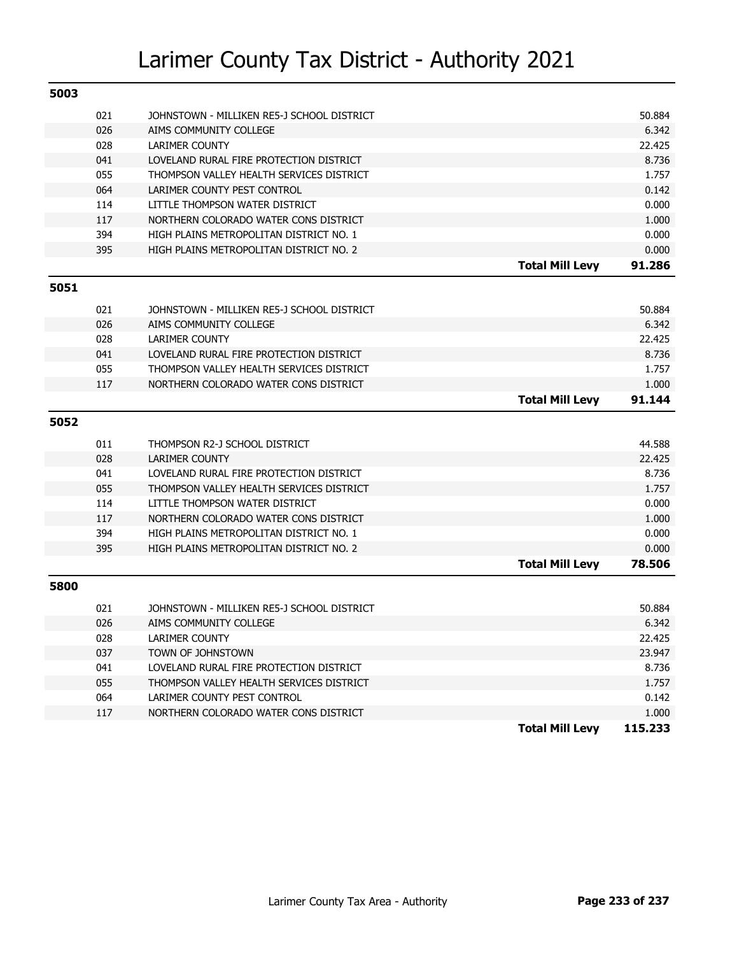| 5003 |            |                                                                  |                        |                  |
|------|------------|------------------------------------------------------------------|------------------------|------------------|
|      | 021        | JOHNSTOWN - MILLIKEN RE5-J SCHOOL DISTRICT                       |                        | 50.884           |
|      | 026        | AIMS COMMUNITY COLLEGE                                           |                        | 6.342            |
|      | 028        | <b>LARIMER COUNTY</b>                                            |                        | 22.425           |
|      | 041        | LOVELAND RURAL FIRE PROTECTION DISTRICT                          |                        | 8.736            |
|      | 055        | THOMPSON VALLEY HEALTH SERVICES DISTRICT                         |                        | 1.757            |
|      | 064        | LARIMER COUNTY PEST CONTROL                                      |                        | 0.142            |
|      | 114        | LITTLE THOMPSON WATER DISTRICT                                   |                        | 0.000            |
|      | 117        | NORTHERN COLORADO WATER CONS DISTRICT                            |                        | 1.000            |
|      | 394        | HIGH PLAINS METROPOLITAN DISTRICT NO. 1                          |                        | 0.000            |
|      | 395        | HIGH PLAINS METROPOLITAN DISTRICT NO. 2                          |                        | 0.000            |
|      |            |                                                                  | <b>Total Mill Levy</b> | 91.286           |
| 5051 |            |                                                                  |                        |                  |
|      | 021        | JOHNSTOWN - MILLIKEN RE5-J SCHOOL DISTRICT                       |                        | 50.884           |
|      | 026        | AIMS COMMUNITY COLLEGE                                           |                        | 6.342            |
|      | 028        | <b>LARIMER COUNTY</b>                                            |                        | 22.425           |
|      | 041        | LOVELAND RURAL FIRE PROTECTION DISTRICT                          |                        | 8.736            |
|      | 055        | THOMPSON VALLEY HEALTH SERVICES DISTRICT                         |                        | 1.757            |
|      | 117        | NORTHERN COLORADO WATER CONS DISTRICT                            |                        | 1.000            |
|      |            |                                                                  | <b>Total Mill Levy</b> | 91.144           |
|      |            |                                                                  |                        |                  |
| 5052 |            |                                                                  |                        |                  |
|      |            |                                                                  |                        |                  |
|      | 011        | THOMPSON R2-J SCHOOL DISTRICT                                    |                        | 44.588           |
|      | 028        | <b>LARIMER COUNTY</b><br>LOVELAND RURAL FIRE PROTECTION DISTRICT |                        | 22.425<br>8.736  |
|      | 041<br>055 | THOMPSON VALLEY HEALTH SERVICES DISTRICT                         |                        | 1.757            |
|      | 114        | LITTLE THOMPSON WATER DISTRICT                                   |                        | 0.000            |
|      | 117        | NORTHERN COLORADO WATER CONS DISTRICT                            |                        | 1.000            |
|      | 394        | HIGH PLAINS METROPOLITAN DISTRICT NO. 1                          |                        | 0.000            |
|      | 395        | HIGH PLAINS METROPOLITAN DISTRICT NO. 2                          |                        | 0.000            |
|      |            |                                                                  | <b>Total Mill Levy</b> | 78.506           |
| 5800 |            |                                                                  |                        |                  |
|      | 021        | JOHNSTOWN - MILLIKEN RE5-J SCHOOL DISTRICT                       |                        | 50.884           |
|      | 026        | AIMS COMMUNITY COLLEGE                                           |                        | 6.342            |
|      |            |                                                                  |                        |                  |
|      | 028<br>037 | LARIMER COUNTY<br>TOWN OF JOHNSTOWN                              |                        | 22.425<br>23.947 |
|      | 041        | LOVELAND RURAL FIRE PROTECTION DISTRICT                          |                        | 8.736            |
|      | 055        | THOMPSON VALLEY HEALTH SERVICES DISTRICT                         |                        | 1.757            |
|      | 064        | LARIMER COUNTY PEST CONTROL                                      |                        | 0.142            |
|      | 117        | NORTHERN COLORADO WATER CONS DISTRICT                            |                        | 1.000            |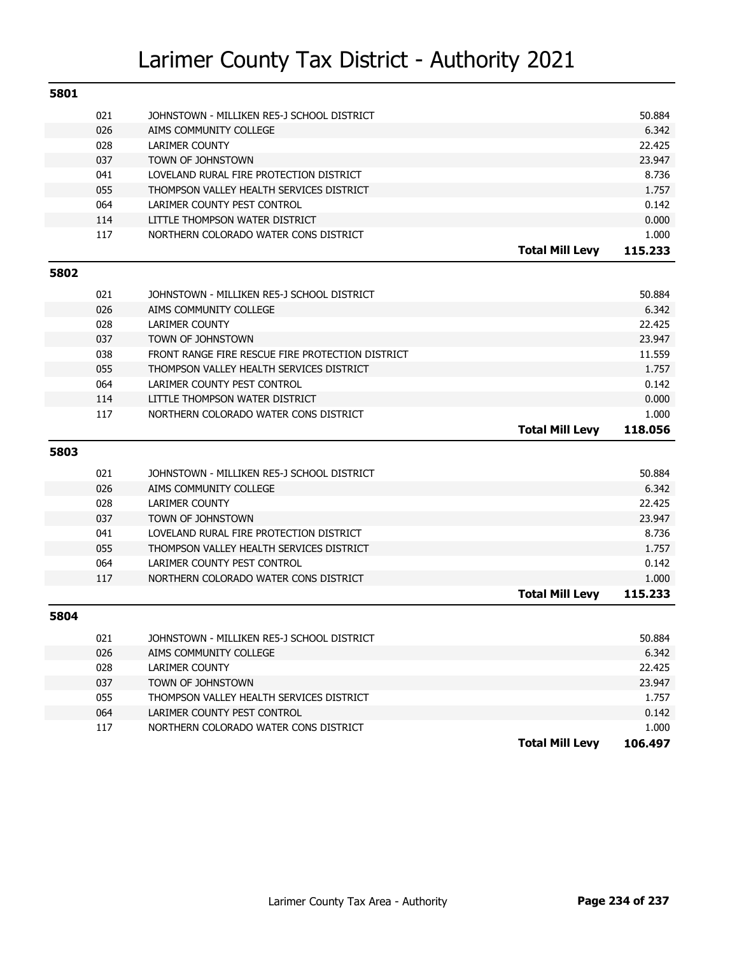| 5801 |     |                                                  |                        |         |
|------|-----|--------------------------------------------------|------------------------|---------|
|      | 021 | JOHNSTOWN - MILLIKEN RE5-J SCHOOL DISTRICT       |                        | 50.884  |
|      | 026 | AIMS COMMUNITY COLLEGE                           |                        | 6.342   |
|      | 028 | <b>LARIMER COUNTY</b>                            |                        | 22.425  |
|      | 037 | TOWN OF JOHNSTOWN                                |                        | 23.947  |
|      | 041 | LOVELAND RURAL FIRE PROTECTION DISTRICT          |                        | 8.736   |
|      | 055 | THOMPSON VALLEY HEALTH SERVICES DISTRICT         |                        | 1.757   |
|      | 064 | LARIMER COUNTY PEST CONTROL                      |                        | 0.142   |
|      | 114 | LITTLE THOMPSON WATER DISTRICT                   |                        | 0.000   |
|      | 117 | NORTHERN COLORADO WATER CONS DISTRICT            |                        | 1.000   |
|      |     |                                                  | <b>Total Mill Levy</b> | 115.233 |
| 5802 |     |                                                  |                        |         |
|      | 021 | JOHNSTOWN - MILLIKEN RE5-J SCHOOL DISTRICT       |                        | 50.884  |
|      | 026 | AIMS COMMUNITY COLLEGE                           |                        | 6.342   |
|      | 028 | <b>LARIMER COUNTY</b>                            |                        | 22.425  |
|      | 037 | TOWN OF JOHNSTOWN                                |                        | 23.947  |
|      | 038 | FRONT RANGE FIRE RESCUE FIRE PROTECTION DISTRICT |                        | 11.559  |
|      | 055 | THOMPSON VALLEY HEALTH SERVICES DISTRICT         |                        | 1.757   |
|      | 064 | LARIMER COUNTY PEST CONTROL                      |                        | 0.142   |
|      | 114 | LITTLE THOMPSON WATER DISTRICT                   |                        | 0.000   |
|      | 117 | NORTHERN COLORADO WATER CONS DISTRICT            |                        | 1.000   |
|      |     |                                                  |                        |         |
|      |     |                                                  |                        |         |
|      |     |                                                  | <b>Total Mill Levy</b> | 118.056 |
| 5803 |     |                                                  |                        |         |
|      | 021 | JOHNSTOWN - MILLIKEN RE5-J SCHOOL DISTRICT       |                        | 50.884  |
|      | 026 | AIMS COMMUNITY COLLEGE                           |                        | 6.342   |
|      | 028 | <b>LARIMER COUNTY</b>                            |                        | 22.425  |
|      | 037 | TOWN OF JOHNSTOWN                                |                        | 23.947  |
|      | 041 | LOVELAND RURAL FIRE PROTECTION DISTRICT          |                        | 8.736   |
|      | 055 | THOMPSON VALLEY HEALTH SERVICES DISTRICT         |                        | 1.757   |
|      | 064 | LARIMER COUNTY PEST CONTROL                      |                        | 0.142   |
|      | 117 | NORTHERN COLORADO WATER CONS DISTRICT            |                        | 1.000   |
|      |     |                                                  | <b>Total Mill Levy</b> | 115.233 |
| 5804 |     |                                                  |                        |         |
|      | 021 | JOHNSTOWN - MILLIKEN RE5-J SCHOOL DISTRICT       |                        | 50.884  |
|      | 026 | AIMS COMMUNITY COLLEGE                           |                        | 6.342   |
|      | 028 | LARIMER COUNTY                                   |                        | 22,425  |
|      | 037 | TOWN OF JOHNSTOWN                                |                        | 23.947  |
|      | 055 | THOMPSON VALLEY HEALTH SERVICES DISTRICT         |                        | 1.757   |
|      | 064 | LARIMER COUNTY PEST CONTROL                      |                        | 0.142   |
|      | 117 | NORTHERN COLORADO WATER CONS DISTRICT            |                        | 1.000   |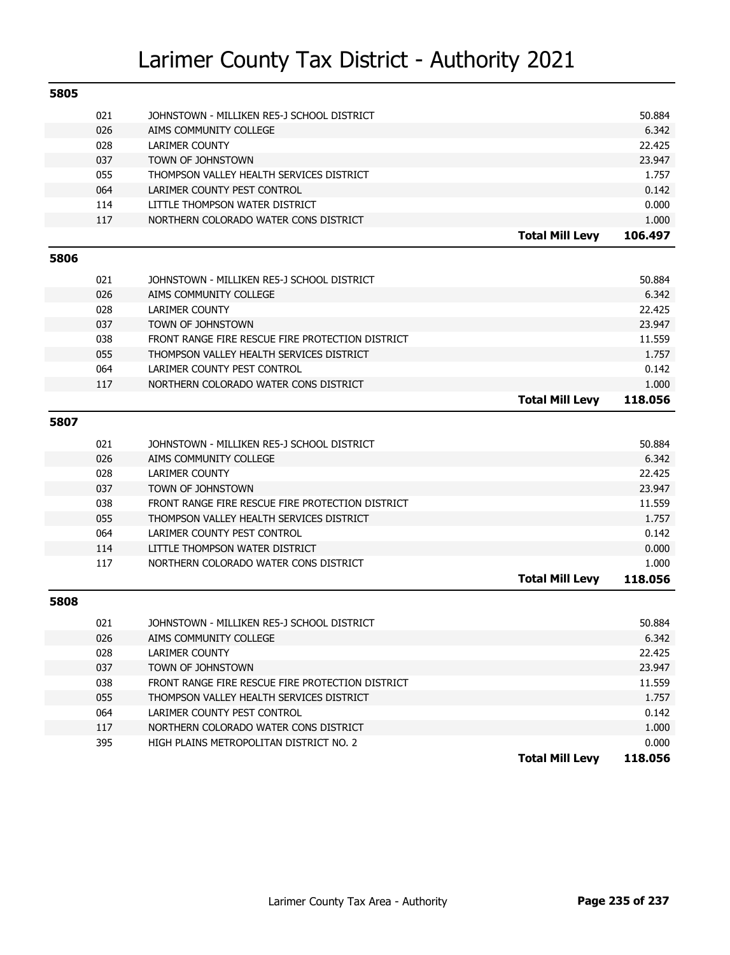| 5805 |     |                                                  |                        |         |
|------|-----|--------------------------------------------------|------------------------|---------|
|      | 021 | JOHNSTOWN - MILLIKEN RE5-J SCHOOL DISTRICT       |                        | 50.884  |
|      | 026 | AIMS COMMUNITY COLLEGE                           |                        | 6.342   |
|      | 028 | <b>LARIMER COUNTY</b>                            |                        | 22.425  |
|      | 037 | TOWN OF JOHNSTOWN                                |                        | 23.947  |
|      | 055 | THOMPSON VALLEY HEALTH SERVICES DISTRICT         |                        | 1.757   |
|      | 064 | LARIMER COUNTY PEST CONTROL                      |                        | 0.142   |
|      | 114 | LITTLE THOMPSON WATER DISTRICT                   |                        | 0.000   |
|      | 117 | NORTHERN COLORADO WATER CONS DISTRICT            |                        | 1.000   |
|      |     |                                                  | <b>Total Mill Levy</b> | 106.497 |
| 5806 |     |                                                  |                        |         |
|      | 021 | JOHNSTOWN - MILLIKEN RE5-J SCHOOL DISTRICT       |                        | 50.884  |
|      | 026 | AIMS COMMUNITY COLLEGE                           |                        | 6.342   |
|      | 028 | <b>LARIMER COUNTY</b>                            |                        | 22.425  |
|      | 037 | TOWN OF JOHNSTOWN                                |                        | 23.947  |
|      | 038 | FRONT RANGE FIRE RESCUE FIRE PROTECTION DISTRICT |                        | 11.559  |
|      | 055 | THOMPSON VALLEY HEALTH SERVICES DISTRICT         |                        | 1.757   |
|      | 064 | LARIMER COUNTY PEST CONTROL                      |                        | 0.142   |
|      | 117 | NORTHERN COLORADO WATER CONS DISTRICT            |                        | 1.000   |
|      |     |                                                  | <b>Total Mill Levy</b> | 118.056 |
| 5807 |     |                                                  |                        |         |
|      |     |                                                  |                        |         |
|      | 021 | JOHNSTOWN - MILLIKEN RE5-J SCHOOL DISTRICT       |                        | 50.884  |
|      | 026 | AIMS COMMUNITY COLLEGE                           |                        | 6.342   |
|      | 028 | <b>LARIMER COUNTY</b>                            |                        | 22.425  |
|      | 037 | TOWN OF JOHNSTOWN                                |                        | 23.947  |
|      | 038 | FRONT RANGE FIRE RESCUE FIRE PROTECTION DISTRICT |                        | 11.559  |
|      | 055 | THOMPSON VALLEY HEALTH SERVICES DISTRICT         |                        | 1.757   |
|      | 064 | LARIMER COUNTY PEST CONTROL                      |                        | 0.142   |
|      | 114 | LITTLE THOMPSON WATER DISTRICT                   |                        | 0.000   |
|      | 117 | NORTHERN COLORADO WATER CONS DISTRICT            |                        | 1.000   |
|      |     |                                                  | <b>Total Mill Levy</b> | 118.056 |
| 5808 |     |                                                  |                        |         |
|      | 021 | JOHNSTOWN - MILLIKEN RE5-J SCHOOL DISTRICT       |                        | 50.884  |
|      | 026 | AIMS COMMUNITY COLLEGE                           |                        | 6.342   |
|      | 028 | <b>LARIMER COUNTY</b>                            |                        | 22.425  |
|      | 037 | TOWN OF JOHNSTOWN                                |                        | 23.947  |
|      | 038 | FRONT RANGE FIRE RESCUE FIRE PROTECTION DISTRICT |                        | 11.559  |
|      | 055 | THOMPSON VALLEY HEALTH SERVICES DISTRICT         |                        | 1.757   |
|      | 064 | LARIMER COUNTY PEST CONTROL                      |                        | 0.142   |
|      | 117 | NORTHERN COLORADO WATER CONS DISTRICT            |                        | 1.000   |
|      | 395 | HIGH PLAINS METROPOLITAN DISTRICT NO. 2          |                        | 0.000   |
|      |     |                                                  | <b>Total Mill Levy</b> | 118.056 |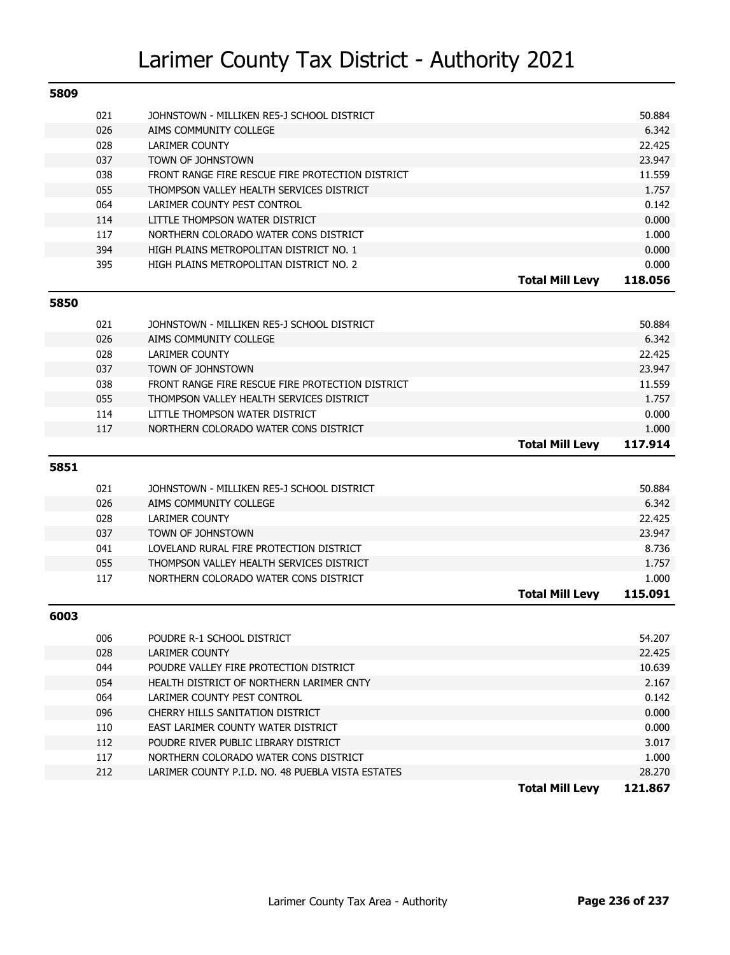| 5809 |     |                                                   |                        |         |
|------|-----|---------------------------------------------------|------------------------|---------|
|      | 021 | JOHNSTOWN - MILLIKEN RE5-J SCHOOL DISTRICT        |                        | 50.884  |
|      | 026 | AIMS COMMUNITY COLLEGE                            |                        | 6.342   |
|      | 028 | <b>LARIMER COUNTY</b>                             |                        | 22.425  |
|      | 037 | <b>TOWN OF JOHNSTOWN</b>                          |                        | 23.947  |
|      | 038 | FRONT RANGE FIRE RESCUE FIRE PROTECTION DISTRICT  |                        | 11.559  |
|      | 055 | THOMPSON VALLEY HEALTH SERVICES DISTRICT          |                        | 1.757   |
|      | 064 | LARIMER COUNTY PEST CONTROL                       |                        | 0.142   |
|      | 114 | LITTLE THOMPSON WATER DISTRICT                    |                        | 0.000   |
|      | 117 | NORTHERN COLORADO WATER CONS DISTRICT             |                        | 1.000   |
|      | 394 | HIGH PLAINS METROPOLITAN DISTRICT NO. 1           |                        | 0.000   |
|      | 395 | HIGH PLAINS METROPOLITAN DISTRICT NO. 2           |                        | 0.000   |
|      |     |                                                   | <b>Total Mill Levy</b> | 118.056 |
| 5850 |     |                                                   |                        |         |
|      | 021 | JOHNSTOWN - MILLIKEN RE5-J SCHOOL DISTRICT        |                        | 50.884  |
|      | 026 | AIMS COMMUNITY COLLEGE                            |                        | 6.342   |
|      | 028 | <b>LARIMER COUNTY</b>                             |                        | 22.425  |
|      | 037 | TOWN OF JOHNSTOWN                                 |                        | 23.947  |
|      | 038 | FRONT RANGE FIRE RESCUE FIRE PROTECTION DISTRICT  |                        | 11.559  |
|      | 055 | THOMPSON VALLEY HEALTH SERVICES DISTRICT          |                        | 1.757   |
|      | 114 | LITTLE THOMPSON WATER DISTRICT                    |                        | 0.000   |
|      | 117 | NORTHERN COLORADO WATER CONS DISTRICT             |                        | 1.000   |
|      |     |                                                   | <b>Total Mill Levy</b> | 117.914 |
| 5851 |     |                                                   |                        |         |
|      |     |                                                   |                        |         |
|      | 021 | JOHNSTOWN - MILLIKEN RE5-J SCHOOL DISTRICT        |                        | 50.884  |
|      | 026 | AIMS COMMUNITY COLLEGE                            |                        | 6.342   |
|      | 028 | <b>LARIMER COUNTY</b>                             |                        | 22.425  |
|      | 037 | TOWN OF JOHNSTOWN                                 |                        | 23.947  |
|      | 041 | LOVELAND RURAL FIRE PROTECTION DISTRICT           |                        | 8.736   |
|      | 055 | THOMPSON VALLEY HEALTH SERVICES DISTRICT          |                        | 1.757   |
|      | 117 | NORTHERN COLORADO WATER CONS DISTRICT             |                        | 1.000   |
|      |     |                                                   | <b>Total Mill Levy</b> | 115.091 |
| 6003 |     |                                                   |                        |         |
|      | 006 | POUDRE R-1 SCHOOL DISTRICT                        |                        | 54.207  |
|      | 028 | LARIMER COUNTY                                    |                        | 22.425  |
|      | 044 | POUDRE VALLEY FIRE PROTECTION DISTRICT            |                        | 10.639  |
|      | 054 | HEALTH DISTRICT OF NORTHERN LARIMER CNTY          |                        | 2.167   |
|      | 064 | LARIMER COUNTY PEST CONTROL                       |                        | 0.142   |
|      | 096 | CHERRY HILLS SANITATION DISTRICT                  |                        | 0.000   |
|      | 110 | EAST LARIMER COUNTY WATER DISTRICT                |                        | 0.000   |
|      | 112 | POUDRE RIVER PUBLIC LIBRARY DISTRICT              |                        | 3.017   |
|      | 117 | NORTHERN COLORADO WATER CONS DISTRICT             |                        | 1.000   |
|      | 212 | LARIMER COUNTY P.I.D. NO. 48 PUEBLA VISTA ESTATES |                        | 28.270  |
|      |     |                                                   | <b>Total Mill Levy</b> | 121.867 |